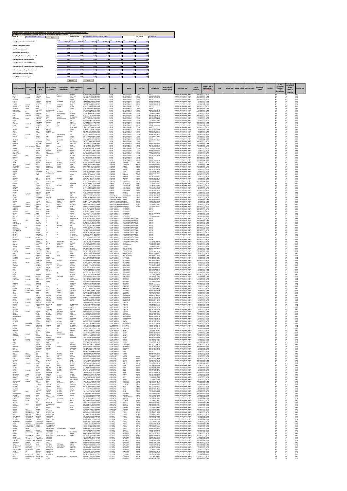|                                                                  | US\$110KA1                                               |                                                     |                                                                   |                                      |                                                                                       |                                                                                                                                                                                                                    |                                                                                                                                                                                                                          |                                                                                                    |                                                                                                             |                                                                             |                 |                                                                                                                                                                                                                                                     |                                                                                      |     |  |  |      |  |
|------------------------------------------------------------------|----------------------------------------------------------|-----------------------------------------------------|-------------------------------------------------------------------|--------------------------------------|---------------------------------------------------------------------------------------|--------------------------------------------------------------------------------------------------------------------------------------------------------------------------------------------------------------------|--------------------------------------------------------------------------------------------------------------------------------------------------------------------------------------------------------------------------|----------------------------------------------------------------------------------------------------|-------------------------------------------------------------------------------------------------------------|-----------------------------------------------------------------------------|-----------------|-----------------------------------------------------------------------------------------------------------------------------------------------------------------------------------------------------------------------------------------------------|--------------------------------------------------------------------------------------|-----|--|--|------|--|
| Sum of unpaid and unclaimed dividend<br>ser of underlying Shares |                                                          |                                                     |                                                                   | 186493.50                            | 0.00<br>0.00                                                                          |                                                                                                                                                                                                                    | 0.00                                                                                                                                                                                                                     | 0.00                                                                                               | 0.00<br>0.00<br>0.00                                                                                        |                                                                             |                 |                                                                                                                                                                                                                                                     |                                                                                      |     |  |  |      |  |
|                                                                  |                                                          |                                                     |                                                                   |                                      | 0.00<br>0.00                                                                          | 0.00<br>0.00<br>0.00<br>0.00                                                                                                                                                                                       | 0.00<br>0.00                                                                                                                                                                                                             | 0.00<br>0.00<br>0.00<br>0.00                                                                       | 0.00<br>0.00                                                                                                |                                                                             |                 |                                                                                                                                                                                                                                                     |                                                                                      |     |  |  |      |  |
|                                                                  | money due for refuns                                     |                                                     |                                                                   |                                      | 0.00<br>0.00                                                                          | 0.00<br>0.00<br>0.00<br>0.00                                                                                                                                                                                       | 0.00<br>0.00                                                                                                                                                                                                             | 0.00<br>0.00<br>0.00                                                                               | 0.00<br>0.00                                                                                                |                                                                             |                 |                                                                                                                                                                                                                                                     |                                                                                      |     |  |  |      |  |
|                                                                  |                                                          |                                                     |                                                                   |                                      | 0.00                                                                                  | 0.00<br>0.00                                                                                                                                                                                                       | 0.00                                                                                                                                                                                                                     | 0.00                                                                                               | 0.00<br>0.00<br>0.00                                                                                        |                                                                             |                 |                                                                                                                                                                                                                                                     |                                                                                      |     |  |  |      |  |
|                                                                  | ant of preference share                                  |                                                     |                                                                   |                                      | 0.00<br>0.00                                                                          | 0.00<br>0.00<br>0.00<br>0.00                                                                                                                                                                                       | 0.00<br>0.00                                                                                                                                                                                                             | 0.00<br>0.00<br>0.00<br>0.00                                                                       | 0.00<br>0.00                                                                                                |                                                                             |                 |                                                                                                                                                                                                                                                     |                                                                                      |     |  |  |      |  |
| Sales proceed for fractional shares                              |                                                          |                                                     |                                                                   |                                      | 0.00                                                                                  | 0.00<br>0.00                                                                                                                                                                                                       | 0.00                                                                                                                                                                                                                     | 0.00<br>0.00                                                                                       | 0.00                                                                                                        |                                                                             |                 |                                                                                                                                                                                                                                                     |                                                                                      |     |  |  |      |  |
| Sum of Other Investment Types                                    |                                                          |                                                     |                                                                   |                                      | 0.00<br>Validate                                                                      | 0.00<br>Clear                                                                                                                                                                                                      | 0.00                                                                                                                                                                                                                     | 0.00<br>0.00                                                                                       | 0.00                                                                                                        |                                                                             |                 |                                                                                                                                                                                                                                                     |                                                                                      |     |  |  |      |  |
|                                                                  |                                                          | Name <sub>1</sub>                                   | Erst/Husbar<br>First Name                                         | ather/Husban<br>Middle Name          |                                                                                       | Address                                                                                                                                                                                                            | State<br>Country                                                                                                                                                                                                         | District                                                                                           | Pin Code                                                                                                    | Folio Ni                                                                    | DP Id-Client Id | Investment Type                                                                                                                                                                                                                                     | ropasea Luce a<br>transfer to IEPF<br>Arrount<br>ransferred                          | PAN |  |  |      |  |
|                                                                  | Name                                                     |                                                     |                                                                   |                                      | Name                                                                                  |                                                                                                                                                                                                                    |                                                                                                                                                                                                                          |                                                                                                    |                                                                                                             | 512                                                                         |                 |                                                                                                                                                                                                                                                     |                                                                                      |     |  |  | Name |  |
| ABHISHEK<br>HARI<br>VIRINDEI                                     | KISHAF                                                   | MATHUR<br>GUPTA<br>saxor                            | KISHA!                                                            | AVDIS!<br>CHANDER                    | MATHUR<br>GUPTA                                                                       | FLAT NO 80 POCKET D INDIA<br>379 NAYA BOUS KHAL INDIA<br>C-30/8, SANGAM PARKINDIA                                                                                                                                  | DELH<br>DELH<br>DELH                                                                                                                                                                                                     | CENTRAL DELHI<br>CENTRAL DELHI<br>CENTRAL DELH                                                     | 110000<br>110006<br>110007                                                                                  | 1201880<br>N30115112002209<br>001511<br>IN3003941510363                     |                 | Amount for unclaimed and us<br>Amount for unclaimed and us<br>Amount for unclaimed and u                                                                                                                                                            | 100.00 21-OCT-2021<br>1000.00 21-OCT-2021<br>100.00 21-OCT-2021                      |     |  |  |      |  |
| OMESH<br>SHASHI<br>NARDS:                                        | KUMAR<br>Kaur<br>Singh                                   | CHOPEA<br>CHOPRA<br>cott<br>SODHI                   | SUBHASH                                                           | 05RBAR<br>SINGH                      | SINGH<br>CHOPRA<br>CHOPRA<br>MAL<br>SODMI                                             | 31 VASUDEV NAGAR P.INDIA<br>31 VASUDEV NAGAR P.INDIA<br>1782 SOHAN GANJ SULINDIA<br>C-30/8, SANGAM PARKINDIA<br>C-30/8, SANGAM PARKINDIA                                                                           | DELH                                                                                                                                                                                                                     | CENTRAL DELH<br>CENTRAL DELH<br>CENTRAL DELH<br>CENTRAL DELH                                       | 110007<br>110007<br>110007                                                                                  | IN3003941513073<br>IN30145210007578<br>001510                               |                 | Amount for unclaimed and u<br>Amount for unclaimed and u<br>Amount for unclaimed and u<br>Amount for unclaimed and u                                                                                                                                | 87.50 21-OCT-2021<br>25.00 21-OCT-2021<br>150.00 21-OCT-2023<br>100.00 21-OCT-2023   |     |  |  |      |  |
| JASWINDER<br>VIRINDER<br><b>JAGMOHA</b>                          |                                                          | SODHI<br>JAIN                                       | NOTAV.<br>DINISH                                                  | PUDIRA                               | SINGH<br>JAIN<br>SHARMA                                                               | 591 PARMANAND CO INDIA<br>C-139 2ND FLOOR MAINDIA                                                                                                                                                                  |                                                                                                                                                                                                                          | CENTRAL DELHI<br>CENTRAL DELHI<br>CENTRAL DELH                                                     | 110007<br>110007<br>110009                                                                                  | 001509<br>N3007081004471<br>1204460000017038                                |                 | Amount for unclaimed and u<br>Amount for unclaimed and u                                                                                                                                                                                            | 100.00 21-OCT-2023<br>0.50 21-OCT-202<br>100.00 21-OCT-2023                          |     |  |  |      |  |
| CHANCRACK<br>RAM<br>OM<br>RAV                                    | NIWAS<br>PARKASH                                         | SHARMA<br>GOYAL                                     | LUCKY<br>EINCO                                                    | SHRAMSARA)<br>RAM<br>KUMAR           | GOYAL<br>BHANDAR<br>PARMAR                                                            | THE RAYMOND SHOP CINDIA<br>H.NO.- D-1/14 GROUN INDIA<br>C 14 A PANCHSHEEL VIINDIA                                                                                                                                  |                                                                                                                                                                                                                          | CENTRAL DELH<br>CENTRAL DELH<br>CENTRAL DELH                                                       | 110009<br>110015<br>110016<br>110017                                                                        | 120206000002800<br>IN30236510658719<br>N30177413748426                      |                 | Amount for unclaimed and us<br>Amount for unclaimed and us<br>Amount for unclaimed and us<br>Amount for unclaimed and u                                                                                                                             | 25.00 21-OCT-2023<br>100.00 21-OCT-2023<br>50.00 21-OCT-202                          |     |  |  |      |  |
| INDERIED<br>KANTI                                                | sage<br>SHEKHA                                           | PARMAR<br>SARDOP<br>BHAGWAN<br>KAUSHAL              | THAMBU                                                            | ROSHANS<br>RAM                       | LAL<br>GUPTA                                                                          | G - II - 346 VIKAS PURIINDIA<br>KG 1/110 VIKAS PURI TINDIA<br>H-245 VIKAS PURI DEL INDIA<br>573, SECTOR-VI R.K. PLINDIA                                                                                            |                                                                                                                                                                                                                          | CENTRAL DELH<br>CENTRAL DELHI<br>CENTRAL DELHI<br>CENTRAL DELHI<br>CENTRAL DELHI<br>CENTRAL DELHI  | 110018<br>110018<br>110018<br>110022<br>110027                                                              | IN30120910001955<br>120229000010418<br>120300000000626<br>001533            |                 | Amount for unclaimed and u<br>Amount for unclaimed and u<br>Amount for unclaimed and u                                                                                                                                                              | 12.50 21-OCT-202<br>50.00 21-OCT-202<br>302.50 21-OCT-2023<br>100.00 21-OCT-2023     |     |  |  |      |  |
| RAREV                                                            | <b>HARI</b>                                              | CHUGH<br>NATH                                       | RAM<br>OWNDER                                                     | K<br>LAL                             | KAUSHAL<br>CHUGH<br>SUBBANNA                                                          | J 5/137 RAJOURI GARDINDIA<br>2 GWT, AF RAJOKRI NEINDIA<br>H. NO.112 POST OFFICINDIA                                                                                                                                |                                                                                                                                                                                                                          | CENTRAL DELH                                                                                       | 110038<br>110039                                                                                            | IN30021413396971<br>001362<br>IN30198310296812                              |                 | Financial conclusion of a<br>Amount for unclaimed and us<br>Amount for unclaimed and us<br>Amount for unclaimed and us<br>Amount for unclaimed and us<br>Newton for unclaimed and us                                                                | 50.00 21-OCT-2023<br>150.00 21-OCT-2023<br>10.00 21-OCT-202                          |     |  |  |      |  |
| RAM<br>RADHA<br>ANUJ<br>SUNITA                                   | KUMA                                                     | SINGH<br>KALI<br>GUPTA<br>ALE<br>YADAV<br>GUPTA     | DANWARI<br>NOTAVAILABLE                                           |                                      | SINGH<br>LAL<br>ALE                                                                   | 286 NANGLOI EXTN- II INDIA<br>1383 SONARIAN NAJAIINDIA<br>D-4/59 VASHISTHA PAIINDIA<br>MI/1 P.COL ANDREWS INDIA                                                                                                    |                                                                                                                                                                                                                          | CENTRAL DELH<br>CENTRAL DELH                                                                       | 110041<br>110043                                                                                            | IN30096610482973<br>1202990000879611<br>IN3008611013869                     |                 | Amount for unclaimed and u<br>Amount for unclaimed and u                                                                                                                                                                                            | 45.00 21-OCT-202<br>87.50 21-OCT-202<br>200.00 21-OCT-202                            |     |  |  |      |  |
| SALMAN                                                           |                                                          |                                                     | SH<br>OM<br>M<br>MOHD                                             | PARKASH<br>SULTMAN                   | YADAV<br>GUPTA<br>KHAN                                                                | BM-47 (EAST) SHALIMUNDIA<br>C 356/4 CHINYOT BASTINDIA<br>188, DOUBLE STOREY FINDIA<br>1450 GALI NO 41 DDA INDIA                                                                                                    |                                                                                                                                                                                                                          | CENTRAL DELHI<br>CENTRAL DELHI<br>CENTRAL DELHI<br>CENTRAL DELHI<br>CENTRAL DELHI<br>CENTRAL DELHI | $\begin{array}{r} 110046 \\ 110049 \\ 110052 \\ 110053 \\ 110055 \\ 110060 \\ 110062 \\ \ldots \end{array}$ | 1202300000185482<br>001519<br>IN3017741163885                               |                 | Amount for unclaimed and u                                                                                                                                                                                                                          | 95.50 21-OCT-2023<br>100.00 21-OCT-2023<br>7.50 21-OCT-202                           |     |  |  |      |  |
| ANUP<br>CHALLESP<br>NISHA<br>SYED                                |                                                          | SACHDEVA<br>GAUTAM<br><b>JAN</b><br>PERWEZ          | OSAMA<br>VIMAL<br>SYED                                            | íм<br>NAZIR                          | SADHDEVA<br>GAUTAM<br>aan                                                             | 308 PRAKASH MOHALINDIA                                                                                                                                                                                             |                                                                                                                                                                                                                          | CENTRAL DELH<br>CENTRAL DELH                                                                       | 110065<br>110065                                                                                            | 001427<br> N30051314035643<br>IN30105510028673<br>120230000006610           |                 | Financial conclusion of a<br>Amount for unclaimed and us<br>Amount for unclaimed and us<br>Amount for unclaimed and us<br>Amount for unclaimed and us<br>Newton for unclaimed and us<br>Amount for unclaimed and u                                  | 100.00 21-OCT-2023<br>15.50 21-OCT-202<br>100.00 21-OCT-2023<br>45.00 21-OCT-202     |     |  |  |      |  |
| ANSHU<br>GAGAN<br>SURENDEI                                       |                                                          | GUPTA<br>JUNEJA                                     | KRISMAN                                                           | KUMAI<br>PAL                         | HASSAN<br>GUPTA                                                                       | 201 TRIBHUVAN COM INDIA<br>B 233 GREAT INDIA AP INDIA<br>657 METRO VIEW APT INDIA                                                                                                                                  | 医非正常性 医阿尔伯氏试验检胆汁 医阿尔伯氏试验检胆汁 医阿尔伯氏试验检胆汁 医阿尔伯氏试验检胆汁 医阿尔伯氏试验检胆汁 医阿尔伯氏试验检胆汁 医阿尔伯氏试验检胆汁 医阿尔伯氏试验检胆汁                                                                                                                            | CENTRAL DELH<br>CENTRAL DELH                                                                       | 110075                                                                                                      | 1203940000084100<br>IN30046810069551<br>IN30298640009314                    |                 | Amount for unclaimed and u<br>Amount for unclaimed and u<br>Amount for unclaimed and u                                                                                                                                                              | 25.00 21-OCT-202<br>50.00 21-OCT-202<br>50.00 21-OCT-202                             |     |  |  |      |  |
| PURSHOTAL<br>SARITA<br>DINESH<br>AIAY                            | ptw                                                      | SINGH<br>JINDAL<br>SINGHAL<br>MATHUR                | AIAY<br>RAMESY<br>ANIL                                            |                                      | ANNEA<br>SMGH<br>SMGA<br>SARAN<br>SARAN<br>SEMGAL<br>SEMGAL<br>MAN<br>YADAV<br>TAKKAR | NO THE MAIN WAS SERVED AND THE STATE OF A 234 BLOCK-D POCKINGIA<br>BH-314 BLOCK-D POCKINGIA<br>BH-34 BAST SHALMAN WHARINGIA<br>197 SURFA NISCHALMO INGIA<br>197 SURFA NISCHALMO INGIA<br>197 SURFA NISCHALMO INGIA |                                                                                                                                                                                                                          | CENTRAL DELHI<br>CENTRAL DELHI<br>CENTRAL DELHI<br>CENTRAL DELHI                                   | 110075<br>110084<br>110088<br>110088<br>110092                                                              | 120706000000261<br>IN30142810074688<br>001429                               |                 | Protein for unclaimed and u<br>Amount for unclaimed and u<br>Amount for unclaimed and u<br>Amount for unclaimed and u<br>Amount for unclaimed and u                                                                                                 | 50.00 21-OCT-202<br>102.50 21-OCT-202<br>100.00 21-OCT-2023                          |     |  |  |      |  |
| RAVISH<br>VICEY<br>RAIV                                          | <b>KUMA</b>                                              | <b>ADITYA</b><br>CHAWLA<br>SEHGAL                   | VIRENDER<br>PARTAP                                                | VUAY<br>KUMAR                        |                                                                                       | HOUSE NO 599 SECTORINDIA<br>HOUSE NO 11/1 ADAR: NOIA                                                                                                                                                               |                                                                                                                                                                                                                          | CENTRAL DELHI<br>CENTRAL DELHI<br><b>FARIDABAC</b><br>GURGAON                                      | 110092<br>110092<br>121003                                                                                  | 001395<br>IN3028221009092<br>N30177411843513<br>120535000000101             |                 | Amount for unclaimed and u<br>Amount for unclaimed and u                                                                                                                                                                                            | 300.00 21-OCT-2023<br>100.00 21-OCT-2023<br>12.50 21-OCT-202<br>12.50 21-OCT-202     |     |  |  |      |  |
| SATENDER<br>PARVINDER<br>KULDEER                                 | siva                                                     | JAIN<br>YADAV<br>TAKKAR                             | VUENDER<br>DISPENDER                                              | SINGH<br>SINGH<br>SINGH              |                                                                                       | 82-L MODEL TOWN REINDIA<br>H NO 539 W N 23 DLF HNDIA                                                                                                                                                               |                                                                                                                                                                                                                          | REWARI<br>ROHTAK<br>ROHTAK                                                                         | 122001<br>123401<br>124001<br>124001                                                                        | IN30226910786415<br>N3017741199262<br>N30177411992180                       |                 | Amount for unclaimed and u                                                                                                                                                                                                                          | 120.00 21-OCT-2023<br>50.00 21-OCT-202<br>50.00 21-OCT-202                           |     |  |  |      |  |
| NEELAN<br>KUSUM<br><b>UMA</b>                                    |                                                          | SINGH<br>AGGAI<br>GOEL<br>KANT                      | SUBE<br>SH<br>NOTAVAILABL                                         | RAJESP                               | SINGH<br>AGGARWAI<br>NATH                                                             | V P O MADINA G TEH INDIA<br>3 DC TAYAL GARDEN . INDIA<br>KUSUM GOEL W/O SHINDIA<br>94, KALAN SONIPAT 1 INDIA<br>H.MO. 9/22 WARD-22 INDIA                                                                           |                                                                                                                                                                                                                          | HISAR<br>JIND<br>SONIPAT                                                                           | 125001<br>126136<br>131000                                                                                  | 120191010215854<br>120289000096828<br>001357                                |                 | Frown for unclusing data us<br>Amount for unclusing and us<br>Amount for unclusing and us<br>Amount for unclusing and us<br>Amount for unclusing and us<br>Amount for unclusing and us<br>Amount for unclusing and us<br>Amount for unclusing and u | 50.00 21-OCT-202<br>125.00 21-OCT-2023<br>100.00 21-OCT-2023                         |     |  |  |      |  |
| RENU<br>support<br>PREM                                          |                                                          | ian<br>Kumar                                        | SHYAN<br>SURESH<br>POKHAR<br>NOTAVALABLE                          | KUMAI                                | LAL<br>JAJN<br>DASS                                                                   | H.NO-115 SECTOR-14 INDIA<br>HOUSE NO 8 / 26 HAN:INDIA                                                                                                                                                              | HARYANA<br>HARYANA<br>HARYANA<br>HARYANA<br>HARYANA<br>HARYANA<br>HARYANA<br>HARYANA<br>HARYANA<br>HARYANA<br>HARYANA<br>HARYANA<br>HARYANA<br>HARYANA<br>HARYANA<br>HARYANA<br>HARYANA<br>HARYANA<br>HARYANA<br>HARYANA | SONIPAT<br>SONIPAT                                                                                 | 131000<br>131000                                                                                            | N3023651048260<br>N30236510351779<br>120242000002619                        |                 | Amount for unclaimed and u                                                                                                                                                                                                                          | 25.00 21-OCT-2023<br>25.00 21-OCT-202<br>5.00 21-OCT-202                             |     |  |  |      |  |
| RAJNISH<br>KAMLA<br>PUNEE?<br>NIRMAL                             |                                                          | VU<br>BANI<br>GUPTA<br>BANI<br>SINGH                | SUBASH<br>ASHOK<br>RAM<br>NOTAVAILABLE                            | KUMA                                 | CHANDER<br>GUPTA<br>DASS                                                              | H NO 1458 SECTOR 15 INDIA<br>HOUSE NO W N 28 GA INDIA<br>s/o sh ashok gupta india<br>h no 816 ward no 3 india                                                                                                      |                                                                                                                                                                                                                          | EARNAL<br>FANDISCULA<br>GURDASPUR<br>HOSHIARPUR<br>HOSHIARPUR<br>HOSHIARPUR                        | 132001<br>134113<br>144002<br>145001<br>146001<br>146001                                                    | 120229000004873<br>120229000025121<br>120186000038194<br> N30177417091586   |                 | Amount for unclaimed and u<br>Financial car structure and at a<br>Amount for unclaimed and us<br>Amount for unclaimed and us<br>Amount for unclaimed and us<br>Amount for unclaimed and us                                                          | 300.00 21-OCT-2023<br>50.00 21-OCT-2023<br>100.00 21-OCT-2023<br>50.00 21-OCT-202    |     |  |  |      |  |
| SEEMA<br>CHHATER<br>SAGAR                                        |                                                          | KAPOOR                                              | NOTAVAILABLE<br>SATISH                                            |                                      | KAPOOF                                                                                | B-1 MCH-1090/18 GAIINDIA<br>CHEF REGIONAL MANINDIA<br>H NO 199 MIRCH MAN INDIA                                                                                                                                     |                                                                                                                                                                                                                          | HOSHIARPUP<br>PATIALA                                                                              | 147000                                                                                                      | 1206990000001381<br> N30154917824433<br>1202990005155669                    |                 | Amount for unclaimed and u                                                                                                                                                                                                                          | 75.00 21-OCT-202<br>250.00 21-OCT-202<br>5.00 21-OCT-2021                            |     |  |  |      |  |
| NAV<br>PRITAM<br>SUSHID                                          | RATTAN                                                   | KUMAR<br>SINGH<br><b>AGGARWAL</b>                   | JAGAT<br>NATHU<br>MALISAM                                         |                                      | nam<br>nam<br>AGGARWA                                                                 | 46 ROSE AVENUE MALINDIA<br>ROOM NO 22 TYPE 11/ INDIA<br>GONTERMANN PEIPER INDIA                                                                                                                                    | PUNJAB<br>PUNJAB<br>CHANDIGARH<br>HIMACHAL PRADESH                                                                                                                                                                       | SANGRUR<br>CHANDIGAR<br>SOLAN                                                                      | 148023<br>160012<br>174100                                                                                  | N30039410720002<br>N3011431052099<br>N30177413103502                        |                 | Amount for unclaimed and u<br>Amount for unclaimed and u<br>Amount for unclaimed and u                                                                                                                                                              | 22.50 21-OCT-2021<br>292.50 21-OCT-2021<br>75.00 21-OCT-2021                         |     |  |  |      |  |
| DRHAM<br>VICRAM<br>BILAL                                         | AHMAD                                                    | DEVI<br><b>DOGRA</b><br>sori                        | SH<br>HARI<br>GHULAM                                              | DUNICHA<br>SARAN<br>AHMAD            | SAKLANI<br><b>DOGRA</b><br>son                                                        | BRHAMI DEVI W/O DU INDIA<br>H. NO. 75 RAGHUNAT INDIA<br>BILAL AHMAD SOFI SATINDIA                                                                                                                                  | HIMACHAL PRADESH MANDI<br>JAMMU AND KASHMITUAMMU                                                                                                                                                                         | JAMMU AND KASHMIRKUPWARA                                                                           | 175024<br>180000<br>190000                                                                                  | N3013301968989-<br>N30236510625456<br>1202890000005841                      |                 | Amount for unclaimed and u<br>Amount for unclaimed and u<br>Amount for unclaimed and u                                                                                                                                                              | 12.50 21-OCT-2021<br>10.00 21-OCT-2021<br>50.00 21-OCT-2021                          |     |  |  |      |  |
| TARIQ<br>MONAMM<br>NISHEETH<br>KUMKUM                            | AHMAD<br>ASHIMAF                                         | DINDROO<br>LONE<br><b>JAIN</b><br>SINGHAI           | GH<br>ASDUL<br>NEERA                                              | MOHD<br><b>JABBAR</b>                | DINDROO<br>LONE<br>AAIN<br>SINGHA                                                     | SHAH KADAL THAG BA INDIA<br>MANZOOR AHMAD DAINDIA<br>5-73, LOHIA NAGAR GHNDIA<br>R-6/35, RAJ NAGAR GHINDIA                                                                                                         | UTTAR PRADESH<br>UTTAR PRADESH                                                                                                                                                                                           | JAMMU AND KASHMIRKUPWARA<br>JAMMU AND KASHMIRKUPWARA<br>GHAZIABAD<br>GHAZIABAD                     | 190002<br>190005                                                                                            | 1202890000104911<br>1202890000074731<br>001441<br>001527                    |                 | Amount for unclaimed and u<br>Amount for unclaimed and u<br>Amount for unclaimed and u<br>Amount for unclaimed and u                                                                                                                                | 21.00 21-OCT-2021<br>200.00 21-OCT-2021<br>100.00 21-OCT-2021<br>100.00 21-OCT-2021  |     |  |  |      |  |
| CHANDER<br>ASHOK<br>ANIL                                         | PAL<br>KUMAR                                             | SINGH<br>SINGH<br>ANGUIA                            | <b>HARPAL</b><br>JASBIR                                           |                                      | SINGH<br>SINGH<br><b>AHUJA</b>                                                        | H.NO. 329, SECTOR-5 CINDIA<br>FLAT NO.F-4 PLOT NO INDIA<br>CF-6, ABOVE 'C' BLOCKINDIA                                                                                                                              | UTTAR PRADESH<br>UTTAR PRADESH<br>UTTAR PRADESH                                                                                                                                                                          | GHAZIABAD<br>GHAZIABAD<br>GHAZIABAD                                                                |                                                                                                             | 001523<br>IN30105510043046<br>001385                                        |                 | Amount for unclaimed and u<br>Amount for unclaimed and u<br>Amount for unclaimed and u                                                                                                                                                              | 100.00 21-OCT-2021<br>50.00 21-OCT-2021<br>100.00 21-OCT-2021                        |     |  |  |      |  |
| SANJAY<br>RAW<br>INDER                                           | PAL                                                      | BABBAR<br>KAUL<br>SINGH                             | MADAN                                                             | LAL                                  | BASSAR<br>DHARMARTH<br>SINGH                                                          | D/291 GOVINO PURI MINDIA<br>A-36, SECTOR 14 G.B. FINDIA<br>F-65, SECTOR 56 NODLINDIA                                                                                                                               | UTTAR PRADESH<br>UTTAR PRADESH<br>UTTAR PRADESH                                                                                                                                                                          | GHAZIABAD<br>GAUTAM BUDDHA NAGAS<br>GAUTAM BUDDHA NAGAR                                            |                                                                                                             | 1203350001536757<br>001484<br>001485                                        |                 | Amount for unclaimed and u<br>Amount for unclaimed and u<br>Amount for unclaimed and u                                                                                                                                                              | 25.00 21-OCT-2021<br>100.00 21-OCT-2021<br>100.00 21-OCT-2021                        |     |  |  |      |  |
| ARVIND<br>SHASHHATA<br>KAWAL<br><b>ASHOK</b>                     | <b>KR</b>                                                | <b>GUPTA</b><br>SHARMA<br>KISHORE<br>ROY            |                                                                   | c<br>RADIC                           | <b>GUPTA</b><br>SHARMA<br>LAL<br>ROY                                                  | B-326, SECTOR-26 NOI INDIA<br>C/O. FLEX INDUSTRIES INDIA<br>L-20, SECTOR-XI NODI-INDIA<br>ASHOK KR. ROY C-37, SINDIA                                                                                               | UTTAR PRADESH<br>UTTAR PRADESH<br>UTTAR PRADESH<br>UTTAR PRADESH                                                                                                                                                         | GAUTAM BUDDHA NAGAR<br>GAUTAM BUDDHA NAGAR<br>GAUTAM BUDDHA NAGAR<br>GAUTAM BUDDHA NAGAR           |                                                                                                             | 001520<br>001472<br>001459<br>001485                                        |                 | Amount for unclaimed and u<br>Amount for unclaimed and u<br>Amount for unclaimed and u<br>Amount for unclaimed and u                                                                                                                                | 100.00 21-OCT-2021<br>100.00 21-OCT-2021<br>100.00 21-OCT-2021<br>100.00 21-OCT-2021 |     |  |  |      |  |
| YOGNOER<br>DWARKANAT<br><b>NISAR</b>                             |                                                          | CHOUSEY<br><b>BHATIA</b><br>HUSAIN                  | LA1                                                               |                                      | CHOUBEY<br><b>BHATIA</b><br>HUSAIN                                                    | A-2, SECTOR-60 NOIDAINDIA<br>166, RAIL VIHAR SECTCINDIA<br>E-40A, SECTOR 27 NOIINDIA                                                                                                                               | UTTAR PRADESH<br>UTTAR PRADESH<br>UTTAR PRADESH                                                                                                                                                                          | GAUTAM BUDDHA NAGAR<br>GAUTAM BUDDHA NAGAR<br>GAUTAM BUDDHA NAGAR                                  |                                                                                                             | 001525<br>001526<br>001481                                                  |                 | Amount for unclaimed and u<br>Amount for unclaimed and u<br>Amount for unclaimed and u                                                                                                                                                              | 100.00 21-OCT-2021<br>100.00 21-OCT-2021<br>100.00 21-OCT-2021                       |     |  |  |      |  |
| <b>ASHOK</b><br>SAURABH<br>MANDJ<br><b>HIMANSHL</b>              | KUMAI                                                    | SHARMA<br>CHATURVEDE<br><b>GUPTA</b><br>CHATURVEDI  |                                                                   | c.                                   | SHARMA<br>CHATURVEDS<br>GUPTA<br>CHATURVEDS                                           | A-108, SECTOR-IV NOL INDIA<br>J-26 SECTOR - XI NOID/INDIA<br>, SECTOR-1V, NO INDIA<br>J - 26 SECTOR - XI NOICINDIA                                                                                                 | UTTAR PRADESH<br>UTTAR PRADESH<br>UTTAR PRADESH<br>UTTAR PRADESH                                                                                                                                                         | GAUTAM BUDDHA NAGAR<br>GAUTAM BUDDHA NAGAS<br>GAUTAM BUDDHA NAGAS<br>GAUTAM BUDDHA NAGAS           |                                                                                                             | 001461<br>001386<br>001456<br>001388                                        |                 | Amount for unclaimed and u<br>Amount for unclaimed and u<br>Amount for unclaimed and u<br>Amount for unclaimed and u                                                                                                                                | 100.00 21-OCT-2021<br>100.00 21-OCT-2021<br>100.00 21-OCT-2021<br>100.00 21-OCT-2021 |     |  |  |      |  |
| ABIAN<br>parts<br>KOMAL                                          |                                                          | <b>ARORA</b><br>MEHROTRA<br>saxon                   |                                                                   | NARENDR<br>SWARDOP<br>BABU           | PAL<br>KAKKAR                                                                         | 1165 SECTOR-37 NOICINDIA<br>327 SURENDRA NAGA INDIA<br>H NO- 16 WARD NO- 1 INDIA                                                                                                                                   | UTTAR PRADESH<br>UTTAR PRADESH<br>UTTAR PRADESH                                                                                                                                                                          | GAUTAM BUDDHA NAGAS<br>HIGARH<br>BULANDSHAHR                                                       |                                                                                                             | 120429000000679<br>IN30020610254586<br>120206000042892                      |                 | Amount for unclaimed and u<br>Amount for unclaimed and u<br>Amount for unclaimed and u                                                                                                                                                              | 250.00 21-OCT-2021<br>100.00 21-OCT-2021<br>50.00 21-OCT-2021                        |     |  |  |      |  |
| ANDOP<br>SHRI<br>SANJAY                                          | KUMAI<br>GOPAL                                           | <b>GUPTA</b><br><b>GUPTA</b><br><b>MEHROTRA</b>     | SHYMA<br><b>VIMAL</b>                                             | BASANTLA                             | RAM<br>GUPTA<br>CHARAN<br>MEHROTRA                                                    | C/O DHANSH ELEC MCINDIA<br>24/33 BIRHANA ROAD INDIA<br><b>B-25 SARVODAYA NAGINDIA</b>                                                                                                                              | UTTAR PRADESH<br>UTTAR PRADESH<br>UTTAR PRADESH                                                                                                                                                                          | <b>HATHRAS</b><br>KANPUR DEHAT<br>KANPUR DEHAT                                                     |                                                                                                             | 120206000026043<br>N30055610351377<br>003567                                |                 | Amount for unclaimed and u<br>Amount for unclaimed and u<br>Amount for unclaimed and u                                                                                                                                                              | 25.00 21-OCT-2021<br>50.00 21-OCT-2021<br>600.00 21-OCT-2021                         |     |  |  |      |  |
| NADEEM<br>ANIL<br>SARO.                                          | KUMAI                                                    | ARSHAD<br><b>GUPTA</b><br>AWASTH                    | ARSHAD<br>MOTILAL<br>LAXMI                                        | ALI<br>KANT                          | LARI<br><b>GUPTA</b><br>AWASTH                                                        | 105/234 CHAMAN GAFINDIA<br>130/258- B BAGAHI KAINDIA<br>104A/78 RAM BAGH KINDIA                                                                                                                                    | UTTAR PRADESH<br>UTTAR PRADESH<br>UTTAR PRADESH                                                                                                                                                                          | KANPUR DEHAT<br>KANPUR DEHAT<br>KANPUR DEHAT                                                       |                                                                                                             | IN30155710441607<br>IN30078110082507<br>N30133017859635                     |                 | Amount for unclaimed and u<br>Amount for unclaimed and u<br>Amount for unclaimed and u                                                                                                                                                              | 50.00 21-OCT-2021<br>25.00 21-OCT-2021<br>10.00 21-OCT-2021                          |     |  |  |      |  |
| PRAMIL<br><b>DURGESH</b><br>RANGE<br>MOHD                        | PRATAI<br>AFTAB                                          | <b>GUPTA</b><br>SINGH<br>CHANDAN<br><b>ALAM</b>     | VSHNU<br>NOTAVAILABLE<br>UTTAM<br>MAGSOO                          | KUMAR                                | <b>GUPTA</b><br>CHANDAN<br>AHMAD                                                      | 1 NO 980 KURARA (HAINDIA<br>548 8/11 H/2 UNCHAWINDIA<br>47 LUKARGANJ ALLANUNDIA<br>8 - 16 / 4 G.T. B. NAGA INDIA                                                                                                   | UTTAR PRADESH<br>UTTAR PRADESH<br>UTTAR PRADESH<br>UTTAR PRADESH                                                                                                                                                         | <b>HAMIRPUR</b><br><b>ALLANABAD</b><br><b>ALLANABAC</b><br><b>ALLANABAD</b>                        |                                                                                                             | 1206120000231171<br>120106000053518<br>N30169611384673<br>N30226911184577   |                 | Amount for unclaimed and u<br>Amount for unclaimed and u<br>Amount for unclaimed and u<br>Amount for unclaimed and u                                                                                                                                | 10.00 21-OCT-2021<br>10.00 21-OCT-2021<br>100.00 21-OCT-2021<br>1.00 21-OCT-2021     |     |  |  |      |  |
| BANKEY<br>TAROON<br>SHALL                                        |                                                          | SIHARI<br>KHANNA<br><b>RASTOGE</b>                  | MANGALA<br>DIUP<br>SUMAN                                          | KUMAR<br>LAL                         | SINGH<br>KHANNA<br>RASTOG                                                             | 1 NO207 VILL- TIKARI TINDIA<br>C 29 / 61 - 5 RAGHUBE INDIA<br>H NO D 38/77 MOHALINDIA                                                                                                                              | UTTAR PRADESH<br>UTTAR PRADESH<br>UTTAR PRADESH                                                                                                                                                                          | CHANDAULI<br>CHANDAULI<br>CHANDAULI                                                                |                                                                                                             | N30155720732302<br>120289000025866<br>IN30133018862563                      |                 | Amount for unclaimed and u<br>Amount for unclaimed and u<br>Amount for unclaimed and u                                                                                                                                                              | 50.00 21-OCT-2021<br>12.50 21-OCT-2021<br>35.00 21-OCT-2021                          |     |  |  |      |  |
| AMIT<br><b>SUNIL</b><br>KIRAN                                    |                                                          | KUMAR<br>SINGH                                      | RAM<br>SHAMBIG,                                                   |                                      | LAXHAN<br>SINGH<br>SINGH<br>KUMAR                                                     | B 36/20 KAIWALYA DH INDIA<br>103 SAKET NAGER VAINDIA<br>VILLAGE P.O TIKERI (INDIA                                                                                                                                  | UTTAR PRADESH<br>UTTAR PRADESH<br>UTTAR PRADESH                                                                                                                                                                          | CHANDAULI<br>CHANDAULI<br>CHANDAULI                                                                |                                                                                                             | 120299000480670<br>N30155721008837<br>N30088814296683                       |                 | Amount for unclaimed and u<br>Amount for unclaimed and u<br>Amount for unclaimed and u                                                                                                                                                              | 1.00 21-OCT-2021<br>50.00 21-OCT-2021<br>50.00 21-OCT-2021                           |     |  |  |      |  |
| KIRAN<br>VUAY<br><b>BINEET</b><br>SURENDRA                       | KUMAI<br>KUMAI                                           | <b>JAISAWAL</b><br><b>GUPTA</b><br>KAUR<br>SABHARWA | NAGENDRA<br>ROOP<br><b>GURMEET</b>                                | NARAYAN<br>s.                        | <b>GUPTA</b><br>SINGH<br>SABIARWA                                                     | 15/144/148 ASHAPUR INDIA<br>MURALI PO CHOLA PINDIA<br>MGS 16 SECTOR-B ALKINDIA<br>17F SAMAR VIHAR MA INDIA                                                                                                         | UTTAR PRADESH<br>UTTAR PRADESH<br>UTTAR PRADESH<br>UTTAR PRADESH                                                                                                                                                         | CHANDAULI<br>CHANDAULI<br>LUCKNOW<br>LUCKNOW                                                       |                                                                                                             | 1202470000218568<br>1304140000265426<br>N30105510462863<br>N30070810345124  |                 | Amount for unclaimed and u<br>Amount for unclaimed and u<br>Amount for unclaimed and u<br>Amount for unclaimed and u                                                                                                                                | 364.00 21-OCT-2021<br>19.00 21-OCT-2021<br>25.00 21-OCT-2021<br>250.00 21-OCT-2021   |     |  |  |      |  |
| NISHAN<br>HARISH                                                 | CHANDRA                                                  | SINGH<br>PRAKASH<br>MAURYA                          | GANGA                                                             |                                      | SINGH<br>PRAKASH<br>MAURYA                                                            | 4 4 VISHES KHAND GOTINDIA<br>C-881, INDIRA NAGAR INDIA<br>17/191 INDIRA NAGAFINDIA                                                                                                                                 | UTTAR PRADESH<br>UTTAR PRADESH<br>UTTAR PRADESH                                                                                                                                                                          | LUCKNOW<br>LUCKNOW<br>LUCKNOW                                                                      |                                                                                                             | 1304140000442670<br>001335<br>IN30155721208067                              |                 | Amount for unclaimed and u<br>Amount for unclaimed and u<br>Amount for unclaimed and u                                                                                                                                                              | 2.50 21-OCT-2021<br>100.00 21-OCT-2021<br>50.00 21-OCT-2021                          |     |  |  |      |  |
| RAM<br>RAIDH<br>DAYA                                             | KUMAI<br>SHANICERMAN<br><b>KUMAR</b>                     | ASRE<br>SINGH<br>TRIPATHI<br>SINGH                  | LAL<br>RAM<br>RAM<br>LALII                                        | SAMUJH<br>SAGAR                      | RAM<br>SINGH<br>TRIPATH<br>SINGH                                                      | SARUA JAMENTHI KUNINDIA<br>H NO 370 AWAS VIKASINDIA<br>CIVIL COURT GONDA LINDIA<br>INARUHANA NERA OL INDIA                                                                                                         | UTTAR PRADESH<br>UTTAR PRADESH<br>UTTAR PRADESH<br>UTTAR PRADESH                                                                                                                                                         | RAEBAREL<br>MIRZAPUR<br>MIRZAPU<br>MIRZAPUR                                                        |                                                                                                             | 120327000030496<br>1304140001916515<br>N30051313124382<br>N30055610255865   |                 | Amount for unclaimed and u<br>Amount for unclaimed and u<br>Amount for unclaimed and u<br>Amount for unclaimed and u                                                                                                                                | 25.00 21-OCT-2021<br>17.50 21-OCT-2021<br>50.00 21-OCT-2021<br>25.00 21-OCT-2021     |     |  |  |      |  |
| DINESH<br>PIYUSH                                                 |                                                          | sayon<br><b>AGARWAL</b>                             | DINESH                                                            | KUMAI                                | SINGH<br>CORAZ<br><b>AGARWA</b>                                                       | 370 AVAS VIKAS COLONINOIA<br>ET BIHAR COLONY INDIA<br>O. NO. 6-58 HINDALCONDIA                                                                                                                                     | UTTAR PRADESH<br><b>JTTAR PRADES</b><br>UTTAR PRADESH                                                                                                                                                                    | MIRZAPUR<br>SONSHADRA                                                                              |                                                                                                             | 1304140000550087<br>0011811466331<br>IN30155720843106                       |                 | Amount for unclaimed and u<br>Amount for a<br>Amount for unclaimed and u                                                                                                                                                                            | 25.00 21-OCT-2021<br>50.00 21-OCT-202<br>12.50 21-OCT-2021                           |     |  |  |      |  |
| DAYA<br>RADHA<br><b>AXHILESP</b>                                 | SHANKER<br>KUMAI                                         | PANDEY<br>54800<br>SINGHAL                          | HARIHAR<br>SANTOSH<br>NOTAVAILABLE                                | PRASAD                               | PANDEY<br>SABOO                                                                       | D-10 ADM COLONY REINDIA<br>BRU NIWAS SAKET COLINDIA<br>35 F/15 RAMPUR GARLINDIA                                                                                                                                    | UTTAR PRADESH<br>UTTAR PRADESH<br>UTTAR PRADESH                                                                                                                                                                          | SONSHADRA<br>SONSHADRA<br>BARELLY                                                                  |                                                                                                             | IN30226910770050<br>N30045011319624<br>N30118520122843                      |                 | Amount for unclaimed and u<br>Amount for unclaimed and u<br>Amount for unclaimed and u                                                                                                                                                              | 25.00 21-OCT-2021<br>50.00 21-OCT-2021<br>225.00 21-OCT-2021                         |     |  |  |      |  |
| KAMAL<br>GOVING<br>PRERNA<br>SANYAM                              | savon                                                    | EHANDELWAI<br><b>YADAV</b><br><b>AGARWAL</b>        | <b>SURENDRA</b><br>ATAR<br>PARTH<br><b>BAJENCIU</b>               | KUMAR<br>SINGH<br>KUMAR              | KHANDELWAL<br>YADAV<br><b>GOVIL</b><br>ARYA                                           | H.NO-399 CHAMAN ST INDIA<br>195 SUBHASH NAGAR INDIA<br>54 D INDRA NAGAR B/INDIA<br>13 A KAILASH PURAM IINDIA                                                                                                       | UTTAR PRADESH<br>UTTAR PRADESH<br>UTTAR PRADESH<br>UTTAR PRADESH                                                                                                                                                         | BARELLY<br>BARELLY<br>BARELLY<br>BARELLY                                                           |                                                                                                             | 1203680000023740<br>N30118520106827<br>N30177410419120<br>N30282210157479   |                 | Amount for unclaimed and u<br>Amount for unclaimed and u<br>Amount for unclaimed and u<br>Amount for unclaimed and u                                                                                                                                | 50.00 21-OCT-2021<br>50.00 21-OCT-2021<br>145.00 21-OCT-2021<br>25.00 21-OCT-2021    |     |  |  |      |  |
| ASHWAN<br>RENU<br>PRIYANKA                                       | KUMAI                                                    | MISHRA<br>GOEL<br><b>GUPTA</b>                      | RAM<br>ASHOK<br><b>VRENDRA</b>                                    | ABHILASH<br>KUMAR<br>KUMAR           | <b>MISHIN</b><br>COLL<br><b>AGARWAL</b>                                               | GOVERNMENT POLYTEINDIA<br>C/O GOEL CLINIC RAILWANN<br>KEDAR KUNI KUCHA SHNDIA                                                                                                                                      | UTTAR PRADESH<br>UTTAR PRADESH<br>UTTAR PRADESH                                                                                                                                                                          | BUDAUN<br>BUDAUN<br>MORADABAD                                                                      |                                                                                                             | 1301930001709119<br>IN30118520123387<br>IN30021412145963                    |                 | Amount for unclaimed and u<br>Amount for unclaimed and u<br>Amount for unclaimed and u                                                                                                                                                              | 25.00 21-OCT-2021<br>100.00 21-OCT-2021<br>50.00 21-OCT-2021                         |     |  |  |      |  |
| DHARMENDR<br>KAPIL<br>PUKHRAJ                                    |                                                          | KUMAR<br><b>AGARWAI</b><br>SINGH                    | <b>BUDHA</b><br>YOGESH<br><b>BAMESH</b>                           | KUMAR                                | RAM<br><b>AGARWAL</b><br>SINGH<br>GUPTA                                               | BUDHE KA CHOWRAN/INDIA<br>150 SHYODATTA 5 PURINDIA<br>VILL-MORE MAKHDOO INDIA                                                                                                                                      | UTTAR PRADESH<br>UTTAR PRADESH<br>UTTAR PRADESH                                                                                                                                                                          | MORADABAD<br>BULANDSHAHR<br>sunon                                                                  |                                                                                                             | IN30021414096788<br>N30051319624139<br>120175000022157                      |                 | Amount for unclaimed and u<br>Amount for unclaimed and u<br>Amount for unclaimed and u                                                                                                                                                              | 50.00 21-OCT-2021<br>50.00 21-OCT-2021<br>675.00 21-OCT-2021                         |     |  |  |      |  |
| <b>SWAPNIL</b><br>SANJAY<br>RAI                                  | <b>BHAGWAN</b><br>KUMAR                                  | <b>GUPTA</b><br><b>GUPTA</b><br>CHANDNA<br>MANDCHA  | NARESH<br>LALA<br>LAXMAN<br>KALU                                  | KUMAR<br>JAGDISH<br>DASS<br>RAM      | PRASHAD<br>CHANCINA<br>MANOCHA                                                        | AOHALLA KATRA CHETINDIA<br>GALI NO-1 SHOP NO-5 INDIA<br>3/1 RAJEEV NAGAR INDIA<br>14/3 VASANT VIHAR EFINDIA                                                                                                        | UTTAR PRADESH<br>UTTAR PRADESH<br>UTTABAIONANO<br>UTTABAIOIAND                                                                                                                                                           | sunon<br>SANARANPUT<br>DEHRADUN<br>DEHRADUN                                                        |                                                                                                             | N30198310172473<br>N30155721351288<br>N30220110769734<br>N30226911951524    |                 | Amount for unclaimed and u<br>Amount for unclaimed and u<br>Amount for unclaimed and u<br>Amount for unclaimed and u                                                                                                                                | 5.00 21-OCT-2021<br>50.00 21-OCT-2021<br>100.00 21-OCT-2021<br>1.50 21-OCT-2021      |     |  |  |      |  |
| SHWETA<br>SHWATA<br>SHIVANI                                      |                                                          | RASTOGE<br><b>MOONA</b><br>ian<br>ian               | BATAN                                                             | $_{\rm x}$<br>KUMAR                  | <b>RASTOGI</b><br><b>MOONA</b><br>JAUN<br>JAUN                                        | H- 300 SHIVALIK NAGA INDIA<br>139 GALI SETHAN KI AINDIA<br>DASHNESH NAGAR EINDIA                                                                                                                                   | UTTABAIOIAND<br>UTTAR PRADESH<br>UTTAR PRADESH                                                                                                                                                                           | HARIDWAR<br>MEERUT<br>MEERUT                                                                       |                                                                                                             | IN30231610145265<br>1201910100037392<br>N30220110802579                     |                 | Amount for unclaimed and u<br>Amount for unclaimed and u<br>Amount for unclaimed and u                                                                                                                                                              | 25.00 21-OCT-2021<br>50.00 21-OCT-2021<br>25.00 21-OCT-2021                          |     |  |  |      |  |
| PAWAN<br>SIDDHARTI<br><b>AXHIL</b>                               | KUMAI<br>KUMAI                                           | TEOTH<br><b>AGRAWAI</b><br><b>GUPTA</b>             | SURENDRA<br>PRABHU<br>NOTAVAILABLE                                | PREMON<br>DAYAL                      | AGRAWA                                                                                | 69 (JAIN COTTAGE) JA INDIA<br>TARU KUNJ GARH ROA INDIA<br>1010 SHASTRI NAGAR : INDIA<br>9 SAHUKARA CHOWK INDIA                                                                                                     | UTTAR PRADESH<br>UTTAR PRADESH<br>UTTAR PRADESH<br>UTTAR PRADESH                                                                                                                                                         | MEERUT<br>MEERUT<br>MEERUT<br>PILIDRET                                                             |                                                                                                             | N30205010073590<br>N30177411839580<br>N30220111169928<br>1206120000284133   |                 | Amount for unclaimed and u<br>Amount for unclaimed and u<br>Amount for unclaimed and u<br>Amount for unclaimed and u                                                                                                                                | 100.00 21-OCT-2021<br>24.50 21-OCT-2021<br>17.50 21-OCT-2021<br>75.00 21-OCT-2021    |     |  |  |      |  |
| ANIL<br>GYAN<br>AIAY                                             | KUMAF                                                    | MISHRA<br>SINGH<br>KUMAR                            | NOTAVAILABLE<br>OSDE<br>GIRDHARI                                  | LAL                                  | SINGH                                                                                 | JALPAC INDIA LTD. VILLINDIA<br>A H 187 ITI MANKAPUFINDIA<br>NATIONAL SCHOOL POINDIA                                                                                                                                | UTTABAIONANO<br>UTTAR PRADESH<br>UTTAR PRADESH                                                                                                                                                                           | NAINTAL<br>GONDA<br>AZAMGARI                                                                       |                                                                                                             | 1206120000284718<br>IN30051312613662<br>IN30155721268824                    |                 | Amount for unclaimed and u<br>Amount for unclaimed and u<br>Amount for unclaimed and u                                                                                                                                                              | 5.00 21-OCT-2021<br>325.00 21-OCT-2021<br>29.50 21-OCT-2021                          |     |  |  |      |  |
| SUSHAMA<br>ANIL<br>SANJAY                                        |                                                          | <b>AGRAWAI</b><br><b>AGRAWAL</b><br>KUMAR           | ASHOK<br>STANAM<br>KEWAL                                          | KUMAR                                | PRASAD<br>AGRAWAL<br>AGRAWA<br>KUMAR                                                  | ATHWARIA KOTHI SAD INDIA<br>NO. A-12 SHRUI DHAMINDIA<br>2/8 MALVIYA KUNJ AGINDIA                                                                                                                                   | UTTAR PRADESH<br>UTTAR PRADESH<br>UTTAR PRADESH                                                                                                                                                                          | AZAMGARI<br>MATHURA<br><b>AGRA</b>                                                                 |                                                                                                             | N30155721042280<br>N30169611041638<br>N30133019792489                       |                 | Amount for unclaimed and u<br>Amount for unclaimed and u<br>Amount for unclaimed and u                                                                                                                                                              | 100.00 21-OCT-2021<br>25.00 21-OCT-2021<br>25.00 21-OCT-2021                         |     |  |  |      |  |
| DIGHTES!<br>RAI<br>PRAKASH                                       | MATI<br>CHANDRA<br>KUMAR                                 | DUBEY<br>ian<br>ian<br>SHARMA                       | RAJ<br>SHRI<br>RAMJI                                              | KUMAR<br>HARDAS<br>LAL               | DUBEY<br>JAIN<br>JAIN<br>SHARMA                                                       | 65, VEER NAGAR NEER INDIA<br>38 KATRA BAZAR LALITINDIA<br>22 SUBHASH PURA LINDIA<br>SATHEA BHAWAN MA INDIA                                                                                                         | UTTAR PRADESH<br>UTTAR PRADESH<br>UTTAR PRADESH<br>RAJASTHAN                                                                                                                                                             | <b>AGRA</b><br><b>JHANS</b><br><b>JHANSI</b><br><b>ALWAR</b>                                       | 301000                                                                                                      | 001530<br>N30088814521362<br>N30100610057114<br>1202060000224631            |                 | Amount for unclaimed and u<br>Amount for unclaimed and u<br>Amount for unclaimed and u<br>Amount for unclaimed and u                                                                                                                                | 50.00 21-OCT-2021<br>50.00 21-OCT-2021<br>25.00 21-OCT-2021<br>25.00 21-OCT-2021     |     |  |  |      |  |
| VINOD<br>HARI<br>CHHAVI<br>SANJAY                                | CHARAN                                                   | GOYAL<br><b>JAIN</b><br>BHATU                       | RADHEY<br>SANDEEP                                                 | SHYAN                                | GOYAL<br>AAIN<br><b>GHATIA</b>                                                        | WARD NO.12(ADARSH INDIA<br>3739 NOLKHA HOUSE IINDIA<br>251/4 RAIA PARK OPP INDIA                                                                                                                                   | RAJASTHAN<br>RAJASTHAN<br>RAJASTHAN                                                                                                                                                                                      | <b>ALWAR</b><br><b>JAIPUR</b><br><b>JAIPUR</b>                                                     | 301604<br>302003<br>302004                                                                                  | IN30112716618056<br>N30245310073275<br>120177010006695                      |                 | Amount for unclaimed and u<br>Amount for unclaimed and u<br>Amount for unclaimed and u                                                                                                                                                              | 325.00 21-OCT-2021<br>100.00 21-OCT-2021<br>100.00 21-OCT-2021                       |     |  |  |      |  |
| ANWAR<br>URMILA<br>SAPNA                                         | AHMED                                                    | KHAN<br>GARG<br>GUPTA                               | RAHIM<br>SURAJ<br><b>SUBHASH</b>                                  | ALI<br>MALE<br>CHAND                 | KHAN<br>GARG<br>GOYAL<br>AGRAWAL                                                      | <b>180 JAGANNATHPURI JINDIA</b><br>RAMPAL SURAJMAL SAINDIA<br>C/O NORAT MAL NAMINDIA                                                                                                                               | RAJASTHAN<br>RAJASTHAN<br>RAJASTHAN                                                                                                                                                                                      | <b>JAIPUR</b><br>TONK<br>TONS                                                                      | 302012<br>304000<br>304804                                                                                  | N30112715030106<br>N30116030045058<br>120332000278880                       |                 | Amount for unclaimed and u<br>Amount for unclaimed and u<br>Amount for unclaimed and u                                                                                                                                                              | 350.00 21-OCT-2021<br>50.00 21-OCT-2021<br>87.50 21-OCT-2021                         |     |  |  |      |  |
| KIRAN<br>ASHOK<br>SAPNA                                          | KUMAI                                                    | GOYAL<br><b>JAIN</b><br><b>GUPTA</b>                | NARESH<br>AMOLAK<br><b>BAJENCRU</b>                               | CHAND<br>chand<br>Kr                 | JAIN<br>GUPTA                                                                         | <b>PILI KOTHI OPP NAGARINDIA</b><br>PLOT NO. 12 PATEL NAINDIA<br>NAMA NIWAS" 117/2 INDIA                                                                                                                           | RAJASTHAN<br>RAJASTHAN<br>RAJASTHAN                                                                                                                                                                                      | TONS<br>TONK<br>TONK<br>AMD                                                                        | 304804<br>304804<br>304804                                                                                  | 120332000346234<br>IN30105510522480<br>IN30105510464279                     |                 | Amount for unclaimed and u<br>Amount for unclaimed and u<br>Amount for unclaimed and u                                                                                                                                                              | 25.00 21-OCT-2021<br>75.00 21-OCT-2021<br>125.00 21-OCT-2021                         |     |  |  |      |  |
| RAIDER<br>SANTOSH<br><b>SHARAT</b><br>RATNA                      | <b>SINGH</b><br>DEVI<br>RAM                              | RATHORS<br>CHAIED<br>SANKLECHA<br>CHOUDHARY         | UMMED<br>GAUTAM<br>NARESH<br>ROOPA                                | CHAND<br>KUMAR                       | SINGH<br>CHAIED<br>SANGLEOU<br>CHOUDHAR                                               | 21/84 NEAR NALA PRAINDIA<br>1-65 VEER DURGA DA!INDIA<br>137 NEHRU NAGAR PINDIA<br>S/O ROOPA JI CHOUDHINDIA                                                                                                         | RAJASTHAN<br>RAJASTHAN<br>RAJASTHAN<br>RAJASTHAN                                                                                                                                                                         | $_{\rm PAU}^{\rm PAU}$<br>smon                                                                     | 305000<br>306400<br>306400<br>307514                                                                        | N30177410191329<br>1201210100092108<br>1201090001214289<br>120121010022480  |                 | Amount for unclaimed and u<br>Amount for unclaimed and u<br>Amount for unclaimed and u<br>Amount for unclaimed and u                                                                                                                                | 10.00 21-OCT-2021<br>25.00 21-OCT-2021<br>25.00 21-OCT-2021<br>25.00 21-OCT-2021     |     |  |  |      |  |
| SUDARSHAI<br>NEELAM<br>MUKESH                                    | PRASAD                                                   | <b>JAIN</b><br>DAGLIYA<br><b>AGARWAL</b>            | SEWA<br>MR<br><b>BANWARI</b>                                      | RAM<br><b>TEJSHING</b><br>LAL<br>MAL | aain<br>Nahar<br>AGARWA                                                               | 31 SHASTRI NAGAR M INDIA<br>A-202 SHASTRI NAGAR INDIA<br>223 - STEDIUM V SONI INDIA                                                                                                                                | RAJASTHAN<br>RAJASTHAN<br>RAJASTHAN                                                                                                                                                                                      | <b>SHILWAR</b><br><b>SHILWARA</b><br><b>UDA/PUR</b>                                                | 311000<br>311000<br>313203                                                                                  | N30133018574297<br>1204370000195433<br>1202300200005111                     |                 | Amount for unclaimed and u<br>Amount for unclaimed and u<br>Amount for unclaimed and u                                                                                                                                                              | 100.00 21-OCT-2021<br>12.50 21-OCT-2021<br>137.50 21-OCT-2021                        |     |  |  |      |  |
| RAIDH<br>SHIVANG<br>PRADEEP                                      |                                                          | BAI<br>WJAY<br><b>YASHASW</b>                       | SOBHAG<br>MR<br>RAMESH                                            | <b>DINESH</b><br>CHAND               | SHARMA<br>VUAY<br>KAMAL                                                               | 621 KESHAVPURA SECINDIA<br>4-6-15 TALWANCE KOTINDIA<br>1-D-24 MAHAVEER NA INDIA                                                                                                                                    | RAJASTHAN<br>RAJASTHAN<br>RAJASTHAN                                                                                                                                                                                      | KOTA<br>KOTA<br>KOTA                                                                               | 324000<br>324005<br>124005                                                                                  | N30105510297422<br>1204370000152281<br>N30105510578908                      |                 | Amount for unclaimed and u<br>Amount for unclaimed and u<br>Amount for unclaimed and u                                                                                                                                                              | 50.00 21-OCT-2021<br>88.50 21-OCT-2021<br>50.00 21-OCT-2021                          |     |  |  |      |  |
| ARATI<br>CHANDRAKAL<br>TARUN<br>NAROTAN                          | <b>DEVI</b><br>KUMAI<br>KUMAI                            | <b>JAIN</b><br>PARTEK<br>DAGA<br>HUF                | <b>BAKESH</b><br>JAGDISH<br>RAM<br>NOTAVAILABLE                   | KUMAR<br>PRASAD<br>CHANDRA           | aan<br>Partek<br>DAGA                                                                 | 145 TABELA MARKET VINDIA<br>C/O RADHESHYAM SHUNDIA<br>5/O RAM CHANDRA DAINDIA<br>645 PUNJABI MOHALLINDIA                                                                                                           | RAJASTHAN<br>RAJASTHAN<br>RAJASTHAN<br>RAJASTHAN                                                                                                                                                                         | SIGAR.<br><b>JHUJHUNU</b><br><b>BIKANER</b><br><b>HANUMAN</b>                                      | 132000<br>133042<br>134803<br>335513                                                                        | 120341000008819<br>1201770100087325<br>1201210100240920<br>1201210100506567 |                 | Amount for unclaimed and u<br>Amount for unclaimed and u<br>Amount for unclaimed and u<br>Amount for unclaimed and u                                                                                                                                | 1050.00 21-OCT-2021<br>140.50 21-OCT-2021<br>10.00 21-OCT-2021<br>250.00 21-OCT-2021 |     |  |  |      |  |
| SURESH<br>CHAND<br><b>SUNITA</b>                                 | CHAND<br>KAUR                                            | JALANI<br>RATHI<br><b>JAIN</b>                      | RAM<br><b>SURENDRA</b>                                            | SWARDOR<br>KUMAR                     | JALANI<br>RATHI<br>AAIN                                                               | 512 GANDHIYON KI GAINDIA<br>RATHI BHAWAN BAGTINDIA<br>SONYA ELECTRICALS G INDIA                                                                                                                                    | RAJASTHAN<br>RAJASTHAN<br>RAJASTHAN                                                                                                                                                                                      | JODHPUR<br>JODHPUR<br>JODHPUR                                                                      | 142000<br>142003<br>142003                                                                                  | 130176000039180<br>120121010015508<br>120109000057130                       |                 | Amount for unclaimed and u<br>Amount for unclaimed and u<br>Amount for unclaimed and u                                                                                                                                                              | 50.00 21-OCT-2021<br>50.00 21-OCT-2021<br>25.00 21-OCT-2021                          |     |  |  |      |  |
| <b>OMA</b><br>MEUDEEN<br>KAILASH                                 | RAM                                                      | SANDILA<br>SINDHE<br><b>JAIN</b>                    | NOTAVAILABLE<br><b>ISU</b><br>SARDAR                              | MAL                                  | KHAN<br>JAIN<br>MALII                                                                 | ADITYA MILL PIPAR CIINDIA<br>NATHU NAGAR SALAWINDIA<br>WARD NO-5 CHHOTI DINDIA                                                                                                                                     | RAJASTHAN<br>RAJASTHAN<br>RAJASTHAN                                                                                                                                                                                      | JODHPUR<br>JODHPUR<br>BARMER                                                                       | 142600<br>142606<br>144000                                                                                  | 1201210100251571<br>120121010027768<br>1304140000078163                     |                 | Amount for unclaimed and u<br>Amount for unclaimed and u<br>Amount for unclaimed and u                                                                                                                                                              | 5.00 21-OCT-2021<br>5.00 21-OCT-2021<br>25.00 21-OCT-2021                            |     |  |  |      |  |
| MOHAN<br>ASARAF<br>JAGDISH<br>AMIT                               | LAL<br>ADAMERIA<br>DWARKADASI<br>PRAKASH                 | LUNKAR<br>PAYAK<br>BARAI<br>LAXHANI                 | RAN<br>ADAMENAI<br>NOTAVAILABLE<br>NOTAVAILABLE                   |                                      |                                                                                       | WARD NO 14 BALDTR/INDIA<br><b>RAMNATH PARA MAININDIA</b><br>PRADIP 15 SARDAR N/INDIA<br>VINAY B/S.BIG BITE NR INDIA                                                                                                | RAJASTHAM<br>GUIARAT<br>GUIARAT<br><b>GUIARAT</b>                                                                                                                                                                        | BARMER<br>RAIKOT<br>RAIKOT<br>RAIKOT                                                               | 144022<br>360000<br>360000<br>360000                                                                        | 1203320000186483<br>1203320000720166<br>1301990000116658<br>130199000019661 |                 | Amount for unclaimed and u<br>Amount for unclaimed and u<br>Amount for unclaimed and u<br>Amount for unclaimed and u                                                                                                                                | 100.00 21-OCT-2021<br>5.00 21-OCT-2021<br>50.00 21-OCT-2021<br>100.00 21-OCT-2021    |     |  |  |      |  |
| <b>BHUPATENA</b><br>ABHAY<br>KALPESH                             | MONANDHA<br>ARVINOGHAI<br>SAVJIBHAI                      | GAMDHA<br>SOUTRA<br>RAMANI                          | MONANSHAL<br>ARVINDEHA<br>NOTAVAILABLE                            |                                      |                                                                                       | 105 AVADH PLAZA PANINDIA<br>SHREE NATH DWARA MNDIA<br>SHREE GREEN GOLDENINDIA                                                                                                                                      | <b>GUIARAT</b><br><b>GUIARAT</b><br><b>GUIARAT</b>                                                                                                                                                                       | RAIKOT<br>RAIKOT<br>RAIKOT                                                                         | 360000<br>160002<br>160001                                                                                  | 1201800000016416<br>120180000012626<br>1301990000257679                     |                 | Amount for unclaimed and u<br>Amount for unclaimed and u<br>Amount for unclaimed and u                                                                                                                                                              | 2.50 21-OCT-2021<br>5.00 21-OCT-2021<br>5.00 21-OCT-2021                             |     |  |  |      |  |
| ARVINDENA<br>NANI<br>VIMAL                                       | <b>KESHUBHAI</b><br>MONAN<br>TRIENOVANEN                 | VADODARIA<br>BHENSDADIA<br><b>BAYANI</b>            | KESHUBHAI<br>NOTAVAILABLE<br>TRIBHOVANIBIA                        |                                      |                                                                                       | NIRAV 2 ALKA SOC MA INDIA<br>UMAASHISH' SATYANJINDIA<br>MENA SHAKTI NAGAR INDIA                                                                                                                                    | <b>GUIARAT</b><br><b>GUIARAT</b><br><b>GUIARAT</b>                                                                                                                                                                       | RAIKOT<br>RAIKOT<br>RAIKOT                                                                         | 160004<br>160005<br>160005                                                                                  | 120332000156250<br>N30097410091212<br>120180000008370                       |                 | Amount for unclaimed and u<br>Amount for unclaimed and u<br>Amount for unclaimed and u                                                                                                                                                              | 5.00 21-OCT-2021<br>250.00 21-OCT-2021<br>12.50 21-OCT-2021                          |     |  |  |      |  |
| ANILABER<br>KAMANI<br>ASIMI<br>LOVE                              | RAMISHIRAI<br>NITIN<br><b>MADAR</b><br><b>HARSUIDEAL</b> | KORAT<br>GAGAN<br><b>BUDDHOEV</b>                   | RAMISHINA<br>VALLABHEHAI<br><b>JABBAREHA</b><br><b>HARSURHLAL</b> | CHHAGANIHAI<br>$\boldsymbol{\kappa}$ | KAMAN<br>BUDDHDEV                                                                     | 210 RAIRATNA COMPLINDIA<br>NAVA GADH JETPUR, INDIA<br>ABNAM APARTMENT INDIA<br>C/O M/S NATHU JADAHNOIA                                                                                                             | <b>GUIARA</b><br><b>GUIARA</b><br><b>GUIARA</b><br><b>GUIARA</b>                                                                                                                                                         | RAIKOT<br>RAIKOT<br>RAIKOT<br><b>JAMNAGAS</b>                                                      | 360311<br>160370<br>360410<br>160575                                                                        | 1202300000752648<br>N30097411425043<br>N30097410481640<br>N3022011119518    |                 | Amount for unclaimed and u<br>Amount for unclaimed and u<br>Amount for unclaimed and u<br>Amount for unclaimed and u                                                                                                                                | 50.00 21-OCT-2021<br>8.00 21-OCT-2021<br>250.00 21-OCT-2021<br>50.00 21-OCT-2021     |     |  |  |      |  |
| KAVITA<br><b>JALPA</b><br>EHAVIN                                 | <b>NJAYKUMAR</b>                                         | KARIA<br><b>ASHAR</b><br>RATHOD                     | ASHOKEHA<br>VEAYIOMAR<br>MOHANLAL                                 | GORDHANDAS                           | KARIA<br><b>ASHAR</b>                                                                 | VEW KUMBHAR WADFINDIA<br>24/25 JAY CO-OPERATINDIA<br>ARQI NIWAS HAWAI (INDIA                                                                                                                                       | <b>GUIARA</b><br><b>GUIARAT</b><br><b>GUIARAT</b>                                                                                                                                                                        | <b>JAMNAGAS</b><br><b>JAMNAGAS</b><br><b>JAMNAGAS</b>                                              | 360575<br>361001<br>361001                                                                                  | N30103924575457<br>N30097410763353<br>N30051310790567                       |                 | Amount for unclaimed and u<br>Amount for unclaimed and u<br>Amount for unclaimed and u                                                                                                                                                              | 50.00 21-OCT-2021<br>250.00 21-OCT-2021<br>5.00 21-OCT-2021                          |     |  |  |      |  |
| DHARMENDRA<br>DAMANI<br>SANGHANI                                 | <b>JAYANTILAL</b><br><b>BHARATICUMAR</b><br>SANJAY       | KANAKHARA<br>GULABOAS<br>ARJAN                      | <b>JAYANTILAL</b><br>GULABDAS<br>ARIAN                            |                                      | SANGHAN                                                                               | 18 19 DIGVUAY PLOT INDIA<br>MATRU ASHISH NAGALINDIA<br>MADHAVEAUG OPP. NINDIA                                                                                                                                      | <b>GUIARAT</b><br><b>GUIARAT</b><br><b>GUIARA</b>                                                                                                                                                                        | <b>JAMNAGAS</b><br><b>JAMNAGAS</b><br><b>JAMNAGAS</b>                                              | 161005<br>161005<br>161005                                                                                  | 1203320001735650<br>N30039413327715<br>N3009741041698                       |                 | Amount for unclaimed and u<br>Amount for unclaimed and u<br>Amount for unclaimed and u                                                                                                                                                              | 100.00 21-OCT-2021<br>125.00 21-OCT-2021<br>200.00 21-OCT-2021                       |     |  |  |      |  |
| stutt<br>ASHOKKUMAR<br>DEDAKIYA<br>KANCHANSEN                    | DILIPEMAI<br>HEMATLAL<br>MONANLAL<br><b>BHUPATRAY</b>    | <b>GOHIL</b><br>MEHTA<br>RAVANI                     | DILIPEHAI<br><b>HEMATLAL</b><br>WTHALSHA<br>DISPATRAY             | POPATLAL<br>PARSHOTTAM<br>MULIBHAI   | GOHL<br>MEHTA<br>DEDAKIYA<br>RAVANI                                                   | MADISUBAN DIGVUAY INDIA<br><b>SUVIDIN CHITRAKUT SCINDIA</b><br>015AN DHYA APPART INDIA<br>C/O PITUSH B RAVANI INDIA                                                                                                | <b>GUIARA</b><br><b>GUIARAT</b><br><b>GUIARAT</b><br><b>GUIARAT</b>                                                                                                                                                      | <b>JAMNAGAS</b><br><b>JAMNAGAS</b><br><b>JAMNAGAS</b><br><b>JAMNAGAS</b>                           | 161005<br>161006<br>361008<br>361008                                                                        | N30039414222250<br>N30051316465679<br>N30220111206928<br>1201800000213820   |                 | Amount for unclaimed and u<br>Amount for unclaimed and u<br>Amount for unclaimed and u<br>Amount for unclaimed and u                                                                                                                                | 100.00 21-OCT-2021<br>250.00 21-OCT-2021<br>11.00 21-OCT-2021<br>25.00 21-OCT-2021   |     |  |  |      |  |
| MITA<br>SHAKUNTLA<br>VIRAL                                       | DIUPKUMAR                                                | PATALIA<br>VERMA<br>PAREKH                          | <b>MANHARLAL</b><br>RAMSAHAY<br><b>DIJPICUMAR</b>                 |                                      | <b>PATALIA</b>                                                                        | PANCHRATNA APPR'INDIA<br>RAILWAY COLONY BAGINDIA<br>504 PARK AVENUE AP INDIA                                                                                                                                       | <b>GUIARAT</b><br>GUIARAT<br>GUIARAT                                                                                                                                                                                     | <b>JAMNAGAS</b><br><b>JUNAGADES</b><br><b>JUNAGADES</b>                                            | 361008<br>362001<br>162001                                                                                  | N30226911554130<br>1203320002707016<br>1201800000326030                     |                 | Amount for unclaimed and u<br>Amount for unclaimed and u<br>Amount for unclaimed and u                                                                                                                                                              | 40.00 21-OCT-2021<br>200.00 21-OCT-2021<br>3.50 21-OCT-2021                          |     |  |  |      |  |
| KANS<br>MINAKS                                                   | <b>SHAUNASHAI</b><br><b>HITESH</b>                       | ENADRECHA<br>GOSTEA                                 | <b>JIVA</b><br>HITESH                                             | BHAIRAMJIBHAI                        | BHADRESHA                                                                             | MANGROL BANDAR TAINDIA<br>ON DHAI MANGROL B/INDIA                                                                                                                                                                  | <b>GUIARAT</b><br><b>GUIARA</b>                                                                                                                                                                                          | <b>JUNAGADE</b><br><b>JUNAGADE</b>                                                                 | 162226<br>162226                                                                                            | 1203820000026839<br>1203320001975801                                        |                 | Amount for unclaimed and u<br>Amount for unclaimed and u                                                                                                                                                                                            | 50.00 21-OCT-2021<br>100.00 21-OCT-2021                                              |     |  |  |      |  |

Note: This sheet is applicable for uploading the particulars related to the unclaimed and unpaid amount pending with company.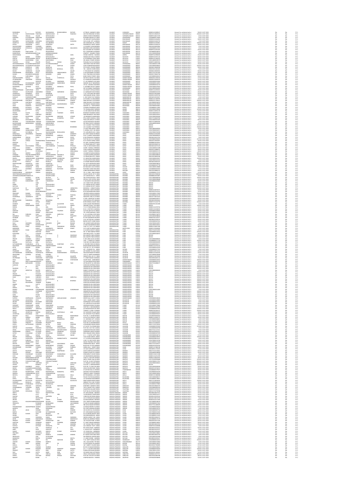| <b>SHICHASHA</b><br>ASUTOSH                                                |                                                                                                                                                                                                                                                                                                                                                                           | RATHOD                                                                                                                                                                                                                                                                                                                                                                                                                                 | SAVDASABHAI<br>MADHUSUDAN                                                                                                                                                                                                                                                                                                                                                                                                                                                              | BHAGAVANEHAI                                                                       | RATHOD<br>PANCHOLI                                                                                                                     | AT PRACHE KAMNATH INDIA<br>ASUTOSH BRAHMA SO INDIA                                                                                                                                                                                                                                                                                                                                                                                    | GUIARAT<br>GUIARAT                                                                                                                                                                                                                                                                                                                                                                     | <b>JUNAGADH</b><br>SURENDRA NAGAR        | 362268<br>363000                                                                                                                                                                                                               | INTOXICAT EXPESSIV<br>N30115123043525                                                                                                                                                                                | Amount for unclaimed and u                                                                                               | 50.00 21-OCT-2021<br>250.00 21-OCT-2021                      |  |
|----------------------------------------------------------------------------|---------------------------------------------------------------------------------------------------------------------------------------------------------------------------------------------------------------------------------------------------------------------------------------------------------------------------------------------------------------------------|----------------------------------------------------------------------------------------------------------------------------------------------------------------------------------------------------------------------------------------------------------------------------------------------------------------------------------------------------------------------------------------------------------------------------------------|----------------------------------------------------------------------------------------------------------------------------------------------------------------------------------------------------------------------------------------------------------------------------------------------------------------------------------------------------------------------------------------------------------------------------------------------------------------------------------------|------------------------------------------------------------------------------------|----------------------------------------------------------------------------------------------------------------------------------------|---------------------------------------------------------------------------------------------------------------------------------------------------------------------------------------------------------------------------------------------------------------------------------------------------------------------------------------------------------------------------------------------------------------------------------------|----------------------------------------------------------------------------------------------------------------------------------------------------------------------------------------------------------------------------------------------------------------------------------------------------------------------------------------------------------------------------------------|------------------------------------------|--------------------------------------------------------------------------------------------------------------------------------------------------------------------------------------------------------------------------------|----------------------------------------------------------------------------------------------------------------------------------------------------------------------------------------------------------------------|--------------------------------------------------------------------------------------------------------------------------|--------------------------------------------------------------|--|
| PANKAJ<br>DARSINA<br>JIGNA                                                 | S<br>MADHUSUDAN PANCHOLI<br>VRAILAL HALANI<br>PIRUSHILIMAR SANGHANI<br>NRAVIHAI DOSHI<br>HASMUKHAI SUKHADIA                                                                                                                                                                                                                                                               |                                                                                                                                                                                                                                                                                                                                                                                                                                        | NOTAVAILABLE<br>PIYUSHKUMAR<br>NISAVEHA                                                                                                                                                                                                                                                                                                                                                                                                                                                |                                                                                    | poses                                                                                                                                  | GREEN CHOWK DHRANINDM<br>USHABH NAGAR-4 PLINDIA<br>125 ARIHANT VUAYRAINDI                                                                                                                                                                                                                                                                                                                                                             | GUIARAT<br><b>GUIARA</b><br><b>GUIARA</b>                                                                                                                                                                                                                                                                                                                                              | SURENDRA NAGAR<br>AHMEDABAD<br>BHAVNAGAR | 363541<br>164000                                                                                                                                                                                                               | IN30097410017190<br>1201800000179364<br>N30045012424854                                                                                                                                                              | Amount for unclaimed and us<br>Amount for unclaimed and us<br>Amount for unclaimed and us<br>Amount for unclaimed and us | 0.50 21-OCT-2021<br>50.00 21-OCT-2021                        |  |
| RAMAGEN                                                                    | VALLABHEHAI                                                                                                                                                                                                                                                                                                                                                               |                                                                                                                                                                                                                                                                                                                                                                                                                                        | <b>HASMURHRAI</b><br>VALLAGHEMA                                                                                                                                                                                                                                                                                                                                                                                                                                                        |                                                                                    | SUKHADIA                                                                                                                               | OLD UG-646 OPP, JAININDIA<br>MU VADASADA TAL JEINDIA                                                                                                                                                                                                                                                                                                                                                                                  | GUIARAT<br><b>GUIARA</b>                                                                                                                                                                                                                                                                                                                                                               | BHAVNAGAR<br>RAIKOT                      | 164005<br>164485                                                                                                                                                                                                               | IN30045013246759<br>IN30097411555803                                                                                                                                                                                 | Amount for unclaimed and u<br>Amount for unclaimed and u                                                                 | 7.50 21-OCT-2021<br>100.00 21-OCT-2021                       |  |
| SHANTILAL<br>RITESH<br>RAJESHKUMAR                                         | VASANTRAI<br><b>HABIBENA</b>                                                                                                                                                                                                                                                                                                                                              | ROKAD<br>SHETH<br>CHUNARA                                                                                                                                                                                                                                                                                                                                                                                                              | <b>VASANTRAL</b><br>HARIBHAI                                                                                                                                                                                                                                                                                                                                                                                                                                                           |                                                                                    | SETH                                                                                                                                   | PADAMAVATI SWEET FINDM<br><b>5.3 GUIARAT HOUSINGINOIL</b>                                                                                                                                                                                                                                                                                                                                                                             | <b>GUIARA</b><br><b>GUIARA</b>                                                                                                                                                                                                                                                                                                                                                         | BHAVNAGAR<br>BHAVNAGAR                   | 164710<br>164710                                                                                                                                                                                                               | N30097411636224<br>N3010392405998                                                                                                                                                                                    | Amount for unclaimed and u<br>Amount for unclaimed and u                                                                 | 50.00 21-OCT-2021<br>2.50 21-OCT-2021                        |  |
| NAROTAMDA<br>EHARATEHAI<br>CHUDASAMA                                       | KESHAVLAL                                                                                                                                                                                                                                                                                                                                                                 | MALVANTS<br>CHAUHAN                                                                                                                                                                                                                                                                                                                                                                                                                    | KESHAVLAL<br>KARSHANDHA                                                                                                                                                                                                                                                                                                                                                                                                                                                                | GANDALAL                                                                           | MALVANIYA                                                                                                                              | <b>BEAMMIN SHEEL AVES INFIN</b><br>.<br>B/H. GOVINDJI NI CHAIINDIA<br>B/H. VADODARIYA HOIINDIA                                                                                                                                                                                                                                                                                                                                        | <b>GUIARA</b><br><b>GUIARA</b>                                                                                                                                                                                                                                                                                                                                                         | BHAVNAGAR<br>BHAVNAGAR                   | 164710<br>164710<br>164710                                                                                                                                                                                                     | 120492000014720<br>N30097411052405                                                                                                                                                                                   | Amount for unclaimed and u                                                                                               | 2.50 21-OCT-2021<br>25.00 21-OCT-2021                        |  |
| <b>BHARATEMA</b>                                                           | PRAFULABEN<br>NARMADAS                                                                                                                                                                                                                                                                                                                                                    | <b>EEPATHAK</b>                                                                                                                                                                                                                                                                                                                                                                                                                        | <b>PRAKASHEHAI</b><br>NARMADASHANKAR                                                                                                                                                                                                                                                                                                                                                                                                                                                   |                                                                                    |                                                                                                                                        | AT&POST : UGAMEDI TINDIA                                                                                                                                                                                                                                                                                                                                                                                                              | <b>GUIARA</b><br><b>GUIARA</b>                                                                                                                                                                                                                                                                                                                                                         | BHAVNAGAR<br>BHAVNAGAR                   | 164710                                                                                                                                                                                                                         | 1203380000046532<br>120112020000918                                                                                                                                                                                  | Amount for unclaimed and u<br>Amount for unclaimed and u<br>Amount for unclaimed and u                                   | 2.00 21-OCT-2021                                             |  |
| KAMLESHBHA<br><b>MAMTA</b><br>KUNTAL                                       | MANDJ                                                                                                                                                                                                                                                                                                                                                                     | VARU<br>MOREA                                                                                                                                                                                                                                                                                                                                                                                                                          | RANINGENAL<br>NOTAVAILABLE<br>SEURESHONANDRA P                                                                                                                                                                                                                                                                                                                                                                                                                                         |                                                                                    | VARU<br>MEHTA                                                                                                                          | SHYAM COMPLEX RAINDIA<br>MANGALAM VOKLA FAINDIA<br>6-D PUNJABHAI TOWE INDIA                                                                                                                                                                                                                                                                                                                                                           | <b>GUIARA</b><br><b>GUIARA</b><br><b>GUIARA</b>                                                                                                                                                                                                                                                                                                                                        | <b>AMRELI</b><br>KADICHH<br>KADICHH      | 165500<br>170001<br>170001                                                                                                                                                                                                     | N30097410788300<br>N30097410191126<br>N30097411266433                                                                                                                                                                | Amount for unclaimed and u<br>Amount for unclaimed and u<br>Amount for unclaimed and u                                   | 25.00 21-OCT-2021<br>50.00 21-OCT-2021<br>25.00 21-OCT-2021  |  |
| SHEETAL                                                                    | SRESHCHANDRA MEHTA<br><b>DIPAM</b>                                                                                                                                                                                                                                                                                                                                        | SHAH<br>PRAVIN                                                                                                                                                                                                                                                                                                                                                                                                                         | MAHESHBHAI<br>PRAVIN                                                                                                                                                                                                                                                                                                                                                                                                                                                                   | DHAND                                                                              | SHAH<br>THACKER<br>SHARCH                                                                                                              | 202 ANIAH TOWER HOINDIA<br>PODIATA FALIYA SHIVINGIL                                                                                                                                                                                                                                                                                                                                                                                   | <b>GUIARA</b><br><b>GUIARA</b>                                                                                                                                                                                                                                                                                                                                                         | KADICHH<br>KACHCHH<br>AHMEDABAD          | 370000                                                                                                                                                                                                                         | 130414000002057<br>N3009741085935                                                                                                                                                                                    | Amount for unclaimed and u                                                                                               | 50.00.21.007-2023<br>50.00 21-OCT-2021                       |  |
| THACKER<br>MOHAMMACRAFIK<br>MOHAMMKEDRAFIQ                                 | GULAMMONAMISHAIO<br>GULAMMURTUIASHAIO<br>SHANTILAL                                                                                                                                                                                                                                                                                                                        |                                                                                                                                                                                                                                                                                                                                                                                                                                        | GULAMMONAM<br><b>GULAM</b><br>SHANTILAL                                                                                                                                                                                                                                                                                                                                                                                                                                                | <b>MURTUIA</b>                                                                     | SAH                                                                                                                                    | 1658 SINDHI WAD NR (INDIA<br>JUNA KUMBHARWADAINDIA<br>STH FLOOR IS BLOCK BINDIN                                                                                                                                                                                                                                                                                                                                                       | <b>GUIARA</b><br><b>GUIARA</b><br>GUIARAT                                                                                                                                                                                                                                                                                                                                              | AHMEDABAD<br>AHMEDABAD                   | 170110<br>180001<br>180001<br>380006                                                                                                                                                                                           | 1205410000011258<br>N30246110046958                                                                                                                                                                                  | Amount for unclaimed and u<br>Amount for unclaimed and u<br>Amount for unclaimed and u                                   | 25.00 21-OCT-2021<br>250.00 21-OCT-2021<br>50.00 21-OCT-2021 |  |
| MANULAL<br>MANISH<br>NILESH<br>DHARMENDRA                                  | <b>RAMANLAL</b><br><b>JAMNADAS</b>                                                                                                                                                                                                                                                                                                                                        | SHAH<br>PATEL<br>GALIAR<br>PATEL                                                                                                                                                                                                                                                                                                                                                                                                       | <b>BAMANLA</b><br><b>JAMNADA</b>                                                                                                                                                                                                                                                                                                                                                                                                                                                       | <b>BHOGILAL</b>                                                                    | PATE<br>GAJIAR                                                                                                                         | TO4 - GANESH COMPLEINDIA<br>3 FOOLWADI SOC GORINDIA                                                                                                                                                                                                                                                                                                                                                                                   | <b>GUIARA</b><br><b>GUIARA</b>                                                                                                                                                                                                                                                                                                                                                         | AHMEDABAD<br>AHMEDABAD                   | 180021<br>180021<br>180054                                                                                                                                                                                                     | IN30223611445465<br>N303052100                                                                                                                                                                                       | Amount for unclaimed and u<br>Amount for unclaimed and u<br>Amount for unclaimed and u<br>Amount for unclaimed and u     | 3.50 21-OCT-2021<br>50.00 21-OCT-2021                        |  |
|                                                                            | <b>BHIKHABHA</b>                                                                                                                                                                                                                                                                                                                                                          |                                                                                                                                                                                                                                                                                                                                                                                                                                        | DISONABIN<br>MOHMED                                                                                                                                                                                                                                                                                                                                                                                                                                                                    | HARGOVANDAS<br>AMIN                                                                | PATEL                                                                                                                                  | A-44 SAHIANAND STATINGU                                                                                                                                                                                                                                                                                                                                                                                                               | GUIARAT                                                                                                                                                                                                                                                                                                                                                                                | AHMEDABAD                                |                                                                                                                                                                                                                                | IN 10172411152400                                                                                                                                                                                                    |                                                                                                                          | 50.00 21-OCT-2021                                            |  |
|                                                                            | MOHMEDYUS<br>SURESHINAI<br>RATILAL<br>VINOOSINH                                                                                                                                                                                                                                                                                                                           |                                                                                                                                                                                                                                                                                                                                                                                                                                        |                                                                                                                                                                                                                                                                                                                                                                                                                                                                                        | ,<br>CHANDULAI                                                                     |                                                                                                                                        |                                                                                                                                                                                                                                                                                                                                                                                                                                       |                                                                                                                                                                                                                                                                                                                                                                                        |                                          |                                                                                                                                                                                                                                |                                                                                                                                                                                                                      |                                                                                                                          |                                                              |  |
|                                                                            |                                                                                                                                                                                                                                                                                                                                                                           | FATEL<br>FATEL<br>SEGDIYA<br>MASANI PATEL<br>FATEL<br>GABHARP<br>GABHARP<br>PATEL<br>PATEL<br>PATEL                                                                                                                                                                                                                                                                                                                                    |                                                                                                                                                                                                                                                                                                                                                                                                                                                                                        | AMARSANG<br>GANESHIRA                                                              | FAILL<br>SHARH<br>PATEL<br>SISOONF<br>MASANI                                                                                           |                                                                                                                                                                                                                                                                                                                                                                                                                                       |                                                                                                                                                                                                                                                                                                                                                                                        |                                          |                                                                                                                                                                                                                                |                                                                                                                                                                                                                      |                                                                                                                          |                                                              |  |
|                                                                            | <b>BHICHABHA</b><br>JOITRAM                                                                                                                                                                                                                                                                                                                                               |                                                                                                                                                                                                                                                                                                                                                                                                                                        |                                                                                                                                                                                                                                                                                                                                                                                                                                                                                        | MANAGAL                                                                            | PATEL                                                                                                                                  |                                                                                                                                                                                                                                                                                                                                                                                                                                       |                                                                                                                                                                                                                                                                                                                                                                                        |                                          |                                                                                                                                                                                                                                |                                                                                                                                                                                                                      |                                                                                                                          |                                                              |  |
|                                                                            |                                                                                                                                                                                                                                                                                                                                                                           |                                                                                                                                                                                                                                                                                                                                                                                                                                        |                                                                                                                                                                                                                                                                                                                                                                                                                                                                                        |                                                                                    |                                                                                                                                        |                                                                                                                                                                                                                                                                                                                                                                                                                                       |                                                                                                                                                                                                                                                                                                                                                                                        |                                          |                                                                                                                                                                                                                                |                                                                                                                                                                                                                      |                                                                                                                          |                                                              |  |
|                                                                            | --<br>GANPATRAM<br>DILIPKUMAR<br>SALDEVIRKA<br>DIARMERIKKA                                                                                                                                                                                                                                                                                                                |                                                                                                                                                                                                                                                                                                                                                                                                                                        |                                                                                                                                                                                                                                                                                                                                                                                                                                                                                        | GABHABHA                                                                           |                                                                                                                                        |                                                                                                                                                                                                                                                                                                                                                                                                                                       |                                                                                                                                                                                                                                                                                                                                                                                        |                                          |                                                                                                                                                                                                                                |                                                                                                                                                                                                                      |                                                                                                                          |                                                              |  |
|                                                                            |                                                                                                                                                                                                                                                                                                                                                                           |                                                                                                                                                                                                                                                                                                                                                                                                                                        |                                                                                                                                                                                                                                                                                                                                                                                                                                                                                        | VIPULKUMAR<br>KUMUDCHAN<br>DEVSHANKAR                                              |                                                                                                                                        |                                                                                                                                                                                                                                                                                                                                                                                                                                       |                                                                                                                                                                                                                                                                                                                                                                                        |                                          |                                                                                                                                                                                                                                |                                                                                                                                                                                                                      |                                                                                                                          |                                                              |  |
|                                                                            |                                                                                                                                                                                                                                                                                                                                                                           |                                                                                                                                                                                                                                                                                                                                                                                                                                        | RATILAL<br>RATILAL<br>KHUMANSA<br>KHUMANSA<br>EHIDHAIBHA<br>CANPATRA<br>GANPATRA<br>SUMANTA<br>SUMANTA<br>SUMANTA<br>SUMANTA<br>SUMANTA<br>SUMANTA<br>SUMANTA<br>SUMANTA<br>SUMANTA<br>SUMANTA                                                                                                                                                                                                                                                                                         |                                                                                    | JOSHI<br>SOMABHA<br>PATEL<br>SHANTILAL<br>DAHYALAL<br>PANDYA<br>PANDYA<br>PANDYA                                                       |                                                                                                                                                                                                                                                                                                                                                                                                                                       |                                                                                                                                                                                                                                                                                                                                                                                        |                                          |                                                                                                                                                                                                                                |                                                                                                                                                                                                                      |                                                                                                                          |                                                              |  |
|                                                                            | DHARMISHTH<br>AMULKUMAR<br>KANTIBHAI<br>KANTIBHAI<br>KALPANA<br>DAWOOD<br>RATANLAL<br>RAQIBHAI<br>N                                                                                                                                                                                                                                                                       |                                                                                                                                                                                                                                                                                                                                                                                                                                        |                                                                                                                                                                                                                                                                                                                                                                                                                                                                                        | MAHENDRADI                                                                         | SHAH                                                                                                                                   |                                                                                                                                                                                                                                                                                                                                                                                                                                       |                                                                                                                                                                                                                                                                                                                                                                                        |                                          |                                                                                                                                                                                                                                |                                                                                                                                                                                                                      |                                                                                                                          |                                                              |  |
|                                                                            |                                                                                                                                                                                                                                                                                                                                                                           |                                                                                                                                                                                                                                                                                                                                                                                                                                        |                                                                                                                                                                                                                                                                                                                                                                                                                                                                                        |                                                                                    | PATEL<br>MORE                                                                                                                          |                                                                                                                                                                                                                                                                                                                                                                                                                                       |                                                                                                                                                                                                                                                                                                                                                                                        |                                          |                                                                                                                                                                                                                                |                                                                                                                                                                                                                      |                                                                                                                          |                                                              |  |
|                                                                            |                                                                                                                                                                                                                                                                                                                                                                           |                                                                                                                                                                                                                                                                                                                                                                                                                                        |                                                                                                                                                                                                                                                                                                                                                                                                                                                                                        | a<br>TUKARAM                                                                       |                                                                                                                                        |                                                                                                                                                                                                                                                                                                                                                                                                                                       |                                                                                                                                                                                                                                                                                                                                                                                        |                                          |                                                                                                                                                                                                                                |                                                                                                                                                                                                                      |                                                                                                                          |                                                              |  |
|                                                                            |                                                                                                                                                                                                                                                                                                                                                                           |                                                                                                                                                                                                                                                                                                                                                                                                                                        |                                                                                                                                                                                                                                                                                                                                                                                                                                                                                        | NARAYAN<br>KUMARPAL                                                                | UTEKAR<br>SHAH                                                                                                                         |                                                                                                                                                                                                                                                                                                                                                                                                                                       |                                                                                                                                                                                                                                                                                                                                                                                        |                                          |                                                                                                                                                                                                                                |                                                                                                                                                                                                                      |                                                                                                                          |                                                              |  |
|                                                                            | V<br>Suiata<br>Balkrishna<br>Naukrishna<br>Mohanibhai<br>Tusharkumai<br>Narshihibhai                                                                                                                                                                                                                                                                                      | KUMUDCH<br>PANDYA<br>RUPAMKU<br>RUPAMKU<br>NADOUYA<br>SHAH<br>CHAWA<br>SHAH<br>RUPAME<br>THAKKAR<br>PHAMAR<br>THAKKAR<br>THAKKAR<br>PHAMO                                                                                                                                                                                                                                                                                              |                                                                                                                                                                                                                                                                                                                                                                                                                                                                                        | <b>JAYANTILA</b>                                                                   | THAIXAI                                                                                                                                |                                                                                                                                                                                                                                                                                                                                                                                                                                       |                                                                                                                                                                                                                                                                                                                                                                                        |                                          |                                                                                                                                                                                                                                |                                                                                                                                                                                                                      |                                                                                                                          |                                                              |  |
|                                                                            |                                                                                                                                                                                                                                                                                                                                                                           | DHANE<br>AMELE<br>PATEL                                                                                                                                                                                                                                                                                                                                                                                                                |                                                                                                                                                                                                                                                                                                                                                                                                                                                                                        |                                                                                    | <b>DHAMBA</b>                                                                                                                          |                                                                                                                                                                                                                                                                                                                                                                                                                                       |                                                                                                                                                                                                                                                                                                                                                                                        |                                          |                                                                                                                                                                                                                                |                                                                                                                                                                                                                      |                                                                                                                          |                                                              |  |
|                                                                            | AFRID<br>AMBALALBHAI<br>KEYURBHAI<br>ARAIANBHAI                                                                                                                                                                                                                                                                                                                           |                                                                                                                                                                                                                                                                                                                                                                                                                                        | H<br>AMBALALBHAI<br>AMBALALBHAI<br>ARAJANBHAI<br>SHANKARLAL<br>VRAILAL<br>V                                                                                                                                                                                                                                                                                                                                                                                                            |                                                                                    |                                                                                                                                        |                                                                                                                                                                                                                                                                                                                                                                                                                                       |                                                                                                                                                                                                                                                                                                                                                                                        |                                          |                                                                                                                                                                                                                                |                                                                                                                                                                                                                      |                                                                                                                          |                                                              |  |
|                                                                            |                                                                                                                                                                                                                                                                                                                                                                           | N<br>DOBARIYA<br>PANCHAL<br>POPAT                                                                                                                                                                                                                                                                                                                                                                                                      |                                                                                                                                                                                                                                                                                                                                                                                                                                                                                        | AMBALAL<br>JIVANEHA<br>H                                                           |                                                                                                                                        |                                                                                                                                                                                                                                                                                                                                                                                                                                       |                                                                                                                                                                                                                                                                                                                                                                                        |                                          |                                                                                                                                                                                                                                |                                                                                                                                                                                                                      |                                                                                                                          |                                                              |  |
|                                                                            | S<br>VRAJLAL<br>BHARAT<br>CHIRAG                                                                                                                                                                                                                                                                                                                                          |                                                                                                                                                                                                                                                                                                                                                                                                                                        | <b>APSITE</b>                                                                                                                                                                                                                                                                                                                                                                                                                                                                          |                                                                                    |                                                                                                                                        |                                                                                                                                                                                                                                                                                                                                                                                                                                       |                                                                                                                                                                                                                                                                                                                                                                                        |                                          |                                                                                                                                                                                                                                |                                                                                                                                                                                                                      |                                                                                                                          |                                                              |  |
|                                                                            |                                                                                                                                                                                                                                                                                                                                                                           |                                                                                                                                                                                                                                                                                                                                                                                                                                        | DINNISUMTERIN<br>POPATLAL<br>MULCHANDOAS<br>MULCHANDOAS                                                                                                                                                                                                                                                                                                                                                                                                                                | $\overline{\mathbf{a}}$                                                            |                                                                                                                                        |                                                                                                                                                                                                                                                                                                                                                                                                                                       |                                                                                                                                                                                                                                                                                                                                                                                        |                                          |                                                                                                                                                                                                                                |                                                                                                                                                                                                                      |                                                                                                                          |                                                              |  |
|                                                                            | <br>Muldhand<br>Sunderlal                                                                                                                                                                                                                                                                                                                                                 |                                                                                                                                                                                                                                                                                                                                                                                                                                        | .<br>UNDERLAL                                                                                                                                                                                                                                                                                                                                                                                                                                                                          |                                                                                    | DARH<br>PANCHAL<br>PANCHAL<br>MISTRY<br>MISTRY<br>PANAH<br>CALLEDAR<br>PANAHAR<br>PANAHAR<br>PANAHAR<br>PANAHAR<br>PANAHAR<br>SPROFF   |                                                                                                                                                                                                                                                                                                                                                                                                                                       |                                                                                                                                                                                                                                                                                                                                                                                        |                                          |                                                                                                                                                                                                                                |                                                                                                                                                                                                                      |                                                                                                                          |                                                              |  |
|                                                                            |                                                                                                                                                                                                                                                                                                                                                                           | DHANSU<br>TALIA<br>SHAH<br>PIPWALA<br>PENGHIWA<br>PECHIWA<br>SHEOFF<br>SHEOFF<br>SHEOFF<br>SHEOFF<br>SHEOFF                                                                                                                                                                                                                                                                                                                            |                                                                                                                                                                                                                                                                                                                                                                                                                                                                                        |                                                                                    |                                                                                                                                        |                                                                                                                                                                                                                                                                                                                                                                                                                                       |                                                                                                                                                                                                                                                                                                                                                                                        |                                          |                                                                                                                                                                                                                                |                                                                                                                                                                                                                      |                                                                                                                          |                                                              |  |
|                                                                            |                                                                                                                                                                                                                                                                                                                                                                           |                                                                                                                                                                                                                                                                                                                                                                                                                                        |                                                                                                                                                                                                                                                                                                                                                                                                                                                                                        | F<br>MOHANLAL<br>CHHABILDA                                                         |                                                                                                                                        |                                                                                                                                                                                                                                                                                                                                                                                                                                       |                                                                                                                                                                                                                                                                                                                                                                                        |                                          |                                                                                                                                                                                                                                |                                                                                                                                                                                                                      |                                                                                                                          |                                                              |  |
|                                                                            |                                                                                                                                                                                                                                                                                                                                                                           |                                                                                                                                                                                                                                                                                                                                                                                                                                        |                                                                                                                                                                                                                                                                                                                                                                                                                                                                                        | CHHABILE<br>RAVJERNA<br>HIRALAL                                                    | SHAH<br>TAMAKL<br>PATEL<br>SHAH                                                                                                        |                                                                                                                                                                                                                                                                                                                                                                                                                                       |                                                                                                                                                                                                                                                                                                                                                                                        |                                          |                                                                                                                                                                                                                                |                                                                                                                                                                                                                      |                                                                                                                          |                                                              |  |
|                                                                            | 1<br>FRAMESH<br>FRAMMONIAL<br>JIGRESHEUM<br>JASREIAL<br>MASREIAL<br>MASREIAL<br>MASREIAL<br>MASREIAL<br>MANAREIAL<br>MANAREIAL<br>MANAREIAL<br>MANAREIAL                                                                                                                                                                                                                  | WANKAWA<br>PATEL<br>SHAH<br>SHAH<br>SHAH<br>DESAI<br>GANDHI<br>PAREKH<br>PAREKH                                                                                                                                                                                                                                                                                                                                                        |                                                                                                                                                                                                                                                                                                                                                                                                                                                                                        |                                                                                    |                                                                                                                                        | $\begin{aligned} &\frac{1}{2\sqrt{3}}\frac{1}{2}\left(\frac{1}{2}\log\frac{3}{2}\log\frac{3}{2}\log\frac{3}{2}\log\frac{3}{2}\log\frac{3}{2}\log\frac{3}{2}\log\frac{3}{2}\log\frac{3}{2}\log\frac{3}{2}\log\frac{3}{2}\log\frac{3}{2}\log\frac{3}{2}\log\frac{3}{2}\log\frac{3}{2}\log\frac{3}{2}\log\frac{3}{2}\log\frac{3}{2}\log\frac{3}{2}\log\frac{3}{2}\log\frac{3}{2}\log\frac{3}{2}\log\frac{3}{2}\log\frac{3}{2}\log\frac{$ |                                                                                                                                                                                                                                                                                                                                                                                        |                                          |                                                                                                                                                                                                                                |                                                                                                                                                                                                                      |                                                                                                                          |                                                              |  |
|                                                                            |                                                                                                                                                                                                                                                                                                                                                                           |                                                                                                                                                                                                                                                                                                                                                                                                                                        | VASANTLAI<br>HAMANGAL<br>MAMANGAL<br>MATZEAN<br>MAGANLAL<br>MATAPULCABLE<br>KALPESH<br>EMAGWATI<br>EMAGWATI<br>MAGWATI<br>MAGWATI                                                                                                                                                                                                                                                                                                                                                      | -<br>GOPALII<br>RUSTOMII                                                           | SHAH<br>DESAI<br>GANDHI<br>PAREKH                                                                                                      |                                                                                                                                                                                                                                                                                                                                                                                                                                       |                                                                                                                                                                                                                                                                                                                                                                                        |                                          |                                                                                                                                                                                                                                |                                                                                                                                                                                                                      |                                                                                                                          |                                                              |  |
|                                                                            | K<br>MAGANLAL<br>ISPVTLTD<br>IFINANCELTD                                                                                                                                                                                                                                                                                                                                  |                                                                                                                                                                                                                                                                                                                                                                                                                                        |                                                                                                                                                                                                                                                                                                                                                                                                                                                                                        |                                                                                    |                                                                                                                                        |                                                                                                                                                                                                                                                                                                                                                                                                                                       |                                                                                                                                                                                                                                                                                                                                                                                        |                                          |                                                                                                                                                                                                                                |                                                                                                                                                                                                                      |                                                                                                                          |                                                              |  |
|                                                                            | KALPESH<br>CHANDRA<br>KARANSIN                                                                                                                                                                                                                                                                                                                                            |                                                                                                                                                                                                                                                                                                                                                                                                                                        |                                                                                                                                                                                                                                                                                                                                                                                                                                                                                        |                                                                                    |                                                                                                                                        |                                                                                                                                                                                                                                                                                                                                                                                                                                       |                                                                                                                                                                                                                                                                                                                                                                                        |                                          |                                                                                                                                                                                                                                |                                                                                                                                                                                                                      |                                                                                                                          |                                                              |  |
|                                                                            |                                                                                                                                                                                                                                                                                                                                                                           |                                                                                                                                                                                                                                                                                                                                                                                                                                        |                                                                                                                                                                                                                                                                                                                                                                                                                                                                                        | òв                                                                                 | SATRA<br>TIWARI<br>DAS<br>VAKIL                                                                                                        |                                                                                                                                                                                                                                                                                                                                                                                                                                       |                                                                                                                                                                                                                                                                                                                                                                                        |                                          |                                                                                                                                                                                                                                |                                                                                                                                                                                                                      |                                                                                                                          |                                                              |  |
|                                                                            |                                                                                                                                                                                                                                                                                                                                                                           |                                                                                                                                                                                                                                                                                                                                                                                                                                        | N<br>NOTAVALABLE<br>NOTAVALABLE<br>M                                                                                                                                                                                                                                                                                                                                                                                                                                                   |                                                                                    |                                                                                                                                        |                                                                                                                                                                                                                                                                                                                                                                                                                                       |                                                                                                                                                                                                                                                                                                                                                                                        |                                          |                                                                                                                                                                                                                                |                                                                                                                                                                                                                      |                                                                                                                          |                                                              |  |
|                                                                            | $\mathbf{M}$<br>DILIP                                                                                                                                                                                                                                                                                                                                                     |                                                                                                                                                                                                                                                                                                                                                                                                                                        | .<br>Asupeo                                                                                                                                                                                                                                                                                                                                                                                                                                                                            |                                                                                    | IMMACHIN<br>SANKORE<br>GOPPNATH                                                                                                        |                                                                                                                                                                                                                                                                                                                                                                                                                                       |                                                                                                                                                                                                                                                                                                                                                                                        |                                          |                                                                                                                                                                                                                                |                                                                                                                                                                                                                      |                                                                                                                          |                                                              |  |
|                                                                            | RAMAN<br>DALSURH<br>JAGANNA                                                                                                                                                                                                                                                                                                                                               |                                                                                                                                                                                                                                                                                                                                                                                                                                        | N<br>DALSUKH<br>JAGANNATH                                                                                                                                                                                                                                                                                                                                                                                                                                                              |                                                                                    |                                                                                                                                        |                                                                                                                                                                                                                                                                                                                                                                                                                                       |                                                                                                                                                                                                                                                                                                                                                                                        |                                          |                                                                                                                                                                                                                                |                                                                                                                                                                                                                      |                                                                                                                          |                                                              |  |
|                                                                            |                                                                                                                                                                                                                                                                                                                                                                           |                                                                                                                                                                                                                                                                                                                                                                                                                                        |                                                                                                                                                                                                                                                                                                                                                                                                                                                                                        | ء<br>∞                                                                             | PANCHAL<br>JANI<br>PANCHAL<br>SHAH                                                                                                     |                                                                                                                                                                                                                                                                                                                                                                                                                                       |                                                                                                                                                                                                                                                                                                                                                                                        |                                          |                                                                                                                                                                                                                                |                                                                                                                                                                                                                      |                                                                                                                          |                                                              |  |
|                                                                            | SARADBHA                                                                                                                                                                                                                                                                                                                                                                  |                                                                                                                                                                                                                                                                                                                                                                                                                                        | .<br>Sanansara<br>HEMRAI<br>AKRAM                                                                                                                                                                                                                                                                                                                                                                                                                                                      |                                                                                    |                                                                                                                                        |                                                                                                                                                                                                                                                                                                                                                                                                                                       |                                                                                                                                                                                                                                                                                                                                                                                        |                                          |                                                                                                                                                                                                                                |                                                                                                                                                                                                                      |                                                                                                                          |                                                              |  |
|                                                                            | AKRAM<br>RAMCHAN                                                                                                                                                                                                                                                                                                                                                          |                                                                                                                                                                                                                                                                                                                                                                                                                                        |                                                                                                                                                                                                                                                                                                                                                                                                                                                                                        | <b>ALLAUDOR</b><br>ALLAMAWADI                                                      | PATEL                                                                                                                                  |                                                                                                                                                                                                                                                                                                                                                                                                                                       |                                                                                                                                                                                                                                                                                                                                                                                        |                                          |                                                                                                                                                                                                                                |                                                                                                                                                                                                                      |                                                                                                                          |                                                              |  |
|                                                                            |                                                                                                                                                                                                                                                                                                                                                                           |                                                                                                                                                                                                                                                                                                                                                                                                                                        |                                                                                                                                                                                                                                                                                                                                                                                                                                                                                        | TOLARAM                                                                            |                                                                                                                                        |                                                                                                                                                                                                                                                                                                                                                                                                                                       |                                                                                                                                                                                                                                                                                                                                                                                        |                                          |                                                                                                                                                                                                                                |                                                                                                                                                                                                                      |                                                                                                                          |                                                              |  |
|                                                                            | SUBHASH<br>PURAS                                                                                                                                                                                                                                                                                                                                                          |                                                                                                                                                                                                                                                                                                                                                                                                                                        |                                                                                                                                                                                                                                                                                                                                                                                                                                                                                        | AMRUTLA                                                                            |                                                                                                                                        |                                                                                                                                                                                                                                                                                                                                                                                                                                       |                                                                                                                                                                                                                                                                                                                                                                                        |                                          |                                                                                                                                                                                                                                |                                                                                                                                                                                                                      |                                                                                                                          |                                                              |  |
|                                                                            |                                                                                                                                                                                                                                                                                                                                                                           | $\begin{tabular}{l c c c} \hline \textbf{SFR} & \textbf{N} & \textbf{N} & \textbf{N} \\ \hline \textbf{SFR} & \textbf{N} & \textbf{N} & \textbf{N} & \textbf{N} \\ \hline \textbf{SFR} & \textbf{N} & \textbf{N} & \textbf{N} & \textbf{N} & \textbf{N} \\ \hline \textbf{SFR} & \textbf{N} & \textbf{N} & \textbf{N} & \textbf{N} & \textbf{N} & \textbf{N} \\ \hline \textbf{SFR} & \textbf{N} & \textbf{N} & \textbf{N} & \textbf{$ | R<br>ANE<br>ALEXANDRE<br>BADRI<br>ANEUXUMAR<br>SUBHASH<br>DEVENAI<br>DEVENAI<br>DEVENAI<br>DEVENAI                                                                                                                                                                                                                                                                                                                                                                                     |                                                                                    | GARGH<br>IAL<br>DSILVA<br>MANATOLA<br>SANATOSAI<br>DSIAI<br>DSIAI<br>NATATOLA<br>MANAT<br>MANAT<br>MANATOS<br>KAMAT<br>KAMAT           |                                                                                                                                                                                                                                                                                                                                                                                                                                       |                                                                                                                                                                                                                                                                                                                                                                                        |                                          |                                                                                                                                                                                                                                | 120109000174679<br>1201120010120503<br>IN20047641112077<br>IN2010311010167<br>120145000026724<br>1204470001418762<br>IN20051114647116<br>IN20051114647116<br>IN20051114647116<br>IN20051114647116<br>IN2005111224886 |                                                                                                                          |                                                              |  |
|                                                                            | ,<br>Mahadey<br>Dhiraj<br>Piraji                                                                                                                                                                                                                                                                                                                                          |                                                                                                                                                                                                                                                                                                                                                                                                                                        | HADE                                                                                                                                                                                                                                                                                                                                                                                                                                                                                   | BABU                                                                               |                                                                                                                                        |                                                                                                                                                                                                                                                                                                                                                                                                                                       |                                                                                                                                                                                                                                                                                                                                                                                        |                                          |                                                                                                                                                                                                                                |                                                                                                                                                                                                                      |                                                                                                                          |                                                              |  |
|                                                                            |                                                                                                                                                                                                                                                                                                                                                                           |                                                                                                                                                                                                                                                                                                                                                                                                                                        | R<br>PIRAII<br>JAGANNATH<br>NAIESH<br>CHUTHMAL<br>-                                                                                                                                                                                                                                                                                                                                                                                                                                    | R<br>GANGARAN<br>NARAYAN                                                           |                                                                                                                                        |                                                                                                                                                                                                                                                                                                                                                                                                                                       |                                                                                                                                                                                                                                                                                                                                                                                        |                                          |                                                                                                                                                                                                                                |                                                                                                                                                                                                                      |                                                                                                                          |                                                              |  |
|                                                                            | SHAM                                                                                                                                                                                                                                                                                                                                                                      |                                                                                                                                                                                                                                                                                                                                                                                                                                        |                                                                                                                                                                                                                                                                                                                                                                                                                                                                                        |                                                                                    | MALPANI                                                                                                                                |                                                                                                                                                                                                                                                                                                                                                                                                                                       |                                                                                                                                                                                                                                                                                                                                                                                        |                                          |                                                                                                                                                                                                                                |                                                                                                                                                                                                                      |                                                                                                                          |                                                              |  |
|                                                                            | L<br>DEEPAK<br>DHAMRAI<br>JAYANTILAL<br>DAHYALAL<br>SHAMKARLAL<br>SHAMKARLAL<br>HARISHCHAN                                                                                                                                                                                                                                                                                |                                                                                                                                                                                                                                                                                                                                                                                                                                        | .<br>DHANRAJ                                                                                                                                                                                                                                                                                                                                                                                                                                                                           |                                                                                    | nasonar<br>MAHADEO                                                                                                                     |                                                                                                                                                                                                                                                                                                                                                                                                                                       |                                                                                                                                                                                                                                                                                                                                                                                        |                                          |                                                                                                                                                                                                                                |                                                                                                                                                                                                                      |                                                                                                                          |                                                              |  |
|                                                                            |                                                                                                                                                                                                                                                                                                                                                                           |                                                                                                                                                                                                                                                                                                                                                                                                                                        |                                                                                                                                                                                                                                                                                                                                                                                                                                                                                        |                                                                                    |                                                                                                                                        |                                                                                                                                                                                                                                                                                                                                                                                                                                       |                                                                                                                                                                                                                                                                                                                                                                                        |                                          |                                                                                                                                                                                                                                |                                                                                                                                                                                                                      |                                                                                                                          |                                                              |  |
|                                                                            |                                                                                                                                                                                                                                                                                                                                                                           |                                                                                                                                                                                                                                                                                                                                                                                                                                        |                                                                                                                                                                                                                                                                                                                                                                                                                                                                                        | <b>SURATEAN</b><br>MOHA                                                            | ATTAL                                                                                                                                  |                                                                                                                                                                                                                                                                                                                                                                                                                                       |                                                                                                                                                                                                                                                                                                                                                                                        |                                          |                                                                                                                                                                                                                                |                                                                                                                                                                                                                      |                                                                                                                          |                                                              |  |
|                                                                            |                                                                                                                                                                                                                                                                                                                                                                           |                                                                                                                                                                                                                                                                                                                                                                                                                                        |                                                                                                                                                                                                                                                                                                                                                                                                                                                                                        | BHAGA<br>SHUBHA                                                                    | ARORA<br><b>JADHAV</b><br>PHOPHALIYA                                                                                                   |                                                                                                                                                                                                                                                                                                                                                                                                                                       |                                                                                                                                                                                                                                                                                                                                                                                        |                                          |                                                                                                                                                                                                                                |                                                                                                                                                                                                                      |                                                                                                                          |                                                              |  |
|                                                                            | HARISHCH<br>MADAN<br>VILAS<br>SHALAKA<br>FUKHRAJ<br>PUKHRAJ<br>-                                                                                                                                                                                                                                                                                                          | AGARWAL<br>KALE<br>KALE<br>FAIENDRALI<br>FIOPHALI<br>KOCHAR<br>SINGHANI                                                                                                                                                                                                                                                                                                                                                                |                                                                                                                                                                                                                                                                                                                                                                                                                                                                                        | $_{\rm M}$                                                                         |                                                                                                                                        |                                                                                                                                                                                                                                                                                                                                                                                                                                       |                                                                                                                                                                                                                                                                                                                                                                                        |                                          |                                                                                                                                                                                                                                |                                                                                                                                                                                                                      |                                                                                                                          |                                                              |  |
|                                                                            |                                                                                                                                                                                                                                                                                                                                                                           |                                                                                                                                                                                                                                                                                                                                                                                                                                        | $\begin{tabular}{l c c} \hline \multicolumn{2}{l}{MINISTAL} \multicolumn{2}{l}{MINISTAL} \multicolumn{2}{l}{MINISTAL} \multicolumn{2}{l}{MINISTAL} \multicolumn{2}{l}{MINISTAL} \multicolumn{2}{l}{MINISTAL} \multicolumn{2}{l}{MINISTAL} \multicolumn{2}{l}{MINISTAL} \multicolumn{2}{l}{MINISTAL} \multicolumn{2}{l}{MINISTAL} \multicolumn{2}{l}{MINISTAL} \multicolumn{2}{l}{MINISTAL} \multicolumn{2}{l}{MINISTAL} \multicolumn{2}{l}{MINISTAL} \multicolumn{2}{l}{$              | VILASRAD                                                                           | KALANTRI<br>SINGHANU<br>CHINTAMAN                                                                                                      | 6. KORON PARTICULAR AND CONTROL AND CONTROL AND CONTROL AND CONSUMER AND CONSUMER AND CONSUMER AND CONSUMER AND CONSUMER AN ANN CONSUMER AND ASSAULT CONSUMER AND CONSUMER AN ARCHITECT AND CONSUMER AN ARCHITECT CONSUMER AN                                                                                                                                                                                                         | $\begin{array}{l} \underline{\textbf{0.55}}\textbf{0.54}\textbf{0.54}\textbf{0.54}\textbf{0.54}\textbf{0.54}\textbf{0.54}\textbf{0.54}\textbf{0.54}\textbf{0.54}\textbf{0.54}\textbf{0.54}\textbf{0.54}\textbf{0.54}\textbf{0.54}\textbf{0.54}\textbf{0.54}\textbf{0.54}\textbf{0.54}\textbf{0.54}\textbf{0.54}\textbf{0.54}\textbf{0.54}\textbf{0.54}\textbf{0.54}\textbf{0.54}\text$ |                                          |                                                                                                                                                                                                                                |                                                                                                                                                                                                                      |                                                                                                                          |                                                              |  |
|                                                                            | -<br>MRUTYUNA<br>BAPUSAHEB                                                                                                                                                                                                                                                                                                                                                | SINGHAN<br>CHINTAN<br>NAGAIAN<br>KHODAL<br>DAYMA<br>KOLI                                                                                                                                                                                                                                                                                                                                                                               |                                                                                                                                                                                                                                                                                                                                                                                                                                                                                        | LIMBAR                                                                             | TAKE                                                                                                                                   |                                                                                                                                                                                                                                                                                                                                                                                                                                       |                                                                                                                                                                                                                                                                                                                                                                                        |                                          |                                                                                                                                                                                                                                |                                                                                                                                                                                                                      |                                                                                                                          |                                                              |  |
|                                                                            | $\mathbf{M}$                                                                                                                                                                                                                                                                                                                                                              |                                                                                                                                                                                                                                                                                                                                                                                                                                        |                                                                                                                                                                                                                                                                                                                                                                                                                                                                                        |                                                                                    |                                                                                                                                        |                                                                                                                                                                                                                                                                                                                                                                                                                                       |                                                                                                                                                                                                                                                                                                                                                                                        |                                          |                                                                                                                                                                                                                                |                                                                                                                                                                                                                      |                                                                                                                          |                                                              |  |
| T<br>RAJARAN<br>ASHISH<br>VINAY<br>PRAVIN<br>VISHMAN<br>VISHMAN<br>SHAH    |                                                                                                                                                                                                                                                                                                                                                                           |                                                                                                                                                                                                                                                                                                                                                                                                                                        |                                                                                                                                                                                                                                                                                                                                                                                                                                                                                        |                                                                                    |                                                                                                                                        |                                                                                                                                                                                                                                                                                                                                                                                                                                       |                                                                                                                                                                                                                                                                                                                                                                                        |                                          |                                                                                                                                                                                                                                |                                                                                                                                                                                                                      |                                                                                                                          |                                                              |  |
|                                                                            |                                                                                                                                                                                                                                                                                                                                                                           |                                                                                                                                                                                                                                                                                                                                                                                                                                        |                                                                                                                                                                                                                                                                                                                                                                                                                                                                                        | SUBHASH                                                                            | AMRUTLAL                                                                                                                               |                                                                                                                                                                                                                                                                                                                                                                                                                                       |                                                                                                                                                                                                                                                                                                                                                                                        |                                          |                                                                                                                                                                                                                                |                                                                                                                                                                                                                      |                                                                                                                          |                                                              |  |
|                                                                            |                                                                                                                                                                                                                                                                                                                                                                           |                                                                                                                                                                                                                                                                                                                                                                                                                                        |                                                                                                                                                                                                                                                                                                                                                                                                                                                                                        |                                                                                    | IHMRAC                                                                                                                                 |                                                                                                                                                                                                                                                                                                                                                                                                                                       |                                                                                                                                                                                                                                                                                                                                                                                        |                                          |                                                                                                                                                                                                                                |                                                                                                                                                                                                                      |                                                                                                                          |                                                              |  |
| <b>B</b><br>SAPKAL<br>PATIL<br>ANAND<br>HARI<br>DINESH<br>BHARAT<br>BHARAT |                                                                                                                                                                                                                                                                                                                                                                           |                                                                                                                                                                                                                                                                                                                                                                                                                                        |                                                                                                                                                                                                                                                                                                                                                                                                                                                                                        |                                                                                    |                                                                                                                                        |                                                                                                                                                                                                                                                                                                                                                                                                                                       |                                                                                                                                                                                                                                                                                                                                                                                        |                                          |                                                                                                                                                                                                                                |                                                                                                                                                                                                                      |                                                                                                                          |                                                              |  |
|                                                                            |                                                                                                                                                                                                                                                                                                                                                                           |                                                                                                                                                                                                                                                                                                                                                                                                                                        |                                                                                                                                                                                                                                                                                                                                                                                                                                                                                        | <b>FATTURAM</b>                                                                    | SUWARNAKAR                                                                                                                             |                                                                                                                                                                                                                                                                                                                                                                                                                                       |                                                                                                                                                                                                                                                                                                                                                                                        |                                          |                                                                                                                                                                                                                                |                                                                                                                                                                                                                      |                                                                                                                          |                                                              |  |
|                                                                            |                                                                                                                                                                                                                                                                                                                                                                           |                                                                                                                                                                                                                                                                                                                                                                                                                                        |                                                                                                                                                                                                                                                                                                                                                                                                                                                                                        |                                                                                    |                                                                                                                                        |                                                                                                                                                                                                                                                                                                                                                                                                                                       |                                                                                                                                                                                                                                                                                                                                                                                        |                                          |                                                                                                                                                                                                                                |                                                                                                                                                                                                                      |                                                                                                                          |                                                              |  |
|                                                                            |                                                                                                                                                                                                                                                                                                                                                                           |                                                                                                                                                                                                                                                                                                                                                                                                                                        | NOTAVALARILE<br>TRANSA NOTAVALARILE<br>NOTAVALARILE<br>NOTAVALARILE<br>NOTAVALARILE<br>NOTAVALARILE<br>NOTAVALARILE<br>NOTAVALARILE<br>NOTAVALARILE<br>NANDIDISA<br>NANDIDISARI<br>NANDIDISARI<br>NANDIDISARI<br>NANDIDISARI<br>NANDIDISARI<br>NANDIDISARI<br>NANDIDISARI<br>NAND                                                                                                                                                                                                      | AMOLAKCHAND                                                                        | UPADent                                                                                                                                |                                                                                                                                                                                                                                                                                                                                                                                                                                       |                                                                                                                                                                                                                                                                                                                                                                                        |                                          |                                                                                                                                                                                                                                |                                                                                                                                                                                                                      |                                                                                                                          |                                                              |  |
|                                                                            |                                                                                                                                                                                                                                                                                                                                                                           |                                                                                                                                                                                                                                                                                                                                                                                                                                        |                                                                                                                                                                                                                                                                                                                                                                                                                                                                                        |                                                                                    |                                                                                                                                        |                                                                                                                                                                                                                                                                                                                                                                                                                                       |                                                                                                                                                                                                                                                                                                                                                                                        |                                          |                                                                                                                                                                                                                                |                                                                                                                                                                                                                      |                                                                                                                          |                                                              |  |
|                                                                            |                                                                                                                                                                                                                                                                                                                                                                           |                                                                                                                                                                                                                                                                                                                                                                                                                                        |                                                                                                                                                                                                                                                                                                                                                                                                                                                                                        |                                                                                    |                                                                                                                                        |                                                                                                                                                                                                                                                                                                                                                                                                                                       |                                                                                                                                                                                                                                                                                                                                                                                        |                                          |                                                                                                                                                                                                                                |                                                                                                                                                                                                                      |                                                                                                                          |                                                              |  |
|                                                                            |                                                                                                                                                                                                                                                                                                                                                                           |                                                                                                                                                                                                                                                                                                                                                                                                                                        |                                                                                                                                                                                                                                                                                                                                                                                                                                                                                        | RAIAPANDI<br>RASIKLAL                                                              | NADAR<br>JARIWALA                                                                                                                      |                                                                                                                                                                                                                                                                                                                                                                                                                                       |                                                                                                                                                                                                                                                                                                                                                                                        |                                          |                                                                                                                                                                                                                                |                                                                                                                                                                                                                      |                                                                                                                          |                                                              |  |
|                                                                            |                                                                                                                                                                                                                                                                                                                                                                           |                                                                                                                                                                                                                                                                                                                                                                                                                                        |                                                                                                                                                                                                                                                                                                                                                                                                                                                                                        | CHOTHMAL<br>NAMHAMI                                                                | aan                                                                                                                                    |                                                                                                                                                                                                                                                                                                                                                                                                                                       |                                                                                                                                                                                                                                                                                                                                                                                        |                                          |                                                                                                                                                                                                                                | 1202890000115155<br>1201120200779082<br>IN30226911155020<br>1201850000057601<br>IN30047641254147<br>1201060000955547<br>1201060000955547<br>1201060000955547                                                         |                                                                                                                          |                                                              |  |
|                                                                            |                                                                                                                                                                                                                                                                                                                                                                           |                                                                                                                                                                                                                                                                                                                                                                                                                                        |                                                                                                                                                                                                                                                                                                                                                                                                                                                                                        | KRISHNA<br>SHANKERLAL                                                              | PENDHAR<br>YEGIA<br>SHAH                                                                                                               |                                                                                                                                                                                                                                                                                                                                                                                                                                       |                                                                                                                                                                                                                                                                                                                                                                                        |                                          |                                                                                                                                                                                                                                |                                                                                                                                                                                                                      |                                                                                                                          |                                                              |  |
|                                                                            |                                                                                                                                                                                                                                                                                                                                                                           |                                                                                                                                                                                                                                                                                                                                                                                                                                        |                                                                                                                                                                                                                                                                                                                                                                                                                                                                                        |                                                                                    |                                                                                                                                        |                                                                                                                                                                                                                                                                                                                                                                                                                                       |                                                                                                                                                                                                                                                                                                                                                                                        |                                          |                                                                                                                                                                                                                                |                                                                                                                                                                                                                      |                                                                                                                          |                                                              |  |
|                                                                            |                                                                                                                                                                                                                                                                                                                                                                           |                                                                                                                                                                                                                                                                                                                                                                                                                                        |                                                                                                                                                                                                                                                                                                                                                                                                                                                                                        |                                                                                    |                                                                                                                                        |                                                                                                                                                                                                                                                                                                                                                                                                                                       |                                                                                                                                                                                                                                                                                                                                                                                        |                                          |                                                                                                                                                                                                                                |                                                                                                                                                                                                                      |                                                                                                                          |                                                              |  |
|                                                                            |                                                                                                                                                                                                                                                                                                                                                                           |                                                                                                                                                                                                                                                                                                                                                                                                                                        |                                                                                                                                                                                                                                                                                                                                                                                                                                                                                        | BHALU<br>SINGD<br>GANSING<br>SHIVERCHAN<br>SHANDU<br>KHANDU<br>KHANDU<br>MADANLALI | PATIL<br>PARDESHI<br>PATIL<br>PARDESHI<br>KOTEDIAR<br>ATTARDE<br>ATTARDE                                                               |                                                                                                                                                                                                                                                                                                                                                                                                                                       |                                                                                                                                                                                                                                                                                                                                                                                        |                                          |                                                                                                                                                                                                                                |                                                                                                                                                                                                                      |                                                                                                                          |                                                              |  |
|                                                                            |                                                                                                                                                                                                                                                                                                                                                                           |                                                                                                                                                                                                                                                                                                                                                                                                                                        |                                                                                                                                                                                                                                                                                                                                                                                                                                                                                        |                                                                                    |                                                                                                                                        |                                                                                                                                                                                                                                                                                                                                                                                                                                       |                                                                                                                                                                                                                                                                                                                                                                                        |                                          |                                                                                                                                                                                                                                |                                                                                                                                                                                                                      |                                                                                                                          |                                                              |  |
|                                                                            |                                                                                                                                                                                                                                                                                                                                                                           |                                                                                                                                                                                                                                                                                                                                                                                                                                        |                                                                                                                                                                                                                                                                                                                                                                                                                                                                                        | MANMAT                                                                             | SHAHAPURE                                                                                                                              |                                                                                                                                                                                                                                                                                                                                                                                                                                       |                                                                                                                                                                                                                                                                                                                                                                                        |                                          |                                                                                                                                                                                                                                |                                                                                                                                                                                                                      |                                                                                                                          |                                                              |  |
|                                                                            |                                                                                                                                                                                                                                                                                                                                                                           |                                                                                                                                                                                                                                                                                                                                                                                                                                        |                                                                                                                                                                                                                                                                                                                                                                                                                                                                                        |                                                                                    |                                                                                                                                        |                                                                                                                                                                                                                                                                                                                                                                                                                                       |                                                                                                                                                                                                                                                                                                                                                                                        |                                          |                                                                                                                                                                                                                                |                                                                                                                                                                                                                      |                                                                                                                          |                                                              |  |
|                                                                            |                                                                                                                                                                                                                                                                                                                                                                           |                                                                                                                                                                                                                                                                                                                                                                                                                                        |                                                                                                                                                                                                                                                                                                                                                                                                                                                                                        | JAGJIVANDAS<br>SITARAM<br>TUKARAM<br>KUMAR<br>RAMPRASAD                            | SHAH<br>FEGADE<br>PURBHUI<br>JAIN<br>JAIOO                                                                                             |                                                                                                                                                                                                                                                                                                                                                                                                                                       |                                                                                                                                                                                                                                                                                                                                                                                        |                                          |                                                                                                                                                                                                                                |                                                                                                                                                                                                                      |                                                                                                                          |                                                              |  |
|                                                                            | $\begin{tabular}{l c c c} \hline $R_{11}$ & $M_{12}$ & $M_{13}$ & $M_{14}$ & $M_{15}$ & $M_{16}$ \\ \hline $R_{12}$ & $M_{15}$ & $M_{16}$ & $M_{16}$ & $M_{16}$ & $M_{16}$ & $M_{16}$ & $M_{16}$ & $M_{16}$ \\ \hline $R_{13}$ & $M_{16}$ & $M_{16}$ & $M_{16}$ & $M_{16}$ & $M_{16}$ & $M_{16}$ & $M_{16}$ \\ \hline $R_{14}$ & $M_{16}$ & $M_{16}$ & $M_{16}$ & $M_{16$ |                                                                                                                                                                                                                                                                                                                                                                                                                                        | $\begin{minipage}{0.9\textwidth} \begin{tabular}{lcccc} \textbf{3.0\textwidth} & \textbf{3.0\textwidth} & \textbf{3.0\textwidth} & \textbf{3.0\textwidth} \\ \textbf{3.0\textwidth} & \textbf{3.0\textwidth} & \textbf{3.0\textwidth} & \textbf{3.0\textwidth} \\ \textbf{3.0\textwidth} & \textbf{3.0\textwidth} & \textbf{3.0\textwidth} & \textbf{3.0\textwidth} \\ \textbf{3.0\textwidth} & \textbf{3.0\textwidth} & \textbf{3.0\textwidth} & \textbf{3.0\textwidth} \\ \textbf{3$ |                                                                                    |                                                                                                                                        |                                                                                                                                                                                                                                                                                                                                                                                                                                       |                                                                                                                                                                                                                                                                                                                                                                                        |                                          |                                                                                                                                                                                                                                |                                                                                                                                                                                                                      |                                                                                                                          |                                                              |  |
|                                                                            |                                                                                                                                                                                                                                                                                                                                                                           |                                                                                                                                                                                                                                                                                                                                                                                                                                        |                                                                                                                                                                                                                                                                                                                                                                                                                                                                                        | SHANKARRAD<br>ZAINUDON                                                             | KULKARN                                                                                                                                |                                                                                                                                                                                                                                                                                                                                                                                                                                       |                                                                                                                                                                                                                                                                                                                                                                                        |                                          |                                                                                                                                                                                                                                |                                                                                                                                                                                                                      |                                                                                                                          |                                                              |  |
|                                                                            |                                                                                                                                                                                                                                                                                                                                                                           |                                                                                                                                                                                                                                                                                                                                                                                                                                        |                                                                                                                                                                                                                                                                                                                                                                                                                                                                                        |                                                                                    | SYED<br>KHAN<br>JAIN                                                                                                                   |                                                                                                                                                                                                                                                                                                                                                                                                                                       |                                                                                                                                                                                                                                                                                                                                                                                        |                                          |                                                                                                                                                                                                                                |                                                                                                                                                                                                                      |                                                                                                                          |                                                              |  |
|                                                                            |                                                                                                                                                                                                                                                                                                                                                                           |                                                                                                                                                                                                                                                                                                                                                                                                                                        |                                                                                                                                                                                                                                                                                                                                                                                                                                                                                        |                                                                                    |                                                                                                                                        |                                                                                                                                                                                                                                                                                                                                                                                                                                       |                                                                                                                                                                                                                                                                                                                                                                                        |                                          |                                                                                                                                                                                                                                |                                                                                                                                                                                                                      |                                                                                                                          |                                                              |  |
|                                                                            |                                                                                                                                                                                                                                                                                                                                                                           |                                                                                                                                                                                                                                                                                                                                                                                                                                        |                                                                                                                                                                                                                                                                                                                                                                                                                                                                                        | GANIMOHN                                                                           | GIRIPUNJI<br>GUPTA<br>DHOLE<br>ISRAHIM<br>PIDURKAI<br>SIKRIA                                                                           |                                                                                                                                                                                                                                                                                                                                                                                                                                       |                                                                                                                                                                                                                                                                                                                                                                                        |                                          |                                                                                                                                                                                                                                |                                                                                                                                                                                                                      |                                                                                                                          |                                                              |  |
|                                                                            |                                                                                                                                                                                                                                                                                                                                                                           |                                                                                                                                                                                                                                                                                                                                                                                                                                        |                                                                                                                                                                                                                                                                                                                                                                                                                                                                                        | RAMGOPA                                                                            |                                                                                                                                        |                                                                                                                                                                                                                                                                                                                                                                                                                                       |                                                                                                                                                                                                                                                                                                                                                                                        |                                          |                                                                                                                                                                                                                                |                                                                                                                                                                                                                      |                                                                                                                          |                                                              |  |
|                                                                            |                                                                                                                                                                                                                                                                                                                                                                           |                                                                                                                                                                                                                                                                                                                                                                                                                                        |                                                                                                                                                                                                                                                                                                                                                                                                                                                                                        | NARFANDAS<br>NAMOEORAO                                                             | MALU<br>KITE<br>AGRAWAL<br>KACHOLIYA                                                                                                   |                                                                                                                                                                                                                                                                                                                                                                                                                                       |                                                                                                                                                                                                                                                                                                                                                                                        |                                          |                                                                                                                                                                                                                                |                                                                                                                                                                                                                      |                                                                                                                          |                                                              |  |
|                                                                            | ----<br>ENERAD<br>ENASADOLGA<br>CHINDHUI<br>LAXMINARAVAN<br>LAXMINARAVAN<br>METHULAL<br>SHANGALLAL<br>TUKARAM<br>TUKARAM<br>TUKARAM<br>TUKARAM<br>MOHO                                                                                                                                                                                                                    |                                                                                                                                                                                                                                                                                                                                                                                                                                        | O<br>SAHEBRAO<br>SAHEBRAO<br>MADIFINASAD<br>MADIFINASAD<br>LAXMINARIA<br>METHULAL<br>NOTAVALAD<br>TUARAM<br>TUARAM<br>TUARAM<br>MOHAMAL<br>METHULAL<br>METHULAL<br>METHULAL<br>METHULAL<br>METHULAL<br>METHULAL<br>METHULAL<br>METHULAL<br>METHULAL<br>METHULAL<br>METHULAL<br>METHULAL<br>METHULAL                                                                                                                                                                                    |                                                                                    |                                                                                                                                        |                                                                                                                                                                                                                                                                                                                                                                                                                                       |                                                                                                                                                                                                                                                                                                                                                                                        |                                          |                                                                                                                                                                                                                                |                                                                                                                                                                                                                      |                                                                                                                          |                                                              |  |
|                                                                            |                                                                                                                                                                                                                                                                                                                                                                           |                                                                                                                                                                                                                                                                                                                                                                                                                                        |                                                                                                                                                                                                                                                                                                                                                                                                                                                                                        | NARAYAN                                                                            | AGRAWAL                                                                                                                                |                                                                                                                                                                                                                                                                                                                                                                                                                                       |                                                                                                                                                                                                                                                                                                                                                                                        |                                          |                                                                                                                                                                                                                                |                                                                                                                                                                                                                      |                                                                                                                          |                                                              |  |
|                                                                            |                                                                                                                                                                                                                                                                                                                                                                           |                                                                                                                                                                                                                                                                                                                                                                                                                                        |                                                                                                                                                                                                                                                                                                                                                                                                                                                                                        | IMS                                                                                | WAGH<br>SAHIR                                                                                                                          |                                                                                                                                                                                                                                                                                                                                                                                                                                       |                                                                                                                                                                                                                                                                                                                                                                                        |                                          |                                                                                                                                                                                                                                |                                                                                                                                                                                                                      |                                                                                                                          |                                                              |  |
|                                                                            |                                                                                                                                                                                                                                                                                                                                                                           |                                                                                                                                                                                                                                                                                                                                                                                                                                        |                                                                                                                                                                                                                                                                                                                                                                                                                                                                                        | ANIL                                                                               |                                                                                                                                        |                                                                                                                                                                                                                                                                                                                                                                                                                                       |                                                                                                                                                                                                                                                                                                                                                                                        |                                          |                                                                                                                                                                                                                                |                                                                                                                                                                                                                      |                                                                                                                          |                                                              |  |
|                                                                            |                                                                                                                                                                                                                                                                                                                                                                           |                                                                                                                                                                                                                                                                                                                                                                                                                                        | s<br>JAMBU                                                                                                                                                                                                                                                                                                                                                                                                                                                                             | KUMAR<br>CHANDRA                                                                   |                                                                                                                                        |                                                                                                                                                                                                                                                                                                                                                                                                                                       |                                                                                                                                                                                                                                                                                                                                                                                        |                                          |                                                                                                                                                                                                                                |                                                                                                                                                                                                                      |                                                                                                                          |                                                              |  |
|                                                                            | KAILASHO                                                                                                                                                                                                                                                                                                                                                                  |                                                                                                                                                                                                                                                                                                                                                                                                                                        | IAMBU<br>KAIASH<br>BIAWANDAS<br>SWAPNI,<br>IADASHAM<br>ABUN<br>KARAMA<br>SATUDOIN<br>KAMAL<br>KARAMAL<br>KARAMAL<br>KARAMAL<br>CHARSHYAM<br>CHARAMAL<br>CHARAMAL                                                                                                                                                                                                                                                                                                                       |                                                                                    | RATHI<br>ALYA<br>SRIVASTAVA<br>SRIVASTAVA<br>MODI<br>LALCHANDAN<br>RATHI<br>SONONE<br>SONONE<br>RATHORE<br>SONONE<br>RATHORE<br>SONONE |                                                                                                                                                                                                                                                                                                                                                                                                                                       |                                                                                                                                                                                                                                                                                                                                                                                        |                                          |                                                                                                                                                                                                                                |                                                                                                                                                                                                                      |                                                                                                                          |                                                              |  |
|                                                                            |                                                                                                                                                                                                                                                                                                                                                                           |                                                                                                                                                                                                                                                                                                                                                                                                                                        |                                                                                                                                                                                                                                                                                                                                                                                                                                                                                        |                                                                                    |                                                                                                                                        |                                                                                                                                                                                                                                                                                                                                                                                                                                       |                                                                                                                                                                                                                                                                                                                                                                                        |                                          |                                                                                                                                                                                                                                |                                                                                                                                                                                                                      |                                                                                                                          |                                                              |  |
|                                                                            | ARUN<br>KUMAR                                                                                                                                                                                                                                                                                                                                                             |                                                                                                                                                                                                                                                                                                                                                                                                                                        |                                                                                                                                                                                                                                                                                                                                                                                                                                                                                        | $_{\rm LAL}$                                                                       |                                                                                                                                        |                                                                                                                                                                                                                                                                                                                                                                                                                                       |                                                                                                                                                                                                                                                                                                                                                                                        |                                          |                                                                                                                                                                                                                                |                                                                                                                                                                                                                      |                                                                                                                          |                                                              |  |
|                                                                            |                                                                                                                                                                                                                                                                                                                                                                           |                                                                                                                                                                                                                                                                                                                                                                                                                                        |                                                                                                                                                                                                                                                                                                                                                                                                                                                                                        | KUMA                                                                               |                                                                                                                                        |                                                                                                                                                                                                                                                                                                                                                                                                                                       |                                                                                                                                                                                                                                                                                                                                                                                        |                                          |                                                                                                                                                                                                                                |                                                                                                                                                                                                                      |                                                                                                                          |                                                              |  |
|                                                                            | HUSAIN<br>KUMAR<br>KUMAR                                                                                                                                                                                                                                                                                                                                                  |                                                                                                                                                                                                                                                                                                                                                                                                                                        |                                                                                                                                                                                                                                                                                                                                                                                                                                                                                        | DAS<br>CHANDRA<br>DAS                                                              |                                                                                                                                        |                                                                                                                                                                                                                                                                                                                                                                                                                                       |                                                                                                                                                                                                                                                                                                                                                                                        |                                          |                                                                                                                                                                                                                                |                                                                                                                                                                                                                      |                                                                                                                          |                                                              |  |
|                                                                            |                                                                                                                                                                                                                                                                                                                                                                           |                                                                                                                                                                                                                                                                                                                                                                                                                                        |                                                                                                                                                                                                                                                                                                                                                                                                                                                                                        |                                                                                    | GANGWAL<br>MAKSIWALA<br>SOMANI<br>MUNDRA<br>KOTHARI<br>VED<br>DAVE<br>KATARIYA<br>KATARIYA                                             |                                                                                                                                                                                                                                                                                                                                                                                                                                       |                                                                                                                                                                                                                                                                                                                                                                                        |                                          |                                                                                                                                                                                                                                |                                                                                                                                                                                                                      |                                                                                                                          |                                                              |  |
|                                                                            | KUMAR                                                                                                                                                                                                                                                                                                                                                                     |                                                                                                                                                                                                                                                                                                                                                                                                                                        |                                                                                                                                                                                                                                                                                                                                                                                                                                                                                        | $\boldsymbol{z}$<br>KUMAR                                                          |                                                                                                                                        |                                                                                                                                                                                                                                                                                                                                                                                                                                       |                                                                                                                                                                                                                                                                                                                                                                                        |                                          |                                                                                                                                                                                                                                |                                                                                                                                                                                                                      |                                                                                                                          |                                                              |  |
|                                                                            |                                                                                                                                                                                                                                                                                                                                                                           |                                                                                                                                                                                                                                                                                                                                                                                                                                        |                                                                                                                                                                                                                                                                                                                                                                                                                                                                                        | CHANDIS                                                                            | SCIMANI                                                                                                                                |                                                                                                                                                                                                                                                                                                                                                                                                                                       |                                                                                                                                                                                                                                                                                                                                                                                        |                                          |                                                                                                                                                                                                                                |                                                                                                                                                                                                                      |                                                                                                                          |                                                              |  |
|                                                                            |                                                                                                                                                                                                                                                                                                                                                                           |                                                                                                                                                                                                                                                                                                                                                                                                                                        |                                                                                                                                                                                                                                                                                                                                                                                                                                                                                        | NARAYAN                                                                            |                                                                                                                                        |                                                                                                                                                                                                                                                                                                                                                                                                                                       |                                                                                                                                                                                                                                                                                                                                                                                        |                                          |                                                                                                                                                                                                                                |                                                                                                                                                                                                                      |                                                                                                                          |                                                              |  |
|                                                                            | KUMAR<br>BABU                                                                                                                                                                                                                                                                                                                                                             |                                                                                                                                                                                                                                                                                                                                                                                                                                        |                                                                                                                                                                                                                                                                                                                                                                                                                                                                                        | sw<br>s                                                                            | MEHTA<br>SONI<br>KUMAR<br>SAXENA<br>THAKUR                                                                                             |                                                                                                                                                                                                                                                                                                                                                                                                                                       |                                                                                                                                                                                                                                                                                                                                                                                        |                                          | 4年4月8日,4月5日,4月23日,4月23日,4月23日,4月23日,4月23日,4月24日,4月24日,4月24日,4月24日,4月25日,4月25日,4月24日,4月24日,4月24日,4月25日,4月25日,4月25日,4月25日,4月25日,4月25日,4月25日,4月25日,4月25日,4月25日,4月25日,4月25日,4月25日,4月25日,4月25日,4月25日,4月25日,4月25日,4月25日,4月25日,4月25日, |                                                                                                                                                                                                                      |                                                                                                                          |                                                              |  |
|                                                                            | KUMAR                                                                                                                                                                                                                                                                                                                                                                     |                                                                                                                                                                                                                                                                                                                                                                                                                                        |                                                                                                                                                                                                                                                                                                                                                                                                                                                                                        |                                                                                    |                                                                                                                                        |                                                                                                                                                                                                                                                                                                                                                                                                                                       |                                                                                                                                                                                                                                                                                                                                                                                        |                                          |                                                                                                                                                                                                                                |                                                                                                                                                                                                                      |                                                                                                                          |                                                              |  |
|                                                                            | KUMAR                                                                                                                                                                                                                                                                                                                                                                     |                                                                                                                                                                                                                                                                                                                                                                                                                                        |                                                                                                                                                                                                                                                                                                                                                                                                                                                                                        |                                                                                    |                                                                                                                                        |                                                                                                                                                                                                                                                                                                                                                                                                                                       |                                                                                                                                                                                                                                                                                                                                                                                        |                                          |                                                                                                                                                                                                                                |                                                                                                                                                                                                                      |                                                                                                                          |                                                              |  |
|                                                                            |                                                                                                                                                                                                                                                                                                                                                                           |                                                                                                                                                                                                                                                                                                                                                                                                                                        | <b>CHANSHYAM</b><br>GORAL SAMURI<br>GORAL MESHIRIA<br>ADHIESIA<br>SAMURY<br>SAMURI<br>SAMURI<br>BAMIS NAMURAM<br>RAMURAM<br>MESHIRIAM<br>MESHIRIAM<br>MESHIRIAM<br>MAMURAM<br>MAMURAM<br>MAMURAM<br>RAMURAM<br>RAMURAM<br>RAMURAM<br>RAMURAM<br>RAMURAM<br>MAMURAM<br>MAMURAM                                                                                                                                                                                                          | SWARDC<br>SEWAK<br>RAM<br>SINGH<br>PRASAD<br>L                                     | RAIZADA<br>GUPTA<br>GUPTA<br>ARYA<br>GOUTAM<br>BASAK                                                                                   |                                                                                                                                                                                                                                                                                                                                                                                                                                       |                                                                                                                                                                                                                                                                                                                                                                                        |                                          |                                                                                                                                                                                                                                |                                                                                                                                                                                                                      |                                                                                                                          |                                                              |  |
|                                                                            |                                                                                                                                                                                                                                                                                                                                                                           |                                                                                                                                                                                                                                                                                                                                                                                                                                        |                                                                                                                                                                                                                                                                                                                                                                                                                                                                                        |                                                                                    |                                                                                                                                        |                                                                                                                                                                                                                                                                                                                                                                                                                                       |                                                                                                                                                                                                                                                                                                                                                                                        |                                          |                                                                                                                                                                                                                                |                                                                                                                                                                                                                      |                                                                                                                          |                                                              |  |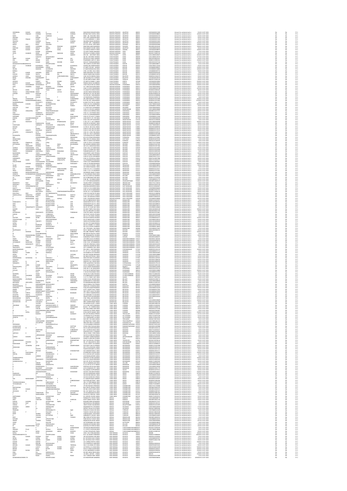| VEERENDRA<br>mon<br>KANTI<br>ANUPMA                                                                                                                                                                                                                          | KUMAR<br>PRAKASH                                                                  | JAISWA<br>SHARMA<br>.<br>Mishra                                                                                                                                                                   | d<br>NATHMA<br>OWNDAY                                                                                                                                                                                                                             |                                 | JAISWAL<br>SHARMA<br>CHIS<br>Mishira                                                                             | MAIN ROAD SOHAGPUINDI<br>BEHIND HIGH SCHOOL INDIA<br>NEAR JAIL BUILDING INDI<br>W/O SHIE MANOHARINDIA                                                                                                                         | MADHYA PRADESH<br>MADHYA PRADESH<br>MADHYA PRADESH<br>MADHYA PRADESH                                                                                                                                                           | ANUPPLIP<br><b>ANUPPLE</b><br>ANUPPU<br><b>ANUPPLE</b>                                                                                                                                                                                                                                                 | 484000<br>484001<br>484001<br>484001<br>484001<br>484001                                                                                                                                                                                 | 1203560200011585<br>120356020000882<br>20150020000137<br>120356020000126                                                                                                                                                                                      | Amount for unclaimed and u<br>Amount for unclaimed and u<br>Amount for sectainsed and<br>Amount for unclaimed and u  | 25.00 21-OCT-2021<br>100.00 21-OCT-2021<br>10.00 21-OCT-202<br>50.00 21-OCT-2021 |  |  |
|--------------------------------------------------------------------------------------------------------------------------------------------------------------------------------------------------------------------------------------------------------------|-----------------------------------------------------------------------------------|---------------------------------------------------------------------------------------------------------------------------------------------------------------------------------------------------|---------------------------------------------------------------------------------------------------------------------------------------------------------------------------------------------------------------------------------------------------|---------------------------------|------------------------------------------------------------------------------------------------------------------|-------------------------------------------------------------------------------------------------------------------------------------------------------------------------------------------------------------------------------|--------------------------------------------------------------------------------------------------------------------------------------------------------------------------------------------------------------------------------|--------------------------------------------------------------------------------------------------------------------------------------------------------------------------------------------------------------------------------------------------------------------------------------------------------|------------------------------------------------------------------------------------------------------------------------------------------------------------------------------------------------------------------------------------------|---------------------------------------------------------------------------------------------------------------------------------------------------------------------------------------------------------------------------------------------------------------|----------------------------------------------------------------------------------------------------------------------|----------------------------------------------------------------------------------|--|--|
| GANESH<br>PRAVEEZ<br>PRACHE<br>KANTA                                                                                                                                                                                                                         | PRASAD<br><b>DEVI</b>                                                             | pusey<br>HARM<br>DHOOT<br>BAIAI                                                                                                                                                                   | RAM<br>DEEPAR<br>GURUDAS                                                                                                                                                                                                                          | SHANKAR                         | puter<br>DIARAU<br>percipy                                                                                       | H.C.M.O.B BRANCH S. INDIA<br>VALANDA NIVIAS NEA<br>COVIND OPP. CONGEINDI<br>MP E B OFFICE APPOINDING                                                                                                                          | MADHYA PRADESH<br>MADHYA PRADES!<br>MADHYA PRADES!<br>MADHYA PRADES!                                                                                                                                                           | <b>ANUPPLE</b><br>ANUPPU<br><b>ANUPPLE</b><br>SHAHDO                                                                                                                                                                                                                                                   | 484110                                                                                                                                                                                                                                   | 120356020001130<br>120356020001166<br>1203560200001879<br>120356020000168                                                                                                                                                                                     | Amount for unclaimed and u<br>Amount for unclaimed and<br>Amount for unclaimed and<br>Amount for unclaimed and u     | 25.00 21-OCT-2021<br>50.00 21-OCT-202<br>150.00 21-OCT-202<br>100.00 21-OCT-2021 |  |  |
| VUAY<br>SANTOSI<br>suwa                                                                                                                                                                                                                                      | KUMAR<br>kumar<br>Kumar                                                           | LAHANGIR<br>MEDYA<br>SINGH                                                                                                                                                                        | DEVI<br>NANDA<br>RAM                                                                                                                                                                                                                              | PRASHAD<br>DULAL<br>SAKAL       | LAHANGE<br>MEDYA                                                                                                 | VEAR RAM JANKI MANINDI<br><b>RAVI NAGAR COLONY JINDI</b><br>C/O CENTAL BANK OF UNDI-                                                                                                                                          | MADHYA PRADES!<br>MADHYA PRADES<br>MADHYA PRADES!                                                                                                                                                                              | SHAHDO<br>ANUPPL<br>UMARIA                                                                                                                                                                                                                                                                             | 484120<br>484446<br>484446<br>486389<br>486389<br>490001                                                                                                                                                                                 | N30198310533049<br>120205000003010<br>120356020000897                                                                                                                                                                                                         | Amount for unclaimed and u<br>Amount for unclaimed and u<br>Amount for unclaimed and u                               | 106.00 21-OCT-202<br>50.00.21.007.202<br>100.00 21-OCT-202                       |  |  |
| suwa<br>viow                                                                                                                                                                                                                                                 | SHANKER                                                                           | <b>CLIMAR</b><br>sivon<br>MANDHA<br><b>SUMATHI</b>                                                                                                                                                | <b>SURENDRA</b><br>RAM<br>NOTAVAILA                                                                                                                                                                                                               | NARAYAN                         | PRASAD<br>SNGH<br>GANESH                                                                                         | C/O GOPI CHAND AGR/INDI<br>OTR NO-IR-1/6 BIRLA CINDI<br>OTR. NO. - 3/8 STREET INDIA<br>OR, NO. 3/8 STREET NUNDS                                                                                                               | MADHYA PRADES!<br>MADHYA PRAD<br>OINATTISGARI<br><b>OBIATTISGARI</b>                                                                                                                                                           | SIDMI<br>SIDMI<br>buto<br><b>DURG</b>                                                                                                                                                                                                                                                                  | 490006                                                                                                                                                                                                                                   | N30155721896043<br>N30155721893150<br>120113000033945<br>120111000012557                                                                                                                                                                                      | Amount for unclaimed and u<br>Amount for unclaimed and u<br>Amount for unclaimed and u<br>Amount for unclaimed and u | 2.50 21-OCT-2021<br>62.50 21-OCT-202<br>05.00 21-OCT-202<br>177.50 21-OCT-202    |  |  |
| SARG.<br>OM<br>SANJIVA                                                                                                                                                                                                                                       | KUMAR<br>HARI                                                                     | <b>JUNA</b><br>ANAND<br>KUMAR                                                                                                                                                                     | PRABHU<br>SUKH<br>NAND                                                                                                                                                                                                                            | NARAYAN<br>KISHORE              | m<br>RAM<br>SINGH                                                                                                | OTR NO 6 D STREET NCINDIA<br>OWERGRID CORP OF INDIA<br>MICATS PACAGAIAN INCL                                                                                                                                                  | <b>OBIATTISGARI</b><br><b>OBIATTISGARI</b><br><b>OBIATTISGARI</b>                                                                                                                                                              | <b>DURG</b><br>puks<br>puks                                                                                                                                                                                                                                                                            | 490000<br>490042<br>491000                                                                                                                                                                                                               | N3013302003359<br>N30051313992592<br>N3013301919723                                                                                                                                                                                                           | Amount for unclaimed and u<br>Amount for unclaimed and u<br>Amount for unclaimed and u                               | 25.00 21-OCT-2021<br>150.00 21-OCT-202<br>25.00 21-OCT-202                       |  |  |
| MANAD<br>VUAY<br>HELINA                                                                                                                                                                                                                                      | <b>CERSPLTD</b><br>SHANKAR                                                        | KUSHWANA<br>MOHAMMAD<br>MOZESES                                                                                                                                                                   | NOTAPPLIC<br>RAM<br>AHMED<br>ALEXENDO                                                                                                                                                                                                             | <b>NAGINA</b>                   | KUSHWAH<br><b>DHAI</b><br>MOZESES                                                                                | 199-A SAMTA COLONY INDIA<br>ASHOKA MILLENNEUNINDI<br>T SAKET COLONY JAINDI<br>T DANTESHWARI WA INDI                                                                                                                           | <b>OBIATTISGARI</b><br><b>OBIATTISGARI</b><br><b>OBIATTISGARI</b><br><b>OBIATTISGARI</b>                                                                                                                                       | BAIRU<br>RAIPUT<br>BASTAR<br>BASTAR                                                                                                                                                                                                                                                                    | 492000<br>492004<br>494001                                                                                                                                                                                                               | 130234000008067<br>120447000112122<br>120186000038<br>120186000031684                                                                                                                                                                                         | Amount for unclaimed and u<br>Amount for unclaimed and u<br>Amount for unclaimed and u<br>Amount for unclaimed and u | 0.50 21-OCT-2021<br>25.00 21-OCT-2021<br>150.00 21-OCT-202<br>100.00 21-OCT-202  |  |  |
| NIRMLA<br>SHIV                                                                                                                                                                                                                                               | KISHOR                                                                            | <b>JASHWAL</b>                                                                                                                                                                                    | RAMBALAR<br>NAND<br><b>DISON</b>                                                                                                                                                                                                                  | KISHORE                         | YADAV<br><b>JAISHWAI</b>                                                                                         | IND. H/2 ENG. COLLE INDIA<br>NEAR ANUPAMA TALK INDIA                                                                                                                                                                          | <b>OBIATTISGARI</b><br><b>OBIATTISGARI</b>                                                                                                                                                                                     | BASTAR<br>BASTAR                                                                                                                                                                                                                                                                                       | 494001<br>494001                                                                                                                                                                                                                         | 120186000028773<br>N3030285504303                                                                                                                                                                                                                             | Amount for unclaimed and u<br>Amount for unclaimed and u                                                             | 50.00.21-007-2021<br>0.50 21-OCT-2021                                            |  |  |
| SMIV<br>HUKUM<br>ADIRAJU<br>TIRAT<br>URVASH<br>MAHESH<br>RAJA<br>AMIT<br>AMIT<br>C                                                                                                                                                                           | NAND<br>CHAND<br>UDAY<br>KRISHNA                                                  | NAHTA<br>EMASKAR<br>CHAKRAR<br>FANDEY<br>FANDEY<br>MERKAR<br>VETAD<br>VETAD<br>EMASKAR<br>EMASKAR<br>EMASKAR<br>EMASKAR<br>EMASKAR<br>EMASKAR                                                     |                                                                                                                                                                                                                                                   | RAJ<br>Surayai<br>N             |                                                                                                                  |                                                                                                                                                                                                                               |                                                                                                                                                                                                                                | <b>BASTAR</b><br>BAASPUR<br>SUKSUKA<br>SUKSUKA<br>KORVA<br>KORVAALO<br>HYDERABAO<br>HYDERABAO<br>HYDERABAO<br>HYDERABAO<br>HYDERABAO<br>HYDERABAO<br>HYDERABAO<br>HYDERABAO<br>HYDERABAO<br>HYDERABAO<br>HYDERABAO<br>HYDERABAO<br>HYDERABAO<br>HYDERABAO                                              |                                                                                                                                                                                                                                          | 120186000014074<br>N:3003941534447<br>N:3003941534447<br>N:3015572190215<br>N:3015572190215                                                                                                                                                                   |                                                                                                                      |                                                                                  |  |  |
|                                                                                                                                                                                                                                                              | KUMAR<br>MCHANR<br>CHANDRA                                                        |                                                                                                                                                                                                   | HASI<br>RAJ<br>UMRAD                                                                                                                                                                                                                              | KUMAR<br>MAL<br>GOPAL<br>CHANDR | REDOY<br>TIWARI                                                                                                  |                                                                                                                                                                                                                               |                                                                                                                                                                                                                                |                                                                                                                                                                                                                                                                                                        |                                                                                                                                                                                                                                          | 20356020001081<br>2026500000206                                                                                                                                                                                                                               |                                                                                                                      |                                                                                  |  |  |
| G<br>WRITER<br>PADALA<br>ALARAM                                                                                                                                                                                                                              | ZUBIN<br>VENKA<br>VUAYA                                                           |                                                                                                                                                                                                   | m<br>PRAMCO<br>VENKATES<br>YEZAD                                                                                                                                                                                                                  | DADDY<br>LATCHA                 | G<br>WRITER<br>DAMOGARAM<br>DAMOGARAD<br>KHASIM<br>CHANDRARAO<br>ADABALA<br>POUSHETTY<br>RATHI<br>RATHI<br>RATHI |                                                                                                                                                                                                                               |                                                                                                                                                                                                                                |                                                                                                                                                                                                                                                                                                        |                                                                                                                                                                                                                                          |                                                                                                                                                                                                                                                               |                                                                                                                      |                                                                                  |  |  |
|                                                                                                                                                                                                                                                              |                                                                                   |                                                                                                                                                                                                   |                                                                                                                                                                                                                                                   |                                 |                                                                                                                  |                                                                                                                                                                                                                               |                                                                                                                                                                                                                                |                                                                                                                                                                                                                                                                                                        |                                                                                                                                                                                                                                          |                                                                                                                                                                                                                                                               |                                                                                                                      |                                                                                  |  |  |
| =<br>PRASAD<br>VENKATA<br>RAJENDR<br>NANDA                                                                                                                                                                                                                   | KISHORI                                                                           | sanari                                                                                                                                                                                            |                                                                                                                                                                                                                                                   | RAD                             |                                                                                                                  |                                                                                                                                                                                                                               |                                                                                                                                                                                                                                |                                                                                                                                                                                                                                                                                                        |                                                                                                                                                                                                                                          |                                                                                                                                                                                                                                                               |                                                                                                                      |                                                                                  |  |  |
| NANDA<br>PARASIMA<br>VADLURI<br>BANDA<br>SURINDEPALLI<br>SURINDEPALLI<br>KOWRU<br>RAVI<br>VAND<br>VAND<br>VAND                                                                                                                                               | VUAY<br><b>VENUGOP/</b>                                                           | MOABALA<br>POLISHETTI<br>BATNAJAIN<br>KUMAR<br>FADMA<br>PADMATH<br>SARASWATI<br>PULUIR<br>PULUIR<br>PULUIR<br>PULUIR                                                                              | S<br>HARNACHA<br>HARNACHA<br>SATYANARAY<br>RATUKAN<br>KATUKAN<br>NDTAVALAR<br>NDTAVALAR<br>NDTAVALAR<br>NDTAVALAR<br>NDTAVALAR                                                                                                                    |                                 | ANJAIAH<br>GANNU                                                                                                 |                                                                                                                                                                                                                               |                                                                                                                                                                                                                                | NIZAMAGAD<br>ADILAGAD<br>ADILAGAD<br>KARIMOAL<br>WARANGAL<br>WARANGAL<br>WARANGAL<br>WARANGAL<br>KHAMMAAL                                                                                                                                                                                              |                                                                                                                                                                                                                                          |                                                                                                                                                                                                                                                               |                                                                                                                      |                                                                                  |  |  |
|                                                                                                                                                                                                                                                              |                                                                                   |                                                                                                                                                                                                   |                                                                                                                                                                                                                                                   |                                 | GONE<br>RAIALINGAM<br>MURTHY                                                                                     |                                                                                                                                                                                                                               |                                                                                                                                                                                                                                |                                                                                                                                                                                                                                                                                                        |                                                                                                                                                                                                                                          |                                                                                                                                                                                                                                                               |                                                                                                                      |                                                                                  |  |  |
|                                                                                                                                                                                                                                                              | KUMAR<br>MADHAVK                                                                  | 6AD                                                                                                                                                                                               | RISHNA<br>ANUMAI                                                                                                                                                                                                                                  |                                 |                                                                                                                  |                                                                                                                                                                                                                               |                                                                                                                                                                                                                                |                                                                                                                                                                                                                                                                                                        |                                                                                                                                                                                                                                          |                                                                                                                                                                                                                                                               |                                                                                                                      |                                                                                  |  |  |
| V<br>VUDAYAG<br>MOHAN<br>GUTHI<br>THAI<br>JAYANTH<br>JAYANTH                                                                                                                                                                                                 |                                                                                   |                                                                                                                                                                                                   | K<br>BASKAR<br>VUDAYAGIRI<br>RENGANATHA<br>THIPPESWAM<br>NAGAPPA<br>VENKAIAH<br>T                                                                                                                                                                 |                                 | N<br>GUPTA<br>REDDY<br>SAMBANDAM<br>SAMBANDAM                                                                    |                                                                                                                                                                                                                               |                                                                                                                                                                                                                                |                                                                                                                                                                                                                                                                                                        |                                                                                                                                                                                                                                          |                                                                                                                                                                                                                                                               |                                                                                                                      |                                                                                  |  |  |
|                                                                                                                                                                                                                                                              | ASWATH<br>VISWANATI                                                               |                                                                                                                                                                                                   | ANUMAN                                                                                                                                                                                                                                            |                                 | SETTY<br>SEETIVY<br>KURURA<br>NARASIMMA<br>THALLA<br>VERCHAND<br>MUSHANAD<br>R<br>R<br>R                         |                                                                                                                                                                                                                               |                                                                                                                                                                                                                                |                                                                                                                                                                                                                                                                                                        |                                                                                                                                                                                                                                          |                                                                                                                                                                                                                                                               |                                                                                                                      |                                                                                  |  |  |
| C<br>KUSUMAPPA<br>RAO<br>KANCHAN<br>KOTTAMASU<br>KOTTAMASU<br>KOTTAMASU                                                                                                                                                                                      |                                                                                   |                                                                                                                                                                                                   | <b>RAD</b><br>RAD<br>RANGAPPA                                                                                                                                                                                                                     |                                 |                                                                                                                  |                                                                                                                                                                                                                               |                                                                                                                                                                                                                                |                                                                                                                                                                                                                                                                                                        |                                                                                                                                                                                                                                          |                                                                                                                                                                                                                                                               |                                                                                                                      |                                                                                  |  |  |
|                                                                                                                                                                                                                                                              | praihulal<br>NAGA<br>VNAGAHARI<br>PANDURANC<br>VEERAVENIG<br>RANGARAD<br>RANGARAD | MURALI<br>MAGARAJU<br>NAGESH KURUBA<br>KAGESH KURUBA<br>JAGESH<br>KAGESHA<br>SAMOHERA<br>KANOHERA<br>NANOHERA<br>NANOHERA<br>NANOHERA<br>NANOHERA<br>NANOHERA<br>NANOHERA<br>NANOHERA<br>NANOHERA | <b>IVRAJ</b>                                                                                                                                                                                                                                      | NAGA<br>RAD<br>RAGNAVA          |                                                                                                                  |                                                                                                                                                                                                                               |                                                                                                                                                                                                                                |                                                                                                                                                                                                                                                                                                        |                                                                                                                                                                                                                                          | 1N:100669310165488<br>1201860000113155<br>1N:10021911267686<br>1N:100219112670311<br>1N:100229112670311<br>1N:101022911047261<br>1N:10022911047261<br>1N:10022911047261<br>1N:10022911057366<br>1N:10022911057366<br>1N:100229110525650<br>1N:100213410022850 |                                                                                                                      |                                                                                  |  |  |
| K<br>VAZRALA<br>PANDU<br>PANDU<br>TOLCHURI<br>TOLCHURI<br>VANDANAPU<br>VANDANAPU<br>VANDANAPU<br>VANDANAPU<br>C                                                                                                                                              |                                                                                   |                                                                                                                                                                                                   | K<br>SUBBA<br>VAZBALA<br>VENKATESV<br>PAMA<br>VENKATESV<br>VENKATESV<br>C                                                                                                                                                                         |                                 | K<br>DHARY<br>KANCHERIA<br>TAVVA<br>TRUPATAIAH<br>TAVO<br>MLO<br>SINGAMSETTY<br>SINGAMSETTY<br>SINGAMSETTY       |                                                                                                                                                                                                                               |                                                                                                                                                                                                                                |                                                                                                                                                                                                                                                                                                        |                                                                                                                                                                                                                                          |                                                                                                                                                                                                                                                               |                                                                                                                      |                                                                                  |  |  |
|                                                                                                                                                                                                                                                              | SAMBI                                                                             |                                                                                                                                                                                                   |                                                                                                                                                                                                                                                   | MMGESWAR.<br>VENKATAPPA         |                                                                                                                  |                                                                                                                                                                                                                               |                                                                                                                                                                                                                                |                                                                                                                                                                                                                                                                                                        |                                                                                                                                                                                                                                          |                                                                                                                                                                                                                                                               |                                                                                                                      |                                                                                  |  |  |
|                                                                                                                                                                                                                                                              | LAIGHN                                                                            | ECPPANA<br>EAWTHA<br>EEDDY<br>GONUGUNTLA<br>GONUGUNTLA<br>EAMADEVI<br>TATIKONDA<br>NEBELLA                                                                                                        | C<br>VANGA<br>YALLAMAN<br>KUBIARAC<br>VENKATESI<br>VENKATESI<br>NERELLA                                                                                                                                                                           |                                 |                                                                                                                  |                                                                                                                                                                                                                               |                                                                                                                                                                                                                                |                                                                                                                                                                                                                                                                                                        |                                                                                                                                                                                                                                          |                                                                                                                                                                                                                                                               |                                                                                                                      |                                                                                  |  |  |
| JALADI<br>ASHOK<br>SIVA<br>INDIA<br>AHOBILA<br>VENKATA<br>CHELAKI<br>CH                                                                                                                                                                                      | kumar<br>Nagapirasad<br>Sriniyasa<br>Narahariya                                   | TATIKONE<br>NERELLA<br>PAO<br>VASI KANAMAI<br>SUIATHA<br>RANAMAR<br>PANULAM<br>PAULUAM                                                                                                            | .<br>Natatau                                                                                                                                                                                                                                      | ENKATASI.<br>ABASIMPI           | TATHONDA<br>RAO<br>RAO<br>KANAMARILAPI,<br>KANAMARIKIN<br>DHEMARIKIN<br>PILA<br>MAHADEVU                         |                                                                                                                                                                                                                               |                                                                                                                                                                                                                                |                                                                                                                                                                                                                                                                                                        |                                                                                                                                                                                                                                          |                                                                                                                                                                                                                                                               |                                                                                                                      |                                                                                  |  |  |
|                                                                                                                                                                                                                                                              | SUDHEE<br>JANAKI                                                                  |                                                                                                                                                                                                   | VENKATA<br>VENKURES                                                                                                                                                                                                                               | NARAYANA<br>SVA                 |                                                                                                                  |                                                                                                                                                                                                                               |                                                                                                                                                                                                                                |                                                                                                                                                                                                                                                                                                        |                                                                                                                                                                                                                                          |                                                                                                                                                                                                                                                               |                                                                                                                      |                                                                                  |  |  |
|                                                                                                                                                                                                                                                              |                                                                                   |                                                                                                                                                                                                   | U<br>KONDA<br>SREERAMULL                                                                                                                                                                                                                          | MOHA<br>RAD                     |                                                                                                                  |                                                                                                                                                                                                                               |                                                                                                                                                                                                                                |                                                                                                                                                                                                                                                                                                        |                                                                                                                                                                                                                                          |                                                                                                                                                                                                                                                               |                                                                                                                      |                                                                                  |  |  |
| R<br>MAHADEV<br>AMPAVALL<br>KATURI<br>GODAVART<br>USHADEVI<br>DHULPALA<br>PANDELLAI<br>"                                                                                                                                                                     | RAVI<br>KESAVA<br>VEERAVI<br>PUSHPA                                               | BABU<br>RAD<br>SISHARA<br>VEERRAR<br>VEERRAR<br>MATTARI                                                                                                                                           |                                                                                                                                                                                                                                                   |                                 | n<br>Sitaram<br>Nalam<br>Nalam                                                                                   |                                                                                                                                                                                                                               |                                                                                                                                                                                                                                |                                                                                                                                                                                                                                                                                                        |                                                                                                                                                                                                                                          |                                                                                                                                                                                                                                                               |                                                                                                                      |                                                                                  |  |  |
|                                                                                                                                                                                                                                                              | SREE<br>VENKATESA<br>SRAGHURAM<br>SRAGHURAM                                       |                                                                                                                                                                                                   | m<br>SUBBA<br>VENKATA<br>PATTABH                                                                                                                                                                                                                  | SOMESWARAD                      |                                                                                                                  |                                                                                                                                                                                                                               |                                                                                                                                                                                                                                |                                                                                                                                                                                                                                                                                                        |                                                                                                                                                                                                                                          |                                                                                                                                                                                                                                                               |                                                                                                                      |                                                                                  |  |  |
|                                                                                                                                                                                                                                                              |                                                                                   | LAKSHINI<br>PRADIU<br>RAUU<br>SURUNA<br>GURUNA<br>SHAH<br>SHAH                                                                                                                                    | PATTAININNAM<br>GOPALARAU<br>GOPALARAU<br>NOTAVAILABLE<br>NOTAVAILABLE<br>BHOPALCHANE<br>NOPALCHANE<br>NOPALCHANE<br>CULTY<br>NOTALCHANE<br>CUNCHANE<br>CUNCHANE<br>NOTAVAILABLE<br>NOTALCHANE                                                    | GOPAL                           | MURTH<br>DANDU<br>RAJU                                                                                           |                                                                                                                                                                                                                               |                                                                                                                                                                                                                                |                                                                                                                                                                                                                                                                                                        |                                                                                                                                                                                                                                          |                                                                                                                                                                                                                                                               |                                                                                                                      |                                                                                  |  |  |
|                                                                                                                                                                                                                                                              |                                                                                   |                                                                                                                                                                                                   |                                                                                                                                                                                                                                                   | AVEERAPPA                       | JAIN<br>JAIN<br>JAIN<br>SETTY<br>SHAH                                                                            |                                                                                                                                                                                                                               |                                                                                                                                                                                                                                |                                                                                                                                                                                                                                                                                                        |                                                                                                                                                                                                                                          |                                                                                                                                                                                                                                                               |                                                                                                                      |                                                                                  |  |  |
| DAMAY<br>AMIT<br>AMIT<br>OLETY<br>SAMEER<br>FINKY<br>GOVING<br>GOVING                                                                                                                                                                                        |                                                                                   | MANI                                                                                                                                                                                              |                                                                                                                                                                                                                                                   |                                 | <b>THEMM</b>                                                                                                     |                                                                                                                                                                                                                               |                                                                                                                                                                                                                                |                                                                                                                                                                                                                                                                                                        |                                                                                                                                                                                                                                          |                                                                                                                                                                                                                                                               |                                                                                                                      |                                                                                  |  |  |
| N<br>GAUTAM<br>PURUSHC<br>NIRMAI                                                                                                                                                                                                                             | kuma<br>V                                                                         | .<br>RAMESH<br>SIPANI<br>.<br>SANCHET                                                                                                                                                             | THIMMALAH<br>VARASHIMLAH<br>YRAKASHICHAND<br>VARASMAL<br>JHANKAR<br>JHANKAR<br>JHANKAR                                                                                                                                                            |                                 | SPAN                                                                                                             |                                                                                                                                                                                                                               |                                                                                                                                                                                                                                |                                                                                                                                                                                                                                                                                                        |                                                                                                                                                                                                                                          |                                                                                                                                                                                                                                                               |                                                                                                                      |                                                                                  |  |  |
| NIRMA)<br>SAPNA<br>VIKASH<br>RAJEEV                                                                                                                                                                                                                          |                                                                                   | u<br>BHANDAR<br>SURESH<br>SURESH                                                                                                                                                                  | NUTHNEAL<br>NOTAVAILABLI<br>DAMOGARAN                                                                                                                                                                                                             |                                 | м                                                                                                                |                                                                                                                                                                                                                               |                                                                                                                                                                                                                                |                                                                                                                                                                                                                                                                                                        |                                                                                                                                                                                                                                          |                                                                                                                                                                                                                                                               |                                                                                                                      |                                                                                  |  |  |
| .<br>Ravipra                                                                                                                                                                                                                                                 |                                                                                   | <b>LIMA</b>                                                                                                                                                                                       |                                                                                                                                                                                                                                                   |                                 | BASAVAIAH<br>SUBBARAD<br>MASILAMAN<br>SETTY<br>MARIELWALA<br>V                                                   |                                                                                                                                                                                                                               |                                                                                                                                                                                                                                |                                                                                                                                                                                                                                                                                                        |                                                                                                                                                                                                                                          |                                                                                                                                                                                                                                                               |                                                                                                                      |                                                                                  |  |  |
| G<br>RITA<br>HERMA<br>HERMA<br>JATHAN                                                                                                                                                                                                                        | RRAMAK<br>PRAKASH                                                                 | SIVASUBR<br>PRASAD<br>NARIELWI<br>JOSHI                                                                                                                                                           |                                                                                                                                                                                                                                                   |                                 |                                                                                                                  |                                                                                                                                                                                                                               |                                                                                                                                                                                                                                |                                                                                                                                                                                                                                                                                                        |                                                                                                                                                                                                                                          |                                                                                                                                                                                                                                                               |                                                                                                                      |                                                                                  |  |  |
|                                                                                                                                                                                                                                                              | *<br>VIRAS<br>MARAYAN<br>MARIUNI                                                  | FERIERA<br>PERISAD<br>SHETTY<br>POOVAPI<br>-                                                                                                                                                      | VARADAR<br>ISHWARA<br>ISHWARA<br>SANIETYA<br>MADARA<br>VIITATHAD,<br>DIANDARA                                                                                                                                                                     |                                 | ,<br>PERIERA<br>SHETTY                                                                                           |                                                                                                                                                                                                                               |                                                                                                                                                                                                                                |                                                                                                                                                                                                                                                                                                        |                                                                                                                                                                                                                                          |                                                                                                                                                                                                                                                               |                                                                                                                      |                                                                                  |  |  |
| r<br>ATHRABAI<br>MAHESHWI<br>MAHESHW                                                                                                                                                                                                                         | KUMAR                                                                             |                                                                                                                                                                                                   |                                                                                                                                                                                                                                                   |                                 | SUNDAR<br>BELMALLUR                                                                                              |                                                                                                                                                                                                                               | CPARTICULAR PRODUCTION DESCRIPTION DE CARDONAL DE CARDONAL DE CARDONAL DE CARDONAL DE CARDONAL DE CARDONAL DE CARDONAL DE CARDONAL DE CARDONAL DE CARDONAL DE CARDONAL DE CARDONAL DE CARDONAL DE CARDONAL DE CARDONAL DE CAR  |                                                                                                                                                                                                                                                                                                        |                                                                                                                                                                                                                                          |                                                                                                                                                                                                                                                               |                                                                                                                      |                                                                                  |  |  |
| MAHESHW<br>MALATHI<br>RAMESH<br>VEENA<br>SHINAMA<br>KEMPEGOL<br>ESHWARA<br>AMITHA<br>SHRIKANTH                                                                                                                                                               | CHAND<br>M                                                                        | iAN<br>$\mathbf{N}$                                                                                                                                                                               | EUTTAPPA<br>PUTTAPPA<br>MANIKLAL                                                                                                                                                                                                                  |                                 | CHETANA<br>BHAT<br>KEMPEGOWD.                                                                                    |                                                                                                                                                                                                                               |                                                                                                                                                                                                                                |                                                                                                                                                                                                                                                                                                        |                                                                                                                                                                                                                                          |                                                                                                                                                                                                                                                               |                                                                                                                      |                                                                                  |  |  |
|                                                                                                                                                                                                                                                              | same                                                                              | TATER                                                                                                                                                                                             | L<br>NARAGALU<br>NANJUNDAJ<br>GOPAL<br>GOPAL                                                                                                                                                                                                      |                                 |                                                                                                                  |                                                                                                                                                                                                                               |                                                                                                                                                                                                                                |                                                                                                                                                                                                                                                                                                        |                                                                                                                                                                                                                                          |                                                                                                                                                                                                                                                               |                                                                                                                      |                                                                                  |  |  |
| n<br>Shrishail<br>Ashok<br>Shylaia                                                                                                                                                                                                                           | <b>CANIL</b>                                                                      |                                                                                                                                                                                                   | B<br>GAVIYAPPA<br>ASHOK<br>SUGIRAPPA                                                                                                                                                                                                              |                                 | TATER<br>RAO<br>ONKARAPPA<br>MATTI<br>MEHARWADE                                                                  |                                                                                                                                                                                                                               |                                                                                                                                                                                                                                |                                                                                                                                                                                                                                                                                                        |                                                                                                                                                                                                                                          |                                                                                                                                                                                                                                                               |                                                                                                                      |                                                                                  |  |  |
|                                                                                                                                                                                                                                                              |                                                                                   | G<br>KUMAR<br>MATTI<br>MEHARU<br>JAUHAL<br>PATIL<br>HEGDE<br>ANNIGERI<br>ANNIGERI                                                                                                                 | VOTAVALABLI<br>R                                                                                                                                                                                                                                  |                                 |                                                                                                                  |                                                                                                                                                                                                                               |                                                                                                                                                                                                                                |                                                                                                                                                                                                                                                                                                        |                                                                                                                                                                                                                                          |                                                                                                                                                                                                                                                               |                                                                                                                      |                                                                                  |  |  |
| ><br>RAVINDRA<br>KIRAN<br>RAMACHAN<br>RAMACHAN<br>TENGINAKA<br>MEGHARAJ<br>MEGHARAJ                                                                                                                                                                          | KRUPAL                                                                            | 3<br>VEERESHAF<br>RAJOOR<br>MARANAR/                                                                                                                                                              | V<br>SHIVARAM<br>SONTHA<br>SONTHA<br>$\overline{\mathbf{M}}$                                                                                                                                                                                      | VEERAPPI                        | HEGDE<br>HEGDE<br>ANNIGERI<br>SUDHAKAJ<br>GRIAPPA<br>GRIAPPA                                                     |                                                                                                                                                                                                                               |                                                                                                                                                                                                                                |                                                                                                                                                                                                                                                                                                        |                                                                                                                                                                                                                                          |                                                                                                                                                                                                                                                               |                                                                                                                      |                                                                                  |  |  |
| MEGHARA)<br>MALADEVI<br>VEERKUMARI<br>SANKAPPA<br>ANAND<br>MANDI                                                                                                                                                                                             | GIRLYAPP.                                                                         | MASHAWASA<br>KARDIGUDD<br>KADEMANI<br>SAMMATASHE                                                                                                                                                  | S<br>RAJOOR<br>NOTAVAILABLE<br>SHIVAYYA<br>NASANT<br>VASANT<br>NOTAVAILABLE                                                                                                                                                                       |                                 |                                                                                                                  |                                                                                                                                                                                                                               |                                                                                                                                                                                                                                |                                                                                                                                                                                                                                                                                                        |                                                                                                                                                                                                                                          |                                                                                                                                                                                                                                                               |                                                                                                                      |                                                                                  |  |  |
|                                                                                                                                                                                                                                                              | -<br>NAGAPPA<br>VASANT                                                            | <b>RUDRAPI</b>                                                                                                                                                                                    |                                                                                                                                                                                                                                                   | MALAKAPPA                       | KARDIGUDE<br>KADEMANI                                                                                            |                                                                                                                                                                                                                               | KARNATAK                                                                                                                                                                                                                       | <b>MIGALIA</b>                                                                                                                                                                                                                                                                                         |                                                                                                                                                                                                                                          |                                                                                                                                                                                                                                                               |                                                                                                                      |                                                                                  |  |  |
| SUSHANT<br>SHIVAPPA<br>NAGALING<br>SHAKUNTALA<br>SHIDAGOUDA<br>-                                                                                                                                                                                             | SURESH<br>IRANGA<br>IRANGA<br>IRAGAL<br>M                                         | RUDBAPUR<br>CHIPALKATTI<br>CHIPALKATTI<br>CHIDGALA<br>GAINGIR<br>CHIDBAPUR<br>CHIDGAPUR<br>CHIDGAPUR<br>CHIDGAPUR<br>CHIDGAPUR                                                                    | SURESH<br>IRAPPA<br>RANGAPPA<br>NAGALING<br>M<br>MGALING                                                                                                                                                                                          |                                 | JOLAD<br>CHIPALKATTI<br>HOUGALA                                                                                  |                                                                                                                                                                                                                               |                                                                                                                                                                                                                                | BEGIAUM<br>ERGAUM<br>ERGAUM<br>ERGAUM<br>ERGAUM<br>ERGAUM<br>CHENAU<br>CHENAU<br>CHENAU<br>TRUVALLIR<br>TRUVALLIR<br>TRUVALLIR<br>TRUVALLIR<br>TRUVALLIR<br>TRUVALLIR<br>TRUVALLIR<br>TRUVALLIR<br>TRUVALLIR<br>TRUVALLIR<br>TRUVALLIR<br>TRUVALLIR<br>TRUVALLIR<br>TRUVALLIR<br>TRUVALLIR<br>TRUVALLI | 591307<br>591307<br>591307<br>591307<br>591311<br>60021<br>60002<br>600004<br>601200<br>601200<br>601200<br>601200                                                                                                                       |                                                                                                                                                                                                                                                               |                                                                                                                      |                                                                                  |  |  |
|                                                                                                                                                                                                                                                              | $\frac{\omega}{\text{VNO}}$                                                       |                                                                                                                                                                                                   | M<br>NOTAVAILABLI<br>PULITAMPARA                                                                                                                                                                                                                  |                                 | GANGUR<br>NARAYANAN                                                                                              |                                                                                                                                                                                                                               |                                                                                                                                                                                                                                |                                                                                                                                                                                                                                                                                                        |                                                                                                                                                                                                                                          |                                                                                                                                                                                                                                                               |                                                                                                                      |                                                                                  |  |  |
|                                                                                                                                                                                                                                                              | GOPAL                                                                             | REDOY<br>RAMESH                                                                                                                                                                                   | SUSHIL<br>AMBALAVAN<br>KRISHNA                                                                                                                                                                                                                    |                                 | KUMAR<br>REDDY<br>VUMMATI                                                                                        |                                                                                                                                                                                                                               |                                                                                                                                                                                                                                |                                                                                                                                                                                                                                                                                                        |                                                                                                                                                                                                                                          |                                                                                                                                                                                                                                                               |                                                                                                                      |                                                                                  |  |  |
| EYANTH                                                                                                                                                                                                                                                       |                                                                                   |                                                                                                                                                                                                   | <b>HARANTH</b><br>VASUBR                                                                                                                                                                                                                          |                                 | SELVARAJ                                                                                                         |                                                                                                                                                                                                                               |                                                                                                                                                                                                                                |                                                                                                                                                                                                                                                                                                        |                                                                                                                                                                                                                                          |                                                                                                                                                                                                                                                               |                                                                                                                      |                                                                                  |  |  |
|                                                                                                                                                                                                                                                              |                                                                                   | 3<br>MALLIKA<br>VIGNESWARI<br>VALLIAPPAN<br>*                                                                                                                                                     | WONARAN<br>MANUMARAN<br>SUNDARARAJUPILLA<br>KULANDAI<br>NARAYANAN                                                                                                                                                                                 |                                 |                                                                                                                  |                                                                                                                                                                                                                               |                                                                                                                                                                                                                                |                                                                                                                                                                                                                                                                                                        |                                                                                                                                                                                                                                          |                                                                                                                                                                                                                                                               |                                                                                                                      |                                                                                  |  |  |
| <i>a</i><br>Veeramani<br>Loganathan<br>Raasekaran<br>Subbaredoy<br>-                                                                                                                                                                                         | $\boldsymbol{N}$                                                                  | .<br>Anantha<br>Vimala                                                                                                                                                                            |                                                                                                                                                                                                                                                   |                                 | CHETTIAR<br>PITCHAI<br>SUBBAREDE<br>JAIGANESH                                                                    |                                                                                                                                                                                                                               |                                                                                                                                                                                                                                |                                                                                                                                                                                                                                                                                                        |                                                                                                                                                                                                                                          |                                                                                                                                                                                                                                                               |                                                                                                                      |                                                                                  |  |  |
| .<br>KARTHICK<br>GANESH                                                                                                                                                                                                                                      | $\bar{\mathbf{z}}$<br>KUMAR                                                       | SELVAM                                                                                                                                                                                            | KRISHNAA<br>KRISHNAA<br>SUBRAAM                                                                                                                                                                                                                   |                                 | <b>COLORADO</b>                                                                                                  |                                                                                                                                                                                                                               |                                                                                                                                                                                                                                |                                                                                                                                                                                                                                                                                                        |                                                                                                                                                                                                                                          |                                                                                                                                                                                                                                                               |                                                                                                                      |                                                                                  |  |  |
| SHENBAG<br>ir<br>Varayanad                                                                                                                                                                                                                                   | EDILIEND                                                                          | .<br>BAJ                                                                                                                                                                                          | SATHAPPAN                                                                                                                                                                                                                                         |                                 | TRINGMOORT<br>RAMANATHAI<br>TAI                                                                                  |                                                                                                                                                                                                                               |                                                                                                                                                                                                                                |                                                                                                                                                                                                                                                                                                        |                                                                                                                                                                                                                                          |                                                                                                                                                                                                                                                               |                                                                                                                      |                                                                                  |  |  |
|                                                                                                                                                                                                                                                              | SN<br>JCHANDRA                                                                    | s<br>Ikar                                                                                                                                                                                         | n<br>Subramania<br>Poongayana                                                                                                                                                                                                                     |                                 | .<br>IANAROHANA                                                                                                  |                                                                                                                                                                                                                               |                                                                                                                                                                                                                                |                                                                                                                                                                                                                                                                                                        |                                                                                                                                                                                                                                          |                                                                                                                                                                                                                                                               |                                                                                                                      |                                                                                  |  |  |
| <br>Kavi<br>Senthil                                                                                                                                                                                                                                          | .<br>KAAVYANJAJ<br>KUMARV                                                         | J<br>REVATHI<br>SRIDHAR<br>M                                                                                                                                                                      | <br>MOHAMILAJ<br>MUTHYMN<br>KUMARASAM<br>KUPPUSAMY<br>CHIKKAMUNI                                                                                                                                                                                  |                                 | VISWANATHA<br>$_{\rm N}$                                                                                         |                                                                                                                                                                                                                               |                                                                                                                                                                                                                                |                                                                                                                                                                                                                                                                                                        |                                                                                                                                                                                                                                          |                                                                                                                                                                                                                                                               |                                                                                                                      |                                                                                  |  |  |
|                                                                                                                                                                                                                                                              |                                                                                   | .<br>MANUNA                                                                                                                                                                                       | <b>HAVAN</b>                                                                                                                                                                                                                                      |                                 | RAJENDRAN                                                                                                        |                                                                                                                                                                                                                               |                                                                                                                                                                                                                                |                                                                                                                                                                                                                                                                                                        |                                                                                                                                                                                                                                          |                                                                                                                                                                                                                                                               |                                                                                                                      |                                                                                  |  |  |
|                                                                                                                                                                                                                                                              |                                                                                   | R<br>SANKAR<br>DHAMAYANTHI<br>DALUSAMY<br>VENKATACHALAI<br>UMAMAHESWAI<br>RA<br>RA                                                                                                                | PALANE<br>PALANE<br>ANGAMUTHU<br>ATHIYANNA                                                                                                                                                                                                        | GOUNDER                         | ILAMURUGAN<br>KALIANNAN                                                                                          |                                                                                                                                                                                                                               |                                                                                                                                                                                                                                |                                                                                                                                                                                                                                                                                                        |                                                                                                                                                                                                                                          |                                                                                                                                                                                                                                                               |                                                                                                                      |                                                                                  |  |  |
| DHANSUKH<br>KARTHIKEYAN                                                                                                                                                                                                                                      |                                                                                   |                                                                                                                                                                                                   | -<br>RATILAL<br>FMAARA                                                                                                                                                                                                                            |                                 | SIVAKUMAR                                                                                                        |                                                                                                                                                                                                                               |                                                                                                                                                                                                                                |                                                                                                                                                                                                                                                                                                        |                                                                                                                                                                                                                                          |                                                                                                                                                                                                                                                               |                                                                                                                      |                                                                                  |  |  |
| .<br>SASI                                                                                                                                                                                                                                                    |                                                                                   | CANAKARA                                                                                                                                                                                          |                                                                                                                                                                                                                                                   |                                 |                                                                                                                  |                                                                                                                                                                                                                               |                                                                                                                                                                                                                                |                                                                                                                                                                                                                                                                                                        |                                                                                                                                                                                                                                          |                                                                                                                                                                                                                                                               |                                                                                                                      |                                                                                  |  |  |
| .<br>Therlinavlikka<br>Theyagarajan                                                                                                                                                                                                                          |                                                                                   |                                                                                                                                                                                                   | .<br>KANDHASAMI                                                                                                                                                                                                                                   |                                 | сигтия                                                                                                           |                                                                                                                                                                                                                               |                                                                                                                                                                                                                                |                                                                                                                                                                                                                                                                                                        |                                                                                                                                                                                                                                          |                                                                                                                                                                                                                                                               |                                                                                                                      |                                                                                  |  |  |
| n<br>Karthikeyan<br>Jeevanlal<br>Jeevanlal                                                                                                                                                                                                                   | KUMAR<br>M                                                                        |                                                                                                                                                                                                   | aua                                                                                                                                                                                                                                               |                                 | <b>JOTHISWARA</b>                                                                                                |                                                                                                                                                                                                                               |                                                                                                                                                                                                                                |                                                                                                                                                                                                                                                                                                        |                                                                                                                                                                                                                                          |                                                                                                                                                                                                                                                               |                                                                                                                      |                                                                                  |  |  |
|                                                                                                                                                                                                                                                              |                                                                                   | VENKATESAN<br>MANIVANINA<br>.<br>GEORGE<br>CHERIYAN                                                                                                                                               |                                                                                                                                                                                                                                                   | R<br>VITTAL<br>JAYA             |                                                                                                                  |                                                                                                                                                                                                                               |                                                                                                                                                                                                                                |                                                                                                                                                                                                                                                                                                        |                                                                                                                                                                                                                                          |                                                                                                                                                                                                                                                               |                                                                                                                      |                                                                                  |  |  |
| SANTHAN<br>ROBIN<br>ANCY<br>SURESH<br>RANITH<br>NANAL<br>NODIXOU<br>NISHAD<br>PRANOOR<br>MANI<br>MANI                                                                                                                                                        | kumar<br>Rajp                                                                     |                                                                                                                                                                                                   | K<br>MGANATHAN<br>GEORGE THOMAS<br>GOFINATHAN<br>MGANATHAN<br>MGOGIACIXER<br>ALIKUTTY<br>MGANATHAN<br>MGANATHAN<br>MGANATHAN<br>MGANATHAN<br>MGANATHAN<br>MGANATHAN<br>MGANATHAN<br>MGANATHAN<br>MGANATHAN<br>MGANATHAN<br>MGANATHAN<br>MGANATHAN |                                 | CHERIYAN                                                                                                         |                                                                                                                                                                                                                               |                                                                                                                                                                                                                                |                                                                                                                                                                                                                                                                                                        |                                                                                                                                                                                                                                          |                                                                                                                                                                                                                                                               |                                                                                                                      |                                                                                  |  |  |
|                                                                                                                                                                                                                                                              | AKBAR                                                                             | ī.                                                                                                                                                                                                |                                                                                                                                                                                                                                                   |                                 | NAI                                                                                                              |                                                                                                                                                                                                                               |                                                                                                                                                                                                                                |                                                                                                                                                                                                                                                                                                        |                                                                                                                                                                                                                                          |                                                                                                                                                                                                                                                               |                                                                                                                      |                                                                                  |  |  |
|                                                                                                                                                                                                                                                              |                                                                                   |                                                                                                                                                                                                   |                                                                                                                                                                                                                                                   |                                 |                                                                                                                  |                                                                                                                                                                                                                               |                                                                                                                                                                                                                                |                                                                                                                                                                                                                                                                                                        |                                                                                                                                                                                                                                          |                                                                                                                                                                                                                                                               |                                                                                                                      |                                                                                  |  |  |
|                                                                                                                                                                                                                                                              | þ.                                                                                |                                                                                                                                                                                                   |                                                                                                                                                                                                                                                   |                                 | wair<br>Thiomas                                                                                                  |                                                                                                                                                                                                                               |                                                                                                                                                                                                                                |                                                                                                                                                                                                                                                                                                        |                                                                                                                                                                                                                                          |                                                                                                                                                                                                                                                               |                                                                                                                      |                                                                                  |  |  |
|                                                                                                                                                                                                                                                              |                                                                                   | .<br>GEORGE<br>THOMAS<br>.<br>HOMAS                                                                                                                                                               |                                                                                                                                                                                                                                                   |                                 |                                                                                                                  |                                                                                                                                                                                                                               |                                                                                                                                                                                                                                |                                                                                                                                                                                                                                                                                                        |                                                                                                                                                                                                                                          |                                                                                                                                                                                                                                                               |                                                                                                                      |                                                                                  |  |  |
|                                                                                                                                                                                                                                                              |                                                                                   | KALAM<br>PILLAI                                                                                                                                                                                   | K<br>APPUPATTARI<br>THOMAS<br>PAULOSE<br>NADHAVAN<br>MADHAVAN<br>V                                                                                                                                                                                |                                 |                                                                                                                  |                                                                                                                                                                                                                               |                                                                                                                                                                                                                                |                                                                                                                                                                                                                                                                                                        | 627008 625009 625009 625009 625009 62600 62600 62600 62600 62600 62600 62600 62600 62600 62600 62600 62600 62600 62600 62600 62600 62600 62600 62600 62600 62600 62600 62600 62600 62600 62600 62600 62600 62600 62600 62600 6<br>695012 |                                                                                                                                                                                                                                                               |                                                                                                                      |                                                                                  |  |  |
|                                                                                                                                                                                                                                                              | PILLAI<br>R                                                                       | NAINA<br>SHAW                                                                                                                                                                                     | n<br>GOPALA<br>MOHAMAD                                                                                                                                                                                                                            | KRISHNA<br>ABDUL                | PILLAI<br>PONNUSI<br>PILLAI<br>RASHEED<br>SHAW                                                                   |                                                                                                                                                                                                                               |                                                                                                                                                                                                                                |                                                                                                                                                                                                                                                                                                        |                                                                                                                                                                                                                                          |                                                                                                                                                                                                                                                               |                                                                                                                      |                                                                                  |  |  |
|                                                                                                                                                                                                                                                              | KUMAR<br><b>DEVI</b>                                                              |                                                                                                                                                                                                   | G<br>NOTAPPLI<br>RAN<br>MANCU<br>-                                                                                                                                                                                                                | KARAN<br>KUMAR<br>KUMAR         | PODDAR<br>VERMA<br>DALMIA<br>GANDHI                                                                              |                                                                                                                                                                                                                               |                                                                                                                                                                                                                                |                                                                                                                                                                                                                                                                                                        |                                                                                                                                                                                                                                          |                                                                                                                                                                                                                                                               |                                                                                                                      |                                                                                  |  |  |
|                                                                                                                                                                                                                                                              | KUMA                                                                              | FOODAI<br>VERMA<br>DALMIA<br>GANDHI<br>MALANI<br>MALANI<br>TIRRIAI                                                                                                                                |                                                                                                                                                                                                                                                   |                                 |                                                                                                                  |                                                                                                                                                                                                                               |                                                                                                                                                                                                                                |                                                                                                                                                                                                                                                                                                        |                                                                                                                                                                                                                                          |                                                                                                                                                                                                                                                               |                                                                                                                      |                                                                                  |  |  |
| <b>FROM SATHAN<br/>REGISTION ARAF RAVIS CONSUMERS ARAF RAVIS COMMERCIAL</b><br>REGISTION ARAF RAVIS COPAL<br>SANGER RAVIS COPAL SANGER<br>SANGER RAVIS CORPORATION<br>DIMPLE SANGER<br>RUSSA RAVIS CORPORATION<br>DIMPLE SANGER<br>RUSSA RUSSA RAVIS RAVIS R | RATA                                                                              | TIBRIWAL<br>LAHOTI<br>BAJAJ<br>SINHA<br>PAL<br>BANERJEE<br>RAJAK                                                                                                                                  | r<br>Notavalasu<br>Namanand<br>Natan<br>N<br>M<br>NANDADULAL<br>NOTAVALABLE<br>GANGA<br>NOTAPPLICABLE                                                                                                                                             | KUMAR<br>KUMAR                  | TIBREWA)<br>LAHOTI<br>BAJAJ<br>SINHA<br>DAS<br>RAJAI                                                             | A PARKING PERSONAL PROPERTY AND RESERVATION CONSULTING THE SERVE AND A STRUCTURE CONSULTING THE SERVE AND A STRUCTURE CONSULTING THE SERVE AND A STRUCTURE CONSULTING THE SERVE AND A STRUCTURE CONSULTING THE SERVE AND A ST | 反对的对象,我们在我们的人们的人们,我们的人们的人们,我们的人们的人们,我们的人们的人们,我们的人们的人们,我们的人们,我们的人们的人们,我们的人们的人们的人们的人们的人们的人们的人们,我们的人们的人们,我们的人们的人们,我们的人们的人们,我们的人们的人们,我们的人们的人们,我们的人们的人们,我们的人们的人们,我们的人们,我们的人们,我们的人们,我们的人们,我们的人们,我们的人们,我们的人们,我们的人们,我们的人们,我们的人们,我们的人们, | KOLKATA<br>KOLKATA<br>KOLKATA<br>KOLKATA<br>KOLKATA<br>KOLKATA<br>KOLKATA<br>KOLKATA<br>KOLKATA<br>KOLKATA<br>KOLKATA<br>KOLKATA<br>KOLKATA                                                                                                                                                            |                                                                                                                                                                                                                                          |                                                                                                                                                                                                                                                               |                                                                                                                      |                                                                                  |  |  |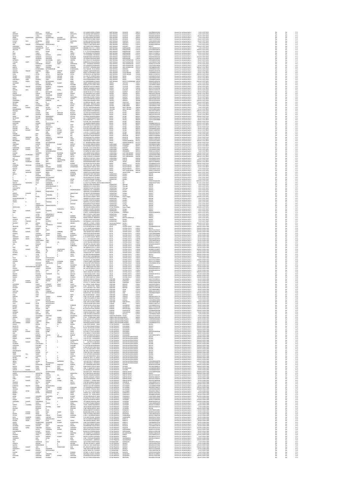| <b>ANIMESH</b>                                                                                                                                                                                                                 |                                 | JOSHI<br>DASGUPTA                                                                                                                                                                                                                          | RATAN<br>PURNENDU<br>DHANBAI<br>GHANSHYAM<br>SHRI                                                                                                                                                                                                                        | $_{\rm LAL}$                                             | JOSHI<br>DASGUPTA                                                                                                                                                                                                                                                                                                        | C/O MADAI GHOSH 17INDIA<br>10 SARADA PARK KAMINDIA                                                                                                                                                                                 | WEST BENGAL                                                                                                                                                                                                                                                                                      | KOLKATA<br>EDUCATA                                                                                                                                                                                                                  | 700074                                                                                                                                                                                                                                                       | 130208000026194<br>N30095810118549                                                                                                                                                                                                                   | 5.00 21-OCT-2021                                                               |  |
|--------------------------------------------------------------------------------------------------------------------------------------------------------------------------------------------------------------------------------|---------------------------------|--------------------------------------------------------------------------------------------------------------------------------------------------------------------------------------------------------------------------------------------|--------------------------------------------------------------------------------------------------------------------------------------------------------------------------------------------------------------------------------------------------------------------------|----------------------------------------------------------|--------------------------------------------------------------------------------------------------------------------------------------------------------------------------------------------------------------------------------------------------------------------------------------------------------------------------|------------------------------------------------------------------------------------------------------------------------------------------------------------------------------------------------------------------------------------|--------------------------------------------------------------------------------------------------------------------------------------------------------------------------------------------------------------------------------------------------------------------------------------------------|-------------------------------------------------------------------------------------------------------------------------------------------------------------------------------------------------------------------------------------|--------------------------------------------------------------------------------------------------------------------------------------------------------------------------------------------------------------------------------------------------------------|------------------------------------------------------------------------------------------------------------------------------------------------------------------------------------------------------------------------------------------------------|--------------------------------------------------------------------------------|--|
| RAINEESH<br>KIRAN<br>SUBRATA                                                                                                                                                                                                   | GHANDIYAM                       | LUNA<br>MAVADIYA                                                                                                                                                                                                                           |                                                                                                                                                                                                                                                                          | KALYANI<br>RADHESHYAM                                    | LUNIA<br>MAVADIYA                                                                                                                                                                                                                                                                                                        | 25 LAKE TOWN BLOCKINDIA<br>82 PRAKASHWADI NR IINDIA<br>P. 68 NIVEDITA PARK SINDIA                                                                                                                                                  | WEST BENGAL<br>WEST BENGAL<br>WEST BENGAL<br>WEST BENGAL                                                                                                                                                                                                                                         | EDUCATA<br>KOLKATA<br>EDUCATA                                                                                                                                                                                                       | 700054<br>700089<br>700093<br>700096                                                                                                                                                                                                                         | IN3026461002840<br>IN3029024152832<br>IN3017741074105                                                                                                                                                                                                | 5.00 21-OCT-2021<br>25.00 21-OCT-2021<br>3.50 21-OCT-2021<br>25.00.21.007-2021 |  |
| KUSUM<br>SULAN                                                                                                                                                                                                                 | <b>DEVI</b>                     | PAL<br>MUNDHRA                                                                                                                                                                                                                             | GORUL<br>GORUL<br>NOTAVAILABLI                                                                                                                                                                                                                                           | DAS                                                      | PAL<br>MUNDHRA<br>PALIL                                                                                                                                                                                                                                                                                                  | 26 ABUL KALAM AZAD INDIA<br>NIANGARH SHEORAP INDI                                                                                                                                                                                  | <b>WIST BENGAL<br/>WIST BENGAL<br/>WIST BENGAL<br/>WIST BENGAL<br/>WIST BENGAL<br/>WIST BENGAL</b><br>WIST BENGAL                                                                                                                                                                                | HOWRAY                                                                                                                                                                                                                              | 711100                                                                                                                                                                                                                                                       | 120461000001242<br>N3028981011459                                                                                                                                                                                                                    | 25.00.21.007-2021                                                              |  |
| SIBA<br>SUBHAMAY                                                                                                                                                                                                               | RANJAN                          | PAUL<br>CHAKRABORTY<br><b>MAJUMDER</b>                                                                                                                                                                                                     |                                                                                                                                                                                                                                                                          | $\epsilon$                                               | MAJUMDER                                                                                                                                                                                                                                                                                                                 | 71/63 S C CHATTERIES INDIA<br>16/1 SARAT CHATTERSINDIA                                                                                                                                                                             |                                                                                                                                                                                                                                                                                                  | HOOGHLY<br>HOOGHLY<br>HOOGHLY                                                                                                                                                                                                       |                                                                                                                                                                                                                                                              | IN30026310000359<br>000073                                                                                                                                                                                                                           | 5.00 21-OCT-2021<br>0.50 21-OCT-2021<br>100.00 21-OCT-2021                     |  |
| SIDDHARTI<br>GOUTAM                                                                                                                                                                                                            |                                 | CHOWDHURY<br>PATHAK                                                                                                                                                                                                                        | DUP<br>DILIP<br>SAMIR                                                                                                                                                                                                                                                    | RANJAN                                                   | CHOWDHUR!<br>PATHAK                                                                                                                                                                                                                                                                                                      | <b>ANANDA PALLY P.O - 5 INDIA</b><br>26 BHATCHALA PEONPINDIA                                                                                                                                                                       |                                                                                                                                                                                                                                                                                                  | INGGEN<br>BARDHAMAN<br>BARDHAMAN                                                                                                                                                                                                    | 71100<br>712233<br>712235<br>713103<br>713103<br>713103                                                                                                                                                                                                      | 1203500000180725                                                                                                                                                                                                                                     | 1.00 21-OCT-2021                                                               |  |
| RABU                                                                                                                                                                                                                           |                                 | PAUL<br><b>FADAV</b>                                                                                                                                                                                                                       |                                                                                                                                                                                                                                                                          | KANTA                                                    | PAUL<br>YADAV                                                                                                                                                                                                                                                                                                            | 0 - II / 30 VIDYASAGAHNDIA<br>ALL RAISANDH PO RAINDIA                                                                                                                                                                              | WEST BENGAL<br>WEST BENGAL<br>WEST BENGAL                                                                                                                                                                                                                                                        | BARDHAMAN<br>BARDHAMAR                                                                                                                                                                                                              | $713212713212713302$                                                                                                                                                                                                                                         | N3007731019307<br>IN30177412208212                                                                                                                                                                                                                   | 125.00 21-OCT-2021<br>25.00 21-OCT-2021<br>9.50 21-OCT-2021                    |  |
| GITA<br>DIPAK<br>RINKLI                                                                                                                                                                                                        | KUMAR                           | MONDAL<br>BURMAN<br>AGARWAI                                                                                                                                                                                                                | SAMIK<br>KAMALA<br>DUKHLALL<br>RALENDRA<br>SACHINDRA                                                                                                                                                                                                                     |                                                          | NAYAK<br>BURMAN                                                                                                                                                                                                                                                                                                          | I O C RAIBANDH DURCINDIA<br>RAMAKRISHNA DANG/INDIA<br>C/O SANJAY READYMA INDIA                                                                                                                                                     |                                                                                                                                                                                                                                                                                                  | BARDHAMAN<br>BARDHAMAN                                                                                                                                                                                                              | 713359                                                                                                                                                                                                                                                       | IN30177412244865<br>IN30297810043450<br>IN3021051021967                                                                                                                                                                                              | 225.00 21-OCT-2021<br>25.00 21-OCT-2021                                        |  |
| SATINATI<br>TUSHAR                                                                                                                                                                                                             | KANTI                           | SANTRA<br>SANTRA<br>KARMAKAR                                                                                                                                                                                                               | GOSTHA                                                                                                                                                                                                                                                                   | NATH<br>BEHARI<br>NATH                                   | TULSIYAN<br>SANTRA<br>SANTRA<br>KARMAKAR                                                                                                                                                                                                                                                                                 | .<br>VILL- KOLA P.O- KOLAGINDIA<br>BARBORISHA KOLAGHINDIA                                                                                                                                                                          | WEST BENGAL<br>WEST BENGAL<br>WEST BENGAL<br>WEST BENGAL                                                                                                                                                                                                                                         | WEST MIDNAPORE<br>WEST MIDNAPORE<br>WEST MIDNAPORE                                                                                                                                                                                  | $\begin{array}{r} \textbf{721134} \\ \textbf{721134} \\ \textbf{721212} \end{array}$                                                                                                                                                                         | 1205120000001385<br>1205120000075166                                                                                                                                                                                                                 | 25.00 21-OCT-2021<br>25.00 21-OCT-2021                                         |  |
| <b>SIMA</b><br>RAMA<br><b>BABITA</b>                                                                                                                                                                                           |                                 | MONDAL<br>LODHA<br>KHANDELWAI                                                                                                                                                                                                              | PARESH<br>LAUKAMA                                                                                                                                                                                                                                                        | DAS                                                      | MONDAL<br>CHAMARI                                                                                                                                                                                                                                                                                                        | VILL - ALAMGANI GHA'INDIA<br>VILL-KONNAGAR WAREINDIA                                                                                                                                                                               | WEST BENGAL<br>WEST BENGAL<br>WEST BENGAL                                                                                                                                                                                                                                                        | WEST MIDNAPORE<br>WEST MIDNAPORE<br>BANKURA                                                                                                                                                                                         | $721212721253722200$                                                                                                                                                                                                                                         | N3002631015529<br>1201910300199206<br>120218000001591                                                                                                                                                                                                | 75.00.21.0ET-2023<br>25.00 21-OCT-2021<br>100.00 21-OCT-2021                   |  |
| KAILASP<br>AGDISH                                                                                                                                                                                                              | PRASAD                          |                                                                                                                                                                                                                                            | <b>DWARKA</b><br>SATYANNAI                                                                                                                                                                                                                                               |                                                          | KHANDELWA<br>SHARMA                                                                                                                                                                                                                                                                                                      | VILL+POST. SATIANKLINDIA<br>PALIT BAGAN PO & DIINDIA<br>HARMA SADAN AGRAINDIA                                                                                                                                                      |                                                                                                                                                                                                                                                                                                  |                                                                                                                                                                                                                                     |                                                                                                                                                                                                                                                              | 120384000037430<br>N3009661052607                                                                                                                                                                                                                    | 50.00 21-OCT-2021<br>50.00.21.007-2023                                         |  |
| SANTOSI                                                                                                                                                                                                                        |                                 | SHARA SHARA MARKA SHARA SHARA SHARA SHARA MARKA SHARA MARKA SHARA SHARA SHARA SHARA SHARA SHARA SHARA SHARA SHARA SHARA SHARA SHARA SHARA SHARA SHARA SHARA SHARA SHARA SHARA SHARA SHARA SHARA SHARA SHARA SHARA SHARA SHARA              | ram<br>ranjit                                                                                                                                                                                                                                                            | SWARUP<br>SINGH<br>NARAYAN<br>MOHAN<br>KUMAR<br>KUMAR    | BORAR                                                                                                                                                                                                                                                                                                                    | <b>RANIT AUTOMOBILES INDIA</b>                                                                                                                                                                                                     |                                                                                                                                                                                                                                                                                                  | DARJEING<br>COOCH BEHAR                                                                                                                                                                                                             |                                                                                                                                                                                                                                                              | 120209000014159                                                                                                                                                                                                                                      | 50.00.21.007-2023                                                              |  |
|                                                                                                                                                                                                                                | kumar<br>kumar<br>saya<br>sakha |                                                                                                                                                                                                                                            | SATEA<br>KISHORI<br>KISHORI<br>BATAKRISHORI<br>PRASANT<br>MADANIT<br>HEMANT<br>SHEAM<br>SHEAM<br>SHEAM<br>SHEAM<br>SHEAM<br>SHEAM<br>SHEAM<br>SHEAM<br>SHEAM<br>SHEAM<br>SHEAM<br>SHEAM<br>SHEAM<br>SHEAM<br>SHEAM<br>SHEAM<br>SHEAM                                     |                                                          |                                                                                                                                                                                                                                                                                                                          |                                                                                                                                                                                                                                    |                                                                                                                                                                                                                                                                                                  |                                                                                                                                                                                                                                     |                                                                                                                                                                                                                                                              |                                                                                                                                                                                                                                                      |                                                                                |  |
|                                                                                                                                                                                                                                |                                 |                                                                                                                                                                                                                                            |                                                                                                                                                                                                                                                                          |                                                          |                                                                                                                                                                                                                                                                                                                          |                                                                                                                                                                                                                                    |                                                                                                                                                                                                                                                                                                  |                                                                                                                                                                                                                                     |                                                                                                                                                                                                                                                              |                                                                                                                                                                                                                                                      |                                                                                |  |
|                                                                                                                                                                                                                                | PRASAD                          |                                                                                                                                                                                                                                            |                                                                                                                                                                                                                                                                          | KUMAR<br>CHANDIS                                         |                                                                                                                                                                                                                                                                                                                          |                                                                                                                                                                                                                                    |                                                                                                                                                                                                                                                                                                  |                                                                                                                                                                                                                                     |                                                                                                                                                                                                                                                              |                                                                                                                                                                                                                                                      |                                                                                |  |
|                                                                                                                                                                                                                                | DEV                             |                                                                                                                                                                                                                                            |                                                                                                                                                                                                                                                                          | GOPAL                                                    |                                                                                                                                                                                                                                                                                                                          |                                                                                                                                                                                                                                    |                                                                                                                                                                                                                                                                                                  |                                                                                                                                                                                                                                     |                                                                                                                                                                                                                                                              |                                                                                                                                                                                                                                                      |                                                                                |  |
|                                                                                                                                                                                                                                |                                 |                                                                                                                                                                                                                                            |                                                                                                                                                                                                                                                                          |                                                          |                                                                                                                                                                                                                                                                                                                          |                                                                                                                                                                                                                                    |                                                                                                                                                                                                                                                                                                  |                                                                                                                                                                                                                                     |                                                                                                                                                                                                                                                              |                                                                                                                                                                                                                                                      |                                                                                |  |
|                                                                                                                                                                                                                                |                                 |                                                                                                                                                                                                                                            |                                                                                                                                                                                                                                                                          | SUNDAR<br>PRASAD<br>RATAN                                |                                                                                                                                                                                                                                                                                                                          |                                                                                                                                                                                                                                    |                                                                                                                                                                                                                                                                                                  |                                                                                                                                                                                                                                     |                                                                                                                                                                                                                                                              |                                                                                                                                                                                                                                                      |                                                                                |  |
|                                                                                                                                                                                                                                |                                 |                                                                                                                                                                                                                                            |                                                                                                                                                                                                                                                                          | $_{\rm LAG}$                                             |                                                                                                                                                                                                                                                                                                                          |                                                                                                                                                                                                                                    |                                                                                                                                                                                                                                                                                                  |                                                                                                                                                                                                                                     |                                                                                                                                                                                                                                                              |                                                                                                                                                                                                                                                      |                                                                                |  |
|                                                                                                                                                                                                                                | DEVI<br>KUMAR                   |                                                                                                                                                                                                                                            | A<br>AMAR<br>SATISH<br>HARIDAY<br>HARIDAY                                                                                                                                                                                                                                | $\begin{array}{c} \text{KUMAR} \\ \text{CH} \end{array}$ |                                                                                                                                                                                                                                                                                                                          |                                                                                                                                                                                                                                    |                                                                                                                                                                                                                                                                                                  |                                                                                                                                                                                                                                     |                                                                                                                                                                                                                                                              |                                                                                                                                                                                                                                                      |                                                                                |  |
|                                                                                                                                                                                                                                |                                 |                                                                                                                                                                                                                                            |                                                                                                                                                                                                                                                                          |                                                          |                                                                                                                                                                                                                                                                                                                          |                                                                                                                                                                                                                                    |                                                                                                                                                                                                                                                                                                  |                                                                                                                                                                                                                                     |                                                                                                                                                                                                                                                              |                                                                                                                                                                                                                                                      |                                                                                |  |
|                                                                                                                                                                                                                                |                                 |                                                                                                                                                                                                                                            |                                                                                                                                                                                                                                                                          | NARAYAN<br>SHANKAR                                       |                                                                                                                                                                                                                                                                                                                          |                                                                                                                                                                                                                                    |                                                                                                                                                                                                                                                                                                  |                                                                                                                                                                                                                                     |                                                                                                                                                                                                                                                              |                                                                                                                                                                                                                                                      |                                                                                |  |
|                                                                                                                                                                                                                                | KANT                            |                                                                                                                                                                                                                                            | R<br>KRIPA<br>KRIPA<br>DEOCHAND<br>SUDESHWAR<br>K                                                                                                                                                                                                                        |                                                          |                                                                                                                                                                                                                                                                                                                          |                                                                                                                                                                                                                                    |                                                                                                                                                                                                                                                                                                  |                                                                                                                                                                                                                                     |                                                                                                                                                                                                                                                              |                                                                                                                                                                                                                                                      |                                                                                |  |
|                                                                                                                                                                                                                                |                                 |                                                                                                                                                                                                                                            |                                                                                                                                                                                                                                                                          |                                                          |                                                                                                                                                                                                                                                                                                                          |                                                                                                                                                                                                                                    |                                                                                                                                                                                                                                                                                                  |                                                                                                                                                                                                                                     |                                                                                                                                                                                                                                                              |                                                                                                                                                                                                                                                      |                                                                                |  |
|                                                                                                                                                                                                                                |                                 |                                                                                                                                                                                                                                            |                                                                                                                                                                                                                                                                          |                                                          |                                                                                                                                                                                                                                                                                                                          |                                                                                                                                                                                                                                    |                                                                                                                                                                                                                                                                                                  |                                                                                                                                                                                                                                     |                                                                                                                                                                                                                                                              |                                                                                                                                                                                                                                                      |                                                                                |  |
|                                                                                                                                                                                                                                | ALI<br>NATH<br>KUMAR            |                                                                                                                                                                                                                                            |                                                                                                                                                                                                                                                                          | NATH<br>KUMAR<br>KUMAR<br>NATH                           |                                                                                                                                                                                                                                                                                                                          |                                                                                                                                                                                                                                    |                                                                                                                                                                                                                                                                                                  |                                                                                                                                                                                                                                     |                                                                                                                                                                                                                                                              |                                                                                                                                                                                                                                                      |                                                                                |  |
|                                                                                                                                                                                                                                |                                 |                                                                                                                                                                                                                                            |                                                                                                                                                                                                                                                                          |                                                          |                                                                                                                                                                                                                                                                                                                          |                                                                                                                                                                                                                                    |                                                                                                                                                                                                                                                                                                  |                                                                                                                                                                                                                                     |                                                                                                                                                                                                                                                              |                                                                                                                                                                                                                                                      |                                                                                |  |
|                                                                                                                                                                                                                                | narayan<br>Kumar                |                                                                                                                                                                                                                                            |                                                                                                                                                                                                                                                                          | NARAYA                                                   |                                                                                                                                                                                                                                                                                                                          |                                                                                                                                                                                                                                    |                                                                                                                                                                                                                                                                                                  |                                                                                                                                                                                                                                     |                                                                                                                                                                                                                                                              |                                                                                                                                                                                                                                                      |                                                                                |  |
|                                                                                                                                                                                                                                |                                 |                                                                                                                                                                                                                                            |                                                                                                                                                                                                                                                                          |                                                          |                                                                                                                                                                                                                                                                                                                          |                                                                                                                                                                                                                                    |                                                                                                                                                                                                                                                                                                  |                                                                                                                                                                                                                                     |                                                                                                                                                                                                                                                              |                                                                                                                                                                                                                                                      |                                                                                |  |
|                                                                                                                                                                                                                                |                                 |                                                                                                                                                                                                                                            |                                                                                                                                                                                                                                                                          | KUMAR<br>NATH                                            |                                                                                                                                                                                                                                                                                                                          |                                                                                                                                                                                                                                    |                                                                                                                                                                                                                                                                                                  |                                                                                                                                                                                                                                     |                                                                                                                                                                                                                                                              |                                                                                                                                                                                                                                                      |                                                                                |  |
|                                                                                                                                                                                                                                | kumar<br>Kumar                  |                                                                                                                                                                                                                                            |                                                                                                                                                                                                                                                                          | MOHAN                                                    |                                                                                                                                                                                                                                                                                                                          |                                                                                                                                                                                                                                    |                                                                                                                                                                                                                                                                                                  |                                                                                                                                                                                                                                     |                                                                                                                                                                                                                                                              |                                                                                                                                                                                                                                                      |                                                                                |  |
| SMORIA USANARA MARAKA MARAKA MARAKA 1992 (1992) A MARAKA 1992 (1992) A MARAKA 1992 (1992) A MARAKA 1992 (1992) A MARAKA 1992 (1992) A MARAKA 1992 (1992) A MARAKA 1992 (1992) A MARAKA 1992 (1992) A MARAKA 1992 (1992) A MARA | promu                           | DEW RAM SAM ARAN SAM AREA SAM ARAN SAM ARAN SAM ARAN SAM ARAN SAM ARAN SAM ARAN SAM ARAN SAM ARAN SAM ARAN SAM ARAN SAM ARAN SAM ARAN SAM ARAN SAM ARAN SAM ARAN SAM ARAN SAM ARAN SAM ARAN SAM ARAN SAM ARAN SAM ARAN SAM ARA             | ROTAVIMAL MANDAMA<br>INTERNA MANDAMA<br>INTERNA MANDAMA<br>INTERNA MANDAMA<br>INTERNA MANDAMA<br>INTERNA MANDAMA<br>INTERNA MANDAMA<br>INTERNA MANDAMA<br>INTERNA MANDAMA<br>INTERNA MANDAMA<br>INTERNA MANDAMAN<br>INTERNA MANDAMAN<br>INTERNA MANDAMAN<br>INTERNA M    | <b>BHI KHA</b>                                           | KANT<br>2014 SIMBAD<br>2014 SIMBAD<br>2015 SIMBAD<br>2015 SIMBAD<br>2015 SIMBAD<br>2015 SIMBAD<br>2015 SIMBAD<br>2015 SIMBAD<br>2015 SIMBAD<br>2015 SIMBAD<br>2015 SIMBAD<br>2015 SIMBAD<br>2015 SIMBAD                                                                                                                  | C COMPONENT AND MANUFACTURE IN the main of the main of the main of the main of the main of the main of the main of the main of the main of the main of the main of the main of the main of the main of the main of the main o      |                                                                                                                                                                                                                                                                                                  |                                                                                                                                                                                                                                     |                                                                                                                                                                                                                                                              |                                                                                                                                                                                                                                                      |                                                                                |  |
|                                                                                                                                                                                                                                | <b>KLIMAGE</b>                  |                                                                                                                                                                                                                                            |                                                                                                                                                                                                                                                                          | BHUSHA<br>KUMAR<br>KUMAR<br>DHARI<br>DRSURIZ<br>MAKHU    |                                                                                                                                                                                                                                                                                                                          |                                                                                                                                                                                                                                    |                                                                                                                                                                                                                                                                                                  |                                                                                                                                                                                                                                     |                                                                                                                                                                                                                                                              |                                                                                                                                                                                                                                                      |                                                                                |  |
|                                                                                                                                                                                                                                | kumar<br>Kumar<br>Rajendri      |                                                                                                                                                                                                                                            |                                                                                                                                                                                                                                                                          |                                                          |                                                                                                                                                                                                                                                                                                                          |                                                                                                                                                                                                                                    |                                                                                                                                                                                                                                                                                                  |                                                                                                                                                                                                                                     |                                                                                                                                                                                                                                                              |                                                                                                                                                                                                                                                      |                                                                                |  |
|                                                                                                                                                                                                                                | <b>BHUSHAM</b>                  |                                                                                                                                                                                                                                            |                                                                                                                                                                                                                                                                          | KUMAR<br>KUMAR                                           |                                                                                                                                                                                                                                                                                                                          |                                                                                                                                                                                                                                    |                                                                                                                                                                                                                                                                                                  |                                                                                                                                                                                                                                     |                                                                                                                                                                                                                                                              |                                                                                                                                                                                                                                                      |                                                                                |  |
|                                                                                                                                                                                                                                | kumar<br>Narayan                |                                                                                                                                                                                                                                            |                                                                                                                                                                                                                                                                          | PRASAD                                                   |                                                                                                                                                                                                                                                                                                                          |                                                                                                                                                                                                                                    | EIHAR<br>EIHAR<br>EIHAR<br>EIHAR<br>KARNATAKA<br>KARNATAKA<br>KARNATAKA                                                                                                                                                                                                                          |                                                                                                                                                                                                                                     |                                                                                                                                                                                                                                                              |                                                                                                                                                                                                                                                      |                                                                                |  |
|                                                                                                                                                                                                                                | s.                              |                                                                                                                                                                                                                                            |                                                                                                                                                                                                                                                                          |                                                          | SRIVASTAVA<br>PODDAR<br>RAHMAN<br>GOWDA                                                                                                                                                                                                                                                                                  |                                                                                                                                                                                                                                    |                                                                                                                                                                                                                                                                                                  |                                                                                                                                                                                                                                     |                                                                                                                                                                                                                                                              |                                                                                                                                                                                                                                                      |                                                                                |  |
|                                                                                                                                                                                                                                | s.                              |                                                                                                                                                                                                                                            |                                                                                                                                                                                                                                                                          |                                                          |                                                                                                                                                                                                                                                                                                                          |                                                                                                                                                                                                                                    | <b>CARINATAKA</b>                                                                                                                                                                                                                                                                                |                                                                                                                                                                                                                                     |                                                                                                                                                                                                                                                              |                                                                                                                                                                                                                                                      |                                                                                |  |
|                                                                                                                                                                                                                                | NARENCH                         |                                                                                                                                                                                                                                            |                                                                                                                                                                                                                                                                          |                                                          | HEGDE<br>JOHN<br>SHAH                                                                                                                                                                                                                                                                                                    |                                                                                                                                                                                                                                    |                                                                                                                                                                                                                                                                                                  |                                                                                                                                                                                                                                     |                                                                                                                                                                                                                                                              |                                                                                                                                                                                                                                                      |                                                                                |  |
| -<br>Johnson<br>Rakesh<br>Geetha<br>Choudappy<br>Harish<br>Harish                                                                                                                                                              |                                 |                                                                                                                                                                                                                                            |                                                                                                                                                                                                                                                                          |                                                          | ٠                                                                                                                                                                                                                                                                                                                        |                                                                                                                                                                                                                                    |                                                                                                                                                                                                                                                                                                  |                                                                                                                                                                                                                                     |                                                                                                                                                                                                                                                              |                                                                                                                                                                                                                                                      |                                                                                |  |
|                                                                                                                                                                                                                                |                                 |                                                                                                                                                                                                                                            |                                                                                                                                                                                                                                                                          |                                                          | <b>DHARMED</b>                                                                                                                                                                                                                                                                                                           |                                                                                                                                                                                                                                    | INA<br>KARNATAKA<br>KARNATAKA<br>KARNATAKA<br>KARNATAKA<br>KARNATAKA<br>KARNATAKA<br>KARNATAKA<br>KARNATAKA<br>KARNATAKA<br>KARNATAKA<br>KARNATAKA<br>KARNATAKA<br>KARNATAKA<br>KARNATAKA<br>KARNATAKA<br>KARNATAKA<br>KARNATAKA<br>KARNATAKA<br>KARNATAKA<br>KARNATAKA<br>KARNATAKA<br>KARNATAK |                                                                                                                                                                                                                                     |                                                                                                                                                                                                                                                              |                                                                                                                                                                                                                                                      |                                                                                |  |
| n<br>DINESHTH<br>UMESH<br>SINNAIN                                                                                                                                                                                              | kumarh<br>K                     |                                                                                                                                                                                                                                            | UBBANNA                                                                                                                                                                                                                                                                  |                                                          | NINGAD                                                                                                                                                                                                                                                                                                                   |                                                                                                                                                                                                                                    |                                                                                                                                                                                                                                                                                                  |                                                                                                                                                                                                                                     |                                                                                                                                                                                                                                                              |                                                                                                                                                                                                                                                      |                                                                                |  |
|                                                                                                                                                                                                                                |                                 | <b>BATRA</b>                                                                                                                                                                                                                               |                                                                                                                                                                                                                                                                          |                                                          | .<br>BATRA                                                                                                                                                                                                                                                                                                               |                                                                                                                                                                                                                                    |                                                                                                                                                                                                                                                                                                  |                                                                                                                                                                                                                                     |                                                                                                                                                                                                                                                              |                                                                                                                                                                                                                                                      |                                                                                |  |
| SIDDAL<br>SATISH<br>UMESH                                                                                                                                                                                                      |                                 |                                                                                                                                                                                                                                            | AGHAVA                                                                                                                                                                                                                                                                   |                                                          | PEVARAM                                                                                                                                                                                                                                                                                                                  |                                                                                                                                                                                                                                    |                                                                                                                                                                                                                                                                                                  |                                                                                                                                                                                                                                     |                                                                                                                                                                                                                                                              |                                                                                                                                                                                                                                                      |                                                                                |  |
|                                                                                                                                                                                                                                | 5                               | SHEKAR<br>KANDAS<br>BATRA<br>MOHAN                                                                                                                                                                                                         |                                                                                                                                                                                                                                                                          |                                                          | DEVARA                                                                                                                                                                                                                                                                                                                   |                                                                                                                                                                                                                                    |                                                                                                                                                                                                                                                                                                  |                                                                                                                                                                                                                                     |                                                                                                                                                                                                                                                              |                                                                                                                                                                                                                                                      |                                                                                |  |
|                                                                                                                                                                                                                                |                                 |                                                                                                                                                                                                                                            |                                                                                                                                                                                                                                                                          |                                                          | BATRA<br>GOWDA                                                                                                                                                                                                                                                                                                           |                                                                                                                                                                                                                                    |                                                                                                                                                                                                                                                                                                  |                                                                                                                                                                                                                                     |                                                                                                                                                                                                                                                              |                                                                                                                                                                                                                                                      |                                                                                |  |
| VIMA<br>Ram                                                                                                                                                                                                                    |                                 |                                                                                                                                                                                                                                            |                                                                                                                                                                                                                                                                          | SRIBABI                                                  | $\mathsf{M}$                                                                                                                                                                                                                                                                                                             |                                                                                                                                                                                                                                    |                                                                                                                                                                                                                                                                                                  |                                                                                                                                                                                                                                     |                                                                                                                                                                                                                                                              |                                                                                                                                                                                                                                                      |                                                                                |  |
|                                                                                                                                                                                                                                | KUMAR                           |                                                                                                                                                                                                                                            | ,<br>Sidappa<br>LT Singarayelli<br>Ramaswani<br>Sidinik<br>Calappa<br>Citanawani<br>Si<br>Citanawani<br>Si                                                                                                                                                               | s                                                        | KANNAN<br>PRADHAN<br>SALIYAN<br>MAHADE\<br>ANAND                                                                                                                                                                                                                                                                         |                                                                                                                                                                                                                                    |                                                                                                                                                                                                                                                                                                  |                                                                                                                                                                                                                                     |                                                                                                                                                                                                                                                              |                                                                                                                                                                                                                                                      |                                                                                |  |
| n<br>Ranait<br>Antaash<br>Navneet<br>Navneet                                                                                                                                                                                   | nakas<br>Rai<br>C               |                                                                                                                                                                                                                                            |                                                                                                                                                                                                                                                                          | KUMAR                                                    |                                                                                                                                                                                                                                                                                                                          |                                                                                                                                                                                                                                    |                                                                                                                                                                                                                                                                                                  |                                                                                                                                                                                                                                     |                                                                                                                                                                                                                                                              |                                                                                                                                                                                                                                                      |                                                                                |  |
|                                                                                                                                                                                                                                |                                 |                                                                                                                                                                                                                                            |                                                                                                                                                                                                                                                                          | AVDISH                                                   |                                                                                                                                                                                                                                                                                                                          |                                                                                                                                                                                                                                    |                                                                                                                                                                                                                                                                                                  |                                                                                                                                                                                                                                     |                                                                                                                                                                                                                                                              |                                                                                                                                                                                                                                                      |                                                                                |  |
| ABHISHEK<br>ASHOK<br>ANIS<br>NARESH<br>SANIEV<br>NAREY<br>NAREY<br>SAHIL<br>RAREY<br>NAREY                                                                                                                                     | KUMAR                           |                                                                                                                                                                                                                                            | <br>ABDUI                                                                                                                                                                                                                                                                |                                                          |                                                                                                                                                                                                                                                                                                                          |                                                                                                                                                                                                                                    |                                                                                                                                                                                                                                                                                                  |                                                                                                                                                                                                                                     |                                                                                                                                                                                                                                                              |                                                                                                                                                                                                                                                      |                                                                                |  |
|                                                                                                                                                                                                                                | KUMAR                           |                                                                                                                                                                                                                                            | -<br>SHANTI<br>BINDO<br>-                                                                                                                                                                                                                                                | OSRBARU<br>SARUP<br>KUMAR<br>AMARPALSINI<br>ROSHANSING   |                                                                                                                                                                                                                                                                                                                          |                                                                                                                                                                                                                                    |                                                                                                                                                                                                                                                                                                  |                                                                                                                                                                                                                                     |                                                                                                                                                                                                                                                              |                                                                                                                                                                                                                                                      |                                                                                |  |
|                                                                                                                                                                                                                                | SINGH<br>SINGH                  |                                                                                                                                                                                                                                            |                                                                                                                                                                                                                                                                          |                                                          |                                                                                                                                                                                                                                                                                                                          |                                                                                                                                                                                                                                    |                                                                                                                                                                                                                                                                                                  |                                                                                                                                                                                                                                     |                                                                                                                                                                                                                                                              |                                                                                                                                                                                                                                                      |                                                                                |  |
|                                                                                                                                                                                                                                |                                 |                                                                                                                                                                                                                                            | H<br>20<br>20<br>20                                                                                                                                                                                                                                                      | $_{\rm S}^{\rm LL}$                                      |                                                                                                                                                                                                                                                                                                                          |                                                                                                                                                                                                                                    |                                                                                                                                                                                                                                                                                                  |                                                                                                                                                                                                                                     |                                                                                                                                                                                                                                                              |                                                                                                                                                                                                                                                      |                                                                                |  |
|                                                                                                                                                                                                                                |                                 |                                                                                                                                                                                                                                            |                                                                                                                                                                                                                                                                          |                                                          |                                                                                                                                                                                                                                                                                                                          |                                                                                                                                                                                                                                    |                                                                                                                                                                                                                                                                                                  |                                                                                                                                                                                                                                     |                                                                                                                                                                                                                                                              |                                                                                                                                                                                                                                                      |                                                                                |  |
|                                                                                                                                                                                                                                |                                 |                                                                                                                                                                                                                                            |                                                                                                                                                                                                                                                                          |                                                          |                                                                                                                                                                                                                                                                                                                          |                                                                                                                                                                                                                                    |                                                                                                                                                                                                                                                                                                  |                                                                                                                                                                                                                                     |                                                                                                                                                                                                                                                              |                                                                                                                                                                                                                                                      |                                                                                |  |
|                                                                                                                                                                                                                                | KUMA                            |                                                                                                                                                                                                                                            |                                                                                                                                                                                                                                                                          |                                                          |                                                                                                                                                                                                                                                                                                                          |                                                                                                                                                                                                                                    |                                                                                                                                                                                                                                                                                                  |                                                                                                                                                                                                                                     |                                                                                                                                                                                                                                                              |                                                                                                                                                                                                                                                      |                                                                                |  |
|                                                                                                                                                                                                                                |                                 |                                                                                                                                                                                                                                            |                                                                                                                                                                                                                                                                          | ARJUNSING<br>PARKASH                                     |                                                                                                                                                                                                                                                                                                                          |                                                                                                                                                                                                                                    |                                                                                                                                                                                                                                                                                                  |                                                                                                                                                                                                                                     |                                                                                                                                                                                                                                                              |                                                                                                                                                                                                                                                      |                                                                                |  |
| S<br>RAM<br>ANUJ<br>SUCHIN<br>SUCHIN<br>BHARAT                                                                                                                                                                                 |                                 |                                                                                                                                                                                                                                            |                                                                                                                                                                                                                                                                          |                                                          | MATHUR<br>SHARANA MARCAR<br>SHARANA BHARANA<br>SHARANA BHARANA<br>SETHE MARCHAN<br>CUSH PODDAR<br>ALL ALL<br>ALL VADAV<br>TAYAL<br>TAYAL<br>TAYAL GUFTA                                                                                                                                                                  |                                                                                                                                                                                                                                    |                                                                                                                                                                                                                                                                                                  |                                                                                                                                                                                                                                     |                                                                                                                                                                                                                                                              |                                                                                                                                                                                                                                                      |                                                                                |  |
|                                                                                                                                                                                                                                |                                 | - LAONAN VELAND MARINE MARINE MARINE SALEMAN (1988)<br>- LAONAN MARINE MARINE MARINE MARINE MARINE MARINE MARINE MARINE MARINE MARINE MARINE MARINE MARINE MARINE MARINE MARINE MARINE MARINE DIFFERENCE DIFFERENCE DIFFERENCE DI          |                                                                                                                                                                                                                                                                          |                                                          |                                                                                                                                                                                                                                                                                                                          |                                                                                                                                                                                                                                    |                                                                                                                                                                                                                                                                                                  |                                                                                                                                                                                                                                     |                                                                                                                                                                                                                                                              |                                                                                                                                                                                                                                                      |                                                                                |  |
|                                                                                                                                                                                                                                |                                 |                                                                                                                                                                                                                                            | <i>M</i><br>Notavaila<br>Kulerusha<br>Mohd<br>Harengera<br>V                                                                                                                                                                                                             | SULTANA<br>KUMAR                                         |                                                                                                                                                                                                                                                                                                                          |                                                                                                                                                                                                                                    |                                                                                                                                                                                                                                                                                                  |                                                                                                                                                                                                                                     |                                                                                                                                                                                                                                                              |                                                                                                                                                                                                                                                      |                                                                                |  |
|                                                                                                                                                                                                                                |                                 |                                                                                                                                                                                                                                            |                                                                                                                                                                                                                                                                          |                                                          |                                                                                                                                                                                                                                                                                                                          |                                                                                                                                                                                                                                    |                                                                                                                                                                                                                                                                                                  |                                                                                                                                                                                                                                     |                                                                                                                                                                                                                                                              |                                                                                                                                                                                                                                                      |                                                                                |  |
|                                                                                                                                                                                                                                |                                 |                                                                                                                                                                                                                                            | V<br>SYED<br>AIAY<br>AIAY<br>-<br>YOGINDE                                                                                                                                                                                                                                | P<br>NAZIR<br>PAL<br>PAL<br>PAL                          |                                                                                                                                                                                                                                                                                                                          |                                                                                                                                                                                                                                    |                                                                                                                                                                                                                                                                                                  |                                                                                                                                                                                                                                     |                                                                                                                                                                                                                                                              |                                                                                                                                                                                                                                                      |                                                                                |  |
|                                                                                                                                                                                                                                |                                 |                                                                                                                                                                                                                                            |                                                                                                                                                                                                                                                                          |                                                          |                                                                                                                                                                                                                                                                                                                          |                                                                                                                                                                                                                                    |                                                                                                                                                                                                                                                                                                  |                                                                                                                                                                                                                                     |                                                                                                                                                                                                                                                              |                                                                                                                                                                                                                                                      |                                                                                |  |
| FARV<br>FARVAN<br>SALMAN<br>ANIL ANILP<br>AVED<br>STED GAGAN<br>SURESH<br>FAVESH<br>DINESH<br>VICKY<br>RAVESH<br>VICKY<br>RAVESH                                                                                               | kumar<br>Shekhar                |                                                                                                                                                                                                                                            | a<br>Sh<br>Vrendei<br>Partap                                                                                                                                                                                                                                             | VIJAY<br>KUMAR<br>SINGH                                  |                                                                                                                                                                                                                                                                                                                          |                                                                                                                                                                                                                                    |                                                                                                                                                                                                                                                                                                  |                                                                                                                                                                                                                                     |                                                                                                                                                                                                                                                              |                                                                                                                                                                                                                                                      |                                                                                |  |
|                                                                                                                                                                                                                                |                                 |                                                                                                                                                                                                                                            |                                                                                                                                                                                                                                                                          | <br>SINGH<br>SINGH                                       |                                                                                                                                                                                                                                                                                                                          |                                                                                                                                                                                                                                    |                                                                                                                                                                                                                                                                                                  |                                                                                                                                                                                                                                     |                                                                                                                                                                                                                                                              |                                                                                                                                                                                                                                                      |                                                                                |  |
|                                                                                                                                                                                                                                |                                 | KASHYAP<br>FERWEZ<br>FERWEZ<br>LINEJA<br>AGITYA<br>AGITYA<br>DUGGAL<br>CHAUNIA<br>CHAUNIA<br>LINE<br>CHAUNIA<br>LINE<br>LINEX<br>LINEX<br>LINEX<br>LINEX<br>LINEX<br>LINEX<br>LINEX<br>LINEX<br>LINEX<br>LINEX<br>LINEX                    | A<br>VIENDER<br>DASHRATH<br>SUBE<br>PUNEET<br>HUNGET                                                                                                                                                                                                                     |                                                          |                                                                                                                                                                                                                                                                                                                          |                                                                                                                                                                                                                                    |                                                                                                                                                                                                                                                                                                  |                                                                                                                                                                                                                                     |                                                                                                                                                                                                                                                              |                                                                                                                                                                                                                                                      |                                                                                |  |
|                                                                                                                                                                                                                                |                                 | DIW                                                                                                                                                                                                                                        |                                                                                                                                                                                                                                                                          |                                                          | DEINGRA<br>SNGH<br>SNGH HASSAN<br>MASSAN<br>MASSAN<br>SNGH SNGH<br>CHAUNA<br>SNGH CHAUNA<br>SNGH SNGH<br>CHAUNAN<br>CHAUNAN<br>CHAUNAN<br>MITA                                                                                                                                                                           |                                                                                                                                                                                                                                    | MARYANA MARYANA MARYANA MARYANA MARYANA MARYANA MARYana de de la presidente de la ciención de la ciención de la ciención de la ciención de la ciención de la ciención de la ciención de la ciención de la ciención de la cienc                                                                   | INTERNATIONAL SERVICE SERVICE SERVICE SERVICE SERVICE SERVICE SERVICE SERVICE SERVICE SERVICE SERVICE SERVICE SERVICE SERVICE SERVICE SERVICE SERVICE SERVICE SERVICE SERVICE SERVICE SERVICE SERVICE SERVICE SERVICE SERVICE       |                                                                                                                                                                                                                                                              |                                                                                                                                                                                                                                                      |                                                                                |  |
|                                                                                                                                                                                                                                |                                 | GOEL<br>KANT<br>JAIN                                                                                                                                                                                                                       |                                                                                                                                                                                                                                                                          | KUMAR                                                    |                                                                                                                                                                                                                                                                                                                          |                                                                                                                                                                                                                                    |                                                                                                                                                                                                                                                                                                  |                                                                                                                                                                                                                                     |                                                                                                                                                                                                                                                              |                                                                                                                                                                                                                                                      |                                                                                |  |
|                                                                                                                                                                                                                                |                                 |                                                                                                                                                                                                                                            |                                                                                                                                                                                                                                                                          |                                                          | NATH<br>JAIN<br>LAL<br>DASS                                                                                                                                                                                                                                                                                              |                                                                                                                                                                                                                                    |                                                                                                                                                                                                                                                                                                  |                                                                                                                                                                                                                                     |                                                                                                                                                                                                                                                              |                                                                                                                                                                                                                                                      |                                                                                |  |
|                                                                                                                                                                                                                                | KUMAR                           |                                                                                                                                                                                                                                            |                                                                                                                                                                                                                                                                          |                                                          |                                                                                                                                                                                                                                                                                                                          |                                                                                                                                                                                                                                    |                                                                                                                                                                                                                                                                                                  |                                                                                                                                                                                                                                     |                                                                                                                                                                                                                                                              |                                                                                                                                                                                                                                                      |                                                                                |  |
|                                                                                                                                                                                                                                |                                 |                                                                                                                                                                                                                                            |                                                                                                                                                                                                                                                                          | KUMAR                                                    |                                                                                                                                                                                                                                                                                                                          |                                                                                                                                                                                                                                    |                                                                                                                                                                                                                                                                                                  |                                                                                                                                                                                                                                     |                                                                                                                                                                                                                                                              |                                                                                                                                                                                                                                                      |                                                                                |  |
|                                                                                                                                                                                                                                |                                 |                                                                                                                                                                                                                                            |                                                                                                                                                                                                                                                                          |                                                          |                                                                                                                                                                                                                                                                                                                          |                                                                                                                                                                                                                                    |                                                                                                                                                                                                                                                                                                  |                                                                                                                                                                                                                                     |                                                                                                                                                                                                                                                              | $\begin{array}{l} 12028900009681287\\ 001167\\ 002167\\ 101207\\ 180218610031779\\ 11024510351081267\\ 1102450000618191\\ 1022290000061911\\ 1022290000061911\\ 1022290000061911\\ 1020229000021111\\ 102160000018194\\ 1020186000018194\\ 11021860$ |                                                                                |  |
|                                                                                                                                                                                                                                |                                 |                                                                                                                                                                                                                                            |                                                                                                                                                                                                                                                                          |                                                          |                                                                                                                                                                                                                                                                                                                          |                                                                                                                                                                                                                                    |                                                                                                                                                                                                                                                                                                  |                                                                                                                                                                                                                                     |                                                                                                                                                                                                                                                              |                                                                                                                                                                                                                                                      |                                                                                |  |
|                                                                                                                                                                                                                                | AHMAD<br>AHMAD<br>ASHIMA        |                                                                                                                                                                                                                                            |                                                                                                                                                                                                                                                                          |                                                          |                                                                                                                                                                                                                                                                                                                          |                                                                                                                                                                                                                                    |                                                                                                                                                                                                                                                                                                  |                                                                                                                                                                                                                                     | $\begin{array}{l} 110001\\ 1100001\\ 11000001\\ 11000001\\ 110000001\\ 110000001\\ 110000001\\ 110000001\\ 11000001\\ 11000001\\ 11000001\\ 11000001\\ 11000001\\ 11000001\\ 11000001\\ 11000001\\ 1100001\\ 1100001\\ 1100001\\ 1100001\\ 1100001\\ 110000$ |                                                                                                                                                                                                                                                      |                                                                                |  |
|                                                                                                                                                                                                                                |                                 |                                                                                                                                                                                                                                            | SURESH<br>SURESH<br>NOTAVARLARIE<br>SURASH<br>SURASH<br>SURASH<br>ASHOK<br>SATISH<br>HARI<br>HARIE<br>HARIE SURA<br>HARIE<br>HARIE<br>HARIE SURA<br>HARIE MARIE MARIE MARIE MARIE MARIE MARIE MARIE MARIE MARIE MARIE MARIE MARIE MARIE MARIE MARIE MARIE MARIE MARIE MA | SARAN<br>AHMAD<br>MOHD<br>JABBAR<br>M<br>K               |                                                                                                                                                                                                                                                                                                                          |                                                                                                                                                                                                                                    |                                                                                                                                                                                                                                                                                                  |                                                                                                                                                                                                                                     |                                                                                                                                                                                                                                                              |                                                                                                                                                                                                                                                      |                                                                                |  |
|                                                                                                                                                                                                                                | PAL<br>KUMAR                    |                                                                                                                                                                                                                                            |                                                                                                                                                                                                                                                                          |                                                          |                                                                                                                                                                                                                                                                                                                          |                                                                                                                                                                                                                                    |                                                                                                                                                                                                                                                                                                  |                                                                                                                                                                                                                                     |                                                                                                                                                                                                                                                              |                                                                                                                                                                                                                                                      |                                                                                |  |
|                                                                                                                                                                                                                                |                                 |                                                                                                                                                                                                                                            |                                                                                                                                                                                                                                                                          |                                                          |                                                                                                                                                                                                                                                                                                                          |                                                                                                                                                                                                                                    |                                                                                                                                                                                                                                                                                                  |                                                                                                                                                                                                                                     |                                                                                                                                                                                                                                                              |                                                                                                                                                                                                                                                      |                                                                                |  |
|                                                                                                                                                                                                                                | KISHORI                         |                                                                                                                                                                                                                                            | P<br>NEERAJ<br>HASDIR<br>JASDIR<br>M<br>MADAN<br>SH                                                                                                                                                                                                                      | LAL<br>RADHEY                                            |                                                                                                                                                                                                                                                                                                                          |                                                                                                                                                                                                                                    |                                                                                                                                                                                                                                                                                                  |                                                                                                                                                                                                                                     |                                                                                                                                                                                                                                                              |                                                                                                                                                                                                                                                      |                                                                                |  |
|                                                                                                                                                                                                                                | KUMA                            |                                                                                                                                                                                                                                            |                                                                                                                                                                                                                                                                          |                                                          |                                                                                                                                                                                                                                                                                                                          |                                                                                                                                                                                                                                    |                                                                                                                                                                                                                                                                                                  |                                                                                                                                                                                                                                     |                                                                                                                                                                                                                                                              |                                                                                                                                                                                                                                                      |                                                                                |  |
|                                                                                                                                                                                                                                |                                 |                                                                                                                                                                                                                                            |                                                                                                                                                                                                                                                                          | ¢                                                        |                                                                                                                                                                                                                                                                                                                          |                                                                                                                                                                                                                                    |                                                                                                                                                                                                                                                                                                  |                                                                                                                                                                                                                                     |                                                                                                                                                                                                                                                              |                                                                                                                                                                                                                                                      |                                                                                |  |
|                                                                                                                                                                                                                                |                                 |                                                                                                                                                                                                                                            | Ü41                                                                                                                                                                                                                                                                      |                                                          |                                                                                                                                                                                                                                                                                                                          |                                                                                                                                                                                                                                    |                                                                                                                                                                                                                                                                                                  |                                                                                                                                                                                                                                     |                                                                                                                                                                                                                                                              |                                                                                                                                                                                                                                                      |                                                                                |  |
|                                                                                                                                                                                                                                | $\mathbb{P}\mathsf{AL}$         |                                                                                                                                                                                                                                            |                                                                                                                                                                                                                                                                          |                                                          |                                                                                                                                                                                                                                                                                                                          |                                                                                                                                                                                                                                    |                                                                                                                                                                                                                                                                                                  |                                                                                                                                                                                                                                     |                                                                                                                                                                                                                                                              |                                                                                                                                                                                                                                                      |                                                                                |  |
|                                                                                                                                                                                                                                | x,                              |                                                                                                                                                                                                                                            |                                                                                                                                                                                                                                                                          |                                                          |                                                                                                                                                                                                                                                                                                                          |                                                                                                                                                                                                                                    |                                                                                                                                                                                                                                                                                                  |                                                                                                                                                                                                                                     |                                                                                                                                                                                                                                                              |                                                                                                                                                                                                                                                      |                                                                                |  |
|                                                                                                                                                                                                                                |                                 |                                                                                                                                                                                                                                            |                                                                                                                                                                                                                                                                          |                                                          |                                                                                                                                                                                                                                                                                                                          |                                                                                                                                                                                                                                    |                                                                                                                                                                                                                                                                                                  |                                                                                                                                                                                                                                     |                                                                                                                                                                                                                                                              |                                                                                                                                                                                                                                                      |                                                                                |  |
|                                                                                                                                                                                                                                | KUMA                            |                                                                                                                                                                                                                                            |                                                                                                                                                                                                                                                                          |                                                          |                                                                                                                                                                                                                                                                                                                          |                                                                                                                                                                                                                                    |                                                                                                                                                                                                                                                                                                  |                                                                                                                                                                                                                                     |                                                                                                                                                                                                                                                              |                                                                                                                                                                                                                                                      |                                                                                |  |
|                                                                                                                                                                                                                                | KUMAR                           | EUNIO DE GUERRE DE MARIE DE CARACTER DE MARIE DE CARACTER DE MARIE DE LA CARACTER DE MARIE DE LA CARACTER DE LA CARACTER DE LA CARACTER DE LA CARACTER DE LA CARACTER DE LA CARACTER DE LA CARACTER DE LA CARACTER DE LA CARAC<br>MEHROTIU |                                                                                                                                                                                                                                                                          | SWARDOP<br>DUTT<br>BABU<br>BASANTLAL                     | DALAM MARKA DINA MARKA DI MARKA DI MARKA DI MARKA DI MARKA DI MARKA DI MARKA DI MARKA DI MARKA DI MARKA DI MARKA DI MARKA DI MARKA DI MARKA DI MARKA DI MARKA DI MARKA DI MARKA DI MARKA DI MARKA DI MARKA DI MARKA DI MARKA D                                                                                           |                                                                                                                                                                                                                                    |                                                                                                                                                                                                                                                                                                  |                                                                                                                                                                                                                                     |                                                                                                                                                                                                                                                              |                                                                                                                                                                                                                                                      |                                                                                |  |
|                                                                                                                                                                                                                                | KUMA                            |                                                                                                                                                                                                                                            |                                                                                                                                                                                                                                                                          | <b>ALI</b>                                               |                                                                                                                                                                                                                                                                                                                          |                                                                                                                                                                                                                                    |                                                                                                                                                                                                                                                                                                  |                                                                                                                                                                                                                                     |                                                                                                                                                                                                                                                              |                                                                                                                                                                                                                                                      |                                                                                |  |
|                                                                                                                                                                                                                                | KUMAR                           |                                                                                                                                                                                                                                            |                                                                                                                                                                                                                                                                          | KANT<br>CHAND                                            |                                                                                                                                                                                                                                                                                                                          |                                                                                                                                                                                                                                    |                                                                                                                                                                                                                                                                                                  |                                                                                                                                                                                                                                     |                                                                                                                                                                                                                                                              |                                                                                                                                                                                                                                                      |                                                                                |  |
|                                                                                                                                                                                                                                |                                 |                                                                                                                                                                                                                                            |                                                                                                                                                                                                                                                                          |                                                          | MEHROTRA<br>GUPTA<br>GUPTA<br>AWASTHI<br>GUPTA<br>GUPTA<br>NARESH                                                                                                                                                                                                                                                        |                                                                                                                                                                                                                                    |                                                                                                                                                                                                                                                                                                  |                                                                                                                                                                                                                                     |                                                                                                                                                                                                                                                              |                                                                                                                                                                                                                                                      |                                                                                |  |
|                                                                                                                                                                                                                                | PRATAP                          |                                                                                                                                                                                                                                            |                                                                                                                                                                                                                                                                          |                                                          |                                                                                                                                                                                                                                                                                                                          |                                                                                                                                                                                                                                    |                                                                                                                                                                                                                                                                                                  |                                                                                                                                                                                                                                     |                                                                                                                                                                                                                                                              |                                                                                                                                                                                                                                                      |                                                                                |  |
|                                                                                                                                                                                                                                | ATAB                            | ARSHAD<br>GUPTA<br>AWASTH<br>GUPTA<br>DEW<br>CHANDEY<br>CHANDEY<br>AAM BIHARI                                                                                                                                                              |                                                                                                                                                                                                                                                                          | KUMAR<br>KUMAR                                           |                                                                                                                                                                                                                                                                                                                          |                                                                                                                                                                                                                                    |                                                                                                                                                                                                                                                                                                  |                                                                                                                                                                                                                                     |                                                                                                                                                                                                                                                              |                                                                                                                                                                                                                                                      |                                                                                |  |
|                                                                                                                                                                                                                                |                                 |                                                                                                                                                                                                                                            |                                                                                                                                                                                                                                                                          | PD.                                                      |                                                                                                                                                                                                                                                                                                                          |                                                                                                                                                                                                                                    |                                                                                                                                                                                                                                                                                                  |                                                                                                                                                                                                                                     |                                                                                                                                                                                                                                                              |                                                                                                                                                                                                                                                      |                                                                                |  |
|                                                                                                                                                                                                                                | KUMAR                           |                                                                                                                                                                                                                                            | H<br>NAGENDRA<br>GOVIND<br>G                                                                                                                                                                                                                                             | NARAYAN                                                  |                                                                                                                                                                                                                                                                                                                          |                                                                                                                                                                                                                                    |                                                                                                                                                                                                                                                                                                  |                                                                                                                                                                                                                                     |                                                                                                                                                                                                                                                              |                                                                                                                                                                                                                                                      |                                                                                |  |
| CATTROL RESIDENT PRODUCTION AND RELEASE AND RELEASE AND RELEASE AND RELEASE AND RELEASE AND RELEASE AND RELEASE AND RELEASE AND RELEASE AND RELEASE AND RELEASE AND RELEASE AND RELEASE AND RELEASE AND RELEASE AND RELEASE AN | KUMAR<br>CHANDE                 |                                                                                                                                                                                                                                            | a<br>GANGA                                                                                                                                                                                                                                                               | s.                                                       |                                                                                                                                                                                                                                                                                                                          |                                                                                                                                                                                                                                    |                                                                                                                                                                                                                                                                                                  |                                                                                                                                                                                                                                     |                                                                                                                                                                                                                                                              |                                                                                                                                                                                                                                                      |                                                                                |  |
|                                                                                                                                                                                                                                |                                 |                                                                                                                                                                                                                                            | .<br>MSHV                                                                                                                                                                                                                                                                | KANT                                                     |                                                                                                                                                                                                                                                                                                                          |                                                                                                                                                                                                                                    |                                                                                                                                                                                                                                                                                                  |                                                                                                                                                                                                                                     |                                                                                                                                                                                                                                                              |                                                                                                                                                                                                                                                      |                                                                                |  |
| natish<br>Astha<br>Nishan<br>Ram                                                                                                                                                                                               |                                 |                                                                                                                                                                                                                                            |                                                                                                                                                                                                                                                                          | SAGAS                                                    |                                                                                                                                                                                                                                                                                                                          |                                                                                                                                                                                                                                    |                                                                                                                                                                                                                                                                                                  |                                                                                                                                                                                                                                     |                                                                                                                                                                                                                                                              |                                                                                                                                                                                                                                                      |                                                                                |  |
|                                                                                                                                                                                                                                | kumar<br>Kumar                  |                                                                                                                                                                                                                                            |                                                                                                                                                                                                                                                                          |                                                          | CHANDAY<br>SINGH<br>SINGH<br>SINGH<br>SINGH<br>SINGH<br>SINGH<br>MAUSTA<br>PANGH<br>PANGH<br>PANGH<br>PANGH<br>PANGH<br>SINGH<br>PANGH<br>PANGH<br>PANGH<br>PANGH<br>PANGH<br>SINGH<br>MAUSTAR SINGH<br>MAUSTAR SINGH<br>PANGH<br>PANGH<br>PANGH<br>PANGH<br>PANGH<br>PANGH<br>PANGH<br>PANGH<br>PANGH<br>PANGH<br>PANGH |                                                                                                                                                                                                                                    |                                                                                                                                                                                                                                                                                                  |                                                                                                                                                                                                                                     |                                                                                                                                                                                                                                                              |                                                                                                                                                                                                                                                      |                                                                                |  |
|                                                                                                                                                                                                                                | SHANKET<br>Kijimar<br>Singh     |                                                                                                                                                                                                                                            |                                                                                                                                                                                                                                                                          | KUMAR<br>PRASAD                                          |                                                                                                                                                                                                                                                                                                                          |                                                                                                                                                                                                                                    |                                                                                                                                                                                                                                                                                                  |                                                                                                                                                                                                                                     |                                                                                                                                                                                                                                                              |                                                                                                                                                                                                                                                      |                                                                                |  |
|                                                                                                                                                                                                                                |                                 |                                                                                                                                                                                                                                            |                                                                                                                                                                                                                                                                          | SINGH<br>KUMAR                                           |                                                                                                                                                                                                                                                                                                                          |                                                                                                                                                                                                                                    |                                                                                                                                                                                                                                                                                                  |                                                                                                                                                                                                                                     |                                                                                                                                                                                                                                                              |                                                                                                                                                                                                                                                      |                                                                                |  |
|                                                                                                                                                                                                                                | KUMAR<br>GOPAL                  |                                                                                                                                                                                                                                            |                                                                                                                                                                                                                                                                          |                                                          |                                                                                                                                                                                                                                                                                                                          |                                                                                                                                                                                                                                    |                                                                                                                                                                                                                                                                                                  |                                                                                                                                                                                                                                     |                                                                                                                                                                                                                                                              |                                                                                                                                                                                                                                                      |                                                                                |  |
|                                                                                                                                                                                                                                |                                 |                                                                                                                                                                                                                                            |                                                                                                                                                                                                                                                                          | ADHILASH<br>RAM<br>KUMAR<br>KUMAR                        |                                                                                                                                                                                                                                                                                                                          |                                                                                                                                                                                                                                    |                                                                                                                                                                                                                                                                                                  |                                                                                                                                                                                                                                     |                                                                                                                                                                                                                                                              |                                                                                                                                                                                                                                                      |                                                                                |  |
|                                                                                                                                                                                                                                |                                 |                                                                                                                                                                                                                                            |                                                                                                                                                                                                                                                                          | KUMAR                                                    |                                                                                                                                                                                                                                                                                                                          |                                                                                                                                                                                                                                    |                                                                                                                                                                                                                                                                                                  |                                                                                                                                                                                                                                     |                                                                                                                                                                                                                                                              |                                                                                                                                                                                                                                                      |                                                                                |  |
|                                                                                                                                                                                                                                |                                 |                                                                                                                                                                                                                                            | DUIAI<br>DUIAI<br>DINESH HARIHAR<br>HARIHAR<br>MATAH<br>SURINDRA<br>VIRINDRA<br>VIRINDRA<br>NOGER<br>NOGER<br>NOGER<br>NOGER<br>NOGER<br>NOGER<br>NOGER<br>NOGER<br><br>KALU                                                                                             | tAM                                                      |                                                                                                                                                                                                                                                                                                                          |                                                                                                                                                                                                                                    |                                                                                                                                                                                                                                                                                                  |                                                                                                                                                                                                                                     |                                                                                                                                                                                                                                                              |                                                                                                                                                                                                                                                      |                                                                                |  |
|                                                                                                                                                                                                                                |                                 |                                                                                                                                                                                                                                            |                                                                                                                                                                                                                                                                          |                                                          |                                                                                                                                                                                                                                                                                                                          |                                                                                                                                                                                                                                    |                                                                                                                                                                                                                                                                                                  |                                                                                                                                                                                                                                     |                                                                                                                                                                                                                                                              |                                                                                                                                                                                                                                                      |                                                                                |  |
| ALI<br>RIVISH ANDRE STATES AND RIVISH<br>COVINO KAMAL<br>GOVINO KAMAL<br>ASHWARE NASHWARE<br>PILIPHING CHARGESHEN<br>CHARGESHEN<br>CHARGESHEN<br>CHARGESHEN<br>CHARGESHEN<br>SACHING SACHING                                   | KUMA                            |                                                                                                                                                                                                                                            |                                                                                                                                                                                                                                                                          |                                                          | YADAY<br>KHAROELWA<br>MISHIRA<br>MISHIRA<br>MASHRIYA<br>MASHRIYA<br>MAROCHA<br>MUFTA<br>MAROCHA<br>MOONA<br>MAROCHA<br>MAROCHA<br>MAROCHA<br>MAROCHA<br>MAROCHA<br>MAROCHA<br>MAROCHA<br>MAROCHA<br>MAROCHA<br>MAROCHA<br>MAROCHA<br>MAROCHA<br>MAROCHA<br>MAROCHA                                                       |                                                                                                                                                                                                                                    |                                                                                                                                                                                                                                                                                                  |                                                                                                                                                                                                                                     |                                                                                                                                                                                                                                                              |                                                                                                                                                                                                                                                      |                                                                                |  |
| SIDDHART<br>ANIL<br>SUMAN<br>AIAY<br>SUSHAMA<br>ANIL                                                                                                                                                                           | KUMAR                           | <i>JESHWARI MARINA WARRANGAN A SANA MARINA WASAN WASAN WASAn MARINA WASAn WASAn WASAn WASAn WASAn WASAn WASAn WASAn WASAn WASAn WASAn WASAn WASAn WASAn WASAn WASAn WASAn WASAn WASAn WASAn WASAn WASAn WASAn WASAn WASAn WASAn </i>       | SH<br>SURENDRA<br>NOTAVAILABI<br>-<br>GIRDHAR<br>ASHOK<br>SITARAM                                                                                                                                                                                                        | KUMAR                                                    | SHARMA<br>PRASAD<br>AGRAWAI<br>AGRAWAI                                                                                                                                                                                                                                                                                   | <b>From Book and The Conservation Conservation Conservation Conservation Conservation Conservation Conservation Conservation Conservation Conservation Conservation Conservation Conservation Conservation Conservation Conser</b> |                                                                                                                                                                                                                                                                                                  | <b>MOOD ASSESS The Markov Security of the Markov Security and Assessment Community of the Markov Security and Assessment Community of the Markov Security and Assessment Community and Assessment Community and Assessment Comm</b> |                                                                                                                                                                                                                                                              |                                                                                                                                                                                                                                                      | de                                                                             |  |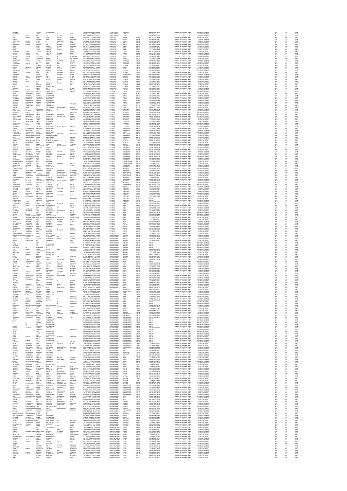| - INTERNATIONAL BRANCH<br>INGENIA ANG MANARA<br>INGENIA ANG MANARA<br>ISANG MANARA<br>ISANG MANARA<br>ISANG MANGKAT<br>ISANG MANGKAT<br>ISANG MANGKAT<br>ISANG MANGKAT<br>ISANG MANGKAT<br>ISANG MANGKAT<br>ISANG MANGKAT MANGKAT<br>ISANG MANGKAT MANGKAT MANGKAT |
|--------------------------------------------------------------------------------------------------------------------------------------------------------------------------------------------------------------------------------------------------------------------|
|                                                                                                                                                                                                                                                                    |
|                                                                                                                                                                                                                                                                    |
|                                                                                                                                                                                                                                                                    |
|                                                                                                                                                                                                                                                                    |
|                                                                                                                                                                                                                                                                    |
|                                                                                                                                                                                                                                                                    |
| DARSHANA<br>MANJU                                                                                                                                                                                                                                                  |
| SURESH<br>RATAN                                                                                                                                                                                                                                                    |
| CHAND                                                                                                                                                                                                                                                              |
| SUNITA<br>DINESH                                                                                                                                                                                                                                                   |
| OMA<br>MEUDEEN                                                                                                                                                                                                                                                     |
| VINOD<br>JAYANTILAI                                                                                                                                                                                                                                                |
|                                                                                                                                                                                                                                                                    |
| ABHAY<br>KALPESH<br>ASHITA                                                                                                                                                                                                                                         |
| ARVINDENA<br>VIPULBHAI                                                                                                                                                                                                                                             |
|                                                                                                                                                                                                                                                                    |
| KANTILAL<br>JAYABEN<br>ANILABEN                                                                                                                                                                                                                                    |
| KAMANI                                                                                                                                                                                                                                                             |
| RUCHI<br>DHARMENDI                                                                                                                                                                                                                                                 |
| SANGHANI<br>PRADIP                                                                                                                                                                                                                                                 |
| ASHOKKUMAI<br>MITA                                                                                                                                                                                                                                                 |
| KANCHANIET                                                                                                                                                                                                                                                         |
| VIRAL<br>SHAKUNTLA                                                                                                                                                                                                                                                 |
| MINAKSI<br>BHIKHABHA<br>DARSHNA                                                                                                                                                                                                                                    |
|                                                                                                                                                                                                                                                                    |
|                                                                                                                                                                                                                                                                    |
| <b>JIGNA</b><br>SHANTILAL<br>NAROTAMDAS<br>DHARATBHAI<br>KETAN<br>KARIFEWINA                                                                                                                                                                                       |
|                                                                                                                                                                                                                                                                    |
| KAMLESP                                                                                                                                                                                                                                                            |
| KUNTAL<br>SHEETAL<br>THACKER                                                                                                                                                                                                                                       |
| SHAH<br>PINAKIN                                                                                                                                                                                                                                                    |
| BABULAL                                                                                                                                                                                                                                                            |
| NITESH<br>NILESH                                                                                                                                                                                                                                                   |
| DHARMEND                                                                                                                                                                                                                                                           |
| SHAIRH<br>USHA<br>MUKUNDE                                                                                                                                                                                                                                          |
| GHANSHYAMB                                                                                                                                                                                                                                                         |
| MAHENDRA<br>MAHENDRA                                                                                                                                                                                                                                               |
| VIMLA<br>GANESHKUMAI                                                                                                                                                                                                                                               |
|                                                                                                                                                                                                                                                                    |
| PARMAR<br>SURAVAT<br>GANDHI                                                                                                                                                                                                                                        |
| SHAH<br>NARENDRAKI                                                                                                                                                                                                                                                 |
| KANUBHAI                                                                                                                                                                                                                                                           |
| PATEL<br>SAJID                                                                                                                                                                                                                                                     |
| RAMESHBHAI<br>MUKESHBHAI                                                                                                                                                                                                                                           |
| LAXMAN<br>SALUNKE                                                                                                                                                                                                                                                  |
| PAWAR<br>RAPUT                                                                                                                                                                                                                                                     |
|                                                                                                                                                                                                                                                                    |
| AMISHA<br>BABUBHAI<br>SANDEEP                                                                                                                                                                                                                                      |
| HARIHAGNA<br>NAJIRABANU                                                                                                                                                                                                                                            |
| HARSUICHENA                                                                                                                                                                                                                                                        |
| PATEL<br>KAMLESH                                                                                                                                                                                                                                                   |
| SANJAY<br>SWATIBEN                                                                                                                                                                                                                                                 |
| ZINABHAI<br>SEEMA                                                                                                                                                                                                                                                  |
| JAY                                                                                                                                                                                                                                                                |
| DIMPLE                                                                                                                                                                                                                                                             |
| RAJULIOJMA<br><b>KETAN</b>                                                                                                                                                                                                                                         |
| DIMPLEXUMAL<br>DIPAKEHAI<br>PRAGNA<br>DIPESHEHAI                                                                                                                                                                                                                   |
|                                                                                                                                                                                                                                                                    |
| SAROSH                                                                                                                                                                                                                                                             |
| VIRAL<br>DHANSURH                                                                                                                                                                                                                                                  |
| jashnanileasin<br>Haiush<br>Lyndon                                                                                                                                                                                                                                 |
|                                                                                                                                                                                                                                                                    |
| DINESH                                                                                                                                                                                                                                                             |
|                                                                                                                                                                                                                                                                    |
| RITA<br>FRANK                                                                                                                                                                                                                                                      |
| <b>MATILDA</b><br>DAMYALAL                                                                                                                                                                                                                                         |
| LILY<br><b>BINDL</b>                                                                                                                                                                                                                                               |
| PRASHAN                                                                                                                                                                                                                                                            |
| AIAY<br>ATUL                                                                                                                                                                                                                                                       |
| ARVIND<br>SHAMIM                                                                                                                                                                                                                                                   |
|                                                                                                                                                                                                                                                                    |
| SANJAY<br>CHITRA<br>SANJAY                                                                                                                                                                                                                                         |
| PREMLATA<br>SANTOSH                                                                                                                                                                                                                                                |
| URVASHI                                                                                                                                                                                                                                                            |
| RAJ<br>NANJIBINA                                                                                                                                                                                                                                                   |
| PIYUSH<br>DEEPALI                                                                                                                                                                                                                                                  |
| KETAN                                                                                                                                                                                                                                                              |
| ATULENA<br>SAURABH                                                                                                                                                                                                                                                 |
| RAJU<br>NAYAK                                                                                                                                                                                                                                                      |
|                                                                                                                                                                                                                                                                    |
| NAMDEO<br>RONALDO<br>NANDKUMAI                                                                                                                                                                                                                                     |
| ABHAY<br>SIDDHARTH                                                                                                                                                                                                                                                 |
| RADHIKA                                                                                                                                                                                                                                                            |
| ABHUEET<br>LAXMAN                                                                                                                                                                                                                                                  |
| IOSHI<br>IOSHI                                                                                                                                                                                                                                                     |
| RAIKUMAR<br>NITIN                                                                                                                                                                                                                                                  |
| VINOD<br>KAMAL                                                                                                                                                                                                                                                     |
| RAMESH                                                                                                                                                                                                                                                             |
| SHILA                                                                                                                                                                                                                                                              |
| KAKI<br>MEERABA<br>PRAVIN                                                                                                                                                                                                                                          |
| <b>VIVEK</b>                                                                                                                                                                                                                                                       |
|                                                                                                                                                                                                                                                                    |
| SANJAY<br>YOGES?                                                                                                                                                                                                                                                   |
| DEEPAK<br>RAIAN                                                                                                                                                                                                                                                    |
| SUNIL<br>DINESH                                                                                                                                                                                                                                                    |
| SHAH                                                                                                                                                                                                                                                               |
| ANAND<br>HARI                                                                                                                                                                                                                                                      |
| AASHSH<br>NITIN                                                                                                                                                                                                                                                    |
| POPATLA                                                                                                                                                                                                                                                            |
| RUPESH<br>TRUPTI                                                                                                                                                                                                                                                   |
| SIKANDAR<br>MILIND                                                                                                                                                                                                                                                 |
| SUMAS<br>SHRIKANT                                                                                                                                                                                                                                                  |
|                                                                                                                                                                                                                                                                    |
| RAHUL<br>BOOPATHY<br>ABDUL                                                                                                                                                                                                                                         |
| VIRENDRA                                                                                                                                                                                                                                                           |
| JAYANTILAL<br>PAVAN                                                                                                                                                                                                                                                |
| HEMANT<br>MOHAN                                                                                                                                                                                                                                                    |
| RUPAL<br>RAMESH                                                                                                                                                                                                                                                    |
| HARISH                                                                                                                                                                                                                                                             |
| SUSHIL<br>RAOSAHED                                                                                                                                                                                                                                                 |
| DEEPAK<br>SURESH                                                                                                                                                                                                                                                   |
| KIRAN                                                                                                                                                                                                                                                              |
| stms<br>AMIT                                                                                                                                                                                                                                                       |
| NEMICHANI<br><b>MAYUR</b>                                                                                                                                                                                                                                          |
| DHIRAJ                                                                                                                                                                                                                                                             |
| SHALIGRAM<br>MRS                                                                                                                                                                                                                                                   |
| DNYANSHI                                                                                                                                                                                                                                                           |
|                                                                                                                                                                                                                                                                    |
| SANJAY<br>ADITYA<br>SHEXHAR                                                                                                                                                                                                                                        |
| SYED<br>DEEPAK<br>MOHD                                                                                                                                                                                                                                             |
| SURESH                                                                                                                                                                                                                                                             |
| vaishali<br>Chandrakumai                                                                                                                                                                                                                                           |
| SANTOSHICU<br>SHRIKANT                                                                                                                                                                                                                                             |
| MADISLIRI<br>VASDEV                                                                                                                                                                                                                                                |
|                                                                                                                                                                                                                                                                    |
| SUDAS<br>CHANDRABHAL<br>SAHIR                                                                                                                                                                                                                                      |
| DEEPTI<br>ANKUR                                                                                                                                                                                                                                                    |
| SUSHILA                                                                                                                                                                                                                                                            |
| ARUNA<br>PREMLATA                                                                                                                                                                                                                                                  |
| PAWANKUMAI<br>MAHESH                                                                                                                                                                                                                                               |
| ABMA<br>ASHOK                                                                                                                                                                                                                                                      |
| <b>AMINA</b>                                                                                                                                                                                                                                                       |
| <b>ALOK</b><br>LOKENDRA                                                                                                                                                                                                                                            |
| ASHIK<br>DEEPAK                                                                                                                                                                                                                                                    |
| SANTOSI<br>PRADEER                                                                                                                                                                                                                                                 |
| SUSHILA<br>ANKIT                                                                                                                                                                                                                                                   |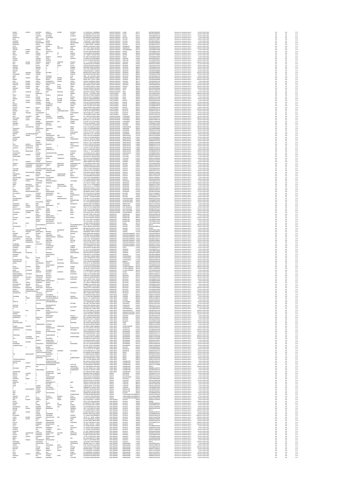| SANJAY<br>MANISH<br>TARUN                           | KUMAR                                    | KATARIYA<br><b>KUMAR</b><br><b>ACHARYA</b>   | ABHAYA<br>DEVENDRA<br>RAVINDRA                              | KUMAR                                  | KATARIYA<br>KUMAR<br><b>ADMARYA</b>      | 1/3 SHANIGALI BARFINDIA<br>7 MAHARANA PRATAP INDIA<br>80 VIKRAMADITYA MA INDIA                                          | MADHYA PRADESH<br>MADHYA PRADESH<br>MADHYA PRADESH                 | uuan<br>UIJAIN<br>UJJAIN                                              | 456773<br>456773<br>456773                                                                                                 | IN30198310356662<br>N30133018382702<br>1204110000029170                     | Amount for unclaimed and us<br>Amount for unclaimed and u<br>Amount for unclaimed and u                             | 12.50 01-NOV-2022<br>50.00 01-NOV-2022<br>25.00 01-NOV-2022                      |                                                                                                                                                                                                                               |
|-----------------------------------------------------|------------------------------------------|----------------------------------------------|-------------------------------------------------------------|----------------------------------------|------------------------------------------|-------------------------------------------------------------------------------------------------------------------------|--------------------------------------------------------------------|-----------------------------------------------------------------------|----------------------------------------------------------------------------------------------------------------------------|-----------------------------------------------------------------------------|---------------------------------------------------------------------------------------------------------------------|----------------------------------------------------------------------------------|-------------------------------------------------------------------------------------------------------------------------------------------------------------------------------------------------------------------------------|
| SNEHALATA<br>NEMA<br>SAURABH                        |                                          | <b>JAIN</b><br>KACHCHHARA<br><b>MATHUR</b>   | DILIPICUMAL<br>AIIT<br><b>BAKESH</b>                        |                                        | <b>BHANDAR</b><br><b>MATHUR</b>          | 559 DINDAYAL NAGAR INDIA<br>125 SHASTRI NAGAR BINDIA<br>"SHIVASHISH" 585 KA'INDIA                                       | MADHYA PRADESH<br>MADHYA PRADESH<br>MADHYA PRADESH                 | RATLAN<br>RATLAM<br>RATLAM                                            | 457000<br>457000<br>457000                                                                                                 | 1203320001001289<br>IN30023911759667<br>IN30198310058012                    | Amount for unclaimed and u<br>Amount for unclaimed and u<br>Amount for unclaimed and u                              | 5.00 01-NOV-2022<br>20.00 01-NOV-2022<br>5.50 01-NOV-2022                        |                                                                                                                                                                                                                               |
| ARADHNA<br>MANGLESH                                 |                                          | MAHESHWARI<br><b>MEHTA</b>                   | SATISM<br>SUJANMAJ                                          |                                        | MAHESHWARI<br>MEHTA                      | 2 NAZAR BAG BANK CIINDIA<br>17 AZAD CHOWK JACINDIA                                                                      | MADHYA PRADESH<br>MADHYA PRADESH                                   | RATLAM<br>RATLAM                                                      | 457000<br>457226                                                                                                           | IN30198310094683<br>IN30198310135427                                        | Amount for unclaimed and u<br>Amount for unclaimed and                                                              | 10.50 01-NOV-2022<br>10.00 01-NOV-2022<br>50.00 01-NOV-2022                      |                                                                                                                                                                                                                               |
| LEELA<br>BARKHA<br>JAGDISH                          | KUMAR                                    | CHAPROT<br>sons<br>SHARMA                    | MANGE<br><b>DAJ</b><br>RAMESH                               | LAL<br>NARAYAN                         | SISODIYA<br>sann<br>KUMAR                | ADINATH VIHAR NAI A INDIA<br>F-16 CANTT GUNA IM. INDIA<br>191.1 AJAD WARD PIP INDIA                                     | MADHYA PRADESH<br>MADHYA PRADESH<br>MADHYA PRADESH                 | MANDSAUI<br>MANDSAUR<br>HOSHANGABAD                                   | 458000<br>458000<br>461775                                                                                                 | N30198310764634<br>1201810000010012<br>1203160000152066                     | Amount for unclaimed and u<br>Amount for unclaimed and u<br>Amount for unclaimed and u                              | 250.00 01-NOV-2022<br>5.00 01-NOV-2022                                           |                                                                                                                                                                                                                               |
| PREM<br>RAM<br>SHEELA                               | CHAND<br>BADU                            | jain<br>Saxena<br>THAKUR                     | ORIOTELAL<br>SHRI                                           | 5N                                     | MIAL<br>SAXENA<br>THAKUR                 | HIG-129 VIDYA NAGARINDIA<br>E-6/146 ARERA COLONINDIA<br>19/ 7 LIBERTY COLONY INDIA                                      | MADHYA PRADESH<br>MADHYA PRADESH<br>MADHYA PRADESH                 | ENOPAL<br>ENOPAL<br>ENOPAL                                            | 462000<br>462016<br>462046                                                                                                 | 1201160000011132<br>1203160000134672<br>IN30133017765899                    | Amount for unclaimed and<br>Amount for unclaimed and u<br>Amount for unclaimed and u                                | 52.50 01-NOV-2022<br>12.50 01-NOV-2022<br>27.50 01-NOV-2022                      |                                                                                                                                                                                                                               |
| AMIT<br>PUS/PA<br>SADHN                             |                                          | PYASI<br>HABLAN<br>SHARMA                    | RAMESH<br><b>JAPAL</b><br>SHARMA                            | PRASAD                                 | PEASE<br>HAILAN                          | DR. AMIT PYASI BEHIN INDIA<br>C 4 AKASHIYA APPARTIINDIA<br>BH 30 D D NAGAR BHFINDV                                      | MADHYA PRADESH<br>MADHYA PRADESH<br>MADHYA PRADESH                 | SAGAR<br>GWALIOT<br>GWALIOT                                           | 470000<br>474002<br>474005                                                                                                 | 120316000011058<br>IN30133020364521<br>1201320001049443                     | Amount for unclaimed and u<br>Amount for unclaimed and<br>Amount for unclaimed and u                                | 5.00 01-NOV-2022<br>25.00 01-NOV-2022<br>50.00 01-NOV-2022                       |                                                                                                                                                                                                                               |
| AMIT<br>RAVI<br>PRADEEP                             | KUMAR<br>KUMAR                           | RAIZADA<br><b>GUPTA</b><br><b>GUPTA</b>      | MOHAN<br>NAND<br>RAM                                        | SWARDOR<br>RAM<br><b>SEWAK</b>         | RAIZADA<br>GUPTA<br>GUPTA                | 42 C. P. COLONY MOR INDIA<br>S/O NAND RAM GUPT/INDIA<br>PURANI JEEN MAIN ROINDIA                                        | MADHYA PRADESH<br>MADHYA PRADESH<br>MADHYA PRADESH                 | GWALIOT<br>MORENA<br>MORENA                                           | 474000<br>476000<br>476000                                                                                                 | 1202890000594250<br>IN30226911183062<br>120447000115192                     | Amount for unclaimed and u<br>Amount for unclaimed and u<br>Amount for unclaimed and                                | 100.00 01-NOV-2022<br>12.50 01-NOV-2022<br>50.00 01-NOV-2022                     |                                                                                                                                                                                                                               |
| PRAYEEN<br><b>ANUPMA</b><br>RANEET                  |                                          | SHARMA<br>MISHRA<br>BASAK                    |                                                             |                                        | SHARMA<br>MSHIM<br>BASAK                 | NALANDA NIWAS NEALINDIA<br>W/O SHRI MANOHARINDIA<br>CHAPRA BAGICHA SHINDIA                                              | MADHYA PRADESH<br>MADHYA PRADESH<br>MADHYA PRADESH                 | ANUPPLE<br>ANUPPLE<br>ANUPPLE                                         | 484000<br>484000<br>484000                                                                                                 | 120356020001166<br>1203560200001263<br>1203560200008496                     | Amount for unclaimed and u<br>Amount for unclaimed and u<br>Amount for unclaimed and u                              | 50.00 01-NOV-2022<br>50.00 01-NOV-2022<br>15.00 01-NOV-2022                      |                                                                                                                                                                                                                               |
| mon<br>VEERENDR<br>KANTI                            | PRAKASH<br>KUMAR.                        | SHARMA<br><b>JAISWAL</b>                     | NATHMAL<br>OMNDAN                                           |                                        | SHARMA<br><b>JAISWAL</b><br>oris         | BEHIND HIGH SCHOOL INDIA<br>MAIN ROAD SOHAGPUINDIA<br>NEAR JAIL BUILDING INDI-                                          | MADHYA PRADESH<br>MADHYA PRADESH<br>MADHYA PRADESH                 | ANUPPLE<br>ANUPPLE<br><b>ANUPPLE</b>                                  | 484000<br>484000<br>484000                                                                                                 | 1203560200008823<br>1203560200011585<br>120356020000117                     | Amount for unclaimed and u<br>Amount for unclaimed and<br>Amount for unclaimed and                                  | 100.00 01-NOV-2022<br>25.00 01-NOV-2022<br>10.00 01-NOV-2022                     |                                                                                                                                                                                                                               |
| NANDA                                               | KUMAR                                    | CHIB<br>SEN<br><b>JAISWA</b><br><b>YADAY</b> | MAHAVIE<br>PRADIE<br>DHARMMAT                               | PRASAD<br>KUMAR<br>PRASAD              | <b>JAISWAI</b>                           | LAKHERAN MOHALLA (IND)<br>AMAR DEEP CLOTH SINDM<br>VAISHALI GARMENTS HINDM                                              | MADHYA PRADESH<br>MADHYA PRADESH                                   | SHAHDO<br>SHANDO                                                      | 484110<br>484114<br>484117<br>484334                                                                                       | IN30198110294943<br>120356020000406                                         | Amount for unclaimed and<br>Amount for un<br>imed and <mark>L</mark><br>imed and L                                  | 150.00 01-NOV-2022<br>200.00 01-NOV-2022                                         |                                                                                                                                                                                                                               |
| ANUJ<br>SANTOSI<br>SANTOS                           | KUMAR<br>KUMAR<br>KUMAR                  | RASTOG                                       | RADHYSH<br>NANDA                                            | <b>DULAL</b>                           | YADAY<br>RASTOG<br>MEDIA                 | DAFAI TOLA WARD NO INDI<br><b>MAYI NAGAR COLONY JINDI</b>                                                               | MADHYA PRADESH<br>MADHYA PRADESH<br>MADHYA PRADESH                 | SHANDO<br><b>ANUPPLE</b><br><b>ANUPPLE</b>                            |                                                                                                                            | 1203350000031136<br>IN3019831040264<br>120205000003010                      | Amount for u<br>Amount for und<br>imed and<br>Amount for und<br>imed and                                            | 2.50 01-NOV-2022<br>75.00 01-NOV-2022<br>50.00 01-NOV-2022                       |                                                                                                                                                                                                                               |
| <b>SUNIL</b><br>PRAKASH<br><b>SUNIL</b>             | KUMAR<br>CHAND                           | MEDYA<br>SINGH<br>JAIN<br>KUMAR              | ram<br>Manik                                                | SAKAL<br>CHAND                         | <b>JAIN</b><br>PRASAD                    | C/O CENTAL BANK OF UNDI-<br><b>ISHALI PRESS KOTWINDI</b><br>C/O GOPI CHAND AGR/INDI                                     | MADHYA PRADESH<br>MADHYA PRADESH<br>MADHYA PRADESH                 | <b>UMARIA</b><br>SATNA<br>sion                                        | 48446<br>486887                                                                                                            | 120356020000897<br>IN3013302022468<br>IN30155721896045                      | enount for u<br>imed and <mark>L</mark><br>imed and L<br>Amount for u<br>Amount for une<br>imed and                 | 100.00 01-NOV-2022<br>50.00 01-NOV-2022<br>2.50 01-NOV-2022                      |                                                                                                                                                                                                                               |
| VIDYA<br>SARQU                                      | SHANKET<br>KUMAR                         | SINGH<br>MANOHA                              | SURENDRA<br>RAM<br>PRAGHU                                   | NARAYAN<br>NARAYAN                     | SINGH<br>GANESH                          | OTR NO-IR-1/6 BIRLA CINDI<br>QTR. NO. - 3/8 STREET INDIA<br>QTR NO 6 D STREET NCINDIA                                   | MADHYA PRADESH<br>OINATTISGARH<br>OINATTISGARH                     | sion<br>buto<br>pung                                                  | 486887<br>49000<br>49000                                                                                                   | IN30155721893150<br>120111000033945<br>N3013302003359                       | Amount for und<br>imed and<br>enount for u<br>imed and <mark>L</mark><br>imed and L<br>Amount for u                 | 62.50 01-NOV-2022<br>05.00 01-NOV-2022<br>25.00 01-NOV-2022                      |                                                                                                                                                                                                                               |
| VUAY<br>SANJIV                                      | KUMAR                                    | KHOSLA<br><b>KUMAR</b>                       | NAND                                                        | <b>CSHORE</b>                          | KHOSLA<br>SINGH<br>JAISHWAI              | BLOCK 64 PLOT 9 NEHEINDI<br>MIG 625 PADMANAGE INDI                                                                      | DINATTISGARI<br>DINATTISGARI                                       | pung<br>pung                                                          | 490020<br>491000                                                                                                           | IN30045011315348<br>IN3013301919723                                         | Amount for und<br>imed and<br>Amount for uncl<br>imed and                                                           | 5.00 01-NOV-2022<br>25.00 01-NOV-2022                                            |                                                                                                                                                                                                                               |
| <b>KAI</b><br>HELINA                                | kishor<br>Kumar                          | <b>JASHWA</b><br>SURANA<br>MOZESES           | NAND<br>RICHAB<br>ALEXENDO                                  | KISHORI<br>CHAND                       | <b>SURANA</b><br>MOZESES                 | NEAR ANUPAMA TALK INDI-<br>H NO-59 PALACE BOATINGS<br>AT DANTFOOM<br>ARI WA INDIA                                       | DINATTISGARI<br>DINATTISGARI<br>DINATTISGARI                       | BASTAR<br>BASTAR<br>BASTAR                                            | 49400<br>494000<br>494000                                                                                                  | IN30302855043036<br>1201860000210522<br>120186000031684                     | enount for u<br>med and<br>Amount for u<br>med and<br>Amount for und<br>imed and u                                  | 0.50 01-NOV-2022<br>25.00 01-NOV-2022<br>100.00 01-NOV-2022                      |                                                                                                                                                                                                                               |
| NIRMLA<br><b>HUKUN</b><br>RAIDE                     | CHAND                                    | NAHTA<br>SAINT                               | <b>MMBALAI</b><br>EPIOM<br>HAWA                             | RAJ<br>SINGH                           | <b>YADAY</b><br>NAHTA<br>SAIN            | H NO. H/2 ENG. COLLE INDI<br>SANIAY WARD MAA DUNDE<br>RAISONS AUTO BORIN INDI                                           | DINATTISGARI<br>HATTISGARI<br>DINATTISGARI                         | BASTAR<br>BASTAR<br>BLASPUR                                           | 49400<br>494115<br>495000                                                                                                  | 120186000028773<br>120186000014074<br>IN30133020109179                      | Amount for und<br>imed and<br>enount for u<br>imed and<br>Amount for u<br>med and                                   | 50.00 01-NOV-2022<br>10.00 01-NOV-2022<br>250.00 01-NOV-2022                     |                                                                                                                                                                                                                               |
| <b>ADIRAJL</b><br>BIMAL<br>FIRAT                    | UDAY<br>KRSHNA                           | BHASKAR<br>CHAIOU<br><b>EAM</b>              | CHAST                                                       | SURAYAN                                | MURTY<br>CHAKRADORT<br><b>MM</b>         | H NO-16/370 INDERA CINDIA<br>ORT NO 836/2 RLY CONNOM<br>C/O DR.SARITA SINGH INDM                                        | DINATTISGARI<br>DINATTISGARI                                       | BLASPUR<br>BILASPUR                                                   | 495000<br>495004<br>49700                                                                                                  | IN30039415344479<br>120106010002927<br>N3015572190215                       | Amount for uncl<br>imed and<br>Amount for und<br>imed and<br>enount for u<br>med and                                | 25.00 01-NOV-2022<br>15.00 01-NOV-2022<br>0.00 01-NOV-2022                       |                                                                                                                                                                                                                               |
| AME<br>CHALASAN<br><b>ALABAM</b>                    | CHANDRA<br>TULASI<br>VUAYA               | TIWARI<br>RANI                               | PRAMOD<br>DIALASAN                                          | CHANDRA<br>PRADHAKAR                   | <b>TIWARI</b><br><b>MO</b><br>DAMODARAM  | 15-7-160/A MUSUMIA INDI<br>H NO 2 2 647/23 CENT INDIA                                                                   | OIMATTISGARH<br>ANDHRA PRADESH<br>ANDHRA PRADESP<br>ANDHRA PRADES! | <b>HYDERABAG</b><br><b>HYDERABAC</b><br><b>HYDERABAG</b>              | 500012<br>500013<br>50002                                                                                                  | 120447000200563<br>IN3010222041725<br>IN3002393003014                       | Amount for u<br>med and<br>Amount for und<br>imed and<br>Amount for us<br>imed and                                  | 32.00 01-NOV-2022<br>500.00 01-NOV-2022<br>25.00 01-NOV-2022                     |                                                                                                                                                                                                                               |
| <b>SUDHIR</b><br>PARASILA                           |                                          | BHASKAR<br>MANNE<br>BAFNAJAIP                | NAGESWAR<br>RANULAI                                         | RAD                                    | MANNE<br>PAREKH                          | SRI NIVAS 10-1-641 NE INDIA<br>FLAT NO 11 PLOT NO 61NDIA<br>H NO 64-184 MARKET INDIA                                    | ANDHRA PRADES<br>ANDHRA PRADES!                                    | <b>HYDERABAG</b><br>ADILABAD                                          | 500034<br>20421                                                                                                            | N30051313083300<br>1203840001126356                                         | enount for u<br>med and<br>Amount for u<br>med and                                                                  | 20.00 01-NOV-2022<br>25.00 01-NOV-2022                                           |                                                                                                                                                                                                                               |
| VADLUR<br>VADDEPALL                                 | VUAY<br>DASHARATHA                       | <b>KUMAR</b><br>REDOY<br>SARASWATH           | BUCHAIAH<br>NARASAIAH                                       | GANGA                                  | REDOY<br>cont                            | 2-7-319/3 OLD COLON INDI<br>D NO 1-1/1 MAID PALLINDI<br>#18-9-112 KARIMADAI                                             | ANDHRA PRADES!<br>ANDHRA PRADES!<br>ANDHRA PRADES!                 | ADILABAD<br>KARIM NAGA<br>WARANGAL                                    | 504296<br>505453                                                                                                           | 120307000006402<br>1205450000161490<br>12023000003                          | Amount for un<br>imed and<br>Amount for us<br>imed and<br>enount for u<br>med and                                   | 25.00 01-NOV-2022<br>50.00 01-NOV-2022<br>25.00 01-NOV-2022                      |                                                                                                                                                                                                                               |
| RAMESH<br>SURENDER<br><b>KOWRU</b>                  | VISYAN                                   | SARDA<br>PULLURI                             | RAM<br><b>CRISHINA</b>                                      |                                        | VALLE<br>RAIALINGAM<br>MURTHY            | H NO 8-3-33/1 II FLOO INDI<br>H NO 20-272 JAYA T K ! NDM<br>O NO 309 ITC LTD PSP INDI                                   | ANDHRA PRADESP<br>ANDHRA PRADESP<br>ANDHRA PRADES!                 | WARANGAI<br>WARANGAI<br><b>DIAMMAN</b>                                | scepe:<br>506164                                                                                                           | N30061011016189<br>1203090000121266<br>120545000000163                      | Amount for u<br>med and<br>Amount for un<br>imed and<br>Amount for us<br>imed and <mark>L</mark><br>imed and L      | 87.50 01-NOV-2022<br>75.00 01-NOV-2022<br>0.00 01-NOV-2022                       |                                                                                                                                                                                                                               |
| RAVI<br>VUDAYAGIR<br>MOHAN                          | <b>KUMAR</b>                             | N<br>HARINATH                                | HANUMANTHA<br>VUDAYAGIR<br>RENGANATHAN                      | RAD<br><b>VENKATAPPA</b>               | serry<br>SAMBANDAN                       | D NO 3 350 OPP VASAVINDIA<br>D NO 8-221 GUNDLAPHINDIA<br>3-2730 LD 583-B RLY CINDIA                                     | ANDHRA PRADES!<br>ANDHRA PRADESP<br>ANDHRA PRADESP                 | MANTHAPU<br>ANANTHAPU<br>ANANTHAPU                                    |                                                                                                                            | N3010222129830<br>1204770000000533<br>IN3022691069893                       | enount for u<br>Amount for u<br>med and<br>Amount for un<br>imed and                                                | 1.00 01-NOV-2022<br>22.50 01-NOV-2022<br>16.50 01-NOV-2022                       |                                                                                                                                                                                                                               |
| cume                                                | ASWATH                                   | MURAL<br>NAGES<br>NAGARAJL                   | <b>SPPESWAM</b><br><b>NAGAPPA</b>                           |                                        | SREENIVASULL<br>serry.                   | D NO 8-3-376 CAR STR INDI<br>D NO 10-1-135-3 LAKSH<br>D NO 8-3-379 CAR STR INDIA                                        | ANDHRA PRADES!<br>ANDHRA PRADES!<br>ANDHRA PRADESP                 | ANANTHAPU<br>ANANTHAPU<br>ANANTHAPU                                   | 50109<br>507128<br>515134<br>515800<br>515805<br>515805                                                                    | IN30066910176476<br>IN3006691016548<br>IN3006691017053                      | Amount for us<br>imed and <mark>L</mark><br>imed and L<br>enount for u<br>Amount for u<br>med and                   | 22.50 01-NOV-2022<br>5.00 01-NOV-2022<br>50.00 01-NOV-2022                       |                                                                                                                                                                                                                               |
| POLEPALLI<br><b>JAYANTHI</b>                        | RAGHUNATI                                | BABU<br>serry                                | VENKAIAH<br>KARIBASAPPA                                     |                                        | <b>THIPPESWAM</b><br>serry               | 0.2.2021AVOIDE BAZENDIN<br>H NO 10-1-136/1 RAILVINDIA<br>D NO 2-15 MECHRY PONDIA                                        | ANDHRA PRADESP<br>ANDHRA PRADES!<br>ANDHRA PRADES!                 | ANANTHAPUL<br>ANANTHAPU<br>ANANTHAPU                                  | 51580<br>515865<br>515865                                                                                                  | IN30066910172176<br>IN3006691014876<br>N3006691016976                       | Amount for un<br>imed and<br>Amount for us<br>imed and <mark>L</mark><br>imed and L<br>enount for u                 | 25.00 01-NOV-2022<br>4.00 01-NOV-2022<br>10.00 01-NOV-2022                       |                                                                                                                                                                                                                               |
| PALUVURI<br>KUSUMAPPA                               | .<br>NARASIHMA                           | serry<br>KURUBA                              | HANUM                                                       |                                        | SIDDAPPA<br>KURUBA                       | D.NO.16 - 2 - 200 VAR/INDIA<br>3 26 KADALUR VLG D HINDIA                                                                | ANDHRA PRADESP<br>ANDHRA PRADESP                                   | ANANTHAPU<br>ANANTHAPU                                                | 51580<br>51580                                                                                                             | 120186000010511<br>120100000013355                                          | Amount for u<br>med and u<br>Amount for un<br>imed and                                                              | 50.00 01-NOV-2022<br>10.00 01-NOV-2022                                           |                                                                                                                                                                                                                               |
| DAASAR<br>HEMACHAND                                 | KISHORE                                  | <b>KUMAR</b><br>THALLA<br>VEDAVATHI          | <b>BANGAPPA</b><br>KUNDA                                    | SCHANDRA<br>THIRUMALA                  | BOSE<br>THALLA<br>KONDANA                | NO 28-1328/3 NEW BAINDI<br>DNO.18/1/721 BHAVA INDI<br>19 8 152/12 SAI RESIDENDI                                         | ANDHRA PRADESP<br>ANDHRA PRADES!<br>ANDHRA PRADESP                 | CHITTOOR<br>CHITTOOR<br>CHITTOOR                                      | 517000<br>517500<br>517500                                                                                                 | N3018951045543<br>IN3002391267031<br>IN30021413398562                       | Amount for u<br>imed and <mark>L</mark><br>imed and L<br>enount for u<br>Amount for u<br>med and                    | 0.00 01-NOV-2022<br>1.00 01-NOV-2022<br>50.00 01-NOV-2022                        |                                                                                                                                                                                                                               |
| CHITTEM<br><b>VENKATA</b>                           | MAHESH<br>SUDRAMAN                       | LAVANYA<br><b>KUMAR</b><br>KANAMARI AS       | <b>KESHAMIA</b><br>ENKATA                                   | NARAYANA                               | VENKATESWARI<br>SHAH<br>KANAMARLAPUD     | HNO 51 1028 02 SEETHINDIA<br>ARLINA VEROX SHOP NINDIA<br>9-72A SUBHASH ROAD INDIA                                       | ANDHRA PRADESP<br>ANDHRA PRADES!<br>ANDHRA PRADES!                 | <b>KURNOO</b><br>KURNOC<br><b>KRISHNA</b>                             | 518000<br>518300                                                                                                           | IN3010222134659<br>N3010222132668<br>1203230000493                          | Amount for un<br>imed and<br>Amount for u<br>imed and <mark>L</mark><br>imed and L<br>enount for u                  | 5.00 01-NOV-2022<br>25.00 01-NOV-2022<br>25.00 01-NOV-2022                       |                                                                                                                                                                                                                               |
| PANDU<br>TOLCHURS                                   | <b>BANGARAD</b><br>SAMIRAJYA             | KANDIERLA<br>LAKSHMI<br><b>FREATES</b>       | PANDU<br>TOLOHUR                                            | RANGARAO<br>YLN                        | KANCHERLA<br>MURTHY<br>TIRUPATAIAH       | PARAMESWARI AUTO INDIA<br>LACSHMI ADAPTMENTINGS<br>H NO 6-30-88/1 SRUNCINDI                                             | ANDHRA PRADESP<br>ANDHRA PRADESP<br>ANDHRA PRADES!                 | <b>KRISHNA</b><br>GUNTUR<br>GUNTUR                                    | 521300<br>52200                                                                                                            | N3023241005030<br>IN30232410121151<br>120352000004634                       | Amount for u<br>med and<br>Amount for un<br>imed and<br>Amount for u                                                | 5.00 01-NOV-2022<br>15.00 01-NOV-2022<br>5.00 01-NOV-2022                        | THIRT THIRT THIRT THIRT THIRT THIRT THIRT THIRT THIRT THIRT THIRT THIRT THIRT THIRT THIRT THIRT THIRT THIRT THIRT THIRT THIRT THIRT THIRT THIRT THIRT THIRT THIRT THIRT THIRT THIRT THIRT THIRT THIRT THIRT THIRT THIRT THIRT |
| UMADEVI<br>SITA<br>VANDANAPL                        | MAHALAKSHMI                              | CPPAN<br>NUNNA<br>KAWTHA                     | VENKATES!<br>ANJANEYA                                       | <b>HNAGESWARA</b>                      | <b>MO</b><br><b>GUPTHA</b><br><b>MO</b>  | H.NO.20-14-40-A DEVAINDI<br>SITA MAHA LAKSHMI NINDI<br>D NO 13-170 RAVILLA HNDM                                         | ANDHRA PRADES!<br>ANDHRA PRADES!<br>ANDHRA PRADES!                 | GUNTUR<br>GUNTUR<br>GUNTUR                                            | 522101<br>522201<br>522235<br>522413                                                                                       | N30037810171412<br>IN30039411236302<br>IN3027341005798                      | imed and <mark>L</mark><br>imed and L<br>Amount for u<br>Amount for u<br>med and<br>Amount for us<br>imed and       | 49.50 01-NOV-2022<br>50.00 01-NOV-2022<br>50.00 01-NOV-2022                      |                                                                                                                                                                                                                               |
| VANGA<br><b>OBULAPLIRAM</b>                         | SAMBI                                    | REDOY<br>diaval art                          | <b>ANGA</b><br>YALLAMANDA                                   | VENKATAPPA                             | ernov<br>SINGAMSETTY                     | 14-29 NAMELIR PEDAKINDIA<br>H NO 6-24/1 GANGANINDIA<br>6.175 VASANI NAGAR CINEMA                                        | ANDHRA PRADES!<br>ANDHRA PRADES!                                   | GUNTUR<br>GUNTUR                                                      | 522508<br>522508<br>522616                                                                                                 | N30177412016377<br>IN30232410870                                            | Amount for u<br>imed and <mark>L</mark><br>imed and L<br>Amount for u                                               | 0.00 01-NOV-2022<br>4.00 01-NOV-2022                                             |                                                                                                                                                                                                                               |
| <b>ALAPATI</b><br>ASHOK<br>JALADI                   | PANDURANCA<br><b>KUMAR</b>               | <b>BAD</b><br>TATIKONDA<br>RAMADEV           | KALESHA<br>VENKATES<br>SUBBARAC                             |                                        | TATIKONDA                                | S/O VENKATESWARLU INDI<br>15.15.56/1 P P ROAD INDIA                                                                     | ANDHRA PRADES!<br>ANDHRA PRADESP<br>ANDHRA PRADES!                 | GUNTUR<br>PRAKASAM<br>PRAKASAN                                        | 523155<br>523155<br>523157                                                                                                 | IN30102220342487<br>120352000002211<br>120352000003851                      | Amount for u<br>med and<br>Amount for us<br>imed and<br>Amount for u<br>imed and <mark>L</mark><br>imed and L       | 50.00 01-NOV-2022<br>5.00 01-NOV-2022<br>0.00 01-NOV-2022                        |                                                                                                                                                                                                                               |
| INDLA<br><b>SIVA</b>                                | SRINIVASA<br><b>NAGAPRASAD</b><br>VSUBBA | RAD<br>NERELLA<br><b>BAD</b>                 | NERELLA                                                     | NARASIMHA<br><b>VENKATASUBM</b><br>AS. | MO<br>RAO<br>GUPTA                       | D.NO.Z.2.19 TH WASHING<br>D NO 9-61-2 R T C COUNDI<br>MAIN BOAD PERALA C INDIA                                          | ANDHRA PRADES!<br>ANDHRA PRADESP<br>ANDHRA PRADESP                 | PRAKASAM<br>PRAKASAM<br>PRAKASAM                                      | 523157                                                                                                                     | N3003941575785<br>IN30039416115917<br>IN3003941138075                       | Amount for u<br>Amount for u<br>med and u<br>Amount for un<br>imed and                                              | 15.00 01-NOV-2022<br>2.50 01-NOV-2022<br>10.00 01-NOV-2022                       |                                                                                                                                                                                                                               |
| GADE<br>AHOBILA<br>CHILLAKURU                       | PITCHE<br>NARAHA                         | REDOY<br>SUJATNA                             | <br>PEDA<br>NARASIMHAN<br>VENKUREDDY                        | SIVA                                   | VASI<br>ernov                            | HOUSE NO 2-150 HIGHINDIA<br>SECONDARY GRADE TEINDIA<br>NO 27/1/1409 FLAT NCINDIA                                        | ANDHRA PRADES!<br>ANDHRA PRADES!<br>ANDHRA PRADESP                 | PRAKASAN<br>PRAKASAM<br>NELLORE                                       | 523157<br>523169<br>523230<br>524002                                                                                       | IN3023241076297<br>N3018951045008<br>IN30177412608621                       | Amount for u<br>imed and <mark>L</mark><br>imed and L<br>Amount for u<br>Amount for u<br>imed and                   | 0.00 01-NOV-2022<br>17.50 01-NOV-2022<br>5.00 01-NOV-2022                        |                                                                                                                                                                                                                               |
| print                                               | SUDHEER<br><b>JANAKI</b>                 | <b>KUMAR</b><br><b>RAMALAI</b>               | 124114-014                                                  | MOHAN                                  | CHEEMAKURTH<br>MO                        | 20 213 BRAHMIN STREINDI<br>D NO 86 214 NEAR NINDH<br>D NO 58-12-15 OLD KAINDH                                           | ANDHRA PRADES!<br>ANDHRA PRADESH<br>ANDHRA PRADESH                 | NELLORE<br>NELLORI                                                    | 524000<br>124305                                                                                                           | N3002141231904<br>120434000001177                                           | Amount for un<br>imed and<br>enount for u<br>imed and <mark>L</mark><br>imed and L                                  | 0.50 01-NOV-2022<br>0.00 01-NOV-2022                                             |                                                                                                                                                                                                                               |
| SASUMAHANT<br>SRIVIDYA                              |                                          | SARADA<br>RAJULAMMA                          | <b>JANDYALA</b><br>KONDA                                    | NANASIM                                | MO<br>BAMAKERSHIN<br>PILA<br>MAHADEVU    | 10-27-3/A GANGIREDOINDI<br>D E T OPP SARVAKAM/INDI/<br>TELAGA STREET VADA/INDI/                                         | ANDHRA PRADES!<br>ANDHRA PRADES!                                   | <b>VISAKHAPATNAM</b><br><b>VISAKHAPATNAM</b><br><b>VISAKHAPATNAM</b>  | 53000<br>530010<br>53100                                                                                                   | N3023241022616<br>120384000017580<br>N30189510600619                        | Amount for u<br>Amount for u<br>imed and u<br>Amount for us<br>imed and                                             | 10.00 01-NOV-2022<br>16.00 01-NOV-2022<br>25.00 01-NOV-2022                      |                                                                                                                                                                                                                               |
| MAHADEVL<br>AMPAVALL<br>MARTY                       | RAW<br>KESAVA<br>PUSHPA                  | BABU<br>RAD<br>SESHARATNAN                   | <b>MMA</b><br><b>STERAMENT</b>                              | RAD                                    | STARAM                                   | REGULARADU (VILL) VEINDI<br>D NO 9-14-7/A CHAND INDI                                                                    | ANDHRA PRADES!<br>ANDHRA PRADES!<br>ANDHRA PRADES!                 | SRIKAKULAN<br>SRIKAKULAM<br><b>EAST GODAVAR</b>                       | 532440<br>51240<br>533100                                                                                                  | IN30177411718434<br>IN30232410255140<br>12030900000646                      | enount for u<br>imed and <mark>L</mark><br>imed and L<br>Amount for u<br>Amount for us<br>imed and u                | 0.50 01-NOV-2022<br>5.00 01-NOV-2022<br>15.00 01-NOV-2022                        |                                                                                                                                                                                                                               |
| GUNTREDOR                                           | SRAGHU<br>THAMM                          | VEERRARJ<br><b>BAJU</b><br>NAIDU             | SUBBA<br>DANDU<br>SRIVUN<br>PRAFUL                          | COPALA                                 | <b>MO</b><br><b>BAJU</b><br>NAIDL        | D NO.13-191 SITANAG INDI<br>D NO 1-28 KORUKOLLLINDI<br><b>RAVI VALASA (VILL) GAINDI</b>                                 | ANDHRA PRADES!<br>ANDHRA PRADES<br>ANDHRA PRADES!                  | <b>EAST GODAVAR</b><br>WEST GODAVAR<br>VIZIANAGARAM                   | 533234<br>535521                                                                                                           | N3028631024276<br>120106000163858<br>N3023241056936                         | Amount for un<br>imed and<br>Amount for u<br>imed and <mark>L</mark><br>imed and L<br>Amount for u                  | 0.00 01-NOV-2022<br>63.50 01-NOV-2022<br>25.00 01-NOV-2022                       |                                                                                                                                                                                                                               |
| SAMEER<br>GAUTAM                                    |                                          | SHAH<br><b>EAMES</b>                         | NARASHIMIAN                                                 |                                        | SNH<br>SPAN                              | 36 VASVI TEMPLE ROA INDIA<br>NO-1/3 STH CROSS STINDIA<br>NO 9 KED COMPLEX 3RINDS                                        | KARNATAKA<br><b>CARINATAKA</b>                                     | BANGALORE<br><b>MAGALORE</b><br>ANGALORI                              | sonn<br>560023<br>56002                                                                                                    | IN30214810503128<br>IN30226911879160<br>1201090000652511                    | Amount for us<br>imed and u<br>Amount for uncl<br>imed and<br>enount for u                                          | 100.00 01-NOV-2022<br>1.00 01-NOV-2022<br>150.00 01-NOV-2022                     |                                                                                                                                                                                                                               |
| RAREV                                               | KUMAR                                    | SIPANI<br>MOHATA<br><b>SURESH</b>            | PRAKASHCH<br>NOTAVAILABLE<br>DAMODARAN                      |                                        |                                          | NO 12/2 A CROSS CHINNOL<br>135 3 RD MAIN 2 ND INDIA                                                                     | KARNATAKA<br>KARNATAKA<br><b>CARINATAKA</b>                        | BANGALORS<br>BANGALORS                                                | secose<br>secon                                                                                                            | 120299000471862<br>130193000207106                                          | imed and <mark>L</mark><br>imed and L<br>Amount for u<br>Amount for und<br>imed and                                 | 20.00 01-NOV-2022<br>2.50 01-NOV-2022                                            |                                                                                                                                                                                                                               |
| MOHAN<br>RAVIPRAKAS                                 | <b>BAJU</b>                              | RAVICHANCE                                   |                                                             | SHETTYL                                | LAKSHMIN<br>BASAVAIAN                    | LAKSHMI VENKATESHVINDI<br>NO. 2937/1, 4TH MAININDI<br>NO 01 MODEL HOUSE INDIA                                           | <b>CARINATAKA</b><br>KARNATAKA<br>KARNATAKA                        | KOLAR<br>wsom<br>MYSORE                                               | 562114<br>570027                                                                                                           | 120472000010958<br>003474<br>IN30214810586153                               | Amount for uncl<br>imed and<br>enount for u<br>imed and <mark>L</mark><br>imed and L<br>Amount for u                | 3.50 01-NOV-2022<br>100.00 01-NOV-2022<br>25.00 01-NOV-2022                      |                                                                                                                                                                                                                               |
| RITA                                                | RRAMAKR                                  | <b>STYASUBR</b><br>PRASAD<br>NARIELWALA      | PRAKASH                                                     | CRANGAIAI                              | MASILAMAN<br>sm<br>MARIELWALA            | 848 SWETHA NILAYA 4 INDIA<br>SRI RANGANATHA EN INDIA<br>KARIAMMA TEMPLE RUNDI                                           | <b>CARINATAKA</b><br><b>CARINATAKA</b>                             | KODAGU<br>TUMKUP<br>HASSAN                                            | 571234<br>572102<br>57310                                                                                                  | 003580<br>1203070000132861<br>N30169610484874                               | Amount for und<br>imed and<br>Amount for us<br>imed and<br>enount for u                                             | 0.50 01-NOV-2022<br>50.00 01-NOV-2022<br>9.00 01-NOV-2022                        |                                                                                                                                                                                                                               |
| HERMAN<br>VINOD<br>PORATHUKARA                      | prakash<br>Viras<br><b>KURIAN</b>        | PERIDA<br>THOMAS                             | <b>JOAXHIM</b><br><b>VARADARA</b><br>PORATHUKARAN           | <b>JOSHI</b><br>VARGHESE               | PERIERA<br>KURIAN                        | NEAR KARNATAKA BANINDI<br>LECTURER ALVAS AYUFINDI<br>H.NO.2/99 ALANGAR FINDS                                            | KARNATAKA<br>KARNATAKA<br><b>CARINATAKA</b><br><b>CARINATAKA</b>   | DAKSHINA KANNADA<br>DAKSHINA KANNADA 574222<br>DAKSHINA KANNADA 57422 | 574227                                                                                                                     | 1203440100006793<br>IN3016961118029<br>IN3016961022758                      | imed and <mark>L</mark><br>imed and L<br>Amount for u<br>Amount for us<br>imed and<br>Amount for us<br>imed and     | 45.00 01-NOV-2022<br>5.00 01-NOV-2022<br>25.00 01-NOV-2022                       |                                                                                                                                                                                                                               |
| <b>JATHANKOD</b><br>VEDA                            | NARAYAN<br>MAHABALA                      | PRASAD                                       | SWAN<br>NARAYANA                                            |                                        | <b>BHAT</b><br>KOTTARI                   | D NO 1/124 JATHANAHNDIA<br>PATEL HOUSE GUDDE INDIA                                                                      | KARNATAKA<br>KARNATAKA                                             | DAKSHINA KANNADA 57428<br>DAKSHINA KANNADA 57500                      |                                                                                                                            | N30169611348217<br>N3018951059468                                           | enount for u<br>imed and <mark>L</mark><br>imed and L<br>Amount for u                                               | 25.00 01-NOV-2022<br>25.00 01-NOV-2022                                           |                                                                                                                                                                                                                               |
| <b>ATHRABAIL</b><br>PRASHANT                        | MANJUNATI<br><b>KUMARY</b>               | SHETTY<br><b>CONATOS</b>                     | SANIEEVA<br>MADARA<br>VUMATHADKA                            |                                        | SHITTY<br><b>SUNDAR</b>                  | D NO 202 VINAYAKA A INDIA<br>SANJEEVA SADANA NE INDI<br>.<br>KATHYAYANI PADIGAR INDIA<br>KATHYAYANI PADIGAR INDIA       | <b>CARINATAKA</b><br><b>CARINATAKA</b><br>KARNATAKA<br>KARNATAKA   | DAKSHINA KANNADA 57500<br>DAKSHINA KANNADA<br>DAKSHINA KANNADA        | 57503<br>57502                                                                                                             | IN30214810316203<br>IN3022691111693<br>IN30226911079182<br>1201060000299770 | Amount for us<br>imed and<br>Amount for us<br>imed and<br>enount for u<br>imed and <mark>L</mark><br>imed and L     | 50.00 01-NOV-2022<br>1.00 01-NOV-2022<br>1.00 01-NOV-2022                        |                                                                                                                                                                                                                               |
| SHANKAR<br>MALATHI                                  | HEBBAR                                   |                                              | GANAPAYE<br><b>PUTTAPPA</b>                                 |                                        | HEBBAR<br>BELIMALLUR<br>CHETANA          | P.F. 20 S.V.P. COLONY INDI<br>NO 2637 DASARA BEEEINDI                                                                   | <b>CARINATAKA</b><br><b>KARINATAK</b>                              | <b>UDUPI</b><br><b>SHIMOGA</b><br><b>SHIMOGA</b>                      | 576102<br>577200                                                                                                           | 1204450000071711<br>120447000044988                                         | Amount for u<br>Amount for une<br>imed and<br>Amount for uncl<br>imed and                                           | 12.50 01-NOV-2022<br>5.00 01-NOV-2022<br>8.00 01-NOV-2022                        |                                                                                                                                                                                                                               |
| VEENA<br>KEMPEGOWDA<br>ESHMARA<br><b>KISHORE</b>    | SATHEESH                                 |                                              | NARAGALU<br>NANJUNE<br>SALIAN                               |                                        | KEMPEGOWD.<br>MO                         | MDK 87/8 NEW COLORINO<br>DOOR NO 67 C HUDCOINDI<br>H.NO.3028 T.B.ROAD KINDI                                             | KARNATAKA<br>KARNATAKA<br><b>CARINATAKA</b>                        | <b>SHIMOGA</b><br><b>SHIMOGA</b><br>CHITRADURGA                       | 577228<br>577300<br>577300<br>577540                                                                                       | N30169611449302<br>IN30169611688446<br>IN3016961020826                      | enount for u<br>imed and<br>Amount for us<br>imed and u<br>Amount for uncl<br>imed and u                            | 25.00 01-NOV-2022<br>0.00 01-NOV-2022<br>12.50 01-NOV-2022                       |                                                                                                                                                                                                                               |
| MANUMATHAN<br>SHRISHALAPPA                          | <b>OANIL</b><br>ò.                       | KUMAR<br><b>FAJU</b><br>MATTI                | GAVIYAPPA                                                   | OTHEVAN                                | <b>ONKARAPPA</b><br>RAJU<br>MATTI        | <b>SO BY ONEARADOA SINOL</b><br><b>STAFF NO. 49240 CAN/INDI</b><br>K M P CHAWL BADAMINGS                                | <b>KARINATAK</b><br>KARNATAKA<br>KARNATAKA                         | CHITRADURG<br>CHITRADURGA                                             | 577541<br>577541<br>578201                                                                                                 | IN3022691185533<br>N3002391185029<br>120445000010419                        | Amount for und<br>imed and<br>enount for u<br>imed and<br>imed and u<br>Amount for us                               | 0.00 01-NOV-2022<br>25.00 01-NOV-2022<br>25.00 01-NOV-2022                       |                                                                                                                                                                                                                               |
| ASHOK                                               |                                          | MEHAR<br>PATIL                               | ASHOK<br>NOTAVAILABLE                                       | KESHAVASA                              | MEHARWADE                                | SHOP NO 11 JAI JAGADINDI<br>H. NO 65 DYAVANAKO INDI-                                                                    | <b>CARINATAKA</b><br>CARINATAK                                     | Bagalkot<br>DHARWARD<br>DHARWARD                                      | 580020<br>58120                                                                                                            | N3022351079572<br>120328000035518                                           | Amount for uncl<br>imed and<br>Amount for und<br>imed and                                                           | 25.00 01-NOV-2022<br>50.00 01-NOV-2022                                           |                                                                                                                                                                                                                               |
| SAYED<br><b>RAVINDRA</b><br><b>KIRAN</b>            | SAFWAN                                   | KARIKAL<br><b>HEGDE</b><br>HEGDE             | SAYED<br>SHIVARAM                                           | ABUBAKAR                               | KARIKAL<br>MEGDE<br>HEGDE                | 159 VILLAGE_SUSAGALINDIA<br>HO NO 33 AT AND POSINDIA<br>AT GUIREGADDE PO BUNDI-                                         | <b>KARINATAK</b><br><b>CARINATAKA</b><br><b>CARINATAKA</b>         | UTTARA KANNAD<br>UTTARA KANNAD<br>UTTARA KANNAD                       | 58132<br>58140<br>581402                                                                                                   | N3002391308490<br>N30177410842092<br>1203350000441958                       | enount for u<br>imed and<br>Amount for us<br>imed and<br>Amount for uncl<br>imed and                                | 100.00 01-NOV-2022<br>35.00 01-NOV-2022<br>0.50 01-NOV-2022                      |                                                                                                                                                                                                                               |
| BASAVARA<br>RAMACHANDE<br>VEERCUMARAY               | <b>CELIPAKAI</b>                         | WNGCER<br>MASTONAR                           | SHIVAPPA<br>SONTHA<br>SHIVAYYA                              | VEERAPPA                               | ANNIGER<br>SUDHAKAR                      | COSTO PAND TOOT INDIA<br>W.NO 3 D.NO 109 BRAINDI<br>WARD NO 5 HUNDEKAINDI                                               | CARINATAK<br>CARINATAK<br><b>CARINATAKA</b>                        | GADAG<br>BELLARY<br>BAGALKOT                                          | 58210<br>58310<br>587100                                                                                                   | N3014771005336<br>N3002391239877<br>IN3011352662983                         | Amount for und<br>imed and<br>enount for u<br>imed and<br>Amount for us<br>imed and                                 | 0.00 01-NOV-2022<br>25.00 01-NOV-2022<br>100.00 01-NOV-2022                      |                                                                                                                                                                                                                               |
| SANKAPPA<br>ANAND<br>MANDJ                          | <b>NAGAPPA</b><br>VASANT                 | KARDIGUDD<br>KADEMANI<br>SAMMATASI           | NAGAPEA<br>VASANT<br>NOTAVAILABLE                           | MALAKAPPA                              | KARDIGUDD<br>KADEMANI                    | CHALLINYA NACIFE BATINDIL<br>AT/PT: HOSPET GALLI TINDI                                                                  | <b>CARINATAKA</b><br>CARINATAK<br><b>KARINATAK</b>                 | BAGALKOT<br>BELGAUR<br>BELGAUR                                        | 587207<br>591200<br>591200                                                                                                 | 120445000010410<br>120106000052228<br>1201060000676                         | Amount for uncl<br>imed and<br>Amount for und<br>imed and<br>enount for u<br>imed and                               | 20.00 01-NOV-2022<br>0.00 01-NOV-2022<br>5.00 01-NOV-2022                        |                                                                                                                                                                                                                               |
| SUSHANT<br>MALIKARJUN<br>SHIVAPPA                   | sunzser<br>MONAN<br><b>BAPPA</b>         | <b>FHANDARI</b><br>KATTI<br><b>RUDRAPUR</b>  | sures»<br>MOHAN<br><b>IRAPPA</b>                            |                                        | <b>BHANDARI</b>                          | 1047 SHETTI GALLI CHI INDIA<br>C/O. SHREE CHANDRAINDIA<br><b>EXAMPLE TAL CHIEFEN INFIN</b><br>Ale vanazagus tri sauwrus | <b>CARINATAKA</b><br><b>CARINATAKA</b>                             | BELGAUR<br><b>BELGAUN</b><br><b>BELGAUN</b>                           | 591217<br>591244                                                                                                           | 1202090000268432<br>120209000035179<br>120112000069787                      | Amount for und<br>imed and<br>Amount for uncl<br>aimed and<br>enount for uncl<br>aimed and                          | 50.00 01-NOV-2022<br>4.00 01-NOV-2022<br>9.00 01-NOV-2022                        |                                                                                                                                                                                                                               |
| SHAKUNTALA<br>SANJAY                                | NAGALING<br>VANECHANDA                   | CHPALKATTI<br>BAFNA                          | NAGALING<br>VANECH                                          |                                        | CHPALKATTI                               | <b>24592/4 OPP KADALGINDI</b><br>2458 GOKAK RA                                                                          | KARNATAKA<br>KARNATAKA<br><b>CARINATAKA</b>                        | <b>BELGAUN</b><br><b>BELGAUN</b>                                      | 591307<br>591307<br>591307                                                                                                 | 120112000018566<br>1201120000549748                                         | sunt for s<br>imed and<br>ount for und<br>imed and u                                                                | 100.00 01-NOV-2022<br>75.00 01-NOV-2022                                          |                                                                                                                                                                                                                               |
| NAGAUNG                                             | PANGAPOA                                 | CHOUSE A<br>ANEXUMAR                         | <b>BANCADO</b><br><b>OSJHARMAL</b>                          |                                        | <b>HOUGAU</b>                            | 24592/A OPP DR KADAINDI<br>3804 SANKESHWART/INDI<br>57 MENDENDES BOAD INDU                                              | <b>CARINATAKA</b><br>CARNATAKA<br>TAMIL NADU<br>TAMIL NADU         | ELGAUR<br><b>BELGALIN</b><br>CHENNA                                   | 591307<br>591313<br>60001                                                                                                  | 120112000104761<br>IN30216410342268<br>IN30051312203962                     | unt for a<br>med and a<br>Amount for uncl<br>simed and                                                              | 00.00 01-NOV-2022<br>25.00 01-NOV-2022<br>150.00 01-NOV-2022                     |                                                                                                                                                                                                                               |
| TRATEDAM                                            | <b>VINCE</b>                             | GANGUR<br><b>KUMAR</b>                       | MADHWACHARYA R<br>PULITAMPARAMBATH<br>MBALAVANAS            |                                        | GANGUR<br>NARAYANAN                      | C2 2 4 3RD LOOP ROACHOL<br>BLOCK-1 DS CEEBROSINDI<br>DOOR NO 330 TNHS 1: INDIA                                          | TAMIL NADL<br>TAMIL NAD                                            | CHENNA<br>CHENNA<br>CHENNA                                            | 600036<br>600042<br>scoop                                                                                                  | IN30051311656945<br>N30021412668276<br>N3022691185589                       | Ammunt for conclaimed and a<br>Amount for unclaimed and<br>mount for uncl<br>aimed and                              | 0.50.01.NOV-2022<br>20.00 01-NOV-2022<br>1.00 01-NOV-2022                        |                                                                                                                                                                                                                               |
| EYANTHI<br>GOPALAN                                  | ×.                                       | MALUKA                                       | SIVASUBRAMANIAE<br><b>DISHNAMURTHY</b>                      |                                        | SELVARAJ                                 | 13 A KANDASAMY LAYINDI<br>W/O MR T SELVARAJ NINDI<br>46 KALYANA RAMAN S INDIA                                           | TAMIL NADL<br>TAMIL NADL<br>TAMIL NADL                             | <b>ALLUPURAN</b><br>TRUVARUP<br>THANIAVUP                             | scr.co.<br>61000<br>61200                                                                                                  | N3001751050155<br>IN3016374057494<br>N30131321117543                        | ount for u<br>med and<br>Amount for us<br>imed and<br>Amount for une<br>imed and                                    | 45.00 01-NOV-2022<br>9.50 01-NOV-2022<br>100.00 01-NOV-2022                      |                                                                                                                                                                                                                               |
| PERUMAL                                             | RAM                                      | <b>KUMAR</b>                                 | <b>ERUMAL</b><br>MANCHARAN<br>SHYAM                         |                                        | BALUSAMY<br>SUNDAR                       | DOOR NO 1/105 CHETINDI<br>NO 93504 BAIL TOWN INDIA<br>95/5 WHITE BATAL ST INDIA                                         | TAMIL NADL<br>TAMIL NADL<br>TAMIL NADL                             | THANIAVUE<br><b>TRUCHRAPPALL</b><br><b>TRUCHRAPPALL</b>               | 61230<br>62000<br>62000                                                                                                    | 120394000003<br>1204720001861193<br>N3018951021755                          | enount for u<br>imed and<br>enount for u<br>imed and<br>Amount for us<br>imed and                                   | 247.50 01-NOV-2022<br>1.00 01-NOV-2022<br>100.00 01-NOV-2022                     |                                                                                                                                                                                                                               |
| VEERAMAN<br>1ARIVAS<br>RAIASEKARAN                  |                                          |                                              | <b>SUNDARARAJUPILLA</b><br>AMAN<br>NARAYANAN                |                                        | PITCHAL                                  | 1/1113 KAMBAR STREUNDI<br>1250 KOLLANPATTARINDI<br>NO 45 LAKSHMIPURANINDI                                               | TAMIL NADL<br>TAMIL NADL<br>TAMIL NADL                             | <b>BAMANATHAPURAN</b><br><b>MAMANATHAPURAN</b><br>MADURA              | 62350<br>62370<br>62500                                                                                                    | IN30163741051404<br>N3016961001368<br>N30189510326132                       | Amount for und<br>imed and<br>enount for u<br>imed and<br>enount for u<br>imed and                                  | 125.00 01-NOV-2022<br>25.00 01-NOV-2022<br>5.00 01-NOV-2022                      |                                                                                                                                                                                                                               |
| SUBBAREDO                                           |                                          | ANANTHAN<br><b>VIMALA</b>                    | OVUREDOY                                                    |                                        | SUBBAREDOY<br><b>JAIGANESH</b>           | NO 110180611 NACA INDIA<br>DOOR NO 4/102 LC NUMBER                                                                      | TAMIL NADL<br>TAMIL NADL                                           | MADURAL<br>MADURA                                                     | 625000<br>625027                                                                                                           | IN3017741053632<br>N3010802254940                                           | Amount for u<br>imed and<br>Amount for us<br>imed and                                                               | 5.00 01-NOV-2022<br>2.50 01-NOV-2022                                             |                                                                                                                                                                                                                               |
| KARTHICK<br>VENKATARAMA                             |                                          |                                              | ARUNADIALAN<br><b>CRISHINAN</b>                             |                                        | KRISHNAN                                 | 190 G H ROAD THEN INDIA<br>109 NORTH AGRAHAR INDIA<br>OLD NO 32 NEW NO 61NDM                                            | TAMIL NADU<br>TAMIL NADU<br>TAMIL NADL                             | MADURA<br>THENI<br>THENI                                              | 625532<br>62560<br>eron                                                                                                    | 130414000011658<br>N3002391123928<br>IN3002141576939                        | enount for u<br>imed and <mark>L</mark><br>imed and L<br>enount for u<br>Amount for u<br>imed and u                 | 0.00 01-NOV-2022<br>17.50.01.NOV-2022<br>5.00 01-NOV-2022                        |                                                                                                                                                                                                                               |
| GANESH<br>SHENBAGA<br><b>WAHEETHA</b>               | KUMARS<br><b>FATHIMAN</b>                |                                              | <b>CRISINA</b><br>SUBRAMANIAN<br>SINTHA                     | SAMYRAJAS<br>KOOL                      | <b>MAANATHAI</b><br>MOHIDEEN             | 34 PANDIT SUBBA RAILINDI<br><b>618 PUTINAR KOR STRINGS</b><br>16 B/1 HAMEEMPURA INDIA                                   | TAMIL NADL<br>TAMIL NADU<br>TAMIL NADU                             | <b>VIRUDHUNAGAI</b><br>TRUNELVEL<br>TRUNELVEL                         | 626117<br>62700<br>627005                                                                                                  | IN30023910591565<br>N3016374073814<br>12020100022231                        | Amount for us<br>imed and<br>enount for u<br>imed and <mark>L</mark><br>imed and L<br>enount for u                  | 6.00 01-NOV-2022<br>25.00 01-NOV-2022<br>00.00 01-NOV-2022                       |                                                                                                                                                                                                                               |
| <b>SERIVASAS</b>                                    |                                          | REVATH<br>SRIDHAF                            | POONGAVANAM<br>UBRAMANIAM                                   |                                        | VISWANATHAE                              | PAZEER MOHAMED LA INDIA<br>S/O VISWANATHAN H. INDI<br>NO 17 PELAYAR KOE SINDI                                           | TAMIL NADL<br>TAMIL NADL<br>TAMIL NADU<br>TAMIL NADU               | KRSHNAGIR<br>ERSHNAGIR<br>KRISHNAGIR                                  | 635000<br>635000<br>635000                                                                                                 | N3022691205724<br>IN30039413972717<br>N3002391200120                        | Amount for us<br>imed and u<br>Amount for us<br>imed and u<br>enount for u<br>imed and                              | 30.00.01.NOV-2022<br>75.00 01-NOV-2022<br>00.00 01-NOV-2022                      |                                                                                                                                                                                                                               |
| KAVI                                                | <b>JOHANDRA</b><br>KAAVYANIAL            | <b>SEKAR</b><br>rannan                       | MOHANRAJ<br>PONNUSAMY                                       |                                        | JANARDHANAN                              | 35/4 WEST UNE CO OENDS<br>42 SRINIVASA COLONY INDI<br>4/42 MAHALAKSHMI LINDIA                                           | TAMIL NADL<br>TAMIL NADL                                           | ERSHNAGIR<br>ERSHNAGIR<br>ERSHNAGIR                                   | 635000<br>635000<br>635109                                                                                                 | N3005131164199<br>IN3002391193908<br>IN3022691102601                        | enount for u<br>med and<br>Amount for us<br>imed and<br>Amount for us<br>imed and                                   | 100.00 01-NOV-2022<br>150.00 01-NOV-2022<br>5.00 01-NOV-2022                     |                                                                                                                                                                                                                               |
| <b>SENTHIS</b><br>RAIDNEAM<br><b>SHANNERS AVAIL</b> | KUMARY                                   | MANIFINATI                                   | CUMARASAM<br>CHIXAMUNIYAPPI<br>RAGHAVAN                     |                                        | RAIDNORAN                                | M I G 309 OLD ASTC HUNDI<br>NO.1/14-A MAIN ROACHOL<br>NO A 19 SECOT HOUSINGS                                            | TAMIL NADU<br>TAMIL NADU<br>TAMIL NADL                             | KRISHNAGIR<br>KRISHNAGIR<br>KRISHNAGIR                                | 63510<br>635113<br>635120                                                                                                  | N30023911522537<br>IN30322910001620<br>IN3001751060356                      | enount for u<br>imed and <mark>L</mark><br>imed and L<br>Amount for u<br>Amount for us<br>imed and                  | 12.50 01-NOV-2022<br>0.50 01-NOV-2022<br>25.00 01-NOV-2022                       |                                                                                                                                                                                                                               |
|                                                     |                                          | SANKAR<br>BALUSAMY                           | PALANE<br>ANGAMUTHU<br>ATHIYANNA                            | GOUNDER                                | KALIANNAN                                | NO.22 CHINNAKULAM INDI<br>6 1 A S PETTAI 15T ST NINDIA<br>4/212 COAKKADU PO- INDIA                                      | TAMIL NADL<br>TAMIL NADU<br>TAMIL NADU                             | VELLORE<br><b>NAMAKKA</b><br>NAMAKKA                                  | 635652<br>637000<br>637205                                                                                                 | 120397000006917<br>1203350000249<br>IN30039415951779                        | Amount for us<br>imed and<br>enount for u<br>imed and <mark>L</mark><br>imed and L<br>Amount for u                  | 7.50 01-NOV-2022<br>50.00 01-NOV-2022<br>0.00 01-NOV-2022                        |                                                                                                                                                                                                                               |
| SASI                                                | NARAYANANE                               | <b>WINKATACH</b><br>VENKATACHAL              | APERUMAL<br><b>BAMASAMY</b><br>KANNAN                       |                                        | $\overline{N}$                           | PALLAKKADU KUPPANIINDI<br>31 KARUPPUSAMY MAINOL<br><b>OLD NO 18 NEW NO 4:INDI-</b>                                      | TAMIL NADL<br>TAMIL NADL                                           | SALEM<br>FRODE<br>FRODE<br>FRODE                                      | 637300<br>638452<br>638452                                                                                                 | IN30039412075011<br>IN3016961014958<br>1201090002923616                     | Amount for us<br>imed and u<br>Amount for us<br>imed and<br>enount for u<br>imed and                                | 47.00.01.NOV-2022<br>40.00 01-NOV-2022<br>5.00 01-NOV-2022                       |                                                                                                                                                                                                                               |
| THIRUNAVUKKARASL                                    |                                          | KANAKARAJ                                    | KANDHASAMY                                                  |                                        | SUBRAMANIAM                              | NO 8 PERIYAR STREET INDIA<br>194 / 37 PERVANNAN INDIA                                                                   | TAMIL NADU<br>TAMIL NADU<br>TAMIL NADL                             | ERODE                                                                 | 638470<br>638470                                                                                                           | N3003941184546<br>IN30051310527333                                          | med and u<br>Amount for u<br>Amount for us<br>imed and u                                                            | 20.00 01-NOV-2022<br>1.00 01-NOV-2022                                            |                                                                                                                                                                                                                               |
| KARTHIKEYAN<br><b>SENTHIL</b>                       |                                          |                                              | VENKATACHALAM                                               |                                        | CHETTIAR                                 | 66/4 BALAJI AVENUE CINDIA<br>NO 360 AVVM COMPLINOL                                                                      | TAMIL NADL                                                         | COIMBATOR<br>COIMBATOR                                                | 641000<br>641000<br>641000                                                                                                 | IN30189510402333<br>N3018951040291                                          | Amount for us<br>imed and                                                                                           |                                                                                  |                                                                                                                                                                                                                               |
| <b>JEEVANLAL</b>                                    | KUMAR                                    |                                              | <b>HAMMIDAS INDANAN</b>                                     |                                        |                                          | <b>220 BIG BAZAAR STREENED</b>                                                                                          | TAMIL NADU<br>TAMIL NADU                                           | COIMBATOR                                                             |                                                                                                                            | IN3017741172909                                                             | enount for u<br>imed and<br>Amount for u<br>med and                                                                 | 5.00 01-NOV-2022<br>5.00 01-NOV-2022<br>50.00 01-NOV-2022                        |                                                                                                                                                                                                                               |
|                                                     | KAMALA                                   | ptw                                          |                                                             |                                        | VENUGOPAL<br>IOTHERWARD                  | 917 BIG BAZAAR STRE INCH<br>NO. 234 NAMO VILLA INDIA                                                                    | TAMIL NADL<br>TAMIL NADL                                           | COIMBATOR<br>COIMBATOR                                                | 641000<br>641012                                                                                                           | 000043<br>IN30089610387307                                                  | Amount for us<br>imed and u<br>Amount for us<br>imed and                                                            | 150.00 01-NOV-2022<br>0.50 01-NOV-2022                                           |                                                                                                                                                                                                                               |
| SANTHANAM<br>SURESH<br>RANITH                       | KUMARK                                   |                                              | <b>JAGANATHAN</b><br>GOPINATHAN<br>RAJAN                    | JAYA<br>NAIR                           | PRABAKARAN                               | OLD NO 52 NEW NO 7 INDIA<br>26 GHOUSE COLONY LINDIA<br>RAIASREE NEAR AZHAHNDIA<br>NAITHOOR (H) CHEVAFINDI               | TAMIL NADU<br>TAMIL NADU<br><b>KERALA</b>                          | COIMBATOR<br>COIMBATOR<br>KOZHIKODE<br>KOZHIKODI                      | 64110<br>64212<br>673004<br>673017                                                                                         | IN30108022628710<br>IN3001751052197<br>IN30169610171247<br>IN30023911355222 | enount for u<br>imed and<br>Amount for u<br>imed and<br>Amount for uncl<br>aimed and u<br>Amount for us<br>imed and | 7.50 01-NOV-2022<br>12.50 01-NOV-2022<br>3.50 01-NOV-2022<br>1.00 01-NOV-2022    |                                                                                                                                                                                                                               |
| VANAJA<br>SIDDIKKUI                                 | <b>BAJP</b><br><b>AKBAR</b>              |                                              | VSWANATHAN<br><b>ABOOBACKER</b>                             |                                        |                                          | URATH HOUSE VALANCINDI<br>KANJRAKKOTTIL HOUSINDI                                                                        | KERALA<br>KERALA<br>KERALA                                         | MALAPPURAM<br>PALAKKAD                                                | 676552<br>679307                                                                                                           | N3002391222169<br>1205670000426156                                          | enount for u<br>imed and<br>Amount for u<br>imed and u                                                              | 2.50 01-NOV-2022<br>17.50 01-NOV-2022                                            |                                                                                                                                                                                                                               |
| NISHAD<br>PRANOOS<br>MAN                            |                                          |                                              | <b>ALIKUTTY</b><br><b>CRISIMANIC ITT</b><br>PAULSON         |                                        | NAIR                                     | MEPPAT HOUSE VYLATINDM<br>PORAYATH HOUSE WE INDI-<br>THARAYIL HOUSE AKKI INDI                                           | <b>KERALA</b>                                                      | PALAKKAD<br>messur<br>THRISSUP                                        | 679563<br>68010<br>680529                                                                                                  | IN3016374099200<br>120476000002244<br>N3016374062304                        | Amount for uncl<br>aimed and u<br>Amount for us<br>imed and<br>mount for u<br>imed and                              | 12.50 01-NOV-2022<br>5.00 01-NOV-2022<br>2.00 01-NOV-2022                        |                                                                                                                                                                                                                               |
| MARY                                                | KMO                                      | GEORGE<br>UDAYAN<br><b>ASHRAI</b>            | GEORGE<br><b>KUTTAPPAN</b><br>NOTAVAILABLE                  |                                        | NAIR                                     | CHAKKALAKKAL HOUSINDI<br>AMBAKKATTU HOUSE INDIA<br>41/2576 XAVIER ARAKINDI                                              | KERALA<br>KERALA<br>KERALA                                         | THRISSUP<br>THRISSUP<br>ERNAKULAN                                     | 680618<br>680621<br>682018                                                                                                 | IN3016371000569<br>120239000024182<br>120239000015652                       | Amount for u<br>imed and u<br>Amount for und<br>imed and u<br>Amount for uncl<br>aimed and                          | 7.50 01-NOV-2022<br>7.50 01-NOV-2022<br>5.00 01-NOV-2022                         |                                                                                                                                                                                                                               |
| REGY<br>ARAF<br>RAV                                 |                                          | THOMA<br>KALAM                               | NOTAVAILABLE                                                |                                        | THOMAS<br>PONNUSWAM                      | 386 8 386 KATTAPURA INDI<br>KAIKARA KAITHAVARA INDI-<br>TECHNICIAN BRAHMO! INDI                                         | KERALA<br>KERALA<br>KERALA<br><b>CERALA</b>                        | <b>ERNAKULAN</b><br>KOLLAM<br>THIRLIVANANTH.                          | 682304<br>691012<br>10500                                                                                                  | N3018951069491<br>120299000643377<br>IN3016371035829                        | mount for u<br>imed and<br>Amount for u<br>imed and u<br>Amount for unclaimed and u                                 | 1.50 01-NOV-2022<br>52.00 01-NOV-2022<br>6.00 01-NOV-2022                        |                                                                                                                                                                                                                               |
| PRAKASI<br><b>BANCHL</b><br>ANIL                    | PILLAI<br>KUMAR                          | NAINA<br>PODDAR                              | GOPALA<br>MONAMAC<br>RAM                                    | ABDUL<br>KARAN                         | PILLAI<br>RASHEED<br>PODDAR              | TC 17/937/3 VIDHYADIINDI<br>17/1022 POOJAPURA TINDI<br>9/12 LALBAZAR ST KOINDIA                                         | kerala<br>kerala<br>WEST BENGAL                                    | THRUVANANTI<br>HIBINANA<br>KIDLKATA                                   | 8/095012<br>MOSOT<br>70000                                                                                                 | 120573000014858<br>N3005131598743<br>IN30220110159004                       | Amount for us<br>imed and<br>mount for u<br>imed and<br>Amount for u<br>imed and u                                  | 0.50 01-NOV-2022<br>0.00 01-NOV-2022<br>0.50 01-NOV-2022                         |                                                                                                                                                                                                                               |
| <b>GOPAL</b><br>souwn                               |                                          | SHAW<br>VERMA                                | <b>SAMAR</b>                                                | LAL                                    | SHAW<br><b>VERMA</b>                     | 219/C. OLD CHINA BAZINDI<br>50 AHIRITOLA STREET JINDI<br>66 PATHURIA GHAT STINDI                                        | WEST BENGAL<br>WEST BENGA<br>WEST BENGA                            | KOLKATA<br>KOLKATA<br>KOLKATA                                         | 70000<br>70002<br>70000                                                                                                    | occoss<br>N30289810065010<br>1203450000097353                               | Amount for unclaimed and u<br>Amount for uncl<br>imed and<br>mount for u<br>imed and                                | 100.00 01-NOV-2022<br>8.50 01-NOV-2022<br>75.00 01-NOV-2022                      |                                                                                                                                                                                                                               |
| HEERA<br>GOVERDHA<br>MOHAN                          | DAS<br>KUMAR                             | KARNAN<br>TIBRIWAL                           | raj<br>Dwarka<br>RAMANANO                                   | KUMAR<br>DAS                           | KARNANI<br>TIBREWA                       | C/O.GOVERDHAN DAS INDIA<br>161/1 M.G.ROAD 4TH INDIA                                                                     | WEST BENGA<br>WEST BENGAL                                          | EDUCATA<br>EDUCATA                                                    | 700000<br>700000                                                                                                           | IN302515100206<br>IN30297810074102                                          | Amount for u<br>imed and u<br>Amount for unclaimed and u                                                            | 15.00 01-NOV-2022<br>50.00 01-NOV-2022                                           |                                                                                                                                                                                                                               |
| SUMAN<br>VINAY<br>ABID                              | KUMAR                                    | GANDH<br>SHRAFT<br>HUSAIN                    | HUSAINBHA                                                   |                                        | GANDH<br>SHAFF                           | C/O. GIRIRAJ MOHTA 1INDI<br>52 WESTON STREET STINDS<br>88 ROYD STREET 3RD FINDIA                                        | WEST BENGAL<br>WEST BENGAL<br>WEST BENGAL                          | KOLKATA<br>KOLKATA<br>KOLKATA                                         | 70000<br>700012<br>700010                                                                                                  | 001117<br>N30036021967225<br>1201090000831167                               | mount for unclaimed and<br>mount for u<br>imed and<br>Amount for us<br>imed and u                                   | 200.00 01-NOV-2022<br>50.00 01-NOV-2022<br>50.00 01-NOV-2022                     |                                                                                                                                                                                                                               |
| NILANIANA<br>SUSHIL<br>SANJIV                       | KUMAR<br>RATAN                           | KANDRIA<br>PALRIWA<br>SIMA                   | SAWARMA<br><b>PURUSHOTAM</b>                                | DAS                                    | GOENKA<br>PALRIWAL<br>SINHA              | 12 KUSUM APARTMENINDI<br>156/2E B. T. ROAD KENDS<br>SF 32C ENGINEERS FLAINDI                                            | WEST BENGAL                                                        | KOLKATA<br>KOLKATA<br>KOLKATA                                         | 700019<br>70003<br>700050                                                                                                  | IN30209210052236<br>IN3025151002768<br>IN30036021958565                     | Amount for unclaimed and u<br>enount for uncl<br>aimed and<br>ount for u<br>imed and                                | 1500.00 01-NOV-2022<br>100.00 01-NOV-2022<br>250.00 01-NOV-2022                  |                                                                                                                                                                                                                               |
| RINA<br><b>DAULAL</b>                               |                                          | PAL<br>MUNDHRA<br>BANERIES                   | NANDADULAL<br>HANUMANDA<br>NOTAVAILABLE                     |                                        | DAS<br><b>MUNDHRA</b>                    | NO 28/C ABHAY BIDYA INDI<br>138 SALTLAKE BLOCK- INDIA<br>115 0011, SECTOR - 1: NOV                                      | WEST BENGAL<br>WEST BENGAL<br>WEST BENGAL<br>WEST BENGAL           | KOLKATA<br>KOLKATA<br>KOLKATA                                         | 70005<br>700064<br>700064                                                                                                  | IN3003941814197<br>120113000025731                                          | Amount for us<br>imed and<br>Amount for unclaimed and<br>mount for unclaimed and                                    | 50.00 01-NOV-2022<br>100.00 01-NOV-2022<br>250.00 01-NOV-2022                    |                                                                                                                                                                                                                               |
| KUNAL<br>LALIT<br><b>ANIMESH</b><br>JAYANTA         |                                          | <b>JOSHI</b><br><b>DASGUPTA</b><br>DAS       | RATAN<br>PURNENDU<br><b>ITENDRA</b>                         | LAL<br>NATH                            | 8321<br><b>DASGUPTA</b><br>DAS           | C/O MADAI GHOSH 17INDI<br>10 SARADA PARK KAMINDI<br>14 LATAFATH HOSSOEINDI                                              | WEST BENGAL<br>WEST BENGAL<br>WEST BENGAL<br>WEST BENGAL           | KOLKATA<br>KOLKATA<br>KOLKATA                                         | 700074<br>700084<br>7000E                                                                                                  | 003578<br>1302080000261944<br>N30095810118549<br>IN30201710026280           | enount for u<br>imed and<br>Amount for us<br>imed and<br>Amount for unclaimed and                                   | 5.00 01-NOV-2022<br>5.00 01-NOV-2022<br>25.00 01-NOV-2022                        |                                                                                                                                                                                                                               |
| RAINEESH<br>KIRAN<br>KUSUM                          | GHANSHYAN<br><b>DEVI</b>                 | MAVADIYA<br>MUNDHRA                          | DHANRAJ<br>CHANSIFIELD<br>GOKUL                             | KALYANI<br>DAS                         | LUNA<br>MAVADIYA<br><b>MUNDHRA</b>       | 25 LAKE TOWN BLOCKINGS<br>82 PRAKASHWADI NR IINDI<br>26 ABUL KALAM AZAD INDIA                                           | WEST BENGA<br>WEST BENGA<br>WEST BENGA                             | KOLKATA<br>KOLKATA<br>HOWRAY                                          | 700089<br>700093<br>711100                                                                                                 | IN3026461002840<br>N3029024152832<br>120461000001242                        | enount for u<br>imed and<br>ount for u<br>imed and<br>Amount for u<br>imed and u                                    | 25.00 01-NOV-2022<br>3.50 01-NOV-2022<br>25.00 01-NOV-2022                       |                                                                                                                                                                                                                               |
| MANOJ<br>BABLU                                      | KUMAR                                    | <b>AGARWAL</b><br>DAS                        | NOTAVAILABLE<br>ANAT                                        |                                        | DAS                                      | 12 DR. P.K.ROAD BUIL INDIA<br>NO 1 MOUKHAU PO G INDI                                                                    | WEST BENGAL                                                        | HOWRAH<br>HOWRAY                                                      | 711100                                                                                                                     | 120345000003154<br>130193000249796                                          | Amount for unclaimed and u<br>enount for u<br>imed and                                                              | 25.00 01-NOV-2022<br>25.00 01-NOV-2022                                           |                                                                                                                                                                                                                               |
| SIBA<br>SUBHAMAY<br>SIDDHARTHA                      | RANJAN                                   | CHAXMADRT<br>MAJUMDER<br>CHOWDHURY           | NOTAVAILABLE<br><b>DILIP</b>                                |                                        | MAJUMDER<br>CHOWDHURT                    | <b>71/63 S C CHATTERIEE INDIA</b><br>16/1 SARAT CHATTEREL<br>ANANDA PALLY P.O - SINDIA                                  | WEST BENGAL<br>WEST BENGAL<br>WEST BENGA<br>WEST BENGAL            | <b>HOOGHL</b><br>HOOGHLY<br>BARDHAMA                                  | 711112<br>712235<br>712240<br>713100                                                                                       | IN30026310000359<br>000073<br>1205120000021021                              | ount for u<br>imed and<br>Amount for u<br>imed and<br>Amount for unclaimed and                                      | 0.50 01-NOV-2022<br>100.00 01-NOV-2022<br>1.00 01-NOV-2022                       |                                                                                                                                                                                                                               |
| TARUN<br>GOUTAM<br>NISITES                          |                                          | PAL<br>PATHAK<br>KUNDU                       | <b>DIAGENDRA</b><br>OSTTA<br>NEMAL                          | NATH<br>RANJAN                         | PATHAK                                   | S NO ICHLA BAD SOUTINOM<br>26 BHATCHALA PEONPINOM<br>BAGANE PARA P.O. KAINDIA                                           | WEST BENGAL<br>WEST BENGAL<br>WEST BENGA                           | BARDHAMA<br>BARDHAMA<br>BARDHAMA                                      | 713103<br>713103<br>713130                                                                                                 | N3021051008674<br>120350000018072<br>N30032710296613                        | enount for u<br>sclaimed and s<br>sclaimed and s<br>ount for u<br>Amount for unclaimed and                          | 20.00 01-NOV-2022<br>250.00 01-NOV-2022<br>25.00 01-NOV-2022                     |                                                                                                                                                                                                                               |
| GITA<br>RAIL<br>DIPAK<br>SUBHASIS                   | KUMAR                                    | MONDA<br><b>YADAV</b><br>BURMAN<br>DAS       | KAMALA<br><b>LALIT</b><br><b>DUIDILALI</b><br><b>TUSHAR</b> | KANTA<br>KANTI                         | KUNDU<br>NAYAK<br>YADAY<br>BURMAN<br>DAS | <b>I O C RAIBANDH DURCINDI</b><br>VILL RAISANDH PO RAINDI<br>RAMAKRISHNA DANGAINDI<br>KALYANFUR HOUSING INDIA           | WEST BENGAL<br>WEST BENGAL<br>WEST BENGAL<br>WEST BENGAL           | BARDHAMA<br>BARDHAMA<br>BARDHAMA<br>BARDHAMAR                         | $\begin{array}{r} \textbf{713212} \\ \textbf{713212} \\ \textbf{713302} \\ \textbf{713302} \\ \textbf{713304} \end{array}$ | IN3017741224480<br>N30177412208212<br>N3029781004345<br>N30069310143310     | Amount for unclaimed and<br>mount for unclaimed and<br>unt for unclaimed and u<br>mount for unclaimed and u         | 9.50 01-NOV-2022<br>25.00 01-NOV-2022<br>225.00 01-NOV-2022<br>25.00 01-NOV-2022 | r<br>Trin                                                                                                                                                                                                                     |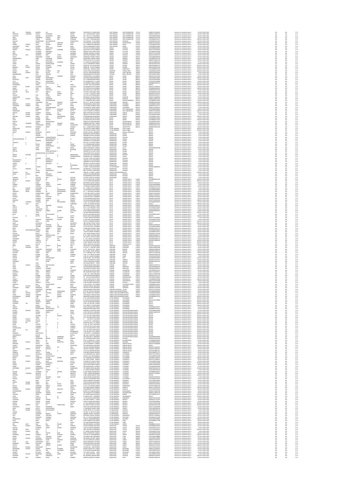|                                 | PRAKASH               | BAJORN                                   | LAL                                                                                       |                             | BAJORJA                                 |
|---------------------------------|-----------------------|------------------------------------------|-------------------------------------------------------------------------------------------|-----------------------------|-----------------------------------------|
| NARAYAN<br>SATINATH             | CHANDRA               | GHOSH<br>SANTRA<br>KARMAKAR              | OSJORAM<br>SACHINDRA                                                                      |                             | GHOSH<br>SANTRA                         |
| SIMA<br>BABITA                  |                       | LODHA                                    | PARESH<br>DWARKA                                                                          | NATH<br>NATH<br>DAS         | KARMAKAR<br>CHAMARI                     |
| KAILASH                         |                       | KHANDELWA                                | SATYAN                                                                                    | NARAYAN                     | KHANDELWA                               |
| SUNIL<br>PROGIN                 | KUMAR<br>SAHA         | GOYAL<br>SAHA<br>PODDER                  |                                                                                           | MOHAN<br>KUMAR              | COYAL<br>SAMA                           |
| SARASWATI<br>SRIKANTA           |                       | SWAIN                                    | SATKA<br>KISHORI<br>SUNIL<br>MOCHIRAN<br>PAMESH<br>HEMANT<br>HEMANT                       |                             | SAMA<br>SWAIN                           |
| <b>DURGA</b>                    | PRASAD                | ACHARYA<br>PATWARI<br>AGARWA             |                                                                                           | CHANDIS                     | ACHARYA<br>PATWARI<br>AGARWAI<br>MUNDRA |
| ANIL<br>ANJU                    |                       |                                          |                                                                                           |                             |                                         |
| MOHIN<br>VUETA                  | DEVI                  | MUNDRA                                   |                                                                                           | GOPAL<br>RATAN<br>PRASAD    | SINGHANI                                |
| RAMSWAR<br><b>SUNILA</b>        |                       | MOD                                      |                                                                                           |                             | MODI                                    |
| SEFALI<br>AZMAL                 |                       | JAIN<br>DAS                              |                                                                                           | CHANDIS                     | JAUN<br>DAS                             |
|                                 |                       | AHMED<br>SETHIA<br>SETHIA                |                                                                                           | CHAND                       | AHMED<br>SETHIA<br>SETHIA               |
| USHA<br>PRAKASH<br>MILAN        | DEVI<br>CHAND         | GHOSH                                    | <b>TANA</b><br>CHAND<br>DAICHAND<br>DHIRIXIDEA<br>SHARAFUDD<br>THAARAN<br>THAARAN<br>AMAR |                             |                                         |
| MANJU                           | devi<br>Kumar         | jain<br>Sama                             | amar<br>Jhumar<br>Satish                                                                  | $^{\rm MAL}_{\rm CH}$       | GHOSH<br>KALA<br>SAHA                   |
| SANJIB<br><b>MANABENDRA</b>     |                       | PAUL                                     | HARIDAS                                                                                   |                             | <b>PALIL</b>                            |
| <b>ALKA</b><br>RAMA             | KANT                  | PRAKASI<br>PATHAK                        | <b>ASSIS</b><br>RAMSJEHA                                                                  | SHANKAF                     | <b>PRAKASH</b><br><b>PATHAK</b>         |
| MITHILISH                       |                       | PRASAD                                   | DE OCHANG                                                                                 |                             | PRASAD                                  |
| LALTI<br>KANCHAN                |                       | DEVI<br>KUMARI                           | <b>SUDESHWAI</b><br>NOTAVAILABLE                                                          |                             | LAL                                     |
| SADANANDA<br>SHYAM              | <b>BEHARI</b>         | SINHA<br>SULTANIA                        | GAIA                                                                                      | NANO                        | SINHA<br><b>SULTANIA</b>                |
| AMAN                            |                       | KANT                                     | KRISHINA                                                                                  |                             | KANT                                    |
| ARSHAD<br>KESHARI               | ALI<br>NATH           | KHAN<br>JHA                              | <b>ENAYTULLA</b><br>KANDS                                                                 | NATH                        | KHAN                                    |
| ATUL<br>PUNAM                   |                       | prw                                      | ANIL<br>PARAS                                                                             | KUMAR<br>NATH               | JMA<br>SINHA                            |
| JANESHWAR<br>DINESH             | KUMAI                 | <b>BAI</b><br>SINGH                      | AGDISH<br>SURENDRA                                                                        |                             | PAL<br>RAI<br>SINGH                     |
| SURAI                           |                       | KUMAR                                    | SATIONARAYAN                                                                              |                             | SHAH                                    |
| GEETA<br><b>ABMISHEK</b>        | KUMAR                 | CHAURASU<br>SAW                          | CM<br>ONANDRA                                                                             | PRAKASH<br>MOHAN            | CHAURASIA<br>SAW                        |
| YOGENDRA<br>JASBIR              | PRASAD                | SHAW<br>KAUR                             | BADRI<br>SARDARDH                                                                         | LALL                        | SHAW<br>SINGH                           |
| GOVIND                          |                       | BANERIED                                 | <b>BIBMUTI</b>                                                                            | BHUSHAM                     | BANCRICE                                |
| PRAIHAKAI<br>DEEPAK             | <b>KUMAR</b>          | mon<br>SHARMA                            | חסת<br>MADAN                                                                              | KUMAR<br>LAL<br>DHARI       | <b>DUTTA</b><br>SHARMA                  |
| AIIT<br>KRISHNA                 | <b>KUMAR</b><br>KUMAR | SINGH<br>SINGH                           | <b>BAJENCIRA</b>                                                                          | <b>DRSURENDR</b>            | SINGH<br>SINHA                          |
| RAVI<br>UDAY                    |                       | KUMAR<br><b>KUMAR</b>                    | late<br>ram<br>SANESH                                                                     | KISHUN                      | PRASAD<br>KUMAR                         |
| RAKESH                          |                       | KASERA                                   | NOTAVAILABLE                                                                              |                             |                                         |
| KUM<br>SUMAN                    | KUMBALA               | SINGH<br>CHOWDHA                         | <b>SURESH</b><br>KESHAW                                                                   | NANDAN<br>KUMAR             | SINGH<br>CHOWDHARY                      |
| SHRI<br>MADISLEICA              | NARAYAN               | <b>PODOAR</b><br>BATRA                   | EINDA                                                                                     |                             | PODDAR<br>BATRA                         |
| UMISH<br>RANIT                  | KUMAI                 | BATRA<br>PRADINAL                        | <b>SUDHIR</b>                                                                             |                             | BATRA<br>PRADHAN                        |
|                                 |                       | SHEKAR                                   |                                                                                           |                             | DEVARA                                  |
|                                 |                       | MONAN<br>KARIBASAPPA                     | SANNAVEERAPPA                                                                             | PADMAYKA                    | <b>GOWDA</b>                            |
| SIDDALINGASWAMY                 |                       | KANNAN                                   | BASAVARAJAPPA<br>RAMASWAMY                                                                |                             | G.                                      |
| RAKSHITH                        |                       | HEGDE                                    | <b>SUBBANNA</b><br>SUBRAYA                                                                |                             | HEGDE                                   |
|                                 |                       | VELAN                                    | RAMASWAMY                                                                                 |                             | KANNAN                                  |
| SHASHI<br>ABDUL                 |                       | GARG<br>RAJAK                            | MOTHU<br><b>ASDUL</b>                                                                     | RAM                         | <b>GOYAL</b><br>RAHIMAN                 |
| GEETHA                          |                       | PARAM                                    | SIDDALINGASWAR S<br>VILLASWAMY                                                            |                             |                                         |
| DINESH<br>HARISH                | KUMARI                |                                          |                                                                                           |                             | NINGADIARY<br>DHARMEGOWDA               |
|                                 |                       | ESHWAI                                   | SWAMY                                                                                     |                             | GOWDA                                   |
| SHIVAMURTH<br>CHOUDAPPA         |                       |                                          | NANDYAPPA<br>NAGARAJU                                                                     |                             |                                         |
| UMISH<br>SATISM                 |                       |                                          | RAGHAVA                                                                                   | ٠                           | SHVARAMA                                |
| RAM<br><b>JYOTHI</b>            | PRAKASH               | LAKHAN                                   | KALAPPA                                                                                   | SRIBABU                     | LAL<br>MAHADEVAPIV                      |
|                                 |                       | LATHA                                    | SINGARAVELLI                                                                              |                             |                                         |
| NAVNEET<br><b>VIMAL</b>         | <b>BAJ</b><br>KUMAR   | ANAND                                    | <b>BAJ</b><br>SIDDAPPA                                                                    | KUMAR                       | ANAND                                   |
| <b>AVINAS?</b>                  |                       | RAIU<br>SALIYAN                          | DIENNAIA<br>RAJU                                                                          |                             | SALIYAN                                 |
| <b>ABMISHEK</b><br><b>ASHOK</b> | KUMAI                 | MATHUR<br>PANDEY                         | 51                                                                                        | AVDISH                      | <b>MATHUR</b><br>PANDEY                 |
| ANIS<br>SANIEEV                 |                       | BAND<br>SHARMA                           | <b>ASDUL</b><br>SHANTI                                                                    | SARUP                       | SHAK001<br>SHARMA                       |
| SHASH                           |                       | CHOPEA                                   | <b>SUBHASH</b>                                                                            |                             | CHOPRA                                  |
| AIIT<br>RAM                     | KUMAR                 | MOTWAN<br>SHARMA                         | <b>u</b>                                                                                  | SHUMSARAN                   | MOTWAN<br>SMARINE                       |
| INDERJEET<br>MOHIT              | NIWAS<br>SINGH        | PARMAR<br>KHANDELWA                      | <b>RADHA</b>                                                                              | ROSHAN<br>RAMAN             | PARMAR<br>KHANDELWA                     |
| RAZEV                           |                       | CHUCH                                    | RAM                                                                                       | LAL                         | CHUGH                                   |
| MUKESH<br>RUCHI                 |                       | CHAWLA<br>CHAWLA                         | GULSHAN<br><b>JTENDER</b>                                                                 |                             | CHAWLA<br>CHAWLA                        |
| KAMLESH<br>OM                   | SHANKAI               | <b>KUMARI</b><br>SHARMA                  | HANS<br>SH                                                                                | RAI<br>PRAHLADRAM           | GANDHI<br>SNARMA                        |
| RAM                             | HARI                  | NATH<br>KALI                             | <b>DANWAR</b>                                                                             |                             | SUBBANNA                                |
| SUNITA                          |                       | <b>YADAV</b>                             | CM                                                                                        | PARKASH                     | YADAV                                   |
| NUTAN<br>KUSUM                  |                       | MALHOTRA<br>GOLCHHA                      | <b>BAVI</b><br>MANAK                                                                      | CHAND                       | KUMAR<br>GOLCHNA                        |
| <b>BHARAT</b><br>RAIV           |                       | TAYAL<br>MALIK                           | NOTAVAILABLE                                                                              |                             | TAYAL                                   |
| SALMAN                          |                       | <b>GUPTA</b>                             | MOHD                                                                                      | SJLEMAN                     | <b>GUPTA</b>                            |
| ANIL<br><b>JATINDER</b>         |                       | KASHYAP                                  | HARENDERA                                                                                 | KUMAR                       | KHAN<br>SINGH                           |
| ANUP                            |                       | KAUR<br>SACHDEVA                         | <b>BHAR</b>                                                                               |                             | SINGH<br>SADIDEVA                       |
| CHALLESH<br>GAURAY              |                       | GAUTAM<br>SOLANICO                       | CHAMAN<br><b>BAJENCIRA</b>                                                                | -<br>Prasad<br>Sarup        | GAUTAM<br>SCLANKI                       |
| NIDHI<br>SYED                   |                       | <b>JAIN</b><br>PERWEZ                    | ANAND<br>SYED                                                                             | NAZIR                       | MIAL<br>HASSAN                          |
| ASHOK                           |                       | <b>GUPTA</b>                             | <b>BAM</b>                                                                                | <b>NATH</b>                 | <b>GUPTA</b>                            |
| PHOULA<br>JAGMONAN              |                       | BAZAZ<br><b>BHARDWA</b>                  | MOTI                                                                                      |                             | BAZAZ                                   |
|                                 |                       |                                          |                                                                                           | LAL                         |                                         |
| GAGAN                           |                       | <b>JUNEJA</b>                            | NOTAPPLIC<br>KRISMAN                                                                      | KUMAR                       | JUNEAU                                  |
| SURENDER<br>RAVISH              |                       | SINGH<br>CHAWLA                          | AIAY                                                                                      | PAL<br>VUAY                 | SINGH<br>CHAWLA                         |
| DINESH<br>AIAY                  |                       | MATHUR<br><b>ADITYA</b>                  |                                                                                           |                             | SARAN<br><b>ADITIA</b>                  |
| RAIV                            | KUMAR                 |                                          | PARTAP                                                                                    | SINGH                       |                                         |
| <b>MRIDUL</b>                   | SHEKHAR               | ian<br>Rad<br>CHAUHA                     | DASHRATH                                                                                  | SINGH                       | JAIN<br>RAO<br>CHALIMAN                 |
| SATENDER<br>KULDEER             |                       | <b>YADAV</b><br>SINGH                    | VUENDER<br>supe                                                                           | SINGH                       | YADAV<br>SINGH                          |
| MANOJ                           |                       | KUMAR                                    | CM                                                                                        |                             | PARKASH                                 |
| RAVISH<br>KUSUM                 |                       | <b>ARORA</b><br>GOEL                     | <b>VINAY</b><br>NOTAVAILABLE                                                              |                             | KUMAR                                   |
| RAIDH<br>JOGENDER               |                       | <b>JAIN</b>                              | KAILASH<br>SAHIB                                                                          |                             | CHAND<br>SINGH                          |
| <b>UMA</b><br>VUAY              | KUMAI                 | KANT<br>5000                             | NOTAVAILABLE                                                                              |                             | NATH                                    |
| <b>SUNIL</b>                    |                       | KUMAR                                    | <b>CM</b>                                                                                 |                             | PARKASH                                 |
| SURAI<br>KAMLA                  |                       | PARKASH<br>RANI                          | KUNDAN<br>SUBASH                                                                          |                             | LAL<br>CHANCER.                         |
| MANDHI<br>DISHAN                |                       | SINGH<br>DASS                            | NIRMAL                                                                                    |                             | SINGH                                   |
| PARMOD<br>RAVI                  |                       | KUMAR<br>SAREEN                          | CHUNI<br>KISHAN<br><b>BAMESH</b>                                                          | CHANDER                     | CHAND<br>SAREEN                         |
| PUNEET                          |                       | <b>GUPTA</b>                             | ASHOK                                                                                     | KUMAR                       | GUPTA                                   |
| NIRMALA<br>SAGAR                |                       | RANI<br>KAPOOR                           | <b>BAM</b><br>SATISH                                                                      |                             | DASS<br>KAPOOR                          |
| NIRMALA<br>NAV                  | RATTAN                | DEVI<br>KUMAR.                           | WSHVESHI<br><b>JAGAT</b>                                                                  |                             | NATH<br>RAM                             |
| <b>SURINDER</b>                 | SINGH                 | <b>BHANDARI</b>                          | SHER                                                                                      | SINGH                       | <b>BHANDARI</b>                         |
| SUSHIL<br>BANGE                 | LAL                   | AGGARWAL<br>SHARMA                       | MALIBAM                                                                                   | MUNSHIRAN                   | AGGARWA<br>SHARMA                       |
| <b>BILAS</b><br>TARIQ           | AHMAS                 | sor<br>DINDROO                           | GHULAM                                                                                    | <b>AHMAG</b>                | SOFT<br>DINDROO                         |
| MONAMMAD<br>NISHEETH            | AHMAD<br>ASHRAF       | LONE<br><b>JAIN</b>                      | GH<br>ABDUL                                                                               | MOHD<br>JADBAR              | LONE<br>MIAL                            |
| SONAL                           |                       | BANSAL                                   | PRASHANT                                                                                  |                             | BANSAL                                  |
| KUMKUM<br>CHANDER               | PAL                   | SINGHAI<br>SINGH                         | NEERAJ<br>HARPAL                                                                          |                             | SINGHAL<br>SINGH                        |
| ANIL<br>SANJAY                  |                       | ANGUIA<br>BABBAR                         | MADAN                                                                                     | LAL                         | AHUIA<br>BABBAR                         |
| KULDEER<br>ASHISH               | MONAN                 | MAHESH<br><b>KEDIA</b>                   | NOTAVAILABLE<br>VEDPRAKASH                                                                |                             | KEDIA                                   |
| SANIEEV<br>ARVIND               |                       | KUMAR<br><b>GUPTA</b>                    | <b>CNXAR</b>                                                                              |                             | SINGH<br>GUPTA                          |
| KAWA<br>SEEMA                   |                       | KISHORE<br>5000                          |                                                                                           | RADHO                       | LAL<br>soop                             |
| MANOJ                           | KUMAR                 | <b>GUPTA</b>                             |                                                                                           | $\epsilon$                  | GUPTA                                   |
| NAWAL<br>ASHOK                  | KISHORE<br>KR         | VERMA<br>ROY                             |                                                                                           |                             | LAL<br>aov                              |
| <b>NISAR</b><br>ASHOK           |                       | HUSAN<br>SHARMA                          | LAT                                                                                       |                             | HUSAIN<br>SHARMA                        |
| SHASHHATAA<br>INDER             | PAL                   | SHARMA<br>singer                         |                                                                                           |                             | SHARMA<br>SINGH                         |
| RAVI<br>SAURABH                 |                       | KAUL<br>CHATURVEDE                       |                                                                                           | k,                          | DHARMARTH<br>CHATURVEDS                 |
| <b>DWARKANATH</b><br>ABMAY      |                       | <b>BHATIA</b><br><b>ARORA</b>            |                                                                                           | NARENDRA                    | <b>BITAHE</b>                           |
| PRITI                           |                       | MEHROTRA                                 | <b>DRAHN</b>                                                                              | SWARDOP                     | KAKKAR                                  |
| KOMAL<br>ANDOP                  | KUMAI                 | SINGH<br><b>GUPTA</b>                    |                                                                                           | BABU<br>BASANTLAI           | RAM<br><b>GUPTA</b>                     |
| RANJANA<br>SANJAY               |                       | <b>GUPTA</b><br>MEHROTRA                 | AMIT<br><b>VIMAL</b>                                                                      |                             | <b>GUPTA</b><br>MEHROTRA                |
| NADEEM<br>ANIL                  | KUMAI                 | ARSHAD<br><b>GUPTA</b>                   | ARSHAD<br>MOTILAL                                                                         | ALI                         | LARI<br><b>GUPTA</b>                    |
| <b>AMRITA</b>                   |                       | TANDON                                   |                                                                                           |                             | TANDON                                  |
| PRAMILI<br><b>ARCHANA</b>       |                       | <b>GUPTA</b><br><b>AGRAWAI</b>           | VSHNU<br>SURENDRA                                                                         |                             | <b>GUPTA</b><br>NATH                    |
| DURGESH<br><b>RANGE</b>         | PRATAP                | SINGH<br>CHANDAN                         | NOTAVAILABLE<br>UTTAM                                                                     | KUMAR                       | CHANDAN                                 |
| <b>SUNIL</b>                    |                       | singer                                   | SHAMBING                                                                                  | <b>NARAYA</b>               | SINGH                                   |
| VIJAY<br>KIRAN                  | KUMAI                 | <b>GUPTA</b><br><b>JAISAWAL</b>          | <b>ROOP</b><br>NAGENDRA                                                                   |                             | <b>GUPTA</b><br>KUMAR                   |
| PURAN<br>REENA                  |                       | CHAND<br>AGARWAL                         | GOVIND<br>MANOJ                                                                           |                             | RAM<br>KUMAR                            |
| <b>SURENDRA</b>                 | KUMAI                 | SABHARWA<br>steps                        | GANGA                                                                                     | 5                           | SABHARWAL<br>SINGH                      |
| SHALINI<br>HARISH               | CHANDRA               | AGARWAI<br>MAURYA                        | <b>DAG</b>                                                                                | MOHA                        | <b>AGARWAL</b><br>MAURYA                |
| NISHANT                         |                       | PRAKASH                                  |                                                                                           |                             | PRAKASH                                 |
| <b>ASTHA</b><br>SUSHILA         |                       | DWVED<br><b>GUPTA</b>                    | KRISHIN<br><b>GUPTA</b>                                                                   | KANT                        | <b>DWIVED!</b>                          |
| RAM<br>RAIDH                    | KUMAR                 | ASRE<br>SINGH                            | DUJA                                                                                      |                             | RAM<br>SINGH                            |
| PIYUSH                          | KUMAR                 | SINGH<br>AGARWA                          | lal<br>Ram                                                                                | SAGAR<br>KUMAR              | SINGH<br><b>AGARWA</b>                  |
| PRERNA                          |                       | <b>AGARWA</b>                            | DINESH<br>PARTH                                                                           |                             |                                         |
| ASHWANI<br>DHARMENDR            | KUMAI                 | MISHRA<br><b>KUMAR</b>                   | <b>BAM</b><br>ELIDINA                                                                     | <b>ABHILAS</b>              | GOVIL<br>MGHIMA<br>RAM                  |
| KAPIL<br>PUKHRAJ                |                       | <b>AGARWA</b><br>SINGH                   | YOGESH<br><b>BAMESH</b>                                                                   | KUMAR                       | <b>AGARWA</b><br>SINGH                  |
| VIPIN                           |                       | TYAGI                                    |                                                                                           | $\frac{D}{2K}$              | TYAGI                                   |
| SHWETA<br>AVANTIKA              |                       | RASTOGE<br><b>DEEPAK</b>                 | VSHWA                                                                                     |                             | RASTOGI<br>DEEPAK                       |
| ANURAG<br>SUNITA                |                       | KUMAR<br><b>GUPTA</b>                    | BUDHA<br>RAJESH                                                                           |                             | PRAKASH<br><b>GUPTA</b>                 |
| PAWAN<br><b>SIDDHARTH</b>       | KUMAI                 | <b>JAIN</b><br>TEOTIA                    | SURENDRA                                                                                  | PREMENANE                   | MIAL<br>SINGH                           |
| <b>AXHIL</b>                    |                       | <b>GUPTA</b>                             | NOTAVAILABLE                                                                              |                             |                                         |
| ANIL<br>SUMAN                   | KUMAR<br>KUMAR        | MISHRA<br>SHARMA                         | NOTAVAILABLE                                                                              |                             | SHARMA                                  |
| PEUSH<br>AIAY                   |                       | <b>AGARWA</b><br><b>KUMAR</b>            | RADHEY<br>GIRDHAR                                                                         | SPYAM                       | AGRAWA<br>PRASAD                        |
| ANIL<br>GHANSHYAN               |                       | <b>AGRAWAI</b><br><b>GUPTA</b>           | SITARAM                                                                                   |                             | AGRAWA<br><b>MURARI</b>                 |
| ASHA                            |                       | RANI                                     | KRISHNA.<br>RAMJI                                                                         |                             | DAS                                     |
| 0320231<br>RAI                  | MATI                  | DUBEY<br><b>JAIN</b>                     | <b>BAJ</b>                                                                                | KUMAR                       | DUBEY<br>MIAL                           |
| VINOD<br><b>SUSHILA</b>         | KUMAI                 | SHARMA<br>AGARWA                         | RAMJI<br>VNOD                                                                             | LAL<br>KUMAR                | SHARMA<br><b>AGARWA</b>                 |
| KRISHAN                         | KANT                  | <b>GUPTA</b>                             |                                                                                           |                             | <b>GUPTA</b>                            |
| MANOJ<br>SHASHI                 | KUMAI                 | <b>JAIN</b><br>GARG                      | MOTHU                                                                                     | RAM                         | MIA<br><b>GOYAL</b>                     |
| <b>RAVINDRA</b><br>SAPNA        | KUMAI                 | SHARMA<br><b>GUPTA</b>                   | CM<br>SUBHASH                                                                             | PRAKASI<br>CHAND            | SHARMA<br><b>GOYAL</b>                  |
| ASHOK<br>NIKHL                  | KUMAI                 | <b>AGARWAI</b><br>EMARGAVA               | NARAYA<br>GAURI                                                                           | DAS                         | <b>AGARWA</b><br>BHARGAVA               |
| GYAN<br>RAIENDRA                | DEO<br>SINGH          | MAHESWAR<br>RATHORE                      | LADU<br>UMMED                                                                             | SHANKER<br>RAM              | <b>MUNDRA</b><br>SINGH                  |
| <b>SUNITA</b><br><b>MAYUR</b>   | KUMAR                 | KASIM<br>BHAVNAGR                        | NIRMAL                                                                                    | KUMAR                       | KABRA<br>BHAVNAGR                       |
| <b>MAHENCRA</b><br>NEELAM       | KUMAR                 | VOHRA<br>DAGLIYA                         | RAMESH<br>MR                                                                              | CHANDRA<br><b>TEJSHINGI</b> | VOHRA<br><b>NAHAR</b>                   |
| SAMPAT                          |                       | KOTHARI                                  | LAXMI                                                                                     |                             | KOTHARI                                 |
| MUKESH<br>RAISHREE<br>SOBHAG    | KUMAR<br>MAL          | <b>BHANDARI</b><br><b>JAIN</b><br>SHARMA | GIRDHAR<br>HIMANUSH<br>GOGA                                                               | LAL<br>SINGH<br><b>LAL</b>  | <b>BHANDAR</b><br>MIAL<br>SHARMA        |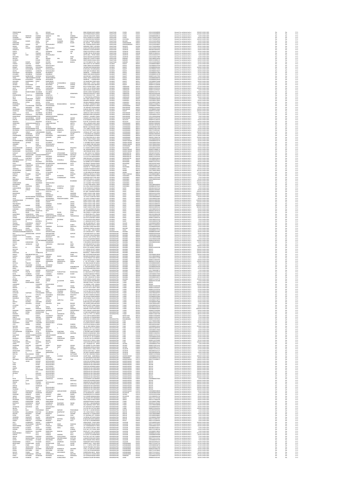|                                                                                                                                                   | MOHAN<br>DEVI<br>MAL                                                                                                                                                                                     | $^{\rm LAL}_{\rm LAL}$                    | NEAR JEEWAN MATA MNDIA<br>W/O PERMESHWAR LAINDIA                                                           | RAJASTHA!<br>CHURI<br><b>AJASTHA!</b>                                                                                                        | 120121010048939<br>33100<br>11100<br>1201210100489133                                                                | Amount for unclaimed and u                                                                                                                                                                                                                   | 100.00 01-NOV-2023<br>125.00 01-NOV-202                                                           |                         |
|---------------------------------------------------------------------------------------------------------------------------------------------------|----------------------------------------------------------------------------------------------------------------------------------------------------------------------------------------------------------|-------------------------------------------|------------------------------------------------------------------------------------------------------------|----------------------------------------------------------------------------------------------------------------------------------------------|----------------------------------------------------------------------------------------------------------------------|----------------------------------------------------------------------------------------------------------------------------------------------------------------------------------------------------------------------------------------------|---------------------------------------------------------------------------------------------------|-------------------------|
|                                                                                                                                                   | PERMESH<br>SANWAR<br>ATTRI<br>NARAYAN<br>SHARMA<br>SHARMA<br>PAREEK<br>PRAKAS<br>PRASAD<br>IAGDISH<br>RAM                                                                                                | SNARMA<br>NVESTMEN<br>PARED               | LODI BAS SADULPUR SINDIA<br>PATEL CHOWK SITLA B INDIA<br>C/O RADHESHYAM SHUINDIA                           | CHURU<br>CHURU<br>CHURU<br>RAJASTHA<br>RAJASTHAN<br>RAJASTHAN<br>RAJASTHAN                                                                   | 13102<br>120366000000011<br>13102<br>120177010051109<br>11104<br>120177010008732                                     | Frount for unclaimed and us<br>Amount for unclaimed and us<br>Amount for unclaimed and us<br>Amount for unclaimed and us<br>Amount for unclaimed and us<br>Amount for unclaimed and us                                                       | 5.00 01-NOV-202<br>50.00 01-NOV-202<br>140.50 01-NOV-202                                          |                         |
| PERMISHWAR<br>SUMITRA<br>CHANDRA<br>CHANDRAGAL<br>TARUN<br>DARSHANA<br>MAROTAM<br>MAROTAM<br>MAROTAM<br>MAROTAM<br>MAROTAM<br>MAROTAM<br>SANGEETA | KUMAR<br>DAGA<br>KUKAR<br>CHANDIS<br><b>OPANKA</b><br><b>IOTAVAILABL</b><br>KUMAR                                                                                                                        | DAGA<br>KUKAR                             | S/O RAM CHANDRA DAINDIA<br>46-L-BLOCK SRI GAN INDIA<br>445 PUNJABI MOHALLINDIA                             | INUINUNI<br>BIKANER<br>KANGANA<br>NAGAUR                                                                                                     | 13480<br>120121010024092<br>13500<br>120191010315418<br>135511<br>120121010050656                                    |                                                                                                                                                                                                                                              | 10.00 01-NOV-202<br>10.00 01-NOV-202<br>250.00 01-NOV-202                                         | いけい いいしん いいいい いいい いいいいい |
|                                                                                                                                                   | HUT<br>AGARWA<br>SHARMA<br>PARAKH<br>MUL<br>NOTAVAILA<br>DEVI<br>KUMAR                                                                                                                                   | CHAND<br>PAREIO                           | AGRAWAL STREET LADINDIA<br>4/Q/22 KURI BHAGTASINDIA                                                        | RAJASTHA<br>RAJASTHA<br>RAJASTHA<br>RAJASTHA<br>RAJASTHA<br>RAJASTHA<br>RAJASTHA<br>RAJASTHA<br>RAJASTHA<br>RAJASTHA                         | 141300<br>120177010050915<br>14200<br>120121010021343                                                                | Armouri for unclusional and us a<br>Armouri for unclusional and us a Armouri for unclusional and us a<br>Armouri for unclusional and us a<br>Armouri for unclusional and us a<br>Armouri for unclusional and us a<br>Armouri for unclusional | 25.00 01-NOV-2021<br>12.50 01-NOV-2021                                                            |                         |
| ANGEETA<br>SUNITA<br>DINESH                                                                                                                       | ANIL<br>SURENDRA<br>NOTAVALABLE<br>TOTAVALABLE<br>jain<br>Sharma<br>Sankhila<br>KUMA                                                                                                                     | JAIN<br>LAL                               | GURON KA TALAB ARIFINDIA<br>SONYA ELECTRICALS G INDIA<br>23/286 CHB PAL ROAD INDIA                         | JODHFUR<br>JODHFUR<br>JODHFUR<br>JODHFUR<br>BARMER<br>BARMER<br>BARMER<br>BARMER<br>RAIKOT<br>RAIKOT<br>RAIKOT<br>RAIKOT<br>RAIKOT<br>RAIKOT | 14200<br>IN3016041005365<br>120109000057130<br>N30073210043413                                                       |                                                                                                                                                                                                                                              | 10.00 01-NOV-202<br>25.00 01-NOV-2023<br>1.00 01-NOV-2023<br>5.00 01-NOV-2023<br>5.00 01-NOV-2023 |                         |
| OMA<br>MEUDEEN<br>KAILASH                                                                                                                         | s<br>Ram<br>INDM<br>ISU<br>SARDAR<br>MAL                                                                                                                                                                 | KHAN                                      | ADITYA MILL PPAR CIINDIA<br>NATHU NAGAR SALAWINDIA                                                         |                                                                                                                                              | 142001<br>142008<br>142600<br>144000<br>144000<br>144000<br>120121010025157<br>120121010027768<br>130414000007816    |                                                                                                                                                                                                                                              |                                                                                                   |                         |
| SAURABI<br>mop                                                                                                                                    | <b>JAIN</b><br>KUMAR<br>BANSAL<br>POPAT<br>PAMANI<br>DHOLARIN<br>DETROJA<br>HARISH<br>Govind<br>Kantilal<br>KUMAR                                                                                        | jain<br>Chancra<br>Bansal                 | ward no-s chhoti dindia<br>Inder Sadan Khagal India<br>C/O The Bank of RAJ India                           | RAJASTHAN<br>RAJASTHAN<br>RAJASTHAN                                                                                                          | IN3031161009612<br>120121010002005                                                                                   |                                                                                                                                                                                                                                              | 25.00 01-NOV-2023<br>50.00 01-NOV-2023<br>25.00 01-NOV-2023<br>12.50 01-NOV-2023                  |                         |
| rostst<br>KALPESH                                                                                                                                 | KANTILAI<br>SAVJIBNAI<br>GOKALBNA                                                                                                                                                                        |                                           | 3RD FLOOR TVC SKY SHINDIA<br>SHREE GREEN GOLDENINDIA<br>18 RANCHHOD NAGARINDIA<br>KUNTALRAJ 7/8 SARDAINDIA | GUIARAT<br>GUIARAT<br>GUIARAT<br>GUIARAT<br>GUIARAT                                                                                          | 16000<br>120180000030846<br>160000<br>130199000025767<br>120180000000149                                             |                                                                                                                                                                                                                                              | 5.00 01-NOV-202                                                                                   |                         |
| DHARAT<br>KANTILAL<br>ASHITA<br>KESHUBHA                                                                                                          | NOTAVALABLE<br>GOKALINNI<br>NOTAVALABLE<br>NOTAVALABLE<br>ENURABHAI<br>MCHANDHA<br>RASKEHAI<br>BHURABHA<br><b>LIMBASIYA</b><br>DOBARIA                                                                   |                                           | SHRI HARI 2A SARDAR INDIA<br>SAMRPAN 1 GHANSHNDIA                                                          | GUIARA                                                                                                                                       | 160001<br>16000<br>130199000017425<br>16000<br>130199000037624<br>160005<br>120180000021796                          |                                                                                                                                                                                                                                              | 100.00 01-NOV-2021<br>25.00 01-NOV-2021<br>20.00 01-NOV-202<br>12.50 01-NOV-202                   |                         |
| LEELABEN<br><b>BHANJIEN</b>                                                                                                                       | ARJANDHAI<br>PAMIENAS<br>ARJANDHAJ<br>NARDICRAM<br>KORINGA<br>NOTAVAILABLE                                                                                                                               |                                           | NANDI PARK MAIN ROJNOJA<br>ADHYASHAKTI DAMJIFINDIA                                                         | <b>GUIARAT</b><br>RAIKOT<br><b>GUIARAT</b><br>RAIKOT                                                                                         | 160005<br>1201800000125278<br>160005<br>IN3009741021795                                                              | Amount for unclaimed and u<br>Amount for unclaimed and u                                                                                                                                                                                     | 12.50 01-NOV-2021<br>5.00 01-NOV-202                                                              |                         |
| VIMAL<br><b>JAYSHREEBEN</b><br>WILADEN                                                                                                            | TRIEMOVANI<br>RAYAN<br>TREHOVANEHA<br>KESHAVBHAI<br>KESHAVEHAI<br>DOBARIA<br><b>BAMESHIRAI</b><br>KORAT<br>RAMESHEHA                                                                                     |                                           | MENA SHAKTI NAGAR INDIA<br>SAMRPAN 1 GHANSHNDV<br>210 RAJBATNA COMPLINDIA                                  | <b>GUIARAT</b><br>RAIKOT<br><b>GUIARAT</b><br>RAIKOT<br><b>GUIARAT</b><br>RAIKOT                                                             | 160005<br>120180000008370<br>160005<br>1201800000029419<br>160311<br>1202300000752648                                | Amount for unclaimed and u<br>Amount for unclaimed and u<br>Amount for unclaimed and u                                                                                                                                                       | 12.50 01-NOV-202<br>75.00 01-NOV-202<br>50.00 01-NOV-202                                          |                         |
| KAMANI<br>SHARA<br>HEMATEHA                                                                                                                       | NITIN<br>VALLABHEINA<br>CHHAGANBHA<br>KIRTIKUMAR<br>PRATAPRAY<br>DEVJEMAI<br>DEVJIBHA<br>SAVRAJEMA<br>THANK                                                                                              | KAMAN<br>ASHARA<br>THANK                  | NAVA GADH JETPUR, INDIA<br>KADIYA WAD NAKA NILINDIA<br>BALVI CHOWK JAMAT INDIA                             | <b>GUIARAT</b><br>RAIKOT<br><b>GUIARAT</b><br>RAJKOT<br><b>GUIARAT</b><br><b>JAMNAGA</b>                                                     | 160370<br>IN30097411425043<br>360410<br>IN30097411428468<br>160576<br>IN3009741053004                                | Amount for unclaimed and u<br>Amount for unclaimed and u<br>Amount for unclaimed and u                                                                                                                                                       | 8.00 01-NOV-202<br>12.50 01-NOV-202<br>12.50 01-NOV-202                                           |                         |
| ALPA<br><b>HAVIN</b>                                                                                                                              | <b>NJAYKUMAR</b><br>ASMAR<br>RATHOD<br>VEAYIOJMAR<br>GORDHANDAS<br>MOHANLAL                                                                                                                              | <b>ASHAR</b>                              | 24/25 JAY CO-OPERATINDIA<br>SARQJ NIWAS HAWAI (INDIA                                                       | <b>GUIARAT</b><br><b>JAMNAGAS</b><br><b>GUIARAT</b><br><b>JAMNAGAS</b>                                                                       | 361001<br>IN30097410761353<br>361001<br>IN3005131079056                                                              | Amount for unclaimed and u<br>Amount for unclaimed and u                                                                                                                                                                                     | 250.00 01-NOV-2021<br>5.00 01-NOV-202                                                             |                         |
| DAMANI<br>RUCHI<br>HARMENDR                                                                                                                       | <b>BHARATICUMA</b><br>GULABDAS<br>GULABDAS<br>KANAKHAR<br>DHIRIN<br><b>JAYANTILAL</b><br>KANAKHAR<br>AYANTILAL                                                                                           | KANAKHARA                                 | MATRU ASHISH NAGAHNDIA<br>DHIREN 58 DIGVIJAY P INDIA<br>18 19 DIGVUAY PLOT INDIA                           | <b>GUIARAT</b><br><b>JAMNAGAS</b><br><b>GUIARAT</b><br><b>JAMNAGAS</b><br><b>GUIARAT</b><br><b>JAMNAGAS</b>                                  | 161005<br>IN30039413327715<br>161005<br>IN3010392443049<br>161005<br>120332000173565                                 | Amount for unclaimed and us<br>Amount for unclaimed and u<br>Amount for unclaimed and u                                                                                                                                                      | 125.00 01-NOV-2021<br>50.00 01-NOV-202<br>100.00 01-NOV-202                                       |                         |
| MITA<br>VIRAL<br>SUMAN                                                                                                                            | PATALIA<br>MANHARLA<br>DIUPKUMAR<br>PAREKH<br>DIUPICUMAR<br>ARJANDHAU<br>GOSTEA<br>ARJANDHAJ                                                                                                             | PATALIA                                   | 5 PANCHRATNA APPR'INDIA<br>504 PARK AVENUE AP INDIA<br>MANGROL BUNDAR NINDIA                               | <b>GUIARAT</b><br><b>JAMNAGAS</b><br><b>GUIARAT</b><br><b>JUNAGADE</b><br><b>GUIARAT</b><br><b>JUNAGADE</b>                                  | 361008<br>N30226911554130<br>162001<br>120180000032603<br>162226<br>1203320001278352                                 | Amount for unclaimed and u<br>Amount for unclaimed and u<br>Amount for unclaimed and u                                                                                                                                                       | 40.00 01-NOV-202<br>3.50 01-NOV-202<br>50.00 01-NOV-202                                           |                         |
| MINARSI<br>IHIKHABHA                                                                                                                              | <b>HITESH</b><br>GOSTEA<br>HITESH<br>RATHOD<br>SAVDASABHA<br>BHAGAVANSHAI                                                                                                                                | RATHOD                                    | ON BHAI MANGROL B/INDIA<br>AT PRACHE KAMNATH INDIA                                                         | <b>GUIARAT</b><br><b>JUNAGADE</b><br><b>GUIARAT</b><br><b>JUNAGADE</b>                                                                       | 162226<br>120332000197580<br>162268<br>N30021413308547                                                               | Amount for unclaimed and u<br>Amount for unclaimed and u                                                                                                                                                                                     | 100.00 01-NOV-202<br>50.00 01-NOV-202                                                             |                         |
| DARSPINA<br>BGNA<br><b>MAHENCRA</b>                                                                                                               | PIYUSHKUMAR<br>SANGHAN<br>PIYUSHKUMAR<br>NITAVIHA<br>DOSHI<br>MISAVEHAL<br>RAMIEHA<br>CHHOTALA<br><b>BAMJIBHAI</b>                                                                                       | poses                                     | RUSHABH NAGAR-4 PL INDIA<br>125 ARIHANT VUAYRAJINDIA<br>AVAKAR JEWELLERS M INDIA                           | <b>GUIARAT</b><br>AHMEDABAI<br><b>GUIARAT</b><br>BHAVNAGAI<br><b>GUIARAT</b><br>BHAVNAGAR                                                    | 161641<br>120180000017916<br>164000<br>IN30045012424854<br>164290<br>1201980000123643                                | Amount for unclaimed and u<br>Amount for unclaimed and u<br>Amount for unclaimed and u                                                                                                                                                       | 5.00 01-NOV-202<br>50.00 01-NOV-202<br>100.00 01-NOV-202                                          |                         |
| SHANTILAL<br>VADIA                                                                                                                                | VALLABHEHAI<br>ROKAD<br>VALLABHEMA<br>SOHIL<br>SALIMINA<br>SALIMIBHAI<br>KESHAVLAL                                                                                                                       |                                           | MU VADASADA TAL JEINDIA<br>HARAN KULIANTA SOCINDIA                                                         | <b>GUIARAT</b><br><b>EAJKOT</b><br><b>GUIARAT</b><br>BHAVNAGAR                                                                               | 164485<br>IN30097411555803<br>164710<br>IN30097411749019                                                             | Amount for unclaimed and u<br>Amount for unclaimed and us<br>Amount for unclaimed and u                                                                                                                                                      | 100.00 01-NOV-2021<br>50.00 01-NOV-202                                                            |                         |
| NAROTAMOA<br><b>BHARATSHA</b><br>KETAN                                                                                                            | MALVANTEA<br>KESHAVLAL<br>GANDALA<br>NARMADASH<br>NARMADASHAN<br>PATHAI<br>DALSURHENAI<br>GADANI<br>DALSUKHEHAI                                                                                          | MALVANIYA<br>GADANI                       | BRAHMIN SHERI AVED INDIA<br>AT&POST : UGAMEDI TINDIA<br>PANJARA POLE ROAD FINDIA                           | <b>GUIARAT</b><br>BHAVNAGAR<br><b>GUIARAT</b><br>BHAVNAGAI<br><b>GUIARAT</b><br>BHAVNAGAR                                                    | 164710<br>120492000014720<br>164710<br>1201120200009184<br>364710<br>IN30097410795449                                | Amount for unclaimed and u<br>Amount for unclaimed and u                                                                                                                                                                                     | 2.50 01-NOV-202<br>2.00 01-NOV-202<br>5.00 01-NOV-202                                             |                         |
| KUNTAL<br><b>ISWARLAL</b><br>VIRBILISAN                                                                                                           | SRESHCHANDRA MEHTA<br>SRURESHONANDRA P<br>PRAIAPAT<br>JETHALAL<br><b>HARSHADKU</b><br>HARSHADKUMAR<br>ARMENTA                                                                                            | MEHTA<br>PRAIAPATI<br>MEHTA               | 6-D FUNJABHAI TOWE INDIA<br>PLOT NO. 49 GAYATRI INDIA<br>152/A KAGADA SHERI INDIA                          | <b>GUIARAT</b><br>KACHCHH<br><b>GUIARAT</b><br>KACHCHH<br><b>GUIARAT</b><br>AHMEDABAD                                                        | 170000<br>IN30097411266433<br>370110<br>IN3019831076304<br>IN3030521009648                                           | Amount for unclaimed and u<br>Amount for unclaimed and u<br>Amount for unclaimed and u                                                                                                                                                       | 25.00 01-NOV-202<br>50.00 01-NOV-202<br>5.00 01-NOV-202                                           |                         |
| <b>AMITA</b><br>apw                                                                                                                               | SHELAT<br><b>DIPAK</b><br><b>DIPAK</b><br>SAVAILAL<br>DESAL<br>SAVALAL                                                                                                                                   | SHELAT<br>DESAI                           | 2 DHARMANATH SOCIIINDIA<br>88/528 VUAYNAGAR FINDIA                                                         | <b>GUIARAT</b><br>ANMEDABAD<br><b>GUIARAT</b><br>ANMEDABAD                                                                                   | 180001<br>180004<br>IN3024611007844<br>380013<br>1202440000017662                                                    | Amount for unclaimed and u<br>Amount for unclaimed and u                                                                                                                                                                                     | 50.00 01-NOV-202<br>5.00 01-NOV-202                                                               |                         |
| KAMALDHA<br>DEVENDRA<br>IHAVANI                                                                                                                   | <b><i>BHUPENDRA</i></b><br>A DESAI<br><b>BHUPENDRABHAI</b><br>NANALAL<br>GAURISHANKAR LAXHOTV<br>GAURISHANKAR<br>RAMDAYAL<br>VENKAT<br><b>SUBRAI</b><br>DIAVANI<br>VENKAT                                | DESAI<br>LAKHOTIA<br><b>CRISHNAMURTH</b>  | 12-8 HINDU COLONY CINDIA<br><b>B-61 PRUTHVI TOWER INDIA</b><br>C/S BALAJI APPT LAAD INDIA                  | GUIARAT<br>ANMEDABAD<br><b>GUIARAT</b><br>ANMEDABAD<br><b>GUIARAT</b><br>ANMEDABAD                                                           | 380014<br>IN30034310611939<br>180015<br>IN3017741093166<br>380015<br>IN30047641748776                                | Amount for unclaimed and u<br>Amount for unclaimed and u<br>Amount for unclaimed and u                                                                                                                                                       | 25.00 01-NOV-202<br>50.00 01-NOV-202<br>100.00 01-NOV-202                                         |                         |
| NILESH<br>DHARMENDR<br>SHAIKH                                                                                                                     | <b>JAMNADAS</b><br>GAILAR<br><b>JAMNADAS</b><br>EHIO1AEHA<br>PATEL<br><b>DISOURDER</b><br><b>HARGOVANDAS</b><br>MOHMEDYU<br>MOHMED<br>AMIN                                                               | GAILAR<br>PATEL<br>HAICH                  | 3 FOOLWADI SOC GORINDIA<br>A-44 SAHUANAND STATINDIA<br>52 A PRACHINA SCC B INDIA                           | <b>GUIARAT</b><br>ANMEDABAD<br><b>GUIARAT</b><br>ANMEDABAD<br><b>GUIARAT</b><br>ANMEDABAD                                                    | 380021<br>IN3030521003094<br>180054<br>IN30177411357400<br>180055<br>IN3029271004073                                 | Amount for unclaimed and u<br>Amount for unclaimed and u<br>Amount for unclaimed and u                                                                                                                                                       | 50.00 01-NOV-202<br>50.00 01-NOV-202<br>250.00 01-NOV-202                                         |                         |
| USHA<br><b>HANSHYAM</b>                                                                                                                           | <b>SURESHIRAN</b><br>PATE<br>EHIO1AEHA<br>PATEL<br><b>AHEAVOIDS</b>                                                                                                                                      | PATEL                                     | B/401 RIDDHI TOWER INDIA<br>10 VILL VASANA CHAUINDIA                                                       | <b>GUIARAT</b><br>ANMEDABAD<br><b>GUIARAT</b><br>GANDHI NAGAJ                                                                                | 180058<br>1202300000462611<br>382321<br>1204840000024174                                                             | Amount for unclaimed and u<br>Amount for unclaimed and u                                                                                                                                                                                     | 50.00 01-NOV-202<br>25.00 01-NOV-202                                                              |                         |
| MAHENDRA<br>JIGNABEN<br>VIMLA                                                                                                                     | MARTICL<br>PATEL<br><b>JOITARAM</b><br>MANAKLAL<br>MODE<br>NOTAVAILABLE<br>SANDILA<br>MANOHARLAL                                                                                                         | PATEL                                     | S JAYAMBE SOCIETY SINDIA<br>E-16 NANCE PARK BEHINDIA<br>507 B 6 PANNA TOWERNOM                             | GUIARAT<br>GANDHI NAGAJ<br><b>GUIARAT</b><br>GANDHI NAGAJ<br><b>GUIARAT</b><br>WMEDABAD                                                      | 182345<br>1203410000107623<br>182346<br>1202570000025810<br>182424<br>1304140005844305                               | Amount for unclaimed and u<br>Amount for unclaimed and u<br>Amount for unclaimed and u                                                                                                                                                       | 12.50 01-NOV-202<br>20.00 01-NOV-202<br>0.50 01-NOV-202                                           |                         |
| SHAILESHKUMAR<br>RAMESHEHAI                                                                                                                       | <b>JAYANTILAL</b><br>PRAIAPATI<br>SOMABHAI<br>PATEL<br>SOMABHAI<br><b>MOHANEHA</b>                                                                                                                       | PRAIAPATI<br>PATEL                        | D-1 SHUBH COMPLEX FINDIA<br>NR. SWAMINARAYAN TINDIA                                                        | <b>GUIARAT</b><br>MAHESANA<br><b>GUIARAT</b><br>GANDHI NAGAJ                                                                                 | 382721<br>1203320001250345<br>182830<br>IN30097410898174                                                             | Amount for unclaimed and u<br>Amount for unclaimed and u                                                                                                                                                                                     | 10.00 01-NOV-202<br>25.00 01-NOV-202                                                              |                         |
| RAINKUMAR<br>SURAVAT<br>SHAH                                                                                                                      | BALDEVIRA<br>PATEL<br>BALDEVEHA<br>SURAVAT<br>VIPULKUMAR<br>DHARMISH<br>AMULKUMAI<br>KUMUDO<br>SHAH<br>KUMUDCHANDR                                                                                       | PATEL<br>SHANTILAI<br>DAHYALAL            | UMIYANAGAR (KHAK CINDIA<br>A -304 YASHVI FLAT MUNDIA<br>AT PO MAU TA SHILDIINDIA                           | <b>GUIARAT</b><br>GANDHI NAGAJ<br><b>GUIARAT</b><br>SABARKANTHA<br><b>GUIARAT</b><br>SABARKANTHA                                             | 182870<br>IN3030521029970<br>181001<br>IN30164510316567<br>183245<br>IN30021411348785                                | Amount for unclaimed and u<br>Amount for unclaimed and u<br>Amount for unclaimed and us                                                                                                                                                      | 25.00 01-NOV-202<br>2.50 01-NOV-202<br>15.00 01-NOV-202                                           |                         |
| HITESHKUMAR<br><b>HALLSH</b>                                                                                                                      | <b>NAGINDAS</b><br>KOTHARI<br>NAGINDAS<br>KACHARALAL<br>KANTIBHAI<br>PANDYA<br>KANTIBINA                                                                                                                 | KOTHARI<br>PANDYA                         | 2 31 023 CHH MADHUINDIA<br>NEAR RAILWAY STATICINDIA                                                        | <b>GUIARAT</b><br>SABARKANTHA<br><b>GUIARAT</b><br>SABARKANTHA                                                                               | 183410<br>IN3005131452595<br>181410<br>1204780000036251                                                              | Amount for unclaimed and u<br>Amount for unclaimed and u                                                                                                                                                                                     | 12.00 01-NOV-202<br>10.00 01-NOV-202                                                              |                         |
| VARENDRAKUM<br>KANUSHAI<br>PATEL                                                                                                                  | NATHALAL<br>PATEL<br>NATHALAI<br>ISHWARLAL<br>PRAIAPAT<br>AMTHARAM<br>KALPANA<br><b>RUPAMICU</b><br>RUPAMICUMAR<br>MAHENDRABHA                                                                           | PATEL<br>PRAIAPATI<br>PATEL               | 67 GOLDAN BUNGLOWINDM<br>C/O AMBICA AUTO EN INDIA<br>9 B PRAGATI NAGAR SCINDIA                             | <b>GUIARAT</b><br>MAHESANA<br><b>GUIARAT</b><br>MAHESANA<br><b>GUIARAT</b><br>MAHESANA                                                       | 184000<br>120109000186541<br>184002<br>IN30051313217913<br>184002<br>IN3015491817969                                 | Amount for unclaimed and u<br>Amount for unclaimed and us<br>Amount for unclaimed and u                                                                                                                                                      | 75.00 01-NOV-202<br>50.00 01-NOV-202<br>25.00 01-NOV-202                                          |                         |
| SANJAYKUMA<br>SAID<br><b>INDERMAL</b>                                                                                                             | PRAIMUDA<br>PATEL<br>PRABHUDAS<br>DAWOOD<br>NADOLIYA<br>DAWOOD<br>RATANLAL<br>SHAH<br><b>BATANLA</b><br>TOSHNINAL                                                                                        | PATEL<br>SNAH                             | DEVNAGRI VISNAGRI VINDIA<br>KAKOSHI TA - SIDHPUTINDIA<br>5 KAMINI TENAMENTS INDIA                          | <b>GUIARAT</b><br>PATAN<br><b>GUIARAT</b><br>MAHESANA<br><b>GUIARAT</b><br><b>KHEDA</b>                                                      | 184170<br>IN30047642651726<br>184290<br>130425000005406<br>187002<br>1202680000112905                                | Amount for unclaimed and u<br>Amount for unclaimed and u<br>Amount for unclaimed and us                                                                                                                                                      | 100.00 01-NOV-202<br>12.50 01-NOV-202<br>50.00 01-NOV-202                                         |                         |
| GULAMUDOIS<br>MUKESHBHA                                                                                                                           | GANISHA<br>SHAIKH<br>GANISHA<br>PATEL<br>WTHALSHA<br>s                                                                                                                                                   | SNADH<br>PATEL                            | PAYGA TALAV DARWA INDIA<br>12 108 VANIAYVAD BHINDIA                                                        | <b>GUIARAT</b><br><b>ANANO</b><br><b>GUIARAT</b><br>ANANO                                                                                    | 188255<br>1202770000159810<br>188530<br>IN30051316954139                                                             | Amount for unclaimed and u<br>Amount for unclaimed and u                                                                                                                                                                                     | 391.50 01-NOV-2021<br>12.50 01-NOV-202                                                            |                         |
| <b>DURIYYA</b><br>AMISHA<br>ANJLI                                                                                                                 | SHAGGUR<br><b>KAPADIA</b><br>SHABBIR<br><b>WPUL</b><br>SHAH<br><b>MPUL</b><br>KUMARPAL<br><b>VIPUL</b><br>PANDYA<br>VIPUL<br>CHANDRAKANT                                                                 | <b>KAPADIA</b><br>SNAH<br>PANDYA          | DARWAIA MOHALLA VINDIA<br>PIPLA SHERI GHADIALI INDIA<br>6 RANJAN SOCIETY NR INDIA                          | <b>GUIARAT</b><br>PANCH MAHAL<br><b>GUIARAT</b><br>VADODARA<br><b>GUIARAT</b><br>VADODARA                                                    | 385000<br>120109000346805<br>190006<br>IN3017741054076<br>190007<br>IN30051312014169                                 | Amount for unclaimed and u<br>Amount for unclaimed and u<br>Amount for unclaimed and u                                                                                                                                                       | 124.00 01-NOV-2021<br>5.00 01-NOV-202<br>2.50 01-NOV-202                                          |                         |
| BABUENA<br>SANDEEP                                                                                                                                | MONAN<br>PARDESI<br>MOHANIHA<br>EMANDAN                                                                                                                                                                  | <b>BHAMBAN</b>                            | PWD OTRS AREA R.C.D INDIA<br>C/O. GUIARAT TACTORINDIA                                                      | <b>GUIARAT</b><br>VADODARA<br><b>GUIARAT</b><br>VADODARA                                                                                     | 190000<br>1301670000501400<br>190011<br>000045                                                                       | Amount for unclaimed and u<br>Amount for unclaimed and u<br>Amount for unclaimed and u                                                                                                                                                       | 25.00 01-NOV-202<br>250.00 01-NOV-202<br>250.00 01-NOV-2021                                       |                         |
| HARBHAGNA<br>NAJIRABANU<br><b>BHAVNA</b>                                                                                                          | NOTAVAILABLE<br>EHAMIAN<br>ATRD<br>ANELE<br>AFRID<br><b><i>BHADRESH</i></b><br>PARISH<br>EMADRESH<br><b>JAYANTILAL</b>                                                                                   | PARICH                                    | C/O. GUIARAT TRACTOINDIA<br>C 6 HAZI PARK NEAR A INDIA<br>50 A VRAJ VIHAR SOCIIINDIA                       | <b>GUIARAT</b><br>VADODARA<br><b>GUIARAT</b><br>VADODARA<br><b>GUIARAT</b><br>VADODARA                                                       | 190013<br>000046<br>190012<br>1304140004482933<br>190015<br>IN30088813679403                                         | Amount for unclaimed and us<br>Amount for unclaimed and u                                                                                                                                                                                    | 25.00 01-NOV-202<br>7.50 01-NOV-202                                                               |                         |
| <b>SARSUICHENA</b><br>PATEL<br>KAMLESH                                                                                                            | VIMIAL<br>POPAT<br>VRAILAL<br><b>JVANIHA</b><br>CHIRAG<br>DHANSUI<br>DHANSURH<br>TALIA<br>POPATLAL<br>м                                                                                                  | POPAT<br>PATEL<br>TALIA                   | <b>B-361 PRAMUKH CHHAINDIA</b><br>9/ B DIVYESH SIDRAJ CINDIA<br>49 SANT TUKARAM SCINDIA                    | <b>GUIARAT</b><br>SURAT<br><b>GUIARAT</b><br>SURAT<br><b>GUIARAT</b><br>SURAT                                                                | 194211<br>IN30160410415764<br>195000<br>IN3022011055069<br>195000<br>IN30088814016821                                | Amount for unclaimed and u<br>Amount for unclaimed and us<br>Amount for unclaimed and u                                                                                                                                                      | 5.00 01-NOV-202<br>25.00 01-NOV-202<br>200.00 01-NOV-2021                                         |                         |
| BANARSIDAS<br>RAIDH                                                                                                                               | AGARWAL<br>RAMLAL<br>AGARWAL<br>BANARSIDAS                                                                                                                                                               | AGARWA<br><b>AGARWAL</b>                  | SHAKTI HOUSE 1558/ 1INDIA<br>SHAKTI HOUSE 1558/ 1INDIA                                                     | <b>GUIARAT</b><br>SURAT<br><b>GUIARAT</b><br>SURAT                                                                                           | 195002<br>IN3021641011039<br>195002<br>N30216410091724                                                               | Amount for unclaimed and u<br>Amount for unclaimed and u                                                                                                                                                                                     | 1500.00 01-NOV-202<br>1450.00 01-NOV-202                                                          |                         |
| HIREN<br><b>VIVEK</b><br><b>IRENDRAKUT</b>                                                                                                        | NAVINCHANDRA CHASM<br>MAVINDHAI<br>RATILAL<br>DISHBANDHU<br>ARYA<br><b>DESHBANDHL</b><br>PRAKASHO<br><b>ARORA</b><br>NOTAVAILABLE                                                                        | CHASMAWALI<br>ARYA                        | 114 MULTI STORY BUI INDIA<br>114 MULTI STORIED B INDIA<br>SHAKTI HOUSE 1558-1 INDIA                        | <b>GUIARAT</b><br>SURAT<br><b>GUIARAT</b><br>SURAT<br><b>GUIARAT</b><br>SURAT                                                                | 195002<br>120431000000040<br>195002<br>1204310000021481<br>195002<br>N30216410092962                                 | Amount for unclaimed and u<br>Amount for unclaimed and u<br>Amount for unclaimed and u                                                                                                                                                       | 30.00 01-NOV-202<br>40.00 01-NOV-202<br>1100.00 01-NOV-202                                        |                         |
| SHEETAL<br>PRATIMADEVI                                                                                                                            | <b>ARORA</b><br><b>JAIDEEP</b><br><b>ARORA</b><br>VRENDRA<br>KUMAR                                                                                                                                       | <b>ARORA</b><br><b>ARORA</b>              | SHAKTI HOUSE 1558/ 1INDIA<br>SHAKTI HOUSE 1558/ 1INDIA                                                     | <b>GUIARAT</b><br>SURAT<br><b>GUIARAT</b><br>SURAT                                                                                           | 195002<br>N3021641009068<br>195002<br>IN30216410090555                                                               | Amount for unclaimed and<br>Amount for unclaimed and u                                                                                                                                                                                       | 150.00 01-NOV-202<br>1000.00 01-NOV-202                                                           |                         |
| VIRENDRA<br>PRAKASHDEV<br>VANDANA                                                                                                                 | KUMAR<br><b>ARORA</b><br><b>ISHARDAS</b><br><b>AGARWAI</b><br>BANARSIDAS<br>OMPRAKASH<br><b>GUPTA</b><br><b>OMPRAIGSH</b>                                                                                | <b>ARORA</b><br><b>AGARWAL</b><br>GUPTA   | SHAKTI HOUSE 1558/ 1INDIA<br>SHAKTI HOUSE 1558 / 1INDIA<br>11/1353 JAGIRDAR NO INDIA                       | <b>GUIARAT</b><br>SURAT<br><b>GUIARAT</b><br>SURAT<br><b>GUIARAT</b><br>SURAT                                                                | 195002<br>IN3021641009088<br>195002<br>IN3021641009101<br>195003<br>1204150000325125                                 | Amount for unclaimed and u<br>Amount for unclaimed and<br>Amount for unclaimed and u                                                                                                                                                         | 3000.00 01-NOV-202<br>850.00 01-NOV-202<br>25.00 01-NOV-202                                       |                         |
| SHAH<br>MOHD                                                                                                                                      | <b>BHARATICUMAR</b><br><b>JAYANTILAL</b><br>SNAH<br>NISAR<br>KHAN<br>RAHIM                                                                                                                               | <b>JAYANTILAL</b><br>KHAN                 | 203 SHANKHESHVAR FINDIA<br>HAJI ESMAIL H. QURES INDIA                                                      | <b>GUIARAT</b><br>SURAT<br><b>GUIARAT</b><br>SURAT                                                                                           | 195004<br>N3022011057012<br>195005<br>IN30042510119162                                                               | Amount for unclaimed and u<br>Amount for unclaimed and u                                                                                                                                                                                     | 25.00 01-NOV-202<br>25.00 01-NOV-202                                                              |                         |
| SANDIPEHAI<br>DIMPLE<br>CHRAG                                                                                                                     | <b>HASMUKHLAL</b><br>SHAH<br><b>IASMUKHLAI</b><br><b>JAISUKH</b><br>IIGNESHKUMAI<br>WANKAWALA<br>RAMESHCHANDI<br>CHHABILDA<br><b>SURESHONA</b><br>NOTAVAILABLE                                           | SNAH<br>TAMAKUWALI                        | 2 D PRARTHNA APTS, FINDIA<br>22 MAHATMA GANDHINDIA<br>4/A 4TH FLOOR NEEL KINDIA                            | <b>GUIARAT</b><br>SURAT<br><b>GUIARAT</b><br>SURAT<br><b>GUIARAT</b><br>SURAT                                                                | 195000<br>IN30133019834298<br>195007<br>120431000002202<br>195000<br>N3005131005057                                  | Amount for unclaimed and u<br>Amount for unclaimed and u<br>Amount for unclaimed and u                                                                                                                                                       | 75.00 01-NOV-202<br>50.00 01-NOV-202<br>50.00 01-NOV-202                                          |                         |
| RAJULKUMAR<br>HILPA                                                                                                                               | <b>JAYANTILAL</b><br>PATEL<br><b>JAYANTILAL</b><br>RAVJENA<br><b>ECKARTA</b>                                                                                                                             | PATEL<br><b>BOKARIYA</b>                  | 75 YOGI KRUPA ROW FINDIA<br>17 JAWAHAR SOCIETY INDIA                                                       | <b>GUIARAT</b><br>SURAT<br>GUIARAT<br>SURAT                                                                                                  | 195008<br>1204470002321522<br>195010<br>1204310000022728                                                             | Amount for unclaimed and u<br>Amount for unclaimed and u                                                                                                                                                                                     | 0.50 01-NOV-202<br>2.50 01-NOV-202                                                                |                         |
| PRAGNA<br>DIPESHBHA<br>SAROSH                                                                                                                     | KISHORBHAI<br>MAHETA<br><b>KISHORBHA</b><br><b>SASUBHAI</b><br>SURATI<br>MARZBAN<br>MARFATIA<br>MARZEAN<br>RUSTOMI                                                                                       | SURATI<br><b>MARFATIA</b>                 | 201 NILDARSHAN APT INDIA<br>OPP DARPAN SOCIETY INDIA<br>RUSTOMII LODGE NEA INDIA                           | GUIARAT<br>VALSAD<br>GUIARAT<br>VALSAD<br>GUIARAT<br>VALSAD                                                                                  | 196000<br>120400000000099<br>196000<br>IN30177413040452<br>196000<br>1201860000002300                                | Amount for unclaimed and u<br>Amount for unclaimed and u<br>Amount for unclaimed and u                                                                                                                                                       | 15.00 01-NOV-202<br>50.00 01-NOV-202<br>0.50 01-NOV-202                                           |                         |
| agger<br>DHANSUKHO<br><b>JASHNANILLAS</b>                                                                                                         | ASHOK<br>PATEL<br><b>ASHOK</b><br>MAGANLAL<br>PAREKH<br>MAGANLAL<br>NOTAPPLICABLE<br><b>FINANCELTO</b>                                                                                                   | PATEL<br>PAREKH                           | SOMMADA FAKIRA FALINDIA<br>151-G UNAI UNAI GLINDIA<br>227 G ROOM NO 15 1 INDIA                             | GUIARAT<br>NAVSARI<br>GUIARAT<br>SURAT<br>MAHARASHTR<br>MUMBA                                                                                | 196375<br>120332000165957<br>196590<br>1202090000171571<br>400002<br>IN3008881491098                                 | Amount for unclaimed and u<br>Amount for unclaimed and u<br>Amount for unclaimed and u                                                                                                                                                       | 5.00 01-NOV-202<br>12.50 01-NOV-202<br>30.00 01-NOV-202                                           |                         |
| DILIP<br>SYXESRAYEQUITIESILTI                                                                                                                     | DEWANCHA<br><b>KAPOOR</b><br>DEWANCHAND<br>NOTAPPLICABLE                                                                                                                                                 | KAPOOR                                    | 5 DIVYANG BLDG S B S INDIA<br>15T FLOOR DAULATRAINDIA                                                      | MAHARASHTR<br>MUMBA<br>MAHARASHTR<br>MUMBA                                                                                                   | 400005<br>IN30036020746409<br>400005<br>110000100001330                                                              | Amount for unclaimed and u<br>Amount for unclaimed and u                                                                                                                                                                                     | 25.00 01-NOV-202<br>5.00 01-NOV-202                                                               |                         |
| <b>SARISH</b><br>RAIDH<br>RAMCHAN                                                                                                                 | CHANDRA<br>TIWARI<br><b>DIAGWATI</b><br>DIN<br>GAUTAMLAL<br>GAUTAMLAL<br>SHAH<br>UTTAN<br>JETHANANO                                                                                                      | TIWARI                                    | QTR NO. 01/D CHITRA INDIA<br>67/A-D. WALKESHWARINDM<br>A2 LA-SALETTE BLDG LINDIA                           | MAHARASHTR<br>MUMBA<br>MAHARASHTR<br>MUMBA<br>MAHABASHTIV<br>MUMBA                                                                           | <b>ECCODS</b><br>120315000009069<br><b>ECCODE</b><br>1201070000021698<br>000016<br>IN30053010076452                  | Amount for unclaimed and u<br>Amount for unclaimed and u<br>Amount for unclaimed and u                                                                                                                                                       | 12.50 01-NOV-202<br>5.00 01-NOV-202<br>500.00 01-NOV-202                                          |                         |
| DINESH<br><b>MAYUR</b>                                                                                                                            | KARANSINGP<br>DAS<br>KARANSINGP<br><b>JAMNADAS</b><br>VOIA<br>AMNADAS<br>HIRACHAND                                                                                                                       | DAS<br>VORA                               | C-28 GANESH BHAVANINDIA<br>A/6 SHRUINKETAN CH INDIA                                                        | MAHABASHTIV<br>MUMBA<br>MAHARASHTRA<br>MUMBA                                                                                                 | 000016<br>120249000000108<br>400019<br>003535                                                                        | Amount for unclaimed and u<br>Amount for unclaimed and u                                                                                                                                                                                     | 10.00 01-NOV-202<br>7.50 01-NOV-202                                                               |                         |
| RITA<br>NAVEED<br>MATILDA                                                                                                                         | VAKIL<br>$\approx$<br>NIZAM<br>NALIMAN<br>VAZ<br>NOTAVAILABLE                                                                                                                                            | VAKIL<br>NIZAMI                           | C/O. EDDIE PATEL MININDIA<br>BLDG 1/10 ASGARLI VAINDIA<br>D-5, AGRAM SOCIETY VINDIA                        | MAHARASHTRA<br>MUMBA<br>MAHABASHTIV<br>MUMBA<br>MAHABASHTIV<br>MUMBA                                                                         | 000054<br>003418<br>000055<br>IN30021410433298<br>000055<br>003419                                                   | Amount for unclaimed and u<br>Amount for unclaimed and u<br>Amount for unclaimed and u                                                                                                                                                       | 100.00 01-NOV-202<br>20.00 01-NOV-202<br>100.00 01-NOV-202                                        |                         |
| FRANK<br>DAMYALA                                                                                                                                  | vaz<br>NOTAVAILABLE<br>UMBACHIYA                                                                                                                                                                         | LIMBACHIYA                                | D-5, AGRAM SOCIETY VINDIA<br>BON BON, 7, GRAM PAINDIA                                                      | MAHARASHTRA<br>MUMBA<br>MAHARASHTRA<br>MUMBA                                                                                                 | 000055<br>003420<br>000062<br>002056                                                                                 | Amount for unclaimed and u<br>Amount for unclaimed and u                                                                                                                                                                                     | 100.00 01-NOV-202<br>150.00 01-NOV-202                                                            |                         |
| DINESH<br>GANESH<br>KINJAL                                                                                                                        | <b>NANJIBH</b><br>AHUF<br>NANJIBHA<br><b>HARIDAS</b><br>DAIMHOUGH<br><b>HARIDAS</b><br>RAGHU<br><b>SURESH</b><br><b>AIMERA</b><br><b>SURESH</b>                                                          | PAIDA<br>DAIMOUGAR                        | 805 RUSTOM/EEADAR INDIA<br>MONAN KOLAMKAR CIINDIA<br>13/122 PRAGATI SOC MINDIA                             | MAHABASHTIV<br>MUMBA<br>MAHABASHTIV<br>MUMBA<br>MAHARASHTRA<br>MUMBA                                                                         | 400054<br>1202350000128190<br><b>ECCOSS</b><br>12011300000004<br>000067<br>1203320001271338                          | Amount for unclaimed and u<br>Amount for unclaimed and u<br>Amount for unclaimed and                                                                                                                                                         | 50.00 01-NOV-202<br>7.00 01-NOV-202<br>2.50 01-NOV-202                                            |                         |
| SHAH<br>AMOL                                                                                                                                      | <b>FALGUNI</b><br>enerse<br>HARSHKANT<br>HIRACHAND<br>GANDH<br>ARVINDEHA<br>MANSURHLAL                                                                                                                   | SNAH<br>GANDHI                            | PATEL NAGAR B/4 M GINDIA<br>E - 116 15T FLOOR A - INDIA                                                    | MAHARASHTRA<br>MUMBA<br>MAHABASHTIV<br>MUMBA                                                                                                 | eccos:<br>IN3005131381595<br>400067<br>IN30220111219128                                                              | Amount for unclaimed and u<br>Amount for unclaimed and u                                                                                                                                                                                     | 50.00 01-NOV-202<br>250.00 01-NOV-202                                                             |                         |
| SHITHILA<br>VINTA<br>MEDHALI                                                                                                                      | PRAKASH<br>UDIL<br>MR<br>PRAKASH<br>DEVANSNE<br>UDERANI<br>DEVANANO<br>SHREDGAR<br>KARAMBELKAR<br>SHEEEKAR                                                                                               | UCHIL<br>KARAMBELKAR                      | D-8 BINA NAGAR SIR MINDIA<br>3/2A SATYA JIVAN SOCINDIA<br>D - 88 GURUPRASAD C INDIA                        | MAHABASHTIV<br>MUMBA<br>MAHARASHTRA<br>MUMBA<br>MAHARASHTRA<br>MUMBA                                                                         | <b>EDDOOS</b><br>120160000000<br>000070<br>1201090000457420<br>000071<br>1201860000165126                            | Amount for unclaimed and u<br>Amount for unclaimed and u<br>Amount for unclaimed and u                                                                                                                                                       | 75.00 01-NOV-202<br>5.00 01-NOV-202<br>76.50 01-NOV-202                                           |                         |
| EINDU<br>RAMPYAR                                                                                                                                  | BALASUBRAMAN I<br>PALKU<br><b>JAISWAL</b><br>NOTAVAILABLE<br>PRAVIN<br>MANGE<br><b>PURSHOTTAN</b><br><b>CHANDULAL</b>                                                                                    | COPINATH<br><b>BHANUSHALI</b>             | B/12 RADHAKRISHINA FINDIA<br>ROOM NO.1 PARIDN/NOV<br>5-C MAHAVIR CO-OP HINDIA                              | MAHABASHTIV<br>MUMBA<br>MAHABASHTIV<br>MUMBA<br>MAHARASHTRA<br>MUMBA                                                                         | 400071<br>IN30154917612552<br>400078<br>120177000000877<br><b>ECCOBE</b><br>N30021411918370                          | Amount for unclaimed and u<br>Amount for unclaimed and u<br>Amount for unclaimed and u                                                                                                                                                       | 12.50 01-NOV-202<br>1.50 01-NOV-202<br>12.50 01-NOV-202                                           |                         |
| PUSHPA<br>Nitin<br>SHRIKRISHN                                                                                                                     | CHASSAN<br><b>KUNJIR</b><br>OSABBAN<br>RAMBHAV<br>YASHWANT<br>TAMHANKAR<br>YASHWANT                                                                                                                      | KUNJIR                                    | ALTANA PHARAMA PV INDIA<br>SONA SHETTY CHAWL INDIA                                                         | MAHARASHTRA<br>MUMBA<br>MAHARASHTRA<br>MUMBA                                                                                                 | 400093<br>1203350000275450<br>400099<br>1301420000010435                                                             | Amount for unclaimed and u<br>Amount for unclaimed and u                                                                                                                                                                                     | 75.00 01-NOV-202<br>12.50 01-NOV-202                                                              |                         |
| ATUL<br><b>OWIVA</b><br>SHAMIM                                                                                                                    | ANDIAL<br>HD.<br>SETHIA<br>HEMRAI<br>AKRAM<br>PATEL<br>AKRAM<br><b>ALLAUDOIN</b>                                                                                                                         | PANCHAL<br>PATEL                          | A-1303 VIDEOCON TO INDIA<br>B/705 NIRMAL SAGAR INDIA<br>47/B 4 SAGAR TRADININDIA                           | MAHABASHTIV<br>MUMBA<br>MAHARASHTRA<br>MUMBA<br>MAHARASHTRA<br>THANE                                                                         | 600100<br>1203500000181171<br>400103<br>IN30075711414776<br><b>scosos</b><br>IN30023911341468                        | Amount for unclaimed and u<br>Amount for unclaimed and u<br>Amount for unclaimed and u                                                                                                                                                       | 45.50 01-NOV-202<br>250.00 01-NOV-202<br>4.50 01-NOV-202                                          |                         |
| SANJAY<br>LAXMIKAN<br>ANIAY                                                                                                                       | GARGE<br>RAMCHA<br>SUGANDH<br>PARASHU<br><b>YADAV</b><br>RAM<br>KANWAR                                                                                                                                   | GARGH<br>YADAV                            | GROUND FLOOR, TULS INDIA<br>13, MANGAL COOP. HSINDIA<br>F 4/6 SECTOR 3 CBD BEINDIA                         | MAHABASHTIV<br>THANE<br>MAHABASHTIV<br>THANE<br>MAHARASHTRA<br>THANE                                                                         | 000002<br>002041<br><b>ECOSO</b><br>002082<br>000514<br>IN30051314456308                                             | Amount for unclaimed and us<br>Amount for unclaimed and u                                                                                                                                                                                    | 100.00 01-NOV-202                                                                                 |                         |
| RASHMI<br>HIDIA                                                                                                                                   | HENDE<br><b>JAYANT</b>                                                                                                                                                                                   |                                           |                                                                                                            | MAHARASHTRA<br>THANE                                                                                                                         | 600703<br>IN30051315910637                                                                                           |                                                                                                                                                                                                                                              | 250.00 01-NOV-202                                                                                 |                         |
| SANTOSI<br>SUNYAN<br>VARSHA                                                                                                                       | ANIL<br>ALLAMAWADIA<br>LAL                                                                                                                                                                               | SHENDE<br>LAL                             | RH 4 M 9 SEC 6 VASHI INDIA<br>F 31 3 3 PAND SCAMALINDIA                                                    | MAHARASHTRA<br>THANE                                                                                                                         | 400703<br>IN30051314729750                                                                                           | Amount for unclaimed and u<br>Amount for unclaimed and us<br>Amount for unclaimed and us                                                                                                                                                     | 50.00 01-NOV-202<br>10.00 01-NOV-202<br>12.50 01-NOV-2021                                         |                         |
|                                                                                                                                                   | BASTOLA<br>BADRI<br>TOLARAM<br>SANTRAM<br>SURYAWAI<br>SANTRAM<br><b>GUNVAN</b>                                                                                                                           | BASTOLA<br>SURYAWANSH                     | FLAT NO 403 FLOT B SINDIA<br>A 203 JAYSHIVSAHYAD INDIA                                                     | MAHARASHTRA<br>THAND<br><b>MAHARASHTR</b><br>THAN                                                                                            | 000706<br>120360000100565<br>40110<br>120442000448711                                                                | Amount for unclaimed and us<br>Amount for unclaimed and u                                                                                                                                                                                    | 15.00 01-NOV-202<br>0.50 01-NOV-202                                                               |                         |
| NISHANT<br><b>VANUERS</b>                                                                                                                         | PIPALIYA<br>BAJAJ<br>DHANJISHA<br>SHIKHASH<br>NATHMAL<br>NATHMAL<br>PURAI<br>PRAIAPATI<br>PURAJI                                                                                                         | PRAIAPATI<br>BAIAI<br>PRAIAPATI           | 103 PRITI TOWER 60 FUNDIA<br>302 SUVIASH NARAYATINDIA<br>A/203 KAMAL PALCE GINDIA                          | MAHABASHTIV<br>THAND<br>MAHABASHTIV<br>THANE<br>MAHABASHTIV<br>THANE                                                                         | 401100<br>1204470001611693<br>401100<br>1201860000187665<br>401100<br>120332000309803                                | Amount for unclaimed and us<br>Amount for unclaimed and us<br>Amount for unclaimed and us                                                                                                                                                    | 0.50 01-NOV-2021<br>59.00 01-NOV-202<br>50.00 01-NOV-202                                          |                         |
| RAJ<br>DEEPALI<br>RAJU                                                                                                                            | SUBHASH<br>SHAH<br>UBHASH<br>AMRUTLA<br>KALPESH<br>VAKHARIA<br>KALPESH<br><b>MAHADEV</b><br><b>RIKAME</b><br>MAHADEV<br>BABU                                                                             | SHAH<br>RICAME                            | B-311 JAYSONA 4 DEV INDIA<br>B/305 MALLIKA OPP NJNDIA<br>301 SUNDER SAROVARINDIA                           | MAHARASHTRA<br>THANE<br>MAHARASHTRA<br>THANE<br>MAHABASHTIV<br>THANE                                                                         | 601100<br>120109000174679<br>601100<br>120106000097348<br>401107<br>120447000143295                                  | Amount for unclaimed and u<br>Amount for unclaimed and u<br>Amount for unclaimed and u                                                                                                                                                       | 12.50 01-NOV-202<br>10.00 01-NOV-202<br>1.00 01-NOV-202                                           |                         |
| ATULBINA<br>KALPIT                                                                                                                                | SOITEA<br><b>DESAI</b><br>DHIRAJ<br><b>FRANCIS</b><br>MENEZES<br><b>FRANCIS</b><br>ANTHONY                                                                                                               | SQIITRA<br>DESAI<br>MENEZES               | 86/503 HAPPY HOME EINDIA<br>C/14 SECTOR NO-4 4/1NDIA<br>SWAPNA- PURTY BHATINDIA                            | MAHABASHTIV<br>THANE<br>MAHARASHTRA<br>THANE<br>MAHARASHTRA<br>THANE                                                                         | 401107<br>120345000026724<br>401107<br>IN30198310193670<br>401203<br>120339000003201                                 | Amount for unclaimed and u<br>Amount for unclaimed and u<br>Amount for unclaimed and u                                                                                                                                                       | 25.00 01-NOV-202<br>25.00 01-NOV-202<br>2000.00 01-NOV-202                                        |                         |
| NARIMAN<br>NAYAK                                                                                                                                  | NADIRSHA<br><b>JAMSHEDWAL</b><br>NADIRSHA<br>KAVASJI<br>DHIRAI<br>RADHESHYAM                                                                                                                             | <b><i>AMSHEDWALL</i></b><br>NAYAK         | POST JAMSHET ASHAG INDIA<br>AT MALYAN RAMWAD INDIA                                                         | MAHABASHTIV<br>THANE<br>MAHABASHTIV<br>THANE                                                                                                 | 401602<br>IN3005971010099<br>401602<br>120447000418762                                                               | Amount for unclaimed and u<br>Amount for unclaimed and u                                                                                                                                                                                     | 50.00 01-NOV-202<br>25.00 01-NOV-202                                                              |                         |
| NAMDEO<br>NARENDRA<br>SARITA                                                                                                                      | PIRAIL<br>BANSOD<br>PIRAJI<br>GANGARAM<br>KAMAT<br><b>JAGANINATI</b><br>NARAYAN<br>SAWANT<br><b>JANARDAN</b><br>SURYA                                                                                    | BANSOD<br>KAMAT<br>VERENKAR               | H NO 111 TYPE 1 111 CINDIA<br>517/1 ADITYA NARAYA INDIA<br>H NO 63/A 15T DADDICINDIA                       | MAHABASHTIV<br>THANE<br>GDA<br>NORTH GOA<br>GDA<br>SOUTH GOA                                                                                 | 401603<br>IN30051314647180<br>403520<br>IN3005131924684<br>403707<br>IN3005131335194                                 | Amount for unclaimed and u<br>Amount for unclaimed and u<br>Amount for unclaimed and u                                                                                                                                                       | 48.50 01-NOV-202<br>5.00 01-NOV-202<br>2.50 01-NOV-202                                            |                         |
| NANDKUMAR<br>ABMAY                                                                                                                                | NIMBA<br>BAVISKAR<br>NIMBA<br>BENIRAM<br>KACHARDA<br>CHORDIA<br>NOTAVAILABLE                                                                                                                             | BAVISKAR                                  | ROOM NO 101 MEERA INDIA<br>A/P NARAYANGAON TJINDIA                                                         | MAHABASHTIV<br><b>EAIGARH</b><br>MAHABASHTIV<br>PUNE                                                                                         | 410210<br>IN30051315078342<br>110504<br>120177000001985                                                              | Amount for unclaimed and us<br>Amount for unclaimed and u                                                                                                                                                                                    | 8.50 01-NOV-202<br>30.00 01-NOV-202                                                               |                         |
| SIDDHARTH<br>mom<br>RADHIKA                                                                                                                       | SHAM<br><b>HADANEY</b><br>NOTAVAILABLE<br>MANDJ<br><b>HARMA</b><br>MANOJ<br><b>JETHMAL</b><br>MALPANI<br>RAJESH                                                                                          | SMMAG<br>MALPANI                          | G 14 GEETA SOCIETY SINOIA<br>3/23 PHULE NAGAR ALINDIA<br>AB-13 NEW INDIRA P/INDIA                          | MAHABASHTIV<br>PUNE<br>MAHABASHTIV<br>PUNE<br>MAHABASHTIV                                                                                    | 411000<br>IN3017741072199<br>411006<br>IN3010981041686<br>411006<br>120200000022401                                  | Amount for unclaimed and u<br>Amount for unclaimed and u<br>Amount for unclaimed and us                                                                                                                                                      | 67.50 01-NOV-202<br>5.00 01-NOV-202<br>250.00 01-NOV-2021                                         |                         |
| MINIEET<br>SANTOSH<br>SATYANARAYA                                                                                                                 | SARDI<br>SARDJ<br>MUXHERJEE<br>SADASHIV<br>KOLEKAR<br>SADASHIV<br>SHANKARLAI<br>ATTAL<br>SHANKARLAL<br>SURATRAM                                                                                          | MUDIERUEE<br>ATTAL                        | ANURAG S NO 51/1/44 INDIA<br>VANSHAJ APT FL NO CJINDIA<br>6 KISHORE PARK SOCIINDIA                         | PUNE<br>PUNE<br>PUNE<br>PUNE<br>MAHABASHTIV<br>MAHABASHTIV<br>MAHABASHTIV                                                                    | 411014<br>IN30223610878765<br>411028<br>120332000112504<br>411038<br>120346000006221                                 | Amount for unclaimed and u<br>Amount for unclaimed and u<br>Amount for unclaimed and u                                                                                                                                                       | 0.50 01-NOV-202<br>5.00 01-NOV-202<br>10.00 01-NOV-202                                            |                         |
| SUMIT<br>RAIKUMAR                                                                                                                                 | <b>HARISH</b><br>AGARWAL<br>HARISH<br>OMPRAKASH<br>HARISHCI<br><b>HARISHO</b><br>GARWAI                                                                                                                  | <b>AGARWAL</b>                            | BHAGYA DHARASHAN INDIA<br>BHAGYADARSHAN BILLINDIA                                                          | MAHABASHTIV<br>MAHABASHTIV                                                                                                                   | 411039<br>IN30051315810922<br>411039<br>IN30051315753216                                                             | Amount for unclaimed and u<br>Amount for unclaimed and u<br>Amount for unclaimed and u                                                                                                                                                       | 20.00 01-NOV-202<br>25.00 01-NOV-202                                                              |                         |
| umw<br>MANGESH<br><b>SUCHITA</b>                                                                                                                  | MADAN<br>MADAN<br>MOHAN<br>ARORA<br>YASHWANT<br>PAWAR<br>YASHWANT<br>PARSHURAM<br>PATIL<br>BALASO<br>RANGRAD<br><b>ANL</b>                                                                               | <b>ARORA</b><br>PAWAI<br>PATIL            | PLOT NO.172 1ST FLOUNDM<br>FL NO 203 SN 78 CHINTINDIA<br>SR NO 52/1/1 SIDDHI I INDIA                       | PUNE<br>PUNE<br>PUNE<br>PUNE<br>MAHABASHTIV<br>MAHABASHTIV<br>MAHABASHTIV                                                                    | 411044<br>1203350000541556<br>411040<br>120186000040301<br>411063<br>IN30051322755809                                | Amount for unclaimed and u<br>Amount for unclaimed and u                                                                                                                                                                                     | 25.00 01-NOV-202<br>0.50 01-NOV-202<br>32.50 01-NOV-202                                           |                         |
| TARACHAND<br>down<br>HARANDE                                                                                                                      | <b>MOTILAL</b><br>DESARDA<br>MOTILAL<br><b>VILAS</b><br>KALE<br>VILAS<br>PANDIT<br>SHALAKA<br><b>RAJENCIA</b><br><b>BHAGA</b>                                                                            | <b>JADHAY</b>                             | 1218 SUYOG NR COUR INDIA<br>A/P - VYAIWADI TAL - 1INDIA<br>A/P OZARDE TAL WAI LINDIA                       | PUNE<br>PUNE<br>MAHARASHTR<br>MAHARASHTR<br>SATARA<br>MAHABASHTIV<br>SATARA                                                                  | 412210<br>130414000076247<br>412803<br>1203000000377255<br>412803<br>IN30051318715242                                | Amount for unclaimed and u<br>Amount for unclaimed and u<br>Amount for unclaimed and u                                                                                                                                                       | 100.00 01-NOV-202<br>7.00 01-NOV-202<br>25.00 01-NOV-202                                          |                         |
| KAMAL<br>MADKAR                                                                                                                                   | KANT<br>SINGH<br>BAU<br>NATH<br><b>SUNIL</b><br>PRAINAKAR                                                                                                                                                | SINGH<br>MADKAR                           | SANJEEWAN VIDYALAYINDIA<br>QUARTER NO 4 SMALL INDIA                                                        | MAHABASHTIV<br>SATARA<br>MAHARASHTR<br><b>SOLAPUT</b>                                                                                        | 412805<br>IN3004508027510<br>413000<br>IN30051313755524                                                              | Amount for unclaimed and u<br>Amount for unclaimed and u                                                                                                                                                                                     | 10.00 01-NOV-202<br>12.50 01-NOV-202                                                              |                         |
| KIRTIKUMAR<br>SHEETAL<br>MEETALI                                                                                                                  | SHANTILAL<br><b>JAIN</b><br>SHANTILAD<br><b>HARMA</b><br>NANDKISHO<br>MALLIKARJUN<br>MANE                                                                                                                | aain<br>Sharma<br>KATTIMANI               | 613/14 CHATI GALLI SINDIA<br>234 WEST MANGALW/INDIA<br>PLOT NO 4 REVENUE CINDIA                            | MAHARASHTR<br><b>SOLAPUT</b><br>MAHARASHTR<br><b>SOLAPUR</b><br>MAHABASHTIV<br><b>SOLAPUR</b>                                                | 411002<br>IN30109810127127<br>411002<br>IN301098100<br>411005<br>IN30051314763846                                    | Amount for unclaimed and u<br>Amount for unclaimed and u<br>Amount for unclaimed and u                                                                                                                                                       | 5.00 01-NOV-202<br>10.00 01-NOV-202<br>7.50 01-NOV-202                                            |                         |
| SHILA<br>KAKI                                                                                                                                     | ANANT<br>CHINTAMAN<br>ANANT<br>VILASRAD<br>MRUTYUNA<br>NAGAIAH<br>NAGAIAH                                                                                                                                | CHINTAMAN                                 | COURT ROAD JAMKHINDIA<br>C/O SUDHAKAR KOKATINDIA                                                           | MAHARASHTR<br>AHMED NAGAR<br>MAHARASHTR<br>OSMANADAD                                                                                         | 413200<br>120300000042401<br>413512<br>1203320000615171                                                              | Amount for unclaimed and u<br>Amount for unclaimed and u                                                                                                                                                                                     | 100.00 01-NOV-202<br>50.00 01-NOV-202                                                             |                         |
| MEERABA<br>VINAY                                                                                                                                  | BAPUSAHEB<br>KHOOA<br>DNYANDED<br>LIMBAR<br>JAHAN<br>MONA<br>NOTAVAILABLE<br>KADAN<br>NOTAVAILABLE                                                                                                       | TAKE                                      | A/P BELAPUR TAL SHRIINDIA<br>VIDEOCON INTERNATIONDIA<br>GANGAPUR GIN COMPINDIA                             | MAHARASHTR<br>AHMED NAGAR<br>MAHARASHTR<br>AHMED NAGAR<br>MAHARASHTR<br>AHMED NAGAR                                                          | 413715<br>IN30177415498277<br>414000<br>002150<br>414000<br>002123                                                   | Amount for unclaimed and us<br>Amount for unclaimed and u<br>Amount for unclaimed and u                                                                                                                                                      | 150.00 01-NOV-202<br>100.00 01-NOV-202<br>100.00 01-NOV-202                                       |                         |
| <b>SUNIL</b><br><b>VIVEK</b><br>ANAND                                                                                                             | DHURE<br>NOTAVAILABLE<br>DHARN<br>DATTATRAYA<br>SHETTY<br>NOTAVAILABLE                                                                                                                                   |                                           | GANGAPUR GIN COMPINDIA<br>VIDEOCON INTERNATI(INDIA<br>GANGAPUR GIN COMPINDIA                               | MAHARASHTR<br>AHMED NAGAR<br>MAHARASHTR<br>AHMED NAGAR<br>MAHARASHTR<br>AHMED NAGAR                                                          | 414000<br>002168<br>414000<br>002140<br>414000<br>002134                                                             | Amount for unclaimed and u<br>Amount for unclaimed and us<br>Amount for unclaimed and u                                                                                                                                                      | 100.00 01-NOV-202<br>100.00 01-NOV-202<br>100.00 01-NOV-202                                       |                         |
| BALU<br>NANDALAI                                                                                                                                  | WAGHMAR<br>NOTAVAILABLE<br>PASI<br>NOTAVAILABLE                                                                                                                                                          |                                           | GANGAPUR GIN COMPINDIA<br>GANGAPUR GIN COMPINDIA                                                           | MAHARASHTR<br>AHMED NAGAR<br>MAHARASHTR<br>AHMED NAGAR                                                                                       | 414000<br>002136<br>414000<br>002156                                                                                 | Amount for unclaimed and u<br>Amount for unclaimed and u                                                                                                                                                                                     | 100.00 01-NOV-202<br>100.00 01-NOV-202                                                            |                         |
| DEVIDAS                                                                                                                                           | RAIGURU<br>NOTAVAILABLE<br>ROUDHA<br>NOTAVAILABLE<br>KOLI<br>NOTAVAILABLE                                                                                                                                |                                           | GANGAPUR GIN COMPINDIA<br>GANGAPUR GIN COMPINDIA<br>GANGAPUR GIN COMPINDIA                                 | MAHARASHTR<br>AHMED NAGAR<br>MAHARASHTR<br>AHMED NAGAR<br>MAHARASHTR<br>AHMED NAGAR                                                          | 414000<br>002135<br>414000<br>002107<br>414000<br>002120                                                             | Amount for unclaimed and u<br>Amount for unclaimed and u<br>Amount for unclaimed and u                                                                                                                                                       | 100.00 01-NOV-202<br>100.00 01-NOV-202<br>200.00 01-NOV-202                                       |                         |
| NITIN<br>MODHAVE<br>PRAVIN                                                                                                                        | CHAMPAL<br>ECRA<br><b>CHAMPALAL</b><br>CHUNILAL<br><b>VILAS</b><br>VASANTRAO<br>POOJARY<br>NOTAVAILABLE                                                                                                  | <b>BORA</b><br>MODHAVE                    | 14 YESHWANT COLON INDIA<br>VIDEOCON INTERNATI(INDIA<br>GANGAPUR GIN COMPINDIA                              | MAHARASHTR<br>AHMED NAGAR<br>MAHARASHTR<br>AHMED NAGAR<br>MAHARASHTR<br>AHMED NAGAR                                                          | 414000<br>1204980000073453<br>414000<br>002166<br>414000<br>002129                                                   | Amount for unclaimed and u<br>Amount for unclaimed and u<br>Amount for unclaimed and u                                                                                                                                                       | 0.50 01-NOV-202<br>100.00 01-NOV-202<br>200.00 01-NOV-202                                         |                         |
| HAH<br>DEEPA                                                                                                                                      | NILESH<br>SUBHASH<br>SUBHASH<br>SHAH<br>DEDNEKAR                                                                                                                                                         | <b>AMRUTLAI</b><br>DEDNEKAR               | VIDEOCON INTERNATI(INDIA<br>GANGAPUR GIN COMPINDIA                                                         | MAHARASHTR<br>AHMED NAGAR<br>MAHARASHTR<br>AHMED NAGAR                                                                                       | 414000<br>002146<br>414000<br>002105                                                                                 | Amount for unclaimed and u<br>Amount for unclaimed and u                                                                                                                                                                                     | 100.00 01-NOV-202<br>100.00 01-NOV-202                                                            |                         |
| onesH<br>RAMRAM<br>turesH                                                                                                                         | SALUI<br>NOTAVAILABLE<br>NAIK<br>NOTAVAILABLE<br><b>OMPRAKASE</b><br>UPADMYE<br><b>OMPRAIGSH</b><br>AMOLAKCHANI                                                                                          | <b>UPADINTE</b>                           | GANGAPUR GIN COMPINDIA<br>GANGAPUR GIN COMPINDIA<br>MEHER GALLI ASHTI DINDIA                               | MAHARASHTR<br>AHMED NAGAR<br>MAHABASHTIV<br>AHMED NAGAR<br>MAHABASHTIV<br>AHMED NAGAR                                                        | 414000<br>002125<br>414000<br>002160<br>414203<br>1203000000348160                                                   | Amount for unclaimed and u<br>Amount for unclaimed and u<br>Amount for unclaimed and u                                                                                                                                                       | 100.00 01-NOV-202<br>100.00 01-NOV-202<br>50.50 01-NOV-202                                        |                         |
| SANJAY<br>SIKANDAR<br>MRAN                                                                                                                        | PARASMAL<br>ENANDAR<br>PARASMAL<br>MANSUR<br>DANGE<br>MANSUR<br>ABBAS<br>SHAUKAT<br>ECGADE<br>SHAUKAT<br>ERAHIM                                                                                          | HANDAR<br>DANGE<br><b>BOBACE</b>          | 42 RAWWAR PETH K/INDIA<br>SHUKRAWAR PETH PHINDIA<br>512 B WARD BARAMAINDIA                                 | MAHARASHTR<br>KOLHAPUR<br>MAHARASHTRA<br><b>ATARA</b><br>MAHABASHTIV<br>KOLHAPUR                                                             | 415110<br>120109190001502<br>415523<br>120191010232418<br>416012<br>120131000095174                                  | Amount for unclaimed and u<br>Amount for unclaimed and u<br>Amount for unclaimed and u                                                                                                                                                       | 5.00 01-NOV-202<br>45.50 01-NOV-202<br>25.00 01-NOV-202                                           |                         |
| MILIND<br>RAVIKIRAN                                                                                                                               | RAMCHAN<br>THORAT<br>YASHAWANT<br>BULBULE<br>YASHAWANT<br>DATTATRAY                                                                                                                                      | THORAT<br><b>BULBULE</b>                  | A/P WALWA PETH BHAINDIA<br>5 NO 11284/13 NEAR SINDIA                                                       | MAHABASHTIV<br>SANGLI<br>MAHARASHTRA<br>SANGLI                                                                                               | 416313<br>IN3017741170746<br>416416<br>IN3011271584443                                                               | Amount for unclaimed and u<br>Amount for unclaimed and u                                                                                                                                                                                     | 50.00 01-NOV-202<br>50.00 01-NOV-202                                                              |                         |
| SHRIKANT<br><b>BOOPATH</b><br>AMIT                                                                                                                | PANDURANO<br>MORE<br>PANDURANG<br>KUMARAVEL<br>NADAR<br>KUMARAVEL<br>RAJAPANDE<br>DALPATLAL<br>SHAH<br>DALPATLAL<br><b>BECHARDAS</b>                                                                     | NADAR<br>SHAH                             | ASHRWAD NIWAS PHUNDIA<br>SHOP NO 4 MAINANAMINDIA<br>334/ NAZRANA COMP. INDIA                               | MAHARASHTRA<br>THANE<br>MAHABASHTIV<br>THANE<br>MAHABASHTIV<br>THANE                                                                         | 421102<br>120132000077908<br>421200<br>IN3022691135600<br>421302<br>120137000026694                                  | Amount for unclaimed and u<br>Amount for unclaimed and u<br>Amount for unclaimed and u                                                                                                                                                       | 25.00 01-NOV-202<br>17.50 01-NOV-202<br>25.00 01-NOV-202                                          |                         |
| <b>JAYANTILAL</b><br>MILIND                                                                                                                       | MAGARAJI<br><b>JAN</b><br>NOTAVAILABLE<br>PATIL<br>NILKANT                                                                                                                                               |                                           | 557 GURUDEV PLACE EINDIA<br>FLAT NO 201 PLOT NO INDIA                                                      | MAHABASHTIV<br>THANE<br>THANE<br>MAHABASHTIV                                                                                                 | 421302<br>120100000095554<br>421500<br>IN30021410241454                                                              | Amount for unclaimed and u<br>Amount for unclaimed and u                                                                                                                                                                                     | 50.00 01-NOV-202<br>130.00 01-NOV-202                                                             |                         |
| HEMANT<br><b>LAVINDRA</b><br>MOHAN                                                                                                                | BALU<br>PENDIS<br>BALU<br>NARHARI<br>VALLABHDA<br><b>BHATTAD</b><br>VALLABHDAS<br>RAMPRATAE<br><b>BHAGWAT</b><br>DHANDE<br>EMAGWAT                                                                       | PENDHARKAR<br><b>GRATTAD</b><br>DHANDE    | <b>PLOT NO. 9 ASHAPURUNDIA</b><br>725 HAVELI ROAD AT-INDIA<br>ROOM NO 177 GANGAINDIA                       | MAHABASHTIV<br>NASHE<br>MAHABASHTIV<br>NASHE<br>MAHABASHTIV                                                                                  | 422003<br>1201090700093181<br>422006<br>1202000000049198<br>422009<br>120257000000080                                | Amount for unclaimed and u<br>Amount for unclaimed and u<br>Amount for unclaimed and u                                                                                                                                                       | 2.50 01-NOV-202<br>5.00 01-NOV-202<br>50.00 01-NOV-202                                            |                         |
| RUPAL<br><b>JRENDRA</b><br>MANAVIE                                                                                                                | <b>JAIMIN</b><br>SHAH<br>AMM<br>SHANKERLAI<br>SWARDOP<br>KALAN<br>HARINARAYAN<br>PARASMAL<br>PARAIO<br>PARASMAL<br>KHETMAL                                                                               | SNAH<br>KALANI<br>PARAKH                  | 10 VAISHNAVI APT. SHINDIA<br>14 GIRIRAJ APP NEAR EINDIA<br>B MAHAVIR MARG NATINDIA                         | NASHIK<br>NASHIK<br>MAHARASHTRA<br>MAHABASHTIV<br>NASHE<br>MAHABASHTIV<br>NASHE                                                              | 422013<br>120230000006660<br>422013<br>1201060000078300<br>423106<br>IN30177410967451                                | Amount for unclaimed and u<br>Amount for unclaimed and u<br>Amount for unclaimed and u                                                                                                                                                       | 5.00 01-NOV-202<br>5.00 01-NOV-202<br>3.00 01-NOV-202                                             |                         |
| <b>SARISH</b><br>DILIP                                                                                                                            | PRAKASH<br>KHAIRNA<br>PRAKASH<br>BHALU<br>ZUMBARLA<br>GADIYA<br>ZUMBARLAI                                                                                                                                | PATIL                                     | PLOT NO 23 JAGANNA' INDIA<br>ADWA BAZAR CHALIS INDIA                                                       | MAHARASHTR<br>DHULE<br>MAHARASHTRA<br><b>IALGAON</b>                                                                                         | 424002<br>IN3017741166365<br>424100<br>120132000001462                                                               | Amount for unclaimed and u<br>Amount for unclaimed and u                                                                                                                                                                                     | 5.00 01-NOV-202<br>100.00 01-NOV-202                                                              |                         |
| <b>SUSHIL</b><br>RAMCHANDR<br>RADSAMED                                                                                                            | SATPALSING<br>PARDESH<br>SATPAL<br>SINGD<br><b>PUNDALIK</b><br>PATIL<br>PUNDALIK<br>GANSING<br>SITARAM<br>WAGH<br>SITABAM<br>DAGA                                                                        | PARDESH<br>PATIL<br>WAGH                  | VIVEKANAND NAGAR AINDIA<br>C/O. NANDANSING PU INDIA<br>150 MHADA COLONY INDIA                              | MAHABASHTIV<br><b>IALGAON</b><br>MAHABASHTIV<br><b>IALGAON</b><br>MAHARASHTR<br><b>IALGAON</b>                                               | 424200<br>IN30177410178264<br>425000<br>120492000011047<br>425000<br>IN30198310748257                                | Amount for unclaimed and u<br>Amount for unclaimed and u<br>Amount for unclaimed and u                                                                                                                                                       | 50.00 01-NOV-202<br>50.00 01-NOV-202<br>5.00 01-NOV-202                                           |                         |
| <b>SURANA</b><br>umw<br>NANDANSIN                                                                                                                 | <b>RATANLAL</b><br>JAYCHAND<br>AICHAND<br>RAMISHLAI<br>KALANTR<br>RAMESHLAI<br>BABULAL<br>PUNDLIK<br>PATIL<br>PUNDLIK                                                                                    | <b>SUITANA</b><br>KALANTRI<br>PATIL       | PLOT NO 4 15T FLOOR INDIA<br>PRATIK APT P NO 5 ADINDIA<br>4 VRUNDAVAN PARK LINDIA                          | MAHARASHTR<br><b>IALGAON</b><br>MAHABASHTIV<br><b>IALGAON</b><br>MAHABASHTIV<br><b>IALGAON</b>                                               | 425000<br>IN30177411085226<br>425000<br>1201060001728122<br>425002<br>IN30088814211801                               | Amount for unclaimed and u<br>Amount for unclaimed and u<br>Amount for unclaimed and u                                                                                                                                                       | 12.00 01-NOV-202<br>1.00 01-NOV-202<br>337.50 01-NOV-202                                          |                         |
| SURESH<br>DEEPAK                                                                                                                                  | PATIL<br>PUNDLIK<br>GANSING<br>UDAYSNOM<br>PARDESH<br><b>UDAYSING</b><br>SHVLALSING                                                                                                                      | PATIL<br>PARDESH                          | AT FULPAT TAL ERAND INDIA<br>PLOT NO 4 GUT NO 11 INDIA                                                     | MAHARASHTR<br><b>IALGAON</b><br>MAHARASHTR<br><b>IALGAON</b>                                                                                 | 425002<br>1203600000787498<br>425002<br>120106000082676                                                              | Amount for unclaimed and u<br>Amount for unclaimed and u                                                                                                                                                                                     | 65.00 01-NOV-202<br>2.50 01-NOV-202                                                               |                         |
| KIRAN<br>SATISM<br>RAMORGHNA                                                                                                                      | NAGINOHAN<br>KOTECHA<br>NAGINOU<br>GHEVEREHA<br>SHAUGRAM<br>ATTARDE<br>SHALIGRAM<br>KHANDU<br>EXNATH<br>POTADA<br>EXAMIN<br>MARCAR                                                                       | KOTEDIA<br>ATTARDE<br>POTADA              | A NAGAR DR KELKAR HINDIA<br>REHU NAGAR DHEKU FINDIA<br>PARANJAPE WADA PATINDIA                             | MAHARASHTR<br><b>IALGAON</b><br>MAHARASHTR<br><b>JALGAON</b><br>MAHARASHTR<br><b>JALGAON</b>                                                 | 425200<br>IN30177411111521<br>425400<br>120200000010732<br>(2540)<br>IN30133020354422                                | Amount for unclaimed and u<br>Amount for unclaimed and u<br>Amount for unclaimed and u                                                                                                                                                       | 7.50 01-NOV-202<br>7.50 01-NOV-202<br>25.00 01-NOV-202                                            |                         |
| NEMICHANO<br>MIT                                                                                                                                  | SUGANCHAND<br>DECOA<br><b>LUGANCHAND</b><br><b>JVAI</b><br>KIRAN<br>NAHAR<br>KIRAN<br>MADANLALE                                                                                                          | DEODA<br><b>NAHAR</b>                     | RANGAV GALLI AURA INDIA<br>K 1 L 1 NUPUR APRT INDIA                                                        | MAHARASHTR<br>AURANGABAS<br>MAHARASHTR<br>AURANGABAS                                                                                         | 431003<br>IN3017741244714<br>431003<br>1203350000046710                                                              | Amount for unclaimed and u<br>Amount for unclaimed and u                                                                                                                                                                                     | 37.50 01-NOV-202<br>17.50 01-NOV-202                                                              |                         |
| NILESH<br>NILESH                                                                                                                                  | INDERDIANO<br>SETHI<br>INDERCHAND<br>SOMEENATH<br>GAVANDE<br>SOMEENATH<br>KASHINATH<br>REVONAND<br>SHAH<br>RAVCHAND<br>LALCHAND                                                                          | GAVANCE<br>SNAH                           | NILESH TRADING COM INDIA<br>H NO C 70 LANE NO 8 UNDIA<br>1 PLOT NO 20 MAHARJINDIA                          | MAHABASHTIV<br>AURANGABAS<br>MAHARASHTIV<br>AURANGABAS<br>MAHARASHTIV<br>AURANGABAS                                                          | 431003<br>1201320000471646<br>431005<br>IN30023914961734<br>431112<br>IN30177413278603                               | Amount for unclaimed and u<br>Amount for unclaimed and u<br>Amount for unclaimed and u                                                                                                                                                       | 8.50 01-NOV-202<br>50.00 01-NOV-202<br>25.00 01-NOV-202                                           |                         |
| DHIRAJ<br>MAYUR<br><b>PRITES!</b><br>ROMA<br>SANTOSH                                                                                              | PANKAJ<br><b>HAM</b><br>PANKAJ<br><b>JAGJIVANDAS</b><br>SHRIPRAKASH<br>MALPAN<br>SHRIPRAKASI<br><b>BAVINDRA</b><br>MUNDADI<br><b>BAVINDRA</b><br>RATANLALII<br>SHANKAR<br>KALE<br>SHANKAR<br>KUNDALIKRAD | SNAH<br>MALPANI<br><b>MUNDADA</b><br>KALE | SHRIKRISHNA MACH 1NDIA<br>R/O MAHYCO COLONY INDIA<br>A/P SHIVIMAM NAGAR TINDIA<br>AAMDAR COLONY NR (INDIA  | MAHABASHTIV<br>AURANGABAD<br>MAHABASHTIV<br>AURANGABAD<br>MAHARASHTRA<br>PARISHANI<br><b>MAHARASHTRA</b><br><b>JALNA</b>                     | 431112<br>IN30177413126527<br>431203<br>IN30177412199283<br>431401<br>1201060002187752<br>431509<br>IN30045014161491 | Amount for unclaimed and u<br>Amount for unclaimed and u<br>Amount for unclaimed and u<br>Amount for unclaimed and us                                                                                                                        | 50.00 01-NOV-202<br>197.50 01-NOV-2021<br>25.00 01-NOV-202<br>40.00 01-NOV-2021                   | ry.<br>FY               |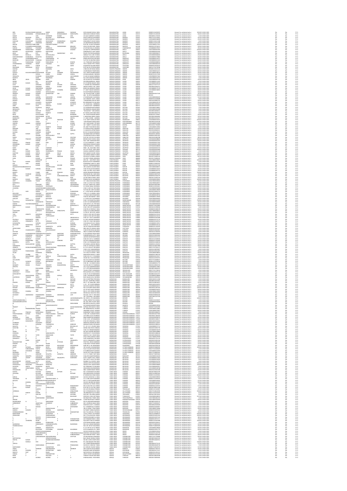| MIS<br><b>ALCO</b>                                                                                                                                                                                                            | KAUSALAYAMAN GAIKWAD<br>ASHANANDA                                         | BHIMASI<br><b>JAIN</b><br>JAJOO                                                                                                                                                                                                | MANIE<br>ALDE<br>SURENDRA                                                                                                                                                                                                                            | MAGANRAD<br>IIHMASHANKAR<br>KUMAR<br>RAMPIASAD | GAIKWAC<br><b>MAROTIAPP</b><br><b>JAIN</b><br>JAJOO                                                                                  | VIDYA NAGAR SHIVAII INDIA<br>A RHI ASHA SUBHASH UNDU<br>C/O ANY AGENCIES SAINERS                                                                                                                                                                                                                                                    | MAHABASHTIV<br>MAHARASHTRA<br>MAHARASHTR                                                                                                                                                                                      | <b>JALNA</b><br><b>JANA</b><br>JANA<br>NANDEI                                                                                                                                                                                                                                        | 431515<br>431527<br>43151                                                               | 00005111421492<br>N3005131120204<br>N3016961117620                    | Amount for unclaimed and u                                                                                                                                                                                                                                                                                                                                                                                                                        | 165.00 01-NOV-2023<br>50.00 01-NOV-2023<br>1.50.01.50%2023                      |  |
|-------------------------------------------------------------------------------------------------------------------------------------------------------------------------------------------------------------------------------|---------------------------------------------------------------------------|--------------------------------------------------------------------------------------------------------------------------------------------------------------------------------------------------------------------------------|------------------------------------------------------------------------------------------------------------------------------------------------------------------------------------------------------------------------------------------------------|------------------------------------------------|--------------------------------------------------------------------------------------------------------------------------------------|-------------------------------------------------------------------------------------------------------------------------------------------------------------------------------------------------------------------------------------------------------------------------------------------------------------------------------------|-------------------------------------------------------------------------------------------------------------------------------------------------------------------------------------------------------------------------------|--------------------------------------------------------------------------------------------------------------------------------------------------------------------------------------------------------------------------------------------------------------------------------------|-----------------------------------------------------------------------------------------|-----------------------------------------------------------------------|---------------------------------------------------------------------------------------------------------------------------------------------------------------------------------------------------------------------------------------------------------------------------------------------------------------------------------------------------------------------------------------------------------------------------------------------------|---------------------------------------------------------------------------------|--|
| <b>ADITYA</b><br>UMES<br>SHEXHAI<br>syzo                                                                                                                                                                                      | BALKISAN<br>MOHAN<br>TAASHIKANT<br>441548                                 | <b>BHALERAD</b><br>KULKARNI<br>AKBARSAB                                                                                                                                                                                        | DALKISAN<br>NOTAVAILABLE<br>SHASHIKANT<br>AKIMUSAD                                                                                                                                                                                                   | SHANKARRAD<br>ZAINUDDIN                        | KULKARNI<br>SYED                                                                                                                     | AIDD COMPLEX ASHISINDIA<br>JUAMATA HOSPITAL GIINDIA<br>ENUSMIUTI HOUSE FINDS<br>C/O BASIRODOIN ANW INDIA                                                                                                                                                                                                                            | MAHARASHTR<br>MAHARASHTR<br>MAHARASHTE<br>MAHARASHTR                                                                                                                                                                          | NANDED<br>NANDER<br>NANDEE                                                                                                                                                                                                                                                           | 43160<br>43160<br>43160<br>431604                                                       | N3017741311360<br>120494000004828<br>V3005131631118<br>N3005131423129 | Amount for uncluimed and u<br>Amount for uncluimed and u<br>Amount for uncluimed and u<br>Amount for uncluimed and u<br>Amount for uncluimed and u<br>Amount for uncluimed and u<br>Amount for uncluimed and u                                                                                                                                                                                                                                    | 53.50 01-NOV-2023<br>25.00 01-NOV-2023<br>5.00 01-NOV-2023<br>21.50 01-NOV-2023 |  |
| DEEPAK<br>MOHD<br>suntse                                                                                                                                                                                                      | FURUSHOTTAMR LABOE<br><b>TYASARDE GANNOORAN</b>                           | PIDURKA                                                                                                                                                                                                                        | PURUSHOT<br>ABOUL<br>CHINDHUI<br>HARGOVINDJ                                                                                                                                                                                                          | GANIMOHMA                                      | <b>ISRAHIM</b><br>PIDURKAI                                                                                                           | <b>PLOT NO. 34 DATTATIN INDIA</b><br>COCO COLONY BORI EINDIA<br>TOTE NO MOJ2 URUNDA                                                                                                                                                                                                                                                 | MAHARASHTR<br>MAHARASHTR<br>MAHARASHTR                                                                                                                                                                                        | NAGPUR<br>NAGPUR                                                                                                                                                                                                                                                                     | 4002<br>441108<br>442406<br>444000                                                      | 120107000011725<br>N3022011071601<br>12018000037913                   | Amount for unclusined and u<br>Amount for unclaimed and u<br>Amount for unclaimed and u<br>Amount for unclaimed and u                                                                                                                                                                                                                                                                                                                             | 200.00 01-NOV-2023<br>50.00 01-NOV-2023<br>35.00 01-NOV-2023                    |  |
| VINODKUT<br>NISHANT<br><b>ASHA</b>                                                                                                                                                                                            | HARCOVINDE<br>MURLIDHAR                                                   | <b>JHAWAR</b><br><b>BHANSAL</b><br>KITE                                                                                                                                                                                        | MURLIDINAR                                                                                                                                                                                                                                           | NAMOEORAO                                      | <b>JIAWAR</b><br>KITE                                                                                                                | C/O ADITYA COR<br>ORA' INDIA<br>HEFFERI IPA'S LIGHT VINEN<br><b>OUCE STATION QUARINOL</b>                                                                                                                                                                                                                                           | MAHARASHTR<br>MAHARASHTR<br>MAHARASHTR                                                                                                                                                                                        | CHANDRAP<br>AKOLA<br><b>AKOLA</b>                                                                                                                                                                                                                                                    | 4400                                                                                    | 130231000000739<br>130358000000756<br>130231000000921                 | Amount for uncusmed and<br>Amount for unclaimed and<br>Amount for unclaimed and i<br>Amount for unclaimed and i                                                                                                                                                                                                                                                                                                                                   | 250.00 01-NOV-2023<br>50.00 01-NOV-2023<br>50.00 01-NOV-2023                    |  |
| SHRIKANT<br>SANTOS<br>VASDEY                                                                                                                                                                                                  | <b>JAJURIN</b><br>SHANKARLAL<br><b>DIANDANI</b>                           | KARWA<br><b>RUNATIVA</b>                                                                                                                                                                                                       | ANIL<br>NOTAVAILABLE<br>SHANKARLAI                                                                                                                                                                                                                   | M                                              | VATNAN                                                                                                                               | ANKALP CIVIL LINE RUNDH<br>RUHATIYA COMPLEX LIINDIA<br><b>RIME INVESTORS SER INDIA</b>                                                                                                                                                                                                                                              | MAHARASHTR<br>MAHARASHTR<br>MAHARASHTR                                                                                                                                                                                        | BULDHAN<br>AKOLA<br>AKOLA<br><b>AMBAVAT</b>                                                                                                                                                                                                                                          |                                                                                         | 120106000066640<br>120106000107380<br>120200000023337                 | Amount for unclaimed and                                                                                                                                                                                                                                                                                                                                                                                                                          | 25.00 01-NOV-2023<br>25.00 01-NOV-2023<br>29.00 01-NOV-2023                     |  |
| MADHUR<br><b>SUDAS</b><br>CHANDRA                                                                                                                                                                                             | <b>EAVALKISHOP</b><br>ANDURANG<br><b>MARANT</b>                           | CHANDAR<br>KHADSE<br>WAGH                                                                                                                                                                                                      | CHANDANIMAL<br>NAVALKISHOR<br>PANDURANG<br>TUKARAM                                                                                                                                                                                                   | $\leq$                                         | KHADSE                                                                                                                               | FLAT NO-10 ANUPAM INDIA<br>111 PRASHANT NACAINENA<br>THE E E MSES TYPE III FINDM                                                                                                                                                                                                                                                    | MAHARASHTR<br>MAHARASHTR<br>MAHARASHTR                                                                                                                                                                                        | <b>AMBAVAT</b><br><b>AMBAVAT</b><br><b>AMBAVAT</b>                                                                                                                                                                                                                                   | 444305<br>444506<br>444506<br>4446005<br>4446005<br>445000<br>45000<br>452000<br>452000 | 130358000002145<br>120209000086855<br>12041100000112                  | Amount for unclaimed and u<br>Amount for unclaimed and u<br>Amount for unclaimed and u                                                                                                                                                                                                                                                                                                                                                            | 25.00 01-NOV-2023<br>75.00 01-NOV-2023<br>50.00 01-NOV-2023                     |  |
| SAHIR<br>RAIKUMAR<br>SAMYAK                                                                                                                                                                                                   | MOHD<br>MOHANLAL                                                          | ZUBAJR<br>RATHI<br>MODE                                                                                                                                                                                                        | MONANLAL<br>RAJENDRA                                                                                                                                                                                                                                 | <b>IMS</b>                                     | WAGH<br>SAHIR<br>MODI                                                                                                                | ISLAMPURA KALAMB RINDI<br><b>PLOT NO 46 A PUSHPA INDIA</b><br>SEIDDDLONY BIMA NINDIA                                                                                                                                                                                                                                                | MAHARASHTR<br>MAHARASHTRA<br>MADHYA PRADES                                                                                                                                                                                    | <b>YAVATMA</b><br><b>TAVATMAI</b><br>NOOR                                                                                                                                                                                                                                            |                                                                                         | V3003941597603<br>N3011271677878<br>N3028141031054                    | Amount for unclaimed and u<br>Amount for unclaimed and u<br>Amount for unclaimed and u<br>concern to service results                                                                                                                                                                                                                                                                                                                              | 17.50.01.NOV-2023<br>50.00.01-MOV-2023<br>16.00 01-NOV-2023                     |  |
| ANKUR<br><b>SUSHILA</b>                                                                                                                                                                                                       | KAILASI                                                                   | ALYA<br><b>MAHES</b>                                                                                                                                                                                                           |                                                                                                                                                                                                                                                      | ANII<br>CHANDRA<br>KUMAR                       | ALYA<br>MAHESHWARI                                                                                                                   | 3 MECHNI IM TOWER INTI<br>25/2 NORTH RAIMON INDIA                                                                                                                                                                                                                                                                                   | MADHYA PRADES<br>MADHYA PRADES!                                                                                                                                                                                               | NOOR                                                                                                                                                                                                                                                                                 |                                                                                         | 120417000001421<br>120170000010813                                    | Amount for unclaimed and u                                                                                                                                                                                                                                                                                                                                                                                                                        | 10.50 01-NOV-2023<br>25.00 01-NOV-2023                                          |  |
| ARUMANISM MANAHIRA MARUKA MARUKA MARUKA MARUKA MARUKA MARUKA MARUKA MARUKA MARUKA MARUKA MARUKA MARUKA MARUKA MARUKA MARUKA MARUKA MARUKA MARUKA MARUKA MARUKA MARUKA MARUKA MARUKA MARUKA MARUKA MARUKA MARUKA MARUKA MARUKA | ARUN                                                                      |                                                                                                                                                                                                                                | MR<br>KAILASH<br>EMAWANDAS<br>EMAWANDAS<br>PARASRAM<br>SAIFUDON<br>BASANTI<br>KAMARALI<br>KAMARALI<br>KAMARALI<br>RAMARALI<br>RAMARALI<br>RAMARALI<br>RAMARALI<br>RAMARALI<br>RAMARALI<br>RAMARALI<br>RAMARALI<br>RAMARALI<br>RAMARALI               |                                                | GODHA<br>LALCHAN<br>MODI<br>SONONE                                                                                                   |                                                                                                                                                                                                                                                                                                                                     |                                                                                                                                                                                                                               |                                                                                                                                                                                                                                                                                      |                                                                                         |                                                                       |                                                                                                                                                                                                                                                                                                                                                                                                                                                   |                                                                                 |  |
|                                                                                                                                                                                                                               | KUMA                                                                      |                                                                                                                                                                                                                                |                                                                                                                                                                                                                                                      | lal<br>Siyami<br>Kumar                         |                                                                                                                                      |                                                                                                                                                                                                                                                                                                                                     |                                                                                                                                                                                                                               |                                                                                                                                                                                                                                                                                      |                                                                                         |                                                                       |                                                                                                                                                                                                                                                                                                                                                                                                                                                   |                                                                                 |  |
|                                                                                                                                                                                                                               | HUSAIN<br>KUMAR                                                           |                                                                                                                                                                                                                                |                                                                                                                                                                                                                                                      | CHANDR                                         | SONI<br>AGRAWAL<br>GANGWAL<br>MAKSIWALI<br>SONWANI                                                                                   |                                                                                                                                                                                                                                                                                                                                     |                                                                                                                                                                                                                               |                                                                                                                                                                                                                                                                                      |                                                                                         |                                                                       |                                                                                                                                                                                                                                                                                                                                                                                                                                                   |                                                                                 |  |
|                                                                                                                                                                                                                               | KUMAR<br>BEHARI                                                           |                                                                                                                                                                                                                                |                                                                                                                                                                                                                                                      | DAS                                            |                                                                                                                                      |                                                                                                                                                                                                                                                                                                                                     |                                                                                                                                                                                                                               |                                                                                                                                                                                                                                                                                      |                                                                                         |                                                                       |                                                                                                                                                                                                                                                                                                                                                                                                                                                   |                                                                                 |  |
|                                                                                                                                                                                                                               |                                                                           |                                                                                                                                                                                                                                | A<br>MAHAYEER<br>DEVENDRA<br>ABHAYA<br>ABHAYA<br>ABHAYA<br>ABHAYA<br>BAXESH<br>BAXESH<br>BAXESH<br>BAXESH<br>BAXESH<br>BAXESH<br>ABHT<br>SUIRMAR<br>ABHAYA<br>ABHESH<br>BAXESH<br>BAXESH<br>BAXESH<br>BAXESH<br>BAXESH<br>BAXESH<br>BAXESH<br>BAXESH | KUMAR                                          | SCMAN<br>DAYAL<br>AIMERA<br>KCTHAR<br>ACHARYA<br>KATARIYA<br>KATARIYA<br>DAVE                                                        |                                                                                                                                                                                                                                                                                                                                     |                                                                                                                                                                                                                               |                                                                                                                                                                                                                                                                                      |                                                                                         |                                                                       |                                                                                                                                                                                                                                                                                                                                                                                                                                                   |                                                                                 |  |
|                                                                                                                                                                                                                               | <b>KUMA</b>                                                               |                                                                                                                                                                                                                                |                                                                                                                                                                                                                                                      | KUMAR                                          |                                                                                                                                      |                                                                                                                                                                                                                                                                                                                                     |                                                                                                                                                                                                                               |                                                                                                                                                                                                                                                                                      |                                                                                         |                                                                       |                                                                                                                                                                                                                                                                                                                                                                                                                                                   |                                                                                 |  |
|                                                                                                                                                                                                                               |                                                                           |                                                                                                                                                                                                                                |                                                                                                                                                                                                                                                      |                                                |                                                                                                                                      |                                                                                                                                                                                                                                                                                                                                     |                                                                                                                                                                                                                               |                                                                                                                                                                                                                                                                                      |                                                                                         |                                                                       |                                                                                                                                                                                                                                                                                                                                                                                                                                                   |                                                                                 |  |
|                                                                                                                                                                                                                               |                                                                           |                                                                                                                                                                                                                                |                                                                                                                                                                                                                                                      | CHANDIS                                        |                                                                                                                                      |                                                                                                                                                                                                                                                                                                                                     |                                                                                                                                                                                                                               |                                                                                                                                                                                                                                                                                      |                                                                                         |                                                                       |                                                                                                                                                                                                                                                                                                                                                                                                                                                   |                                                                                 |  |
|                                                                                                                                                                                                                               |                                                                           |                                                                                                                                                                                                                                |                                                                                                                                                                                                                                                      |                                                |                                                                                                                                      |                                                                                                                                                                                                                                                                                                                                     |                                                                                                                                                                                                                               |                                                                                                                                                                                                                                                                                      |                                                                                         |                                                                       |                                                                                                                                                                                                                                                                                                                                                                                                                                                   |                                                                                 |  |
|                                                                                                                                                                                                                               | <b>KUMA</b>                                                               |                                                                                                                                                                                                                                | .<br>RAMESH                                                                                                                                                                                                                                          | -<br>Prasad<br>Kumar                           | MATHUR<br>SOMANI<br>BHANDAR<br>MAHESH<br>MEHTA<br>SONI<br>YADAV<br>THAKUR<br>PHASI<br>PHASI<br>PHASI<br>PHASI                        |                                                                                                                                                                                                                                                                                                                                     |                                                                                                                                                                                                                               |                                                                                                                                                                                                                                                                                      |                                                                                         |                                                                       |                                                                                                                                                                                                                                                                                                                                                                                                                                                   |                                                                                 |  |
|                                                                                                                                                                                                                               | KUMA                                                                      |                                                                                                                                                                                                                                | R<br>RAMISH<br>ARUN<br>JARPAL<br>SHARMA<br>NGTHAV<br>NGTHAV<br>NATHMAL<br>NGTHAV<br>NATHMAL<br>NAM                                                                                                                                                   | RAM                                            | GUPTA                                                                                                                                |                                                                                                                                                                                                                                                                                                                                     |                                                                                                                                                                                                                               |                                                                                                                                                                                                                                                                                      |                                                                                         |                                                                       |                                                                                                                                                                                                                                                                                                                                                                                                                                                   |                                                                                 |  |
|                                                                                                                                                                                                                               |                                                                           |                                                                                                                                                                                                                                |                                                                                                                                                                                                                                                      | PRASAD                                         |                                                                                                                                      |                                                                                                                                                                                                                                                                                                                                     |                                                                                                                                                                                                                               |                                                                                                                                                                                                                                                                                      |                                                                                         |                                                                       |                                                                                                                                                                                                                                                                                                                                                                                                                                                   |                                                                                 |  |
|                                                                                                                                                                                                                               | PRAKASI<br>KUMAR                                                          |                                                                                                                                                                                                                                |                                                                                                                                                                                                                                                      |                                                | GOUTAN<br>SHARMA<br>MISHRA<br>DUREY<br>JAISWAL<br>RASAK<br>CHIR                                                                      |                                                                                                                                                                                                                                                                                                                                     |                                                                                                                                                                                                                               |                                                                                                                                                                                                                                                                                      |                                                                                         |                                                                       |                                                                                                                                                                                                                                                                                                                                                                                                                                                   |                                                                                 |  |
|                                                                                                                                                                                                                               |                                                                           |                                                                                                                                                                                                                                |                                                                                                                                                                                                                                                      |                                                |                                                                                                                                      |                                                                                                                                                                                                                                                                                                                                     |                                                                                                                                                                                                                               |                                                                                                                                                                                                                                                                                      |                                                                                         |                                                                       |                                                                                                                                                                                                                                                                                                                                                                                                                                                   |                                                                                 |  |
|                                                                                                                                                                                                                               | devi<br>Kumar<br>Kumar<br>Shareei<br>Shareei                              |                                                                                                                                                                                                                                | K<br>GURUDAS<br>GURUDAS<br>DHARMIA<br>RAM<br>SURENDRA<br>SURENDRA                                                                                                                                                                                    | PRASAD<br>DULAL<br>SAKAL<br>NARAYAI            |                                                                                                                                      |                                                                                                                                                                                                                                                                                                                                     |                                                                                                                                                                                                                               |                                                                                                                                                                                                                                                                                      |                                                                                         |                                                                       |                                                                                                                                                                                                                                                                                                                                                                                                                                                   |                                                                                 |  |
|                                                                                                                                                                                                                               |                                                                           |                                                                                                                                                                                                                                |                                                                                                                                                                                                                                                      |                                                |                                                                                                                                      |                                                                                                                                                                                                                                                                                                                                     |                                                                                                                                                                                                                               |                                                                                                                                                                                                                                                                                      |                                                                                         |                                                                       |                                                                                                                                                                                                                                                                                                                                                                                                                                                   |                                                                                 |  |
| u<br>Vijay<br>Om<br>Sanjiya<br>Raj<br>Raj<br>Nirmla                                                                                                                                                                           | KUMAR                                                                     | GOOD AN AGRICULATION CONTRACT CONTRACT AND A STRUCTURE OF A STRUCTURE OF A STRUCTURE OF A STRUCTURE OF A STRUCTURE OF A STRUCTURE OF A STRUCTURE OF A STRUCTURE OF A STRUCTURE OF A STRUCTURE OF A STRUCTURE OF A STRUCTURE OF |                                                                                                                                                                                                                                                      | KISHORI                                        | YADAV<br>MEDYA<br>SINGH<br>SINGH<br>PRASAD<br>GANESI<br>KHOSLA<br>RAM<br>SINGH                                                       |                                                                                                                                                                                                                                                                                                                                     |                                                                                                                                                                                                                               |                                                                                                                                                                                                                                                                                      |                                                                                         |                                                                       |                                                                                                                                                                                                                                                                                                                                                                                                                                                   |                                                                                 |  |
|                                                                                                                                                                                                                               | <b>CERCOLTE</b><br>KUMAR                                                  | SURANA                                                                                                                                                                                                                         | V<br>SUKH<br>NAND<br>NOTAPPUC<br>NAND<br>HANI<br>VASUDEV<br>VASUDEV                                                                                                                                                                                  | CHAND                                          |                                                                                                                                      |                                                                                                                                                                                                                                                                                                                                     |                                                                                                                                                                                                                               |                                                                                                                                                                                                                                                                                      |                                                                                         |                                                                       |                                                                                                                                                                                                                                                                                                                                                                                                                                                   |                                                                                 |  |
|                                                                                                                                                                                                                               | SHANKAI<br>UDAY                                                           |                                                                                                                                                                                                                                |                                                                                                                                                                                                                                                      | PRAKASH<br>lal<br>Suraya                       |                                                                                                                                      |                                                                                                                                                                                                                                                                                                                                     |                                                                                                                                                                                                                               |                                                                                                                                                                                                                                                                                      |                                                                                         |                                                                       |                                                                                                                                                                                                                                                                                                                                                                                                                                                   |                                                                                 |  |
| NIRMLA<br>MAMTA<br>PREM<br>ADIRAIU<br>FIRAT<br>MARSIMULL<br>RITU<br>DEVARAIAN<br>DEVARAIAN<br>CHANDRA<br>V                                                                                                                    | KUMAR<br>CHANDRA                                                          | CHAND<br>IAJODIA<br>BHASKAR<br>KGRAWAL<br>TIWARI                                                                                                                                                                               | A<br>CHASI<br>DRAMCO<br>PRAMCO<br>VENGATIS<br>CHARMCHAN<br>DHARMCHAN<br>VENGATISWA<br>V                                                                                                                                                              | MAL<br>CHANDRA                                 | SURANA<br>YADAV<br>SINGH<br>SINGH<br>MURTY<br>NARAYANA<br>TIWARI<br>TIWARI<br>NARAYANA<br>LAKSHMANA<br>LAKSHMANA<br>SETHURANA        |                                                                                                                                                                                                                                                                                                                                     |                                                                                                                                                                                                                               |                                                                                                                                                                                                                                                                                      |                                                                                         |                                                                       |                                                                                                                                                                                                                                                                                                                                                                                                                                                   |                                                                                 |  |
|                                                                                                                                                                                                                               |                                                                           |                                                                                                                                                                                                                                |                                                                                                                                                                                                                                                      |                                                |                                                                                                                                      |                                                                                                                                                                                                                                                                                                                                     |                                                                                                                                                                                                                               |                                                                                                                                                                                                                                                                                      |                                                                                         |                                                                       |                                                                                                                                                                                                                                                                                                                                                                                                                                                   |                                                                                 |  |
|                                                                                                                                                                                                                               | <b>HARI</b>                                                               | V<br>MAHAJAN<br>KUMARAVEL<br>VASANTHIKUR<br>HARAN<br>HARAN<br>SHIVARAULL<br>BATNAJAN<br>KUMAR<br>KUMAR<br>KUMAR<br>KUMAR<br>KUMAR<br>KUMARAULL<br>KUMARAULL                                                                    |                                                                                                                                                                                                                                                      |                                                |                                                                                                                                      |                                                                                                                                                                                                                                                                                                                                     |                                                                                                                                                                                                                               |                                                                                                                                                                                                                                                                                      |                                                                                         |                                                                       |                                                                                                                                                                                                                                                                                                                                                                                                                                                   |                                                                                 |  |
| a<br>Mallaiah<br>Siddamshi<br>Parasilai<br>Vadluri<br>                                                                                                                                                                        |                                                                           |                                                                                                                                                                                                                                | R<br>NARSIMLOO<br>RAMULU<br>BUCHAIAH<br>BUCHAIAH<br>-                                                                                                                                                                                                |                                                | Y<br>SUNDARISAN<br>JEKUSAN<br>SIDDAMSHETTY<br>PAREKH                                                                                 |                                                                                                                                                                                                                                                                                                                                     |                                                                                                                                                                                                                               |                                                                                                                                                                                                                                                                                      |                                                                                         |                                                                       |                                                                                                                                                                                                                                                                                                                                                                                                                                                   |                                                                                 |  |
|                                                                                                                                                                                                                               | VGAY<br>DASHARATHA                                                        |                                                                                                                                                                                                                                |                                                                                                                                                                                                                                                      |                                                | REDDY<br>GONE<br>BHEEMSHETTY<br>---                                                                                                  |                                                                                                                                                                                                                                                                                                                                     |                                                                                                                                                                                                                               |                                                                                                                                                                                                                                                                                      |                                                                                         |                                                                       |                                                                                                                                                                                                                                                                                                                                                                                                                                                   |                                                                                 |  |
| k<br>VADDEPALLI<br>KOWRU<br>SREENIVASULI<br>RAVI<br>                                                                                                                                                                          | KUMAR                                                                     | SAVIASWA<br>VRAD<br>BHEEMSH                                                                                                                                                                                                    | K<br>NARASANAH<br>KRISHINA<br>SURYANARAYAP<br>HANUMANTHA<br>NAGAPPA<br>RINGANATHAN<br>RINGANATHAN<br>NAGAPPA<br>NAGAPPA<br>NAGAPPA                                                                                                                   | <b>MG</b>                                      |                                                                                                                                      |                                                                                                                                                                                                                                                                                                                                     |                                                                                                                                                                                                                               |                                                                                                                                                                                                                                                                                      |                                                                                         |                                                                       |                                                                                                                                                                                                                                                                                                                                                                                                                                                   |                                                                                 |  |
| V<br>VUDAYAG<br>THAI<br>GUTHI                                                                                                                                                                                                 | ASWATH                                                                    | <br>Pradhav<br>Harinati                                                                                                                                                                                                        |                                                                                                                                                                                                                                                      |                                                | N<br>REDDY<br>SETTY<br>SETTY<br>SETTY                                                                                                |                                                                                                                                                                                                                                                                                                                                     |                                                                                                                                                                                                                               |                                                                                                                                                                                                                                                                                      |                                                                                         |                                                                       |                                                                                                                                                                                                                                                                                                                                                                                                                                                   |                                                                                 |  |
|                                                                                                                                                                                                                               |                                                                           | R<br>NAGARAJU<br>NAGESH                                                                                                                                                                                                        |                                                                                                                                                                                                                                                      |                                                |                                                                                                                                      |                                                                                                                                                                                                                                                                                                                                     |                                                                                                                                                                                                                               | NGUARAD<br>AGUARAD<br>AGUARAD<br>KASIM NAGA<br>KHAMMAM<br>KHAMMAMAR<br>ANANTHAR<br>ANANTHAR<br>ANANTHAR<br>ANANTHAR<br>ANANTHAR<br>ANANTHAR<br>ANANTHAR<br>ANANTHAR<br>ANANTHAR<br>ANANTHAR<br>ANANTHAR<br>ANANTHAR<br>ANANTHAR                                                      |                                                                                         |                                                                       |                                                                                                                                                                                                                                                                                                                                                                                                                                                   |                                                                                 |  |
| L<br>POLEPALLI<br>JAYANTHI<br>PALUVURI                                                                                                                                                                                        | RAGHUNATI<br>VISWANATH                                                    |                                                                                                                                                                                                                                | .<br>VENKAIAH<br>HANUMAN                                                                                                                                                                                                                             |                                                | SEEENVASUU<br>SETTY<br>KURUBA<br>SIDDAPPA<br>SIDDAPPA<br>MARIBOINA<br>VENKATESWARI<br>VENKATESWARI<br>CANAMARIDOINA<br>CANAMARIDOINA |                                                                                                                                                                                                                                                                                                                                     |                                                                                                                                                                                                                               |                                                                                                                                                                                                                                                                                      |                                                                                         |                                                                       |                                                                                                                                                                                                                                                                                                                                                                                                                                                   |                                                                                 |  |
| EMACHA                                                                                                                                                                                                                        | NARASIMAA<br>ABDUL                                                        |                                                                                                                                                                                                                                | P<br>GANDIKOTA<br>MALAKONDI<br>MALAKONDI                                                                                                                                                                                                             | <b>MTD</b>                                     |                                                                                                                                      |                                                                                                                                                                                                                                                                                                                                     |                                                                                                                                                                                                                               |                                                                                                                                                                                                                                                                                      |                                                                                         |                                                                       |                                                                                                                                                                                                                                                                                                                                                                                                                                                   |                                                                                 |  |
| m<br>CHITTEM<br>PANDU                                                                                                                                                                                                         | SUDEAMAN                                                                  |                                                                                                                                                                                                                                | L<br>VENKATA<br>PANDU                                                                                                                                                                                                                                |                                                |                                                                                                                                      |                                                                                                                                                                                                                                                                                                                                     |                                                                                                                                                                                                                               |                                                                                                                                                                                                                                                                                      |                                                                                         |                                                                       |                                                                                                                                                                                                                                                                                                                                                                                                                                                   |                                                                                 |  |
|                                                                                                                                                                                                                               | SUURAMANTI<br>RANGARAD<br>SAMRAJYA<br>RAMASUBBA<br>RAMASUBBA<br>TAMASUBBA |                                                                                                                                                                                                                                |                                                                                                                                                                                                                                                      | NARAYANA<br>RANGARAD<br>YLN<br>SANKARA         | :ANAMARLA<br>KANCHERLA<br>MURTHY<br>RAVURU<br>RAO                                                                                    |                                                                                                                                                                                                                                                                                                                                     |                                                                                                                                                                                                                               |                                                                                                                                                                                                                                                                                      |                                                                                         |                                                                       |                                                                                                                                                                                                                                                                                                                                                                                                                                                   |                                                                                 |  |
|                                                                                                                                                                                                                               |                                                                           |                                                                                                                                                                                                                                |                                                                                                                                                                                                                                                      |                                                |                                                                                                                                      |                                                                                                                                                                                                                                                                                                                                     |                                                                                                                                                                                                                               |                                                                                                                                                                                                                                                                                      |                                                                                         |                                                                       |                                                                                                                                                                                                                                                                                                                                                                                                                                                   |                                                                                 |  |
|                                                                                                                                                                                                                               | MANGUNIA<br>GUPTA<br>MAHALAKSHMI                                          |                                                                                                                                                                                                                                | R<br>SIVA<br>NOTAVAILABLI<br>ANUANEYA<br>-                                                                                                                                                                                                           |                                                |                                                                                                                                      |                                                                                                                                                                                                                                                                                                                                     |                                                                                                                                                                                                                               |                                                                                                                                                                                                                                                                                      |                                                                                         |                                                                       |                                                                                                                                                                                                                                                                                                                                                                                                                                                   |                                                                                 |  |
|                                                                                                                                                                                                                               |                                                                           | THE STREET WARD AND THE STREET WAS ARRESTED FOR THE STREET WAS ARRESTED FOR THE STREET WAS ARRESTED FOR THE STREET WAS ARRESTED FOR A STREET WAS ARRESTED FOR A STREET WAS ARRESTED FOR A STREET WAS A STREET OF A STREET WAS  |                                                                                                                                                                                                                                                      | <b>HNAGESWAR</b>                               | GUPTHA<br>RAO<br>SINGAMSETTI                                                                                                         |                                                                                                                                                                                                                                                                                                                                     |                                                                                                                                                                                                                               |                                                                                                                                                                                                                                                                                      |                                                                                         |                                                                       |                                                                                                                                                                                                                                                                                                                                                                                                                                                   |                                                                                 |  |
| R<br>BANALA<br>ANJANEYA<br>SITA<br>VENKATA<br>VENKATA<br>OBULAPURJ<br>ALAPATI<br>JALAPATI<br>JALAPATI<br>JALAPATI                                                                                                             |                                                                           | VIIATALAR<br>RAD<br>RAMADEV                                                                                                                                                                                                    | -<br>VENEATABAT<br>YALLAMAND<br>KALESHA<br>SUBBARAD<br>N                                                                                                                                                                                             |                                                |                                                                                                                                      |                                                                                                                                                                                                                                                                                                                                     |                                                                                                                                                                                                                               |                                                                                                                                                                                                                                                                                      |                                                                                         |                                                                       |                                                                                                                                                                                                                                                                                                                                                                                                                                                   |                                                                                 |  |
|                                                                                                                                                                                                                               | VSUBBA<br>NAGAPI<br>PITCHI                                                |                                                                                                                                                                                                                                |                                                                                                                                                                                                                                                      | VENKATASUBBA<br>SVA                            |                                                                                                                                      |                                                                                                                                                                                                                                                                                                                                     |                                                                                                                                                                                                                               |                                                                                                                                                                                                                                                                                      |                                                                                         |                                                                       |                                                                                                                                                                                                                                                                                                                                                                                                                                                   |                                                                                 |  |
|                                                                                                                                                                                                                               | SUDHEEI<br>JANAXI<br>BHANU                                                | RAMADE\<br>RAO<br>NERELLA<br>REDOY<br>SUIATHA<br>KUMAR<br>RAMALAH<br>PRASAD                                                                                                                                                    | N<br>NERELLA<br>PEDA<br>UENKUREDD<br>BRAHMAIAH<br>-                                                                                                                                                                                                  | MOHAN<br>RAMAKRIS                              |                                                                                                                                      |                                                                                                                                                                                                                                                                                                                                     |                                                                                                                                                                                                                               |                                                                                                                                                                                                                                                                                      |                                                                                         |                                                                       |                                                                                                                                                                                                                                                                                                                                                                                                                                                   |                                                                                 |  |
| N<br>SIVA<br>CADE<br>CHILLAKUR<br>CH<br>DIYYA<br>SRMDYA<br>RMDYA<br>R                                                                                                                                                         | RAVI<br>KESAVA                                                            |                                                                                                                                                                                                                                |                                                                                                                                                                                                                                                      | RAD                                            | GUPTA<br>PEDDAWNA<br>PEDDAWNA<br>CHEEMAGUR<br>MARKRISHN<br>PILA<br>PILA<br>MAHARKRISHN<br>PILA<br>MAHARKRISHN                        |                                                                                                                                                                                                                                                                                                                                     |                                                                                                                                                                                                                               |                                                                                                                                                                                                                                                                                      |                                                                                         |                                                                       |                                                                                                                                                                                                                                                                                                                                                                                                                                                   |                                                                                 |  |
| n<br>Mahadev<br>Ampayall<br>Godavari<br>SUNTREDE                                                                                                                                                                              | SRAGHUI<br>THAMM                                                          |                                                                                                                                                                                                                                |                                                                                                                                                                                                                                                      | GOPALA                                         |                                                                                                                                      |                                                                                                                                                                                                                                                                                                                                     |                                                                                                                                                                                                                               |                                                                                                                                                                                                                                                                                      |                                                                                         |                                                                       |                                                                                                                                                                                                                                                                                                                                                                                                                                                   |                                                                                 |  |
| OSHORE                                                                                                                                                                                                                        | AV<br>#RAVINDRA<br><b>CLIMAR</b>                                          | RAULAM)<br>BABU<br>RAD<br>VERRAU<br>RATHNAM<br>RATHNAM<br>NATH<br>MATH                                                                                                                                                         |                                                                                                                                                                                                                                                      |                                                |                                                                                                                                      |                                                                                                                                                                                                                                                                                                                                     |                                                                                                                                                                                                                               |                                                                                                                                                                                                                                                                                      |                                                                                         |                                                                       |                                                                                                                                                                                                                                                                                                                                                                                                                                                   |                                                                                 |  |
|                                                                                                                                                                                                                               | kumar<br>Sreinivasrao                                                     |                                                                                                                                                                                                                                | D<br>MEXAMEL<br>IANDYALA<br>KONDA<br>SEEBAAN<br>SUBBA<br>SEVUN<br>MANDU<br>MANDU<br>MANDU<br>MANDU<br>MANDU<br>MANDU<br>MANDU<br>MANDU                                                                                                               | SSRINIVASA                                     |                                                                                                                                      |                                                                                                                                                                                                                                                                                                                                     |                                                                                                                                                                                                                               |                                                                                                                                                                                                                                                                                      |                                                                                         |                                                                       |                                                                                                                                                                                                                                                                                                                                                                                                                                                   |                                                                                 |  |
| a<br>GAUTAM<br>KAMALA<br>FUSHPA                                                                                                                                                                                               |                                                                           | M<br>KUMMAASIN<br>SIPANI<br>DEVI<br>JAIN<br>JAIN                                                                                                                                                                               | L<br>PRAKASHCHANE<br>M<br>DHANRAJ<br>DHANRAJ                                                                                                                                                                                                         |                                                | RAD<br>RAJU<br>NATHAI<br>NATHAI<br>SETTY<br>SEAN<br>RAD<br>RAD<br>RAD<br>RAD                                                         | $\begin{smallmatrix} 1 & 0 & 0 & 0 \\ 0 & 0 & 0 & 0 \\ 0 & 0 & 0 & 0 \\ 0 & 0 & 0 & 0 \\ 0 & 0 & 0 & 0 \\ 0 & 0 & 0 & 0 \\ 0 & 0 & 0 & 0 \\ 0 & 0 & 0 & 0 \\ 0 & 0 & 0 & 0 \\ 0 & 0 & 0 & 0 \\ 0 & 0 & 0 & 0 \\ 0 & 0 & 0 & 0 \\ 0 & 0 & 0 & 0 \\ 0 & 0 & 0 & 0 \\ 0 & 0 & 0 & 0 \\ 0 & 0 & 0 & 0 \\ 0 & 0 & 0 & 0 \\ 0 & 0 & 0 & $ |                                                                                                                                                                                                                               | ANARTHAU<br>ANARTHAU<br>ANARTHAU<br>CHITTOOR COMMUNE<br>CHITTOOR COMMUNE<br>CHITTOOR COMMUNE<br>CHITTOOR COMMUNE<br>COMMUNE COMMUNE<br>COMMUNE COMMUNICATION<br>ANARTHAU<br>ANARTHAU<br>ANARTHAU<br>ANARTHAU<br>ANARTHAU<br>ANARTHAU<br>ANARTHAU<br>ANARTHAU<br>ANARTHAU<br>ANARTHAU |                                                                                         |                                                                       |                                                                                                                                                                                                                                                                                                                                                                                                                                                   |                                                                                 |  |
| SAVANUR<br><b>CANATH</b>                                                                                                                                                                                                      | ANANDARAO                                                                 |                                                                                                                                                                                                                                | ,<br>SAVANUR<br>DAMODARAN                                                                                                                                                                                                                            | <b>ANANDARA</b>                                | LATE                                                                                                                                 |                                                                                                                                                                                                                                                                                                                                     | KABNATA                                                                                                                                                                                                                       | <b>BANGALOR</b>                                                                                                                                                                                                                                                                      |                                                                                         |                                                                       |                                                                                                                                                                                                                                                                                                                                                                                                                                                   |                                                                                 |  |
|                                                                                                                                                                                                                               |                                                                           | PADMANABHA<br>SURESH<br>RAVICHANDRAN<br>N                                                                                                                                                                                      | KANDAVARA<br>NOTAPPLICABLE                                                                                                                                                                                                                           | CHICKAIA                                       | LAKSHMI<br>NARASIV<br>MASILAMAN                                                                                                      |                                                                                                                                                                                                                                                                                                                                     | .<br>CARINATAK.<br>CARINATAK.<br>APNATAK                                                                                                                                                                                      |                                                                                                                                                                                                                                                                                      |                                                                                         |                                                                       |                                                                                                                                                                                                                                                                                                                                                                                                                                                   |                                                                                 |  |
| RADEER                                                                                                                                                                                                                        |                                                                           | SIVASUB<br>GIREESH                                                                                                                                                                                                             |                                                                                                                                                                                                                                                      | CRANGAU                                        | <b>SATHAVA</b><br>serry                                                                                                              |                                                                                                                                                                                                                                                                                                                                     |                                                                                                                                                                                                                               |                                                                                                                                                                                                                                                                                      |                                                                                         |                                                                       |                                                                                                                                                                                                                                                                                                                                                                                                                                                   |                                                                                 |  |
|                                                                                                                                                                                                                               | <b>CURIAN</b>                                                             |                                                                                                                                                                                                                                |                                                                                                                                                                                                                                                      | $\overline{\mathbf{a}}$                        | NARIELWALA<br>KURIAN                                                                                                                 |                                                                                                                                                                                                                                                                                                                                     |                                                                                                                                                                                                                               |                                                                                                                                                                                                                                                                                      |                                                                                         |                                                                       |                                                                                                                                                                                                                                                                                                                                                                                                                                                   |                                                                                 |  |
| <b>G</b><br>VUAYA<br>RITA<br>PORATHU<br>HERMAN<br>HERMAN<br>JATHANKE                                                                                                                                                          | v<br>VIRAS<br>MARAYANI<br>MANIUNA                                         |                                                                                                                                                                                                                                |                                                                                                                                                                                                                                                      | VARGHESS                                       |                                                                                                                                      |                                                                                                                                                                                                                                                                                                                                     |                                                                                                                                                                                                                               |                                                                                                                                                                                                                                                                                      |                                                                                         |                                                                       |                                                                                                                                                                                                                                                                                                                                                                                                                                                   |                                                                                 |  |
|                                                                                                                                                                                                                               |                                                                           | <b>S</b><br>FRASAD<br>KUMAR<br>THOMAS<br>TRIERAD<br>PRASAD<br>PRASAD<br>FRASAD<br>SHETTY<br>SONKOOE<br>KORKOOE<br>P                                                                                                            |                                                                                                                                                                                                                                                      |                                                | V<br>PERIERA<br>SHETTY<br>SHETTY                                                                                                     |                                                                                                                                                                                                                                                                                                                                     |                                                                                                                                                                                                                               |                                                                                                                                                                                                                                                                                      |                                                                                         |                                                                       |                                                                                                                                                                                                                                                                                                                                                                                                                                                   |                                                                                 |  |
| ,<br>ATHRABAI<br>RACHANA<br>MALATHI<br>GAYATHIU                                                                                                                                                                               | $\frac{\rm N}{\rm M}$                                                     | EHAT<br>VEENA<br>K                                                                                                                                                                                                             | G<br>BASAVARAGEMA<br>PORATHUKARAN<br>VORATHUKARAN<br>JOAXHIM<br>JOAXHIM<br>SANTEVA<br>MABARA<br>MABARA<br>THARANATHU<br>PUTTAPPA<br>CANICSH<br>MABARATHU<br>PUTTAPPA<br>CANICSH                                                                      |                                                | KORKODE<br>BELIMALLUR<br>BHAT<br>NAGARAJA<br>CHETANA                                                                                 |                                                                                                                                                                                                                                                                                                                                     |                                                                                                                                                                                                                               |                                                                                                                                                                                                                                                                                      |                                                                                         |                                                                       |                                                                                                                                                                                                                                                                                                                                                                                                                                                   |                                                                                 |  |
|                                                                                                                                                                                                                               |                                                                           | TATER                                                                                                                                                                                                                          |                                                                                                                                                                                                                                                      |                                                | TATER                                                                                                                                |                                                                                                                                                                                                                                                                                                                                     |                                                                                                                                                                                                                               |                                                                                                                                                                                                                                                                                      |                                                                                         |                                                                       |                                                                                                                                                                                                                                                                                                                                                                                                                                                   |                                                                                 |  |
| H<br>ISHWARA<br>AMITHA<br>DATTATRIN<br>SHRKAMTH<br>SHRKAMTH                                                                                                                                                                   | OANS                                                                      | KUMA<br>Raju                                                                                                                                                                                                                   | -<br>Nanjune<br>Kunte<br>Gopal                                                                                                                                                                                                                       | OTHEVAN                                        |                                                                                                                                      |                                                                                                                                                                                                                                                                                                                                     |                                                                                                                                                                                                                               |                                                                                                                                                                                                                                                                                      |                                                                                         |                                                                       |                                                                                                                                                                                                                                                                                                                                                                                                                                                   |                                                                                 |  |
| R<br>MANUUNA<br>KISHORE<br>ASHOK<br>SAYED                                                                                                                                                                                     | $_{\rm M}$                                                                |                                                                                                                                                                                                                                |                                                                                                                                                                                                                                                      |                                                |                                                                                                                                      |                                                                                                                                                                                                                                                                                                                                     |                                                                                                                                                                                                                               |                                                                                                                                                                                                                                                                                      |                                                                                         |                                                                       |                                                                                                                                                                                                                                                                                                                                                                                                                                                   |                                                                                 |  |
|                                                                                                                                                                                                                               | -<br>SAFWAN<br>SUBRAM<br>SHIVARA                                          |                                                                                                                                                                                                                                | S<br>SAIJAN<br>ASHOK<br>SAYED<br>KOWLALI<br>SHIVARAM<br>SHIVARAM                                                                                                                                                                                     | KESHAVAS<br>ABUBAKAI<br>SITARAM                |                                                                                                                                      |                                                                                                                                                                                                                                                                                                                                     |                                                                                                                                                                                                                               |                                                                                                                                                                                                                                                                                      |                                                                                         |                                                                       |                                                                                                                                                                                                                                                                                                                                                                                                                                                   |                                                                                 |  |
|                                                                                                                                                                                                                               | -<br>NAGAPPA<br>VASANT<br>-                                               |                                                                                                                                                                                                                                |                                                                                                                                                                                                                                                      | VEERAPPA<br>MALAKAPPA                          | RAO<br>DIKARAPP<br>RAU<br>MEHARWA<br>KARKAL<br>VARIOTA<br>HISDE<br>ARWIGER<br>KADISJUS<br>KADISJUS<br>KADISJUS                       |                                                                                                                                                                                                                                                                                                                                     |                                                                                                                                                                                                                               |                                                                                                                                                                                                                                                                                      |                                                                                         |                                                                       |                                                                                                                                                                                                                                                                                                                                                                                                                                                   |                                                                                 |  |
|                                                                                                                                                                                                                               |                                                                           |                                                                                                                                                                                                                                |                                                                                                                                                                                                                                                      |                                                | CHPALKATTI                                                                                                                           |                                                                                                                                                                                                                                                                                                                                     |                                                                                                                                                                                                                               |                                                                                                                                                                                                                                                                                      |                                                                                         |                                                                       |                                                                                                                                                                                                                                                                                                                                                                                                                                                   |                                                                                 |  |
|                                                                                                                                                                                                                               | S<br>MONAN<br>RANGAPPA<br>IRAPPA<br>IRAPPA<br>VANECHAN                    |                                                                                                                                                                                                                                |                                                                                                                                                                                                                                                      |                                                | HOUGALA                                                                                                                              |                                                                                                                                                                                                                                                                                                                                     |                                                                                                                                                                                                                               |                                                                                                                                                                                                                                                                                      |                                                                                         |                                                                       |                                                                                                                                                                                                                                                                                                                                                                                                                                                   |                                                                                 |  |
| <b>CRAN<br/>RAVINDRA<br/>RAVINDRA<br/>RASAVARAJ<br/>SANKAPPA<br/>MAGALING<br/>SHAKUNTA<br/>SHIDAGOUI<br/>SUNAPPA<br/>SHIDAGOUI<br/>SUNAPPA</b><br>SHINAPPA<br>SHINAPPA<br>SHINAPPA<br>SHINAPPA<br>SHINAPPA<br>SHINAPPA        |                                                                           |                                                                                                                                                                                                                                |                                                                                                                                                                                                                                                      | KOTHAR                                         | KOTHARI                                                                                                                              |                                                                                                                                                                                                                                                                                                                                     |                                                                                                                                                                                                                               |                                                                                                                                                                                                                                                                                      |                                                                                         |                                                                       |                                                                                                                                                                                                                                                                                                                                                                                                                                                   |                                                                                 |  |
| L<br>SARQUA<br>MALLIKA<br>MALLIKA                                                                                                                                                                                             | $_{\rm M}$                                                                | MENAWAL<br>VAUXA<br>VAUXA<br>VAUXA HEGDE<br>KANNGERI<br>KANNGERI<br>KANNA KATI<br>JE CHIPALKATI<br>NGERIAAN<br>KANNA KANNA KANNA KANNA KANNA<br>KANNA KANNA KANNA KANNA KANNA<br>SAMNA KANNA KANNA KANNA KANNA KANNA           | V<br>SHIVAPPA<br>NAGAPPA<br>NAGAPPA<br>NASANT<br>NAVIGAPPA<br>NAGALING<br>NAVIGAPPA<br>NAVIGAPPA<br>NAVIGAPPAN<br>NAVIGAPPAN<br>NAVIGAPPAN<br>NAVIGAPPAN<br>NAVIGAPPANG<br>NAVIGAPPANG<br>.<br>Manhwachash                                           |                                                | SAMBASIVAN<br>GANGUR                                                                                                                 |                                                                                                                                                                                                                                                                                                                                     |                                                                                                                                                                                                                               |                                                                                                                                                                                                                                                                                      |                                                                                         |                                                                       |                                                                                                                                                                                                                                                                                                                                                                                                                                                   |                                                                                 |  |
|                                                                                                                                                                                                                               | <b>KHIMRA</b>                                                             | jain<br>Shivasan<br>Moorthy                                                                                                                                                                                                    | CHUNEALIAI<br>AMBALAVAN                                                                                                                                                                                                                              |                                                | RAMASWAM                                                                                                                             |                                                                                                                                                                                                                                                                                                                                     |                                                                                                                                                                                                                               |                                                                                                                                                                                                                                                                                      |                                                                                         |                                                                       |                                                                                                                                                                                                                                                                                                                                                                                                                                                   |                                                                                 |  |
| <b>SUSHIL</b><br>.<br>SHENBAG                                                                                                                                                                                                 | <br>Kumar<br>Kumar                                                        |                                                                                                                                                                                                                                | <br>HEERACHAND                                                                                                                                                                                                                                       |                                                |                                                                                                                                      |                                                                                                                                                                                                                                                                                                                                     |                                                                                                                                                                                                                               |                                                                                                                                                                                                                                                                                      |                                                                                         |                                                                       |                                                                                                                                                                                                                                                                                                                                                                                                                                                   |                                                                                 |  |
| PERUMAL<br>M                                                                                                                                                                                                                  | RAXISM                                                                    | n<br>Ramesh<br>Kumar<br>Mallika<br>Mallika<br>.<br>AGNESYA                                                                                                                                                                     |                                                                                                                                                                                                                                                      | CHANDIS                                        | RAMASWAM<br>CHORDIA<br>VUMMATI<br>PRAKASH<br>PRAKASH<br>SELVARAJ<br>RALUSAMY                                                         |                                                                                                                                                                                                                                                                                                                                     |                                                                                                                                                                                                                               |                                                                                                                                                                                                                                                                                      |                                                                                         |                                                                       |                                                                                                                                                                                                                                                                                                                                                                                                                                                   |                                                                                 |  |
|                                                                                                                                                                                                                               | $_{\rm N}$                                                                |                                                                                                                                                                                                                                | erumal<br>Annoharan                                                                                                                                                                                                                                  |                                                |                                                                                                                                      |                                                                                                                                                                                                                                                                                                                                     |                                                                                                                                                                                                                               |                                                                                                                                                                                                                                                                                      |                                                                                         |                                                                       |                                                                                                                                                                                                                                                                                                                                                                                                                                                   |                                                                                 |  |
| m<br>Jerome<br>Rajaseka<br>Subbarec                                                                                                                                                                                           |                                                                           | ,<br>ANANTH<br>MOHAN<br>MOHAN                                                                                                                                                                                                  | <br>NARAYANA!<br>OVUREDDY                                                                                                                                                                                                                            |                                                | CHRISPINRON<br>SUBBAREDDY<br>SUBBAREDDY<br>JAVGANESH<br>DEVENDRIER                                                                   |                                                                                                                                                                                                                                                                                                                                     |                                                                                                                                                                                                                               |                                                                                                                                                                                                                                                                                      |                                                                                         |                                                                       |                                                                                                                                                                                                                                                                                                                                                                                                                                                   |                                                                                 |  |
|                                                                                                                                                                                                                               | KUMAR<br>${\sf SN}$                                                       |                                                                                                                                                                                                                                |                                                                                                                                                                                                                                                      | SAMYRAJA                                       |                                                                                                                                      |                                                                                                                                                                                                                                                                                                                                     |                                                                                                                                                                                                                               |                                                                                                                                                                                                                                                                                      |                                                                                         |                                                                       |                                                                                                                                                                                                                                                                                                                                                                                                                                                   |                                                                                 |  |
| I<br>KARTHICK<br>GANESH<br>NARAYANAN<br>NARAYANAN<br>SRINIVASAN                                                                                                                                                               |                                                                           |                                                                                                                                                                                                                                | -<br>ARUNACHALAM<br>SUBRAMANIAN<br>SATHAPPAN<br>SUBRAMANIAM<br>N<br>MONGAVANAM                                                                                                                                                                       |                                                |                                                                                                                                      |                                                                                                                                                                                                                                                                                                                                     |                                                                                                                                                                                                                               |                                                                                                                                                                                                                                                                                      |                                                                                         |                                                                       |                                                                                                                                                                                                                                                                                                                                                                                                                                                   |                                                                                 |  |
|                                                                                                                                                                                                                               | <b>JOHANDR</b>                                                            |                                                                                                                                                                                                                                |                                                                                                                                                                                                                                                      |                                                | VISWANATHA<br>RAJENDRAN                                                                                                              |                                                                                                                                                                                                                                                                                                                                     |                                                                                                                                                                                                                               |                                                                                                                                                                                                                                                                                      |                                                                                         |                                                                       |                                                                                                                                                                                                                                                                                                                                                                                                                                                   |                                                                                 |  |
|                                                                                                                                                                                                                               |                                                                           | S<br>REVATHI<br>SRIDHAR<br>SEKAR<br>KANNAN<br>MANUJNA<br>MANUJNA                                                                                                                                                               | n<br>PONNUSAMY<br>CHIKKAMUNI<br>ANGAMUTHU<br>ATHIYANNA                                                                                                                                                                                               | counter                                        | KALIANNAN                                                                                                                            |                                                                                                                                                                                                                                                                                                                                     |                                                                                                                                                                                                                               |                                                                                                                                                                                                                                                                                      |                                                                                         |                                                                       |                                                                                                                                                                                                                                                                                                                                                                                                                                                   |                                                                                 |  |
|                                                                                                                                                                                                                               | $\alpha$                                                                  |                                                                                                                                                                                                                                |                                                                                                                                                                                                                                                      |                                                |                                                                                                                                      |                                                                                                                                                                                                                                                                                                                                     |                                                                                                                                                                                                                               |                                                                                                                                                                                                                                                                                      |                                                                                         |                                                                       |                                                                                                                                                                                                                                                                                                                                                                                                                                                   |                                                                                 |  |
| SENTHIL                                                                                                                                                                                                                       |                                                                           | R KANNAN AN<br>BALUSAMY AT<br>VENKATACHALANKA<br>BALASUBRAMAN G<br>KANAKARAJ N<br>SUNDARARAJAN RA                                                                                                                              |                                                                                                                                                                                                                                                      |                                                | CHETTIAR                                                                                                                             |                                                                                                                                                                                                                                                                                                                                     |                                                                                                                                                                                                                               |                                                                                                                                                                                                                                                                                      |                                                                                         |                                                                       |                                                                                                                                                                                                                                                                                                                                                                                                                                                   |                                                                                 |  |
| RSHA                                                                                                                                                                                                                          | kumar<br>Kamala                                                           | .<br>DEVI                                                                                                                                                                                                                      | <b>IOTAVAILABLE</b>                                                                                                                                                                                                                                  | <b>JAY</b>                                     | VENUGOPA<br>PRABAKARA                                                                                                                |                                                                                                                                                                                                                                                                                                                                     |                                                                                                                                                                                                                               |                                                                                                                                                                                                                                                                                      |                                                                                         |                                                                       |                                                                                                                                                                                                                                                                                                                                                                                                                                                   |                                                                                 |  |
| F<br>SANTHAN<br>VINOD<br>SURESH<br>RANAITH<br>VANAIA<br>MARE<br>MARE                                                                                                                                                          | EUMARK<br>RAJP                                                            | s<br>M                                                                                                                                                                                                                         | R<br>KARUNAKARAN<br>KARUNAKARAN<br>GEPINATHAN<br>VISWANATHAN<br>PAULSON<br>GEORGE                                                                                                                                                                    | NAIS                                           | <b>IAMBLAI</b>                                                                                                                       |                                                                                                                                                                                                                                                                                                                                     | 我的那种的人的人,我们的人们,我们的人们,我们的人们,我们的人们,我们的人们,我们的人们,我们的人们,我们的人们,我们的人们,我们的人们,我们的人们,我们的人们,我们的人们,我们的人们,我们的人们,我们的人们,我们的人们,我们的人们,我们的人们,我们的人们,我们的人们,我们的人们,我们的人们,我们的人们,我们的人们,我们的人们,我们的人们,我们的人们,我们的人们,我们的人们,我们的人们,我们的人们,我们的人们,我们的人们,我们的人们,我们 | <b>MARXON TERM AND MARXON TERM AND STRENGTH TERM AND STRENGTH TERM AND STRENGTH AND STRENGTH AND STRENGTH AND STR<br/>STRENGTH TERM AND STRENGTH AND STRENGTH AND STRENGTH AND STRENGTH AND STRENGTH AND STRENGTH AND STRENGTH AND </b>                                              |                                                                                         |                                                                       | $\begin{small} &\mathcal{N}_{\text{M}}\text{M} & \mathcal{N}_{\text{M}}\text{M} & \mathcal{N}_{\text{M}}\text{M} & \mathcal{N}_{\text{M}}\text{M} & \mathcal{N}_{\text{M}}\text{M} & \mathcal{N}_{\text{M}}\text{M} & \mathcal{N}_{\text{M}}\text{M} & \mathcal{N}_{\text{M}}\text{M} & \mathcal{N}_{\text{M}}\text{M} & \mathcal{N}_{\text{M}}\text{M} & \mathcal{N}_{\text{M}}\text{M} & \mathcal{N}_{\text{M}}\text{M} & \mathcal{N}_{\text{M$ |                                                                                 |  |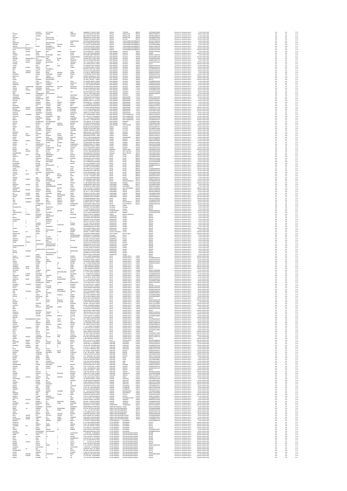| GEORGE<br>REGY<br>SATHIAN                                                                                                                                                                                                                            |                                            | UDAYAN<br>KURIAKOSI<br>THOMAS                                                                                                                                                                                                                                                                    | <b>KUTTAPPAN</b><br>KARLIN<br>APPUPATTAR                                                                                                                                                                                                               |                                                                                             | NAIR<br>MARKOSE<br>THOMAS                                                                                                                                                                                                                                                                                                   | AMBAKKATTU HOUSE INDIA<br>AMBAKKATTU HOUSE INDIA<br>186 8 186 KATTAPURDIA<br>186 8 186 KATTAPURA INDIA<br>PANCHAVALLY HOUSE INDIA<br>KAIKARA KAITHAVARA INDIA<br>TECHNICIAN BRAHMOLINDIA                                                                                                                                                                                 | KERALA<br>KERALA<br>KERALA<br>KERALA                     | THRISSUR<br>ERNAKULAM<br>ERNAKULAM<br>ERNAKULAM                                                            | 680623<br>682530                                                                                                                                                                                                                     | 1202390000241825<br>N30051315980317<br>IN30189510694910<br>1203280000163225                                                                                                                                                                                                                                                                                                                    | Amount for unclaimed and u<br>Are<br>note for uncidental and at a state of the system of the contributed and<br>$\alpha$ and a state of the system of the contributed and<br>$\alpha$ and a state of the contributed and<br>$\alpha$ are stated by the contributed and<br>$\alpha$ and a s | 7.50 01-NOV-2023                                                                                                                                                                                                                                                                                                                                                                                    |
|------------------------------------------------------------------------------------------------------------------------------------------------------------------------------------------------------------------------------------------------------|--------------------------------------------|--------------------------------------------------------------------------------------------------------------------------------------------------------------------------------------------------------------------------------------------------------------------------------------------------|--------------------------------------------------------------------------------------------------------------------------------------------------------------------------------------------------------------------------------------------------------|---------------------------------------------------------------------------------------------|-----------------------------------------------------------------------------------------------------------------------------------------------------------------------------------------------------------------------------------------------------------------------------------------------------------------------------|--------------------------------------------------------------------------------------------------------------------------------------------------------------------------------------------------------------------------------------------------------------------------------------------------------------------------------------------------------------------------|----------------------------------------------------------|------------------------------------------------------------------------------------------------------------|--------------------------------------------------------------------------------------------------------------------------------------------------------------------------------------------------------------------------------------|------------------------------------------------------------------------------------------------------------------------------------------------------------------------------------------------------------------------------------------------------------------------------------------------------------------------------------------------------------------------------------------------|--------------------------------------------------------------------------------------------------------------------------------------------------------------------------------------------------------------------------------------------------------------------------------------------|-----------------------------------------------------------------------------------------------------------------------------------------------------------------------------------------------------------------------------------------------------------------------------------------------------------------------------------------------------------------------------------------------------|
| <b>ARAF</b><br>RAVI<br>KAMALAN                                                                                                                                                                                                                       |                                            | KALAM                                                                                                                                                                                                                                                                                            | NOTAVAILABLE<br>KARUNAKARAN                                                                                                                                                                                                                            | p                                                                                           | PONNUSWAM<br>NAIR<br>PILLAI                                                                                                                                                                                                                                                                                                 |                                                                                                                                                                                                                                                                                                                                                                          | KERALA<br>KERALA<br>KERALA                               | EDLLAM<br>THIRLIVANANTHAPURASSOD<br>THIRUVANANTHAPURASIS011                                                | 691012                                                                                                                                                                                                                               | 120299000643377<br>IN30163710358290<br>IN30189510238747                                                                                                                                                                                                                                                                                                                                        |                                                                                                                                                                                                                                                                                            | $\begin{array}{c} 7.50 \times 10^{-1} \times 00^{-1} \times 223 \\ 20.00 \times 10^{-1} \times 00^{-2} \\ 20.00 \times 10^{-1} \times 00^{-2} \\ 21.50 \times 10^{-1} \times 00^{-1} \times 223 \\ 32.00 \times 10^{-1} \times 00^{-2} \times 233 \\ 5.00 \times 10^{-1} \times 00^{-2} \times 233 \\ 5.00 \times 10^{-1} \times 00^{-2} \times 233 \\ 5.00 \times 10^{-1} \times 00^{-2} \times 2$ |
| PRAKASH<br>MANCHU<br>CAPSTOD<br><b>AITH</b>                                                                                                                                                                                                          | PILLAI<br><b>DIABVTLTF</b><br>KUMAR        | NAINA<br>G.                                                                                                                                                                                                                                                                                      | GOPALA<br>MOHAMAD<br>NOTAPPLICABLE<br>GOPALAN                                                                                                                                                                                                          | <b>KRISHNA</b><br>ABDUL                                                                     | RASHEED<br>$\overline{N}$                                                                                                                                                                                                                                                                                                   | <b>IN 33 NEWMER WAS INCLUDED</b><br>TC 17/937/3 VIDHYADI INDIA<br>17/1022 POOJAPURA TINDIA<br>TC 28/1785 ANANDA IINDIA<br>PRIYA NIVAS PANANGCINDIA                                                                                                                                                                                                                       | KERALA<br>KERALA<br>KERALA<br>KERALA                     | THIRUVANANTHAPURASIS012<br>THIRUVANANTHAPURASIS012<br>THIRUVANANTHAPURASSO21<br>THIRUVANANTHAPURASISS23    |                                                                                                                                                                                                                                      | 120573000014858<br>N30051315987435<br>110000110001582<br>IN10189510102590                                                                                                                                                                                                                                                                                                                      |                                                                                                                                                                                                                                                                                            |                                                                                                                                                                                                                                                                                                                                                                                                     |
| ANIL<br>GOPAL<br>TANMON                                                                                                                                                                                                                              | KUMAR<br>KUMAR                             | <b>PODOAR</b><br>SHAW<br>MITRA<br>HUNI                                                                                                                                                                                                                                                           | RAM<br><br>G<br>DHUPENDRA<br><b>GOPAL</b>                                                                                                                                                                                                              | KARAN<br>NATH                                                                               | PODDAR<br>SHAW<br>MITRA<br><b><i>PERIHUN</i></b>                                                                                                                                                                                                                                                                            | 9/12 LALBAZAR ST KOINDIA<br>219/C, OLD CHINA BAZINDIA<br>28 CHANDI BARI STREENDIA                                                                                                                                                                                                                                                                                        | WEST BENGAL<br>WEST BENGAL<br>WEST BENGAL<br>WEST BENGAL | EDUCATA                                                                                                    | 700000                                                                                                                                                                                                                               | IN30220110159004<br>occosa<br>IN30021413282024                                                                                                                                                                                                                                                                                                                                                 |                                                                                                                                                                                                                                                                                            | 2.50 01-NOV-2021<br>761.00 01-NOV-2021                                                                                                                                                                                                                                                                                                                                                              |
| SARITA<br>KRISHINA<br><b>ASHOR</b><br>MOHAN                                                                                                                                                                                                          | PRAKAS<br>kumar<br>Kumar                   | HUF<br>DAMMAN<br>TIBRIWA                                                                                                                                                                                                                                                                         | <b>RAM</b><br>DUNGAR<br>RAMANANO                                                                                                                                                                                                                       | RATAN<br>DAS                                                                                | GUPTA<br>DAMMAN<br>TIBREWAL<br>GANDHI                                                                                                                                                                                                                                                                                       | 28 CHANDI BARI STREENDIA<br>25 BPRASANNA KUMA INDIA<br>50 GRAVA POLY CUNC INDIA<br>208 RAJA BROJENDRA INDIA<br>161/1 M.G.ROAD 4TH INDIA<br>C/O. GRIRAJ MOHTA 1INDIA                                                                                                                                                                                                      | WEST BENGAL<br>WEST BENGAL<br>WEST BENGAL                |                                                                                                            |                                                                                                                                                                                                                                      | IN30125028654708<br>1203450000101900<br><b>INTORSTOOLSTS</b><br>IN30297810074102                                                                                                                                                                                                                                                                                                               |                                                                                                                                                                                                                                                                                            | 50.00 01-NOV-202<br>0.50 01-NOV-2021<br>50.00 01-NOV-2021                                                                                                                                                                                                                                                                                                                                           |
| <b>SUMAN</b><br>TAPAN                                                                                                                                                                                                                                | KUMAR                                      | GANDHI<br>SETH<br>SHRAFF                                                                                                                                                                                                                                                                         | HARAY<br>M<br>HUSAINBHA                                                                                                                                                                                                                                | RAM                                                                                         | SETH<br>SHEAFT                                                                                                                                                                                                                                                                                                              | .<br>78 HARI NATH DEY ROINDIA<br>52 WESTON STREET STINDIA                                                                                                                                                                                                                                                                                                                | WEST BENGAL<br>WEST BENGAL<br>WEST BENGAL<br>WEST BENGAL | KOLKATA<br>KOLKATA<br>KOLKATA<br>KOLKATA<br>KOLKATA<br>KOLKATA<br>KOLKATA<br>KOLKATA<br>KOLKATA<br>KOLKATA | 700000<br>700000<br>7000000<br>7000000<br>700007<br>700007<br>700007<br>700007<br>700007<br>700000<br>700000                                                                                                                         | 001117<br>IN30210510231225<br>IN30036021967225<br>1201090000833167                                                                                                                                                                                                                                                                                                                             |                                                                                                                                                                                                                                                                                            | 50.00 01-NOV-2023<br>200.00 01-NOV-2023<br>12.50 01-NOV-2023<br>50.00 01-NOV-2023<br>10.00 01-NOV-2023<br>10.00 01-NOV-2023                                                                                                                                                                                                                                                                         |
| VINAY<br>ABID<br>OM<br>SANTI                                                                                                                                                                                                                         | PRAKASH<br>RANJAN                          | HUSAN<br>GUPTA<br>KUNDU                                                                                                                                                                                                                                                                          | DHATTU<br>JIDAN                                                                                                                                                                                                                                        | <b>KRISHNA</b><br>KUMAR<br>SINGH                                                            | SHAW<br>KUNDU                                                                                                                                                                                                                                                                                                               |                                                                                                                                                                                                                                                                                                                                                                          | WEST BENGAL<br>WEST BENGAL                               |                                                                                                            |                                                                                                                                                                                                                                      | N30165310061369<br>IN 30051011028752                                                                                                                                                                                                                                                                                                                                                           |                                                                                                                                                                                                                                                                                            |                                                                                                                                                                                                                                                                                                                                                                                                     |
|                                                                                                                                                                                                                                                      |                                            | GROUND MARKET MARKET RESEARCH AND RELEASE THE RESEARCH STATE OF A STATE OF A STATE OF A STATE OF A STATE OF A STATE OF A STATE OF A STATE OF A STATE OF A STATE OF A STATE OF A STATE OF A STATE OF A STATE OF A STATE OF A ST                                                                   | HEAN<br>MUNIMICAL<br>MANDADULAL<br>NOTAVALABLI<br>NOTAVALABLI<br>PURNENGI<br>GORUL<br>NOTAVALABLI<br>SANAT<br>NOTAVALABLI<br>NATAVALABLI<br>NATAVALABLI<br>NATAVALABLI<br>NATAVALABLI<br>NATAVALABLI                                                   | LAL                                                                                         | 521031<br>521031<br>5AS                                                                                                                                                                                                                                                                                                     |                                                                                                                                                                                                                                                                                                                                                                          |                                                          |                                                                                                            |                                                                                                                                                                                                                                      |                                                                                                                                                                                                                                                                                                                                                                                                |                                                                                                                                                                                                                                                                                            |                                                                                                                                                                                                                                                                                                                                                                                                     |
|                                                                                                                                                                                                                                                      |                                            |                                                                                                                                                                                                                                                                                                  |                                                                                                                                                                                                                                                        | KALYANI<br>DAS                                                                              | JOSHI<br>DASGUPTA<br>MAVADIYA                                                                                                                                                                                                                                                                                               |                                                                                                                                                                                                                                                                                                                                                                          |                                                          |                                                                                                            |                                                                                                                                                                                                                                      |                                                                                                                                                                                                                                                                                                                                                                                                |                                                                                                                                                                                                                                                                                            |                                                                                                                                                                                                                                                                                                                                                                                                     |
|                                                                                                                                                                                                                                                      | GHANS<br>DEVI<br>KUMAR                     |                                                                                                                                                                                                                                                                                                  |                                                                                                                                                                                                                                                        |                                                                                             | DAS                                                                                                                                                                                                                                                                                                                         |                                                                                                                                                                                                                                                                                                                                                                          |                                                          |                                                                                                            |                                                                                                                                                                                                                                      |                                                                                                                                                                                                                                                                                                                                                                                                |                                                                                                                                                                                                                                                                                            |                                                                                                                                                                                                                                                                                                                                                                                                     |
|                                                                                                                                                                                                                                                      |                                            |                                                                                                                                                                                                                                                                                                  |                                                                                                                                                                                                                                                        | -<br>BANDHL                                                                                 | MARINDEN WARD AND MARINDEN WAS ARRESTED FOR A SAMULATION OF A SAMULATION OF A SAMULATION OF A SAMULATION OF A SAMULATION OF A SAMULATION OF A SAMULATION OF A SAMULATION OF A SAMULATION OF A SAMULATION OF A SAMULATION OF A                                                                                               |                                                                                                                                                                                                                                                                                                                                                                          |                                                          |                                                                                                            |                                                                                                                                                                                                                                      |                                                                                                                                                                                                                                                                                                                                                                                                |                                                                                                                                                                                                                                                                                            |                                                                                                                                                                                                                                                                                                                                                                                                     |
|                                                                                                                                                                                                                                                      |                                            |                                                                                                                                                                                                                                                                                                  | PRIMA BARBARA MARAHA MARAHA MARAKA MARAKA MARAKA MARAKA MARAKA MARAKA MARAKA MARAKA MARAKA MARAKA MARAKA MARAKA MARAKA MARAKA MARAKA MARAKA MARAKA MARAKA MARAKA MARAKA MARAKA MARAKA MARAKA MARAKA MARAKA MARAKA MARAKA MARAK                         | CH<br>RAMAN<br>KANTA<br>KANTI<br>KUMAR<br>KUMAR<br>KUMAR                                    |                                                                                                                                                                                                                                                                                                                             |                                                                                                                                                                                                                                                                                                                                                                          |                                                          |                                                                                                            |                                                                                                                                                                                                                                      |                                                                                                                                                                                                                                                                                                                                                                                                |                                                                                                                                                                                                                                                                                            |                                                                                                                                                                                                                                                                                                                                                                                                     |
|                                                                                                                                                                                                                                                      | MOHA)<br>KUMAR                             |                                                                                                                                                                                                                                                                                                  |                                                                                                                                                                                                                                                        |                                                                                             |                                                                                                                                                                                                                                                                                                                             |                                                                                                                                                                                                                                                                                                                                                                          |                                                          |                                                                                                            |                                                                                                                                                                                                                                      |                                                                                                                                                                                                                                                                                                                                                                                                |                                                                                                                                                                                                                                                                                            |                                                                                                                                                                                                                                                                                                                                                                                                     |
|                                                                                                                                                                                                                                                      | CHANDR                                     |                                                                                                                                                                                                                                                                                                  |                                                                                                                                                                                                                                                        | NATH<br>NATH<br>DAS                                                                         |                                                                                                                                                                                                                                                                                                                             |                                                                                                                                                                                                                                                                                                                                                                          |                                                          |                                                                                                            |                                                                                                                                                                                                                                      |                                                                                                                                                                                                                                                                                                                                                                                                |                                                                                                                                                                                                                                                                                            |                                                                                                                                                                                                                                                                                                                                                                                                     |
|                                                                                                                                                                                                                                                      |                                            |                                                                                                                                                                                                                                                                                                  |                                                                                                                                                                                                                                                        | MCHAN<br>NABAYAN                                                                            |                                                                                                                                                                                                                                                                                                                             |                                                                                                                                                                                                                                                                                                                                                                          |                                                          |                                                                                                            |                                                                                                                                                                                                                                      |                                                                                                                                                                                                                                                                                                                                                                                                |                                                                                                                                                                                                                                                                                            |                                                                                                                                                                                                                                                                                                                                                                                                     |
|                                                                                                                                                                                                                                                      | <b>KUMA</b>                                |                                                                                                                                                                                                                                                                                                  |                                                                                                                                                                                                                                                        |                                                                                             |                                                                                                                                                                                                                                                                                                                             |                                                                                                                                                                                                                                                                                                                                                                          |                                                          |                                                                                                            |                                                                                                                                                                                                                                      |                                                                                                                                                                                                                                                                                                                                                                                                |                                                                                                                                                                                                                                                                                            |                                                                                                                                                                                                                                                                                                                                                                                                     |
|                                                                                                                                                                                                                                                      | DEVI<br>KUMAR                              |                                                                                                                                                                                                                                                                                                  |                                                                                                                                                                                                                                                        | GOPAL<br>CHAND<br>PRAKASH<br>CHANDR<br>LAL<br>SUNDAR                                        |                                                                                                                                                                                                                                                                                                                             |                                                                                                                                                                                                                                                                                                                                                                          |                                                          |                                                                                                            |                                                                                                                                                                                                                                      |                                                                                                                                                                                                                                                                                                                                                                                                |                                                                                                                                                                                                                                                                                            |                                                                                                                                                                                                                                                                                                                                                                                                     |
|                                                                                                                                                                                                                                                      | <b>KUMA</b><br>o,                          |                                                                                                                                                                                                                                                                                                  |                                                                                                                                                                                                                                                        |                                                                                             |                                                                                                                                                                                                                                                                                                                             |                                                                                                                                                                                                                                                                                                                                                                          |                                                          |                                                                                                            |                                                                                                                                                                                                                                      |                                                                                                                                                                                                                                                                                                                                                                                                |                                                                                                                                                                                                                                                                                            |                                                                                                                                                                                                                                                                                                                                                                                                     |
|                                                                                                                                                                                                                                                      | DEVI<br>KUMAR                              |                                                                                                                                                                                                                                                                                                  |                                                                                                                                                                                                                                                        | .<br>LATAN<br>MAL<br>CH                                                                     |                                                                                                                                                                                                                                                                                                                             |                                                                                                                                                                                                                                                                                                                                                                          |                                                          |                                                                                                            |                                                                                                                                                                                                                                      |                                                                                                                                                                                                                                                                                                                                                                                                |                                                                                                                                                                                                                                                                                            |                                                                                                                                                                                                                                                                                                                                                                                                     |
|                                                                                                                                                                                                                                                      | KAN <sup>-</sup>                           |                                                                                                                                                                                                                                                                                                  |                                                                                                                                                                                                                                                        |                                                                                             |                                                                                                                                                                                                                                                                                                                             |                                                                                                                                                                                                                                                                                                                                                                          |                                                          |                                                                                                            |                                                                                                                                                                                                                                      |                                                                                                                                                                                                                                                                                                                                                                                                |                                                                                                                                                                                                                                                                                            |                                                                                                                                                                                                                                                                                                                                                                                                     |
|                                                                                                                                                                                                                                                      |                                            |                                                                                                                                                                                                                                                                                                  |                                                                                                                                                                                                                                                        |                                                                                             |                                                                                                                                                                                                                                                                                                                             |                                                                                                                                                                                                                                                                                                                                                                          |                                                          |                                                                                                            |                                                                                                                                                                                                                                      |                                                                                                                                                                                                                                                                                                                                                                                                |                                                                                                                                                                                                                                                                                            |                                                                                                                                                                                                                                                                                                                                                                                                     |
|                                                                                                                                                                                                                                                      |                                            |                                                                                                                                                                                                                                                                                                  |                                                                                                                                                                                                                                                        |                                                                                             |                                                                                                                                                                                                                                                                                                                             |                                                                                                                                                                                                                                                                                                                                                                          |                                                          |                                                                                                            |                                                                                                                                                                                                                                      |                                                                                                                                                                                                                                                                                                                                                                                                |                                                                                                                                                                                                                                                                                            |                                                                                                                                                                                                                                                                                                                                                                                                     |
|                                                                                                                                                                                                                                                      | ALI<br>NATH                                |                                                                                                                                                                                                                                                                                                  | K MISHIM (MATULIA KATULIA MATULIA MATULIA MATULIA MATULIA MATULIA MATULIA MATULIA MATULIA MATULIA MATULIA MATULIA MATULIA MATULIA MATULIA MATULIA MATULIA MATULIA MATULIA MATULIA MATULIA MATULIA MATULIA MATULIA MATULIA MATU                         | NATH<br>Kumaj<br>NATH                                                                       | SINHA<br>KHARI PRASAD<br>KHARI PRASAD<br>KHARI PAL SINGH<br>PRASAD<br>SINGH<br>SINGH<br>SINGH<br>SINGH<br>SINGH<br>PRASAD<br>PRASAD<br>PRASAD<br>PRASAD<br>PRASAD<br>PRASAD<br>SINGH<br>SINGH<br>SINGH<br>SINGH<br>SINGH<br>SINGH<br>SINGH<br>SINGH<br>SINGH<br>SINGH<br>SINGH<br>SINGH<br>SINGH<br>SINGH<br>SINGH<br>SINGH |                                                                                                                                                                                                                                                                                                                                                                          |                                                          |                                                                                                            |                                                                                                                                                                                                                                      |                                                                                                                                                                                                                                                                                                                                                                                                |                                                                                                                                                                                                                                                                                            |                                                                                                                                                                                                                                                                                                                                                                                                     |
|                                                                                                                                                                                                                                                      | <b>KUMA</b>                                |                                                                                                                                                                                                                                                                                                  |                                                                                                                                                                                                                                                        |                                                                                             |                                                                                                                                                                                                                                                                                                                             |                                                                                                                                                                                                                                                                                                                                                                          |                                                          |                                                                                                            |                                                                                                                                                                                                                                      |                                                                                                                                                                                                                                                                                                                                                                                                |                                                                                                                                                                                                                                                                                            |                                                                                                                                                                                                                                                                                                                                                                                                     |
|                                                                                                                                                                                                                                                      | <b>KUMA</b>                                |                                                                                                                                                                                                                                                                                                  |                                                                                                                                                                                                                                                        | MOHA<br>KUMAR                                                                               |                                                                                                                                                                                                                                                                                                                             |                                                                                                                                                                                                                                                                                                                                                                          |                                                          |                                                                                                            |                                                                                                                                                                                                                                      |                                                                                                                                                                                                                                                                                                                                                                                                |                                                                                                                                                                                                                                                                                            |                                                                                                                                                                                                                                                                                                                                                                                                     |
|                                                                                                                                                                                                                                                      | <b>KUMA</b><br>KUMAR                       |                                                                                                                                                                                                                                                                                                  |                                                                                                                                                                                                                                                        |                                                                                             |                                                                                                                                                                                                                                                                                                                             |                                                                                                                                                                                                                                                                                                                                                                          |                                                          |                                                                                                            |                                                                                                                                                                                                                                      |                                                                                                                                                                                                                                                                                                                                                                                                |                                                                                                                                                                                                                                                                                            |                                                                                                                                                                                                                                                                                                                                                                                                     |
|                                                                                                                                                                                                                                                      | nuwuwa<br>KUMARI<br>RAJENDR                |                                                                                                                                                                                                                                                                                                  |                                                                                                                                                                                                                                                        | KUMAR<br>LAL<br>CHARI<br>CHARI<br>CHASAD<br>MANDAN<br>KUMAR<br>KUMAR<br>KUMAR<br>KUMAR<br>T |                                                                                                                                                                                                                                                                                                                             |                                                                                                                                                                                                                                                                                                                                                                          |                                                          |                                                                                                            | 821115<br>827054<br>828111 829122<br>834005<br>834006<br>834006<br>841226<br>841226<br>841205<br>842005                                                                                                                              |                                                                                                                                                                                                                                                                                                                                                                                                |                                                                                                                                                                                                                                                                                            |                                                                                                                                                                                                                                                                                                                                                                                                     |
|                                                                                                                                                                                                                                                      | <b>KUMBAL</b>                              | DEVI<br>SINGH<br>KUMAR<br>KAUR SINGH<br>KUMAR<br>SINGH<br>KUMAR<br>SINGH<br>CHOWD<br>CHOWD<br>CHOWD<br>CHOWD<br>CHOWD                                                                                                                                                                            |                                                                                                                                                                                                                                                        |                                                                                             |                                                                                                                                                                                                                                                                                                                             |                                                                                                                                                                                                                                                                                                                                                                          |                                                          |                                                                                                            |                                                                                                                                                                                                                                      |                                                                                                                                                                                                                                                                                                                                                                                                |                                                                                                                                                                                                                                                                                            |                                                                                                                                                                                                                                                                                                                                                                                                     |
| G<br>RAM<br>SHRSP<br>RANJIT                                                                                                                                                                                                                          |                                            |                                                                                                                                                                                                                                                                                                  |                                                                                                                                                                                                                                                        |                                                                                             | HEGDE<br>LAL<br>MATTI<br>PRADHAN                                                                                                                                                                                                                                                                                            |                                                                                                                                                                                                                                                                                                                                                                          |                                                          |                                                                                                            |                                                                                                                                                                                                                                      |                                                                                                                                                                                                                                                                                                                                                                                                |                                                                                                                                                                                                                                                                                            |                                                                                                                                                                                                                                                                                                                                                                                                     |
|                                                                                                                                                                                                                                                      | .<br>KUMAI                                 | M<br>HEGDE<br>LAKHAN<br>PRAGHAN<br>KANNAN<br>RAJAK<br>N<br>N                                                                                                                                                                                                                                     | V<br>NANDEAPP<br>SUBRAYA<br>LT<br>GAWYAPPA<br>SUDHIR<br>ABDUL<br>NAGHAWA<br>NAGHAWA<br>SWAMF<br>SWAMF                                                                                                                                                  |                                                                                             | RAHIMAN                                                                                                                                                                                                                                                                                                                     |                                                                                                                                                                                                                                                                                                                                                                          |                                                          |                                                                                                            |                                                                                                                                                                                                                                      |                                                                                                                                                                                                                                                                                                                                                                                                |                                                                                                                                                                                                                                                                                            |                                                                                                                                                                                                                                                                                                                                                                                                     |
| R<br>ABDUL<br>CHOUDI<br>UMESH<br>H<br>H                                                                                                                                                                                                              |                                            |                                                                                                                                                                                                                                                                                                  |                                                                                                                                                                                                                                                        | b.                                                                                          | A<br>GOWDA<br>GOWDA                                                                                                                                                                                                                                                                                                         |                                                                                                                                                                                                                                                                                                                                                                          |                                                          |                                                                                                            |                                                                                                                                                                                                                                      |                                                                                                                                                                                                                                                                                                                                                                                                |                                                                                                                                                                                                                                                                                            |                                                                                                                                                                                                                                                                                                                                                                                                     |
| UMESH                                                                                                                                                                                                                                                | RA)                                        | R<br>ESHWAR<br>MOHAN<br>RAIU<br>BATRA<br>ANANO<br>BATRA<br>BATRA<br>R                                                                                                                                                                                                                            | h<br>Ramac<br>Raj<br>U                                                                                                                                                                                                                                 |                                                                                             |                                                                                                                                                                                                                                                                                                                             |                                                                                                                                                                                                                                                                                                                                                                          |                                                          |                                                                                                            |                                                                                                                                                                                                                                      |                                                                                                                                                                                                                                                                                                                                                                                                |                                                                                                                                                                                                                                                                                            |                                                                                                                                                                                                                                                                                                                                                                                                     |
|                                                                                                                                                                                                                                                      |                                            | ù                                                                                                                                                                                                                                                                                                |                                                                                                                                                                                                                                                        | d                                                                                           | BATRA<br>KANNAN<br>ANAND<br>DHARMEGOWDA<br>MAHADEVAPPA<br>MAHADEVAPPA                                                                                                                                                                                                                                                       |                                                                                                                                                                                                                                                                                                                                                                          |                                                          |                                                                                                            |                                                                                                                                                                                                                                      |                                                                                                                                                                                                                                                                                                                                                                                                |                                                                                                                                                                                                                                                                                            |                                                                                                                                                                                                                                                                                                                                                                                                     |
| K<br>NAVNEET<br>MADISIAL<br>POTHI<br>RASHITH<br>ANNASH<br>VMAL<br>VMAL<br>VMAL                                                                                                                                                                       | KUMA                                       |                                                                                                                                                                                                                                                                                                  | R<br>KALAPPA<br>SUBBANNA<br>SIDDAPPA                                                                                                                                                                                                                   |                                                                                             | N<br>SALIYAN                                                                                                                                                                                                                                                                                                                |                                                                                                                                                                                                                                                                                                                                                                          |                                                          |                                                                                                            |                                                                                                                                                                                                                                      |                                                                                                                                                                                                                                                                                                                                                                                                |                                                                                                                                                                                                                                                                                            |                                                                                                                                                                                                                                                                                                                                                                                                     |
| unna                                                                                                                                                                                                                                                 |                                            |                                                                                                                                                                                                                                                                                                  | SIDDAPPA<br>SANNAVEERAPPA<br>BASAVARAJAPPA                                                                                                                                                                                                             |                                                                                             | G<br>SHIVARAMA                                                                                                                                                                                                                                                                                                              |                                                                                                                                                                                                                                                                                                                                                                          |                                                          |                                                                                                            |                                                                                                                                                                                                                                      |                                                                                                                                                                                                                                                                                                                                                                                                |                                                                                                                                                                                                                                                                                            |                                                                                                                                                                                                                                                                                                                                                                                                     |
| SATISM                                                                                                                                                                                                                                               |                                            |                                                                                                                                                                                                                                                                                                  |                                                                                                                                                                                                                                                        |                                                                                             |                                                                                                                                                                                                                                                                                                                             |                                                                                                                                                                                                                                                                                                                                                                          |                                                          |                                                                                                            |                                                                                                                                                                                                                                      |                                                                                                                                                                                                                                                                                                                                                                                                |                                                                                                                                                                                                                                                                                            |                                                                                                                                                                                                                                                                                                                                                                                                     |
| .<br>GEETHA                                                                                                                                                                                                                                          | <b>KUMAR</b><br><b>KUMA</b>                |                                                                                                                                                                                                                                                                                                  |                                                                                                                                                                                                                                                        |                                                                                             | NINGADHAM<br>B                                                                                                                                                                                                                                                                                                              |                                                                                                                                                                                                                                                                                                                                                                          |                                                          |                                                                                                            |                                                                                                                                                                                                                                      |                                                                                                                                                                                                                                                                                                                                                                                                |                                                                                                                                                                                                                                                                                            |                                                                                                                                                                                                                                                                                                                                                                                                     |
|                                                                                                                                                                                                                                                      |                                            |                                                                                                                                                                                                                                                                                                  |                                                                                                                                                                                                                                                        |                                                                                             |                                                                                                                                                                                                                                                                                                                             |                                                                                                                                                                                                                                                                                                                                                                          |                                                          |                                                                                                            |                                                                                                                                                                                                                                      |                                                                                                                                                                                                                                                                                                                                                                                                |                                                                                                                                                                                                                                                                                            |                                                                                                                                                                                                                                                                                                                                                                                                     |
|                                                                                                                                                                                                                                                      | SINGH<br>KALIR                             |                                                                                                                                                                                                                                                                                                  | VELLAISWAMY<br>SIDOALINGASWAR<br>SIDOALINGASWAR<br>SI<br>SI<br>SI<br>SI<br>S<br>S                                                                                                                                                                      |                                                                                             |                                                                                                                                                                                                                                                                                                                             |                                                                                                                                                                                                                                                                                                                                                                          |                                                          |                                                                                                            |                                                                                                                                                                                                                                      |                                                                                                                                                                                                                                                                                                                                                                                                |                                                                                                                                                                                                                                                                                            |                                                                                                                                                                                                                                                                                                                                                                                                     |
|                                                                                                                                                                                                                                                      |                                            |                                                                                                                                                                                                                                                                                                  |                                                                                                                                                                                                                                                        |                                                                                             |                                                                                                                                                                                                                                                                                                                             |                                                                                                                                                                                                                                                                                                                                                                          |                                                          |                                                                                                            |                                                                                                                                                                                                                                      |                                                                                                                                                                                                                                                                                                                                                                                                |                                                                                                                                                                                                                                                                                            |                                                                                                                                                                                                                                                                                                                                                                                                     |
|                                                                                                                                                                                                                                                      | KUMAA<br>SINGH                             |                                                                                                                                                                                                                                                                                                  | V<br>DEEPAK<br>SH<br>AMARJEE<br>AMANJEE<br>VEAY<br>SH<br>JHAMMA                                                                                                                                                                                        | KUMAR<br>ROSHAN                                                                             |                                                                                                                                                                                                                                                                                                                             |                                                                                                                                                                                                                                                                                                                                                                          |                                                          |                                                                                                            |                                                                                                                                                                                                                                      |                                                                                                                                                                                                                                                                                                                                                                                                |                                                                                                                                                                                                                                                                                            |                                                                                                                                                                                                                                                                                                                                                                                                     |
|                                                                                                                                                                                                                                                      | SHEKHA                                     |                                                                                                                                                                                                                                                                                                  |                                                                                                                                                                                                                                                        |                                                                                             |                                                                                                                                                                                                                                                                                                                             |                                                                                                                                                                                                                                                                                                                                                                          |                                                          |                                                                                                            |                                                                                                                                                                                                                                      |                                                                                                                                                                                                                                                                                                                                                                                                |                                                                                                                                                                                                                                                                                            |                                                                                                                                                                                                                                                                                                                                                                                                     |
|                                                                                                                                                                                                                                                      |                                            | LATHA<br>PANDEY<br>BAND<br>CHOPRA<br>SWATH SAND<br>SHATHA<br>THURATA<br>CHATHA<br>SHATHA<br>SHATHA<br>CHAWLA<br>CHAWLA<br>CHAWLA<br>CHAWLA<br>CHAWLA<br>CHAWLA<br>CHAWLA<br>CHAWLA<br>CHAWLA<br>CHAWLA<br>CHAWLA<br>CHAWLA<br>CHAWLA<br>CHAWLA<br>CHAWLA<br>CHAWLA<br>CHAWLA<br>CHAWLA<br>CHAWLA | K<br>GULSHAN<br>LATE<br>LATE                                                                                                                                                                                                                           | SHIRIAND<br>PRAHLADR                                                                        |                                                                                                                                                                                                                                                                                                                             |                                                                                                                                                                                                                                                                                                                                                                          |                                                          |                                                                                                            | 110001<br>110002<br>110007<br>110007<br>110007<br>110012<br>110012<br>110022<br>110022<br>110022<br>110022<br>110022<br>110022<br>110022                                                                                             |                                                                                                                                                                                                                                                                                                                                                                                                |                                                                                                                                                                                                                                                                                            |                                                                                                                                                                                                                                                                                                                                                                                                     |
|                                                                                                                                                                                                                                                      |                                            |                                                                                                                                                                                                                                                                                                  |                                                                                                                                                                                                                                                        | PARKASI                                                                                     |                                                                                                                                                                                                                                                                                                                             |                                                                                                                                                                                                                                                                                                                                                                          |                                                          |                                                                                                            |                                                                                                                                                                                                                                      |                                                                                                                                                                                                                                                                                                                                                                                                |                                                                                                                                                                                                                                                                                            |                                                                                                                                                                                                                                                                                                                                                                                                     |
|                                                                                                                                                                                                                                                      |                                            | STINEMA<br>KALI<br>YADAV<br>GUPTA<br>POPLI                                                                                                                                                                                                                                                       | DANW<br>CM<br>RAVI<br>M<br>GCPAL<br>MOHD<br><br>Юм. в                                                                                                                                                                                                  | SULEMAN<br>B                                                                                |                                                                                                                                                                                                                                                                                                                             |                                                                                                                                                                                                                                                                                                                                                                          |                                                          |                                                                                                            |                                                                                                                                                                                                                                      |                                                                                                                                                                                                                                                                                                                                                                                                |                                                                                                                                                                                                                                                                                            |                                                                                                                                                                                                                                                                                                                                                                                                     |
|                                                                                                                                                                                                                                                      |                                            | DHINGRA<br>KAUR<br>KASHYAR                                                                                                                                                                                                                                                                       | DINAR<br>HARENG<br>SUSHIL<br>V<br>nussa                                                                                                                                                                                                                | KUMAR<br>.<br>ia                                                                            |                                                                                                                                                                                                                                                                                                                             |                                                                                                                                                                                                                                                                                                                                                                          |                                                          |                                                                                                            |                                                                                                                                                                                                                                      |                                                                                                                                                                                                                                                                                                                                                                                                |                                                                                                                                                                                                                                                                                            |                                                                                                                                                                                                                                                                                                                                                                                                     |
|                                                                                                                                                                                                                                                      |                                            | SACHDEVA<br>GAUTAM<br>KUMAR<br>SOLANICI<br>PERWEZ                                                                                                                                                                                                                                                | SATISH<br>SATISH<br>RAJENDRU                                                                                                                                                                                                                           | PRASAD                                                                                      |                                                                                                                                                                                                                                                                                                                             |                                                                                                                                                                                                                                                                                                                                                                          |                                                          |                                                                                                            |                                                                                                                                                                                                                                      |                                                                                                                                                                                                                                                                                                                                                                                                |                                                                                                                                                                                                                                                                                            |                                                                                                                                                                                                                                                                                                                                                                                                     |
|                                                                                                                                                                                                                                                      |                                            |                                                                                                                                                                                                                                                                                                  |                                                                                                                                                                                                                                                        | NAZIR<br>SARUP<br>KUMAJ                                                                     |                                                                                                                                                                                                                                                                                                                             |                                                                                                                                                                                                                                                                                                                                                                          |                                                          |                                                                                                            |                                                                                                                                                                                                                                      |                                                                                                                                                                                                                                                                                                                                                                                                |                                                                                                                                                                                                                                                                                            |                                                                                                                                                                                                                                                                                                                                                                                                     |
|                                                                                                                                                                                                                                                      | CHANDER                                    |                                                                                                                                                                                                                                                                                                  | V<br>SYED<br>ANAND<br>SANIAY<br>KRISHA<br>AIAY<br>GOPI<br>AMAR                                                                                                                                                                                         | PAL<br>CHAND<br>$\bar{\mathbf{x}}$                                                          |                                                                                                                                                                                                                                                                                                                             |                                                                                                                                                                                                                                                                                                                                                                          |                                                          |                                                                                                            |                                                                                                                                                                                                                                      |                                                                                                                                                                                                                                                                                                                                                                                                |                                                                                                                                                                                                                                                                                            |                                                                                                                                                                                                                                                                                                                                                                                                     |
|                                                                                                                                                                                                                                                      | PRASAD                                     |                                                                                                                                                                                                                                                                                                  | a<br>Multu<br>SH<br>GOVIND                                                                                                                                                                                                                             | VUAY<br>RAM                                                                                 |                                                                                                                                                                                                                                                                                                                             |                                                                                                                                                                                                                                                                                                                                                                          |                                                          |                                                                                                            |                                                                                                                                                                                                                                      |                                                                                                                                                                                                                                                                                                                                                                                                |                                                                                                                                                                                                                                                                                            |                                                                                                                                                                                                                                                                                                                                                                                                     |
|                                                                                                                                                                                                                                                      |                                            |                                                                                                                                                                                                                                                                                                  | S<br>SH<br>DHARAM<br>PARTAP<br>                                                                                                                                                                                                                        |                                                                                             |                                                                                                                                                                                                                                                                                                                             |                                                                                                                                                                                                                                                                                                                                                                          |                                                          |                                                                                                            |                                                                                                                                                                                                                                      |                                                                                                                                                                                                                                                                                                                                                                                                |                                                                                                                                                                                                                                                                                            |                                                                                                                                                                                                                                                                                                                                                                                                     |
| FINNE SALMAN<br>FINNE MARINA ANNE SALMAN<br>FAWAAN ANNE VUENDRA<br>KENA ANNE VUENDRA ANNE STED HIGH<br>ANNE SALMAN<br>SALMAN<br>SALMAN<br>VINNE NAME SALMAN<br>VINNE NAME SALMAN<br>NAME NAME NAME SALMAN<br>RAME NAME NAME NAME NAME NAME NAME NAME | KUMAR<br>SINGH<br>KUMAR<br>KUMAR<br>SHEKHA |                                                                                                                                                                                                                                                                                                  |                                                                                                                                                                                                                                                        | RC<br>SINGH<br>R<br>R                                                                       |                                                                                                                                                                                                                                                                                                                             |                                                                                                                                                                                                                                                                                                                                                                          |                                                          |                                                                                                            |                                                                                                                                                                                                                                      |                                                                                                                                                                                                                                                                                                                                                                                                |                                                                                                                                                                                                                                                                                            |                                                                                                                                                                                                                                                                                                                                                                                                     |
|                                                                                                                                                                                                                                                      |                                            |                                                                                                                                                                                                                                                                                                  |                                                                                                                                                                                                                                                        | SINGH<br>SINGH                                                                              |                                                                                                                                                                                                                                                                                                                             |                                                                                                                                                                                                                                                                                                                                                                          |                                                          |                                                                                                            |                                                                                                                                                                                                                                      |                                                                                                                                                                                                                                                                                                                                                                                                |                                                                                                                                                                                                                                                                                            |                                                                                                                                                                                                                                                                                                                                                                                                     |
|                                                                                                                                                                                                                                                      |                                            |                                                                                                                                                                                                                                                                                                  |                                                                                                                                                                                                                                                        |                                                                                             |                                                                                                                                                                                                                                                                                                                             |                                                                                                                                                                                                                                                                                                                                                                          |                                                          |                                                                                                            |                                                                                                                                                                                                                                      |                                                                                                                                                                                                                                                                                                                                                                                                |                                                                                                                                                                                                                                                                                            |                                                                                                                                                                                                                                                                                                                                                                                                     |
|                                                                                                                                                                                                                                                      |                                            |                                                                                                                                                                                                                                                                                                  |                                                                                                                                                                                                                                                        | KUMAR                                                                                       |                                                                                                                                                                                                                                                                                                                             |                                                                                                                                                                                                                                                                                                                                                                          |                                                          |                                                                                                            |                                                                                                                                                                                                                                      |                                                                                                                                                                                                                                                                                                                                                                                                |                                                                                                                                                                                                                                                                                            |                                                                                                                                                                                                                                                                                                                                                                                                     |
|                                                                                                                                                                                                                                                      |                                            |                                                                                                                                                                                                                                                                                                  | A<br>TRIGK<br>UKENDER<br>DASHRATH<br>TRIGK<br>VINAY<br>VINAY<br>NATURAM<br>SURISH<br>KATURAM<br>KATURAM<br>SURISH<br>KATURAM<br>KATURAM<br>SURISH                                                                                                      |                                                                                             |                                                                                                                                                                                                                                                                                                                             |                                                                                                                                                                                                                                                                                                                                                                          |                                                          |                                                                                                            |                                                                                                                                                                                                                                      |                                                                                                                                                                                                                                                                                                                                                                                                |                                                                                                                                                                                                                                                                                            |                                                                                                                                                                                                                                                                                                                                                                                                     |
|                                                                                                                                                                                                                                                      | KUMA                                       |                                                                                                                                                                                                                                                                                                  |                                                                                                                                                                                                                                                        | PARKASI                                                                                     |                                                                                                                                                                                                                                                                                                                             |                                                                                                                                                                                                                                                                                                                                                                          |                                                          |                                                                                                            |                                                                                                                                                                                                                                      |                                                                                                                                                                                                                                                                                                                                                                                                |                                                                                                                                                                                                                                                                                            |                                                                                                                                                                                                                                                                                                                                                                                                     |
|                                                                                                                                                                                                                                                      |                                            |                                                                                                                                                                                                                                                                                                  |                                                                                                                                                                                                                                                        |                                                                                             |                                                                                                                                                                                                                                                                                                                             |                                                                                                                                                                                                                                                                                                                                                                          |                                                          |                                                                                                            |                                                                                                                                                                                                                                      |                                                                                                                                                                                                                                                                                                                                                                                                |                                                                                                                                                                                                                                                                                            |                                                                                                                                                                                                                                                                                                                                                                                                     |
|                                                                                                                                                                                                                                                      |                                            |                                                                                                                                                                                                                                                                                                  |                                                                                                                                                                                                                                                        | CHANDER<br>PRITPAL                                                                          |                                                                                                                                                                                                                                                                                                                             |                                                                                                                                                                                                                                                                                                                                                                          |                                                          |                                                                                                            |                                                                                                                                                                                                                                      |                                                                                                                                                                                                                                                                                                                                                                                                |                                                                                                                                                                                                                                                                                            |                                                                                                                                                                                                                                                                                                                                                                                                     |
|                                                                                                                                                                                                                                                      | RATTAN                                     |                                                                                                                                                                                                                                                                                                  |                                                                                                                                                                                                                                                        |                                                                                             |                                                                                                                                                                                                                                                                                                                             |                                                                                                                                                                                                                                                                                                                                                                          |                                                          |                                                                                                            |                                                                                                                                                                                                                                      |                                                                                                                                                                                                                                                                                                                                                                                                |                                                                                                                                                                                                                                                                                            |                                                                                                                                                                                                                                                                                                                                                                                                     |
|                                                                                                                                                                                                                                                      | sivo                                       |                                                                                                                                                                                                                                                                                                  |                                                                                                                                                                                                                                                        | tajkumai<br>Singh                                                                           |                                                                                                                                                                                                                                                                                                                             |                                                                                                                                                                                                                                                                                                                                                                          |                                                          |                                                                                                            |                                                                                                                                                                                                                                      |                                                                                                                                                                                                                                                                                                                                                                                                |                                                                                                                                                                                                                                                                                            |                                                                                                                                                                                                                                                                                                                                                                                                     |
|                                                                                                                                                                                                                                                      | LΑL                                        |                                                                                                                                                                                                                                                                                                  |                                                                                                                                                                                                                                                        | MUNSHIR)<br>SARAN                                                                           |                                                                                                                                                                                                                                                                                                                             |                                                                                                                                                                                                                                                                                                                                                                          |                                                          |                                                                                                            |                                                                                                                                                                                                                                      |                                                                                                                                                                                                                                                                                                                                                                                                |                                                                                                                                                                                                                                                                                            |                                                                                                                                                                                                                                                                                                                                                                                                     |
|                                                                                                                                                                                                                                                      | AHMAD<br>ASHIRAD                           |                                                                                                                                                                                                                                                                                                  |                                                                                                                                                                                                                                                        |                                                                                             |                                                                                                                                                                                                                                                                                                                             |                                                                                                                                                                                                                                                                                                                                                                          |                                                          |                                                                                                            |                                                                                                                                                                                                                                      |                                                                                                                                                                                                                                                                                                                                                                                                |                                                                                                                                                                                                                                                                                            |                                                                                                                                                                                                                                                                                                                                                                                                     |
|                                                                                                                                                                                                                                                      |                                            |                                                                                                                                                                                                                                                                                                  | D SATURO ANTAR DATA ARREST ARTEAN MARCHAR PARTAIN MARCHAR SUBARAN<br>ATTAR MARCHAR SUBARAN<br>SUBARAN SUBARAN<br>SUBARAN PAMA SUBARAN<br>SUBARAN MARCHAR<br>SUBARAN SUBARAN MARCHAR<br>GHULAM<br>GHULAM MARCHAR SUBARAN MARCHAR<br>GHULAM GHULAM MARCH | HUSSAIN<br>AHMAD<br>MOHD<br>JABBAR<br>SINGH<br>K                                            |                                                                                                                                                                                                                                                                                                                             |                                                                                                                                                                                                                                                                                                                                                                          |                                                          |                                                                                                            | 11100891110099211100992111009921110093111100831110103011110083111008311100893111008931110089311100893111008931<br>1110099111100992111009931110099311100993111008311100831100831100831100831100831100831100831100831100831100831<br>1 |                                                                                                                                                                                                                                                                                                                                                                                                |                                                                                                                                                                                                                                                                                            |                                                                                                                                                                                                                                                                                                                                                                                                     |
|                                                                                                                                                                                                                                                      | PAL                                        |                                                                                                                                                                                                                                                                                                  | r<br>NEERAI<br>HARPAI<br>M<br>MADAS                                                                                                                                                                                                                    | ia,                                                                                         | ROW MARTIN SURFACE AND A SURFACE AND A MARTIN SURFACE AND A SURFACE AND A SURFACE AND A SURFACE AND A SURFACE AND A SURFACE AND A SURFACE AND A SURFACE AND A SURFACE AND A SURFACE AND A SURFACE AND A SURFACE AND A SURFACE                                                                                               |                                                                                                                                                                                                                                                                                                                                                                          |                                                          |                                                                                                            |                                                                                                                                                                                                                                      |                                                                                                                                                                                                                                                                                                                                                                                                |                                                                                                                                                                                                                                                                                            |                                                                                                                                                                                                                                                                                                                                                                                                     |
|                                                                                                                                                                                                                                                      | PAL                                        |                                                                                                                                                                                                                                                                                                  |                                                                                                                                                                                                                                                        |                                                                                             |                                                                                                                                                                                                                                                                                                                             |                                                                                                                                                                                                                                                                                                                                                                          |                                                          |                                                                                                            |                                                                                                                                                                                                                                      |                                                                                                                                                                                                                                                                                                                                                                                                |                                                                                                                                                                                                                                                                                            |                                                                                                                                                                                                                                                                                                                                                                                                     |
|                                                                                                                                                                                                                                                      | <b>KUMA</b>                                |                                                                                                                                                                                                                                                                                                  | йт<br>!<br>ī.                                                                                                                                                                                                                                          | $\frac{1}{2}$                                                                               |                                                                                                                                                                                                                                                                                                                             |                                                                                                                                                                                                                                                                                                                                                                          |                                                          |                                                                                                            |                                                                                                                                                                                                                                      |                                                                                                                                                                                                                                                                                                                                                                                                |                                                                                                                                                                                                                                                                                            |                                                                                                                                                                                                                                                                                                                                                                                                     |
|                                                                                                                                                                                                                                                      | x,                                         |                                                                                                                                                                                                                                                                                                  |                                                                                                                                                                                                                                                        | $\overline{N}$                                                                              |                                                                                                                                                                                                                                                                                                                             |                                                                                                                                                                                                                                                                                                                                                                          |                                                          |                                                                                                            |                                                                                                                                                                                                                                      |                                                                                                                                                                                                                                                                                                                                                                                                |                                                                                                                                                                                                                                                                                            |                                                                                                                                                                                                                                                                                                                                                                                                     |
|                                                                                                                                                                                                                                                      | -LINA                                      |                                                                                                                                                                                                                                                                                                  | в<br>91                                                                                                                                                                                                                                                | ¢<br><b>MADINET</b>                                                                         | CHATURATED<br>SINGH<br>SOOD<br>SUPTA<br>SOOD<br>GUPTA<br>GUPTA<br>MATURATED<br>SHARMA<br>SHARMA<br>KAL<br>SHARMA<br>LAL<br>LAL<br>LAL                                                                                                                                                                                       | $\frac{1}{12} \frac{1}{12} \frac{1}{12} \frac{1}{12} \frac{1}{12} \frac{1}{12} \frac{1}{12} \frac{1}{12} \frac{1}{12} \frac{1}{12} \frac{1}{12} \frac{1}{12} \frac{1}{12} \frac{1}{12} \frac{1}{12} \frac{1}{12} \frac{1}{12} \frac{1}{12} \frac{1}{12} \frac{1}{12} \frac{1}{12} \frac{1}{12} \frac{1}{12} \frac{1}{12} \frac{1}{12} \frac{1}{12} \frac{1}{12} \frac{1$ |                                                          |                                                                                                            |                                                                                                                                                                                                                                      | $\begin{array}{l} \rule{0pt}{25pt} \rule{0pt}{25pt} \rule{0pt}{25pt} \rule{0pt}{25pt} \rule{0pt}{25pt} \rule{0pt}{25pt} \rule{0pt}{25pt} \rule{0pt}{25pt} \rule{0pt}{25pt} \rule{0pt}{25pt} \rule{0pt}{25pt} \rule{0pt}{25pt} \rule{0pt}{25pt} \rule{0pt}{25pt} \rule{0pt}{25pt} \rule{0pt}{25pt} \rule{0pt}{25pt} \rule{0pt}{25pt} \rule{0pt}{25pt} \rule{0pt}{25pt} \rule{0pt}{25pt} \rule{$ | ,我们这么不是,我们这么不是,我们还是我们的,我们还是我们的,我们还是我们的,我们还是我们的,我们还是我们的,我们就是我们的,我们就是我们的,我们就是我们的,我<br>第249章 我们就是我们的,我们就是我们的,我们就是我们的,我们就是我们的,我们就是我们的,我们就是我们的,我们就是我们的,我们就是我们的,我们就是我们的,我们就是我们的,我们就是我们的,我们就是我们的,我们就是我们的,<br>第349章 我们就是我们就是我们的,我们就是我们的,我们就                                                        |                                                                                                                                                                                                                                                                                                                                                                                                     |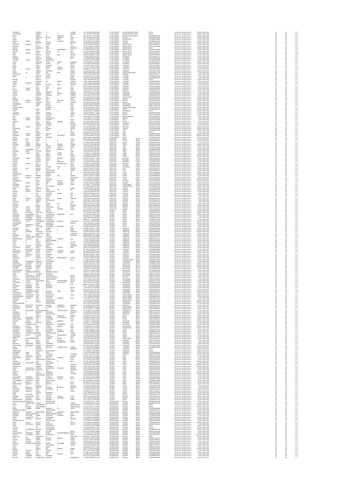| YOGINDEE<br>ABHAY<br>ABHAY<br>PRITI<br>KOMACOOP<br>KEERT<br>MADEEM<br>SANAY<br>KANGU RANGU<br>SANAY<br>RANGU RANGU<br>SANAY<br>RANGU RANGU<br>SANAY<br>RANGU RANGU<br>RANGU RANGU<br>RANGU RANGU<br>RANGU RANGU<br>RANGU<br>RANGU RANGU<br>RANGU<br>RANGU RANGU<br>RANGU<br>RANGU<br>RANGU RANGU<br>RANGU |                                                                                                                                                                                                                                        | CHOUBEY<br>SHARMA<br>ARORA<br>MEHROTRA                                                                                                                                                                       |                                                                                                                                                                                                                                                                   |                                       | CHOUSEY<br>SHARMA<br>RAKKARA<br>GUPTA<br>GUPTA<br>MEHROTRA<br>CUPTA<br>GUPTA<br>GUPTA<br>GUPTA<br>GUPTA<br>GUPTA<br>GUPTA | A $\Delta$ (C) and model the spectra control of the spectra control of the spectra control of the spectra control of the spectra control of the spectra control of the spectra control of the spectra control of the spectra cont                                                                                                                                                                                                                            |                            | GAUTAM BUDDHA NAGAI                                                                                                                                                                                                                           |                                                                    | $\begin{array}{l} 0.212 \\ 0.214 \\ 0.214 \\ 1.043 \\ 1.004 \\ 0.000 \\ 0.000 \\ 0.000 \\ 0.000 \\ 0.000 \\ 0.000 \\ 0.000 \\ 0.000 \\ 0.000 \\ 0.000 \\ 0.000 \\ 0.000 \\ 0.000 \\ 0.000 \\ 0.000 \\ 0.000 \\ 0.000 \\ 0.000 \\ 0.000 \\ 0.000 \\ 0.000 \\ 0.000 \\ 0.000 \\ 0.000 \\ 0.000 \\ 0.$ | Are<br>now for undialized and at a distinguished and the system of the undialized and<br>$\mathbf{d}$ are considered and the system of the undialized and the<br>$\mathbf{d}$ are considered and the considered and the system<br>in the consider                                                                                                                                                                                                   |                                                                                                                                                                                                                                                                                                                                                                                 |
|-----------------------------------------------------------------------------------------------------------------------------------------------------------------------------------------------------------------------------------------------------------------------------------------------------------|----------------------------------------------------------------------------------------------------------------------------------------------------------------------------------------------------------------------------------------|--------------------------------------------------------------------------------------------------------------------------------------------------------------------------------------------------------------|-------------------------------------------------------------------------------------------------------------------------------------------------------------------------------------------------------------------------------------------------------------------|---------------------------------------|---------------------------------------------------------------------------------------------------------------------------|--------------------------------------------------------------------------------------------------------------------------------------------------------------------------------------------------------------------------------------------------------------------------------------------------------------------------------------------------------------------------------------------------------------------------------------------------------------|----------------------------|-----------------------------------------------------------------------------------------------------------------------------------------------------------------------------------------------------------------------------------------------|--------------------------------------------------------------------|-----------------------------------------------------------------------------------------------------------------------------------------------------------------------------------------------------------------------------------------------------------------------------------------------------|-----------------------------------------------------------------------------------------------------------------------------------------------------------------------------------------------------------------------------------------------------------------------------------------------------------------------------------------------------------------------------------------------------------------------------------------------------|---------------------------------------------------------------------------------------------------------------------------------------------------------------------------------------------------------------------------------------------------------------------------------------------------------------------------------------------------------------------------------|
|                                                                                                                                                                                                                                                                                                           | KUMA                                                                                                                                                                                                                                   | SHARI<br>GUPTA<br>BHANSAU                                                                                                                                                                                    | - BRAHM<br>SH NAVNET<br>SH NAVNET<br>SH NAVNET<br>ANSH AMIT<br>ANSH AMIT<br>ANSH NAVNET<br>NAVNET<br>SHAMINI NAVNET<br>SHAMINI NAVNET<br>NAVNET<br>NAVNET<br>NAVNET<br>NAVNET<br>NAVNET<br>NAVNET<br>NAVNET<br>NAVNET<br>NAVNET<br>NAVNET NAVNET<br>NAVNET NAVNET | ,<br>Narendr<br>Babu<br>BASANTLAI     |                                                                                                                           |                                                                                                                                                                                                                                                                                                                                                                                                                                                              |                            | SOUTH MARRIE MARRIE STATE AND A STANDARD MARRIE STATE AND MANAGEMENT OF THE MANAGEMENT OF THE MANAGEMENT OF THE MANAGEMENT OF THE MANAGEMENT OF THE MANAGEMENT OF THE MANAGEMENT OF THE MANAGEMENT OF THE MANAGEMENT OF THE MA                |                                                                    |                                                                                                                                                                                                                                                                                                     |                                                                                                                                                                                                                                                                                                                                                                                                                                                     |                                                                                                                                                                                                                                                                                                                                                                                 |
|                                                                                                                                                                                                                                                                                                           | <b>ALIKASIN</b>                                                                                                                                                                                                                        |                                                                                                                                                                                                              |                                                                                                                                                                                                                                                                   |                                       |                                                                                                                           |                                                                                                                                                                                                                                                                                                                                                                                                                                                              |                            |                                                                                                                                                                                                                                               |                                                                    |                                                                                                                                                                                                                                                                                                     |                                                                                                                                                                                                                                                                                                                                                                                                                                                     |                                                                                                                                                                                                                                                                                                                                                                                 |
|                                                                                                                                                                                                                                                                                                           | RANJAN                                                                                                                                                                                                                                 | en Mathama<br>Ali Gupta<br>Ali Gupta<br>Mathama<br>Gupta<br>Ali Gupta<br>Singhi<br>Thware<br>Singhi<br>Gupta<br>Gupta<br>Gupta<br>Gupta<br>Gupta<br>Gupta<br>Gupta<br>Gupta<br>Gupta<br>Gupta<br>Ali Mathama |                                                                                                                                                                                                                                                                   | ₩                                     |                                                                                                                           |                                                                                                                                                                                                                                                                                                                                                                                                                                                              |                            |                                                                                                                                                                                                                                               |                                                                    |                                                                                                                                                                                                                                                                                                     |                                                                                                                                                                                                                                                                                                                                                                                                                                                     |                                                                                                                                                                                                                                                                                                                                                                                 |
|                                                                                                                                                                                                                                                                                                           | KUMA                                                                                                                                                                                                                                   |                                                                                                                                                                                                              |                                                                                                                                                                                                                                                                   | KANT                                  |                                                                                                                           |                                                                                                                                                                                                                                                                                                                                                                                                                                                              |                            |                                                                                                                                                                                                                                               |                                                                    |                                                                                                                                                                                                                                                                                                     |                                                                                                                                                                                                                                                                                                                                                                                                                                                     |                                                                                                                                                                                                                                                                                                                                                                                 |
|                                                                                                                                                                                                                                                                                                           | PRATAI                                                                                                                                                                                                                                 |                                                                                                                                                                                                              |                                                                                                                                                                                                                                                                   |                                       |                                                                                                                           |                                                                                                                                                                                                                                                                                                                                                                                                                                                              |                            |                                                                                                                                                                                                                                               |                                                                    |                                                                                                                                                                                                                                                                                                     |                                                                                                                                                                                                                                                                                                                                                                                                                                                     |                                                                                                                                                                                                                                                                                                                                                                                 |
|                                                                                                                                                                                                                                                                                                           |                                                                                                                                                                                                                                        |                                                                                                                                                                                                              |                                                                                                                                                                                                                                                                   | KUMAI                                 | CHANDAR<br>RASTOGI<br>SINGH<br>GUPTA<br>KUMAR<br>ANSWAL<br>GUPTA                                                          |                                                                                                                                                                                                                                                                                                                                                                                                                                                              |                            |                                                                                                                                                                                                                                               |                                                                    |                                                                                                                                                                                                                                                                                                     |                                                                                                                                                                                                                                                                                                                                                                                                                                                     |                                                                                                                                                                                                                                                                                                                                                                                 |
|                                                                                                                                                                                                                                                                                                           |                                                                                                                                                                                                                                        |                                                                                                                                                                                                              |                                                                                                                                                                                                                                                                   | RAMAN<br>NARAYAN                      |                                                                                                                           |                                                                                                                                                                                                                                                                                                                                                                                                                                                              |                            |                                                                                                                                                                                                                                               |                                                                    |                                                                                                                                                                                                                                                                                                     |                                                                                                                                                                                                                                                                                                                                                                                                                                                     |                                                                                                                                                                                                                                                                                                                                                                                 |
| SHAKUNTAL                                                                                                                                                                                                                                                                                                 |                                                                                                                                                                                                                                        | GUPTA                                                                                                                                                                                                        |                                                                                                                                                                                                                                                                   | RAM                                   |                                                                                                                           |                                                                                                                                                                                                                                                                                                                                                                                                                                                              |                            |                                                                                                                                                                                                                                               |                                                                    | IN30051313676177                                                                                                                                                                                                                                                                                    |                                                                                                                                                                                                                                                                                                                                                                                                                                                     |                                                                                                                                                                                                                                                                                                                                                                                 |
| REENA<br>NISHANT                                                                                                                                                                                                                                                                                          |                                                                                                                                                                                                                                        | AGARWAI                                                                                                                                                                                                      | LALMAN<br>MANCU<br>GANGA                                                                                                                                                                                                                                          |                                       | GUPTA<br>KUMAR<br>SINGH<br>PRAKASH                                                                                        |                                                                                                                                                                                                                                                                                                                                                                                                                                                              |                            |                                                                                                                                                                                                                                               |                                                                    | 1201090400012830<br>1304140000442670                                                                                                                                                                                                                                                                |                                                                                                                                                                                                                                                                                                                                                                                                                                                     |                                                                                                                                                                                                                                                                                                                                                                                 |
| SHALINI<br>HARISH<br>ASTHA<br>RAM<br>                                                                                                                                                                                                                                                                     | CHANDRA                                                                                                                                                                                                                                | SINGH<br>PRAKASH<br>AGARWAI<br>MAURYA<br>MAURYA                                                                                                                                                              | R<br>IAG                                                                                                                                                                                                                                                          | MOHAN                                 |                                                                                                                           |                                                                                                                                                                                                                                                                                                                                                                                                                                                              |                            |                                                                                                                                                                                                                                               |                                                                    | 001336<br>1203980000003512<br>IN30155721208067                                                                                                                                                                                                                                                      |                                                                                                                                                                                                                                                                                                                                                                                                                                                     |                                                                                                                                                                                                                                                                                                                                                                                 |
|                                                                                                                                                                                                                                                                                                           |                                                                                                                                                                                                                                        | DWVED<br>ASRE                                                                                                                                                                                                |                                                                                                                                                                                                                                                                   | KANT<br>SAGAI                         | AGARWAL<br>MAURYA<br>DWIVEDI<br>SINGH<br>SINGH<br>SINGH                                                                   |                                                                                                                                                                                                                                                                                                                                                                                                                                                              |                            |                                                                                                                                                                                                                                               |                                                                    | IN30105510546321<br>120327000030496<br>N3005561025588                                                                                                                                                                                                                                               |                                                                                                                                                                                                                                                                                                                                                                                                                                                     |                                                                                                                                                                                                                                                                                                                                                                                 |
| jai<br>Raiksh<br>SUNEETA<br>PIYUSH<br>SUMITA                                                                                                                                                                                                                                                              | KUMAR<br>KUMAR                                                                                                                                                                                                                         | SINGH<br>SINGH<br>JASWAL<br>AGARWAL<br>SHARMA                                                                                                                                                                | S<br>S<br>DUIAN<br>DUIAN<br>MARHAYA<br>DINESH<br>SURINDER<br>SURINDER<br>SURINDER                                                                                                                                                                                 | ūц.<br>KUMAR                          |                                                                                                                           |                                                                                                                                                                                                                                                                                                                                                                                                                                                              |                            |                                                                                                                                                                                                                                               |                                                                    | 1304140001916515<br>120186000030152<br>IN30155720843106                                                                                                                                                                                                                                             |                                                                                                                                                                                                                                                                                                                                                                                                                                                     |                                                                                                                                                                                                                                                                                                                                                                                 |
|                                                                                                                                                                                                                                                                                                           |                                                                                                                                                                                                                                        |                                                                                                                                                                                                              |                                                                                                                                                                                                                                                                   | PAL                                   | MISWAL<br>AGARWAL<br>SHARMA<br>PRAKASH                                                                                    |                                                                                                                                                                                                                                                                                                                                                                                                                                                              |                            |                                                                                                                                                                                                                                               |                                                                    | 120299000470704<br>IN3030286253990                                                                                                                                                                                                                                                                  |                                                                                                                                                                                                                                                                                                                                                                                                                                                     |                                                                                                                                                                                                                                                                                                                                                                                 |
| ANUI<br>PRERNA<br>ASHWANI<br>DHARMENDRA<br>RAIRANI<br>FAURANI                                                                                                                                                                                                                                             | KUMA<br><b>GOPAL</b>                                                                                                                                                                                                                   | SINGH<br>AGAITINAL<br>MISHRA<br>VARSHNEY<br>KUMAR<br>GARG                                                                                                                                                    | AMNOER<br>DARTH<br>DAULAT<br>DAULAT<br>DALWANT<br>DALWANT<br>RAMESH<br>RAMESH                                                                                                                                                                                     | ABHILASP<br>RAM                       | GOVIL<br>MISHNEY<br>MASHNEY<br>SINGH<br>SINGH<br>TYAGI DEEPAK<br>SINGH                                                    |                                                                                                                                                                                                                                                                                                                                                                                                                                                              |                            |                                                                                                                                                                                                                                               |                                                                    | N30177410419120<br>1204720010607240<br>N30118520122193                                                                                                                                                                                                                                              |                                                                                                                                                                                                                                                                                                                                                                                                                                                     |                                                                                                                                                                                                                                                                                                                                                                                 |
|                                                                                                                                                                                                                                                                                                           |                                                                                                                                                                                                                                        |                                                                                                                                                                                                              |                                                                                                                                                                                                                                                                   |                                       |                                                                                                                           |                                                                                                                                                                                                                                                                                                                                                                                                                                                              |                            |                                                                                                                                                                                                                                               |                                                                    | IN3002141409678<br>IN3002142081934<br>IN3009231006554                                                                                                                                                                                                                                               |                                                                                                                                                                                                                                                                                                                                                                                                                                                     |                                                                                                                                                                                                                                                                                                                                                                                 |
| SAUBHAGYAWATI<br>PUKHRAJ<br>vipin<br>Avantika                                                                                                                                                                                                                                                             |                                                                                                                                                                                                                                        | SINGH<br>TYAGI<br>DEEPAI                                                                                                                                                                                     | R<br>VSHWA                                                                                                                                                                                                                                                        | o                                     |                                                                                                                           |                                                                                                                                                                                                                                                                                                                                                                                                                                                              |                            |                                                                                                                                                                                                                                               |                                                                    | 120175000022157<br>003473<br>IN30018311742795                                                                                                                                                                                                                                                       |                                                                                                                                                                                                                                                                                                                                                                                                                                                     |                                                                                                                                                                                                                                                                                                                                                                                 |
| SIDDHARTH<br>DEEPTI                                                                                                                                                                                                                                                                                       |                                                                                                                                                                                                                                        | TEOTIA<br>MALIK                                                                                                                                                                                              | SURENDRA<br>PRADEEP<br>NOTAVALABLI                                                                                                                                                                                                                                |                                       | SINGH<br>MALIK                                                                                                            |                                                                                                                                                                                                                                                                                                                                                                                                                                                              |                            |                                                                                                                                                                                                                                               |                                                                    | IN30177411839580<br>IN3014772006265                                                                                                                                                                                                                                                                 |                                                                                                                                                                                                                                                                                                                                                                                                                                                     |                                                                                                                                                                                                                                                                                                                                                                                 |
| anii,<br>Vinod<br>Sangita                                                                                                                                                                                                                                                                                 | KUMAR                                                                                                                                                                                                                                  | MISHRA<br>YADAV                                                                                                                                                                                              |                                                                                                                                                                                                                                                                   | CHANDR                                | YADAV<br>SINGH<br>PRASAD                                                                                                  | TAUR KOMI GARA NOGRA NOGRA NA MARAMA NA SAMA NA MARAMA CARP NANGRA A 2478 MANAHA SIMPA NA MARAMA SIMPA NA MARAMA SIMPA NA MARAMA SIMPA NA MARAMA SIMPA NA MARAMA NA MARAMA NA MARAMA NA MARAMA NA MARAMA NA MARAMA NA MARAMA                                                                                                                                                                                                                                 |                            |                                                                                                                                                                                                                                               |                                                                    | 120612000028471<br>IN30311611046769<br>IN3015572187809                                                                                                                                                                                                                                              |                                                                                                                                                                                                                                                                                                                                                                                                                                                     |                                                                                                                                                                                                                                                                                                                                                                                 |
| AIAY<br>anii.<br>Ravi                                                                                                                                                                                                                                                                                     | KUMAF                                                                                                                                                                                                                                  | rani<br>Kumar<br>Agrawai                                                                                                                                                                                     | RAMPHER<br>GIRDHARI<br>SITARAM<br>SITARAM<br>ERAI                                                                                                                                                                                                                 |                                       | agrawai<br>Kumar<br>Murari                                                                                                |                                                                                                                                                                                                                                                                                                                                                                                                                                                              |                            |                                                                                                                                                                                                                                               |                                                                    | IN3015572126882<br>IN30169611041638<br>120300000001954                                                                                                                                                                                                                                              |                                                                                                                                                                                                                                                                                                                                                                                                                                                     |                                                                                                                                                                                                                                                                                                                                                                                 |
| GHANSHYAM                                                                                                                                                                                                                                                                                                 |                                                                                                                                                                                                                                        | GUPTA<br>GUPTA<br>RANI<br>DUBEY                                                                                                                                                                              | KRISHNA<br>RAMJI                                                                                                                                                                                                                                                  | c                                     | DAS<br>DUBEY                                                                                                              |                                                                                                                                                                                                                                                                                                                                                                                                                                                              |                            |                                                                                                                                                                                                                                               |                                                                    | 1206970000010881<br>1202290000217768                                                                                                                                                                                                                                                                |                                                                                                                                                                                                                                                                                                                                                                                                                                                     |                                                                                                                                                                                                                                                                                                                                                                                 |
| ASHA<br>BIGHNESH<br>SHYAM<br><b>HARENCRA</b>                                                                                                                                                                                                                                                              | SUNDER<br>KUMAR                                                                                                                                                                                                                        |                                                                                                                                                                                                              | KAMLESH                                                                                                                                                                                                                                                           | TRILOKINATH                           | KUMAR<br>BANSAL                                                                                                           |                                                                                                                                                                                                                                                                                                                                                                                                                                                              |                            |                                                                                                                                                                                                                                               |                                                                    | 001530<br>1202060000712846<br>IN30055610328050                                                                                                                                                                                                                                                      |                                                                                                                                                                                                                                                                                                                                                                                                                                                     |                                                                                                                                                                                                                                                                                                                                                                                 |
| RAHUL<br>KRISHAN                                                                                                                                                                                                                                                                                          | KANT                                                                                                                                                                                                                                   | SHARMA<br>BANSAL<br>GUPTA<br>GUPTA<br>GUPTA                                                                                                                                                                  | shiri<br>Agarwal                                                                                                                                                                                                                                                  |                                       |                                                                                                                           |                                                                                                                                                                                                                                                                                                                                                                                                                                                              |                            |                                                                                                                                                                                                                                               |                                                                    | 120132000107177<br>120177010019657<br>120292000005785                                                                                                                                                                                                                                               |                                                                                                                                                                                                                                                                                                                                                                                                                                                     |                                                                                                                                                                                                                                                                                                                                                                                 |
| PUSHPA<br>MANOJ<br>RAVINDR                                                                                                                                                                                                                                                                                | DEVI<br>KUMAR<br>KUMAR<br>KUMAI                                                                                                                                                                                                        | iain<br>Sharma                                                                                                                                                                                               |                                                                                                                                                                                                                                                                   | PRAKASH                               | GUPTA<br>GUPTA<br>SHARMA<br>MSHRA<br>GOYAL<br>GOYAL                                                                       |                                                                                                                                                                                                                                                                                                                                                                                                                                                              |                            |                                                                                                                                                                                                                                               | 302004<br>302018<br>303331                                         | 120292000010755<br>N3016961102489<br>120106000286213                                                                                                                                                                                                                                                |                                                                                                                                                                                                                                                                                                                                                                                                                                                     |                                                                                                                                                                                                                                                                                                                                                                                 |
| ASHISH<br>SAFNA<br>SYED<br>RAJENDRA<br>ASHOK<br>FLINITA                                                                                                                                                                                                                                                   | MOHAM                                                                                                                                                                                                                                  | MISHRA<br>GUPTA<br>AЦ                                                                                                                                                                                        | -<br>DM<br>MAHESH<br>SUBHASH<br>SYED<br>IMMAH                                                                                                                                                                                                                     | CHANDRA<br>CHAND<br>BAKHLIYAR         |                                                                                                                           |                                                                                                                                                                                                                                                                                                                                                                                                                                                              |                            |                                                                                                                                                                                                                                               | 104504<br>104804<br>105000                                         | 120332000278880<br>120206000005520                                                                                                                                                                                                                                                                  |                                                                                                                                                                                                                                                                                                                                                                                                                                                     |                                                                                                                                                                                                                                                                                                                                                                                 |
|                                                                                                                                                                                                                                                                                                           | SINGH<br>KUMAR                                                                                                                                                                                                                         | RATHORI<br>DOSHI<br>KABIN<br>MODANI                                                                                                                                                                          | UMMED<br>TARA<br>NIRMAL<br>RAXISH                                                                                                                                                                                                                                 | CHAND<br>KUMAR                        | ALI<br>SINGH<br>KABRA<br>MODANI<br>VOHRA<br>KOTHARI                                                                       |                                                                                                                                                                                                                                                                                                                                                                                                                                                              |                            |                                                                                                                                                                                                                                               | 305000<br>105800<br>105800<br>105814                               | N30177410191329<br>IN3004501147978                                                                                                                                                                                                                                                                  |                                                                                                                                                                                                                                                                                                                                                                                                                                                     |                                                                                                                                                                                                                                                                                                                                                                                 |
| SUNITA<br>SWATI<br>SAMPAT<br>SAMPAT                                                                                                                                                                                                                                                                       | KUMAR                                                                                                                                                                                                                                  |                                                                                                                                                                                                              | ramesh<br>Laxmi                                                                                                                                                                                                                                                   | CHANDRA                               |                                                                                                                           |                                                                                                                                                                                                                                                                                                                                                                                                                                                              |                            |                                                                                                                                                                                                                                               | 311000<br>311000                                                   | IN:30045013728102<br>IN:30116030494548<br>N30021412624815<br>130176000010567                                                                                                                                                                                                                        |                                                                                                                                                                                                                                                                                                                                                                                                                                                     |                                                                                                                                                                                                                                                                                                                                                                                 |
| NEELAM<br>MUKESH                                                                                                                                                                                                                                                                                          | KUMAF                                                                                                                                                                                                                                  |                                                                                                                                                                                                              | MR<br>MR<br>AU                                                                                                                                                                                                                                                    | lal<br>Tejshingh                      | <b>NAHAR</b>                                                                                                              |                                                                                                                                                                                                                                                                                                                                                                                                                                                              |                            |                                                                                                                                                                                                                                               | 311000<br>311810                                                   | 120437000019543<br>1201060500209440                                                                                                                                                                                                                                                                 |                                                                                                                                                                                                                                                                                                                                                                                                                                                     |                                                                                                                                                                                                                                                                                                                                                                                 |
| AHMED<br>PARESH                                                                                                                                                                                                                                                                                           | MAL                                                                                                                                                                                                                                    | WOMBA<br>KOTHARI<br>DAGAYA<br>MAGAR<br>NAGAR<br>SHARIAA<br>MEENA<br>MEENA                                                                                                                                    | KRISHNA<br>GOGA<br>KASTURCH                                                                                                                                                                                                                                       | KANT<br>LAL                           | HAGAL<br>MOHD<br>NAGAR<br>SHARMA<br>MEENA<br>MEENA                                                                        | UNDER LAND AND MANUSCRIPS AND STRUCTURE AND STRUCTURE CARD STRUCTURES AND STRUCTURE AND STRUCTURE AND STRUCTURE AND STRUCTURE AND STRUCTURE AND STRUCTURE AND STRUCTURE AND STRUCTURE AND STRUCTURE AND STRUCTURE AND STRUCTU                                                                                                                                                                                                                                |                            | AGRA AGRA A MARIN BREWARA AGRA A MARA A MARIN BREWARA<br>AGRA A MARIN BREWARA A MARIN BREWARA<br>BREWARA A MARIN TOWK A MARIN BREWARA<br>BREWARA BREWARA A MARIN BREWARA<br>BREWARA KOTA CHURU DEURU DEURU DEURU DEURU<br>CHURU DEURU DEURU D | 313000<br>313300                                                   | IN:30047642505122<br>1203320004258205<br>IN3010551009254                                                                                                                                                                                                                                            | $\begin{minipage}{0.99\textwidth} {\small\textbf{M}}\textbf{M}=\textbf{M}\textbf{M}\textbf{M}=\textbf{M}\textbf{M}\textbf{M}\textbf{M}=\textbf{M}\textbf{M}\textbf{M}\textbf{M}=\textbf{M}\textbf{M}\textbf{M}\textbf{M}=\textbf{M}\textbf{M}\textbf{M}\textbf{M}=\textbf{M}\textbf{M}\textbf{M}\textbf{M}=\textbf{M}\textbf{M}\textbf{M}\textbf{M}=\textbf{M}\textbf{M}\textbf{M}=\textbf{M}\textbf{M}\textbf{M}=\textbf{M}\textbf{M}\textbf{M}=\$ |                                                                                                                                                                                                                                                                                                                                                                                 |
| SOBHAG<br>IANKILAL<br>SUMITRA<br>PERMESHI                                                                                                                                                                                                                                                                 |                                                                                                                                                                                                                                        | DIW                                                                                                                                                                                                          |                                                                                                                                                                                                                                                                   |                                       | LAL<br>LAL<br>SHARMA                                                                                                      |                                                                                                                                                                                                                                                                                                                                                                                                                                                              |                            |                                                                                                                                                                                                                                               | 124005<br>125200<br>131000<br>331000                               | IN30302858919517<br>1201210100489333<br>1201210100489350                                                                                                                                                                                                                                            |                                                                                                                                                                                                                                                                                                                                                                                                                                                     |                                                                                                                                                                                                                                                                                                                                                                                 |
| GOVIND<br>CHANDRA<br>CHANDRAKALA<br>CHANDRAKALA<br>TARUN                                                                                                                                                                                                                                                  | PRAKASH                                                                                                                                                                                                                                | lal<br>Sharma<br>SHARMA                                                                                                                                                                                      | PERMISSING<br>MOHAN<br>SANWAR<br>ATTRI<br>MAHAVEER<br>MAHAVEER                                                                                                                                                                                                    | MAL                                   |                                                                                                                           | $\begin{tabular}{l c c c} \hline \textbf{DAABITA PO} \end{tabular} \hline \textbf{ADATA NOMA} \end{tabular} \hline \begin{tabular}{l c c} \multicolumn{2}{c}{\textbf{MOMA} SOMA TAMBUM}} \end{tabular} \hline \begin{tabular}{l c c} \multicolumn{2}{c}{\textbf{NUMA} S MOMA TAMBUM}} \end{tabular} \hline \begin{tabular}{l c c} \multicolumn{2}{c}{\textbf{NUMA} S MOMA TAMBUM}} \end{tabular} \end{tabular} \hline \begin{tabular}{l c c} \multicolumn{2$ |                            |                                                                                                                                                                                                                                               | 33102<br>33102                                                     | 1203660000080115<br>1201770100511095                                                                                                                                                                                                                                                                |                                                                                                                                                                                                                                                                                                                                                                                                                                                     |                                                                                                                                                                                                                                                                                                                                                                                 |
|                                                                                                                                                                                                                                                                                                           | KUMAR                                                                                                                                                                                                                                  | RAI<br>PAREEK                                                                                                                                                                                                | JAGDISH<br>RAM                                                                                                                                                                                                                                                    | PRASAD                                | INVESTMEN<br>PRASAD<br>PAREEK                                                                                             |                                                                                                                                                                                                                                                                                                                                                                                                                                                              |                            |                                                                                                                                                                                                                                               | 331027<br>111042<br>114801<br>115001                               | 1206070000004038<br>1201770100087325<br>1201210100240920                                                                                                                                                                                                                                            |                                                                                                                                                                                                                                                                                                                                                                                                                                                     |                                                                                                                                                                                                                                                                                                                                                                                 |
| tarun<br>Darshana<br>NAROTAM<br>MANJU                                                                                                                                                                                                                                                                     | KUMAR                                                                                                                                                                                                                                  | daga.<br>Kukar<br>HUF<br>AGARWAI                                                                                                                                                                             | W<br>NOTAVALABLE                                                                                                                                                                                                                                                  | CHANDRA<br>OPANKAJ                    | DAGA<br>KUKAR<br>CHAND                                                                                                    |                                                                                                                                                                                                                                                                                                                                                                                                                                                              |                            |                                                                                                                                                                                                                                               | 135513<br>141306                                                   | 1201910103154181<br>120121010050656<br>120177010050915                                                                                                                                                                                                                                              |                                                                                                                                                                                                                                                                                                                                                                                                                                                     |                                                                                                                                                                                                                                                                                                                                                                                 |
| anii.<br>Laxman                                                                                                                                                                                                                                                                                           | DEVI<br>KUMAR<br>KUMAR                                                                                                                                                                                                                 | iain<br>Sharma                                                                                                                                                                                               | MUL<br>UGAM<br>NOTAVALLABLI                                                                                                                                                                                                                                       | RAI<br>KUMAR                          | JAIN                                                                                                                      |                                                                                                                                                                                                                                                                                                                                                                                                                                                              |                            |                                                                                                                                                                                                                                               | 142000<br>142000<br>142000                                         | 120200000014373<br>120121010021343<br>120109000057130                                                                                                                                                                                                                                               |                                                                                                                                                                                                                                                                                                                                                                                                                                                     |                                                                                                                                                                                                                                                                                                                                                                                 |
| SUNITA<br>SUNITA<br>DINESH                                                                                                                                                                                                                                                                                |                                                                                                                                                                                                                                        | JAN<br>SHARAA<br>SHARAA<br>SANDILA<br>SANDILA                                                                                                                                                                | SURENDRA<br>SHEKHAR<br>SHYAM                                                                                                                                                                                                                                      |                                       | jajn<br>Jajn<br>lal<br>Chandar                                                                                            |                                                                                                                                                                                                                                                                                                                                                                                                                                                              |                            |                                                                                                                                                                                                                                               | 142000<br>142000                                                   | IN3014771001250<br>N30073210043413                                                                                                                                                                                                                                                                  |                                                                                                                                                                                                                                                                                                                                                                                                                                                     |                                                                                                                                                                                                                                                                                                                                                                                 |
| NAND<br>OMA<br>MEUDEEN                                                                                                                                                                                                                                                                                    | KISHORE<br>RAM                                                                                                                                                                                                                         |                                                                                                                                                                                                              | JUGAL<br>NOTAVALABLE                                                                                                                                                                                                                                              | KISHOF                                | KHAN                                                                                                                      |                                                                                                                                                                                                                                                                                                                                                                                                                                                              |                            |                                                                                                                                                                                                                                               | 142600<br>142600<br>142600                                         | N3016041030115<br>120121010025157<br>120121010027768                                                                                                                                                                                                                                                |                                                                                                                                                                                                                                                                                                                                                                                                                                                     |                                                                                                                                                                                                                                                                                                                                                                                 |
| KAILASH<br>SAURABH<br>HEMANT<br>VINOD                                                                                                                                                                                                                                                                     |                                                                                                                                                                                                                                        | SINDHE<br>JAIN<br>KUMAR<br>KHATRI                                                                                                                                                                            |                                                                                                                                                                                                                                                                   | MAL                                   | JAIN<br>CHANDRA<br>KHATRI                                                                                                 |                                                                                                                                                                                                                                                                                                                                                                                                                                                              |                            |                                                                                                                                                                                                                                               | 144000<br>144000                                                   | 130414000007816<br>IN30311610096121                                                                                                                                                                                                                                                                 |                                                                                                                                                                                                                                                                                                                                                                                                                                                     |                                                                                                                                                                                                                                                                                                                                                                                 |
| YOGESH                                                                                                                                                                                                                                                                                                    |                                                                                                                                                                                                                                        | BANSAL<br>POPAT                                                                                                                                                                                              | NOTAVALMALE<br>SARDAR<br>FARDAR<br>FURUSOTAM<br>GOKALDINAL<br>GOKALDINA<br>NOTAVALMANALE<br>NOTAVALMANALE<br>ARUANDINAL                                                                                                                                           | DAS<br>GIRDHAR                        | BANSAL                                                                                                                    |                                                                                                                                                                                                                                                                                                                                                                                                                                                              |                            |                                                                                                                                                                                                                                               | 144000<br>144022<br>360000                                         | IN3031161007746<br>120121010002005<br>1201800000108467<br>120180000001492                                                                                                                                                                                                                           |                                                                                                                                                                                                                                                                                                                                                                                                                                                     |                                                                                                                                                                                                                                                                                                                                                                                 |
| BHARAT<br>JAYANTILAI                                                                                                                                                                                                                                                                                      |                                                                                                                                                                                                                                        | DHOLARIYA                                                                                                                                                                                                    |                                                                                                                                                                                                                                                                   | MARDASSINA                            | <b>GHUT</b>                                                                                                               |                                                                                                                                                                                                                                                                                                                                                                                                                                                              |                            |                                                                                                                                                                                                                                               | 160000<br>360004<br>160005                                         | IN30097411750918                                                                                                                                                                                                                                                                                    |                                                                                                                                                                                                                                                                                                                                                                                                                                                     |                                                                                                                                                                                                                                                                                                                                                                                 |
| BHANJEEN<br>LEELABEN                                                                                                                                                                                                                                                                                      | KUMAR<br>KANTILAL<br>GOKALBHAI<br>VALLABHARIN<br>ARJANDHAI<br>ARJANDHAI<br>BHUXABHAI<br>BHUXABHAI<br>ALPESH                                                                                                                            |                                                                                                                                                                                                              |                                                                                                                                                                                                                                                                   | NAGJEPIAI                             |                                                                                                                           |                                                                                                                                                                                                                                                                                                                                                                                                                                                              |                            |                                                                                                                                                                                                                                               | 160005<br>160005                                                   | IN:30097410217959<br>1201800000125278<br>1201800000217968                                                                                                                                                                                                                                           |                                                                                                                                                                                                                                                                                                                                                                                                                                                     |                                                                                                                                                                                                                                                                                                                                                                                 |
| KESHUBHAI<br>VADODARIYA<br>DHARMENDRA<br>ANILABEN<br>PATEL<br>HANSABEN<br>RAYHNA                                                                                                                                                                                                                          | RAMESH                                                                                                                                                                                                                                 |                                                                                                                                                                                                              |                                                                                                                                                                                                                                                                   |                                       | ADODARIYA<br>RAMANI                                                                                                       |                                                                                                                                                                                                                                                                                                                                                                                                                                                              |                            |                                                                                                                                                                                                                                               | 160000<br>16031<br>16031                                           | 120710000010202<br>IN30097410864670<br>120230000075264                                                                                                                                                                                                                                              |                                                                                                                                                                                                                                                                                                                                                                                                                                                     |                                                                                                                                                                                                                                                                                                                                                                                 |
|                                                                                                                                                                                                                                                                                                           | HARISH<br>ARAG                                                                                                                                                                                                                         | EMUT<br>FORMANA<br>DOBARIA<br>CHHAGANEI<br>CHHAGANEI<br>KARIA<br>KARIA<br>KARIA<br>KARIA<br>KARIA<br>KARIA<br>KARIA<br>KARIA<br>KARIA<br>KARIA<br>KARIA                                                      | <b>RAMESHERA</b><br>VETHALBHAI<br>GOVINGII<br>PARAG<br>TEKCHAND<br>Faures                                                                                                                                                                                         | KADVAIHA<br>G                         | PATEL<br>KARIA<br>CHANDANI<br>KANAKHANI<br>SANGHANI                                                                       | $\begin{tabular}{l c c c} \hline \textbf{X} & \textbf{G} & \textbf{G} & \textbf{G} & \textbf{G} & \textbf{G} & \textbf{G} & \textbf{G} \\ \hline \textbf{X} & \textbf{G} & \textbf{G} & \textbf{G} & \textbf{G} & \textbf{G} & \textbf{G} & \textbf{G} & \textbf{G} & \textbf{G} & \textbf{G} \\ \hline \textbf{X} & \textbf{A} & \textbf{G} & \textbf{G} & \textbf{G} & \textbf{G} & \textbf{G} & \textbf{G} & \textbf{G} & \$                              |                            |                                                                                                                                                                                                                                               | 360370                                                             | IN30097410887055<br>IN3010392452896<br>N30103924587827                                                                                                                                                                                                                                              |                                                                                                                                                                                                                                                                                                                                                                                                                                                     |                                                                                                                                                                                                                                                                                                                                                                                 |
| MANSABEN<br>RACHNA<br>VUAY<br>RUCHI<br>SANGHANI<br>GHANSYAM<br>SHILPA<br>ASHOK<br>ASHOK<br>ASHOK                                                                                                                                                                                                          | TEXCHAND<br>SANJAY                                                                                                                                                                                                                     |                                                                                                                                                                                                              |                                                                                                                                                                                                                                                                   | ċ                                     |                                                                                                                           |                                                                                                                                                                                                                                                                                                                                                                                                                                                              |                            |                                                                                                                                                                                                                                               | 160575<br>160575<br>161004<br>161005<br>361005                     | IN3012763045808<br>IN3010392443049<br>IN300974104169                                                                                                                                                                                                                                                |                                                                                                                                                                                                                                                                                                                                                                                                                                                     |                                                                                                                                                                                                                                                                                                                                                                                 |
|                                                                                                                                                                                                                                                                                                           | IMARATIO<br>DEVJENA                                                                                                                                                                                                                    |                                                                                                                                                                                                              | TEXCHAND<br>ARIAN<br>ARIAN<br>GULARDAS<br>GULARDAS<br>DENAVAN<br>BANAN<br>MARIAN<br>CALIFICANDAS<br>ARILAL<br>ARIANI<br>ARIANI<br>ARIANI<br>ARIANI<br>ARIANI<br>ARIANI<br>ARIANI<br>ARIANI<br>ARIANI<br>ARIANI<br>ARIANI<br>ARIANI<br>ARIANI<br>ARIANI            | RUDAINA                               | VADI                                                                                                                      |                                                                                                                                                                                                                                                                                                                                                                                                                                                              |                            |                                                                                                                                                                                                                                               | 361005<br>361005                                                   | IN3003941332771<br>N30097411002412                                                                                                                                                                                                                                                                  |                                                                                                                                                                                                                                                                                                                                                                                                                                                     |                                                                                                                                                                                                                                                                                                                                                                                 |
|                                                                                                                                                                                                                                                                                                           |                                                                                                                                                                                                                                        | <b>VADI<br/>VADI<br/>RATHOO<br/>PATALIA</b><br>LIMBEON                                                                                                                                                       |                                                                                                                                                                                                                                                                   | x                                     | <b>RATHOD</b><br>PATALIA                                                                                                  |                                                                                                                                                                                                                                                                                                                                                                                                                                                              |                            |                                                                                                                                                                                                                                               | 361005<br>361000<br>361000                                         | N3009741033992<br>IN:30097411857390<br>IN:30226911554130                                                                                                                                                                                                                                            |                                                                                                                                                                                                                                                                                                                                                                                                                                                     |                                                                                                                                                                                                                                                                                                                                                                                 |
| MITA<br>IADEIA<br>DILIPICUMAR                                                                                                                                                                                                                                                                             |                                                                                                                                                                                                                                        | UMEDSIN<br>DOSHI<br>PAREXP                                                                                                                                                                                   |                                                                                                                                                                                                                                                                   | LILADHAR                              | UMEDSINH<br>DOSHI                                                                                                         |                                                                                                                                                                                                                                                                                                                                                                                                                                                              |                            |                                                                                                                                                                                                                                               | 361000<br>361000<br>162000                                         | N3031161000856<br>120132000026006                                                                                                                                                                                                                                                                   |                                                                                                                                                                                                                                                                                                                                                                                                                                                     |                                                                                                                                                                                                                                                                                                                                                                                 |
| DIUPKUMAR<br>MASTAFAALI<br>MASTAFAALI<br>SUMAN<br>MINAKSI<br>DIUCHARAR<br>MASHNA<br>MASHNA<br>MASHNA<br>MASHNA<br>MASHNA<br>MASHNA<br>MASHNA<br>MASHNA                                                                                                                                                    | --<br>DILIPSINH<br>PRANLAL<br>LAXMIDAS<br>AKILALI<br>AKIANEHAJ<br>AKIANEHAJ                                                                                                                                                            | LADANI<br>SHEKH                                                                                                                                                                                              |                                                                                                                                                                                                                                                                   | <b>FAXIBALI</b>                       | LADAN<br>SHEKH                                                                                                            |                                                                                                                                                                                                                                                                                                                                                                                                                                                              |                            |                                                                                                                                                                                                                                               | 162000<br>162000                                                   | 1201800000326030<br>1206460000015964<br>IN:30097411608219<br>1203320001278352                                                                                                                                                                                                                       |                                                                                                                                                                                                                                                                                                                                                                                                                                                     |                                                                                                                                                                                                                                                                                                                                                                                 |
|                                                                                                                                                                                                                                                                                                           | HITESH                                                                                                                                                                                                                                 | GOSTER<br>cosm<br>RATHOD                                                                                                                                                                                     | ARUANDHAI<br>SAVOASABHAI<br>JAVAASABHAI<br>JAVAATILAL<br>RAMUBHAI<br>BALUDHAI<br>BALUDHAI<br>VADILAL<br>VADILAL<br>VADILAL                                                                                                                                        |                                       | RATHOD                                                                                                                    |                                                                                                                                                                                                                                                                                                                                                                                                                                                              |                            |                                                                                                                                                                                                                                               | 162226<br>162226<br>362268                                         | 120332000197580<br>N30021413308547                                                                                                                                                                                                                                                                  |                                                                                                                                                                                                                                                                                                                                                                                                                                                     |                                                                                                                                                                                                                                                                                                                                                                                 |
|                                                                                                                                                                                                                                                                                                           | PIYUSHKUM                                                                                                                                                                                                                              | PATEL                                                                                                                                                                                                        |                                                                                                                                                                                                                                                                   |                                       | PATEL                                                                                                                     |                                                                                                                                                                                                                                                                                                                                                                                                                                                              |                            |                                                                                                                                                                                                                                               | 16100<br>16164<br>164290                                           | 120321000001799<br>1201800000179164<br>1201980000123643                                                                                                                                                                                                                                             |                                                                                                                                                                                                                                                                                                                                                                                                                                                     |                                                                                                                                                                                                                                                                                                                                                                                 |
| RAIESHBHAI<br>JYOTYBEN                                                                                                                                                                                                                                                                                    | RAMIEMA<br>BATUKRAI<br>BALUBHAI                                                                                                                                                                                                        | FALL<br>SANGHAN<br>CHHOTALA<br>BHAVSAR<br>SURANI<br>SHETH<br>SHETH<br>SHETH                                                                                                                                  |                                                                                                                                                                                                                                                                   |                                       |                                                                                                                           |                                                                                                                                                                                                                                                                                                                                                                                                                                                              |                            |                                                                                                                                                                                                                                               |                                                                    | 1201120200014228<br>120338000005153<br>120112020000295                                                                                                                                                                                                                                              |                                                                                                                                                                                                                                                                                                                                                                                                                                                     |                                                                                                                                                                                                                                                                                                                                                                                 |
| PRAKASHKUN<br><b>BHARATEHA</b>                                                                                                                                                                                                                                                                            | VINCCEHA<br>VADILAL<br>NARMADI                                                                                                                                                                                                         | PATHAI                                                                                                                                                                                                       |                                                                                                                                                                                                                                                                   |                                       | 95B                                                                                                                       |                                                                                                                                                                                                                                                                                                                                                                                                                                                              |                            |                                                                                                                                                                                                                                               | 364730<br>364730<br>364730<br>364730<br>364730<br>364730<br>364730 | 120112020001335<br>120112020000918                                                                                                                                                                                                                                                                  |                                                                                                                                                                                                                                                                                                                                                                                                                                                     |                                                                                                                                                                                                                                                                                                                                                                                 |
| VADIA<br>KETAN<br>KUNTAL                                                                                                                                                                                                                                                                                  | SOMIL<br>DALSURY                                                                                                                                                                                                                       | SALIMBNA<br>GADAN                                                                                                                                                                                            | VADEAL<br>NATMADASHANKAR<br>SALSUKHEHA<br>DALSUKHEHA<br>SEUTISICHI NATIONAL                                                                                                                                                                                       |                                       | GADAN                                                                                                                     |                                                                                                                                                                                                                                                                                                                                                                                                                                                              |                            |                                                                                                                                                                                                                                               | 370000                                                             | IN:30097411749019<br>IN:30097410795449<br>IN30097411266433                                                                                                                                                                                                                                          |                                                                                                                                                                                                                                                                                                                                                                                                                                                     |                                                                                                                                                                                                                                                                                                                                                                                 |
| VIRBILISAN<br>SHAH<br>ANILKUMAR                                                                                                                                                                                                                                                                           | DALSUISHINAI GADANI<br>SRESHONGOMA MEHTA<br>HARSHAOKUMARMEHTA<br>HARSHAA NEHALS<br>SAVAILAL SHAH<br>SAVAILAL DESA<br>MORARDAS PATEL<br>JAMNADAS GAJIAR<br>JERAMEHNAI GAJIAR<br>JERAMEHNAI DESA<br>JERAMEHNAI PATEL<br>JERAMEHNAI PATEL | NEHALKU                                                                                                                                                                                                      | HARSHADKUMAR                                                                                                                                                                                                                                                      |                                       | MEHTA<br>MEHTA<br>VADLA                                                                                                   | 6 D FUNJARMAI TOWE INDIA<br>152/A KAGADA SMERI INDIA<br>1005 A MAHESH BHUVINDIA<br>B/S SHILPALAY APPTS IINDIA                                                                                                                                                                                                                                                                                                                                                |                            |                                                                                                                                                                                                                                               | 380000<br>380005                                                   | N3030521009648<br>IN:30034311197590<br>IN:30246110528498                                                                                                                                                                                                                                            | Amount for unclaimed and us<br>Amount for unclaimed and us                                                                                                                                                                                                                                                                                                                                                                                          |                                                                                                                                                                                                                                                                                                                                                                                 |
| EIPIN<br>SOMADHAI<br>NILESH<br>KANUDHAI<br>SOOTTI                                                                                                                                                                                                                                                         |                                                                                                                                                                                                                                        |                                                                                                                                                                                                              | SHAH<br>SAVAEAL<br>SAVAEAL<br>MORAEDAS<br>JAMNADAS                                                                                                                                                                                                                | GULABONANO                            | SHAH<br>DESAI                                                                                                             | 88/528 VUAYNAGAR FINDIA<br>B-295 FALGON SOC JEINDIA                                                                                                                                                                                                                                                                                                                                                                                                          |                            |                                                                                                                                                                                                                                               | 380000<br>380013<br>38001                                          | 1202440000017662<br>120421000006759                                                                                                                                                                                                                                                                 | Amount for unclaimed and us<br>Amount for unclaimed and us<br>Amount for unclaimed and us                                                                                                                                                                                                                                                                                                                                                           | 12.50 02-NOV-202-<br>5.00 02-NOV-202-<br>75.00 02-NOV-202-                                                                                                                                                                                                                                                                                                                      |
| SHAIKH                                                                                                                                                                                                                                                                                                    |                                                                                                                                                                                                                                        | AMIN                                                                                                                                                                                                         | .<br>MOHMED                                                                                                                                                                                                                                                       | P<br>AMIN                             | GAUAR<br>PATEL<br>SHARP                                                                                                   | 3 FOOLWADI SOC GONNOM<br>BLOCK NO - 9/227 BHINDIA<br>52 A PRACHINA SOC B INDIA                                                                                                                                                                                                                                                                                                                                                                               | <b>GUIARAT</b>             | MMEDABAD                                                                                                                                                                                                                                      | 380023<br>380024<br>380055                                         | IN30305210030<br>120341000033151<br>N3029271004073                                                                                                                                                                                                                                                  | Amount for unclaimed and us<br>Amount for unclaimed and us<br>int for unclaimed and u                                                                                                                                                                                                                                                                                                                                                               | 50.00 02-NOV-202-<br>45.00 02-NOV-202-<br>250.00 02-NOV-202-                                                                                                                                                                                                                                                                                                                    |
| SURESHKUMAR<br>GHANSHYA                                                                                                                                                                                                                                                                                   | <b>BHURCHAND</b><br>EHIKHAEHAI                                                                                                                                                                                                         | GOYAL<br>PATEL                                                                                                                                                                                               | SOMAG<br>DIUROVANO                                                                                                                                                                                                                                                |                                       | <b>GOYAL</b>                                                                                                              | 1/13/9<br>LUMAR CHAKLA DAMECINDIA                                                                                                                                                                                                                                                                                                                                                                                                                            |                            | GANDHI NAGAJ<br>GANDHI NAGAJ                                                                                                                                                                                                                  | 182305<br>182321                                                   | IN30034310679234<br>120484000002417                                                                                                                                                                                                                                                                 | Amount for unclaimed and u                                                                                                                                                                                                                                                                                                                                                                                                                          | 19.50 02-NOV-200<br>250.00 02-NOV-202-                                                                                                                                                                                                                                                                                                                                          |
| MAHENDRA<br>JIGNABEN                                                                                                                                                                                                                                                                                      | JOITRAM                                                                                                                                                                                                                                | PATEL<br>MODE                                                                                                                                                                                                | DHIONADNAI<br>JOITARAM<br>MANOHARLAL<br>MANOHARLAL                                                                                                                                                                                                                | MANAXLAL                              | PATEL                                                                                                                     |                                                                                                                                                                                                                                                                                                                                                                                                                                                              |                            | GANDHI NAGAJ<br>GANDHI NAGAJ                                                                                                                                                                                                                  | 18234<br>182346<br>182424                                          | 120341000010762<br>120257000002581                                                                                                                                                                                                                                                                  | Amount for unclaimed and us<br>Amount for unclaimed and us<br>Amount for unclaimed and us<br>Amount for unclaimed and us<br>Amount for unclaimed and us<br>Amount for unclaimed and us                                                                                                                                                                                                                                                              | 25.00 02-NOV-2024<br>12.50 02-NOV-2024<br>20.00 02-NOV-202-                                                                                                                                                                                                                                                                                                                     |
| VIMLA<br>SAIDABANG<br>PARMAR                                                                                                                                                                                                                                                                              | M<br>DILIPIUMAR                                                                                                                                                                                                                        | SANDILA<br>GABHAZ                                                                                                                                                                                            | NOTAPPLICABL<br>PARMAR                                                                                                                                                                                                                                            | GABHABHA                              | SOMABHA                                                                                                                   |                                                                                                                                                                                                                                                                                                                                                                                                                                                              |                            | AHMEDABAD<br>AHMEDABAD<br>MAHESANA                                                                                                                                                                                                            | 182449<br>18272                                                    | 1304140005844305<br>12044000012146<br>1203600000341333                                                                                                                                                                                                                                              |                                                                                                                                                                                                                                                                                                                                                                                                                                                     | 6000.50 02-NOV-202-<br>50.00 02-NOV-202-                                                                                                                                                                                                                                                                                                                                        |
| RAMESHBHAI<br>KANAIYALAL                                                                                                                                                                                                                                                                                  | SOMABHAI<br>AMULKUMA                                                                                                                                                                                                                   | PATEL<br>PATEL                                                                                                                                                                                               | SOMABHA<br>SNAH                                                                                                                                                                                                                                                   | MOHANEHA<br>KUMUDCHANDRA              | PATEL<br>PATEL                                                                                                            |                                                                                                                                                                                                                                                                                                                                                                                                                                                              |                            |                                                                                                                                                                                                                                               | 182830<br>383110<br>183245                                         | IN:30097410898174<br>1203450000449173<br>N3002141134878                                                                                                                                                                                                                                             |                                                                                                                                                                                                                                                                                                                                                                                                                                                     |                                                                                                                                                                                                                                                                                                                                                                                 |
|                                                                                                                                                                                                                                                                                                           |                                                                                                                                                                                                                                        | KUMUDEH<br>PRAJAPATI<br>PATEL                                                                                                                                                                                | AMTHARAM                                                                                                                                                                                                                                                          | SEVAKRAM                              | DAHYALAL<br>PRAJAPATI<br>PATEL<br>ASANAN                                                                                  | $\begin{array}{lcl} \textbf{LUMM} & \textbf{GOMIA} & \textbf{GOMIA} \\ \textbf{DOMIA} & \textbf{GOMIA} & \textbf{GOMIA} \\ \textbf{DOMIA} & \textbf{GOMIA} & \textbf{GOMIA} \\ \textbf{S} & \textbf{MAMAI} & \textbf{GOMIA} \\ \textbf{1:} & \textbf{GOMIA} & \textbf{NAMIA} & \textbf{NRMIA} \\ \textbf{1:} & \textbf{GOMIA} & \textbf{NAMIA} & \textbf{NRMIA} \\ \textbf{1:} & \textbf{GOMIA} & \textbf{NAMIA} & \textbf{NAMIA} \\ \$                      |                            | GANDHI NAGAR<br>SABARKANTHA<br>SABARKANTHA<br>MAHESANA<br>MAHESANA<br>MAHESANA                                                                                                                                                                | 18400<br>18400                                                     | IN30051313217913<br>N3012331001057                                                                                                                                                                                                                                                                  | Amount for unclusimed and us<br>Amount for unclusimed and us<br>Amount for unclusimed and us<br>Amount for unclusimed and us<br>Amount for unclusimed and us<br>Amount for unclusimed and us<br>Amount for unclusimed and us<br>Amount for unclusim                                                                                                                                                                                                 |                                                                                                                                                                                                                                                                                                                                                                                 |
| SHAH<br>KANUBHAI<br>NARSINHEHAI<br>GANGARAM<br>AMRUTEHAI<br>SANIAYKUMAR<br>TENGAR                                                                                                                                                                                                                         | GANGARAM                                                                                                                                                                                                                               | ASANANI<br>PATEL<br>PATEL                                                                                                                                                                                    | HARGOVANDAS<br>LALUMAL<br>GANGARAM<br>PRABHUDAS<br>---------                                                                                                                                                                                                      | RAMDIANOOAS                           | PATEL<br>PATEL                                                                                                            |                                                                                                                                                                                                                                                                                                                                                                                                                                                              |                            | MAHESANA<br>PATAN<br>PATAN<br>MAHESANA<br>MAHESANA<br>MAHESANA<br>BANASKANTHA<br>BANASKANTHA<br>RHEDA<br>XHEDA<br>XHEDA<br>XHEDA                                                                                                              | 18415<br>384170<br>184170                                          | N3005132000267<br>120133000080682<br>IN:30047642651726<br>IN:30226911289691                                                                                                                                                                                                                         | Amount for unclaimed and u<br>Amount for unclaimed and u                                                                                                                                                                                                                                                                                                                                                                                            | $\begin{array}{c} 50.00 \times 460 \times 3024 \\ 25.00 \times 300 \times 400 \times 3024 \\ 25.00 \times 300 \times 400 \times 3024 \\ 55.00 \times 300 \times 400 \times 3024 \\ 55.00 \times 300 \times 400 \times 3024 \\ 55.00 \times 300 \times 400 \times 3024 \\ 50.00 \times 300 \times 400 \times 3024 \\ 125.00 \times 300 \times 400 \times 3024 \\ 135.00 \times $ |
| ITENDRA                                                                                                                                                                                                                                                                                                   | PRAIHUDAS<br>MANILAL<br>DAWOOD<br>ITENDRAK                                                                                                                                                                                             | PATEL<br>NADOLIYA                                                                                                                                                                                            | MANILAL<br>DAWOOD<br>SENDHABHA                                                                                                                                                                                                                                    | KHODIDAS<br>SHANKARDAS                | PATEL<br>PATEL                                                                                                            |                                                                                                                                                                                                                                                                                                                                                                                                                                                              |                            |                                                                                                                                                                                                                                               | 184220<br>184290<br>184315                                         | 130425000005406<br>N30048413194195                                                                                                                                                                                                                                                                  | Amount for unclaimed and us<br>Amount for unclaimed and us<br>Amount for unclaimed and us<br>Amount for unclaimed and us                                                                                                                                                                                                                                                                                                                            |                                                                                                                                                                                                                                                                                                                                                                                 |
| STENDA<br>PATEL<br>SUNILBHAI<br>RAMESHBHAI<br>SATISHBHAI<br>MOHANBHAI<br>MUINAI<br>NULISAI<br>NULISAI<br>NULISAI                                                                                                                                                                                          | RASIKLAL<br>JOITARAM                                                                                                                                                                                                                   | JOSHI<br>PATEL                                                                                                                                                                                               |                                                                                                                                                                                                                                                                   | MANILAL<br><b>BANSILAL</b>            | JOSHI<br>PATEL                                                                                                            |                                                                                                                                                                                                                                                                                                                                                                                                                                                              |                            |                                                                                                                                                                                                                                               | 18500<br>185515<br>18700                                           | 120360000135009<br>N3012763012056<br>120268000011102                                                                                                                                                                                                                                                |                                                                                                                                                                                                                                                                                                                                                                                                                                                     |                                                                                                                                                                                                                                                                                                                                                                                 |
|                                                                                                                                                                                                                                                                                                           | RAMJASZINAI<br>RATANLAL<br>RAGHUNA<br>RATILAL                                                                                                                                                                                          | SHAH<br>SHAH<br>PARMAI<br>THAXXAF                                                                                                                                                                            | RAGHUNAT<br>RATILAL                                                                                                                                                                                                                                               | KARAMSHIDHA                           | SNAH<br>SNAH<br>PARMAR<br>THAIXAR<br>PATEL<br>T                                                                           |                                                                                                                                                                                                                                                                                                                                                                                                                                                              |                            | KHEDA                                                                                                                                                                                                                                         | 18700<br>18700<br>388120                                           | 1202680000112905<br>IN3006362008072<br>N30051311417640                                                                                                                                                                                                                                              |                                                                                                                                                                                                                                                                                                                                                                                                                                                     |                                                                                                                                                                                                                                                                                                                                                                                 |
| KRUNAL<br>AMISHA                                                                                                                                                                                                                                                                                          | ITENDRA                                                                                                                                                                                                                                | PATEL<br>SHAM                                                                                                                                                                                                | WTHALSHA<br>ITENDRA                                                                                                                                                                                                                                               | KUMAR                                 | SHAH                                                                                                                      |                                                                                                                                                                                                                                                                                                                                                                                                                                                              |                            |                                                                                                                                                                                                                                               | 188530<br>385000                                                   | N3005131695413<br>IN30160411169451                                                                                                                                                                                                                                                                  |                                                                                                                                                                                                                                                                                                                                                                                                                                                     |                                                                                                                                                                                                                                                                                                                                                                                 |
| anjej<br>Babudenaj<br>Nileshkumar                                                                                                                                                                                                                                                                         | VIPUL<br>VIPUL<br>Mohandhai<br>Narshihidhai                                                                                                                                                                                            | SHAM<br>PANDYA<br>PARDES                                                                                                                                                                                     | WPUL<br>VPUL<br>NGHANDHAI<br>NARSHIHDHAI<br>DHAVISHYA<br>M                                                                                                                                                                                                        | KUMARPAL<br>CHANDRAKAN?               | SNAH<br>PANDYA                                                                                                            |                                                                                                                                                                                                                                                                                                                                                                                                                                                              |                            |                                                                                                                                                                                                                                               | 190000<br>190000<br>190000                                         | IN30177410540760<br>N30051312014169<br>1301670000501400                                                                                                                                                                                                                                             |                                                                                                                                                                                                                                                                                                                                                                                                                                                     |                                                                                                                                                                                                                                                                                                                                                                                 |
| SNEHA<br>SANDEEP                                                                                                                                                                                                                                                                                          |                                                                                                                                                                                                                                        | EHIMANI<br>PANDYA                                                                                                                                                                                            |                                                                                                                                                                                                                                                                   | <b>HARSHADKUMAR</b>                   | PANDYA<br>BHAMBANI                                                                                                        |                                                                                                                                                                                                                                                                                                                                                                                                                                                              |                            |                                                                                                                                                                                                                                               | 190000<br>190010<br>190013                                         | 12044000004262<br>120111000036426<br>000045                                                                                                                                                                                                                                                         |                                                                                                                                                                                                                                                                                                                                                                                                                                                     |                                                                                                                                                                                                                                                                                                                                                                                 |
| HARIIHAGNAN<br>NAJIRABANU                                                                                                                                                                                                                                                                                 |                                                                                                                                                                                                                                        | BHANDAN<br>BHAMDAN<br>ahele<br>Shaikh                                                                                                                                                                        | H<br>NOTAVALABLE<br>AFRID<br>ISMAILIIMAI                                                                                                                                                                                                                          |                                       |                                                                                                                           |                                                                                                                                                                                                                                                                                                                                                                                                                                                              |                            |                                                                                                                                                                                                                                               | 190013<br>190012                                                   | 000046<br>1304140004482933                                                                                                                                                                                                                                                                          |                                                                                                                                                                                                                                                                                                                                                                                                                                                     |                                                                                                                                                                                                                                                                                                                                                                                 |
|                                                                                                                                                                                                                                                                                                           |                                                                                                                                                                                                                                        |                                                                                                                                                                                                              | ARAIANEMAI                                                                                                                                                                                                                                                        | <b>JVANIHA</b>                        | HASANEHAI<br>DOBARIYA<br>POPAT                                                                                            |                                                                                                                                                                                                                                                                                                                                                                                                                                                              |                            |                                                                                                                                                                                                                                               | 192001<br>194101<br>194211                                         | IN:30199110093989<br>IN:30042510156480<br>N3016041041576                                                                                                                                                                                                                                            |                                                                                                                                                                                                                                                                                                                                                                                                                                                     |                                                                                                                                                                                                                                                                                                                                                                                 |
| MOHMAD<br>KANAIYALAL<br>HARSUKHEHAI                                                                                                                                                                                                                                                                       |                                                                                                                                                                                                                                        |                                                                                                                                                                                                              | VRAILAL                                                                                                                                                                                                                                                           |                                       | PATEL                                                                                                                     |                                                                                                                                                                                                                                                                                                                                                                                                                                                              |                            |                                                                                                                                                                                                                                               | 195000                                                             |                                                                                                                                                                                                                                                                                                     |                                                                                                                                                                                                                                                                                                                                                                                                                                                     |                                                                                                                                                                                                                                                                                                                                                                                 |
| PATEL<br>KAMLESH<br>LAHERCHAND                                                                                                                                                                                                                                                                            | AFRID<br>HANIFI<br>ARAJANI<br>VRAJLAL<br>CHIRAG<br>UMEDONANO                                                                                                                                                                           | DOBARIYA<br>POPAT<br>DHANSUKI                                                                                                                                                                                | DHANSUKHI<br>POPATLAL                                                                                                                                                                                                                                             | $\overline{M}$                        | TALIA                                                                                                                     |                                                                                                                                                                                                                                                                                                                                                                                                                                                              |                            |                                                                                                                                                                                                                                               | 195000<br>195000                                                   | N3022011055069<br>IN:30088814016823<br>1204150000075554                                                                                                                                                                                                                                             |                                                                                                                                                                                                                                                                                                                                                                                                                                                     |                                                                                                                                                                                                                                                                                                                                                                                 |
| BANARSIDAS<br>PRAKASHDEVI                                                                                                                                                                                                                                                                                 |                                                                                                                                                                                                                                        |                                                                                                                                                                                                              | UMEDCHAND<br>RAMLAL                                                                                                                                                                                                                                               |                                       |                                                                                                                           |                                                                                                                                                                                                                                                                                                                                                                                                                                                              |                            |                                                                                                                                                                                                                                               | 19500<br>19500                                                     | N3021641011039<br>IN3021641009101                                                                                                                                                                                                                                                                   |                                                                                                                                                                                                                                                                                                                                                                                                                                                     | $\begin{array}{l} 12.50 \, \, 000 \, \, 000 \, \, 000 \, \, 000 \, \, 000 \, \, 000 \, \, 000 \, \, 000 \, \, 000 \, \, 000 \, \, 000 \, \, 000 \, \, 000 \, \, 000 \, \, 000 \, \, 000 \, \, 000 \, \, 000 \, \, 000 \, \, 000 \, \, 000 \, \, 000 \, \, 000 \, \, 000 \, \, 000 \, \, 00$                                                                                     |
| JAYESH<br>SHAH<br>ZINABHAI                                                                                                                                                                                                                                                                                | DHANSURHLAL<br>BHARATKUMAR                                                                                                                                                                                                             | TALIA<br>SHAH<br>AGARWAL<br>AGARWAL<br>JARIWALA<br><b>JAYANTILAL</b><br>PATEL                                                                                                                                | Banarsidas<br>Dhansukhlal<br>SMAH<br>RAVJIDMAI                                                                                                                                                                                                                    | <b>MAGANLAI</b><br>L                  | AGARWAL<br>AGARWAL<br>JARWALA<br>JAYANTILAL                                                                               | $\begin{aligned} &\text{R}^{\text{H}}\mathcal{R}^{\text{H}}\mathcal{R}^{\text{H}}\mathcal{R}^{\text{H}}\mathcal{R}^{\text{H}}\mathcal{R}^{\text{H}}\mathcal{R}^{\text{H}}\mathcal{R}^{\text{H}}\mathcal{R}^{\text{H}}\mathcal{R}^{\text{H}}\mathcal{R}^{\text{H}}\mathcal{R}^{\text{H}}\mathcal{R}^{\text{H}}\mathcal{R}^{\text{H}}\mathcal{R}^{\text{H}}\mathcal{R}^{\text{H}}\mathcal{R}^{\text{H}}\mathcal{R}^{\text{H$                                   |                            |                                                                                                                                                                                                                                               | 195000<br>195004                                                   | 120484000002883<br>IN3022011057012<br>IN30051315414162                                                                                                                                                                                                                                              |                                                                                                                                                                                                                                                                                                                                                                                                                                                     |                                                                                                                                                                                                                                                                                                                                                                                 |
| raiesh<br>Agrawal<br>RAULKUMAR                                                                                                                                                                                                                                                                            |                                                                                                                                                                                                                                        | AGARWAL<br>BHARATKU                                                                                                                                                                                          | BANARSIDAS<br>RAMKUMAR<br><b>JAYANTILAI</b>                                                                                                                                                                                                                       |                                       | PATEL<br>AGARWAI                                                                                                          |                                                                                                                                                                                                                                                                                                                                                                                                                                                              |                            |                                                                                                                                                                                                                                               | 195006<br>195007<br>195007<br>19500                                | IN3021641009172<br>IN:30039410596536<br>1204470002321522                                                                                                                                                                                                                                            |                                                                                                                                                                                                                                                                                                                                                                                                                                                     |                                                                                                                                                                                                                                                                                                                                                                                 |
| KANAIYALAL<br>CHANDRIKABEN                                                                                                                                                                                                                                                                                |                                                                                                                                                                                                                                        | PATEL<br>MEHTA<br>MEHTA                                                                                                                                                                                      | KADIARALA<br>NOTAVAILABLE                                                                                                                                                                                                                                         | MANILAI<br>ï                          | PATEL<br>MEHTA                                                                                                            |                                                                                                                                                                                                                                                                                                                                                                                                                                                              |                            |                                                                                                                                                                                                                                               | 195009<br>195009<br>195009                                         | 1202890000768088<br>120289000076809<br>N30051380641425                                                                                                                                                                                                                                              |                                                                                                                                                                                                                                                                                                                                                                                                                                                     |                                                                                                                                                                                                                                                                                                                                                                                 |
| rinal<br>Bharatkumar                                                                                                                                                                                                                                                                                      | IAYANTILAL<br>KACHARALAL<br>KANAYALAL<br>AMRUTLAL<br>AMRUTLAL                                                                                                                                                                          | SHAH<br>Sheth<br>Bokariya                                                                                                                                                                                    | EMAVIN<br>AMRUTLAL                                                                                                                                                                                                                                                |                                       |                                                                                                                           | 203 SHANGHEANNAIR INDIA<br>1-817 ASHIRWAD PALAINDIA<br>8-803 DEVICEUPA APALINDIA<br>8-803 DEVICEUPA APALINDIA<br>405 DHANMORA COMINDIA<br>405 DHANMORA COMINDIA<br>403 DHANMORA COMINDIA<br>162 SHIV OM NAGAR IINDIA<br>162 SHIV OM NAGAR IINDIA                                                                                                                                                                                                             |                            |                                                                                                                                                                                                                                               | 195009<br>195010                                                   | 120415000020544<br>120431000002272                                                                                                                                                                                                                                                                  |                                                                                                                                                                                                                                                                                                                                                                                                                                                     |                                                                                                                                                                                                                                                                                                                                                                                 |
| SHILPA<br>SAROSH<br>KUMUDBEN<br>DIFESHBHA                                                                                                                                                                                                                                                                 | M<br>MARZBAN<br>BHAGUEHAI<br>BABUBHAI                                                                                                                                                                                                  | MARFATIA<br>PATEL<br>SURATI                                                                                                                                                                                  | M<br>MARZBAN<br>EMAGUEHA                                                                                                                                                                                                                                          | RUSTOMI<br>š                          | SHAH<br>SHETH<br>BOKARIYA<br>MARFATIA<br>TARIY<br>PATEL<br>SURATI                                                         |                                                                                                                                                                                                                                                                                                                                                                                                                                                              |                            |                                                                                                                                                                                                                                               | 396000<br>396000<br>195000                                         | 120186000000230<br>N3004841070012<br>N30177413040452                                                                                                                                                                                                                                                |                                                                                                                                                                                                                                                                                                                                                                                                                                                     |                                                                                                                                                                                                                                                                                                                                                                                 |
| AMOD<br>VIRAL<br>USHABEN                                                                                                                                                                                                                                                                                  | <b>JAYANTILAI</b>                                                                                                                                                                                                                      | PRAKASH<br>SHAH<br>SHETH                                                                                                                                                                                     | B<br>RAIMANGAL<br><b>JAYANTILAI</b>                                                                                                                                                                                                                               | KANTILAI                              |                                                                                                                           |                                                                                                                                                                                                                                                                                                                                                                                                                                                              |                            |                                                                                                                                                                                                                                               | 196190<br>396190<br>196321                                         | IN3011512233759<br>120332000077731<br>120342000000270                                                                                                                                                                                                                                               |                                                                                                                                                                                                                                                                                                                                                                                                                                                     |                                                                                                                                                                                                                                                                                                                                                                                 |
| IIGNESH<br><b>DHANSUK</b>                                                                                                                                                                                                                                                                                 | Haishadina<br>Gajuinai<br>Maganlal                                                                                                                                                                                                     | PATEL<br>PAREXH                                                                                                                                                                                              |                                                                                                                                                                                                                                                                   | <b>BHANABHA</b>                       | SHETH<br>PATEL<br>PAREKH                                                                                                  |                                                                                                                                                                                                                                                                                                                                                                                                                                                              |                            |                                                                                                                                                                                                                                               | 196360<br>196590                                                   | 120447000212213<br>1202890000171571                                                                                                                                                                                                                                                                 |                                                                                                                                                                                                                                                                                                                                                                                                                                                     |                                                                                                                                                                                                                                                                                                                                                                                 |
| JASHNANILEASIN                                                                                                                                                                                                                                                                                            | FINANCELTO<br>DEWANCHAND                                                                                                                                                                                                               | <b>KAPOOR</b><br><b>TARAPOREWA</b>                                                                                                                                                                           | HARSHAD<br>GAJUEHN<br>MAGANLAL<br>DEWANCHAND<br>-                                                                                                                                                                                                                 |                                       | KAPOOR                                                                                                                    |                                                                                                                                                                                                                                                                                                                                                                                                                                                              |                            |                                                                                                                                                                                                                                               | 400000<br>400005<br>400005                                         | IN:30088814910987<br>IN:30036020746409                                                                                                                                                                                                                                                              |                                                                                                                                                                                                                                                                                                                                                                                                                                                     |                                                                                                                                                                                                                                                                                                                                                                                 |
| DILIP<br>ASHISH<br>HARISH<br>HARISH<br>SYXESRAYEQUI                                                                                                                                                                                                                                                       | SAM<br>SOHRADII<br>CHANDRA                                                                                                                                                                                                             | TARAPOREWALA<br>TIWARI                                                                                                                                                                                       | EMAGWAT                                                                                                                                                                                                                                                           | DIN                                   | TARAPOREWALA<br>TARAPOREWALA<br>TIWARI                                                                                    |                                                                                                                                                                                                                                                                                                                                                                                                                                                              |                            |                                                                                                                                                                                                                                               | 400005<br>400005<br>400005                                         | 003445<br>003446<br>120315000009069                                                                                                                                                                                                                                                                 |                                                                                                                                                                                                                                                                                                                                                                                                                                                     |                                                                                                                                                                                                                                                                                                                                                                                 |
| HOOSHANG<br>PRAFULLA                                                                                                                                                                                                                                                                                      | ARDESHIP                                                                                                                                                                                                                               | NAWS<br>EMAT                                                                                                                                                                                                 | NOTAPPLICABLE<br>ARDESHIR                                                                                                                                                                                                                                         | KAIKAWOOS<br>PANDIT<br><b>PUKARDA</b> | NAWSHIRWAN                                                                                                                | $\begin{split} &A/401~\text{N}\,10.74~\text{C}\,10.74~\text{M}\,10.74~\text{M}\,10.74~\text{M}\,10.74~\text{M}\,10.74~\text{M}\,10.74~\text{M}\,10.74~\text{M}\,10.74~\text{M}\,10.74~\text{M}\,10.74~\text{M}\,10.74~\text{M}\,10.74~\text{M}\,10.74~\text{M}\,10.74~\text{M}\,10.74~\text{M}\,10.74~\text{M$<br>1ST FLOOR DOULATRAINDIA<br>NEW SAINIKETAN BLOCINDIA                                                                                        |                            |                                                                                                                                                                                                                                               | 400010<br>400013                                                   | 1100001100014777<br> N30223610419109<br>1206940000004788                                                                                                                                                                                                                                            |                                                                                                                                                                                                                                                                                                                                                                                                                                                     |                                                                                                                                                                                                                                                                                                                                                                                 |
| RAIENDRA<br>DINESH<br>NILESH                                                                                                                                                                                                                                                                              | SUBHASHCHA<br>BHIKOHANO<br>KARANSINGH<br><b>VINCORA</b>                                                                                                                                                                                | KAMRA<br>DAS<br>BHAYANI                                                                                                                                                                                      | SUEMASHEM<br>EIKMCHAND                                                                                                                                                                                                                                            |                                       | IIHAT<br>KAMRA<br>DAS<br>BHAYANI                                                                                          |                                                                                                                                                                                                                                                                                                                                                                                                                                                              |                            |                                                                                                                                                                                                                                               | 400010<br>400010<br>400018                                         | 120186000020586<br>120249000000108<br>IN30051312194000                                                                                                                                                                                                                                              |                                                                                                                                                                                                                                                                                                                                                                                                                                                     |                                                                                                                                                                                                                                                                                                                                                                                 |
| HEMSECURI                                                                                                                                                                                                                                                                                                 | GULAS<br>NAVANITLAL                                                                                                                                                                                                                    | BHATLA<br>MANUAR                                                                                                                                                                                             | KARANSINGH<br>VINODRAI<br>NOTAPPLICABLE                                                                                                                                                                                                                           |                                       | <b>DHATIA</b><br>MANIAR                                                                                                   |                                                                                                                                                                                                                                                                                                                                                                                                                                                              |                            |                                                                                                                                                                                                                                               | 400023<br>40002<br>400049                                          | IN30001110005153<br>120230000009071<br>IN30127630734216                                                                                                                                                                                                                                             |                                                                                                                                                                                                                                                                                                                                                                                                                                                     | 75.00 02-NOV-202-<br>2350.00 02-NOV-202-<br>5.00 02-NOV-202-                                                                                                                                                                                                                                                                                                                    |
| NAVIN<br>VIREN<br>FRANK<br>MATILDA<br><br>HARSHA                                                                                                                                                                                                                                                          | CHANDRAKAN'                                                                                                                                                                                                                            | VAZ<br>VAZ<br>CHICITALLA                                                                                                                                                                                     |                                                                                                                                                                                                                                                                   |                                       |                                                                                                                           |                                                                                                                                                                                                                                                                                                                                                                                                                                                              |                            |                                                                                                                                                                                                                                               | 400055<br>400055<br>400055                                         | 003420<br>003419<br>1201860000222496                                                                                                                                                                                                                                                                |                                                                                                                                                                                                                                                                                                                                                                                                                                                     | 100.00 02-NOV-202-<br>100.00 02-NOV-202-<br>150.00 02-NOV-202-                                                                                                                                                                                                                                                                                                                  |
| NAVEED<br>KAILASHKI<br>RAKESH                                                                                                                                                                                                                                                                             | JASHANEER<br>CHHABINATH                                                                                                                                                                                                                | NIZAMI                                                                                                                                                                                                       | NUMPULABU<br>NAVANITLAL<br>NOTAVALABLE<br>NOTAVALABLE<br>CHANDRAKANT<br>NAVIBLE                                                                                                                                                                                   | JAYSHANKARI                           | NIZAMI<br>TRATIO                                                                                                          |                                                                                                                                                                                                                                                                                                                                                                                                                                                              |                            |                                                                                                                                                                                                                                               | 400055<br>400059<br>400059                                         | N30021410433298<br>120175000022818<br>IN30311610155717                                                                                                                                                                                                                                              | Amount for unclaimed and u<br>Amount for unclaimed and u<br>Amount for unclaimed and u<br>Amount for unclaimed and u<br>Amount for unclaimed and us                                                                                                                                                                                                                                                                                                 | 20.00 02-NOV-202-<br>50.00 02-NOV-202-<br>1949.50 02-NOV-202-                                                                                                                                                                                                                                                                                                                   |
| DAMYALAL                                                                                                                                                                                                                                                                                                  |                                                                                                                                                                                                                                        | TRIVEDI<br>SINGH<br><b>UMBACHT</b><br>SANDIE                                                                                                                                                                 | NAUMAN<br>KUMAR<br>CHHABINATH<br>M<br>VASUDEO                                                                                                                                                                                                                     | NAMDEO                                | SINGH<br>LIMBACHIYA                                                                                                       | NEW SANKELTAN BLOCKBOAR<br>TA TA NG-DO 1909 INCINON ANG TATANG AD 1909 INDEX CARA CARA TA TA GARAMAN<br>TA C-21 GAMPAH NG ANG TANGGANG ANG TATANG TAO 1912 NANG TANGGANG ANG TANGGANG ANG TAO 1912 NANG TAO 1912 NA ANG TAO 1912 AN                                                                                                                                                                                                                          |                            |                                                                                                                                                                                                                                               | 40006<br>400066                                                    | 002056<br>IN30021412674271                                                                                                                                                                                                                                                                          | Amount for unclaimed and us<br>Amount for unclaimed and us                                                                                                                                                                                                                                                                                                                                                                                          | 150.00 02-NOV-202-<br>15.00 02-NOV-202-                                                                                                                                                                                                                                                                                                                                         |
| VIDYA<br>KAUSHIK<br>JATIN<br>BHAVESH                                                                                                                                                                                                                                                                      | M<br>DILIP<br>GAIANAN<br>JITENDRA<br>RAMESHO                                                                                                                                                                                           | PAREKH<br>CHIKHAL<br>PANDIAL                                                                                                                                                                                 | GAIANAN<br>RAMESH                                                                                                                                                                                                                                                 | CHANDRAN                              | SANKOHE<br>PAREKOH                                                                                                        | BON BON, 7, GRAM PAINDIA<br>ROOM NO 1 GEETA BHINDIA<br>2/63 CCI COLONY RAILINDIA<br>VRAJEHOOMI BUNGALINDIA<br>C/S JAYLAXMI CHS LTD INDIA                                                                                                                                                                                                                                                                                                                     |                            |                                                                                                                                                                                                                                               | 400066<br>400066<br>40006                                          | IN:30090710180012<br>1205560000000163<br>120307000000917                                                                                                                                                                                                                                            | Amount for unclaimed and us<br>Amount for unclaimed and us<br>Amount for unclaimed and us                                                                                                                                                                                                                                                                                                                                                           |                                                                                                                                                                                                                                                                                                                                                                                 |
| RAKESH                                                                                                                                                                                                                                                                                                    |                                                                                                                                                                                                                                        | PANDEY<br>SHETH<br>SHARDA                                                                                                                                                                                    | SHIVSHANKAJ<br>GIRISH                                                                                                                                                                                                                                             | PRAKASH                               | CHICHAL<br>PANCHAL<br>PANCEY<br>SHARDA                                                                                    | B 704 RAHUL SAIBABA INDIA<br>VARDHMAN CHS LTD TINDIA                                                                                                                                                                                                                                                                                                                                                                                                         |                            |                                                                                                                                                                                                                                               | 40006<br>40006<br>400068                                           | IN30021411764972<br>N3000951070829<br>120447000003924                                                                                                                                                                                                                                               | Amount for unclaimed and us<br>Amount for unclaimed and us<br>Amount for unclaimed and us                                                                                                                                                                                                                                                                                                                                                           |                                                                                                                                                                                                                                                                                                                                                                                 |
| RUPA<br>ANAND<br>BHAVESH<br>MOHAN<br>SHITHILA<br>VINITA                                                                                                                                                                                                                                                   | HIMATLAL<br>BABAJI<br>PRAKASH<br>SHREIXAR                                                                                                                                                                                              | VORA<br>PATIL<br>UDIL<br><b>UDERANI</b>                                                                                                                                                                      | VED<br>HIMATLAL<br>BABAJI<br>MR<br>DEVANANO                                                                                                                                                                                                                       | PRAKASH                               | VORA<br>PATIL<br><b>UCHIL</b>                                                                                             | VARIS N G PARK BLDEINDIA<br>2ND SURYA KIRAN B INDIA<br>17/ LABELLA AZAD ROJINDIA<br>D-8 BINA NAGAR SIR MNDIA<br>3/2A SATYA JIVAN SOCINDIA<br>D-88 GURUPPASAD C INDIA                                                                                                                                                                                                                                                                                         | MAHARASHTRA<br>MAHARASHTRA |                                                                                                                                                                                                                                               | 400068<br>40006<br>40006<br>400070                                 | IN:30040910159584<br>1207100000016460<br>120160000000309<br>1201090000457420                                                                                                                                                                                                                        | Amount for unclaimed and us<br>Amount for unclaimed and us<br>Amount for unclaimed and us<br>Amount for unclaimed and u<br>Amount for unclaimed and u                                                                                                                                                                                                                                                                                               | 25.00 02-NOV-2024<br>75.00 02-NOV-2024<br>75.00 02-NOV-2024<br>75.00 02-NOV-2024<br>80.00 02-NOV-2024<br>150.00 02-NOV-2024<br>1.00 02-NOV-202-<br>50.00 02-NOV-202-<br>75.00 02-NOV-202-<br>5.00 02-NOV-202-                                                                                                                                                                   |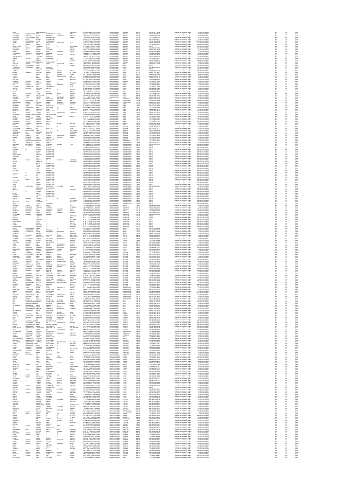| BINDU<br>RAINKANT<br>ARJANDAS<br>NARENDRA                                                                                                                             |                                                                                                                                                               |                                                                                                                                                                  | ecttaan                                                                                                                                                                                                                                                                                    |                                                        |                                                                                                                                                |                                                                                                                                                                                                                                                                                                                                                                                       |                                                                                                                                                                                                                                                                                         | MUMB/<br>MUMB/                                                                                                                                                                                                                                                                               |                                                                                                                                                                                                                                                                   | $\begin{array}{l} \textbf{W12015407} \textbf{7012323} \textbf{723323} \textbf{732323} \textbf{7332323} \textbf{7332323} \textbf{7332323} \textbf{7332323} \textbf{7332323} \textbf{733233} \textbf{733233} \textbf{733233} \textbf{733233} \textbf{733233} \textbf{733233} \textbf{733233} \textbf{733233} \textbf{733233} \textbf{73$ |                                                                                                                                                                                                                                      |                                                                                                                                                                                                                                                          |
|-----------------------------------------------------------------------------------------------------------------------------------------------------------------------|---------------------------------------------------------------------------------------------------------------------------------------------------------------|------------------------------------------------------------------------------------------------------------------------------------------------------------------|--------------------------------------------------------------------------------------------------------------------------------------------------------------------------------------------------------------------------------------------------------------------------------------------|--------------------------------------------------------|------------------------------------------------------------------------------------------------------------------------------------------------|---------------------------------------------------------------------------------------------------------------------------------------------------------------------------------------------------------------------------------------------------------------------------------------------------------------------------------------------------------------------------------------|-----------------------------------------------------------------------------------------------------------------------------------------------------------------------------------------------------------------------------------------------------------------------------------------|----------------------------------------------------------------------------------------------------------------------------------------------------------------------------------------------------------------------------------------------------------------------------------------------|-------------------------------------------------------------------------------------------------------------------------------------------------------------------------------------------------------------------------------------------------------------------|----------------------------------------------------------------------------------------------------------------------------------------------------------------------------------------------------------------------------------------------------------------------------------------------------------------------------------------|--------------------------------------------------------------------------------------------------------------------------------------------------------------------------------------------------------------------------------------|----------------------------------------------------------------------------------------------------------------------------------------------------------------------------------------------------------------------------------------------------------|
|                                                                                                                                                                       | NAROTTAMDAS<br>TOTARAM<br>VIDYASHANKAR<br>PALKU<br>BHANWARLAL<br>NIHALCHAND<br>JAYANT<br>JAYANT                                                               | BALASUBR<br>SOTA<br>SINGH<br>SINGH<br>SANGH<br>DHOPATEL<br>DHOPATEL<br>DHOPATEL<br>TAMHANK<br>SANGHE<br>SANGHE<br>SANGHE<br>SANGHE<br>SANGHE<br>SANGHE<br>SANGHE | NAROTTAMDAS<br>TOTARAM<br>VIDYASHANKAR<br>NOTAVALABLE<br>NDTAVALABLE<br>NDTAVALABLE                                                                                                                                                                                                        |                                                        |                                                                                                                                                | R/12 AUGUSTRON HITELIKOA AREAR<br>12 AUGUSTRON HITELIKOA AREAR<br>12 AUGUSTRON HITELIKOA AREAR<br>12 AUGUSTRON HITELIKOA AREAR<br>12 AUGUSTRON HITELIKOA AREAR<br>12 AUGUSTRON HITELIKOA AREAR<br>12 AUGUSTRON HITELIKOA AREAR<br>12 AUGUSTRON HIT                                                                                                                                    | SHARASHTI<br>SHARASHTI                                                                                                                                                                                                                                                                  | urner.                                                                                                                                                                                                                                                                                       | 400077140077140077140077140077140077140077140077140077140077140077140077140077140077140707140707140707140707140707140707140707140707140707140707140707140707140707140707140707140707140707140707140707140707071400707140070714                                    |                                                                                                                                                                                                                                                                                                                                        | Arrows for uncidented and as $\alpha$<br>Arrows for uncidented and a state of the state of the state of the state of the state of the state of the state of the state of the state of the state of the state of the state of the sta |                                                                                                                                                                                                                                                          |
| <b>VARENDAA</b><br>RAMPYARE<br>KIRMAL<br>NIRMAL                                                                                                                       |                                                                                                                                                               |                                                                                                                                                                  |                                                                                                                                                                                                                                                                                            | VAILONNI                                               | aan                                                                                                                                            |                                                                                                                                                                                                                                                                                                                                                                                       | WWW.COMMISSION<br>MAHARASHTR<br>MAHARASHTR<br>MAHARASHTR<br>MAHARASHTR<br>MAHARASHTR<br>MAHARASHTR<br>MAHARASHTR<br>MAHARASHTR<br>MAHARASHTR<br>MAHARASHTR<br>MAHARASHTR<br>MAHARASHTR<br>MAHARASHTR<br>MAHARASHTR<br>MAHARASHTR<br>MAHARASHTR<br>MAHARASHTR<br>MAHARASHTR<br>MAHARASHT |                                                                                                                                                                                                                                                                                              |                                                                                                                                                                                                                                                                   |                                                                                                                                                                                                                                                                                                                                        |                                                                                                                                                                                                                                      |                                                                                                                                                                                                                                                          |
|                                                                                                                                                                       |                                                                                                                                                               |                                                                                                                                                                  | www.                                                                                                                                                                                                                                                                                       |                                                        | <b>BUDHWA</b>                                                                                                                                  |                                                                                                                                                                                                                                                                                                                                                                                       |                                                                                                                                                                                                                                                                                         |                                                                                                                                                                                                                                                                                              |                                                                                                                                                                                                                                                                   |                                                                                                                                                                                                                                                                                                                                        |                                                                                                                                                                                                                                      |                                                                                                                                                                                                                                                          |
| NINY<br>JAY<br>JAY<br>JAYTABEN<br>CHHAYA<br>CHANDRASA<br>SHIRKARA<br>AJAY<br>ME<br>SHAHIRA<br>SHAHIR<br>SHAHIR<br>SHAHIRA<br>SHAHIRA<br>SHAHIRA<br>SHAHIRA<br>SHAHIRA | <b>MARAN</b>                                                                                                                                                  |                                                                                                                                                                  | .<br>Man                                                                                                                                                                                                                                                                                   |                                                        | BULITIN<br>PATEL<br>DHOPAT<br>DAVDA                                                                                                            |                                                                                                                                                                                                                                                                                                                                                                                       |                                                                                                                                                                                                                                                                                         |                                                                                                                                                                                                                                                                                              |                                                                                                                                                                                                                                                                   |                                                                                                                                                                                                                                                                                                                                        |                                                                                                                                                                                                                                      |                                                                                                                                                                                                                                                          |
|                                                                                                                                                                       | u<br>Praful<br>Vindo<br>Vindo                                                                                                                                 |                                                                                                                                                                  | NARAN<br>DATTATRAY<br>PRAFUL<br>VASHWANT<br>OPIAGANLA<br>OPIAGANLA<br>ARUNKUMAI                                                                                                                                                                                                            |                                                        |                                                                                                                                                |                                                                                                                                                                                                                                                                                                                                                                                       |                                                                                                                                                                                                                                                                                         |                                                                                                                                                                                                                                                                                              |                                                                                                                                                                                                                                                                   |                                                                                                                                                                                                                                                                                                                                        |                                                                                                                                                                                                                                      |                                                                                                                                                                                                                                                          |
|                                                                                                                                                                       |                                                                                                                                                               |                                                                                                                                                                  |                                                                                                                                                                                                                                                                                            | vasuoto                                                | SANDS                                                                                                                                          |                                                                                                                                                                                                                                                                                                                                                                                       |                                                                                                                                                                                                                                                                                         |                                                                                                                                                                                                                                                                                              |                                                                                                                                                                                                                                                                   |                                                                                                                                                                                                                                                                                                                                        |                                                                                                                                                                                                                                      |                                                                                                                                                                                                                                                          |
|                                                                                                                                                                       | SATYAN                                                                                                                                                        |                                                                                                                                                                  |                                                                                                                                                                                                                                                                                            |                                                        | VYAS<br>SINGHV                                                                                                                                 |                                                                                                                                                                                                                                                                                                                                                                                       |                                                                                                                                                                                                                                                                                         |                                                                                                                                                                                                                                                                                              |                                                                                                                                                                                                                                                                   |                                                                                                                                                                                                                                                                                                                                        |                                                                                                                                                                                                                                      |                                                                                                                                                                                                                                                          |
|                                                                                                                                                                       | DNYANESHI<br>AKRAM<br>RAMCHAND<br>SHASHIKAN                                                                                                                   | NANDO<br>PATEL<br>GARGE<br>PANDIT<br>SUGANI<br>NAYAK<br>KULKAR<br>KULKAR                                                                                         | <br>NOTAVAIL<br>AKRAM                                                                                                                                                                                                                                                                      |                                                        | PATEL<br>GARGH                                                                                                                                 |                                                                                                                                                                                                                                                                                                                                                                                       |                                                                                                                                                                                                                                                                                         |                                                                                                                                                                                                                                                                                              |                                                                                                                                                                                                                                                                   |                                                                                                                                                                                                                                                                                                                                        |                                                                                                                                                                                                                                      |                                                                                                                                                                                                                                                          |
|                                                                                                                                                                       |                                                                                                                                                               |                                                                                                                                                                  | R<br>SHASHIKANT<br>PARASHURA<br>GOPAL<br>SHIURAM<br>RAM<br>RAM                                                                                                                                                                                                                             |                                                        |                                                                                                                                                |                                                                                                                                                                                                                                                                                                                                                                                       |                                                                                                                                                                                                                                                                                         |                                                                                                                                                                                                                                                                                              |                                                                                                                                                                                                                                                                   |                                                                                                                                                                                                                                                                                                                                        |                                                                                                                                                                                                                                      |                                                                                                                                                                                                                                                          |
| SHUBHANG<br>LAXMIKANT<br>CANESH<br>CHITRA<br>SANJAY<br>SANTOSH<br>SANTOSH<br>SANTOSH<br>SUBHASH                                                                       |                                                                                                                                                               |                                                                                                                                                                  |                                                                                                                                                                                                                                                                                            | KRISHNA<br>VASANT                                      | NAYAK<br>KULKARN                                                                                                                               |                                                                                                                                                                                                                                                                                                                                                                                       |                                                                                                                                                                                                                                                                                         |                                                                                                                                                                                                                                                                                              |                                                                                                                                                                                                                                                                   |                                                                                                                                                                                                                                                                                                                                        |                                                                                                                                                                                                                                      |                                                                                                                                                                                                                                                          |
|                                                                                                                                                                       |                                                                                                                                                               | <b>YADAV</b>                                                                                                                                                     |                                                                                                                                                                                                                                                                                            | KANWAJ                                                 | YADAV                                                                                                                                          |                                                                                                                                                                                                                                                                                                                                                                                       | MAHARASHTRA                                                                                                                                                                                                                                                                             |                                                                                                                                                                                                                                                                                              | 400614                                                                                                                                                                                                                                                            | IN30051314456308                                                                                                                                                                                                                                                                                                                       |                                                                                                                                                                                                                                      |                                                                                                                                                                                                                                                          |
|                                                                                                                                                                       | J.                                                                                                                                                            | LAL<br>SHENDE<br>BASTOLA                                                                                                                                         | ANI,<br>JAVANT<br>BADRI<br>FURNASH<br>SURHASH<br>KARMATALAL<br>KARMATALAL<br>KARMATALAL                                                                                                                                                                                                    | ALLAMAW                                                | LAL<br>SHENDE<br>BASTOLA                                                                                                                       |                                                                                                                                                                                                                                                                                                                                                                                       | MAHARASHTRA<br>MAHARASHTRA<br>MAHARASHTRA<br>MAHARASHTRA<br>MAHARASHTRA<br>MAHARASHTRA<br>MAHARASHTRA<br>MAHARASHTRA<br>MAHARASHTRA<br>MAHARASHTRA<br>MAHARASHTRA<br>MAHARASHTRA<br>MAHARASHTRA<br>MAHARASHTRA<br>MAHARASHTRA<br>MAHARASHTRA<br>MAHARASHTRA<br>MAHARASHTRA<br>MAHARA    |                                                                                                                                                                                                                                                                                              | 400700<br>40070)                                                                                                                                                                                                                                                  | IN30051314729750<br>IN3005131591063                                                                                                                                                                                                                                                                                                    | Amount for unclaimed and u<br>Amount for unclaimed and u<br>Amount for unclaimed and u                                                                                                                                               |                                                                                                                                                                                                                                                          |
| SUBHASH<br>Nanjibhai                                                                                                                                                  |                                                                                                                                                               | PARTE<br>PRAJAPATI                                                                                                                                               |                                                                                                                                                                                                                                                                                            | TOLARAM                                                |                                                                                                                                                |                                                                                                                                                                                                                                                                                                                                                                                       |                                                                                                                                                                                                                                                                                         |                                                                                                                                                                                                                                                                                              | 00070<br>401000                                                                                                                                                                                                                                                   | 1203600001005692<br>120332000010128                                                                                                                                                                                                                                                                                                    | Amount for unclaimed and u<br>Amount for unclaimed and u                                                                                                                                                                             |                                                                                                                                                                                                                                                          |
| raj<br>Fulchand                                                                                                                                                       | KRISHNA<br>FURAI<br>SUBHASH                                                                                                                                   |                                                                                                                                                                  |                                                                                                                                                                                                                                                                                            | AMRUTLAL                                               | PRAIAPAT<br>SHAH<br>SONI                                                                                                                       |                                                                                                                                                                                                                                                                                                                                                                                       |                                                                                                                                                                                                                                                                                         |                                                                                                                                                                                                                                                                                              | 401100<br>401100                                                                                                                                                                                                                                                  | 120332000309803<br>120109000174679                                                                                                                                                                                                                                                                                                     | Amount for unclaimed and us<br>Amount for unclaimed and us                                                                                                                                                                           |                                                                                                                                                                                                                                                          |
| DEEPALI                                                                                                                                                               | KANHAIYAL<br>KALPESH                                                                                                                                          | SHAH<br>SONI<br>VAKHARIA                                                                                                                                         | KALPESH                                                                                                                                                                                                                                                                                    |                                                        |                                                                                                                                                |                                                                                                                                                                                                                                                                                                                                                                                       |                                                                                                                                                                                                                                                                                         |                                                                                                                                                                                                                                                                                              | 401100<br>401100                                                                                                                                                                                                                                                  | 130234000018075<br>120106000097348                                                                                                                                                                                                                                                                                                     | Amount for unclaimed and us<br>Amount for unclaimed and us                                                                                                                                                                           |                                                                                                                                                                                                                                                          |
| ATULBHAI<br>KALPIT                                                                                                                                                    |                                                                                                                                                               | SOUTRA<br>DESAI<br>RIKAME                                                                                                                                        | .<br>DHIRAJ                                                                                                                                                                                                                                                                                | o                                                      | SQIITRA                                                                                                                                        |                                                                                                                                                                                                                                                                                                                                                                                       |                                                                                                                                                                                                                                                                                         |                                                                                                                                                                                                                                                                                              | 401100<br>401100                                                                                                                                                                                                                                                  | 120345000026724<br>IN30198310193670                                                                                                                                                                                                                                                                                                    | Amount for unclaimed and us<br>Amount for unclaimed and us                                                                                                                                                                           |                                                                                                                                                                                                                                                          |
|                                                                                                                                                                       | <b>MAHADEV</b><br>DHIRAJ<br>PIRAJI                                                                                                                            | RADHESH                                                                                                                                                          | MAHADEV                                                                                                                                                                                                                                                                                    | BABU                                                   | DESAI<br>RIKAME<br>NAYAK                                                                                                                       |                                                                                                                                                                                                                                                                                                                                                                                       |                                                                                                                                                                                                                                                                                         |                                                                                                                                                                                                                                                                                              | 401100<br>401602<br>401603                                                                                                                                                                                                                                        | 1204170001412951<br>1204170004187621<br>IN30051314647180                                                                                                                                                                                                                                                                               | Amount for unclaimed and us<br>Amount for unclaimed and us                                                                                                                                                                           |                                                                                                                                                                                                                                                          |
| RAJU<br>NAYAK<br>NAMDEO<br>NAJIENDRA<br>FAMIAY                                                                                                                        |                                                                                                                                                               | BANSOC<br>=ARQUE<br>KAMAT<br>JOIL<br>BAVISKAR<br>GADE<br>THADANEY<br>MITTAL<br>MITTAL                                                                            | .<br>Piraji                                                                                                                                                                                                                                                                                | GANGARAM                                               | BANSOD<br>KAMAT                                                                                                                                |                                                                                                                                                                                                                                                                                                                                                                                       | GOA<br>MAHARASHTRA                                                                                                                                                                                                                                                                      |                                                                                                                                                                                                                                                                                              | 403520                                                                                                                                                                                                                                                            | IN3005131924684                                                                                                                                                                                                                                                                                                                        | Amount for unclaimed and us<br>Amount for unclaimed and us                                                                                                                                                                           |                                                                                                                                                                                                                                                          |
| SANJAY<br>NANDKUMAR<br>MANJULA<br>SIDDHARTH<br>---------                                                                                                              | GANGARAM                                                                                                                                                      |                                                                                                                                                                  | FROM BARNATH<br>GANGARAM<br>NIMBA<br>NOTAVALABLE<br>RAMALEVAN<br>RAMALEVAN<br>RAMALEVAN                                                                                                                                                                                                    | NARAYAN<br>DEVOO<br>BENIRAM<br>DHONDIS,                | JOIL<br>BAVISKAR<br>SAJOURE                                                                                                                    |                                                                                                                                                                                                                                                                                                                                                                                       |                                                                                                                                                                                                                                                                                         |                                                                                                                                                                                                                                                                                              | 410200<br>410210                                                                                                                                                                                                                                                  | 1203600000155488<br>IN30051315078342                                                                                                                                                                                                                                                                                                   | Amount for unclaimed and us<br>Amount for unclaimed and us                                                                                                                                                                           |                                                                                                                                                                                                                                                          |
| MUKESH                                                                                                                                                                | NIMBA<br>RAMESH<br>RAMEEVAR<br>RAMEEVAR                                                                                                                       |                                                                                                                                                                  |                                                                                                                                                                                                                                                                                            | M                                                      | MITTAL                                                                                                                                         |                                                                                                                                                                                                                                                                                                                                                                                       |                                                                                                                                                                                                                                                                                         |                                                                                                                                                                                                                                                                                              | $\begin{array}{r} 111111 \\ 410507 \\ 411002 \\ 411014 \\ 411028 \\ \ldots \end{array}$                                                                                                                                                                           | 1202060000403446<br>IN30177410721993<br>1203320001435468                                                                                                                                                                                                                                                                               | Amount for unclaimed and us<br>Amount for unclaimed and us<br>Amount for unclaimed and us                                                                                                                                            |                                                                                                                                                                                                                                                          |
| ABHUEET<br>YOGENDRA                                                                                                                                                   |                                                                                                                                                               | MUKHERJEE                                                                                                                                                        | SARDJ<br>NOTAVALABLE                                                                                                                                                                                                                                                                       |                                                        | MUDIERUEE                                                                                                                                      |                                                                                                                                                                                                                                                                                                                                                                                       |                                                                                                                                                                                                                                                                                         |                                                                                                                                                                                                                                                                                              |                                                                                                                                                                                                                                                                   | IN30223610878765<br>IN30154918877673                                                                                                                                                                                                                                                                                                   | Amount for unclaimed and us<br>Amount for unclaimed and us                                                                                                                                                                           |                                                                                                                                                                                                                                                          |
| TUGENUMA<br>SUMIT<br>RAIKUMAR<br>SANGITA<br>SANDP<br>TARACHANG<br>PHARANGE                                                                                            | SARDI<br>PRAKASH<br>HARISHCH<br>HARISHCH<br>MADAN                                                                                                             | SINGHAL<br>AGAINNAL<br>AGARWAL                                                                                                                                   |                                                                                                                                                                                                                                                                                            | <b>OMPRAKAS</b>                                        | <b>AGARWAL</b>                                                                                                                                 |                                                                                                                                                                                                                                                                                                                                                                                       |                                                                                                                                                                                                                                                                                         |                                                                                                                                                                                                                                                                                              | 411039                                                                                                                                                                                                                                                            | IN30051315810922<br>IN30051315753216                                                                                                                                                                                                                                                                                                   | Amount for unclaimed and us<br>Amount for unclaimed and us                                                                                                                                                                           |                                                                                                                                                                                                                                                          |
|                                                                                                                                                                       |                                                                                                                                                               | ARORA<br>AGARWAL<br>SHENDGE                                                                                                                                      |                                                                                                                                                                                                                                                                                            | MOHAN                                                  | <b>ARORA</b>                                                                                                                                   |                                                                                                                                                                                                                                                                                                                                                                                       |                                                                                                                                                                                                                                                                                         |                                                                                                                                                                                                                                                                                              | 411039<br>411044<br>411044<br>411046                                                                                                                                                                                                                              | 1203350000541550<br>120132000052719                                                                                                                                                                                                                                                                                                    | Amount for unclaimed and us<br>Amount for unclaimed and us                                                                                                                                                                           |                                                                                                                                                                                                                                                          |
|                                                                                                                                                                       |                                                                                                                                                               | DESARDA                                                                                                                                                          |                                                                                                                                                                                                                                                                                            |                                                        |                                                                                                                                                |                                                                                                                                                                                                                                                                                                                                                                                       |                                                                                                                                                                                                                                                                                         |                                                                                                                                                                                                                                                                                              | 412210                                                                                                                                                                                                                                                            | 120332000132343<br>1304140000762472                                                                                                                                                                                                                                                                                                    | Amount for unclaimed and us<br>Amount for unclaimed and us                                                                                                                                                                           |                                                                                                                                                                                                                                                          |
|                                                                                                                                                                       | MNUNN<br>MANKUMA<br>MOTILAL<br>SHAGA<br>SUNIL<br>SHANILAL<br>MALLIKARU<br>MALLIKARU<br>M                                                                      | RAJENDRA<br>KALE<br>PRAIHAKA                                                                                                                                     | NOTAVALA<br>HARISHCHANDER<br>NARISHCHANDER<br>VUAYKUMAR<br>NAMIJAL<br>NAMIJAL<br>VUAS<br>VUAS<br>VUAS<br>VUAS                                                                                                                                                                              | <b>BHAG</b>                                            | JADHAV                                                                                                                                         | $\begin{tabular}{l c c c} \hline \textbf{0.5} & \textbf{0.5} & \textbf{0.5} & \textbf{0.5} & \textbf{0.5} & \textbf{0.5} & \textbf{0.5} & \textbf{0.5} & \textbf{0.5} & \textbf{0.5} & \textbf{0.5} & \textbf{0.5} & \textbf{0.5} & \textbf{0.5} & \textbf{0.5} & \textbf{0.5} & \textbf{0.5} & \textbf{0.5} & \textbf{0.5} & \textbf{0.5} & \textbf{0.5} & \textbf{0.5} & \textbf{0$ |                                                                                                                                                                                                                                                                                         |                                                                                                                                                                                                                                                                                              | $\begin{array}{r} 412803 \\ 412803 \\ 41001 \\ 411002 \\ 411003 \\ 411005 \\ 411005 \\ \ldots \end{array}$                                                                                                                                                        | IN30051318715242<br>1203000000377255                                                                                                                                                                                                                                                                                                   | Amount for unclaimed and us<br>Amount for unclaimed and us                                                                                                                                                                           |                                                                                                                                                                                                                                                          |
| VINOD<br>MADKAR<br>KIRTIKUMAJ<br>MEETALI                                                                                                                              |                                                                                                                                                               |                                                                                                                                                                  | .<br>SHANTILAL                                                                                                                                                                                                                                                                             | p                                                      | MADKAR<br>JAIN<br>KATTIMAN                                                                                                                     |                                                                                                                                                                                                                                                                                                                                                                                       |                                                                                                                                                                                                                                                                                         |                                                                                                                                                                                                                                                                                              |                                                                                                                                                                                                                                                                   | IN3005131375552<br>IN:10109810127127<br>IN:10051314763846                                                                                                                                                                                                                                                                              | Amount for unclaimed and us<br>Amount for unclaimed and us                                                                                                                                                                           |                                                                                                                                                                                                                                                          |
|                                                                                                                                                                       |                                                                                                                                                               | ian<br>Mant                                                                                                                                                      | -<br>MURLIDINA                                                                                                                                                                                                                                                                             |                                                        | SINGHANIA<br>GANDHI                                                                                                                            |                                                                                                                                                                                                                                                                                                                                                                                       |                                                                                                                                                                                                                                                                                         |                                                                                                                                                                                                                                                                                              |                                                                                                                                                                                                                                                                   | IN30109810463116<br>1201330000734466                                                                                                                                                                                                                                                                                                   | Amount for unclaimed and us<br>Amount for unclaimed and us                                                                                                                                                                           |                                                                                                                                                                                                                                                          |
| NILIPRASAD<br>POPATLAL<br>RAJASHRI<br>RAM<br>KAN<br>KANG<br>ATISH<br>ATISH                                                                                            | M<br>TEJRAJ                                                                                                                                                   | SINGHANIA<br>GANDHI<br>TEXE<br>ATOLE                                                                                                                             | TEJRAJ<br>MEHETRE<br>RHIMRAO<br>NOTAVALABLE<br>NATAVAL                                                                                                                                                                                                                                     | MURLIDHAR                                              | BABURAO<br>ATOLE                                                                                                                               |                                                                                                                                                                                                                                                                                                                                                                                       |                                                                                                                                                                                                                                                                                         |                                                                                                                                                                                                                                                                                              | 413102<br>413102                                                                                                                                                                                                                                                  | 1201310000768470                                                                                                                                                                                                                                                                                                                       | Amount for unclaimed and us<br>Amount for unclaimed and us                                                                                                                                                                           |                                                                                                                                                                                                                                                          |
|                                                                                                                                                                       |                                                                                                                                                               | anpat<br>Nagalah                                                                                                                                                 |                                                                                                                                                                                                                                                                                            | VITTHAL                                                |                                                                                                                                                |                                                                                                                                                                                                                                                                                                                                                                                       |                                                                                                                                                                                                                                                                                         |                                                                                                                                                                                                                                                                                              | 413102<br>41310                                                                                                                                                                                                                                                   | 120133000080954<br>1208160001597117                                                                                                                                                                                                                                                                                                    | Amount for unclaimed and us<br>Amount for unclaimed and us                                                                                                                                                                           |                                                                                                                                                                                                                                                          |
|                                                                                                                                                                       |                                                                                                                                                               |                                                                                                                                                                  |                                                                                                                                                                                                                                                                                            |                                                        |                                                                                                                                                |                                                                                                                                                                                                                                                                                                                                                                                       |                                                                                                                                                                                                                                                                                         |                                                                                                                                                                                                                                                                                              | 413512<br>413709                                                                                                                                                                                                                                                  | 1203320000615171<br>IN30364710026132                                                                                                                                                                                                                                                                                                   | Amount for unclaimed and us<br>Amount for unclaimed and us                                                                                                                                                                           |                                                                                                                                                                                                                                                          |
| MEERABA<br>PATIL<br>SATISM                                                                                                                                            | SANDESH<br>BHIMRAD<br>BALBHIM<br>MRUTYUNA<br>AMRUTIAL<br>BALASAHEB<br>BALASAHEB                                                                               | MUTHA<br>KHOOAL<br>TRIMBAK<br>MAWAL                                                                                                                              | NOTAVALABLE<br>AMRUTIAL<br>AMRUTIAL<br>DNYANDED<br>TRIMBAK<br>NOTAVALABLE<br>NOTAVALABLE<br>NOTAVALABLE<br>NOTAVALABLE<br>NOTAVALABLE<br>NOTAVALABLE<br>NOTAVALABLE<br>NOTAVALABLE<br>NOTAVALABLE<br>NOTAVALABLE<br>NOTAVALABLE                                                            | LIMBAR                                                 | TAKE                                                                                                                                           | C/O SUDHARA ROKATINDIA<br>ATSI NIVAS WARD N INDIA<br>ATSI NIVAS WARD N INDIA<br>VIDEOCON INTERNATINDIA<br>VIDEOCON INTERNATINDIA<br>GANGAPUR GIN COMP INDIA<br>GANGAPUR GIN COMP INDIA<br>GANGAPUR GIN COMP INDIA<br>GANGAPUR GIN COMP INDIA<br>GANGAPUR                                                                                                                              |                                                                                                                                                                                                                                                                                         |                                                                                                                                                                                                                                                                                              |                                                                                                                                                                                                                                                                   | IN30177415498277<br>002149                                                                                                                                                                                                                                                                                                             | Amount for unclaimed and us<br>Amount for unclaimed and us<br>Amount for unclaimed and us                                                                                                                                            |                                                                                                                                                                                                                                                          |
| MAHESH<br>PRAVIN                                                                                                                                                      | N<br>S                                                                                                                                                        | CHAVAN<br>POOJARY                                                                                                                                                |                                                                                                                                                                                                                                                                                            |                                                        |                                                                                                                                                |                                                                                                                                                                                                                                                                                                                                                                                       |                                                                                                                                                                                                                                                                                         |                                                                                                                                                                                                                                                                                              |                                                                                                                                                                                                                                                                   | 002151<br>002117<br>002129                                                                                                                                                                                                                                                                                                             | Amount for unclaimed and us<br>Amount for unclaimed and us                                                                                                                                                                           |                                                                                                                                                                                                                                                          |
| PRAKASE                                                                                                                                                               |                                                                                                                                                               | SHETTY<br>PARWATE                                                                                                                                                |                                                                                                                                                                                                                                                                                            |                                                        |                                                                                                                                                |                                                                                                                                                                                                                                                                                                                                                                                       |                                                                                                                                                                                                                                                                                         |                                                                                                                                                                                                                                                                                              |                                                                                                                                                                                                                                                                   | 00216<br>002131                                                                                                                                                                                                                                                                                                                        | Amount for unclaimed and us<br>Amount for unclaimed and us                                                                                                                                                                           |                                                                                                                                                                                                                                                          |
| VISHWANATH<br>PRASHANT<br>GANDHI                                                                                                                                      |                                                                                                                                                               | PANDIT<br>VIKAS                                                                                                                                                  |                                                                                                                                                                                                                                                                                            |                                                        |                                                                                                                                                |                                                                                                                                                                                                                                                                                                                                                                                       |                                                                                                                                                                                                                                                                                         |                                                                                                                                                                                                                                                                                              |                                                                                                                                                                                                                                                                   | 002161<br>002163                                                                                                                                                                                                                                                                                                                       | Amount for unclaimed and us<br>Amount for unclaimed and us                                                                                                                                                                           |                                                                                                                                                                                                                                                          |
| SHAH<br>DEEPAK                                                                                                                                                        | NILESH                                                                                                                                                        | SUBHASH<br>DEDNEKAR                                                                                                                                              | KANTILAL<br>SHAH                                                                                                                                                                                                                                                                           | SUBHAS                                                 | AMRUTLAI                                                                                                                                       |                                                                                                                                                                                                                                                                                                                                                                                       |                                                                                                                                                                                                                                                                                         |                                                                                                                                                                                                                                                                                              |                                                                                                                                                                                                                                                                   | 002140<br>00210                                                                                                                                                                                                                                                                                                                        | Amount for unclaimed and us<br>Amount for unclaimed and us                                                                                                                                                                           |                                                                                                                                                                                                                                                          |
| VIKAS<br>SUNIL<br>VINAY                                                                                                                                               |                                                                                                                                                               | SHETTI<br>DHURS                                                                                                                                                  | <br>Notavalable                                                                                                                                                                                                                                                                            |                                                        |                                                                                                                                                | GANGAPUR GIN COMPINDIA<br>VIDEOCON INTERNATIINDIA<br>VIDEOCON INTERNATIINDIA<br>GANGAPUR GIN COMPINDIA<br>GANGAPUR GIN COMPINDIA<br>GANGAPUR GIN COMPINDIA<br>GANGAPUR GIN COMPINDIA<br>GANGAPUR GIN COMPINDIA<br>VIDEOCON INTERNATIINDIA                                                                                                                                             |                                                                                                                                                                                                                                                                                         |                                                                                                                                                                                                                                                                                              |                                                                                                                                                                                                                                                                   | 002162<br>002161                                                                                                                                                                                                                                                                                                                       | Amount for unclaimed and us<br>Amount for unclaimed and us                                                                                                                                                                           |                                                                                                                                                                                                                                                          |
| DINESH                                                                                                                                                                |                                                                                                                                                               | KADAM<br>SALUI                                                                                                                                                   | NOTAVALABLE<br>NOTAVALABLE<br>NOTAVALABLE                                                                                                                                                                                                                                                  |                                                        |                                                                                                                                                |                                                                                                                                                                                                                                                                                                                                                                                       |                                                                                                                                                                                                                                                                                         |                                                                                                                                                                                                                                                                                              |                                                                                                                                                                                                                                                                   | 002123<br>00212                                                                                                                                                                                                                                                                                                                        | Amount for unclaimed and us<br>Amount for unclaimed and us                                                                                                                                                                           |                                                                                                                                                                                                                                                          |
| SALUNKI                                                                                                                                                               | s,                                                                                                                                                            | VILAS<br>CHEMTE                                                                                                                                                  | RAMBHAU<br>NOTAVAILABLE                                                                                                                                                                                                                                                                    |                                                        |                                                                                                                                                |                                                                                                                                                                                                                                                                                                                                                                                       |                                                                                                                                                                                                                                                                                         |                                                                                                                                                                                                                                                                                              |                                                                                                                                                                                                                                                                   | 002152<br>002103                                                                                                                                                                                                                                                                                                                       | Amount for unclaimed and us<br>Amount for unclaimed and us                                                                                                                                                                           |                                                                                                                                                                                                                                                          |
| SAIEEVAN                                                                                                                                                              | M                                                                                                                                                             | MENON<br>KOLI<br>NAIK                                                                                                                                            | NOTAVAILABLE                                                                                                                                                                                                                                                                               |                                                        |                                                                                                                                                | VIDEOCON INTERNATIONAL<br>GANGAPUR GIN COMPINDIA<br>GANGAPUR GIN COMPINDIA<br>GANGAPUR GIN COMPINDIA<br>GANGAPUR GIN COMPINDIA<br>GANGAPUR GIN COMPINDIA                                                                                                                                                                                                                              |                                                                                                                                                                                                                                                                                         |                                                                                                                                                                                                                                                                                              |                                                                                                                                                                                                                                                                   | 002119<br>002120                                                                                                                                                                                                                                                                                                                       | Amount for unclaimed and us<br>Amount for unclaimed and us                                                                                                                                                                           |                                                                                                                                                                                                                                                          |
| RAMRAM                                                                                                                                                                | JAHAN                                                                                                                                                         |                                                                                                                                                                  | NOTAVALABLE<br>NOTAVALABLE<br>NOTAVALABLE                                                                                                                                                                                                                                                  |                                                        |                                                                                                                                                |                                                                                                                                                                                                                                                                                                                                                                                       |                                                                                                                                                                                                                                                                                         |                                                                                                                                                                                                                                                                                              | $\begin{array}{l} 413735\\ 414001\\ 414001\\ 414002\\ 414003\\ 414003\\ 414003\\ 414000\\ 414000\\ 414000\\ 414000\\ 414000\\ 414000\\ 414000\\ 414000\\ 414000\\ 414000\\ 414000\\ 414000\\ 414000\\ 414000\\ 414000\\ 414000\\ 414000\\ 414000\\ 414000\\ 4140$ | 002160<br>002150                                                                                                                                                                                                                                                                                                                       | Amount for unclaimed and us<br>Amount for unclaimed and us                                                                                                                                                                           |                                                                                                                                                                                                                                                          |
| SURENDRA                                                                                                                                                              |                                                                                                                                                               | MONAN<br>BABU<br>SHETTY                                                                                                                                          | NOTAVAILABLE                                                                                                                                                                                                                                                                               |                                                        |                                                                                                                                                | VIDEOCON INTERNATIONALE<br>GANGAPUR GIN COMPINDIA<br>GANGAPUR GIN COMPINDIA<br>GANGAPUR GIN COMPINDIA<br>14 VERBRANDE COLORINGIA                                                                                                                                                                                                                                                      |                                                                                                                                                                                                                                                                                         |                                                                                                                                                                                                                                                                                              |                                                                                                                                                                                                                                                                   | 002118<br>002134                                                                                                                                                                                                                                                                                                                       | Amount for unclaimed and us<br>Amount for unclaimed and us                                                                                                                                                                           |                                                                                                                                                                                                                                                          |
| ANAND<br>SUNIL<br>NITIN<br>BALU                                                                                                                                       | CHAMPALAL                                                                                                                                                     | SOLANIC<br>ECRA                                                                                                                                                  | NOTAVAILABLE<br>NOTAVAILABLE<br>CHAMPALAL<br>NOTAVAILABLE<br>                                                                                                                                                                                                                              | CHUNILAL                                               | BORA                                                                                                                                           |                                                                                                                                                                                                                                                                                                                                                                                       |                                                                                                                                                                                                                                                                                         |                                                                                                                                                                                                                                                                                              |                                                                                                                                                                                                                                                                   | 002167<br>1204980000073453<br>002136                                                                                                                                                                                                                                                                                                   | Amount for unclaimed and us<br>Amount for unclaimed and us                                                                                                                                                                           |                                                                                                                                                                                                                                                          |
| PRAKASE                                                                                                                                                               | ٠                                                                                                                                                             | WAGHMARI<br>KASTURE<br>ROUDHAL                                                                                                                                   | NOTAVAILABLE                                                                                                                                                                                                                                                                               |                                                        | <b>KASTURI</b>                                                                                                                                 | MANOMOURING COLONINOLA<br>CANGAPUR GIN COMPINDIA<br>VIDEOCON INTERNATIONAL<br>VIDEOCON INTERNATIONAL<br>GANGAPUR GIN COMPINDIA<br>CANGAPUR GIN COMPINDIA<br>VIDEOCON INTERNATIONAL                                                                                                                                                                                                    |                                                                                                                                                                                                                                                                                         |                                                                                                                                                                                                                                                                                              |                                                                                                                                                                                                                                                                   | 002142                                                                                                                                                                                                                                                                                                                                 | Amount for unclaimed and us<br>Amount for unclaimed and us                                                                                                                                                                           |                                                                                                                                                                                                                                                          |
| <b>ASHOK</b>                                                                                                                                                          |                                                                                                                                                               | SHETTY<br>RAJGURU                                                                                                                                                | NOTAVAILABLE<br>NOTAVAILABLE                                                                                                                                                                                                                                                               |                                                        |                                                                                                                                                |                                                                                                                                                                                                                                                                                                                                                                                       |                                                                                                                                                                                                                                                                                         |                                                                                                                                                                                                                                                                                              |                                                                                                                                                                                                                                                                   | 002107<br>002151                                                                                                                                                                                                                                                                                                                       | Amount for unclaimed and us<br>Amount for unclaimed and us                                                                                                                                                                           |                                                                                                                                                                                                                                                          |
| DEVIDAS<br>NANDALAL<br>SAPKAL                                                                                                                                         | NARHARI                                                                                                                                                       |                                                                                                                                                                  | NOTAVAILABLE                                                                                                                                                                                                                                                                               | p                                                      |                                                                                                                                                |                                                                                                                                                                                                                                                                                                                                                                                       |                                                                                                                                                                                                                                                                                         |                                                                                                                                                                                                                                                                                              |                                                                                                                                                                                                                                                                   | 002135<br>002156<br>002145                                                                                                                                                                                                                                                                                                             | Amount for unclaimed and us<br>Amount for unclaimed and us                                                                                                                                                                           |                                                                                                                                                                                                                                                          |
| MODHAVE                                                                                                                                                               | VILAS                                                                                                                                                         | PASI<br>BHIMRAD<br>VASANT<br>VASANTRAD<br>--------                                                                                                               |                                                                                                                                                                                                                                                                                            |                                                        | SHESHARAD<br>MODHAVE                                                                                                                           |                                                                                                                                                                                                                                                                                                                                                                                       |                                                                                                                                                                                                                                                                                         |                                                                                                                                                                                                                                                                                              |                                                                                                                                                                                                                                                                   | 002153                                                                                                                                                                                                                                                                                                                                 | Amount for unclaimed and us<br>Amount for unclaimed and us                                                                                                                                                                           |                                                                                                                                                                                                                                                          |
| VMIK                                                                                                                                                                  | SURESH                                                                                                                                                        |                                                                                                                                                                  | DATTATRAYA                                                                                                                                                                                                                                                                                 |                                                        |                                                                                                                                                |                                                                                                                                                                                                                                                                                                                                                                                       |                                                                                                                                                                                                                                                                                         |                                                                                                                                                                                                                                                                                              |                                                                                                                                                                                                                                                                   | 002166<br>002140<br>IN3004501                                                                                                                                                                                                                                                                                                          | Amount for unclaimed and us<br>Amount for unclaimed and us<br>Amount for unclaimed and us                                                                                                                                            |                                                                                                                                                                                                                                                          |
| VIVEK<br>SANJAY<br>VISHAL<br>SIKANDAR<br>SHYANAND<br>SHYANAND<br>SHYANAND                                                                                             | PARASMAL<br>BALASAHEE                                                                                                                                         |                                                                                                                                                                  | SURESH<br>PARASMAL<br>BALASAHEB                                                                                                                                                                                                                                                            | HANKAI                                                 | LOYA<br>BHANDARI<br>PSE<br>DANGE<br>BOBACE                                                                                                     |                                                                                                                                                                                                                                                                                                                                                                                       |                                                                                                                                                                                                                                                                                         |                                                                                                                                                                                                                                                                                              |                                                                                                                                                                                                                                                                   | 120109190001502<br>IN3002141938449                                                                                                                                                                                                                                                                                                     | Amount for unclaimed and us<br>Amount for unclaimed and us                                                                                                                                                                           |                                                                                                                                                                                                                                                          |
|                                                                                                                                                                       | MANSUR                                                                                                                                                        |                                                                                                                                                                  | MANSUR<br>SHAUKAT<br>LAXMAN                                                                                                                                                                                                                                                                | ADDAS<br>IDRAHIM                                       |                                                                                                                                                |                                                                                                                                                                                                                                                                                                                                                                                       |                                                                                                                                                                                                                                                                                         |                                                                                                                                                                                                                                                                                              | 415110<br>415211<br>415521<br>416012                                                                                                                                                                                                                              | 120191010232418<br>120133000095174                                                                                                                                                                                                                                                                                                     | Amount for unclaimed and us<br>Amount for unclaimed and us                                                                                                                                                                           |                                                                                                                                                                                                                                                          |
|                                                                                                                                                                       | SHAUKAT<br>LAXMAN                                                                                                                                             |                                                                                                                                                                  |                                                                                                                                                                                                                                                                                            |                                                        |                                                                                                                                                |                                                                                                                                                                                                                                                                                                                                                                                       |                                                                                                                                                                                                                                                                                         |                                                                                                                                                                                                                                                                                              | 416012<br>416115                                                                                                                                                                                                                                                  | 120200000009452<br>002313                                                                                                                                                                                                                                                                                                              | Amount for unclaimed and us<br>Amount for unclaimed and us                                                                                                                                                                           |                                                                                                                                                                                                                                                          |
| kishor<br>Manisha<br>Pradeep                                                                                                                                          |                                                                                                                                                               | VASANTRAC<br>LOYA<br>LOYA<br>BHANDARI<br>PISE<br>DALIYA<br>MAGADUM<br>BAGRICHA<br>RULKARNI<br>DALIYA<br>DALIYA<br>DALIYA                                         |                                                                                                                                                                                                                                                                                            |                                                        | BAGRECHA<br>RATHI<br>KULKARNI<br>DALIYA<br>MOHTA<br>KULKARNI                                                                                   | GAMGAPUN DIN COMPINISTAN SUNG THE COMPINENT SURFACE VIDEO CON INTERPACTIONS AND VIDEO CON INTERFACTIONS AND VIDEO CON INTERFACTIONS AT THE SURFACE THE SURFACE IN THE SURFACE IN EACH INTERFACE IN EACH INTERFACE IN EACH INT                                                                                                                                                         |                                                                                                                                                                                                                                                                                         |                                                                                                                                                                                                                                                                                              | 416115<br>416115                                                                                                                                                                                                                                                  | 002304<br>002312                                                                                                                                                                                                                                                                                                                       | Amount for unclaimed and us<br>Amount for unclaimed and us                                                                                                                                                                           |                                                                                                                                                                                                                                                          |
| KISHANGOPAL<br>JYOTI<br>NAGESH                                                                                                                                        |                                                                                                                                                               | DALIYA<br>MOHTA<br>KULKARN                                                                                                                                       |                                                                                                                                                                                                                                                                                            |                                                        |                                                                                                                                                |                                                                                                                                                                                                                                                                                                                                                                                       |                                                                                                                                                                                                                                                                                         |                                                                                                                                                                                                                                                                                              | 416115<br>416115                                                                                                                                                                                                                                                  | 002315                                                                                                                                                                                                                                                                                                                                 | Amount for unclaimed and us<br>Amount for unclaimed and us                                                                                                                                                                           |                                                                                                                                                                                                                                                          |
|                                                                                                                                                                       |                                                                                                                                                               | MAGDUM                                                                                                                                                           |                                                                                                                                                                                                                                                                                            |                                                        |                                                                                                                                                |                                                                                                                                                                                                                                                                                                                                                                                       |                                                                                                                                                                                                                                                                                         |                                                                                                                                                                                                                                                                                              | 416115<br>41611                                                                                                                                                                                                                                                   | 002305<br>002314<br>002306                                                                                                                                                                                                                                                                                                             | Amount for unclaimed and us<br>Amount for unclaimed and us                                                                                                                                                                           |                                                                                                                                                                                                                                                          |
| CHANDRAKANT<br>MILIND<br>SHRIKANT<br>IIOCPATHY                                                                                                                        | RAMCHANDE                                                                                                                                                     | THORAT                                                                                                                                                           | PANDURANO                                                                                                                                                                                                                                                                                  | s                                                      | MAGDUM<br>THORAT                                                                                                                               | A/P WALWA PETH BHAINDIA                                                                                                                                                                                                                                                                                                                                                               |                                                                                                                                                                                                                                                                                         |                                                                                                                                                                                                                                                                                              | 416313<br>421102                                                                                                                                                                                                                                                  | IN30177411707466<br>1201320000779082                                                                                                                                                                                                                                                                                                   | Amount for unclaimed and us<br>Amount for unclaimed and us                                                                                                                                                                           |                                                                                                                                                                                                                                                          |
| VIRENDRA                                                                                                                                                              | PANDURANG<br>KUMARAVEL                                                                                                                                        | MORE<br>NADAR                                                                                                                                                    | KUMARAVEL                                                                                                                                                                                                                                                                                  | RAIAPAND                                               | NADAR<br>SANCHETI<br>MATHURE<br>MNOVIAARI                                                                                                      | A POWER WAS PRINCIPAL BANKING AND A ANDERSA PRINCIPAL BANKING AND MALL AND STRUCTURE FOR THE PARTY OF THE PARTY OF THE PARTY OF THE PARTY OF THE PARTY OF THE PARTY OF THE PARTY OF THE PARTY OF THE PARTY OF THE PARTY OF TH                                                                                                                                                         |                                                                                                                                                                                                                                                                                         |                                                                                                                                                                                                                                                                                              | 421200                                                                                                                                                                                                                                                            | IN30226911356009<br>IN30051314645828                                                                                                                                                                                                                                                                                                   | Amount for unclaimed and us<br>Amount for unclaimed and us                                                                                                                                                                           |                                                                                                                                                                                                                                                          |
| SAPNA<br>HEMANT<br>RAVINDRA<br>VIRENDRA<br>VIRENDRA                                                                                                                   | POPATLAL                                                                                                                                                      | SANCHETI<br>MATHURE<br>PENDHARK                                                                                                                                  | POPATLAL                                                                                                                                                                                                                                                                                   | VITHAL<br>NARHARI<br>RAMPRATAS                         |                                                                                                                                                |                                                                                                                                                                                                                                                                                                                                                                                       |                                                                                                                                                                                                                                                                                         |                                                                                                                                                                                                                                                                                              | 421301<br>422002<br>422003<br>422006                                                                                                                                                                                                                              | IN3005131696256<br>120109070009318                                                                                                                                                                                                                                                                                                     | Amount for unclaimed and us<br>Amount for unclaimed and us                                                                                                                                                                           |                                                                                                                                                                                                                                                          |
|                                                                                                                                                                       | BALU<br>VALLABHDAS<br>BHAGWAT<br>SWAROOP<br>HAARI                                                                                                             | BHATTAD<br>DHANCE                                                                                                                                                | BALU<br>VALLABHDAS                                                                                                                                                                                                                                                                         |                                                        | PENDHARKAJ<br>BHATTAD                                                                                                                          |                                                                                                                                                                                                                                                                                                                                                                                       |                                                                                                                                                                                                                                                                                         |                                                                                                                                                                                                                                                                                              | 422009                                                                                                                                                                                                                                                            | 120200000004919<br>120257000000080                                                                                                                                                                                                                                                                                                     | Amount for unclaimed and us<br>Amount for unclaimed and us                                                                                                                                                                           |                                                                                                                                                                                                                                                          |
| RUPAL<br>NAMITA                                                                                                                                                       |                                                                                                                                                               | KALANI<br>SHAH<br>PARAKH                                                                                                                                         |                                                                                                                                                                                                                                                                                            |                                                        | DHANDE<br>KALANI<br>SHAH<br>PARAKH<br>MUNDADA<br>KALANTRI<br>PATIL                                                                             |                                                                                                                                                                                                                                                                                                                                                                                       |                                                                                                                                                                                                                                                                                         |                                                                                                                                                                                                                                                                                              | 422011<br>422011                                                                                                                                                                                                                                                  | 1201060000078300<br>1202300000006                                                                                                                                                                                                                                                                                                      | Amount for unclaimed and us<br>Amount for unclaimed and us                                                                                                                                                                           |                                                                                                                                                                                                                                                          |
|                                                                                                                                                                       |                                                                                                                                                               | MUNDADI                                                                                                                                                          |                                                                                                                                                                                                                                                                                            | SHANKERLAL<br>PARASMAL<br>RATANLALI<br>RRALAL<br>BHALU |                                                                                                                                                |                                                                                                                                                                                                                                                                                                                                                                                       |                                                                                                                                                                                                                                                                                         |                                                                                                                                                                                                                                                                                              | 42310                                                                                                                                                                                                                                                             | IN30177413332014<br>1201060002187752                                                                                                                                                                                                                                                                                                   | Amount for unclaimed and u<br>Amount for unclaimed and us                                                                                                                                                                            |                                                                                                                                                                                                                                                          |
|                                                                                                                                                                       |                                                                                                                                                               | KALANTRI<br>KHAIRNAR                                                                                                                                             |                                                                                                                                                                                                                                                                                            |                                                        |                                                                                                                                                |                                                                                                                                                                                                                                                                                                                                                                                       |                                                                                                                                                                                                                                                                                         |                                                                                                                                                                                                                                                                                              | 424000<br>424000<br>424002                                                                                                                                                                                                                                        | 1202990004577119<br>IN3017741166365                                                                                                                                                                                                                                                                                                    | Amount for unclaimed and us<br>Amount for unclaimed and us                                                                                                                                                                           |                                                                                                                                                                                                                                                          |
|                                                                                                                                                                       |                                                                                                                                                               | GADIYA                                                                                                                                                           |                                                                                                                                                                                                                                                                                            |                                                        |                                                                                                                                                |                                                                                                                                                                                                                                                                                                                                                                                       |                                                                                                                                                                                                                                                                                         |                                                                                                                                                                                                                                                                                              |                                                                                                                                                                                                                                                                   |                                                                                                                                                                                                                                                                                                                                        |                                                                                                                                                                                                                                      |                                                                                                                                                                                                                                                          |
|                                                                                                                                                                       |                                                                                                                                                               | PARDESH                                                                                                                                                          |                                                                                                                                                                                                                                                                                            |                                                        |                                                                                                                                                |                                                                                                                                                                                                                                                                                                                                                                                       |                                                                                                                                                                                                                                                                                         |                                                                                                                                                                                                                                                                                              | 424101<br>424201                                                                                                                                                                                                                                                  | 1201320000014623<br>IN30177410178264                                                                                                                                                                                                                                                                                                   | Amount for unclaimed and us<br>Amount for unclaimed and us                                                                                                                                                                           |                                                                                                                                                                                                                                                          |
|                                                                                                                                                                       |                                                                                                                                                               | WAGH<br>PATIL                                                                                                                                                    |                                                                                                                                                                                                                                                                                            | SINGD<br>DAGA<br>GANSING                               |                                                                                                                                                | ADWA BAZAR CHALIS INDIA<br>VIVEKANAND NAGAR / INDIA<br>150 MINADA COLONY INDIA                                                                                                                                                                                                                                                                                                        |                                                                                                                                                                                                                                                                                         |                                                                                                                                                                                                                                                                                              |                                                                                                                                                                                                                                                                   | IN3019831074825                                                                                                                                                                                                                                                                                                                        | Amount for unclaimed and us<br>Amount for unclaimed and us                                                                                                                                                                           |                                                                                                                                                                                                                                                          |
|                                                                                                                                                                       |                                                                                                                                                               | GUNVAN                                                                                                                                                           |                                                                                                                                                                                                                                                                                            | MURLIDHAR<br>MANAKCHAND                                |                                                                                                                                                | C/O. NANDANSING PU INDIA<br>AT POST ASODA - JALG INDIA<br>119 GANESH COLONY - INDIA                                                                                                                                                                                                                                                                                                   |                                                                                                                                                                                                                                                                                         |                                                                                                                                                                                                                                                                                              |                                                                                                                                                                                                                                                                   | 1204920000110477<br>IN30133019918957<br>IN30177411954359                                                                                                                                                                                                                                                                               | Amount for unclaimed and us<br>Amount for unclaimed and us                                                                                                                                                                           |                                                                                                                                                                                                                                                          |
|                                                                                                                                                                       |                                                                                                                                                               |                                                                                                                                                                  |                                                                                                                                                                                                                                                                                            |                                                        |                                                                                                                                                | 08 S NO 44 PLOT NO 11INDIA                                                                                                                                                                                                                                                                                                                                                            |                                                                                                                                                                                                                                                                                         |                                                                                                                                                                                                                                                                                              |                                                                                                                                                                                                                                                                   | IN3005131825629<br>120106000061156                                                                                                                                                                                                                                                                                                     | Amount for unclaimed and us<br>Amount for unclaimed and us                                                                                                                                                                           |                                                                                                                                                                                                                                                          |
|                                                                                                                                                                       |                                                                                                                                                               |                                                                                                                                                                  |                                                                                                                                                                                                                                                                                            | BADRINARAYAN<br>BABULAL                                |                                                                                                                                                | WORD NO. 37/1 VAIBINDIA<br>PRATIK APT P NO 5 ADINDIA<br>PLOT NO 4 15T FLOOR INDIA                                                                                                                                                                                                                                                                                                     |                                                                                                                                                                                                                                                                                         |                                                                                                                                                                                                                                                                                              |                                                                                                                                                                                                                                                                   | 1201060001728122<br>IN30177411085226                                                                                                                                                                                                                                                                                                   | Amount for unclaimed and us<br>Amount for unclaimed and us                                                                                                                                                                           |                                                                                                                                                                                                                                                          |
| ROMA<br>HARKUMAR<br>DIUP<br>SUSHIL<br>SUSHIL<br>RAOSAHIR<br>PATIL<br>ASHISH<br>MANGALA<br>KANTUAL<br>SURANA<br>SURANA<br>SURANA                                       | HUKUM<br>HUKUM<br>ANINGRA<br>ANINGRASH<br>PRAKASH<br>STARAM<br>HUKUMA<br>HUKUMA<br>NASANT<br>PRUTHYRAN<br>RATANLA<br>RATANLA<br>RATANLA<br>RATANLA<br>RATANLA |                                                                                                                                                                  |                                                                                                                                                                                                                                                                                            | OMKAR<br>GANSING                                       |                                                                                                                                                |                                                                                                                                                                                                                                                                                                                                                                                       |                                                                                                                                                                                                                                                                                         |                                                                                                                                                                                                                                                                                              |                                                                                                                                                                                                                                                                   | 1201060000854882<br>1203600000787490                                                                                                                                                                                                                                                                                                   | Amount for unclaimed and us<br>Amount for unclaimed and us                                                                                                                                                                           |                                                                                                                                                                                                                                                          |
| SURESH<br>SATISH<br>DEEPAN                                                                                                                                            | <b>JANARDAN</b>                                                                                                                                               | <b>UUWATI<br/>KAPARE<br/>YERNA<br/>KALANTRI JAYOHAND<br/>KAPARE<br/>PATIL<br/>PHALAK</b><br>PARDESHI<br>PARDESH                                                  |                                                                                                                                                                                                                                                                                            | CGAN<br>SHVLALSING                                     |                                                                                                                                                |                                                                                                                                                                                                                                                                                                                                                                                       |                                                                                                                                                                                                                                                                                         |                                                                                                                                                                                                                                                                                              |                                                                                                                                                                                                                                                                   | 1203350001947148<br>1201060000826768                                                                                                                                                                                                                                                                                                   | Amount for unclaimed and us<br>Amount for unclaimed and u                                                                                                                                                                            |                                                                                                                                                                                                                                                          |
|                                                                                                                                                                       |                                                                                                                                                               | DAGA<br>LODAYA                                                                                                                                                   | EMAGNATI<br>MENGANATION<br>JAMINI HUKUM<br>JAMINI HUKUMEN<br>PRAKASH<br>PRAKASH<br>TAMINI HUKUMEN<br>STAMINI GUNUMEN<br>MAGNATION<br>NAGNATION<br>NAGNATION<br>NAGNATION<br>NAGNATION<br>NAGNATION<br>NAGNATION<br>NAGNATION<br>NAGNATION<br>NAGNATION<br>NAGNATION<br>NAGNATION<br>NAGNAT |                                                        | PARDESHI<br>WAGH<br>PATIL<br>PATIL<br>KAPARE<br>VERMA<br>KAPARE<br>SURANA<br>PARDESHI<br>PARDESHI<br>PARDESHI<br>PARDESHI<br>PARDESHI<br>PATIL |                                                                                                                                                                                                                                                                                                                                                                                       |                                                                                                                                                                                                                                                                                         |                                                                                                                                                                                                                                                                                              |                                                                                                                                                                                                                                                                   | N30154918281638<br>1203350002115333                                                                                                                                                                                                                                                                                                    | Amount for unclaimed and u<br>Amount for unclaimed and u                                                                                                                                                                             |                                                                                                                                                                                                                                                          |
|                                                                                                                                                                       | UDAYSINGH<br>NEMIDHAND<br>KUVRAJI<br>LAXMIKANT<br>MATINGHAN                                                                                                   | KINHIKAP<br>KOTECHA                                                                                                                                              | JAVARCHAND<br>RAMDAS                                                                                                                                                                                                                                                                       | HANSRAJ<br>SHANKARRAD<br>GHEVERCHANDII                 | DEO<br>KOTEDIA                                                                                                                                 |                                                                                                                                                                                                                                                                                                                                                                                       |                                                                                                                                                                                                                                                                                         |                                                                                                                                                                                                                                                                                              |                                                                                                                                                                                                                                                                   | IN30177418142086<br>IN30177411111521                                                                                                                                                                                                                                                                                                   | Amount for unclaimed and us<br>Amount for unclaimed and u                                                                                                                                                                            | (2) 我们的人们,我们的人们,我们的人们,我们的人们,我们的人们,我们的人们,我们的人们,我们的人们,我们的人们,我们的人们,我们的人们,我们的人们,我们的人们,我们的人们,我们的人们,我们的人们,我们的人们,我们的人们,我们的人们,我们的人们,我们的人们,我们的人们,我们的人们,我们的人们,我们的人们,我们的人们,我们的人们,我们的人们,我们的人们,我们的人们,我们的人们,我们的人们,我们的人们,我们的人们,我们的人们,我们的人                               |
| SATYANAS<br>BHARTI<br>KSHAMA<br>KIRAN<br>AVINASH<br>MAMTA<br>MAMTA                                                                                                    | NAGINCHA<br>BHAURAD<br>PIYLISH                                                                                                                                |                                                                                                                                                                  | NAGINCHAN<br>Ehaurao                                                                                                                                                                                                                                                                       |                                                        |                                                                                                                                                | PLOT NO 4 251 FLOOR NUMBER<br>SHIV COLONY SUR NO INDIA<br>AT FULPAT TAL ERAND INDIA<br>F TO 2 SANKALP APPA INDIA<br>FLOT NO 4 GUT NO 31, INDIA<br>SUGMASHAN IS QUE NO 4<br>FLOT NO 95 RANDRUSINDIA<br>A NAGAR DE NUMBER SUGMA<br>A NAGAR DE NUMBER SUG<br>Q NO TYPE II 10/40 DE INDIA<br>PLOT NO 9 R C PATEL 9 INDIA                                                                  |                                                                                                                                                                                                                                                                                         |                                                                                                                                                                                                                                                                                              |                                                                                                                                                                                                                                                                   | 120106010019665<br>120106000258200                                                                                                                                                                                                                                                                                                     | Amount for unclaimed and us<br>Amount for unclaimed and us                                                                                                                                                                           | 100.00 02-NOV-202-<br>100.00 02-NOV-202-                                                                                                                                                                                                                 |
| AMIT<br>NEMICHAND                                                                                                                                                     |                                                                                                                                                               | <b>RAUT<br/>SHARMA<br/>NAHAR<br/>DECCA</b>                                                                                                                       | PIYUSH<br>KIRAN<br>SUGANCHAND                                                                                                                                                                                                                                                              | MADANLALI<br><b>JVA</b>                                | RAUT<br>SHARMA<br>NAHAR<br>DEODA                                                                                                               | K 1 L 1 NUPUR APRT INDIA<br>RANGAV GALLI - AURA INDIA                                                                                                                                                                                                                                                                                                                                 | <b>MARKASSERING SUMMANI SUMMANI SUMMANI SUMMANI SUMMANI SUMMANI SUMMANI SUMMANI SUMMANI SUMMANI SUMMANI SUMMANI SU<br/>SUMMANI SUMMANI SUMMANI SUMMANI SUMMANI SUMMANI SUMMANI SUMMANI SUMMANI SUMMANI SUMMANI SUMMANI SUMMANI SUM</b><br>MAHARASHTRA                                   |                                                                                                                                                                                                                                                                                              |                                                                                                                                                                                                                                                                   | 1203350000046710<br>IN3017741244714                                                                                                                                                                                                                                                                                                    | Amount for unclaimed and us<br>Amount for unclaimed and us                                                                                                                                                                           | 17.50 02-NOV-202-<br>37.50 02-NOV-202-                                                                                                                                                                                                                   |
| NILESH                                                                                                                                                                | KIRAN<br>SUGANCHAND<br>INDERCHAND                                                                                                                             | SETHI                                                                                                                                                            | INDERCHAND                                                                                                                                                                                                                                                                                 |                                                        |                                                                                                                                                | NILESH TRADING COM INDIA                                                                                                                                                                                                                                                                                                                                                              |                                                                                                                                                                                                                                                                                         | SANGUN MASHIR MASHIR MASHIR MASHIR MASHIR MASHIR MASHIR MASHIR MASHIR MASHIR MASHIR MASHIR MASHIR MASHIR MASHIR MASHIR MASHIR MASHIR MASHIR MASHIR MASHIR MASHIR MASHIR MASHIR MASHIR MASHIR MASHIR MASHIR MASHIR MASHIR MASHI                                                               | 425001<br>425001<br>425001<br>425001<br>425001<br>425002<br>425002<br>425002<br>425002<br>425002<br>425002<br>425002<br>425002<br>425002<br>425002<br>425002<br>425002<br>425002<br>425002<br>425002<br>425002<br>425002<br>425002<br>425002<br>425002            | 120132000047164                                                                                                                                                                                                                                                                                                                        | int for unclaimed and u<br>Amount for unclaimed and <b>L</b>                                                                                                                                                                         | 8.50 02-NOV-202-                                                                                                                                                                                                                                         |
| SANDEER<br>DHIRAJ<br>MAYUR                                                                                                                                            | ASHOKKUMAR<br>REVONAND                                                                                                                                        | PATNI<br>SHAM<br>SHAM                                                                                                                                            | ASHOKKUMAI<br>RAVOHAND<br>PANKAJ                                                                                                                                                                                                                                                           | NEMICHAND<br>LALCHAND                                  | PATN                                                                                                                                           | SARSWATI DAIRY PLOTINDIA<br>76 SHASTRI NAGAR TQINDIA<br>1 PLOT NO 20 MAHARI INDIA                                                                                                                                                                                                                                                                                                     |                                                                                                                                                                                                                                                                                         | AURANGABAD<br>AURANGABAD<br>AURANGABAS                                                                                                                                                                                                                                                       | 431112<br>431112                                                                                                                                                                                                                                                  |                                                                                                                                                                                                                                                                                                                                        |                                                                                                                                                                                                                                      | 50.00 02-NOV-202-<br>25.00 02-NOV-202-<br>50.00 02-NOV-202-                                                                                                                                                                                              |
| ULAL<br>MR.                                                                                                                                                           | PANKAJ<br>KAMALBAI<br>RAMAKANTVA                                                                                                                              | BAUNATHI<br>NIRMALE                                                                                                                                              |                                                                                                                                                                                                                                                                                            | SURAIMAI<br>BALLAPPA                                   |                                                                                                                                                | SHRIKILSHNA MACH (INDIA<br>LAXMI MARKET MONDINDIA                                                                                                                                                                                                                                                                                                                                     |                                                                                                                                                                                                                                                                                         |                                                                                                                                                                                                                                                                                              |                                                                                                                                                                                                                                                                   | IN30177412491406<br>IN30177413278603<br>IN30177413126527<br>IN3005131588062<br>IN3005131128565                                                                                                                                                                                                                                         | Amount for unclaimed and u<br>Amount for unclaimed and u<br>Amount for unclaimed and u<br>Amount for unclaimed and u<br>Amount for unclaimed and u                                                                                   | 87.50 02-NOV-202-<br>100.00 02-NOV-202-                                                                                                                                                                                                                  |
| MR.<br>SHIVKUMA                                                                                                                                                       | ASHQKPANNALALIAIN                                                                                                                                             | GIRAM                                                                                                                                                            | VITTINALDAS<br>VAUNATHAPPI<br>PANNALAL<br>JAGANNATH                                                                                                                                                                                                                                        | GAMERIELA                                              | SHAH<br>SHAH<br>BAHETI<br>NEWALE<br>GEAM<br>GEAM                                                                                               |                                                                                                                                                                                                                                                                                                                                                                                       |                                                                                                                                                                                                                                                                                         |                                                                                                                                                                                                                                                                                              |                                                                                                                                                                                                                                                                   | IN30051314231119<br>IN30051314387893                                                                                                                                                                                                                                                                                                   | Amount for unclaimed and u<br>Amount for unclaimed and u                                                                                                                                                                             |                                                                                                                                                                                                                                                          |
| DR                                                                                                                                                                    | jagannath Giram<br>Dineshapparaokurne<br>SRIGOPALRAMPRZANWA                                                                                                   |                                                                                                                                                                  |                                                                                                                                                                                                                                                                                            | <b>BAMRAO</b><br>RAMKISHAN                             | KURME<br>ZANWAR                                                                                                                                |                                                                                                                                                                                                                                                                                                                                                                                       |                                                                                                                                                                                                                                                                                         |                                                                                                                                                                                                                                                                                              |                                                                                                                                                                                                                                                                   | IN3005131423298<br>IN30051312582920                                                                                                                                                                                                                                                                                                    | Amount for unclaimed and u<br>Amount for unclaimed and u                                                                                                                                                                             |                                                                                                                                                                                                                                                          |
| MAHAN                                                                                                                                                                 | SHIVKUMAR                                                                                                                                                     | GIRAM<br>JAIN                                                                                                                                                    | APPARAD<br>RAMPRASAD<br>SHIVKUMAR                                                                                                                                                                                                                                                          |                                                        |                                                                                                                                                |                                                                                                                                                                                                                                                                                                                                                                                       |                                                                                                                                                                                                                                                                                         |                                                                                                                                                                                                                                                                                              |                                                                                                                                                                                                                                                                   | IN30051310878139                                                                                                                                                                                                                                                                                                                       | Amount for unclaimed and us<br>Amount for unclaimed and us                                                                                                                                                                           |                                                                                                                                                                                                                                                          |
| SANJAY<br>ADITYA<br>SHEXHAR                                                                                                                                           |                                                                                                                                                               | <b>JAJOO</b><br>KULKARN                                                                                                                                          | SURENDRA<br>BALKISAN                                                                                                                                                                                                                                                                       | KUMAR<br>RAMPRASAD<br>SHANKARRAD<br>TAINUTONI          | JAIN<br>JAJOO<br>KULKARNI                                                                                                                      |                                                                                                                                                                                                                                                                                                                                                                                       |                                                                                                                                                                                                                                                                                         |                                                                                                                                                                                                                                                                                              | 431112<br>43555<br>43555<br>43555<br>43555<br>43555<br>43551<br>43551<br>43560                                                                                                                                                                                    | IN:10169611176205<br>IN:10177413113601<br>IN30051316311188                                                                                                                                                                                                                                                                             | Amount for unclaimed and us<br>Amount for unclaimed and us                                                                                                                                                                           |                                                                                                                                                                                                                                                          |
| SYED<br>PAEETI<br>ASHOK                                                                                                                                               | Balkisan<br>Shashikant<br>Nabisab<br>CHANDRAKUMATIAIN                                                                                                         | AKBARSAB<br><b>JAIN</b>                                                                                                                                          | SHASHKANT<br>AKBARSAB<br>MADANINJ<br>CHANDRAKUMAP                                                                                                                                                                                                                                          | ZAINUDDIN<br>KESRIMAL                                  |                                                                                                                                                |                                                                                                                                                                                                                                                                                                                                                                                       |                                                                                                                                                                                                                                                                                         |                                                                                                                                                                                                                                                                                              |                                                                                                                                                                                                                                                                   | IN3005131423129<br>1203320001074111<br>120175010009548                                                                                                                                                                                                                                                                                 | Amount for unclaimed and us<br>Amount for unclaimed and us<br>Amount for unclaimed and us                                                                                                                                            |                                                                                                                                                                                                                                                          |
| HAJI<br>DEEPAK                                                                                                                                                        | MOHAMMED                                                                                                                                                      | RLABDE                                                                                                                                                           | HAJI<br><b>PURLISHOTTAMR</b>                                                                                                                                                                                                                                                               | ABDULKARIN                                             | SYED<br>SMAH<br>JAIN<br>NAGANI                                                                                                                 |                                                                                                                                                                                                                                                                                                                                                                                       |                                                                                                                                                                                                                                                                                         |                                                                                                                                                                                                                                                                                              | 431604<br>440002<br>440002<br>440008<br>440010                                                                                                                                                                                                                    | 120360000002564<br>1201070000117251                                                                                                                                                                                                                                                                                                    | Amount for unclaimed and us<br>Amount for unclaimed and us                                                                                                                                                                           |                                                                                                                                                                                                                                                          |
| VIMA<br>VUAYRAMBAC                                                                                                                                                    | PURUSHOTTAM<br>JAWAHARLAL<br>SATYNARAYAN                                                                                                                      | NAHAR<br>GANGISI                                                                                                                                                 | iawaharlal<br>Satyanarayan                                                                                                                                                                                                                                                                 | LAXMAINA                                               | NAMAR                                                                                                                                          | LARM MARKET MONICHELE SUR PRODUCED AND MONICHER SURFACE AND VARIABLE SURFACE VIOLATING AND THE INSIDE VIOLATING AND MONICHAR PARTLY PARTICULAR PRODUCED AND MONICHAR PARTLY PARTICULAR SHOWN AND COMPLEX AND CONFINENT PARTIC                                                                                                                                                         |                                                                                                                                                                                                                                                                                         |                                                                                                                                                                                                                                                                                              | 640012<br>640027                                                                                                                                                                                                                                                  | IN30133018666068<br>IN3002141983458                                                                                                                                                                                                                                                                                                    | Amount for unclaimed and us                                                                                                                                                                                                          |                                                                                                                                                                                                                                                          |
| ANITA                                                                                                                                                                 |                                                                                                                                                               | <b>YADAV</b><br>MURKUTE                                                                                                                                          | OM<br>NOTAVALABLE                                                                                                                                                                                                                                                                          | LAXMANSING                                             | GANGISHETTY<br>YADAV                                                                                                                           |                                                                                                                                                                                                                                                                                                                                                                                       |                                                                                                                                                                                                                                                                                         |                                                                                                                                                                                                                                                                                              |                                                                                                                                                                                                                                                                   | 1201750100081711<br>120816000365546                                                                                                                                                                                                                                                                                                    | Amount for unclaimed and u<br>Amount for unclaimed and u<br>Amount for unclaimed and us                                                                                                                                              |                                                                                                                                                                                                                                                          |
| SUDHIRKUN<br>ASHOK                                                                                                                                                    | OM<br>TULSHIRAM<br>CHAMPALAL<br>RUPCHAND                                                                                                                      | MOHTA<br>AGRAWAL                                                                                                                                                 | CHAMPALAL<br>RUPCHAND                                                                                                                                                                                                                                                                      | BADRINATH                                              | MOHTA<br>AGRAWAL                                                                                                                               |                                                                                                                                                                                                                                                                                                                                                                                       |                                                                                                                                                                                                                                                                                         | <i>JAINA JAINA ARABARA JARAHA JARAHA JARAHA JARAHA JARAHA JARAHA JARAHA JARAHA JARAHA JARAHA JARAHA JARAHA JARAHA JARAHA JARAHA JARAHA JARAHA JARAHA JARAHA JARAHA JARAHA JARAHA JARAHA JARAHA JARAHA JARAHA JARAHA JARAHA JARAH</i>                                                         |                                                                                                                                                                                                                                                                   | 1302310000002945<br>120109000017805                                                                                                                                                                                                                                                                                                    | Amount for unclaimed and us<br>Amount for unclaimed and us                                                                                                                                                                           |                                                                                                                                                                                                                                                          |
| GOPAL<br>SHRIKANT<br>SANTOSHICU                                                                                                                                       |                                                                                                                                                               | KARWA<br>RUMATIYA                                                                                                                                                | NOTAVAILABLE<br>SHANKARLAI                                                                                                                                                                                                                                                                 |                                                        |                                                                                                                                                |                                                                                                                                                                                                                                                                                                                                                                                       |                                                                                                                                                                                                                                                                                         |                                                                                                                                                                                                                                                                                              |                                                                                                                                                                                                                                                                   | 120106000066640<br>120106000107380                                                                                                                                                                                                                                                                                                     | Amount for unclaimed and us<br>Amount for unclaimed and us                                                                                                                                                                           |                                                                                                                                                                                                                                                          |
|                                                                                                                                                                       | EHIKULAL<br>SHANKARLAL<br>GOPALDASJI<br>GOPALDASJI                                                                                                            | CHANDA<br>BHUTADA                                                                                                                                                |                                                                                                                                                                                                                                                                                            | BALKISANDASI                                           | <b>BHUTADA</b>                                                                                                                                 |                                                                                                                                                                                                                                                                                                                                                                                       |                                                                                                                                                                                                                                                                                         |                                                                                                                                                                                                                                                                                              |                                                                                                                                                                                                                                                                   | 1303580000021453<br>IN30133019027001                                                                                                                                                                                                                                                                                                   | Amount for unclaimed and us<br>Amount for unclaimed and us                                                                                                                                                                           |                                                                                                                                                                                                                                                          |
| MADHURI<br>SANJAYKUMAI<br>VASDEV                                                                                                                                      |                                                                                                                                                               | HUF<br>KHADS<br>MAHAJAN                                                                                                                                          |                                                                                                                                                                                                                                                                                            | M<br>s                                                 | VATNANI<br>KHADSE                                                                                                                              |                                                                                                                                                                                                                                                                                                                                                                                       |                                                                                                                                                                                                                                                                                         |                                                                                                                                                                                                                                                                                              |                                                                                                                                                                                                                                                                   | 120200000023337<br>1202890000868554<br>IN30088813782462                                                                                                                                                                                                                                                                                | Amount for unclaimed and us<br>Amount for unclaimed and us<br>Amount for unclaimed and us                                                                                                                                            |                                                                                                                                                                                                                                                          |
| SUDAS<br>SHEELA                                                                                                                                                       |                                                                                                                                                               | NAVANDA<br>WAGH                                                                                                                                                  | NAVALKISHOR<br>GOPALDASI<br>CHANDANAMAL<br>PANDURANG<br>NOTAVALABLE<br>RAMEN ATI                                                                                                                                                                                                           | a                                                      | NAVANDA                                                                                                                                        |                                                                                                                                                                                                                                                                                                                                                                                       |                                                                                                                                                                                                                                                                                         |                                                                                                                                                                                                                                                                                              |                                                                                                                                                                                                                                                                   | 120200000022569<br>120433000008132                                                                                                                                                                                                                                                                                                     | Amount for unclaimed and us<br>Amount for unclaimed and us                                                                                                                                                                           |                                                                                                                                                                                                                                                          |
|                                                                                                                                                                       | CHANDANIAN<br>PANDURANG<br>DEVIDAS<br>RAMBILASJI<br>TUKARAM<br>MOHO<br>MOHD<br>MOHANLAL                                                                       | ZUBAIR<br>RATHI                                                                                                                                                  | RAMBILASJI<br>TUKARAM<br>M                                                                                                                                                                                                                                                                 | IMS                                                    | WAGH<br>SAHIR                                                                                                                                  |                                                                                                                                                                                                                                                                                                                                                                                       |                                                                                                                                                                                                                                                                                         |                                                                                                                                                                                                                                                                                              | 442001<br>443405<br>444305<br>444506<br>444601<br>444601<br>444601<br>444601<br>444601<br>444605<br>444605<br>444605<br>444605                                                                                                                                    | IN30039415976019<br>IN3011271677878                                                                                                                                                                                                                                                                                                    |                                                                                                                                                                                                                                      |                                                                                                                                                                                                                                                          |
| GOPAL<br>CHANDRAD<br>SAHIR<br>RAIKUMAR<br>------<br>ANKUR                                                                                                             |                                                                                                                                                               | ALYA<br>MITTAL                                                                                                                                                   | MOHANLAL<br>MR<br>SUMER                                                                                                                                                                                                                                                                    | ANIL<br>CHAND                                          | <b>ALYA</b>                                                                                                                                    |                                                                                                                                                                                                                                                                                                                                                                                       |                                                                                                                                                                                                                                                                                         | AKOLA<br>AKOLA<br>AMBAVATI<br>AMBAVATI<br>AMBAVATI<br>AMBAVATI<br>AMBAVATI<br>AMBAVATI<br>YAVATMAL<br>YAVATMAL                                                                                                                                                                               | 452000<br>452000                                                                                                                                                                                                                                                  | 120437000001421                                                                                                                                                                                                                                                                                                                        | Amount for unclaimed and us<br>Amount for unclaimed and us<br>Amount for unclaimed and us<br>Amount for unclaimed and u                                                                                                              |                                                                                                                                                                                                                                                          |
| SUNIL<br>SAMYAK<br>RITIKA                                                                                                                                             |                                                                                                                                                               | MODE<br>BAHETI                                                                                                                                                   | RAJENDRA                                                                                                                                                                                                                                                                                   |                                                        | JAJN<br>MODI                                                                                                                                   |                                                                                                                                                                                                                                                                                                                                                                                       |                                                                                                                                                                                                                                                                                         |                                                                                                                                                                                                                                                                                              | 452000                                                                                                                                                                                                                                                            | 1204940000105735<br>IN30281410310544<br>1203320001666637                                                                                                                                                                                                                                                                               | Amount for unclaimed and us<br>Amount for unclaimed and us                                                                                                                                                                           |                                                                                                                                                                                                                                                          |
| aruna<br>Virendra                                                                                                                                                     | KUMAF                                                                                                                                                         | GODHA<br>JAIN                                                                                                                                                    | ANIL<br>JAMBU<br>HASTIMAL<br>                                                                                                                                                                                                                                                              | KUMAR                                                  | GODINA                                                                                                                                         |                                                                                                                                                                                                                                                                                                                                                                                       |                                                                                                                                                                                                                                                                                         |                                                                                                                                                                                                                                                                                              | 452000<br>452002<br>452009                                                                                                                                                                                                                                        | IN30611421017490<br>120262000008729                                                                                                                                                                                                                                                                                                    | Amount for unclaimed and us<br>Amount for unclaimed and us                                                                                                                                                                           |                                                                                                                                                                                                                                                          |
| PREMLATA<br>MAHESH                                                                                                                                                    |                                                                                                                                                               | RUHWAN<br>MODE                                                                                                                                                   | DHAWANDAS<br>PARASRAM                                                                                                                                                                                                                                                                      |                                                        | JAIN<br>LALCHANDA<br>MODI                                                                                                                      |                                                                                                                                                                                                                                                                                                                                                                                       |                                                                                                                                                                                                                                                                                         |                                                                                                                                                                                                                                                                                              | 452009<br>453443                                                                                                                                                                                                                                                  | 1205090000017642<br>1203320000233733                                                                                                                                                                                                                                                                                                   | Amount for unclaimed and u<br>Amount for unclaimed and u                                                                                                                                                                             |                                                                                                                                                                                                                                                          |
| ABMA<br>AYUSH                                                                                                                                                         | ARUN                                                                                                                                                          | SONONE<br>SETHI                                                                                                                                                  | arun<br>Kailashidhane                                                                                                                                                                                                                                                                      |                                                        | SONONE<br>SETHE                                                                                                                                | SANDARU LORDE PARISON (1997)<br>2002 - CARL MARINA CONTRACTION (1997)<br>2013 - MARA CARL CARL MARINA CONTRACTION (1997)<br>2013 - CARL MARINA CONTRACTION (1997)<br>2013 - CARL MARINA CONTRACTION (1997)<br>2014 - MAR CARL MARINA CO                                                                                                                                               |                                                                                                                                                                                                                                                                                         |                                                                                                                                                                                                                                                                                              | 454000                                                                                                                                                                                                                                                            | 1204330000007754<br>IN3019831065957                                                                                                                                                                                                                                                                                                    | Amount for unclaimed and u<br>Amount for unclaimed and us                                                                                                                                                                            |                                                                                                                                                                                                                                                          |
| amina<br>Ashok                                                                                                                                                        | KUMAR                                                                                                                                                         | BAI<br>SONI                                                                                                                                                      |                                                                                                                                                                                                                                                                                            | LAL                                                    |                                                                                                                                                |                                                                                                                                                                                                                                                                                                                                                                                       |                                                                                                                                                                                                                                                                                         |                                                                                                                                                                                                                                                                                              | 455221<br>456001                                                                                                                                                                                                                                                  | 1201580000114100<br>1201580000160316                                                                                                                                                                                                                                                                                                   | Amount for unclaimed and us<br>Amount for unclaimed and us                                                                                                                                                                           |                                                                                                                                                                                                                                                          |
| ASHIK<br>LOKENDRA                                                                                                                                                     | HUSAIN                                                                                                                                                        | MAKSIWALI                                                                                                                                                        | SAIFUCCIN<br>BASANTI<br>KAMARALI                                                                                                                                                                                                                                                           | KUMAR                                                  |                                                                                                                                                |                                                                                                                                                                                                                                                                                                                                                                                       |                                                                                                                                                                                                                                                                                         |                                                                                                                                                                                                                                                                                              |                                                                                                                                                                                                                                                                   | 120158000017517<br>IN30198310260472                                                                                                                                                                                                                                                                                                    | Amount for unclaimed and us<br>Amount for unclaimed and u                                                                                                                                                                            |                                                                                                                                                                                                                                                          |
| <b>JABEEN</b>                                                                                                                                                         | v                                                                                                                                                             | GANGWAL<br>BADSHAH                                                                                                                                               | kamal<br>Viquar                                                                                                                                                                                                                                                                            | HUSAIN<br>DAS                                          |                                                                                                                                                |                                                                                                                                                                                                                                                                                                                                                                                       |                                                                                                                                                                                                                                                                                         |                                                                                                                                                                                                                                                                                              | 456000<br>456000<br>456000<br>456000<br>456010                                                                                                                                                                                                                    | IN30088813780637<br>IN30198310022950                                                                                                                                                                                                                                                                                                   | Amount for unclaimed and us<br>Amount for unclaimed and us                                                                                                                                                                           |                                                                                                                                                                                                                                                          |
| DEEPAK<br>SAMTA<br>PRADEEP                                                                                                                                            | KUMAR                                                                                                                                                         | MUNDRA<br>AIMERA<br>SOMAN                                                                                                                                        |                                                                                                                                                                                                                                                                                            | KUMAR<br>DAS                                           | SONI<br>MAKSIWALA<br>GANGWAL<br>MUNDRA<br>AIMERA<br>SOMANI<br>SOMANI                                                                           |                                                                                                                                                                                                                                                                                                                                                                                       |                                                                                                                                                                                                                                                                                         |                                                                                                                                                                                                                                                                                              | 456010<br>456010                                                                                                                                                                                                                                                  | 1204330000082425<br>IN30226912017100                                                                                                                                                                                                                                                                                                   | Amount for unclaimed and us<br>Amount for unclaimed and us                                                                                                                                                                           |                                                                                                                                                                                                                                                          |
|                                                                                                                                                                       | KUMAR                                                                                                                                                         | SHARMA<br>SONWANI                                                                                                                                                | GOPAL<br>MAHAVEER<br>GHANSHYAM<br>NOTAVALABLE<br>RAMESH                                                                                                                                                                                                                                    | CHANDRA                                                |                                                                                                                                                |                                                                                                                                                                                                                                                                                                                                                                                       |                                                                                                                                                                                                                                                                                         |                                                                                                                                                                                                                                                                                              | 456010<br>456010                                                                                                                                                                                                                                                  | 003565<br>1201580000158391                                                                                                                                                                                                                                                                                                             | Amount for unclaimed and us<br>Amount for unclaimed and us                                                                                                                                                                           |                                                                                                                                                                                                                                                          |
|                                                                                                                                                                       | KUMAR                                                                                                                                                         | KOTHARI<br>KATARIYA                                                                                                                                              |                                                                                                                                                                                                                                                                                            | KUMAJ                                                  | SONWANI<br>KOTHARI<br>KATARIYA                                                                                                                 | 912 CHOTA BAZAR MENDICIAL COLONISTAN BELL'EST ANGENISTAN<br>232 SEKURI HELL COLONISTAN<br>232 SEKURI HELL COLONISTAN<br>232 CHORA HELL COLONISTAN<br>242 CHORA ANGERIA NA MENDICIAL SANTA BELLE CULTURE SANTA BANG<br>24 SEKURI HELL COLONIS                                                                                                                                          |                                                                                                                                                                                                                                                                                         |                                                                                                                                                                                                                                                                                              | 456331<br>456771                                                                                                                                                                                                                                                  | IN30611421038488                                                                                                                                                                                                                                                                                                                       | Amount for unclaimed and us<br>Amount for unclaimed and us                                                                                                                                                                           |                                                                                                                                                                                                                                                          |
|                                                                                                                                                                       |                                                                                                                                                               | dave<br>Kumar                                                                                                                                                    |                                                                                                                                                                                                                                                                                            |                                                        |                                                                                                                                                |                                                                                                                                                                                                                                                                                                                                                                                       |                                                                                                                                                                                                                                                                                         |                                                                                                                                                                                                                                                                                              |                                                                                                                                                                                                                                                                   | IN30198310356662<br>IN30198310233337<br>IN30133018382702                                                                                                                                                                                                                                                                               | Amount for unclaimed and u<br>Amount for unclaimed and u                                                                                                                                                                             |                                                                                                                                                                                                                                                          |
|                                                                                                                                                                       |                                                                                                                                                               | ACHARYA<br>UPADHYAY                                                                                                                                              | <b>MANISH<br/>ABHAYA<br/>ABHAYA<br/>DEVENDRA<br/>RAVINDRA<br/>RAVINDRA</b><br>KRISHNA<br>RAVINDRA                                                                                                                                                                                          | CHANDIV                                                | DAVE<br>KUMAR<br>ADIARYA                                                                                                                       | $\begin{array}{ll} 1/3 & \text{SPAN (GAL)} & \text{BAPINOM} \\ 4 & \text{SPINALI PATH} & \text{BAPINMOM} \\ 7 & \text{MAHABANA PRATAP INOM} \\ \text{EO VIRPAMADITTA MAINOM} \end{array}$                                                                                                                                                                                             |                                                                                                                                                                                                                                                                                         |                                                                                                                                                                                                                                                                                              |                                                                                                                                                                                                                                                                   | 120433000002917<br>IN30133017506479                                                                                                                                                                                                                                                                                                    | Amount for unclaimed and u<br>Amount for unclaimed and us                                                                                                                                                                            |                                                                                                                                                                                                                                                          |
|                                                                                                                                                                       |                                                                                                                                                               | MATHUR<br>PALREONA                                                                                                                                               | <b>NAXS</b><br>SANJAY                                                                                                                                                                                                                                                                      |                                                        | UPADIYAN<br>MATHUR                                                                                                                             |                                                                                                                                                                                                                                                                                                                                                                                       |                                                                                                                                                                                                                                                                                         |                                                                                                                                                                                                                                                                                              |                                                                                                                                                                                                                                                                   | IN30198310058012<br>120332000133682                                                                                                                                                                                                                                                                                                    | Amount for unclaimed and us<br>Amount for unclaimed and u                                                                                                                                                                            |                                                                                                                                                                                                                                                          |
| SANJAY<br>SANTOSH<br>SUSHILA<br>SANJAY<br>MANISH<br>MANISH<br>TARUN<br>SHASHI<br>SAURABH<br>SAURABH<br>PRATIBHA                                                       |                                                                                                                                                               | MAHESHW<br>SOMANI<br>MEHTA                                                                                                                                       | SATISH<br>RAMESH<br>SUJANMA                                                                                                                                                                                                                                                                | CHANDRA                                                | MANESHW.                                                                                                                                       |                                                                                                                                                                                                                                                                                                                                                                                       |                                                                                                                                                                                                                                                                                         |                                                                                                                                                                                                                                                                                              | 456771<br>456771<br>456771<br>457001<br>457001<br>457001<br>457001<br>457000<br>457220                                                                                                                                                                            | IN30198310094683<br>IN30198310034703<br>IN30198310135427                                                                                                                                                                                                                                                                               | Amount for unclaimed and u<br>Amount for unclaimed and u<br>Amount for unclaimed and u                                                                                                                                               |                                                                                                                                                                                                                                                          |
|                                                                                                                                                                       | KUMAI                                                                                                                                                         |                                                                                                                                                                  |                                                                                                                                                                                                                                                                                            | <b>NARAYAN</b>                                         |                                                                                                                                                |                                                                                                                                                                                                                                                                                                                                                                                       |                                                                                                                                                                                                                                                                                         |                                                                                                                                                                                                                                                                                              | 458000<br>461775                                                                                                                                                                                                                                                  | 120181000001001<br>1203160000152066                                                                                                                                                                                                                                                                                                    | Amount for unclaimed and u<br>Amount for unclaimed and us                                                                                                                                                                            |                                                                                                                                                                                                                                                          |
| SARLA<br>MANGLESH<br>BARKHA<br>JAGDISH<br>----<br>ram<br>raiev                                                                                                        | BABU                                                                                                                                                          | SONI<br>SHARMA<br>SAXENA<br>CHOPDI                                                                                                                               | raj<br>Ramesh<br>5193<br>G                                                                                                                                                                                                                                                                 | $^{2N}$                                                |                                                                                                                                                |                                                                                                                                                                                                                                                                                                                                                                                       |                                                                                                                                                                                                                                                                                         |                                                                                                                                                                                                                                                                                              | 462016<br>462039                                                                                                                                                                                                                                                  | 1203160000134672<br>1203160000100756                                                                                                                                                                                                                                                                                                   | Amount for unclaimed and us<br>Amount for unclaimed and us                                                                                                                                                                           |                                                                                                                                                                                                                                                          |
| SHEELA                                                                                                                                                                |                                                                                                                                                               | THAKUP<br><b>JAIN</b>                                                                                                                                            | SANTOSI                                                                                                                                                                                                                                                                                    | KUMAR                                                  | SOMANI<br>MEHTA<br>KUMAR<br>SAXENA<br>CHOPDE<br>THAKUR                                                                                         | RO VIERMAMENTA MAGINA<br>17 RAHAMSHAFF SAS KAYINDA<br>17 RAHAMSHAFF SAS KAYINDA<br>17 RAHAMSHAFF SAS KAYINDA<br>17 RAHAMSHAFF KINDA<br>17 RAHAM KUNI SARI INDIA<br>17 RAHAM KUNI SARI INDIA<br>1911 AND WARD PP INDIA<br>1911 AND WARD PP INDIA<br>1911 A                                                                                                                             | MADHYA PRADESH<br>MADHYA PRADESH                                                                                                                                                                                                                                                        |                                                                                                                                                                                                                                                                                              | 462046<br>472001                                                                                                                                                                                                                                                  | IN3013301776589                                                                                                                                                                                                                                                                                                                        | Amount for unclaimed and us<br>Amount for unclaimed and us                                                                                                                                                                           |                                                                                                                                                                                                                                                          |
|                                                                                                                                                                       |                                                                                                                                                               | <b>JAIN</b><br>HABLAN                                                                                                                                            |                                                                                                                                                                                                                                                                                            | KUMAJ                                                  | JAIN<br>JAIN<br>HABLANI                                                                                                                        |                                                                                                                                                                                                                                                                                                                                                                                       | MADHYA PRADESH<br>MADHYA PRADESH                                                                                                                                                                                                                                                        |                                                                                                                                                                                                                                                                                              | 474001<br>474002                                                                                                                                                                                                                                                  | 1204470004964301<br>IN30155721224167<br>IN30133020364521                                                                                                                                                                                                                                                                               | Amount for unclaimed and us<br>Amount for unclaimed and us                                                                                                                                                                           |                                                                                                                                                                                                                                                          |
|                                                                                                                                                                       | KUMAF                                                                                                                                                         | SHARMA<br><b>GUPTA</b>                                                                                                                                           | ARUN<br>JAIPAL<br>SHARAA<br>NAND                                                                                                                                                                                                                                                           | RAM                                                    | GUPTA                                                                                                                                          |                                                                                                                                                                                                                                                                                                                                                                                       | MADHYA PRADESH<br>MADHYA PRADESH                                                                                                                                                                                                                                                        |                                                                                                                                                                                                                                                                                              | 474005<br>476000                                                                                                                                                                                                                                                  | 1201320001049443<br>IN30226911183062                                                                                                                                                                                                                                                                                                   | Amount for unclaimed and us<br>Amount for unclaimed and us                                                                                                                                                                           |                                                                                                                                                                                                                                                          |
| ANSHUL<br>RANAANA<br>FUSHPA<br>SADHNA<br>RAVI<br>AMIT<br>AMIT<br>GHANSHYAN                                                                                            | DAS                                                                                                                                                           | SONON<br>NAGRAN                                                                                                                                                  | NOTAVAILABL<br>OSTAN                                                                                                                                                                                                                                                                       | DAS                                                    |                                                                                                                                                |                                                                                                                                                                                                                                                                                                                                                                                       | MADHYA PRADESH<br>MADHYA PRADESH                                                                                                                                                                                                                                                        |                                                                                                                                                                                                                                                                                              | 482002<br>482002                                                                                                                                                                                                                                                  | IN30045013001362<br>IN30169611055148                                                                                                                                                                                                                                                                                                   | Amount for unclaimed and us<br>Amount for unclaimed and us                                                                                                                                                                           |                                                                                                                                                                                                                                                          |
| SMIRIN<br>VEERENDR                                                                                                                                                    | KUMAR                                                                                                                                                         | GOUTAM<br><b>JAISWA</b>                                                                                                                                          | KESHAV                                                                                                                                                                                                                                                                                     | PRASAD                                                 |                                                                                                                                                | EN 7 JURIST CONTROL CONTROL<br>S-31 NEW KUSHA, NACHOLA<br>C-4 AKANSENA APPARTING<br>NA S-21 NEW KUSHA, NACHOLA<br>B-1 20 D NAGAR APPARTING<br>A S-2 KANSENAN WHAR YI NGIA<br>PLOT NO 129 COD CALINDA<br>NA S-20 D COLONING<br>NA S-20 D COLONING                                                                                                                                      | MADHYA PRADESH<br>MADHYA PRADESH                                                                                                                                                                                                                                                        |                                                                                                                                                                                                                                                                                              | 48200                                                                                                                                                                                                                                                             | IN30133021084788<br>1203560200011585                                                                                                                                                                                                                                                                                                   | Amount for unclaimed and us<br>Amount for unclaimed and us                                                                                                                                                                           |                                                                                                                                                                                                                                                          |
| SIDDH<br>RANJEET                                                                                                                                                      | GANESH                                                                                                                                                        | SHUKLA<br>BASAK                                                                                                                                                  |                                                                                                                                                                                                                                                                                            |                                                        | NAGRANI<br>GOUTAM<br>JAISWAL<br>SHUKLA<br>BASAK<br>MAGHE                                                                                       |                                                                                                                                                                                                                                                                                                                                                                                       | MADHYA PRADESH<br>MADHYA PRADESH                                                                                                                                                                                                                                                        |                                                                                                                                                                                                                                                                                              |                                                                                                                                                                                                                                                                   | 1203560200014455<br>120356020000849                                                                                                                                                                                                                                                                                                    | Amount for unclaimed and us<br>Amount for unclaimed and us                                                                                                                                                                           |                                                                                                                                                                                                                                                          |
| <b>ATAUL</b><br>RAIENDR                                                                                                                                               | KUMAR                                                                                                                                                         | HAQUE<br>PANDET                                                                                                                                                  |                                                                                                                                                                                                                                                                                            | <b>NARAYAN</b>                                         | HAQUE                                                                                                                                          |                                                                                                                                                                                                                                                                                                                                                                                       | MADHYA PRADESH<br>MADHYA PRADESH                                                                                                                                                                                                                                                        |                                                                                                                                                                                                                                                                                              |                                                                                                                                                                                                                                                                   | 120356020000810<br>1203560200003111                                                                                                                                                                                                                                                                                                    | Amount for unclaimed and us<br>Amount for unclaimed and us                                                                                                                                                                           | <b>"我们是我们的,我们是我们的。" "我们是我们的,我们是我们的,我们是我们的,我们是我们的,我们是我们的,我们的,我们是我们的,我们就是我们的,我们就是我们的。" "我们的,我们就是我们的。" "我们的,我们就是我们的。" "我们的,我们是我们的,我们的,我们是我们的。" "我们的,我们是我们的。" "我们的,我们是我们的。" "我们的,我们是我们的。" "我们的,我们是我们的。" "我们的,我们是我们的。" "我们的,我们是我们的。"</b><br>25.00 02-NOV-202- |
|                                                                                                                                                                       | PRAKASH<br>PRASAD                                                                                                                                             | SHARMA<br>DUBEY                                                                                                                                                  | .<br>ABRARUL<br>PRAKASH<br>NATHMAL                                                                                                                                                                                                                                                         | SHANKAF                                                | PANDEY<br>SHARMA                                                                                                                               |                                                                                                                                                                                                                                                                                                                                                                                       | MADHYA PRADESH<br>MADHYA PRADESH                                                                                                                                                                                                                                                        |                                                                                                                                                                                                                                                                                              |                                                                                                                                                                                                                                                                   | 1203560200008823<br>120356020001130                                                                                                                                                                                                                                                                                                    | Amount for unclaimed and us<br>Amount for unclaimed and us                                                                                                                                                                           | 100.00 02-NOV-202-<br>25.00 02-NOV-202-                                                                                                                                                                                                                  |
| IYOTI<br>GANESH<br>FRACHI<br>FRACHI                                                                                                                                   |                                                                                                                                                               | CHIB<br>DHODY                                                                                                                                                    | RAM<br>CHANDAN<br>DEEPAK                                                                                                                                                                                                                                                                   |                                                        |                                                                                                                                                |                                                                                                                                                                                                                                                                                                                                                                                       | MADHYA PRADESH<br>MADHYA PRADESH                                                                                                                                                                                                                                                        |                                                                                                                                                                                                                                                                                              |                                                                                                                                                                                                                                                                   | 120356020000137<br>120356020000187                                                                                                                                                                                                                                                                                                     | Amount for unclaimed and us<br>Amount for unclaimed and us                                                                                                                                                                           | 10.00 02-NOV-202-<br>150.00 02-NOV-202-                                                                                                                                                                                                                  |
| ANUPMA<br>KANTA                                                                                                                                                       |                                                                                                                                                               | MISHRA<br>BAJAJ                                                                                                                                                  | М<br><br>GURUDAS                                                                                                                                                                                                                                                                           |                                                        | CHIS<br>DHODY<br>MISHIM                                                                                                                        |                                                                                                                                                                                                                                                                                                                                                                                       | MADHYA PRADESH<br>MADHYA PRADESH                                                                                                                                                                                                                                                        |                                                                                                                                                                                                                                                                                              | 484000<br>484000<br>484000<br>484000<br>484000<br>484000<br>484000<br>484000<br>484000<br>484110                                                                                                                                                                  | 1203560200001263<br>1203560200001688                                                                                                                                                                                                                                                                                                   | Amount for unclaimed and us<br>Amount for unclaimed and us                                                                                                                                                                           | 50.00 02-NOV-202-<br>100.00 02-NOV-202-                                                                                                                                                                                                                  |
| ANUJ<br>SANTOSH<br>SUNIL<br>SHUSMLATA                                                                                                                                 | devi<br>Kumar<br>Kumar<br>Kumar                                                                                                                               | <b>YADAV</b><br>MEDYA<br>SINGH<br>singer                                                                                                                         | DHARMMATH<br>NANDA<br>RAM<br>SATYADEV                                                                                                                                                                                                                                                      | PRASAD<br><b>DULAI</b><br>SAKAL                        | YADAV<br>MEDYA<br>SINGH<br>SINGH                                                                                                               | PADT NO 130 COR COL MIGHA<br>SOMATIVATO SCHALD VIANO A CHANGA<br>CHAPPA BAGICHA - SHANGA<br>CHAPPA BAGICHA - SHANGA<br>SARDAR PATEL NAGA MIGHA<br>627 - MI G. NEW HOUNGA MIGHA<br>HCARL JAK - BALLONG DISHA<br>NGA JAK - BALLONG DISHA<br>W/O SHIH MAN<br>VAISHALI GARMENTS HNDIA<br>RAVI NAGAR COLONY JINDIA<br>C/O CENTAL BANK OF IINDIA<br>Q NO. TR-1/6 BRILA CCINDIA              | MADHYA PRADESH<br>MADHYA PRADESH<br>MADHYA PRADESH<br>MADHYA PRADESH                                                                                                                                                                                                                    | <i><b>BHOPAL MANUFAL BHOPAL BHOPAL THEAMER</b></i><br><b>BHOPAL CWALDRE CWALDRED</b><br>CWALDRED WALDRED CWALDRED<br>MANUFFUR ANUFFUR ANUFFUR<br>ANUFFUR ANUFFUR ANUFFUR<br>ANUFFUR ANUFFUR<br>ANUFFUR ANUFFUR<br>ANUFFUR ANUFFUR<br>ANUFFUR ANUFFUR<br>ANUFFUR<br>ANUPPUR<br>UMARIA<br>SIDM | 454117<br>48446<br>484551<br>48688                                                                                                                                                                                                                                | 120335000003113<br>1202650000030105<br>1203560200008971<br>1204720009606978                                                                                                                                                                                                                                                            | Amount for unclaimed and us<br>Amount for unclaimed and us<br>Amount for unclaimed and us<br>Amount for unclaimed and us                                                                                                             | 2.50 02-NOV-202-<br>50.00 02-NOV-202-<br>100.00 02-NOV-2024<br>100.00 02-NOV-2024                                                                                                                                                                        |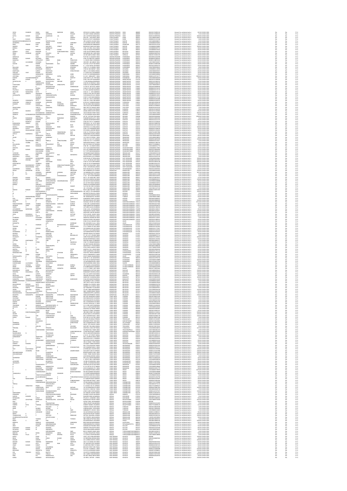| SUNIL<br>SATYA                         | SHANKET                                 | SINGH<br>Kumar                                   | RAM<br>SURENDRA                                | NARAYAN                    | PRASAD                                            | QTR NO-IR-1/6 BIRLA CINDIA<br>C/O GOPI CHAND AGIS INDIA                                | MADHYA PRADES                                                                                                                                                                                                                                                            | sce                                                                           | 48688                                | IN30155721893150<br>IN3015572189604                      | Amount for uncl<br>med and <b>L</b><br>Amount for unclaimed and u                         | 62.50 02-NOV-2024<br>2.50 02-NOV-2024                          |                         |
|----------------------------------------|-----------------------------------------|--------------------------------------------------|------------------------------------------------|----------------------------|---------------------------------------------------|----------------------------------------------------------------------------------------|--------------------------------------------------------------------------------------------------------------------------------------------------------------------------------------------------------------------------------------------------------------------------|-------------------------------------------------------------------------------|--------------------------------------|----------------------------------------------------------|-------------------------------------------------------------------------------------------|----------------------------------------------------------------|-------------------------|
|                                        | KUMAR                                   | SAHU<br>MANOHA                                   | JAGJEEVAN                                      | LAL                        | SAHU<br>GANESH<br>KHOSLA                          | 225 K JAITAPUR SINGA INDIA<br>QTR. NO. - 3/8 STREET INDIA                              | MADHYA PRADESI<br>MADHYA PRADESI<br>DINATTISGAR                                                                                                                                                                                                                          | SIDMI<br>SIDMI<br>DURC                                                        | 48688<br>490000                      | IN303116109593<br>120113000033945                        | Amount for unclaimed and u<br>Amount for unclaimed and u<br>Amount for unclaimed and u    | 400.00 02-NOV-2024<br>105.00 02-NOV-2024                       |                         |
| MANADE                                 | <b>KUMAR</b><br>IRSPLTE                 | KHOSLA                                           | NOTAPPLIC                                      |                            |                                                   | BLOCK 64 PLOT 9 NEHRINDM<br>199-A SAMTA COLONY INDIA                                   | DINATTISGAR<br>DINATTISGAR                                                                                                                                                                                                                                               | DURC<br>RAIPUI                                                                | 490020<br>492000                     | IN3004501131534<br>130234000008067                       | Amount for unclaimed and u                                                                | 5.00 02-NOV-202-<br>0.50 02-NOV-2024                           |                         |
| MAN                                    | PRASAD                                  | kumar<br>Ram<br>Rad                              | TARLIN<br>NEHRU                                | KUMAR<br><b>VENKA</b>      | VARSHNE <sup>*</sup><br>ram                       | E 3 LAFARGE COLONY (INDIA<br>DENA BANK BR SAMBAINDIA<br>BODHGHAT NEAR GUP INDIA        | DINATTISGAR<br>DINATTISGAR                                                                                                                                                                                                                                               | RAIPUP<br>DHAMTAI<br>BASTAR                                                   | 493332<br>493773                     | 120360000259436<br>N3013301911254                        | Amount for unclaimed and us<br>Amount for unclaimed and us<br>Amount for unclaimed and us | 22.00 02-NOV-2024<br>30.00 02-NOV-2024                         |                         |
| RAMESH<br><b>URMLA</b><br>RAJ          |                                         | SURANA                                           | MADIRLA<br>rambalar<br><b>BANCER</b>           | CHAND                      | RAO<br><b>ADAY</b><br><b>CIRAN</b>                | H NO. H/2 ENG. COLLE INDIA<br>H NO-59 PALACE ROACINDM                                  | DINATTISGAR<br>DINATTISGAR<br>DINATTISGAR                                                                                                                                                                                                                                |                                                                               | 034000<br>034000<br>034000<br>035000 | 12018600002<br>120186000028771<br>1201860000210522       | Amount for unclaimed and us<br>Amount for unclaimed and us<br>Amount for unclaimed and us | 100.00 02-NOV-2024<br>50.00 02-NOV-2024<br>25.00 02-NOV-2024   |                         |
| <b>VOIRAJL</b><br>PREM                 | kumar<br>Uday<br>SHANKA                 | INASKAI                                          | VASUDEV                                        | SURAYA<br>LAL              | MURTY                                             | H NO-16/370 INDERA CINDI                                                               | DINATTISGAR<br>DINATTISGAR                                                                                                                                                                                                                                               | BASTAR<br>BASTAR<br>BILASPUR<br>BILASPUR                                      | 495000                               | IN3003941534447<br>IN3009401000763                       | Amount for un<br>imed and <b>L</b>                                                        | 25.00 02-NOV-2024<br>10.00 02-NOV-2024                         |                         |
| FIRAT<br><b>AMRUTLA</b>                |                                         | JAJODIA<br>RAM                                   | GMASI<br>NOTAVAILABLI                          |                            | JAJODIA<br>RAM                                    | gurumukh rai mar India<br>C/O dr.sarita singhi India<br>PLOT NO 12 JAGADISH INDIA      | CHINATTISGARH<br>ANDHRA PRADISH<br>ANDHRA PRADISH<br>ANDHRA PRADISH<br>ANDHRA PRADISH<br>ANDHRA PRADISH<br>ANDHRA PRADISH<br>ANDHRA PRADISH<br>ANDHRA PRADISH<br>ANDHRA PRADISH<br>ANDHRA PRADISH<br>ANDHRA PRADISH<br>ANDHRA PRADISH<br>ANDHRA PRADISH<br>ANDHRA PRADIS | SURGUIA<br>HYDERABAG                                                          | 497000<br>500000                     | IN3015572190215<br>IN301696124244                        | Amount for un<br>imed and u<br>imed and u<br>Amount for ur                                | 50.00 02-NOV-2024<br>50.00 02-NOV-2024                         |                         |
| SAMATHA                                | KUMAR                                   | SHAH<br>KATARIYA<br>UPPALAPA                     | BABU<br>VINOD                                  | BABU                       | LAL.<br>PARUCHUR<br>Hussalani                     | D NO 15-8-586 FEEL KHNDI<br>11230/33 IND FLOORINGH                                     |                                                                                                                                                                                                                                                                          | <b>HYDERABA</b><br><b>HYDERABAG</b>                                           | 50001<br>500020                      | IN300669101<br>IN3005131887045                           | Amount for un<br>med and <b>L</b><br>Amount for un                                        | 10.00 02-NOV-2024<br>52.50 02-NOV-2024                         |                         |
| SYED<br>SUDHIR                         | <b>ALILUQMAI</b>                        | HUSSAIN<br>MANNE                                 | .<br>WGESWARA                                  | K<br>RAD                   | MANNE                                             | 18 8 589 1 160 AKBAR INDIA<br>FLAT NO 11 PLOT NO 6 INDIA                               |                                                                                                                                                                                                                                                                          | HYDERABAG<br>HYDERABAG                                                        | 50002<br>500034                      | 120472000760415<br>IN3005131308330                       | imed and u<br>imed and u<br>imed and u<br>Amount for un<br>Amount for ur                  | 10.00 02-NOV-2024<br>20.00 02-NOV-2024                         |                         |
| MALLAIA                                | <b>HARI</b>                             | HARAN<br><b>JEKUSANI</b>                         | NARSIMLOO                                      |                            | <b>UNDARISAN</b><br>EXUSANI                       | 6 1 132/4 ROYAL ASCHNOL<br>1 NO 4-11-21 MAMILL INDIA                                   |                                                                                                                                                                                                                                                                          | <b>HYDERABAG</b><br><b>HYDERABAG</b>                                          | 50006<br>500074<br>504231            | IN3010222040372<br>120447000340924                       | Amount for unclaimed and us<br>Amount for unclaimed and us<br>Amount for unclaimed and us | 25.00 02-NOV-2024<br>6.00 02-NOV-2024                          |                         |
| PARASILA<br><b>KODIPYAK</b><br>VADLURI | VGAY                                    | BAFNAJAI<br>untse<br>KUMAR                       | RANULAL<br><b>KODIPYAKA</b><br>DUCHAMM         |                            | PAREKH<br>VENKATESHAN                             | H NO 64-184 MARKET INDIA<br>HNO: 1-2-291 INDIRA NINDIA<br>2-7-319/3 OLD COLON INDIA    |                                                                                                                                                                                                                                                                          | ADILABAD<br>ADILABAD<br>ADILABAD                                              | 504296<br>504296                     | 120384000112635<br>120307000005555<br>120307000006402    | Amount for un<br>med and u<br>Amount for unclaimed and u                                  | 25.00 02-NOV-202-<br>25.00 02-NOV-202-<br>25.00 02-NOV-2024    |                         |
| VADDEPALL<br><b>NOTHSNA</b>            |                                         | SARASWATH<br>KATKURI                             | NARASAIAH<br>VENU                              | <b>GOPAL</b>               | cont<br><b>AITHA</b>                              | #18-9-112 KARIMADAUNDIA<br>9-2-222 GIRMAUPET INDIA                                     | ANDHRA PRADESP<br>ANDHRA PRADESP                                                                                                                                                                                                                                         | WARANGAI<br>WARANGAL                                                          | 506002<br>506002                     | 12023000001696<br>N30021419714177                        | Amount for unclaimed and u<br>Amount for unclaimed and u                                  | 25.00 02-NOV-2024<br>1400.00 02-NOV-2024                       |                         |
| URWOX<br>RAVI                          | VUAYABI<br><b>KUMAR</b>                 | <b>MAD</b>                                       | KRISHINA<br><b>HANUMANTH</b>                   | RAD                        | MURTHY                                            | Q NO 309 ITC LTD PSP INDIA<br>D NO 3 350 OPP VASAVINDM                                 | ANDHRA PRADESH<br>ANDHRA PRADESP                                                                                                                                                                                                                                         | KHAMMAM<br><b>ANANTHAPU</b>                                                   | 507128<br>515134                     | 1205450000081630<br>IN30102221298306                     | Amount for unclaimed and u<br>Amount for unclaimed and u                                  | 50.00 02-NOV-2024<br>1.00 02-NOV-2024                          |                         |
| PACHIPULUSU                            |                                         | MAHESH<br>PRABHAVATH                             | PADIEPULUSU<br>DASKAR                          | SRIDHAR                    | MURTHY<br>REDOY                                   | 7-2-99 DHANALAKSHMINDIA<br>D NO 9D-22 REVENUE INDIA                                    | ANDHRA PRADESP<br>ANDHRA PRADESH                                                                                                                                                                                                                                         | <b>ANANTHAPU</b><br>ANANTHAPUR                                                | 515200<br>515762                     | IN30311612280210<br>IN30066910188199                     | Amount for unclaimed and<br>Amount for unclaimed and u                                    | 12.50 02-NOV-2024<br>50.00 02-NOV-2024                         |                         |
| VUDAYAGIRI<br>MOHAN                    |                                         | HARINATH                                         | VUDAYAGIRI<br>RENGANATHAN                      | <b>VENKATAPPA</b>          | setty<br>SAMILANDAM                               | D NO 8-221 GUNDLAPHNOIA<br>3-2730 LD 581-8 RLY CINDIA                                  | ANDHRA PRADESH<br>ANDHRA PRADESP                                                                                                                                                                                                                                         | ANANTHAPUR<br><b>ANANTHAPU</b>                                                | 515762<br>515800                     | 1204770000000531<br>IN3022691069893                      | Amount for unclaimed and u<br>Amount for unclaimed and                                    | 22.50 02-NOV-2024<br>16.50 02-NOV-2024                         |                         |
| cutie<br>POLEPALLI                     | RAGHUNATH                               | MURALI<br>BABU                                   | THIPPESWAMI                                    |                            | THIPPESWAMY                                       | D NO 8-3-376 CAR STR INDIA<br>9-2-292 LAKSHMI BAZFINDIA                                | ANDHRA PRADESP<br>ANDHRA PRADESH                                                                                                                                                                                                                                         | ANANTHAPUR<br>ANANTHAPUR                                                      | 515865<br>515865                     | IN30066910176476<br>IN30066910172176                     | Amount for unclaimed and u<br>Amount for unclaimed and u                                  | 22.50 02-NOV-2024<br>25.00 02-NOV-2024                         |                         |
| PALUVURI<br>THAI<br>KUSUMAPPA          | NARASIHMA<br>ASWATH                     | SETTY<br>NAGARAJU<br>KURUBA                      | <b>NAGAPPA</b><br>HANUMANTHAPPA                |                            | SIDDAPPA<br>setty<br><b>KURUBA</b>                | D.NO.16 - 2 - 200 VAR/INDIA<br>D NO 8-3-329 CAR STR INDIA<br>3 26 KADALUR VLG D HINDIA | ANDHRA PRADESP<br>ANDHRA PRADESP<br>ANDHRA PRADESH                                                                                                                                                                                                                       | ANANTHAPUR<br>ANANTHAPUR<br>ANANTHAPUR                                        | 515865<br>515865<br>515865           | 1201860000105114<br>N30066910170533<br>1201860000133551  | Amount for unclaimed and u<br>Amount for unclaimed and<br>Amount for unclaimed and u      | 50.00 02-NOV-2024<br>50.00 02-NOV-2024<br>10.00 02-NOV-2024    |                         |
|                                        |                                         | EINARIKA<br>NAGESH                               | RAGHAVENDRA                                    |                            | SREENIVASULL                                      | D NO 9-3-420 MAIN BAINDIA<br>D NO 10-1-135-3 LAKSHNDM                                  | ANDHRA PRADESH<br>ANDHRA PRADESP                                                                                                                                                                                                                                         | ANANTHAPUR<br>ANANTHAPUR                                                      | 515865<br>515865                     | IN30066910173746<br>IN30066910165488                     | Amount for unclaimed and u<br>Amount for unclaimed and                                    | 15.00 02-NOV-2024<br>5.00 02-NOV-2024                          |                         |
| AYANTHI<br>SURASURA                    | VISWANATH<br>VENKATA                    | <b>SETTY</b><br><b>RAMANA</b>                    | VENKAIAH<br><b>SURASURA</b>                    | PEDDA                      | setty<br><b>KONDAPPA</b>                          | 1 NO 10-1-135/1 RAILVINDIA<br>6/745-46-7 GANGIKUNINDIA                                 | ANDHRA PRADESH<br>ANDHRA PRADESH                                                                                                                                                                                                                                         | <b>ANANTHAPU</b><br><b>CUDDAPAH</b>                                           | 515865<br>516000                     | IN30066910148762<br>IN30148510598258                     | Amount for unclaimed and<br>Amount for unclaimed and u                                    | 54.00 02-NOV-2024<br>10.50 02-NOV-2024                         |                         |
| DAASARI                                | KISHORE                                 | KUMAR<br>VEDAVATH                                | <b>KONDA</b>                                   | SCHANDRA<br>THIRUMALA      | sost<br>KONDAIAH                                  | NO 28-1328/3 NEW BAINDIA<br>19 8 152/12 SAI RESIDENDIA                                 | ANDHRA PRADESH<br>ANDHRA PRADESP                                                                                                                                                                                                                                         | CHITTOOR<br>CHITTOOR                                                          | 517000<br>517500                     | IN30189510455432<br>IN30021413398562                     | Amount for unclaimed and u<br>Amount for unclaimed and                                    | 50.00 02-NOV-2024<br>250.00 02-NOV-2024                        |                         |
| HEMACHANE<br>CHITTEM                   |                                         | THALLA<br>LAVANYA                                | <b>BANGAPPA</b>                                |                            | <b>PIALLA</b><br>VENKATESWARLL                    | DNO.18/1/721 BHAVA INDIA<br>HNO 51 1028 02 SEETHNOIA                                   | ANDHRA PRADESH<br>ANDHRA PRADESH                                                                                                                                                                                                                                         | CHITTOOR<br>KURNOOL                                                           | 517500<br>518003                     | IN30023912670318<br>IN30102221346593                     | Amount for unclaimed and u<br>Amount for unclaimed and u                                  | 1.00 02-NOV-2024<br>5.00 02-NOV-2024                           |                         |
| AMARESH                                | MAHESH                                  | KUMAR<br><b>IDTHAMASUM</b>                       | KESHAVLAL<br>SUBBARAYUDU                       |                            | <b>HANG</b><br>KOTHAMASUM                         | ARUNA XEROX SHOP NINDIA<br>19/14 MEDAM STREET INDIA                                    | ANDHRA PRADESP<br>ANDHRA PRADESH                                                                                                                                                                                                                                         | KURNOOL<br>KURNOOL                                                            | 518300<br>518500                     | IN30102221326684<br>120447000114396                      | Amount for unclaimed and<br>Amount for unclaimed and                                      | 25.00 02-NOV-2024<br>300.00 02-NOV-2024<br>25.00 02-NOV-2024   |                         |
| VENKATA<br>PANDU                       | SUDRAMAN<br>RANGARAD                    | AM KANAMARLAPUD VENKATA<br>SIRISHA<br>KANDIERLA  | œ<br>PANDU                                     | NARAYANA<br>RANGARAD       | <b>KANAMARLAPUD</b><br><b>BAMESH</b><br>KANCHERLA | 9-72A SUBHASH ROAD INDIA<br>APT GC SATYAM TOW INDIA<br>PARAMESWARI AUTO INDIA          | ANDHRA PRADESH<br>ANDHRA PRADESH<br>ANDHRA PRADESP                                                                                                                                                                                                                       | <b>KRISHNA</b><br><b>KRISHNA</b><br><b>KRISHNA</b>                            | 520000<br>520008<br>521300           | 1203230000493095<br>IN30226910404060<br>IN3023241005030  | Amount for unclaimed and u<br>Amount for unclaimed and u<br>Amount for unclaimed and      | 1000.00 02-NOV-2024<br>5.00 02-NOV-2024                        |                         |
|                                        | SAMIRAJYA<br><b>BHARATH</b>             | LAKSHMI<br>KUMAR                                 |                                                | YLN<br>PR.                 | MURTHY<br><b>URUWAR</b>                           | LAKSHMI APARTMENT:INDIA<br>D NO 25 31 87 A T AGRINDIA                                  | ANDHRA PRADESH<br>ANDHRA PRADESH                                                                                                                                                                                                                                         | GUNTUR<br>GUNTUR                                                              | 522000<br>522002                     | IN30232410121153<br>IN30115122138184                     | Amount for unclaimed and u<br>Amount for unclaimed and u                                  | 15.00 02-NOV-2024<br>78.50 02-NOV-2024                         |                         |
| <b>BURAGADDA</b><br>FAXRUDDE           | VENKAT                                  | RAD<br>BAIG                                      | NOTAVAILABLE<br>ANWAR                          |                            | BAIG                                              | DOOR NO 4 20 23 IST INDIA<br>5/O ANWAR BAIG DUF INDIA                                  | ANDHRA PRADESP<br>ANDHRA PRADESP                                                                                                                                                                                                                                         | GUNTUR<br>GUNTUR                                                              | 522006<br>522124                     | IN30102210089784<br>IN30102220221628                     | Amount for unclaimed and u<br>Amount for unclaimed and                                    | 50.00 02-NOV-2024<br>50.00 02-NOV-2024                         |                         |
| MURALI<br>ANJANEYA                     | KRISHNABABU<br><b>GUPTA</b>             | ANDE<br>NUNNA                                    | VENKAIAH<br>NOTAVAILABLE                       | BABU                       | ANDE                                              | DOOR NO 2-31 LEMALINDM<br>D NO-4-22 PEDANAND INDIA                                     | ANDHRA PRADESH<br>ANDHRA PRADESH                                                                                                                                                                                                                                         | GUNTUR<br>GUNTUR                                                              | 522212<br>522235                     | 1201910101337333<br>IN30039414168018                     | Amount for unclaimed and u<br>Amount for unclaimed and u                                  | 100.00 02-NOV-2024<br>50.00 02-NOV-2024                        |                         |
| SITA<br>VANDANAPL                      | MANALAIGHM                              | NUMMA<br>KAWTHA                                  | ANJANEYA                                       | HNAGESWARA                 | GUPTHA<br><b>RAO</b>                              | SITA MAHA LAKSHMI NINDIA<br>D NO 13-170 RAVILLA IINDIA                                 | ANDHRA PRADESP<br>ANDHRA PRADESP                                                                                                                                                                                                                                         | GUNTUR<br>GUNTUR                                                              | 522235<br>522413                     | IN30039411236302<br>IN3027341005798                      | Amount for unclaimed and<br>Amount for unclaimed and u                                    | 50.00 02-NOV-2024<br>50.00 02-NOV-2024                         |                         |
| CHELLU                                 | SAMBASIVA                               | RAD<br>SRINIVASALI                               | DIELU<br>PAPALAH                               | NAGESWARA                  | tuo<br>MATURI                                     | GANGANNA PALEM CHINDIA<br>H NO 6-10-1 BALUAPAINDIA                                     | ANDHRA PRADESH<br>ANDHRA PRADESP                                                                                                                                                                                                                                         | GUNTUR<br>PRAKASAM                                                            | 522611<br>523114                     | IN30232410374560<br>1204470004026651                     | Amount for unclaimed and u<br>Amount for unclaimed and u                                  | 2.50 02-NOV-2024<br>95.00 02-NOV-2024                          |                         |
| <b>ALADE</b><br>SIVA                   | NAGAPRASAD                              | RAMADEVI<br>LAKSHMI<br>NERELLA                   | SUBBARAO<br>NERELLA                            | VENKATASUBM                | SWAMP<br><b>RAD</b>                               | 15-15-56/1 R R ROAD INDIA<br>D NO-13-2-4/2 15T FLCINDIA<br>D NO 9-61-2 R T C COUNDM    | ANDHRA PRADESP<br>ANDHRA PRADESP<br>ANDHRA PRADESP                                                                                                                                                                                                                       | PRAKASAM<br>PRAKASAM<br>PRAKASAM                                              | 523155<br>523155<br>523157           | 120352000003859<br>IN30039414876399<br>IN30039416115917  | Amount for unclaimed and<br>Amount for unclaimed and u<br>Amount for unclaimed and u      | 50.00 02-NOV-2024<br>150.00 02-NOV-2024<br>2.50 02-NOV-2024    |                         |
| CHILLAKURU                             | VSUBBA                                  | RAD<br>SUIATHA                                   | VENKUREDDY                                     | AS<br>SIVA                 | <b>GUPTA</b><br>atoon                             | MAIN ROAD PERALA C INDIA<br>NO 27/1/1409 FLAT NEINDIA                                  | ANDHRA PRADESP<br>ANDHRA PRADESP                                                                                                                                                                                                                                         | PRAKASAM<br>NELLORE                                                           | 523157<br>524002                     | IN30039411380759<br>IN3017741260862                      | Amount for unclaimed and<br>Amount for unclaimed and u                                    | 10.00 02-NOV-2024<br>5.00 02-NOV-2024                          |                         |
| DIYYA<br>SRIVIDYA                      | JANAKI                                  | RAMALAH                                          | <b>JANDYALA</b>                                | MOHAN                      | tuo<br><b>BAMAKI</b>                              | D NO 86 214 NEAR N INDIA<br>10-27-3/A GANGIREDEINDIA                                   | ANDHRA PRADESP<br>ANDHRA PRADESP                                                                                                                                                                                                                                         | NELLORE<br>VISAKHAPATNAM                                                      | 524305<br>530016                     | 1204340000011772<br>1203840000175801                     | Amount for unclaimed and u<br>Amount for unclaimed and u                                  | 10.00 02-NOV-2024<br>16.00 02-NOV-2024                         |                         |
| RAVI                                   | KUMAR                                   | MAMDIPAKA<br>RAJULAMMA                           | GANAPATH<br>KONDA                              |                            | $\frac{\text{RAO}}{\text{PLA}}$                   | 43-9-122 SUBBALAKSHINDIA<br>D E T OPP SARVAKAM/INDIA                                   | ANDHRA PRADESP<br>ANDHRA PRADESH                                                                                                                                                                                                                                         | VISAKHAPATNAN<br>VISAKHAPATNAN                                                | 530016<br>531000                     | IN30232410834669<br>IN30189510600619                     | Amount for unclaimed and<br>Amount for unclaimed and u                                    | 12.50 02-NOV-2024<br>25.00 02-NOV-2024                         |                         |
| TATAPUD<br>MAHADEVL                    | MAR                                     | NAGENDRA<br>BABU                                 | GURUMURTH<br><b>BAMA</b>                       | RAD                        | MANADEVU                                          | SATYANARAYANAPUR/INDIA<br>TELAGA STREET VADAHNDIA                                      | ANDHRA PRADESH<br>ANDHRA PRADESH                                                                                                                                                                                                                                         | SRIKAKULAM<br>SRIKAKULAM                                                      | 532127<br>532440                     | 1203810000031318<br>IN30177411718434                     | Amount for unclaimed and u<br>Amount for unclaimed and u                                  | 26.00 02-NOV-2024<br>0.50 02-NOV-2024                          |                         |
| AMPAVALLI<br><b>DANIEL</b>             | <b>KISAVA</b><br><b>VUAYAPAUL</b>       | RAD<br>MUNGAMURI                                 | SREERAMULU<br><b>DANIL</b>                     |                            |                                                   | REGULAPADU (VILL) VEINDIA<br>D NO 64-8A-4C TREASLINDIA                                 | ANDHRA PRADESP<br>ANDHRA PRADESH                                                                                                                                                                                                                                         | SRIKAKULAM<br><b>EAST GOOAVAR</b>                                             | 532460<br>533004                     | IN30232410255140<br>1203810000003843                     | Amount for unclaimed and<br>Amount for unclaimed and u<br>Amount for unclaimed and u      | 5.00 02-NOV-2024<br>100.00 02-NOV-2024<br>200.00 02-NOV-2024   |                         |
| RAMA<br>RAMAN<br>GODAVARTHY            | KRISHNA                                 | MAJETY<br>JAIN<br>VEERAJU                        | PANDU<br>VAKTAWAI<br>SUBBA                     | RANGA                      | RAD<br>MALII<br>MO                                | 11-5-2 SAI NIVAS GOP INDIA<br>H.NO 31 10 18 MB SHINDIA<br>D NO.13-191 SITANAG INDIA    | ANDHRA PRADESH<br>ANDHRA PRADESP<br>ANDHRA PRADESH                                                                                                                                                                                                                       | <b>EAST GOOAVAR</b><br><b>EAST GOOAVAR</b><br><b>EAST GOOAVAR</b>             | 533004<br>533100<br>533234           | IN30286310025965<br>IN30102220633148<br>IN30286310242767 | Amount for unclaimed and<br>Amount for unclaimed and u                                    | 300.00 02-NOV-2024<br>50.00 02-NOV-2024                        |                         |
| VEERA                                  | <b><i>BHADRAREDON</i></b><br>SRAGHURAMA | CHINTA<br>RAIU                                   | VEERA<br><b>DANDL</b>                          | VENKATASA<br><b>GOPALA</b> | CHINTA<br>RAJU                                    | DNO 5 85 SIVALAYAM INDIA<br>D NO 1-28 KORUKOLLL INDIA                                  | ANDHRA PRADESH<br>ANDHRA PRADESP                                                                                                                                                                                                                                         | <b>EAST GOOAVAR</b><br>WEST GOOAVAR                                           | 533264<br>534209                     | IN30102221368355<br>1201060001638585                     | Amount for unclaimed and u<br>Amount for unclaimed and u                                  | 50.00 02-NOV-2024<br>63.50 02-NOV-2024                         |                         |
| GUNTREDO<br>HEGUE                      | THAMM<br>SRIKANTAN                      | NAIDU<br>SATISH                                  | SRIVUN<br>HEGUE                                |                            | NAIDU<br>SRIKANTAI                                | <b>BAVI VALASA (VILL) GAINDIA</b><br>SRI CHAMBERS 4TH FLINDIA                          | ANDHRA PRADESP<br>KARNATAKA                                                                                                                                                                                                                                              | <b>WZIANAGARAM</b><br>BANGALORS                                               | 535525<br>560004                     | N30232410569362<br>1203350002303302                      | Amount for unclaimed and<br>Amount for unclaimed and u                                    | 25.00 02-NOV-2024<br>250.00 02-NOV-2024                        |                         |
|                                        | <b>KV</b>                               | <b>JAISIMHA</b><br>RATHNAM                       | NIDIGERE                                       | <b>JAISIMHA</b>            | HARITSEN<br><b>MATHAN</b>                         | 114 NANDINI 20TH A MINDIA<br>NO 21 SHOPPING STREINDIA                                  | KARNATAKA<br>KARNATAKA                                                                                                                                                                                                                                                   | BANGALORS<br>BANGALORS                                                        | 560010<br>560020                     | IN30051314925085<br>IN30214810111268                     | Amount for unclaimed and u<br>Amount for unclaimed and                                    | 387.50 02-NOV-2024<br>2.50 02-NOV-2024                         |                         |
| <b>KISHORS</b>                         | KUMAR                                   | <b>KUMARASY</b>                                  | MANICK                                         | SHIVARAMA                  | setty<br>CHAND                                    | C-121 15T FLOOR 2NCINDIA<br>NO 17 15T MAIN 3RD INDIA                                   | KARNATAKA<br>KARNATAKA                                                                                                                                                                                                                                                   | BANGALORI<br>BANGALORI                                                        | 560021<br>560021                     | IN30214810132874<br>IN30113526676637                     | Amount for unclaimed and<br>Amount for unclaimed and u                                    | 5.00 02-NOV-2024<br>12.50 02-NOV-2024                          |                         |
| GAUTAM<br><b>ACAUSE</b>                | KUMAR                                   | SPANI<br><b>EAVIORAN</b>                         | PRAKASHCHAND<br>GOPALAKRISHNA                  | HOSURNARAYANA              | <b>SPANI</b><br>semy                              | NO 9 KCD COMPLEX 3RINDIA<br>NO 325 6TH MAIN ROFINDIA                                   | KARNATAKA<br>KARNATAKA                                                                                                                                                                                                                                                   | BANGALORI<br>BANGALORI                                                        | 560027<br>560038                     | 1201090000652517<br>120299000418008                      | Amount for unclaimed and u<br>Amount for unclaimed and                                    | 150.00 02-NOV-2024<br>29.50 02-NOV-2024                        |                         |
| KAMALA<br>NIFMAL                       |                                         | DEW<br>SANCHETI                                  | GHENARCHAND<br>PARASMAL                        |                            |                                                   | 421 50 FEET ROAD HAFINDM<br>HARISH AUTOMOBILESINDIA                                    | KARNATAKA<br>KARNATAKA                                                                                                                                                                                                                                                   | BANGALORI<br>BANGALORI                                                        | 560050<br>560050                     | 1202990005292972<br>IN30214810608069                     | Amount for unclaimed and u<br>Amount for unclaimed and u                                  | 50.00 02-NOV-2024<br>50.00 02-NOV-2024                         |                         |
| RASHMI                                 | RANJAN                                  | BALASUBRAMA<br>sunzse<br>PADHI                   | N VELLAI<br>DAMODARAN<br>GAGAN                 | CHANDRA                    | SWAMP<br>PADM                                     | FLAT NO 301 3RD FLOCINDIA<br>135 3 RD MAIN 2 ND : INDIA<br>PRATT AND WHITNEY (INDIA    | KARNATAKA<br>KARNATAKA<br>KARNATAKA                                                                                                                                                                                                                                      | BANGALORI<br>BANGALORI<br>BANGALORS                                           | 560075<br>secose<br>560095           | IN30192630044528<br>1204720011327135<br>IN30051318351303 | Amount for unclaimed and<br>Amount for unclaimed and<br>Amount for unclaimed and u        | 35.00 02-NOV-2024<br>2.50 02-NOV-2024<br>540.50 02-NOV-2024    |                         |
|                                        |                                         | RAVICHANDRAM<br>SIVASUBRAMA                      |                                                |                            | LAKSHMINARASI<br>MASILAMAN                        | NO. 2937/1, 4TH MAININDIA<br>848 SWETHA NILAYA 4 INDIA                                 | KARNATAKA<br>KARNATAKA                                                                                                                                                                                                                                                   | MYSORE<br>KODAGU                                                              | 570002<br>571234                     | 003474<br>003580                                         | Amount for unclaimed and u<br>Amount for unclaimed and                                    | 100.00 02-NOV-2024<br>0.50 02-NOV-2024                         |                         |
|                                        | <b>RRAMAK</b>                           | GRITSH<br>PRASAD                                 | SADASHIVA                                      | CRANGAIAE                  | semy                                              | 5/O SADASHIVAMURTHNDIA<br>SRI RANGANATHA EN INDIA                                      | KARNATAKA<br>KARNATAKA                                                                                                                                                                                                                                                   | MANDYA<br>TUMCUR                                                              | 571440<br>572102                     | 1203500000235554<br>1203070000132861                     | Amount for unclaimed and u<br>Amount for unclaimed and u                                  | 25.00 02-NOV-2024<br>50.00 02-NOV-2024                         |                         |
| <b>RITA</b><br>CHETHAN                 | PRAKASH                                 | NARIELWAL                                        | PRAKASH<br>MURTHY                              |                            | MARIELWALA                                        | KARIAMMA TEMPLE RUNDIA<br>SRI RAMA NEAYA OPP INDIA                                     | KARNATAKA<br>KARNATAKA                                                                                                                                                                                                                                                   | <b>HASSAN</b><br><b>HASSAN</b>                                                | 573103<br>573116                     | IN30169610484874<br>IN30169610846839                     | Amount for unclaimed and<br>Amount for unclaimed and                                      | 9.00 02-NOV-2024<br>250.00 02-NOV-2024                         |                         |
| PRIYA<br>PORATHUKARA                   | KURIAN                                  | THOMAS                                           | VEERAPPA<br>PORATHUKA                          | VARGHESE                   | cowon<br>KURIAN                                   | DUGGALA HOUSE KOL'INDIA<br>H.NO.2/99 ALANGAR FINDIA                                    | KARNATAKA<br>KARNATAKA                                                                                                                                                                                                                                                   | DAKSHINA KANNADA 574212<br>DAKSHINA KANNADA 574227                            |                                      | IN3002391393798<br>IN30169610227584                      | Amount for unclaimed and u<br>Amount for unclaimed and u                                  | 1712.00 02-NOV-2024<br>18.50 02-NOV-2024                       |                         |
| HERMAN<br>COMV                         | VIRAS                                   | PERIERA<br>JOSHI                                 | <b>JOAXHM</b><br>VARADARAJ                     | JOSHI                      | periera                                           | NEAR KARNATAKA BANINDIA<br>LECTURER ALVAS AYUFINDIA                                    | KARNATAKA<br>KARNATAKA                                                                                                                                                                                                                                                   | DAKSHINA KANNADA 574227<br>DAKSHINA KANNADA 574227                            |                                      | 120344010000679<br>IN3016961118029                       | Amount for unclaimed and<br>Amount for unclaimed and u                                    | 45.00 02-NOV-2024<br>5.00 02-NOV-2024                          |                         |
| ATHANKOOY<br>SATHYASHANKAI<br>AYARAM   | NARAYANA                                | PRASAD<br><b>TANI</b><br>SHETTY                  | <b>ISHWARA</b><br><b>CUNCHINADIO</b><br>KYA    | KRISHNA                    | <b>SHAT</b><br><b>SHAT</b><br>aem                 | D NO 1/124 JATHANAUNDIA<br>PANCHAVATY HOUSE TINDIA<br>MEDICARE CENTRE NE. INDIA        | KARNATAKA<br>KARNATAKA<br>KARNATAKA                                                                                                                                                                                                                                      | DAKSHINA KANNADA 574289<br>DAKSHINA KANNADA 574326<br>DAKSHINA KANNADA 575000 |                                      | IN30169611348217<br>IN30169612424877<br>IN30192630170218 | Amount for unclaimed and u<br>Amount for unclaimed and<br>Amount for unclaimed and        | 25.00 02-NOV-2024<br>175.00 02-NOV-2024<br>250.00 02-NOV-2024  |                         |
| VEDA                                   | MANABALA<br>MANUMATH                    | SHETTY                                           | NARAYANA<br>SANIEEVA                           |                            | KOTTARI<br>SHETTY                                 | PATEL HOUSE GUDDE INDIA<br>D NO 202 VINAYAKA A INDIA                                   | KARNATAKA<br>KARNATAKA                                                                                                                                                                                                                                                   | DAKSHINA KANNADA 575002<br>DAKSHINA KANNADA 575006                            |                                      | IN30189510594687<br>IN30214810316201                     | Amount for unclaimed and u<br>Amount for unclaimed and u                                  | 24.50 02-NOV-2024<br>50.00 02-NOV-2024                         |                         |
| ATHRABAI<br>RACHANA                    |                                         | <b>POOVAPPA</b><br>KORKOCC                       | MADARA<br><b>HARANATHI</b>                     |                            | KORKODE                                           | SANJEEVA SADANA NE INDIA<br>MADHAVTHARA VIDYAINDIA                                     | KARNATAKA<br>KARNATAKA                                                                                                                                                                                                                                                   | DAKSHINA KANNADA 575010<br>DAKSHINA KANNADA 575019                            |                                      | IN30226911116933<br>IN30226911989914                     | Amount for unclaimed and<br>Amount for unclaimed and                                      | 1.00 02-NOV-2024<br>25.00 02-NOV-2024                          |                         |
| SURESH<br>MANJAPPA                     |                                         |                                                  | GANAPAYER<br><b>APPI</b>                       |                            | SHEREGAR                                          | D NO 2/114 A 35 KART INDIA<br>NO 128 WARD 4 LALA INDIA                                 | KARNATAKA<br>KARNATAKA                                                                                                                                                                                                                                                   | UDUPI<br>UDUPI                                                                | 576105<br>576201                     | IN30169611761501<br>IN3011352625264                      | Amount for unclaimed and u<br>Amount for unclaimed and u                                  | 25.00 02-NOV-2024<br>50.00 02-NOV-2024                         |                         |
| THRWENI                                | $\boldsymbol{N}$                        | SHANKAR                                          |                                                | RNARASIMHGA<br>M           | <b>BHATT</b><br>RAMEGOWDA                         | LALITHA KRUPA B/H GINDIA<br>C D C C BANK LTD HEA INDIA                                 | KARNATAKA<br>KARNATAKA                                                                                                                                                                                                                                                   | CHICKMAGALUR<br>CHICKMAGALUR                                                  | 577101<br>577101                     | IN3006101021965<br>IN30023911307854                      | Amount for unclaimed and<br>Amount for unclaimed and u                                    | 25.00 02-NOV-2024<br>21.00 02-NOV-2024                         |                         |
| <b>AMIIE</b><br>milip<br>SADANANDA     |                                         | FIRDOSE                                          | SAMUEL<br>RAMEGOWD.                            |                            | NAWAB                                             | D/O NAWAS JAN CDCCINDIA<br>PHILIP N 5 S/O SAMUEINDIA<br>5/O RAMEGOWDA KALINDIA         | KARNATAKA<br>KARNATAKA<br>KARNATAKA                                                                                                                                                                                                                                      | CHICKMAGALUR<br>CHICKMAGALUR<br>CHICKMAGALUR                                  | 577101<br>577101<br>577146           | IN30023911777837<br>IN3002391314050<br>IN30023913432647  | Amount for unclaimed and u<br>Amount for unclaimed and<br>Amount for unclaimed and        | 50.00 02-NOV-2024<br>250.00 02-NOV-2024<br>50.00 02-NOV-2024   |                         |
| MUKESH<br>MALATH                       | ٠                                       | KUMAR                                            | KANWARI<br>PUTTAPPA                            |                            | LAL<br><b>BELIMALLUR</b>                          | MAHESH MAHAL M K HNDV<br>P.F. 20 S.V.P. COLONY INDIA                                   | KARNATAKA<br>KARNATAKA                                                                                                                                                                                                                                                   | SHIMOGA<br>SHIMOGA                                                            | 577200<br>577201                     | IN30226911150376<br>1204450000071711                     | Amount for unclaimed and u<br>Amount for unclaimed and u                                  | 50.00 02-NOV-2024<br>5.00 02-NOV-2024                          |                         |
| <b>HALAKATTI</b><br>SARLA              |                                         | <b>RUDRAPPA</b><br>ptw                           | <b>GANGAPPA</b><br>MAHESH                      |                            | KUMAR                                             | ADHARA BASINDIA<br>RATAN ENTERPRISES KINDIA                                            | KARNATAKA<br>KARNATAKA                                                                                                                                                                                                                                                   | SHIMOGA<br>SHIMOGA                                                            | 577200<br>577200                     | IN30023911299813<br>IN30226911150392                     | Amount for unclaimed and<br>Amount for unclaimed and                                      | 200.00 02-NOV-2024<br>50.00 02-NOV-2024                        |                         |
| LAKSHMI                                | KANT<br>ũ                               | VEENA                                            | HARI                                           | RAD                        | MAGARAJA                                          | MAYURA FANCY STORINDIA<br>H NO 174 BENAKESHMINDIA                                      | KARNATAKA<br>KARNATAKA                                                                                                                                                                                                                                                   | SHIMOGA<br>SHIMOGA                                                            | 577203<br>577204                     | IN30169610069157<br>1201060000541219                     | Amount for unclaimed and u<br>Amount for unclaimed and                                    | 2.50 02-NOV-2024<br>62.50 02-NOV-2024                          |                         |
| VEENA<br><b>ESHIVAN</b><br>DATTATREYA  |                                         |                                                  | NANJUNDAPPA<br>KUNTE                           |                            | CHETANA                                           | NO 2637 DASARA BEEEINDIA<br>DOOR NO 67 C HUDCOINDIA<br>STYLE CHECK ASHOK R INDIA       | KARNATAKA<br>KARNATAKA<br>KARNATAKA                                                                                                                                                                                                                                      | SHIMOGA<br>SHIMOGA<br>SHIMOGA                                                 | 577228<br>577302<br>577401           | 120447000044988<br>IN30169611688446<br>120177000007933   | Amount for unclaimed and<br>Amount for unclaimed and u<br>Amount for unclaimed and u      | 8.00 02-NOV-2024<br>10.00 02-NOV-2024<br>50.00 02-NOV-2024     |                         |
| AMITHA<br>SHRIKANTH                    | M                                       | TATER                                            | NEMICHANO<br><b>GOPAL</b>                      |                            | TATER<br><b>RAO</b>                               | ANATHA SILK HOUSEINDIA<br>FORT AUAMPURA TAR INDIA                                      | KARNATAKA<br>KARNATAKA                                                                                                                                                                                                                                                   | SHIMOGA<br>CHITRADURGA                                                        | 577400<br>577547                     | IN3016961094692<br>IN30226911791143                      | Amount for unclaimed and<br>Amount for unclaimed and u                                    | 12.50 02-NOV-2024<br>14.00 02-NOV-2024                         |                         |
| MANJUNATHA                             | <b>OANIL</b>                            | RAIU                                             |                                                | OTHEVAN                    | <b>MAJU</b><br>CNKARAPPA                          | STAFF NO. 49240 CANJINDIA                                                              | KARNATAKA                                                                                                                                                                                                                                                                | CHITRADURGA                                                                   | 577548                               | IN3002391186029                                          | Amount for unclaimed and u                                                                |                                                                |                         |
|                                        |                                         |                                                  |                                                |                            |                                                   | S/O B V ONKARAPPA S INDIA                                                              | KARNATAKA                                                                                                                                                                                                                                                                | CHITRADURGA                                                                   | 577548                               | IN30226911855336                                         | Amount for unclaimed and u                                                                | 25.00 02-NOV-2024<br>10.00 02-NOV-2024                         |                         |
| <b>SHRISHAILAPP</b><br><b>ASHOK</b>    |                                         | kumar<br>Matti<br>MEHARWADE                      | GAVIYAPPA<br>ASHOK                             | KESHAVASA                  | <b>MATTI</b><br>MEHARWADE                         | K.M.P CHAWL BADAMINDIA<br>SHOP NO 11 JAI JAGADINDIA                                    | KARNATAKA<br>KARNATAKA                                                                                                                                                                                                                                                   | UDUPI<br>DHARWARD                                                             | 578201<br>580020                     | 120445000010439<br>N30223610796726                       | Amount for unclaimed and<br>Amount for unclaimed and u                                    | 25.00 02-NOV-2024<br>25.00 02-NOV-2024                         |                         |
| SHYLAJA<br>SHARABHLING                 |                                         | <b>JALINAL</b><br>TENGINKAI                      | <b>SUGIRAPPA</b><br>GANGADHARAPPA              |                            |                                                   | PLOT NO 40 SANTRAPTINDM<br>14 VUAYANAGAR REVI INDIA                                    | KARNATAKA<br>KARNATAKA                                                                                                                                                                                                                                                   | DHARWARD<br>DHARWARD                                                          | 580025<br>580032                     | 120335000019388<br>N30113526475160                       | Amount for unclaimed and u<br>Amount for unclaimed and                                    | 100.00 02-NOV-2024<br>75.00 02-NOV-2024                        |                         |
| HUKMICHAND<br>SAYED                    | LALCHANDE<br>SAFWAN                     | <b>JAIN</b><br>KARIKAL                           | LALDIANO<br>SAYED                              | ABUBAKAR                   | KARIKAL                                           | HRI RAJENDRA GINNI INDIA<br>159 VILLAGE SUSAGAEINDIA                                   | KARNATAKA<br>KARNATAKA                                                                                                                                                                                                                                                   | <b>HAVER!</b><br>UTTARA KANNADA                                               | 581115<br>581320                     | 1201060000889016<br>IN30023913084900                     | Amount for unclaimed and<br>Amount for unclaimed and u                                    | 250.00 02-NOV-2024<br>100.00 02-NOV-2024                       |                         |
| ORAN<br>BASAVARAJ                      | SHIVARAM                                | HEGDE<br>ANNIGERI                                | SHVARAM<br>SHIVAPPA                            | VEERAPPA                   | HEGDE<br>ANNIGERI                                 | AT GUISIGADDE PO IMINDIA<br>COSTO PAND TEOTINOM                                        | KARNATAKA<br>KARNATAKA                                                                                                                                                                                                                                                   | UTTARA KANNADA<br>GADAG                                                       | 581402<br>582101                     | 1203350000441955<br>N30147710051162                      | Amount for unclaimed and u<br>Amount for unclaimed and                                    | 0.50 02-NOV-2024<br>10.00 02-NOV-2024                          |                         |
| <b>BHAVARILAL</b><br><b>SRIGOPAL</b>   | scos<br><b>BHAVARILAL</b>               | HUF<br>soos                                      | NOTAVAILABLE<br><b>DIAVARLAL</b>               |                            |                                                   | RANGANATH COTTON INDIA<br>RANGANATH BOOB & IINDIA                                      | KARNATAKA<br>KARNATAKA                                                                                                                                                                                                                                                   | RAICHUR<br>RAICHUR                                                            | 584101<br>584102                     | 1302340000093412<br>1302340000084340                     | Amount for unclaimed and u<br>Amount for unclaimed and u                                  | 150.00 02-NOV-2024<br>150.00 02-NOV-2024                       |                         |
| USHA<br>MUSHTAQ<br>VEERKUMARAYYA       | AHMED                                   | LAHOTI<br>SALWATI<br>MASTYAVAR                   | SHRIKANT<br>ASDUL<br>SHIVAYYA                  |                            | LAHOTI<br>QADAR                                   | NO 1-51 LAHOTI HOUSINDM<br>HASHIMI HOUSE NO 1 INDIA<br>WARD NO 5 HUNDEKAINDIA          | KARNATAKA<br>KARNATAKA<br>KARNATAKA                                                                                                                                                                                                                                      | GULBARGA<br>BUAFUR<br>BAGALKOT                                                | 585102<br>586101<br>587101           | IN30192630201128<br>IN30113526455012<br>IN30113526629833 | Amount for unclaimed and<br>Amount for unclaimed and<br>Amount for unclaimed and u        | 100.00 02-NOV-2024<br>25.00 02-NOV-2024<br>100.00 02-NOV-2024  |                         |
| ANKAPPA<br>DURADUNDESHWA               | <b>NAGAPPA</b><br>CHANDRA:              | KARDIGUDD<br>IREMATH                             | <b>NAGAPPA</b><br>CHANDRASHEKHAI               |                            | KARDIGUED                                         | CHALUKYA NAGER BAEINDIA<br>KALAMARUTI GALLI CHINDIA                                    | KARNATAKA<br>KARNATAKA                                                                                                                                                                                                                                                   | BAGALKOT<br>BELGAUM                                                           | 587201<br>591201                     | 1204450000104100<br>1202090000242874                     | Amount for unclaimed and u<br>Amount for unclaimed and                                    | 20.00 02-NOV-2024<br>2.50 02-NOV-2024                          |                         |
| LOMAM<br>MALLIKARJUN                   | MONAN                                   | SAMMATASHE<br>KATTI                              | NOTAVAILABLE<br>MOHAN                          |                            |                                                   | 1047 SHETTI GALLI CHI INDIA<br>EXAMBA TAL CHIKODI INDIA                                | KARNATAKA<br>KARNATAKA                                                                                                                                                                                                                                                   | BELGAUM<br>BELGAUM                                                            | 591201<br>591244                     | 120106000067603<br>1202090000353792                      | Amount for unclaimed and u<br>Amount for unclaimed and u                                  | 5.00 02-NOV-2024<br>4.00 02-NOV-2024                           |                         |
| <b>SUJATA</b><br>SHIVAPPA              | MANDJKUMAR<br><b>RAPPA</b>              | KATTI<br><b>RUDRAPUR</b>                         | NOTAVAILABLE<br>IRAPPA                         |                            |                                                   | EXAMBA TAL-CHIKODI INDIA<br>A\P YARAZARVI TQ SALINDIA                                  | KARNATAKA<br>KARNATAKA                                                                                                                                                                                                                                                   | BELGAUM<br>BELGAUM                                                            | 591244<br>591307                     | 1201060000928027<br>1201320000697871                     | Amount for unclaimed and u<br>Amount for unclaimed and                                    | 50.00 02-NOV-2024<br>9.00 02-NOV-2024                          |                         |
| VEENA<br>SHIDAGOUDA                    | VASTUPAL                                | BAFNA<br>CHOUGALA                                | VASTUPAL                                       |                            | BAFNA<br>HOUGAU                                   | CTS NO. 2686 RAW/W/INDIA<br>1804 SANIFORMAR TUNDIA                                     | KARNATAKA<br>KARNATAKA                                                                                                                                                                                                                                                   | BELGAUM<br>BELGAUM                                                            | 591307<br>591313                     | 1201320000364129<br>IN30216410342268                     | Amount for unclaimed and u<br>Amount for unclaimed and u                                  | 125.00 02-NOV-2024<br>25.00 02-NOV-2024<br>50.00.02.NOV-2024   |                         |
| BASANAGOUC<br><b>MAYAPPA</b>           | <b>HANUMANT</b><br><b>EARAMAPPA</b>     | <b>FPATIL</b><br>MAYANAVA                        | <b>HANUMANTHAPPA</b><br><b>BARAMAPPA</b>       | SHIDDAPPA                  | MAYANAVAR                                         | HANAMANTAPPA LAG INDIA<br>NEAR GOVERNMENT HINDIA                                       | <b>KARNATAKA</b><br>KARNATAKA                                                                                                                                                                                                                                            | BELGAUM<br>BELGAUM                                                            | 591313<br>591317                     | 120106000102646-<br>1203320009293708                     | Amount for unclaimed and u<br>Amount for unclaimed and u                                  | 130.00 02-NOV-2024                                             |                         |
| <b>SUNDAR</b><br>VUAYARAJ<br>NEMICHAND |                                         | <b>KAWAR</b><br>KOTHAR<br>KOTHAR                 | NEMICHANO<br>NEMICHANO<br>HANUMANCHAND         |                            | KOTHARI<br>KOTHARI<br>KOTHARI                     | NO 15/8 MAHAVEER CINDIA<br>NO.8 MAHAVEER COLCINDIA<br>NO 8 MAHAVEER COLCINDIA          | TAMIL NADU<br>TAMIL NADU<br>TAMIL NADU                                                                                                                                                                                                                                   | CHENNA<br>CHENNA<br>CHENNA                                                    | 600007<br>600007<br>600007           | IN30163760057626<br>IN30311610053364<br>120323000056749  | Amount for unclaimed and u<br>Amount for unclaimed and u<br>Amount for unclaimed and u    | 0.50 02-NOV-2024<br>0.50 02-NOV-2024<br>1.00 02-NOV-2024       |                         |
| <b>SUMITA</b><br><b>AIOIA</b>          |                                         | KOTHARI<br>SAMBASIVAM                            | <b>VEAYRAJ</b>                                 | KOTHAR                     | SAMBASIVAM                                        | NO 8 MAHAVEER COLINDIA<br>OLD NO 4 NEW NO 11 INDIA                                     | TAMIL NADU<br>TAMIL NADU                                                                                                                                                                                                                                                 | CHENNA<br>CHENNA                                                              | 600007<br>600033                     | IN30163760024709<br>120445000039903                      | Amount for unclaimed and u<br>Amount for unclaimed and u                                  | 0.50 02-NOV-2024<br>25.00 02-NOV-2024                          |                         |
| TRIVIKRAM<br>MALLIKA                   | M                                       | <b>GANGUR</b><br>ERGHNAMUR                       | MADHWACHARYA<br>ORISHINAMURTH                  |                            | <b>GANGUR</b>                                     | C2 2 4 3RD LOOP ROALINDIA<br>NO 5 11 GAYALAKSHM INDIA                                  | TAMIL NADU<br>TAMIL NADU                                                                                                                                                                                                                                                 | CHENNA<br>CHENNA                                                              | 6CCO36<br>600044                     | IN3005131165694<br>1203350000160183                      | Amount for unclaimed and<br>Amount for unclaimed and u                                    | 0.50 02-NOV-2024<br>12.50 02-NOV-2024                          |                         |
|                                        | A                                       | GOKUL                                            | SHIVASANKAILAN AMBALAVANAN<br>BALAII           |                            |                                                   | DOOR NO 310 TNHS 1: INDIA<br>83/38 15T STREET TIRLINDIA                                | TAMIL NADU<br>TAMIL NADU                                                                                                                                                                                                                                                 | CHENNA<br>CHENNA                                                              | scooso<br>600094                     | IN30226911855897<br>IN30163741855107                     | Amount for unclaimed and u<br>Amount for unclaimed and u                                  | 1.00 02-NOV-2024<br>25.00 02-NOV-2024                          |                         |
| KAMI<br><b>XAVIER</b><br>DHEERAJ       | REDO                                    | azpov<br>                                        | KAMI<br>ARDCKTKASAMY<br>CHANDRAKANT            | REDDY                      | MIAL                                              | 198 23RD STREET SRI KINDIA<br>BLOCK 28/3111 JEEVAHNDIA<br>NO 1 HUNTERS ROAD INDIA      | TAMIL NADU<br>TAMIL NADU<br>TAMIL NADU                                                                                                                                                                                                                                   | CHENNA<br>CHENNA<br>CHENNAI                                                   | 600095<br>600100<br>600112           | IN30220111153614<br>IN30169610671286<br>IN30047643383178 | Amount for unclaimed and u<br>Amount for unclaimed and u<br>Amount for unclaimed and u    | 500.00 02-NOV-2024<br>150.00 02-NOV-2024<br>100.00 02-NOV-2024 |                         |
| <b>SUSHIL</b>                          | KUMAR                                   | <b>EAMESH</b>                                    | HEERACHAND                                     |                            | CHORDIA<br><b>ITAMATI</b>                         | PLOT NO 25 FLAT NO FINDIA<br>NO 1/45 DEVANGA STRINDIA                                  | TAMIL NADU<br>TAMIL NADU                                                                                                                                                                                                                                                 | CHENNAI<br>TRUVALLUP                                                          | 100122<br>601200                     | IN3016376005704<br>IN30051315136387                      | Amount for unclaimed and u<br>Amount for unclaimed and u                                  | 5.00 02-NOV-2024<br>47.50 02-NOV-2024                          |                         |
| SHENBAGA                               |                                         | <b>ADALARASU</b><br>VALU                         |                                                |                            | KANAGASABA<br>VENKATESAN                          | BRAHMIN STREET ORAINDIA<br>NO 13 ESWARAN KOIL INDIA                                    | TAMIL NADU<br>TAMIL NADU                                                                                                                                                                                                                                                 | KANDIFURAN<br>VILLUPURAM                                                      | 603307<br>604000                     | IN30163740526869<br>IN30177410614590                     | Amount for unclaimed and u<br>Amount for unclaimed and u                                  | 27.00 02-NOV-2024<br>350.00 02-NOV-2024                        |                         |
| ALEXANDER                              | 5                                       | MALLIKA                                          | <b>BAJAIAH</b>                                 |                            | SELVARAJ                                          | 261/8 TYPE II BLOCK 2 INDIA<br>W/O MR T SELVARAJ NINDIA                                | TAMIL NADU<br>TAMIL NADU                                                                                                                                                                                                                                                 | <b>CUDDALORS</b><br>TRUVARUR                                                  | 607807<br>610000                     | IN30017510592692<br>IN30163740574942                     | Amount for unclaimed and<br>Amount for unclaimed and u                                    | 245.50 02-NOV-2024<br>9.50 02-NOV-2024                         |                         |
| PERUMAL                                |                                         | VIGNESW                                          | PERUMAL<br>MANCHARAN                           |                            | BALUSAMY                                          | DOOR NO 1/105 CHETINDIA<br>NO 935/H RAIL TOWN INDIA                                    | TAMIL NADU<br>TAMIL NADU                                                                                                                                                                                                                                                 | THANIAVUR<br>TRUCHRAPPALL                                                     | 612300<br>620004                     | 1204450000406911<br>1204720001861191                     | Amount for unclaimed and u<br>Amount for unclaimed and u                                  | 247.50 02-NOV-2024<br>1.00 02-NOV-2024                         |                         |
| EROME<br>RAIASEKARAN                   | $\mathbf{N}$                            |                                                  | NARAYANAN                                      |                            | CHRISPINROMULA:<br><b>PITCHAL</b>                 | 3 2094 NOCHIVADI THINDIA<br>NO 45 LAKSHMIPURAAINDIA                                    | TAMIL NADU<br>TAMIL NADU                                                                                                                                                                                                                                                 | <b>RAMANATHAPURAN</b><br>MADURAI                                              | 623525<br>625000                     | 1304140005302929<br>IN30189510326132                     | Amount for unclaimed and<br>Amount for unclaimed and u                                    | 50.00 02-NOV-2024<br>5.00 02-NOV-2024                          |                         |
| KEERTHIMEEN<br><b>SUBBAREDOY</b>       |                                         | ANANTHAN                                         | VETRISELVAN<br>OVUREDOY                        |                            | <b>SUBBAREDO</b>                                  | 2/020215TSTREET NINDIA<br>NO 1 LOURDHU NAGA INDIA                                      | TAMIL NADU<br>TAMIL NADU                                                                                                                                                                                                                                                 | MADURAI<br>MADURAI                                                            | 625002<br>625007                     | IN30169610895523<br>IN30177410536327                     | Amount for unclaimed and u<br>Amount for unclaimed and                                    | 100.50 02-NOV-2024<br>5.00 02-NOV-2024                         |                         |
| KARTHICK                               |                                         | VIMALA<br>ARUNICUMA                              | ARUNADIALAN<br>ARUNADIALAM                     |                            | <b>JAIGANESH</b><br>CHINNAH                       | DOOR NO 4/107 L G N INDIA<br>228 CHURCH ROAD ANINOIA<br>190 G H ROAD THEN TINDIA       | TAMIL NADU<br>TAMIL NADU<br>TAMIL NADU                                                                                                                                                                                                                                   | MADURAI<br>MADURAI<br>MADURAI                                                 | 625019<br>625020<br>625532           | IN30108022549409<br>1201580000010145<br>130414000011658  | Amount for unclaimed and u<br>Amount for unclaimed and u<br>Amount for unclaimed and u    | 2.50 02-NOV-2024<br>50.00 02-NOV-2024<br>50.00 02-NOV-2024     |                         |
| GANESH<br>SRINIVASAN                   | KUMAR:                                  |                                                  | KRISHNA<br>MAIKAMANUM                          | SAMYRAJAS                  |                                                   | 34 PANDIT SUBBA RAJ/INDIA<br>NO 17 PILLAYAR KOIL SINDIA                                | TAMIL NADU<br>TAMIL NADU                                                                                                                                                                                                                                                 | <b><i>VIRUDHUNAGAR</i></b><br>KRISHNAGIE                                      | 626117<br>635000                     | IN30023910593565<br>IN30023912001204                     | Amount for unclaimed and<br>Amount for unclaimed and u                                    | 6.00 02-NOV-2024<br>100.00 02-NOV-2024                         |                         |
| KAVI                                   | KAAVYANIALI                             | SRIDHAI                                          | MONANEAL                                       |                            | VISWANATHAI                                       | 5/O VISWANATHAN H. INDIA<br>42 SRINIVASA COLONY INDIA                                  | TAMIL NADU<br>TAMIL NADU                                                                                                                                                                                                                                                 | KRISHNAGIE<br>KRISHNAGIE                                                      | 635000<br>635000                     | IN30039413972717<br>IN3002391193908                      | Amount for unclaimed and u<br>Amount for unclaimed and u                                  | 75.00 02-NOV-2024<br>150.00 02-NOV-2024                        | FY.                     |
| RADHAKRISHNAN                          | <b>JOHANDRA</b>                         | SEKAR                                            | <b>ALAGAPPAN</b>                               |                            | <b>JANARDHANA</b>                                 | 35/A WEST LINE CO OFINDIA<br>BHAGYALAXMI ILLAM INDIA                                   | TAMIL NADU<br>TAMIL NADU                                                                                                                                                                                                                                                 | KRISHNAGIE<br>KRISHNAGIE                                                      | 635000<br>635109                     | IN30051311641998<br>IN30017510661800                     | Amount for unclaimed and u<br>Amount for unclaimed and u                                  | 100.00 02-NOV-2024<br>100.00 02-NOV-2024                       |                         |
| IHUVANESWARI                           |                                         | KANNAN                                           | MAGARAJ<br>PONNUSAMY                           |                            |                                                   | D 8/22 TNHS COLONY INDIA<br>4/42 MAHALAKSHMI LINDIA                                    | TAMIL NADU<br>TAMIL NADU                                                                                                                                                                                                                                                 | KRISHNAGIE<br>KRISHNAGIE                                                      | 635109<br>635109                     | IN30017510720289<br>IN30226911026015                     | Amount for unclaimed and u<br>Amount for unclaimed and                                    | 187.50 02-NOV-2024<br>5.00 02-NOV-2024                         |                         |
| RAIENDRAN<br>AYASHRED                  |                                         | MANIUNATI<br>VENKATESAN                          | CHIKAMUNIYAPPA<br>NARAYANA<br><b>JEEVANATH</b> | SWAMP                      | RAJENDRAN<br>MATABAJAN                            | NO.1/14-A MAIN ROACINDIA<br>3 SPCOT INDL COMPLINDIA<br>12/185 ATHORAVEEDI INDIA        | TAMIL NADU<br>TAMIL NADU<br>TAMIL NADU                                                                                                                                                                                                                                   | KRISHNAGIE<br>KRISHNAGIR<br>DHARMAPUR                                         | 635113<br>635126<br>636903           | IN30177410001620<br>1203500000000534<br>IN30017510470652 | Amount for unclaimed and u<br>Amount for unclaimed and u<br>Amount for unclaimed and u    | 10.50 02-NOV-2024<br>39.00 02-NOV-2024<br>50.00 02-NOV-2024    |                         |
| <b>JEEVANATI</b>                       |                                         | DHAMAYANTH                                       | <b>CUPPUSAMY</b>                               |                            | KANNAIYAN<br><b>ILAMURUGAN</b>                    | 12/185 ATHORAVEEDIINDIA<br>DOOR NO 200 A2 SALEINDIA                                    | TAMIL NADU<br>TAMIL NADU                                                                                                                                                                                                                                                 | DHARMAPUR<br>NAMAXXAL                                                         | 636903<br>637000                     | IN30017510614668<br>1203350000239781                     | Amount for unclaimed and u<br>Amount for unclaimed and u                                  | 100.00 02-NOV-2024<br>150.00 02-NOV-2024                       |                         |
|                                        |                                         | KANNAN<br>BALUSAMY                               | <b>ANGAMUTHL</b><br>ATHIYANNA                  | GOUNDER                    | KALLANINAN                                        | 6 1 A 5 PETTAI 1ST ST NINDIA<br>4/212 COAKKADU PO- INDIA                               | TAMIL NADU<br>TAMIL NADU                                                                                                                                                                                                                                                 | NAMAXXAL<br>NAMAXXAL                                                          | 637000<br>637205                     | 120335000024904<br>IN30039415951779                      | Amount for unclaimed and u<br>Amount for unclaimed and                                    | 50.00 02-NOV-2024<br>50.00 02-NOV-2024                         |                         |
|                                        | 5                                       | MURUGASEN<br>CHANDRASEKAR                        | SUBBANNA                                       |                            | GOUNDER<br><b>MAACHANDRAN</b>                     | 60 THANGAPERUMAL (INDIA<br>NO: 205 KAMBAN NAG. INDIA                                   | TAMIL NADU<br>TAMIL NADU                                                                                                                                                                                                                                                 | ERODE<br>ERODE                                                                | 638000<br>638183                     | 1201060000749596<br>1203500000058688                     | Amount for unclaimed and u<br>Amount for unclaimed and u                                  | 1475.00 02-NOV-2024<br>75.00 02-NOV-2024                       |                         |
| THANGAVELU                             | $\sigma$                                | VENKATACHALAN KANNAN                             | KARLIPPA                                       | GOUNDER                    |                                                   | C K LODGE RANGASAN INDIA<br>OLD NO 18 NEW NO 41NOIA                                    | TAMIL NADU<br>TAMIL NADU                                                                                                                                                                                                                                                 | ERODE<br>ERODE                                                                | 638402<br>638452                     | IN30017510360306<br>120109000292361                      | Amount for unclaimed and u<br>Amount for unclaimed and u                                  | 50.00 02-NOV-2024<br>5.00 02-NOV-2024                          |                         |
| SASI                                   | NARAYANANI                              | BALASUBRAMAN G<br>KANAKARAJ                      | RAMASAMY                                       |                            | THIRUVENKATA<br><b>CUBRAMANIAN</b>                | DOOR NO 144A BAZAA INDIA<br>31 KARUPPUSAMY MAINDIA<br>NO 8 PERMAR STREET INDIA         | TAMIL NADU<br>TAMIL NADU<br>TAMIL NADU                                                                                                                                                                                                                                   | ERODE<br>ERODE<br>ERODE                                                       | 638452<br>638452<br>638476           | IN30226911434796<br>IN30169610149587<br>IN30039411845466 | Amount for unclaimed and u<br>Amount for unclaimed and u<br>Amount for unclaimed and      | 12.50 02-NOV-2024<br>40.00 02-NOV-2024<br>20.00 02-NOV-2024    |                         |
| TRISHLA                                |                                         | SUNDARARAJAN                                     | RADHAKRISHNAN<br>NOTAVAILABLE                  |                            | CHETTIAR                                          | 279 BIG BAZAAR STREEINDIA<br>16 C VENKATARAMAN INDIA                                   | TAMIL NADU<br>TAMIL NADU                                                                                                                                                                                                                                                 | COIMBATOR<br>COIMBATOR                                                        | 641000<br>641002                     | IN3017741172908<br>IN30108010775135                      | Amount for unclaimed and u<br>Amount for unclaimed and u                                  | 50.00 02-NOV-2024<br>17.50 02-NOV-2024                         |                         |
|                                        | VENKATESH                               | PRAIL<br>VENKATESAN                              | ANACITAM<br>BALA                               | <b>VITTAL</b>              | NATHAN                                            | H-1 HUDCO COL IFL OF INDIA<br>137-8 SUNDAKAMUTHINDIA                                   | TAMIL NADU<br>TAMIL NADU                                                                                                                                                                                                                                                 | COIMBATOR<br>COIMBATOR                                                        | 641004<br>641026                     | IN30177410999547<br>IN30039415887283                     | Amount for unclaimed and u<br>Amount for unclaimed and                                    | 5.00 02-NOV-2024<br>200.00 02-NOV-2024                         |                         |
|                                        |                                         | MANIVANNAN<br><b>BAMALINGAM</b>                  | DEVANAGOUNDER                                  | JAYA                       | PRABAKARAN                                        | OLD NO 52 NEW NO 7 INDIA<br>2/942 D AND E NETHA INDIA                                  | TAMIL NADU<br>TAMIL NADU                                                                                                                                                                                                                                                 | COIMBATOR<br>COIMBATORS                                                       | 641100<br>641687                     | IN30108022628710<br>IN30021421537507                     | Amount for unclaimed and u<br>Amount for unclaimed and u                                  | 7.50 02-NOV-2024<br>150.00 02-NOV-2024                         |                         |
| SANTHANAN<br>DHANARAJ                  |                                         |                                                  | AGANATHAN<br>PUNCHAYEKURUVIKANDY               | <b>NAIRS</b>               | CRISHNAN                                          | 26 GHOUSE COLONY LINDIA<br>VELANDY HOUSE KAVLINDIA                                     | TAMIL NADU<br>KERALA                                                                                                                                                                                                                                                     | COIMBATORS<br>KANNUR                                                          | 642120<br>670110                     | IN30017510523974<br>120447000186952                      | Amount for unclaimed and<br>Amount for unclaimed and u                                    | 12.50 02-NOV-2024<br>50.00 02-NOV-2024                         |                         |
| SURESH<br>RETNAKARA<br>GOPA            | KUMARI<br>ACHUTI                        | KURUP<br>KIZHEDATH                               | GOPINATHAN<br>KRISHINAN<br>KIZHAKEKALATHE.     | <b>ACHUTHAN</b>            | NAIR<br>NAYAR                                     | RAIASREE NEAR AZHAINDIA<br>PP1/437 A SURASREE INDIA<br>KEEZHEDATH HOUSE PINDIA         | KERALA<br>KERALA<br>KERALA                                                                                                                                                                                                                                               | KOZHIKODE<br>KOZHIKODE<br><b>MALAPPURAM</b>                                   | 673004<br>673503<br>676107           | IN30169610171247<br>IN30189510386564<br>1304140000154546 | Amount for unclaimed and u<br>Amount for unclaimed and u<br>Amount for unclaimed and      | 3.50 02-NOV-2024<br>50.00 02-NOV-2024<br>432.50 02-NOV-2024    |                         |
| SAJU<br>VANAJA                         |                                         | JOHN                                             | VSWANATHAN                                     |                            |                                                   | ALPHA CLINIC, KACHERINDIA<br>URATH HOUSE VALANCINDIA                                   | KERALA<br>KERALA                                                                                                                                                                                                                                                         | <b>MALAPPURAM</b><br><b>MALAPPURAM</b>                                        | 676308<br>676552                     | 802200<br>IN30023912221693                               | Amount for unclaimed and u<br>Amount for unclaimed and u                                  | 50.00 02-NOV-2024<br>2.50 02-NOV-2024                          | FY<br>FY:<br>FY:<br>FY. |
| HABEEB<br>MAN                          | KOYA                                    | <b>HANGAL</b>                                    | <b>IMBIO100YATHA</b><br>PAULSON                |                            |                                                   | SHAREEF MANZIL KOL/INDIA<br>THARAYIL HOUSE AKKI INDIA                                  | KERALA<br>KERALA                                                                                                                                                                                                                                                         | <b>MALAPPURAM</b><br>THRISSUR                                                 | 676552<br>680519                     | IN30177416698120<br>IN30163740623048                     | Amount for unclaimed and u<br>Amount for unclaimed and u                                  | 12.50 02-NOV-2024<br>2.00 02-NOV-2024                          |                         |
| MARY                                   |                                         | GEORGE<br>UDAYAN                                 | GEORGE<br>KUTTAPPAN                            |                            | NAIR                                              | CHAKKALAKKAL HOUSINDIA<br>AMBAKKATTU HOUSE INDIA                                       | KERALA<br>KERALA                                                                                                                                                                                                                                                         | THRISSUR<br>THRISSUR                                                          | 680618<br>680623                     | IN3016371000569<br>1202390000241825                      | Amount for unclaimed and u<br>Amount for unclaimed and u                                  | 7.50 02-NOV-2024<br>7.50 02-NOV-2024                           |                         |
| GEORGE<br>RAPHY                        |                                         | KURIAKOS!                                        | KURIAN<br><b>JOSEPH</b>                        |                            | MARKOSE<br>ABRAHAM                                | 310 KATARI BAGH NAVINDIA<br>KOLOTHUM HOUSE TOINDIA                                     | KERALA<br>KERALA                                                                                                                                                                                                                                                         | ERNAKULAN<br>ERNAKULAN                                                        | 682004<br>682023                     | IN30051315980317<br>IN3016961002524                      | Amount for unclaimed and<br>Amount for unclaimed and u                                    | 35.00 02-NOV-2024<br>150.00 02-NOV-2024                        |                         |
| THANKACHAN<br>CELEBRUSCAPITA<br>REGY   | MITED                                   | THOMAS                                           | MATHEW<br>NOTAPPLICABLE                        |                            | THOMAS                                            | 49/733A MALIEKAL HCINDIA<br>EAK TOWERS MAIN AVINDIA<br>385 8 385 KATTAPURA INDIA       | KERALA<br>KERALA<br>KERALA                                                                                                                                                                                                                                               | ERNAKULAN<br>ERNAKULAN<br>ERNAKULAM                                           | 682026<br>682036<br>682304           | IN30023910181533<br>1100001100018942<br>IN30189510694910 | Amount for unclaimed and u<br>Amount for unclaimed and u<br>Amount for unclaimed and      | 100.00 02-NOV-2024<br>50.00 02-NOV-2024<br>1.50 02-NOV-2024    |                         |
| EINOY<br>EINDHYA                       | $\mathbf{v}$                            | JOSE<br>MANILAI                                  | 105E<br>LAKSHMANAN                             |                            | SANKARAN                                          | VELUMOGZHAYIL HOUINDIA<br>BINJ BHAVAN KAROOHNDIA                                       | KERALA<br>KERALA                                                                                                                                                                                                                                                         | IDUKKI<br><b>ALAPPUZNA</b>                                                    | 685602<br>688563                     | IN30189510894226<br>IN30023912982687                     | Amount for unclaimed and u<br>Amount for unclaimed and u                                  | 500.00 02-NOV-2024<br>90.00 02-NOV-2024                        | FY.                     |
| ANIL<br>ARAF                           |                                         | ARAVINE<br>KALAM                                 | ARAVINDAKSHAM<br>NOTAVAILABLE                  |                            | PILLAI                                            | MARUNNOORATHU VEINDIA<br>KAIKARA KAITHAVARA INDIA                                      | KERALA<br>KERALA                                                                                                                                                                                                                                                         | PATHANAMTHITTI<br>KOLLAM                                                      | 680509<br>191012                     | IN30023914131454<br>120299000643377                      | Amount for unclaimed and<br>Amount for unclaimed and u                                    | 77.50 02-NOV-2024<br>52.00 02-NOV-2024                         |                         |
| SANTHOSP<br>RATHEESH                   | KUMAR<br>KUMAR                          | M.                                               | <b>MOHANA</b><br>INDIRADEVI                    |                            | WARRIER                                           | WARIEM THEVALAPPUINDIA<br>GOURI BHAVANAM ANINDIA                                       | KERALA<br>KERALA                                                                                                                                                                                                                                                         | KOLLAM<br>KOLLAM                                                              | 091507<br>091523                     | IN30226912422928<br>120567000001807                      | Amount for unclaimed and u<br>Amount for unclaimed and u                                  | 80.00 02-NOV-2024<br>92.50 02-NOV-2024                         | FY<br>FY:<br>FY:        |
| KAMALAM<br>BANCHU<br><b>PRAKASE</b>    | PILLAI                                  | NAINA                                            | KARUNAKARAN<br>MOHAMAD<br>GOPALA               | <b>ASDUL</b><br>KRISHNA    | NAIR<br>RASHEED<br>PILLAI                         | BN 33 NISANTH NEAR INDIA<br>17/1022 POOJAPURA TINDIA<br>TC 17/937/3 VIDHYADIINDIA      | KERALA<br>KERALA<br>KERALA                                                                                                                                                                                                                                               | THIRUVANANTHAI<br>THIRUVANANTHAPURASSO12<br>THIRUVANA                         | 695011<br>APURA95012                 | IN30189510238741<br>IN30051315987435<br>120573000014858  | Amount for unclaimed and<br>Amount for unclaimed and u<br>Amount for unclaimed and u      | 5.00 02-NOV-2024<br>50.00 02-NOV-2024<br>0.50 02-NOV-2024      | FY<br>FY:<br>FY:<br>FY. |
| <b>GOPA</b><br>NEMA                    |                                         | SHAW<br>DAGA                                     | vivoo                                          | KUMAR                      | DAAW<br>DAGA                                      | 219/C, OLD CHINA BAZINDIA<br>C/O MEGHRAJ BHIKHA INDIA                                  | WEST BENGA<br>WEST BENGAL                                                                                                                                                                                                                                                | KOLKATA<br>KOLKATA                                                            | 700000<br>700006                     | ODDOBS<br>IN30125028287002                               | Amount for unclaimed and<br>Amount for unclaimed and u                                    | 100.00 02-NOV-2024<br>10.00 02-NOV-2024                        |                         |
| SUMAN<br>MOHAN                         | KUMAR                                   | GANDH<br>TIBRIWAL                                | RAMANANO                                       |                            | GANDHI<br><b><i><u>RALMA</u></i></b>              | C/O. GIRIRAJ MOHTA 1INDIA<br>161/1 M.G.ROAD 4TH INDIA                                  | WEST BENGAL<br>WEST BENGAL                                                                                                                                                                                                                                               | KOLKATA<br>KOLKATA                                                            | 700007<br>700007                     | 001117<br>IN30297810074102                               | Amount for unclaimed and u<br>Amount for unclaimed and u                                  | 200.00 02-NOV-2024<br>50.00 02-NOV-2024                        |                         |
| TAPAN<br>VINAY                         | KUMAR                                   | SETH<br>SHRAFF                                   | <b>HARAY</b>                                   | RAM                        | sette<br>SHAFF                                    | 78 HARI NATH DEY ROINDIA<br>52 WESTON STREET STINDIA                                   | WEST BENGAL<br>WEST BENGAL                                                                                                                                                                                                                                               | KOLKATA<br>KOLKATA                                                            | rocoos<br>700012                     | IN30210510231225<br>IN30036021967225                     | Amount for unclaimed and<br>Amount for unclaimed and u                                    | 12.50 02-NOV-2024<br>50.00 02-NOV-2024                         |                         |
| ABID<br>KABITA<br>MOUSUM               |                                         | HUSAIN<br>SAHOO<br>SENGUPTA                      | HUSAININA<br>DIASKAR<br>TARUN                  |                            | SAHU<br>SENGLIPTA                                 | 88 ROYD STREET 3RD FINDIA<br>FLAT NO -3 ASHRAYA - INDIA<br>FLAT B 6 44 IRONSIDE IINDIA | WIST BINGAL<br>WEST BENGAL<br>WEST BENGAL                                                                                                                                                                                                                                | KOLKATA<br>KOLKATA<br>KOLKATA                                                 | 700016<br>700019<br>700019           | 120109000083336<br>IN30021412696588<br>IN30287120788815  | Amount for unclaimed and u<br>Amount for unclaimed and<br>Amount for unclaimed and        | 50.00 02-NOV-2024<br>550.00 02-NOV-2024<br>525.00 02-NOV-2024  |                         |
| OM<br><b>ALCK</b><br>RINA<br>KUNAL     | PRAKAS                                  | <b>GUPTA</b><br><b>JHABAK</b><br>PAL<br>BANERIEE | DIATTU<br>HIRALAL<br>NANDADULAI                |                            | SHAW<br><b>BABAX</b><br>DAS                       | 10 JUSTICE CHANDRA FINDIA<br>25D HARISH MUKHERINDIA<br>NO 28/C ABHAY BIDYA INDIA       | WIST BINGAL<br>WEST BENGAL<br>WEST BENGAL                                                                                                                                                                                                                                | KOLKATA<br>KOLKATA<br>KOLKATA                                                 | 700020<br>700025<br>700060           | IN30165310061369<br>IN30032710375395<br>IN30039418143976 | Amount for unclaimed and u<br>Amount for unclaimed and u<br>Amount for unclaimed and u    | 10.00 02-NOV-2024<br>250.00 02-NOV-2024<br>50.00 02-NOV-2024   | 17 17 17 17             |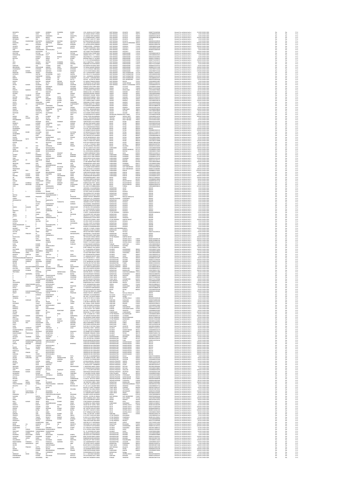| <b>MOUMITA</b><br>LAUT<br>ANIMESH<br>NARAYAN        | KANTI                                               | KUNDL<br>JOSHI<br>DASGUPTA<br><b>GUPTA</b>          | COBINDA<br>BATAN<br>PURNENDU<br>REBATI                    | CHANDRA<br>LAL<br>RANJAN                              | KUNDU<br>30910<br>DASGUPTA<br>GUPTA                 | 1/1G JAHAR LAL DUTT INDIA<br>C/O MADAI GHOSH 17INDIA<br>10 SARADA PARK KAMINDIA<br>P-17 KAMBADHARI S. EINDIA                          | <b>WEST BENGAL</b><br>KOLKATA<br>70005<br>WIST BINGAL<br>KOLKATA<br>700074<br>WIST BINGAL<br>EDUCATA<br>700084<br>WIST BINGAL<br>EDUCATA<br>700084      | IN3007731016056<br>1302080000261944<br>IN30095810118549<br>1203840000198118  | Amount for unclaimed and us<br>Amount for unclaimed and us<br>Amount for unclaimed and us<br>Amount for unclaimed and us                | 112.00.02.NOV-202V<br>5.00 02-NOV-2024<br>5.00 02-NOV-2024<br>350.00 02-NOV-202-   |                                                                                                                                                                                                                               |
|-----------------------------------------------------|-----------------------------------------------------|-----------------------------------------------------|-----------------------------------------------------------|-------------------------------------------------------|-----------------------------------------------------|---------------------------------------------------------------------------------------------------------------------------------------|---------------------------------------------------------------------------------------------------------------------------------------------------------|------------------------------------------------------------------------------|-----------------------------------------------------------------------------------------------------------------------------------------|------------------------------------------------------------------------------------|-------------------------------------------------------------------------------------------------------------------------------------------------------------------------------------------------------------------------------|
| DIPANKAR<br>KIRAN<br>KOUSHICK                       | GHANSHYAN                                           | DAS<br>MAVADIYA<br>MALLICK                          | JOYDEV<br>GHANSHYAM<br>DEBENDRA                           | KALYANI<br>NATH                                       | DAS<br>MAVADIYA<br>MALICK                           | BG/62 SALT LAKE CITY INDIA<br>82 PRAKASHWADI NR IINDIA<br>257 1 SATIN SEN NAGAINDIA                                                   | WEST BENGAL<br>EDUCATA<br>TODOS:<br>WIST BINGAL<br>EDUCATA<br>ccoss<br>WIST BINGAL<br>SOUTH 24 PARGI<br>5 700131                                        | 003576<br>IN30290241528326<br>IN30290246463302                               | Amount for unclaimed and u<br>Amount for unclaimed and u<br>Amount for unclaimed and u                                                  | 0.50 02-NOV-202<br>3.50 02-NOV-202<br>600.00 02-NOV-202-                           |                                                                                                                                                                                                                               |
| KANTA<br><b>JAYANTA</b><br>ENAISHE<br>SIBA          | ptw<br>RANJAN                                       | KEJRIWAL<br>SANTRA<br><b>BISWAS</b><br>CHAXXABORTY  | CM<br>SADANANDI<br>RAJ<br>NOTAVAILABLE                    | PRAKASH<br>KUMAR                                      | KEJRIWA<br>SANTRA<br><b>BISWAS</b>                  | 21 KHETRA MITRA LAFINDIA<br>SUMDA SUMDA HOWINDIA<br>G TROAD PADRIPARA INDIA<br>71/63 S C CHATTERJEE INDIA                             | WIST BINGAL<br>HOWRAH<br>711000<br>WIST BINGAL<br>HOWRAH<br>711303<br>WIST BINGAL<br>HOOGHLY<br>712130<br>WIST BINGAL<br>HOOGHLY<br>712235              | IN30265410000799<br>1208030000013548<br>1203320004549782<br>IN30026310000359 | Amount for unclaimed and us<br>Amount for unclaimed and u<br>Amount for unclaimed and u<br>Amount for unclaimed and u                   | 250.00 02-NOV-202-<br>200.00 02-NOV-202-<br>50.00 02-NOV-202-<br>0.50 02-NOV-202   |                                                                                                                                                                                                                               |
| <b>SUBHAMAY</b><br>GOUTAM<br>SIDDHARTHA             |                                                     | MAJUMDER<br>PATHAK<br>CHOWDHURY                     | OSTTA<br>DILIP                                            | RANJAN                                                | MAJUMDER<br>PATHAK<br>CHOWDHURY                     | 16/1 SARAT CHATTERSINDIA<br>26 BHATCHALA PEONP INDIA<br>ANANDA PALLY P.O - 5 INDIA                                                    | WIST BINGAL<br>HOOGHLY<br>712240<br>WIST BINGAL<br>BARDHAMA<br>713103<br>WIST BINGAL<br>BARDHAMAN<br>713103                                             | 000073<br>1203500000180725<br>1205320000021021                               | Amount for unclaimed and us<br>Amount for unclaimed and u<br>Amount for unclaimed and u                                                 | 100.00 02-NOV-202-<br>500.00 02-NOV-202-<br>1.00 02-NOV-202                        |                                                                                                                                                                                                                               |
| SANJAY<br>NISITESH                                  |                                                     | MANDAL<br>KUNDU<br>PAUL                             | RADHA<br>NEMAL<br>SAMIR                                   | RAMAN<br>CH.                                          | MANDAL<br>KUNDU<br>PALIL                            | MALOPARA P.O. - KATVINDIA<br>BAGANE PARA P.O. KA INDIA<br>D - II / 30 VIDYASAGAFINDIA                                                 | WIST BINGAL<br>BARDHAMAN<br>713130<br>WIST BINGAL<br>BARDHAMAN<br>713130<br>WIST BINGAL<br>BARDHAMAN<br>713205                                          | IN30210510223852<br>IN30032710296613<br>IN3007731019307                      | Amount for unclaimed and u<br>Amount for unclaimed and us<br>Amount for unclaimed and u                                                 | 5.00 02-NOV-202-<br>25.00 02-NOV-202<br>150.00 02-NOV-202-                         |                                                                                                                                                                                                                               |
| HIRA<br>GITA<br>SUBHASIS                            |                                                     | GHOSAL<br>MONDAL<br>DAS                             | KARTICK<br>RAM<br><b>TUSHAR</b>                           | CHANDIV<br>CHANDRA<br>KANTI                           | AKHULI<br>MONDAL<br>DAS                             | 6A/11 SARATPALLY DLINDIA<br>RAISANDH STATION RUNDIA<br>KALYANFUR HOUSING INDIA                                                        | WIST BINGAL<br>BARDHAMAN<br>713206<br>WIST BINGAL<br>BARDHAMAN<br>713212<br>WIST BINGAL<br>BARDHAMAN<br>713304                                          | IN30177412513243<br>IN30177412244805<br>IN30069310143310                     | Amount for unclaimed and u<br>Amount for unclaimed and us<br>Amount for unclaimed and us                                                | 99.00 02-NOV-202-<br>9.50 02-NOV-202<br>25.00 02-NOV-202                           |                                                                                                                                                                                                                               |
| BROJENDRA<br>CHANDADEV<br><b>GIVING</b>             | MONAN<br>KUMAR                                      | MOZUMDAR<br>DIEMANI<br>KHEMAN                       | NASANI<br>SANTOSH<br>SANTOSH                              | DHAR<br>KUMAR<br>KUMAR                                | MOZUMDAR<br>KHEMANI<br>KHEMANI                      | 19 RADHA NAGAR ROJINDIA<br>11/1 N S B ROAD TARB INDIA<br>11/1 N S B RD RANIGA INDIA                                                   | WIST BINGAL<br>BARDHAMAN<br>713325<br>WIST BINGAL<br>BARDHAMAN<br>713347<br>WIST BINGAL<br>BARDHAMAN<br>713347                                          | IN30069310111180<br>1204470007214226<br>1204470007213144                     | Amount for unclaimed and u<br>Amount for unclaimed and u<br>Amount for unclaimed and u                                                  | 100.00 02-NOV-202-<br>225.00 02-NOV-202-<br>275.00 02-NOV-202-                     |                                                                                                                                                                                                                               |
| NABAYAN<br>SATINATH<br>SIMA<br>Babita               | CHANDRA                                             | GHOSH<br>SANTRA<br><b>KARMAKA</b>                   | <b>KHUCKRAM</b><br><b>SACHINDRA</b><br>PARESH<br>DWARKA   | NATH                                                  | GHOSH<br>SANTRA<br>KARMAKA                          | VILL- ALISANAGARH P. IINDIA<br>VILL- KOLA P.O.- KOLAGINDIA<br>VILL - ALAMGANI GHA' INDIA                                              | WIST BINGAL<br>WEST MIDNAPOR<br>721120<br>WEST BENGAL<br>WEST BENGAL<br>WEST BENGAL<br>WEST MIDNAPORE<br>$721134\n721212\n721253$<br>WEST MIDNAPOR      | IN30032710443623<br>120512000000138<br>N3002631015529                        | Amount for unclaimed and us<br>Amount for unclaimed and us<br>Amount for unclaimed and us<br>Amount for unclaimed and us                | 25.00 02-NOV-202<br>25.00 02-NOV-202-<br>125.00 02-NOV-202-                        |                                                                                                                                                                                                                               |
| <b>UMANA</b><br>MADHL                               |                                                     | LODHA<br>BAIDYA<br>BHUTRA                           | MOHAN<br>MADAN                                            | NATH<br>DAS<br>LAL<br>MOHAN                           | CHAMARI<br><b>DUTTA</b>                             | VILL+POST .- SATBANKLINDIA<br>OTRNO - 10/158 IOC HNDIA<br>3/1 SARAJU PRASAD RIINDIA                                                   | WEST MIDNAPOR<br>WEST BENGAL<br><b>EAST MIDNAPOR</b><br>72160<br>WEST BENGAL<br>MALDA<br>71210                                                          | 1202180000015913<br>N3029781005364<br>120461000001289                        | Amount for unclaimed and                                                                                                                | 100.00 02-NOV-202-<br>37.50 02-NOV-202-<br>5.00 02-NOV-202-                        |                                                                                                                                                                                                                               |
| SUNIL<br>ASHOK<br>ANIL<br>ANJU                      | KUMAR                                               | GOYAL<br>AGARWAI<br>PATWAR<br>GARINA                | SATYA<br>RAM<br>MADANLA                                   | NARAYAN<br>CHANDRA                                    | DOTTA<br>BHUTRA<br>AGARWAI<br>PATWARI<br>AGARWA     | C/O DRUGYAL AUTOM INDIA<br>KANTHADHAR ICHAPU INDIA<br>PAWAN CLOTH STORE INDIA<br>HEMANT AGARWAL JAINDIA                               | WEST BENGAL<br>WEST BENGAL<br>COOCH BEHAR<br>1618<br>NORTH 24 PARC<br>74314<br>ORISSA<br>CUTTACK<br>75300<br><b>CUTTACK</b><br>75300                    | N30021413362452<br>1203600000<br>120106000124264<br>N3017741221025           | Amount for unclaimed and u<br>Amount for unclaimed and u<br>Amount for unclaimed and u<br>Amount for unclaimed and u                    | 100.00 02-NOV-202-<br>10.00 02-NOV-202-<br>50.00 02-NOV-202-<br>25.00 02-NOV-202-  |                                                                                                                                                                                                                               |
| <b>HAKTA</b><br>MANJU<br>SOVANA                     | <b>BANDHL</b>                                       | PRADINAR<br>AHANY                                   | HEMANT<br>GHASINATH<br>MAGUN<br>SUDHA                     | NDH                                                   | PRADHAN<br>DAS<br>SAHANY                            | C/O GHASINATH PRAD INDIA<br>MANUULA DAS C/O M/INDIA<br>NILADRI BIHAR2ND LININDIA                                                      | KENDLINN<br>758018<br>760001<br>GANJAM<br>GANJAM<br>76000                                                                                               | 1203450000<br>N30125028132553<br>12081600006                                 | Amount for unclaimed and us<br>Amount for unclaimed and us<br>Amount for unclaimed and us<br>Ammunt for containsed and a                | 62.50 02-NOV-202-<br>175.00 02-NOV-202-<br>105.00 02-NOV-202-                      |                                                                                                                                                                                                                               |
| UMA<br>MOHIN<br>RAIDH                               | SHANKAR<br>DEVI<br>KUMAR                            | PADHY<br><b>IUNOR</b>                               | ARJUNA<br>RAM<br>PRAKASH                                  | COPA                                                  | PADINY<br><b>JUNDRA</b>                             | BISWANATH NAGAR 1INDM<br>MAIN ROAD RAMBINA INDIA<br>MAIN ROAD JEYPORE INDIA                                                           | ORISSA<br>ORISSA<br>ORISSA<br>ORISSA<br>ORISSA<br>ORISSA<br>ORISSA<br>ORISSA<br>ORISSA<br>GANJAM<br>roos<br>GANJAN<br>761028<br>764000<br>KORAPU        | N3000791045105<br>IN3023241045451<br>IN30232411045215                        | Amount for unculmed and u<br>Amount for unclaimed and u<br>Amount for unclaimed and u<br>Amount for unclaimed and u                     | 150.00 02-NOV-202-<br>25.00 02-NOV-202-<br>50.00.02.NOV-202-                       |                                                                                                                                                                                                                               |
| <b>VUETA</b><br><b>ONESI</b>                        | $\alpha$                                            | ian<br>Sarat<br>INCHAND                             | SURESH<br>CHAND                                           | CHAND<br>KUMAR<br>RATAN                               | jain<br>Saraf<br>SINGHANN<br>CHAKRAVART             | C/O. SURESH SARAF TEINDIA<br>GHANA STORES 9-1NDM<br>FEDERAL BANK LTD P SINDM                                                          | 781000<br>KAMRUP<br>ASSAM<br>ASSAM<br>ASSAM<br>KAMRUR<br>78100<br>KAMRUR                                                                                | 130234000018017<br>1302340000005392<br>N3015161012966                        | Ammunt for containsed and a<br>Amount for unclaimed and                                                                                 | 250.00 02-NOV-202-<br>97.50 02-NOV-202-<br>5.00 02-NOV-202-                        |                                                                                                                                                                                                                               |
| SEFALI<br>AZMAL<br>SANJAY<br>AMITAWA                |                                                     | CHAKRAY<br>DAS<br>AHMED                             | DHIRENDRA<br>SHARAFUE<br>PRASANNA                         | CHANDR<br>KUMAR                                       | DAS<br>AHMED<br>KEJRIWAL<br>SENGJJPTA               | C O SANTOSH HARDY<br>C/O S A ENTERPRISE HINDIA<br>H S ROAD DIBRUGARHNDM                                                               | 781000<br>781000<br>KAMRUS<br>ASSAM<br>KAMRUP<br>781005<br>DIBRUGARY                                                                                    | IN3012502884814<br>IN3012502811459<br>1201060000588130                       | .<br>Amount for unclaimed and u<br>Amount for unclaimed and u<br>Ammunt for containsed and a<br>Amount for unclaimed and u              | 17.50 02-NOV-202-<br>50.00 02-NOV-202-<br>100.00 02-NOV-202-                       |                                                                                                                                                                                                                               |
| MADINA                                              |                                                     | KEJRIWAL<br>SENGUPTA<br>DASGUPTA<br>GADI            | AMRO<br>GAURANGA                                          | LAL                                                   | DASGUPTA<br>GADI                                    | PALLY SREE LANE NATI INDIA<br>W O SANJIB KUMAR DENDIA<br>C/O-RAIDHANI AUTO / INDIA                                                    | ASSAM<br>ASSAM<br>ASSAM<br>-<br>786000<br>788150<br>CADIAR<br>CADIAR<br>ARUNACI<br>WEST SIANO<br>791110                                                 | 130513000004828<br>N3017741854346<br>120109000426978                         | .<br>Amount for unclaimed and u<br>Amount for unclaimed and u<br>Amount for unclaimed and u                                             | 50.00 02-NOV-202-<br>46.50 02-NOV-202-<br>1200.00 02-NOV-202-                      |                                                                                                                                                                                                                               |
| MANUJ<br>SANJIB<br>MANABENDRA                       | pty<br>KUMAR                                        | <b>JAIN</b><br>SAHA<br>PAUL<br>PRAKASI              | IN<br>JHUMAR<br>HARIDAS                                   | MAL<br>CH                                             | KALA<br>PALE                                        | VISHAL STORE KAUDAFINDIA<br>VILL/PO SIDDHIASHRAINDIA<br>DURGANAGAR PS-KHOINDIA                                                        | MANIPUL<br>IMPHAL WEST<br>-----<br>795000<br>799000<br>799200<br>TRIPURA<br>TRIPURA<br>BIHAR<br>WEST TRIPUR<br>WEST TRIPUR                              | 120463000014479<br>N3012502875980-<br>12010103023446                         | Amount for unclaimed and<br>.<br>Amount for unclaimed and u<br>Amount for unclaimed and u                                               | 300.00 02-NOV-202-<br>4.00 02-NOV-202-<br>12.50 02-NOV-202-                        |                                                                                                                                                                                                                               |
| ALKA<br>MAMATA<br>JUGESH<br>MITHILESH               | KUMAR                                               | <b>KUMAR</b><br>KINDRA<br>PRASAD                    | KRIPA<br><b>YOGENERA</b><br>KEDAR<br>DEOCHAND             | SHANKAI<br>NATH                                       | PRAKASH<br>PRASAD<br>KINDRA<br>PRASAD               | YARPUR NAYA TOLA K/INDIA<br>238 GAUTAM NAGAR JINDIA<br>M.P. REGENCY R.K. BISINDIA                                                     | PATNA<br>scop<br>PATNA<br>PATNA<br>PATNA<br>PATNA<br>scop<br>scop                                                                                       | N3021051012129<br>120335000181914<br>130234000010478                         | Amount for unclaimed and u<br>Amount for unclaimed and u<br>.<br>Amount for unclaimed and u<br>Amount for unclaimed and u               | 25.00 02-NOV-202-<br>25.00 02-NOV-202-<br>50.00 02-NOV-202-                        |                                                                                                                                                                                                                               |
| SADANANDA<br>KANCHAN                                | BIHARI                                              | SINHA<br>KUMARI<br>SULTANIA                         | NOTAVALABL                                                | Ń.<br><b>NANO</b>                                     | SINHA<br><b>SULTANIA</b>                            | C/O- CHANDESHWAR FINDIA<br>FLAT NO. 106, SHIVAMINDIA<br>C/O RANSIR KUMAR MINDIA<br>C/O MEGHATEXTILES FINDIA                           | scoop<br>scoos<br>scoos                                                                                                                                 | 1201910100200165<br>002033<br>IN30088813043224<br>IN3011271516627            | Amount for unclaimed and u<br>Amount for unclaimed and u                                                                                | 12.50 02-NOV-202-<br>150.00 02-NOV-202-<br>250.00 02-NOV-202-<br>35.00 02-NOV-202- |                                                                                                                                                                                                                               |
| SHYAM<br>ASHWABIND<br>AMAN<br>SHASHI                |                                                     | KUMAR<br>KANT<br>EHUSHA                             | GAJA<br>LALA<br>KRISHINA<br>MUNESHWAI                     |                                                       | MAHTO<br>KANT<br>PRASAD                             | C/O LATE JAGARNATH INDIA<br>OPP-TRIPOLIA OLD GA' INDIA<br>S/O SRI MUNESHWAR INDIA                                                     | PATNA<br>PATNA<br>PATNA<br>PATNA<br>800004<br>scoop:<br>scoop                                                                                           | IN30133019787172<br>120384000068021<br>160101000016366                       | .<br>Amount for unclaimed and u<br>Amount for unclaimed and u<br>Amount for unclaimed and<br>Amount for unclaimed and u                 | 100.00 02-NOV-202-<br>12.50 02-NOV-202-<br>12.50 02-NOV-202-                       |                                                                                                                                                                                                                               |
| KESHARI<br>MDJAWEDALA<br>ROHAN                      | NATH                                                | m<br>RAI                                            | KANCHI<br>NOTAPPLICABLE<br>SHALLSH                        | NATH<br>KUMAR                                         | asa.<br>SINHA                                       | FLAT NO A/103 RANJA INDIA<br>NO 57 E ROAD NO 12NDM<br>B 49 VYAS NAGAR ASH INDIA                                                       | PATNA<br>PATNA<br>PATNA<br>PATNA<br>800014<br>800016<br>80002                                                                                           | 120206000022367<br>1204720012725838<br>N3005138010344                        | .<br>Amount for unclaimed and u<br>Amount for unclaimed and u<br>Amount for und<br>aimed and                                            | 50.00 02-NOV-202-<br>125.00 02-NOV-202-<br>89.50 02-NOV-202-                       |                                                                                                                                                                                                                               |
| ATUL<br>RAJNI<br>AWANAR                             | <b>LAL</b>                                          | DEW<br>SAH<br>KUMAR                                 | ANIL<br>SURENDRA<br>NOTAVALABLE                           | KUMAR                                                 | SINHA<br>PRASAD                                     | LIG-237 LF-6 BLOCK INDIA<br>C/O SRI KRISHNA PRASINDIA<br>234 VILL GANGTA KHU INDIA                                                    | PATNA<br>800020<br>NALAND<br>0310<br><b>DUMKA</b><br>114133                                                                                             | IN30223611927912<br>N3024531012482<br>120312000659115                        | Amount for unclaimed and u<br>-<br>Amount for unclaimed and u<br>Amount for unclaimed and u                                             | 15.00 02-NOV-202-<br>150.00.02.NOV-202-<br>200.00 02-NOV-202-                      |                                                                                                                                                                                                                               |
| SURAI<br><b>ABHISHEK</b>                            | TAUSED                                              | ANANG<br>ALI<br>BANERIEE                            | SATIONARAYAN<br>NOTAVAILABLE                              | SHAUKAT                                               | SHAH<br><b>ALI</b>                                  | AT - MUSARAK GANJ PINDIA<br><b>VEL SIDA BIGHA AKOEMDIA</b><br>AT NEW KARIMGANJ P INDIA                                                | KAIMUR I<br>82111<br>EIHAR<br>EIHAR<br>JHARDIANI<br>ROHTAS<br>121300<br>121000<br>126000<br>GAYA<br>DHANIAD                                             | 12018000014760<br>1208160001170400<br>N30311612244112                        | Amount for unclaimed and<br>Amount for unclaimed and u<br>-<br>Amount for unclaimed and u<br>Amount for unclaimed and u                 | 50.00 02-NOV-202-<br>25.00 02-NOV-202-<br>5.50 02-NOV-202-                         |                                                                                                                                                                                                                               |
| <b>JAYDEEP</b><br>TRICKS<br>PINXI                   |                                                     | BANERIED<br>wont                                    | <b>AMULYA</b><br>SUBODH<br>NOTAVALABLE                    | RATAN<br>KUMAR                                        | BANERJEE<br>BANERJEE                                | NORTH LOCO TANK ALINOM<br>NORTH LOCO TANK HIINDIA<br>MORE NIWAS HOUSE FINDIA<br>SECTOR - U/C ON 3-10 INDIA                            | DHANBAD<br><b>HAROMANI</b><br>82600<br><b>HAROMANI</b><br>DHANBAD<br>82600                                                                              | 12038400001938<br>120384000127071<br>IN3003941019520                         | Amount for unclaimed and<br>Amount for unclaimed and u                                                                                  | 607.50 02-NOV-202-<br>111.00.02.NOV-202<br>150.00 02-NOV-202-                      |                                                                                                                                                                                                                               |
| <b>RASHAN</b><br>ANITA<br>Abhishek<br><b>JASBIR</b> | $\mathbf{E} \mathbf{R}$<br>KUMAR                    | matier.<br>DEVI<br>SAW<br>KAUR                      | ADITYA<br>ANAND<br><b>ONANDRA</b><br>SARDARI              | MOHAN                                                 | MAHTO<br>HANHO<br>PRASAD<br>SINGH                   | CO SE ANANO PRASA INDIA<br>DHARAMSHALA ROAD INDIA<br>CO INDRA PAL SINGH CINDIA                                                        | <b>HAROLAN</b><br>EOKARD<br>827000<br>HAROMANI<br>EOKARD<br>HAROMANI<br>DHANSAD<br>128113<br><b>HAROMANI</b><br><b>HAZARIBAG</b><br>129122              | IN3031161119577<br>130414000428564<br>120230000010596<br>N30021412368567     | -<br>Amount for unclaimed and u<br>Amount for unclaimed and u<br>Amount for unclaimed and<br>Amount for unclaimed and u                 | 12.50 02-NOV-202-<br>100.00.02.NOV-202-<br>8.50 02-NOV-202-<br>5.00 02-NOV-202-    |                                                                                                                                                                                                                               |
| SOVING<br>PRAIHAKA<br>HEMA                          | <b>DEVI</b>                                         | BANERJEE<br>JYDTI<br>JAIN                           | <b>SERVE</b><br>REPUTI<br>BIMAL                           | BHUSHAT<br>CUMAR<br>KUMAR                             | BANCRICE<br><b>DUTTA</b><br>AIN                     | C/O-LAXMEE NARAYANNON<br>NO 1/18/OCEA 9/09/09<br><b>BATTAN ALL TARACHAINEN</b>                                                        | HAROMANI<br><b>EAST SING</b><br>83100<br>831018<br>834001<br>HAROMANI<br><b>EAST SING</b><br>HAROMANI<br>RANDS                                          | 120345000009816<br>N3005131536086<br>IN 93068811711625                       | -<br>Amount for unclaimed and u<br>Amount for unclaimed and u<br>Amount for uncl<br>aimed and                                           | 75.00 02-NOV-202-<br>108 SD 02-NOV-202-<br>1250.00.02.NOV-202                      |                                                                                                                                                                                                                               |
| <b>HANESP</b><br><b>AIIT</b><br>KRISHNA             | KUMAR<br>KUMAR                                      | KUMAR                                               | <b>BRAJAN</b><br><b>BAJENCIU</b>                          | DHARI                                                 | PRASAD<br>SINGH<br>SINHA                            | CORPORATION BANK EINDIA<br>OR NO-8-15 SECTOR 3 INDIA<br>CHANDRAGARH BHAWINDIA                                                         | HAROMANI<br>RANDS<br>83400<br><b>HAROLAN</b><br><b>EANCH</b><br>EANCH<br>834004<br>HAROMANI<br>\$34000                                                  | 1201092600133935<br>120109260015956<br>120109260014117                       | Amount for unclaimed and<br>Amount for unclaimed and u<br>Amount for unclaimed and u<br>Amount for unclaimed and u                      | 100.00 02-NOV-202-<br>2.50 02-NOV-202-<br>100.00 02-NOV-202-                       |                                                                                                                                                                                                                               |
| RAVI<br><b>SUMAN</b>                                | <b>BAJENDRA</b>                                     | SINGH<br>SINGH<br>SINGH<br>KUMAR<br><b>HOM</b>      | LATE<br>SHID<br>RAM                                       | DRSUREN<br>MAKHU                                      | SNGH<br>PRASAD                                      | DR RAJENDRAASINGH INDIA<br>R K NEWAS NORTH DAHNDIA<br><b>COLESNIARY MANAL INFINI</b>                                                  | <b>SIHAR</b><br>SARAN<br>841220<br>SARAN<br>841300<br><b>MUZAFFARPUR</b><br>84200                                                                       | N3011271584305<br>120186000013995<br>N3009991007223                          | Ammunt for containsed and a                                                                                                             | 100.00 02-NOV-202-<br>50.00 02-NOV-202-<br>25.00 02-NOV-202-                       |                                                                                                                                                                                                                               |
| KUM<br>CHANDRA<br>voti                              | KUMBALA<br>BHUSHAN                                  | SINGH<br>CHOUDHARY<br><b>UMARI</b>                  | naw<br>Suresh<br>Raj<br>Ramananda                         | KISHUN<br>KUMAR<br>NANDAN<br>KUMAR                    | CHOWDHARY<br>SINGH<br>CHOUDHARY<br>PURBEY           | KHABRA ROAD POST, MINDIA<br>C/O- ANKIT SEC. AND FINDIA<br><b>VILLAND PO FOREFSCINDIN</b>                                              | <b>BHAR</b><br>BHAR<br>BHAR<br>BHAR<br>BHAR<br><b>MUZAFFARE</b><br>84200<br>MUZAFFARPUR<br>84200<br>PURNIA<br>854318                                    | IN30099910011812<br>IN3009991002614<br>120816000035812                       | Amount for unclaimed and u<br>Amount for unclaimed and u<br>Amount for unclaimed and u<br>Ammunt for containsed and                     | 25.00 02-NOV-202-<br>30.00 02-NOV-202-<br>515.50 02-NOV-202-                       |                                                                                                                                                                                                                               |
|                                                     | s                                                   | <b>CANNAN</b><br>HEKAR<br>ESHWAR                    | RAMASWAM<br>SWAMY                                         |                                                       | DEVARAJ<br>GOWDA                                    | HARUNGH, HULUGANEINDIA<br><b>BASAVANA HITHIIR KIINDIA</b><br>C/O EDCL HHEP VIA KUINDIA                                                | KARNATAKA<br>UDUPI<br>UDUPI<br>KARNATAK<br>KARNATAKA<br>KODAGU                                                                                          | 003593<br>003593<br>003594                                                   | Amount for unclaimed and u<br>Amount for unclaimed and u<br>Amount for unclaimed and u                                                  | 0.50 02-NOV-202-<br>0.50 02-NOV-202-<br>0.50 02-NOV-202-                           |                                                                                                                                                                                                                               |
| GEETHA<br>LANULT<br>1ARISH                          | KUMAR                                               | PARAM<br>PRADINAR                                   | VELLAISWAM<br>SIDDALINGASI<br>SUDHIR                      |                                                       | PRADHAN                                             | HI II ISLINDA POST HA INDIA<br>GARANGI (V) HULUGU INDIA<br>KISMAT PASHCHI, MIMINDIA                                                   | KARNATAKA<br>KODAGU<br>KARNATAKA<br>KODAGU<br>ORISSA                                                                                                    | 003596<br>003591<br>003593                                                   | Ammunt for containsed and<br>Amount for unclaimed and<br>Amount for u<br>Amount for u<br>imed and <mark>L</mark><br>imed and L          | 0.50 02-NOV-202-<br>0.50 02-NOV-202-<br>0.50 02-NOV-202-                           |                                                                                                                                                                                                                               |
| <b>HIVAMUR</b>                                      |                                                     | MONAR                                               | NANDEAPPA                                                 | c.<br>PADMAYYA                                        | DHARMEGOWD<br><b>GOWDA</b>                          | KADRAHALLI (V), VANAINDIA<br>YADEHALLI POST BHACINDIA<br>HARANGI COLONY HULINDIA                                                      | ANDHRA PRAD<br><b>HYDERABAC</b><br>KARNATAKA<br>SHIMOGA<br>KARNATAKA<br>KODAGU                                                                          | 003582<br>003580<br>003601                                                   | Ammunt for containsed and a                                                                                                             | 0.50 02-NOV-202-<br>0.50 02-NOV-202-<br>0.50 02-NOV-202-                           |                                                                                                                                                                                                                               |
| DINESH                                              | KUMAR                                               | velan<br>Raiu                                       | <b>BAMASWAM</b><br>OSENNAIAH                              |                                                       | KANNAN<br>NINGADHARY                                | HULUGUNDA, HARANCINDI<br>KUDUMANGALUR POS INDIA<br>4TH BLOCK, DR SIVARAINDIA                                                          | KARNATAKA<br>KODAGU<br>KARNATAKA<br>KODAGU<br>KARNATAKA<br>KODAGU                                                                                       | 003602<br>003592<br>003597                                                   | Amount for unclaimed and u<br>Amount for unclaimed and u<br>Amount for unclaimed and u<br>Amount for unclaimed and u                    | 0.50 02-NOV-202-<br>0.50 02-NOV-202-<br>0.50 02-NOV-202-                           |                                                                                                                                                                                                                               |
| LAKSHITI<br>uм<br>ABOUL                             | $\frac{5}{8}$                                       | stopt<br>LAKHAN<br><b>BAJAK</b>                     | SUBRAYA<br>UBBANNA<br>uou                                 | SRIBABLI                                              | HEGOE<br>RAHIMAN                                    | V A. KUSHALNAGAR HUNDIA<br>NO. 60/1, 15T BLOCK GINDIA<br>5-19/99 - I VARUNA BRINDIA<br>HULUGUND POST HAR INDIA                        | KARNATAKA<br>KODAGU<br>KARNATAKA<br>COAGU<br>UTTAR PRADE:<br>VARANAS<br>KARNATAKA<br>KODAGU                                                             | 003604<br>003583<br>IN30202534058454<br>003598                               | Amount for unclaimed and u<br>enount for u<br>imed and <mark>L</mark><br>imed and L<br>Amount for u<br>Amount for unclaimed and u       | 0.50 02-NOV-202-<br>3.50 02-NOV-202-<br>12.50 02-NOV-202-<br>0.50 02-NOV-202-      |                                                                                                                                                                                                                               |
| aucse<br>UMESH                                      |                                                     | <b>ARIBA</b><br>BATRA                               | BAGHAVA<br>SANNAVEERAPPA                                  |                                                       | BATRA                                               | NAPOKTU VILLAGE & PINDIA<br>AGARADAHALLI (P) BH INDIA<br>129 N, BLOCK KIDWAI INDIA                                                    | KARNATAKA<br>KODAGU<br>KARNATAKA<br><b>HIMOG</b><br>UTTAR PRADES<br>KANPUR DEHAT                                                                        | 003584<br>003589<br>001499                                                   | Amount for unclaimed and u<br>Amount for unclaimed and u<br>Amount for unclaimed and u                                                  | 0.50 02-NOV-202-<br>0.50 02-NOV-202-<br>100.00 02-NOV-202-                         |                                                                                                                                                                                                                               |
| WINASH<br>SATISM                                    | ×                                                   | SALIYAN                                             | <b>BAJU</b><br>BASAVARAJAPPA                              | ×                                                     | SALIYAN<br>SHVARAMA                                 | C/O EDCL HHEP VIA KUINDIA<br>C/O EDCL HHEP VIA KUINDIA<br>ARANGI (V) HULUGU INDIA                                                     | KARNATAKA<br>KODAGL<br>KARNATAKA<br>KODAGU<br>KARNATAKA<br><b>COOAGL</b>                                                                                | 003582<br>003587<br>003581                                                   | Amount for unclaimed and u<br>Amount for unclaimed and<br>enount for u                                                                  | 0.50 02-NOV-202-<br>0.50 02-NOV-202-<br>0.50 02-NOV-202-                           |                                                                                                                                                                                                                               |
| <b>VIMAL</b><br>NAVNEET<br>HOUDAPP                  | KUMAR<br>RAJ                                        | ANANG                                               | <b>COAPPA</b><br><b>BAJ</b><br>UASARAJU                   | KUMAR                                                 | ANAND                                               | KUDIGE (P) SOMAWARINDIA<br>LANE NO. 2. PHASE-I SIINDIA<br>ARANGI VILLAGE HULINDIA                                                     | KARNATAK<br>KODAGL<br><b>JAMMU AND</b><br>AMML<br>KARNATAKA<br>KDDAGL                                                                                   | 003563                                                                       | laimed and s<br>laimed and s<br>Amount for uncl<br>Amount for unclaimed and<br>Amount for unclaimed and                                 | 0.50 02-NOV-202-<br>250.00 02-NOV-202-<br>0.50 02-NOV-202-                         |                                                                                                                                                                                                                               |
| SULTAN<br>JYOTHI                                    | PRAKASH                                             | NG-<br>LATHA                                        | MAR<br>KALAPPA<br>SINGARAVELL                             |                                                       | CHANDRA<br>MAHADEVAPPA                              | MR SULTAN SINGH 154 INDV<br>GAYANAHALLI, SALIGR INDIA<br><b>B48, 4TH BLOCK, SWETINDIA</b>                                             | PUNJAB<br>KARNATAKA<br>PATIALA<br>wson<br>KARNATAKA<br>KODAGU                                                                                           | IN30177412159131<br>003587<br>003601                                         | Amount for uncl <mark>.</mark><br>Amount for uncl.<br>laimed and s<br>laimed and s<br>Amount for unclaimed and u                        | 50.00 02-NOV-202-<br>0.50 02-NOV-202-<br>0.50 02-NOV-202-                          |                                                                                                                                                                                                                               |
| MADISLIKA<br><b>ANJANA</b>                          |                                                     | BATRA<br>POPLI<br>GROVER                            | GOPAL                                                     | KRISHAN                                               | BATRA<br>POPLI<br>GROVER                            | 129 N BLOCK KIDWAI NINDIA<br>10544 NASI KARIM JIVINDIA                                                                                | UTTAR PRADE:<br>KANPUR DEHAY<br>DELHI<br>CENTRAL DELH<br>11005                                                                                          | 001497<br>N30011810436178                                                    | Amount for unclaimed and<br>Amount for u<br>Amount for u<br>laimed and s<br>laimed and s                                                | 100.00 02-NOV-202-                                                                 |                                                                                                                                                                                                                               |
|                                                     |                                                     |                                                     | SANJAY                                                    |                                                       |                                                     | 7/11 GROUND FLOOR : INDIA                                                                                                             | DELHI<br>CENTRAL DELH<br>11006                                                                                                                          | IN3001181086476                                                              |                                                                                                                                         | 200.00 01-NOV-2021<br>500.00 01-NOV-2021                                           |                                                                                                                                                                                                                               |
| POONAM<br>iunii.<br>/ikash                          |                                                     | KUMAR                                               | AVINESH<br>OM<br>NOTAVALABLE                              |                                                       | KUMAR<br>PARKASH                                    | POCKET-F 52-B MIG FLINDIA<br>24 RAM NAGAR KANGI INDIA<br>21 LADPUR PASHCHIM INDI                                                      | DELHI<br>CENTRAL DELH<br>110093<br>PUNJAB<br>UTTAR PRADESI<br><b>MRTSAR</b><br>143000<br><b>HATHRAS</b>                                                 | IN30090610166458<br>120521000000052<br>120332000755085                       | Amount for unclaimed and u<br>Amount for unclaimed and u                                                                                | 47.50 01-NOV-2021<br>50.00 01-NOV-2021<br>500.00 01-NOV-2021                       |                                                                                                                                                                                                                               |
| <b>AHZ</b><br>SAVITABEN                             | BADSIBH<br>NAILESHI                                 | ELIMAN<br>KLIMAR<br>FATEL<br>FATEL                  | MMI<br>BADYUSHA<br>NARANDHA                               | $\overline{M}$                                        | DAS<br>PATEL                                        | 9/367 PRASHAT GALL MINDIA<br>D - 14 AAKANSHA APPLINDIA<br>A/8 GHANSHYAM FLA'INDIA                                                     | UTTAR PRADE<br>AGRA<br>GUIARAT<br>AHMEDABAD<br>180063<br>GUIARAT<br>AHMEDABAD                                                                           | 120220000021776<br>120312000071350<br>12030000002086                         | Amount for u<br>Amount for u<br>laimed and s<br>laimed and s<br>Amount for unclaimed and u<br>Amount for unclaimed and                  | 50.00 01-NOV-2021<br>140.00 01-NOV-2021<br>22.50 01-NOV-2021                       |                                                                                                                                                                                                                               |
| PATEL<br>NAJIRABANU<br>MAHESH<br>SHILPA             | <b>AFRID</b><br>KANTILAL                            | AMELE<br>SHAM<br><b>BOKARY</b>                      | AFRID<br>KANTILAL                                         |                                                       | SNH<br>BOKARIYA                                     | C 6 HAZI PARK NEAR A INDIA<br>4/D SIDDHISHETRA AUNDIA<br>17 JAWAHAR SOCIETY INDIA                                                     | 102480<br>102480<br>102012<br>GUIARAT<br><b>VADODARA</b><br>GUIARAT<br>SURAT<br>GUIARAT<br>SURAT<br>195010                                              | 130414000448293<br>1204150000052112<br>120411000002272                       | .<br>Amount for unclaimed and u<br>Amount for unclaimed and u<br>Amount for unclaimed and u                                             | 25.00 01-NOV-2021<br>750.00 01-NOV-2021<br>2.50 01-NOV-2021                        |                                                                                                                                                                                                                               |
| MALEKAR<br><b>VARAN</b>                             | <b>INANCEITE</b><br><b>MANOHA</b><br><b>HANSRAI</b> | DAGADU                                              | <b>VOTAPPLICABLE</b><br>MALEKAR<br>HANSRA                 | DAGADL                                                | PANDURANO<br>SENGHAN                                | 227 G ROOM NO.15 1 INCH<br>5/5 M T PROPERTIZ<br>29 WINDAVAN MUINDIA                                                                   | MAHARASHTR<br>MUMBA<br>400002<br>400023<br>400038<br>MAHARASHTR<br>MUMBA<br>MAHARASHTR<br>MUMBA                                                         | IN3006881491098<br>IN3005131195904<br>120175000023726                        | Amount for unclaimed and u<br>-<br>Amount for unclaimed and u<br>Amount for unclaimed and u                                             | 30.00 01-NOV-2021<br>100.00 01-NOV-2021<br>12.50.01-MOV-2021                       |                                                                                                                                                                                                                               |
| MILINO<br>woun<br><b>USHIU</b>                      | KAILASHO                                            | PATIL<br>ALYA                                       | NILKANT<br>KAILASH                                        | <b>ANIL</b><br>CHANDRA                                | <b>ALYA</b>                                         | FLAT NO 201 PLOT NO INDIA<br>13 MISHNUM TOWERINDM                                                                                     | 421500<br>MAHARASHTR<br>THANE<br>MADHYA PRADES<br>NOOR<br>45200<br>MADHYA PRA<br>NDOR<br>6200                                                           | N3002141024145<br>1204170000014213<br>120170000010813                        | Amount for unclaimed and u<br>Amount for unclaimed and                                                                                  | 130.00 01-NOV-2021<br>10.50 01-NOV-2021<br>25.00 01-NOV-2021                       |                                                                                                                                                                                                                               |
| GAUTAM<br><b>KISANGOPAL</b><br><b>PRATHIBH</b>      | KUMAR.<br>SITARAM                                   | SIPANI<br>SONI<br><b>ANGERA</b>                     | PRAKASHCHAND<br>STANA                                     | OMRDEVADAS                                            | MAHESHWARI<br>SIPANI<br>SONI<br>BANGERA             | 25/2 NORTH RAIMON INDIA<br>NO 9 KCD COMPLEX 3R INDIA<br>NO:20 GROUND FLOOTINGH                                                        | KARNATAKA<br>ANGALORI<br>56002<br>KARNATAKA<br>BANGALORI<br>6002<br>KARNATAKA<br>DAKSHINA K<br>575014                                                   | 120307000011795<br>120100000051188                                           | Amount for u<br>Amount for u<br>nclaimed and <mark>L</mark><br>nclaimed and L<br>Amount for unclaimed and u<br>Amount for unclaimed and | 150.00 01-NOV-2021<br>184.50 01-NOV-2021<br>55.00 01-NOV-2021                      |                                                                                                                                                                                                                               |
|                                                     | <b>NARENOR</b>                                      | BAFNA<br>ARUNKUMAR<br>SAKTHIVEL<br>SUNDARAR         | MAJNADIALAM<br>PALANGAPPA<br>RADHAKRISHNAI                | PUKHRAJ                                               | BAFNA<br>CHINNIAH<br>GOUNDAR<br>CHETTIAR            | MATHRU KRUPA 3-6/1INDIA<br>M/S PUSHPDANTH ENTINDIA<br>228 CHURCH ROAD ANIMENA<br>100/8 KARUPPA GOUNINDIA<br>279 BIG BAZAAR STREEINDIA | KARNATAKA<br>DHARWA<br>8002<br>TAMIL NADI<br>MADURAL<br>625020<br>TAMIL NADL<br>KARLIR<br>53502<br>TAMIL NADL<br>COIMBATOR<br>64100                     | N3022351080095<br>120158000001014<br>N30177415861482<br>IN3017741172908      | -<br>Amount for unclaimed and u<br>Amount for unclaimed and u<br>Amount for unclaimed and<br>Amount for unclaimed and                   | 50.00 01-NOV-2021<br>50.00.01.NOV-2021<br>600.00 01-NOV-2021<br>50.00 01-NOV-2021  |                                                                                                                                                                                                                               |
| MID<br>IALALUDDIN<br>PEDDINA                        |                                                     | <b>FUSAIN</b><br><b>VIMED</b><br>VENKATASWARA GUPTA | HUSAINBHA<br>MOHAMMAD<br>NOTAVAILABLE                     |                                                       | ABED                                                | 88 ROYD STREET 3RD FINDIA<br><b>RAMKRISHNA PALLY EFINDIA</b><br>PLOT 26 BRAMESHWA INDIA                                               | WEST BENGA<br>WEST BENGA<br><b>KOLKATA</b><br>coos<br>MALDA<br>73210<br>ORISSA<br>KHORDA<br>75100                                                       | 12010900083336<br>120532000011811<br>N30125028046541                         | .<br>Amount for unclaimed and u<br>Amount for unclaimed and u<br>Ammunt for conclaimed and                                              | 50.00 01-NOV-2021<br>123.00 01-NOV-2021<br>1500.00 01-NOV-2021                     |                                                                                                                                                                                                                               |
| <b>HAKTA</b><br>SEFALL<br><b>MAMATA</b>             | BANDHU                                              | PRADINAR<br>das<br>Kumari                           | GHASINATH<br><b>DHIRENDRA</b><br>OGENERA                  | CHANDRA                                               | PRADHAN<br>DAS<br>PRASAD                            | C/O GHASINATH PRAD INDIA<br>C O SANTOSH HARDWAINDI<br>CALITAN NACAR IANT INFIN                                                        | KENDLINNA<br>758018<br>781001<br>CAMPLIP<br>PATNA                                                                                                       | 120345000070984<br>N30125028848149<br>120335000181914                        | Ammunt for conclaimed and<br>mount for unclaimed and<br>enount for u<br>sclaimed and u                                                  | 62.50 01-NOV-2021<br>17.50 01-NOV-2021<br>25.00 01-NOV-2021                        | THIRT THIRT THIRT THIRT THIRT THIRT THIRT THIRT THIRT THIRT THIRT THIRT THIRT THIRT THIRT THIRT THIRT THIRT THIRT THIRT THIRT THIRT THIRT THIRT THIRT THIRT THIRT THIRT THIRT THIRT THIRT THIRT THIRT THIRT THIRT THIRT THIRT |
| MILAN<br>wun                                        | KUMUDON<br>KUMAR.                                   | PRADINAR                                            | KUMUDCHANDRA<br><b>BAMASW</b>                             |                                                       | JOSHI<br>PRADHAN                                    | 79 COG HILL DRIVE VA CANADA<br>KISMAT PASHCHI, MIMINDIA                                                                               | ORISSA<br>ASSAM<br>BIHAR<br>NA<br>ORISSA                                                                                                                | IN30034311492882<br>003595                                                   | Amount for unclaimed and us<br>imed and<br>Longwood fry a                                                                               | 125.00 01-NOV-2021<br>0.50 01-NOV-2021<br>0.50.01.50%202                           |                                                                                                                                                                                                                               |
| RAKSHITH<br><b>VUENDRA</b>                          | x<br>SHEKHAR                                        | KUMAR                                               | <b>SUBBANNA</b><br><b>SATISH</b>                          | $\mathbf{x}$<br>$\mathbf{R}$                          | KUMAR<br><b>MO</b>                                  | NO 60/1 157 NODECIMBIA<br>H NO 127 SE BRS CLY K INDIA<br>D 11/20 FF ORCHID FINDM                                                      | Kodagu<br>CENTRAL DELHI<br>DELHI<br>HARYANA<br>110062<br>GURGAON<br>122002                                                                              | 003583<br>IN30226913509248<br>IN3004764008105                                | Ammunt for containsed and<br>Amount for unclaimed and<br>Ammunt for containsed and a                                                    | 0.50 01-NOV-2021<br>0.50 01-NOV-2021<br>25.00 01-NOV-2021                          |                                                                                                                                                                                                                               |
| NITIN<br>SATENDER<br>RANI                           |                                                     | RAD<br>MITTAL<br>YADAV<br>BHUTANI                   | TRILOK<br>VUENDER<br>NOTAVAILABLE                         | SINGH                                                 | CHAND<br>YADAV                                      | <b>C-301 BPTP FREEDOM INDIA</b><br>82-L MODEL TOWN REINDIA<br>NO 198 WARD 18 NEINDIA                                                  | HARYANA<br><b>GURGAON</b><br>122003<br>HARYANA<br><b>ECWARD</b><br>12340<br>HARYANA<br>KARNAL<br>13200                                                  | IN30021411412223<br>N3022691078641<br>120312000551096                        | Ammunt for conclaimed and<br>procure for conclaimed and<br>Ammunt for containsed and                                                    | 25.00 01-NOV-2021<br>120.00 01-NOV-2021<br>27.00 01-NOV-2021                       |                                                                                                                                                                                                                               |
| <b>VIRMALA</b><br><b>URMALA</b><br>row              |                                                     | RANI<br>DEVI<br>MONGA                               | RAM<br><b>ASHVEST</b>                                     | RAIKUMA                                               | DASS<br>NATH<br>MONGA                               | 1 NO-B-1 816 CHAH JAINDIA<br>1. NO.142/20-C SEC 21NDM<br>GALI NO.-7 DHAV<br><b>VAN CINTIN</b><br>ROOM NO 22 TYPE 11/INDIA             | PUNJAB<br>HOSHIARPUR<br><b>AFOD</b><br>FATEHGARH SAHIB<br>14730<br><b>IROZPUR</b><br>15200<br>OSMOSSAN                                                  | IN3017741709158<br>120468000010181<br>120300000035228                        | Amount for unclaimed and u<br>Amount for unclaimed and<br>procure for conclaimed and                                                    | 50.00 01-NOV-2021<br>5.00 01-NOV-2021<br>50.00 01-NOV-2021                         |                                                                                                                                                                                                                               |
| PRITAM<br>KOMA<br>URENDRA                           | KUMAR                                               | SINGH<br>SINGH<br>SABHARWAL                         | NATHU                                                     | BABU                                                  | <b>MAR</b><br><b>MAR</b><br>SABHARWA                | NO. 16 WARD NO. 1 INDIA<br>17F SAMAR VIHAR MA INDIA<br>314 NUMBER CAMP NINTH                                                          | FUNJAR<br>FUNJAR<br>CHANDIGARH<br>160012<br>UTTAR PRADE:<br><b>BULANDSHAHR</b><br>UTTAR PRADE:<br>LUCKNOW                                               | N3011411052099<br>120206000042892<br>N30070810345124                         | Amount for unclaimed and<br>Ammunt for conclaimed and a<br>Amount for unclaimed and                                                     | 292.50 01-NOV-2021<br>50.00 01-NOV-2021<br>250.00 01-NOV-2021                      |                                                                                                                                                                                                                               |
| DEEPTI<br>SUSHAMA<br><b>RAVINDRA</b>                | KUMAR                                               | MALIK<br>AGRAWAL<br>SHARMA<br>MAHESWAR              | PRADEEP<br>ASHOE<br><b>OM</b><br><b>LADU</b>              | KUMAR                                                 | MALIK<br><b>AGRAWAL</b><br>SHARMA<br>MUNDRA         | ATHWARIA KOTHI SAD INDIA<br>FLAT NO 137 JAGOAMIINDIA<br>SOUTH ASHEEMAN OF INDIA                                                       | UTTAR PRADE:<br>MUZAFFARNAGA<br>UTTAR PRADE:<br>AZAMGARH<br>RAJASTHAN<br><b>JAIPUR</b><br>303338<br>RAJASTHAN<br>10500                                  | IN3014772006265<br>IN3015572104228<br>IN3016961102489<br>IN3017741086553     | enount for u<br>sclaimed and<br>nclaimed and<br>Amount for u<br>Ammunt for containsed and a<br>Amount for unclaimed and                 | 25.00 01-NOV-2021<br>100.00 01-NOV-2021<br>100.00 01-NOV-2021<br>12.50 01-NOV-2021 |                                                                                                                                                                                                                               |
| GYAN<br>SWATI<br>suwit<br>SAMIR                     | DEO<br><b>HARIKANT</b>                              | MODANI<br>PANWAR<br>SHAH                            | RAKESH<br>SURESH<br>HARIKANT                              | PRAKASH<br>RAM                                        | MODANI<br>PANNAR<br><b>HANG</b>                     | W/O RAKESH MODANI INDIA<br><b>PLOT NO 47 SECTION 7 INDIA</b><br>SHETHWALI SHERI M/INDIA                                               | AMER<br>AMER<br>JODHPUR<br>10581<br>RAJASTHAN<br>RAJASTINA<br>14200<br>GUIARAT<br>KADICHE<br>17040                                                      | IN3011603049454<br>IN3019811093885<br>IN3009741162010                        | -<br>Amount for unclaimed and u<br>Amount for unclaimed and u<br>Ammunt for containsed and a                                            | 250.00 01-NOV-2021<br>21.00 01-NOV-2021<br>15.00 01-NOV-2021                       |                                                                                                                                                                                                                               |
| GHANSH<br>KANUSHA<br>SANJAYKUMA                     | <b>BHIKHABH</b><br>PRAINVIDAS                       | PATEL<br><b>BAMPATI</b><br>PATEL                    | <b>STRONAGE</b><br>AMTHARAN<br>PRAGHUDA                   |                                                       | PRAIAPATE                                           | 10 VILL VASANA CHALLINDIA<br>C/O AMBICA AUTO EN INDIA<br>DEVINAGRI VISNAGRI VINDIA                                                    | GUIARAT<br>GANDHI NAGAJ<br>182321<br>184002<br>GUIARAT<br><b>MAHESANA</b><br>GUIARAT<br>PATAN<br>184170                                                 | 120484000002417<br>N3005131321791<br>IN3004764265172                         | Amount for unclaimed and<br>-<br>Amount for unclaimed and u<br>Amount for unclaimed and u                                               | 25.00 01-NOV-2021<br>50.00 01-NOV-2021<br>100.00 01-NOV-2021                       |                                                                                                                                                                                                                               |
| <b>TUSHAR</b><br>KAUSHIK<br><b>GLPT</b>             | GAIANAN                                             | PATEL<br>PAREKI                                     | AYANTILAL<br>GAIANAN<br><b>LARING</b>                     |                                                       | PATEL<br>PATEL<br>PAREKH<br>DESAI                   | 2 KENCE VILLA BUNGLONDIA<br>2/63 CCI COLONY RAILINDIA<br>C/14 SECTOR NO-4 4/1NDM                                                      | GUIARAT<br>MAHESANA<br>184267<br>MAHARASHTR<br>MUMBA<br><b>ECCOS</b><br>MAHARASHTR<br>401100                                                            | 120321000001799<br>N30090710180012<br>IN3019831019367                        | Ammunt for containsed and a<br>Amount for unclaimed and                                                                                 | 125.00 01-NOV-2021<br>15.00 01-NOV-2021<br>25.00 01-NOV-2021                       |                                                                                                                                                                                                                               |
| RAIKUMAR<br>PILLAI<br>SAPKAL                        | <b>HARISHCHA</b><br>RAMARAJAR<br>NARHAR             | DESAI<br>AGARIVA<br>NARAYAN<br>EMMAN                | GASTONTHANITYS<br>NOTAVAILABLE                            |                                                       | <b>BHIMRAD</b>                                      | BHAGYADARSHAN BILLINDIA<br>VIDEOCON INTERNATIONOM<br>VIDEOCON INTERNATIONOM                                                           | THANE<br>PUNE<br>MAHARASHTR<br>411039<br>MAHARASHTR<br>AMMED NAGAR<br>41400<br>MAHARASHTR<br>AMMED NAGAR<br>41400                                       | IN30051315753216<br>002144<br>002145                                         | .<br>Amount for unclaimed and u<br>Amount for unclaimed and u<br>Ammunt for conclaimed and a<br>Amount for unclaimed and u              | 25.00.01.NOV-2021<br>100.00 01-NOV-2021<br>100.00 01-NOV-2021                      |                                                                                                                                                                                                                               |
| RAIDH<br>PRAKASH                                    | CHAND                                               | OEMT<br><b>NORDI</b><br><b>VERMA</b>                | NOTAVALABLE<br>NARAYAR<br>NOTAVAILABLE                    |                                                       |                                                     | GANGAPUR GIN COMPINDIA<br>CANCARLIS CIN COMPINENT<br>GANGAPUR GIN COMPINDIA                                                           | MAHARASHTR<br>AMMED NAGAL<br>41400<br>MAHABASHTIV<br>AMMED NAGAL<br>41400<br>MAHABASHTIV<br>AMMED NAGAL<br>41400                                        | 002103<br>002104<br>002121                                                   | Amount for u<br>Amount for u<br>sclaimed and s<br>sclaimed and s<br>Amount for unclaimed and u                                          | 100.00 01-NOV-2021<br>100.00 01-NOV-2021<br>200.00 01-NOV-2021                     |                                                                                                                                                                                                                               |
| <b>VANDALAI</b><br>HARI<br>Subhash                  | PRASAD                                              | PASI<br>RAI<br>HEGDE                                | NOTAVAILABLE<br>NOTAVALABL<br>NOTAVAILABLE                |                                                       |                                                     | CANCARLIS CIN COMPINENT<br>CANCARLIS CIN COMPINENT<br>GANGAPUR GIN COMPINDIA                                                          | MAHABASHTIV<br>AMMED NAGAL<br>41400<br>MAHARASHTRA<br>AMMED NAGAL<br>41400<br>MAHARASHTRA<br>AMMED NAGAR<br>41400                                       | 002156<br>002157<br>002158                                                   | Amount for unclaimed and<br>enount for u<br>sclaimed and s<br>sclaimed and s<br>Amount for u                                            | 100.00 01-NOV-2021<br>100.00 01-NOV-2021<br>100.00 01-NOV-2021                     |                                                                                                                                                                                                                               |
| HARISH<br>sing                                      | PRAKASH<br>SURAIMAL                                 | KHAIRNA<br>JAIN<br>PATIL<br>GODHA                   | PRAKASH<br>SURAJMAL                                       | <b>SHALL</b><br>MANAKCHAND<br>SANSINO<br><b>KUMAR</b> | PATIL<br>JAIN<br>PATIL<br>GODHA                     | PLOT NO 23 JAGANINA INDIA<br>119 GANESH COLONY INDIA<br>AT FULPAT TAL ERAND INDIA<br>4/4 MAI HARGANI INTINENA                         | MAHABASHTIV<br>DHULE<br>424002<br>MAHARASHTRA<br><b>IALGAON</b><br>42500<br>MAHARASHTRA<br><b>IALGACH</b><br>425002<br>MADHYA PRADESH<br>NOOR<br>452002 | IN30177411663654<br>IN 93172411054150<br>120360000078749<br>N3061142101749   | Amount for unclaimed and<br>Amount for unclaimed and<br>enount for unclaimed and u<br>Amount for unclaimed and u<br>Amount for u        | 5.00 01-NOV-2021<br>50.00 01-NOV-2021<br>6.00 01-NOV-2021<br>12.50.01.NOV-2021     |                                                                                                                                                                                                                               |
| SURESH<br>ARUNA<br>MAHESH<br>WKT<br><b>ARADHNA</b>  |                                                     | MODI<br>DAVE<br>MAHESHWAR                           | PUNDLIK<br>JAMBU<br>PARASRAM<br><b>MONILESH</b>           |                                                       | MODI<br>DAVE<br>MAHESHWAR                           | 912 CHOTA BAZAR MHINEIN<br>SHIVAJI PATH BARNINDIA<br>2. NAZAR BAG BANK CUNDIA                                                         | NOOR<br>MADHYA PRADESH<br>453442<br>MADHYA PRADESH<br><b>UIJAIN</b><br>MADHYA PRADES!<br>RATLAM                                                         | 120312000023373<br>IN3019831023333<br>IN3019831009468                        | Ammunt for conclaimed and a<br>Amount for unclaimed and                                                                                 | 1.00 01-NOV-2021<br>5.50 01-NOV-2021<br>0.50 01-NOV-2021                           |                                                                                                                                                                                                                               |
| PRATISHA<br>wit<br>VEERENDRA                        | KUMAR<br>KUMAR                                      | PALREONA<br>RAIZADA<br><b>JAISWA</b>                | SATISH<br>SANJAY<br>MOHAN                                 | SWARDOR                                               | <b>BAIZADA</b>                                      | 22/1 PAMADEVA IEE KUNDIA<br>42 C. P. COLONY MOR INDIA<br>MAIN ROAD SOHAGPUINDIA                                                       | 456771<br>457000<br>457000<br>MADHYA PRADESH<br>RATLAM<br>MADHYA PRADESH<br>GWALION<br>474000<br>MADHYA PRADESH<br><b>ANUPPLE</b><br>48400              | 120312000133682<br>1202090000594256<br>120356020001158                       | Amount for u<br>Amount for u<br>sclaimed and s<br>sclaimed and s<br>Amount for unclaimed and u<br>Amount for unclaimed and u            | 7.50 01-NOV-2021<br>100.00 01-NOV-2021<br>25.00 01-NOV-2021                        |                                                                                                                                                                                                                               |
| SHWARK<br><b>JAITHWALA</b><br>GAJULA                |                                                     | <b>UMAR</b><br><b>REENIVASU</b><br><b>BAMACH</b>    | TARLIN<br><b>INTHONIALA</b>                               | CUMAR<br>BALARAM                                      | ANSWAL<br>VARSHNEY<br>VARMA<br><b>BAJAIAH</b>       | E 3 LAFARGE COLONY 1NDM<br>29-1379/8 KAKATIYA INDIA<br>9-3-7 GOPAL NAGAR SINDM                                                        | <b>OBIATTISGARI</b><br>RAIPUR<br>493332<br>ANDHRA PRADESH<br><b>HYDERABAC</b><br>occo<br>ANDHRA PRADESP<br>KARIM NAGAL<br>105300                        | 120360000259416<br>1201910100324850<br>N3028631015408                        | .<br>Amount for unclaimed and u<br>Amount for unclaimed and u<br>Amount for unclaimed and u                                             | 22.00 01-NOV-2021<br>38.50 01-NOV-2021<br>50.00 01-NOV-2021                        |                                                                                                                                                                                                                               |
| MOHAN<br>WARD<br>LARISA                             | RAM<br>NAGRA                                        | KUMAR                                               | RENGANATHAN<br>SHIVINDER                                  |                                                       | SAMBANDAN<br>SUBBANNA<br>SINGH                      | 3-2730 LD 583-8 RLY CINDIA<br>5-373 VUAYANAGAR STINDI<br>102 PRESTIGE CARRI 4 INDIA                                                   | ANDHRA PRADES!<br>ANANTHAPU<br>51580<br>ANDHRA PRADES!<br><b>CUCCAPAP</b><br>3636<br>KARNATAKA<br>BANGALORI<br>mu                                       | IN3022691069893<br>IN3003941662036<br>IN3004764205688                        | Amount for unclaimed and u<br>Amount for u<br>Amount for u<br>sclaimed and s<br>sclaimed and s                                          | 16.50 01-NOV-2021<br>85.50 01-NOV-2021<br>100.00 01-NOV-2021                       |                                                                                                                                                                                                                               |
| ORATHUKARA<br>MALATH                                | KURIAN                                              | SINGH<br>THOMAS<br>GOKUL                            | PORATHUKARAN<br>PUTTAPPA<br><b>BALAJI</b>                 | VARGHESE                                              | KURIAN<br>BELIMALLUR                                | 1.NO.2/99 ALANGAR FINDIA<br>P.F. 20 S.V.P. COLONY INDIA<br>63/38 15T STREET TIRLINDM                                                  | KARNATAKA<br>DAKSHINA KAN<br>574227<br>KARNATAKA<br>SHIMOGA<br>577200<br>CHENNA<br>scoos                                                                | IN3016961022758<br>120445000007171<br>N3016374185510                         | Amount for unclaimed and<br>Amount for unclaimed and u                                                                                  | 18.50 01-NOV-2021<br>5.00 01-NOV-2021<br>25.00 01-NOV-2021                         |                                                                                                                                                                                                                               |
| KAVI                                                | <b>KAAVYANIAL</b><br>NARAYANAN                      | MALLIKA                                             | MOHANRAJ<br><b>MMASAMY</b><br>UNCHAYERU                   | <b>IN LINEY</b>                                       | SELVARAJ<br>KRISHNAN                                | <b>WO MR T SELVARAJ NINDIA</b><br>42 SRINIVASA COLONY INDIA<br>31 KARUPPUSAMY MAINDIA<br>VELANDY HOUSE KAVLINDIA                      | TAMIL NADU<br>TAMIL NADU<br>TRUVARUR<br>61000<br>TAMIL NADL<br>KRISHNAGIR<br>63500<br>TAMIL NADL<br>ERODE<br>638452<br>KERALA<br>570110                 | IN30163740574942<br>IN3002391193908<br>IN30169610149587<br>1204470001869529  | Amount for u<br>Amount for u<br>sclaimed and s<br>sclaimed and s<br>Amount for unclaimed and u<br>Amount for unclaimed and u            | 9.50 01-NOV-2021<br>150.00 01-NOV-2021<br>40.00 01-NOV-2021<br>125.00 01-NOV-2021  |                                                                                                                                                                                                                               |
| SASI<br>DHANARAJ<br>SUMANA<br>AMIT<br>AZMAL         |                                                     | BAIDYA<br>AGARWA<br>AHMED                           | MOHAN<br><b>RAJ</b><br>SHARAFUDDIN                        | lal<br>Kumar                                          | DUTTA<br>AGARWAL<br>AHMED                           | OTRNO - 10/158 IOC HINDIA<br>AMIT AGARWAL SIGG INDIA<br>C/O S A ENTERPRISE HINDIA                                                     | WEST BENGAL<br><b>EAST MIDNAPOR</b><br>72160<br>siona<br><b>LAST SHOOM</b><br>737130<br>ASSAM<br>KAMRUP<br>78100                                        | N3029781005364<br>120447000799508<br>N3012502811459                          | .<br>Amount for unclaimed and u<br>Amount for unclaimed and u<br>Amount for unclaimed and<br>Amount for unclaimed and                   | 37.50 01-NOV-2021<br>100.00 01-NOV-2021<br>50.00 01-NOV-2021                       |                                                                                                                                                                                                                               |
| RAJU<br>JASBIR<br>SHWETA                            | KUMAR                                               | SINHA<br>KAUR<br>RAIPUT                             | SHEO<br>SARDARDI                                          | KUMAR<br>KUMAR                                        | SINHA<br>SINGH<br>RAPUT                             | -952 MAGOH COLON INDIA<br>CO INDRA PALSINGH CINDIA<br>HOUSE NO-35 GOPAL INDIA                                                         | EIHAR<br>JHARDIANG<br>GAYA<br>HAZARIBAG<br>12100<br>129122<br>DELHI<br>CENTRAL DELHI<br>11001                                                           | IN3031161130537<br>IN3002141236856<br>IN30011811052409                       | .<br>Amount for unclaimed and u<br>Amount for unclaimed and u<br>Amount for u<br>nclaimed and u                                         | 50.00 01-NOV-2021<br>5.00 01-NOV-2021<br>12.50 01-NOV-2021                         |                                                                                                                                                                                                                               |
| KAMLESP<br>GAGAN<br>NITESH                          |                                                     | KUMAR<br><b>JUNEA</b><br>BATRA                      | VEAY<br>HANS                                              | RAI<br><br>KUMAR<br>CHAND                             | GANDH<br>ANIJA<br>BATRA                             | 34 JEEVAN APARTMENINDIA<br>657 METRO VIEW APT INDIA<br>101 B PKT 1 MAYUR VI INDIA                                                     | DELHI<br>CENTRAL DELH<br>110012<br>CENTRAL DELH<br>11007<br>CENTRAL DELH<br>11009                                                                       | IN30177410035365<br>N3004681006955<br>IN3005132234120                        | Amount for unclaimed and u<br>.<br>Amount for unclaimed and L<br>Amount for unclaimed and L                                             | 100.00 01-NOV-2021<br>50.00 01-NOV-2021<br>500.00 01-NOV-2021                      |                                                                                                                                                                                                                               |
| <b>ARPAN</b><br>SUBOOH                              |                                                     | JAIN<br>JAIN<br>SIRDHI                              | KRISHAN<br>HARI<br>AMAR                                   | KUMAR                                                 |                                                     | B 377 NEMAN VESAR UNDIA<br>INO-115 SECTOR-14 INDIA<br>D-12 FIRST FLOOR DAYINDM                                                        | DELHI<br>DELHI<br>DELHI<br>CENTRAL DELH<br>1100%<br><b>HARYANA</b><br>SONIPAT<br>131000<br>UTTAR PRADE:<br>CHAZIABAD                                    | 120335000157087<br>N3023651035177<br>120421000006711                         | Amount for u<br>nclaimed and<br>Amount for unclaimed and u                                                                              | 50.00 01-NOV-2021<br>25.00 01-NOV-2021<br>0.50 01-NOV-2021                         |                                                                                                                                                                                                                               |
| PRADEEP<br>VINEET<br>SANDEEP<br>IDDHARTH            |                                                     | TMAR<br>KHANNA<br>TEOTIA                            | SURESH<br>SHEORAI<br>REWATI<br>SURENDR                    | SINGH<br>RAMAN<br>KUMAR                               | JAIN<br>JAIN<br>SIROHI<br>TIWARI<br>KHANNA<br>SINGH | 6-33/21 CH-1K NEW S/INDIA<br>4/177 VIKASH NAGAR INDIA<br>TARU KUNJ GARH ROA INDIA                                                     | UTTAR PRADE:<br>CHANDAULI<br>UTTAR PRADES<br>LUCKNOW<br>UTTAR PRADE:<br>MEERUT                                                                          | N3001181123081<br>120312000386092<br>N3017741183958                          | Amount for u<br>Amount for u<br>sclaimed and s<br>sclaimed and s<br>Amount for u<br>nclaimed and<br>Amount for unclaimed and u          | 11.50 01-NOV-2021<br>100.00 01-NOV-2021<br>24.50 01-NOV-2021                       |                                                                                                                                                                                                                               |
| SACHIN<br>BADRI<br>MANOJEHAI                        | LAL<br>D                                            | <b>DIANDELWAL</b><br>DADHIOH<br>MEHTA               | RAM<br>SOHAN                                              | SARAN<br>LAL                                          | DUSAD<br>DADHICH<br>MEHTA                           | SHOP NO-16 17 OPPOSINDM<br>SHRI BADRI LAL DADHI INDIA<br>L/10 SUKRUTI FLATS B/INDIA                                                   | RAJASTHAN<br><b>AIPUR</b><br>302000<br>RAJASTINA<br>EMLWARA<br>AMMEDABAD<br>31100<br>GUIARAT<br>18001                                                   | 120177010011320<br>N3002141472466<br>IN30051321102314                        | .<br>Amount for unclaimed and u<br>Amount for unclaimed and u<br>Amount for unclaimed and                                               | 50.00 01-NOV-2021<br>500.00 01-NOV-2021<br>250.00 01-NOV-2021                      |                                                                                                                                                                                                                               |
| HOGHASEN<br>PATEL<br>PRASHANT                       | CHIRAG<br>DHANS,                                    | SHIMPI<br>TAMAKUWALA                                | BABURAC<br>DHANSUR<br>DHANSUKHLAI                         | VAMAN                                                 | PATEL                                               | <b>E/4 TRIMURTI DUPLEXINDIA</b><br>9/ B DIVYESH SIDRAJ CINDIA<br>53 - 54 SHIVPARK SOC INDIA                                           | GUIARAT<br>VADODARA<br>19000<br>GUIARAT<br>SURAT<br>19500<br>GUIARAT<br>SURAT<br>195000                                                                 | IN30199110883472<br>IN3022011055069<br>120287000002080                       | Amount for unclaimed and<br>.<br>Amount for unclaimed and u<br>Amount for unclaimed and u                                               | 31.00 01-NOV-2021<br>25.00 01-NOV-2021<br>52.00 01-NOV-2021                        |                                                                                                                                                                                                                               |
| HELEN<br>RAICNDRA<br>SADHANA                        | GABRIEL<br>DHIKONANI<br>POORAN                      | SALINS<br>KAMINA<br>DHAMANI                         | GABRIEL<br>BIOSCHAND<br>POORAN                            | <b>PUKARDA</b>                                        | KAMBA                                               | 105 KANII ALLARAKIA LINDIA<br>504-DAFFO DILAPARTINDIA<br>8/84 JEEVAN AKASH DINDIA                                                     | MAHARASHTR<br>MUMBA<br>000030<br>MAHARASHTR<br>MUMBA<br>00001<br>MAHARASHTR<br>MUMBA<br>coos                                                            | 120111000008952<br>120186000020586<br>N3001421042492                         | Amount for unclaimed and<br>Amount for unclaimed and<br>mount for unclaimed and                                                         | 2.50 01-NOV-2021<br>5.00 01-NOV-2021<br>150.00 01-NOV-2021                         |                                                                                                                                                                                                                               |
| .<br>VALLAIMDAS<br>RAMCHANDR                        | JAYESH<br><b>PUNDALIK</b><br><b>MANUNA</b>          | DABHI<br>MAJETHIA<br>PATIL                          | <b>JAYESH</b><br>GOVINDAS<br><b>FUNDALIA</b><br>MANJUNATI | VASANII<br>GANSING                                    | DHAMANE<br>DABHI<br>MAJETHIA<br>PATIL               | <b><i>CAMPARAYAN BUILDINGS</i></b><br>MAITHIA APT 3RD FURINDIA<br>C/O. NANDANSING PU INDIA<br>15T CROSS H NO 91 ARINDIA               | MAHARASHTR<br>MUMBA<br>00102<br>MAHARASHTR<br>RAIGARHIT<br>410200<br>MAHARASHTR<br><b>IALGAON</b><br>42500<br>KARNATAKA<br>DHARWARD<br>580024           | IN3013301902739<br>120230000111442<br>120492000011047<br>N3028141029975      | enount for u<br>nclaimed and<br>Amount for unclaimed and<br>Amount for unclaimed and                                                    | 37.50 01-NOV-2021<br>150.00 01-NOV-2021<br>50.00 01-NOV-2021<br>5.00 01-NOV-2021   |                                                                                                                                                                                                                               |
| SATISM<br>XAVIER<br>OM<br>RAJESH                    | PRAKASH                                             | NAK<br><b>GUPTA</b><br><b>RANJAP</b>                | MOCKITASAM<br><b>BHATTU</b><br>SHYAM                      | SHANKARPD                                             | <b>SHAW</b><br><b>GUPTA</b>                         | BLOCK 28/3111 JEEVATINDIA<br>10 JUSTICE CHANDRA FINDIA<br>C/O SHANKAR MEDICAINDIA                                                     | TAMIL NADL<br>CHENNA<br>10010<br>WEST BENGAL<br>EDLKATA<br>700020<br><b>SIHAR</b><br>PATNA<br>803212                                                    | N3016961067128<br>IN3016531006136<br>IN3005891014519                         | l<br>mount for unclaimed and L<br>lenount for unclaimed and L<br>Amount for unclaimed and<br>Amount for unclaimed and u                 | 150.00 01-NOV-2021<br>10.00 01-NOV-2021<br>100.00 01-NOV-2021                      |                                                                                                                                                                                                                               |
| <b>HANESP</b><br>INDEREET<br>DHARMENDER             | sayon                                               | KUMAR<br>BAJU<br>PARMAR<br>KUMAR                    | BRAJANANDA<br>OSTANAJAH<br>MATURAM                        | ROSHANSINGH                                           | PRASAD<br>PARMAR<br>ROHILLA                         | CORPORATION BANK EINDIA<br>KUDUMANGALUR POS INDIA<br>IG - II - 346 VIKAS PURIINDIA<br>VPO SEHLANGA DISTT INDIA                        | RANDS<br>HAROMAND<br>83400<br>KARNATAKA<br>Kodagu<br>CENTRAL DELHI<br>DELHI<br>110018<br><b>HARYANA</b><br><b>DYNAN</b><br>127306<br>152001             | 1201092600133935<br>003592<br>IN30120910001955<br>IN30051322924347           | Amount for unclaimed and<br>mount for unclaimed and<br>mount for unclaimed and u<br>mount for unclaimed and                             | 100.00 01-NOV-2021<br>0.50 01-NOV-2021<br>12.50 01-NOV-2021<br>250.00 01-NOV-2021  |                                                                                                                                                                                                                               |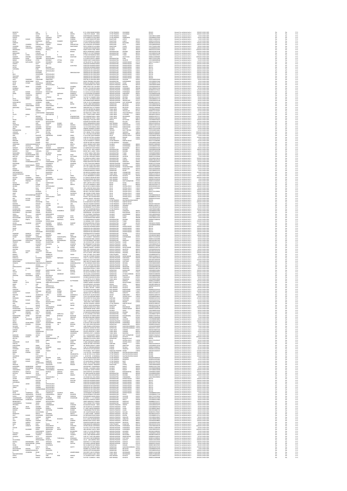|                                                                                                                                                                                                                                                                                                           |                                                        |                                                                                                                                                                                                                    |                                                                                      | KUMAR<br>PAL                     |                                                                                                    |                                                                                                                                                                                                                                    |                                                                                                                                                                                                                                                                                                                                                                                                                                                                                                | 001441<br>101294<br>1202990004707044<br>102990004707044<br>N20021412955419<br>N20021412955419<br>120146000692246<br>120170100511065<br>120170100511065                                                                                   | Are<br>now for uncidented and tail and the state of the state of the state<br>of the uncidented and tail and the state of the state of the state<br>investigation of the state of the state of the state of the state of<br>the state of                                                                                                                                                                                                                                                                                                          |                                                                                                                                              |  |
|-----------------------------------------------------------------------------------------------------------------------------------------------------------------------------------------------------------------------------------------------------------------------------------------------------------|--------------------------------------------------------|--------------------------------------------------------------------------------------------------------------------------------------------------------------------------------------------------------------------|--------------------------------------------------------------------------------------|----------------------------------|----------------------------------------------------------------------------------------------------|------------------------------------------------------------------------------------------------------------------------------------------------------------------------------------------------------------------------------------|------------------------------------------------------------------------------------------------------------------------------------------------------------------------------------------------------------------------------------------------------------------------------------------------------------------------------------------------------------------------------------------------------------------------------------------------------------------------------------------------|------------------------------------------------------------------------------------------------------------------------------------------------------------------------------------------------------------------------------------------|---------------------------------------------------------------------------------------------------------------------------------------------------------------------------------------------------------------------------------------------------------------------------------------------------------------------------------------------------------------------------------------------------------------------------------------------------------------------------------------------------------------------------------------------------|----------------------------------------------------------------------------------------------------------------------------------------------|--|
| NISHEETH<br>ANURADHA<br>ANURADHA<br>SUMITA ASHOR<br>SUMITA<br>NISHEETA<br>URAARTII BARAAFT<br>BARAAFT<br>NAYAK<br>SUDDHARTH<br>DARAAFT<br>MARAAFT<br>SUDDHARTH<br>MARAAFT<br>MARAAFT<br>MARAAFT<br>MARAAFT<br>MARAAFT<br>MARAAFT<br>MARAAFT<br>MARAAFT<br>MARAAFT<br>MARAAFT<br>MARAAFT<br>MARAAFT<br>MAR | KUMAR                                                  | iain<br>Mehra<br>Singh<br>Sharma<br>Harma<br>Harga                                                                                                                                                                 | P<br>MARAYAN<br>SURINDEN<br>NARAYAN<br>GAURI<br>THAKUR<br>ATTRI<br>COKALINA<br>VALAL | <b>SHANK2</b>                    | ann<br>Mehra<br>Singh<br>Sinarna<br>Sinarna<br>Hargava<br>Ni                                       | <b>B</b> 71, (DHI MAGARI DENIS CONDUCTS) AND MAGAZINE SUBSERVERS AND MONDRER AND MONDRER AND SUBSERVERS (SUBSERVERS) AND MONDRER SUBSERVERS (SUBSERVERS) AND MONDRER SUBSERVERS (SUBSERVERS) AND MONDRER DEVICE CONDUCTS (SUBSERVE | UTTAR PRADES<br>UTTAR PRADES<br>UTTAR PRADES<br>UTTAR PRADES<br>RAIASTIVAN<br>RAIASTIVAN<br>RAIASTIVAN<br>GUINAAT<br>GUINAAT<br>MAHARASHTRA<br>MAHARASHTRA<br>MAHARASHTRA<br>MAHARASHTRA<br>MAHARASHTRA<br>MAHARASHTRA<br>MAHARASHTRA<br>MAHARASHTRA<br>MAHARASHTRA                                                                                                                                                                                                                            |                                                                                                                                                                                                                                          |                                                                                                                                                                                                                                                                                                                                                                                                                                                                                                                                                   |                                                                                                                                              |  |
|                                                                                                                                                                                                                                                                                                           | PRAKASH<br>GOKALEHI                                    | MIMMAN<br>IAIN<br>IAIN SHABMA<br>SHABMA<br>MISWAS<br>IAINISWAS<br>IAINISMAS<br>KAKATKAR<br>KAKATKAR<br>THADAMEY                                                                                                    |                                                                                      | PRASAD                           | AN<br>JAIN<br>SHIRVASTAVI<br>WESTMEN                                                               |                                                                                                                                                                                                                                    | 302011<br>131002<br>131002<br>135002<br>135002<br>135002<br>40203<br>411002<br>411002<br>414002<br>444002<br>444002<br>444002<br>444002<br>444002<br>444002<br>44002<br>44002<br>444002<br>444002<br>44002<br>44002<br>44002<br>444002<br>444002<br>444002<br>444002<br>444002<br>444002<br>444002<br>444002<br>444002<br>4440                                                                                                                                                                 |                                                                                                                                                                                                                                          |                                                                                                                                                                                                                                                                                                                                                                                                                                                                                                                                                   |                                                                                                                                              |  |
|                                                                                                                                                                                                                                                                                                           |                                                        |                                                                                                                                                                                                                    |                                                                                      |                                  | AGARWAL<br>BISWAS                                                                                  |                                                                                                                                                                                                                                    |                                                                                                                                                                                                                                                                                                                                                                                                                                                                                                | 1201800000011452<br>WAD21440105201452<br>1201310001011452<br>12013100315414852<br>12013100315414852<br>NAD21411744652<br>NAD2141174452<br>120131000010254<br>NAD317445408277<br>022111<br>022113<br>022113<br>022113<br>022113<br>022113 |                                                                                                                                                                                                                                                                                                                                                                                                                                                                                                                                                   |                                                                                                                                              |  |
|                                                                                                                                                                                                                                                                                                           | <sup>ta</sup><br>Dhiraj<br>Sham<br>Shimrao             |                                                                                                                                                                                                                    |                                                                                      | TATOLA                           | nayak<br>Kakatkan                                                                                  |                                                                                                                                                                                                                                    |                                                                                                                                                                                                                                                                                                                                                                                                                                                                                                |                                                                                                                                                                                                                                          |                                                                                                                                                                                                                                                                                                                                                                                                                                                                                                                                                   |                                                                                                                                              |  |
|                                                                                                                                                                                                                                                                                                           | <b>BAPUSA</b>                                          | THADANEY<br>ATOLE<br>EHODAL<br>USHNU<br>MAWAL<br>MURUKAN<br>MURUKAN<br>RAVINDRA<br>RAVINDRA                                                                                                                        | ANTILAL                                                                              | VITTHAL<br>LIMBAJI               | ATOLE<br>TAKE                                                                                      |                                                                                                                                                                                                                                    |                                                                                                                                                                                                                                                                                                                                                                                                                                                                                                |                                                                                                                                                                                                                                          |                                                                                                                                                                                                                                                                                                                                                                                                                                                                                                                                                   |                                                                                                                                              |  |
|                                                                                                                                                                                                                                                                                                           |                                                        |                                                                                                                                                                                                                    | M<br>BALKISAN<br>NOTAVAILABLE<br>NOTAVAILABLE<br>                                    |                                  | ADIUTRAD                                                                                           |                                                                                                                                                                                                                                    | <b>AMABASH</b>                                                                                                                                                                                                                                                                                                                                                                                                                                                                                 |                                                                                                                                                                                                                                          |                                                                                                                                                                                                                                                                                                                                                                                                                                                                                                                                                   |                                                                                                                                              |  |
|                                                                                                                                                                                                                                                                                                           |                                                        |                                                                                                                                                                                                                    | NOTAVAILABLE                                                                         |                                  | <b>STINEVASACHA</b>                                                                                |                                                                                                                                                                                                                                    | www.com<br>Maharasht<br>Maharasht                                                                                                                                                                                                                                                                                                                                                                                                                                                              |                                                                                                                                                                                                                                          |                                                                                                                                                                                                                                                                                                                                                                                                                                                                                                                                                   |                                                                                                                                              |  |
| BALU<br>PRASHAN<br>PRAKASH                                                                                                                                                                                                                                                                                |                                                        | WAGHMARE<br>PANDIT<br>SHETTY                                                                                                                                                                                       | NOTAVAILABLE<br>NOTAVAILABLE                                                         |                                  |                                                                                                    | GANGAPUR GIN COMPINDIA<br>GANGAPUR GIN COMPINDIA<br>GANGAPUR GIN COMPINDIA                                                                                                                                                         |                                                                                                                                                                                                                                                                                                                                                                                                                                                                                                | 002136<br>002161<br>002165                                                                                                                                                                                                               |                                                                                                                                                                                                                                                                                                                                                                                                                                                                                                                                                   | 100.00 01-NOV-2021<br>100.00 01-NOV-2021<br>100.00 01-NOV-2021                                                                               |  |
| VUAY<br>NILESH                                                                                                                                                                                                                                                                                            | PANDIRAD<br>INDERENAI                                  | CHAUDHAR<br>SETHI<br>MAASIWALA                                                                                                                                                                                     | PANDITRAD<br>INDERCHAND<br>KAMARALI<br>NOTAVAILABLE                                  |                                  | MAKSIWALA                                                                                          | SHOP NO 32 GHOLANI INDIA<br>NILESH TRADING COM INDIA<br>83/84 VALLABHEHAI P.INDIA<br>E-4/209 AREARA CLIVY INDIA                                                                                                                    |                                                                                                                                                                                                                                                                                                                                                                                                                                                                                                | 1601010000323540<br>1201320000471646<br>1201580000175179                                                                                                                                                                                 |                                                                                                                                                                                                                                                                                                                                                                                                                                                                                                                                                   | 25.00 01-NOV-2021<br>8.50 01-NOV-2021<br>50.00 01-NOV-2021<br>30.00 01-NOV-2021                                                              |  |
| ASHIK<br>RAIV<br>KESHAR<br>GUNNALA<br>PRAKASH                                                                                                                                                                                                                                                             | savon                                                  | SHARMA<br>CHINARIA<br>MADHAVI<br>KUDUKULI<br>KODUKULI                                                                                                                                                              | GUNNALA                                                                              | VENKATRAN                        | CHHABRA<br>REDDY                                                                                   | Near richa gas ailíndia<br>813291YELLOW BLO INDIA                                                                                                                                                                                  | AURANGARAD<br>BHOPAL<br>SHAROG<br>HYDERARAD<br>HYDERARAD<br>HYDERARAD<br>HYDERARAD<br>HYDERARAD                                                                                                                                                                                                                                                                                                                                                                                                | 1208160009243658<br>1203560200002515<br>120472000241153                                                                                                                                                                                  |                                                                                                                                                                                                                                                                                                                                                                                                                                                                                                                                                   | 100.00 01-NOV-2021<br>32.50 01-NOV-2021                                                                                                      |  |
| anii.<br>Kiran                                                                                                                                                                                                                                                                                            | kumar<br>Kumar                                         | <b>CAKKERLA</b>                                                                                                                                                                                                    | KALIDAS<br>PARVATISM<br>LAXMI                                                        | NARSAIAI<br>VG                   | JAIN<br>KODUKULA<br>KAKKERLA                                                                       | 5-3-22 HINDI NAGAR GINDIA<br>5-1-31/14 14 SYLVAN CINDIA<br>2-12 DUGGONDI DUGEINDIA<br>H NO 52-158 FORT ROI NOIA                                                                                                                    | $\begin{array}{l} \textbf{MMMAMASTIA} \\ \textbf{MMMAMASTIA} \\ \textbf{MMMAMASTIA} \\ \textbf{MMMAMASTIA} \\ \textbf{MMMAMASTIA} \\ \textbf{MMMAMASTIA} \\ \textbf{MMDHAN SETIA} \\ \textbf{MMDHAN SPALISSH} \\ \textbf{MMDHAN SPALISSH} \\ \textbf{MMDHAN PRAOLSH} \\ \textbf{AMDHAN PRAOLSH} \\ \textbf{AMDHAN PRAOLSH} \\ \textbf{AMDHAN PRAOLSH} \\ \textbf{AMDHAN PRAOLSH} \\ \textbf{AMDHAN PRAOLSH} \\ \textbf{MMDHAN PRAOLSH} \\$<br>500008<br>500012<br>500087<br>506331<br>WARANGAI | IN:30066910176442<br>IN:30047642457112<br>1201090006945184<br>1203810000085837                                                                                                                                                           |                                                                                                                                                                                                                                                                                                                                                                                                                                                                                                                                                   | 112.50 01-NOV-2021<br>500.00 01-NOV-2021<br>100.00 01-NOV-2021                                                                               |  |
| DIYKA<br>TATAPUDI                                                                                                                                                                                                                                                                                         | VSANDHYA<br>NARESH<br>JANAKI                           |                                                                                                                                                                                                                    | APPARAC<br>GURUMURTH                                                                 | MOHA                             | kummetha<br>Pendam<br>Imo                                                                          | FLAT NO 117 ANJANEY INDIA<br>D NO B6 214 NEAR N INDIA                                                                                                                                                                              | KURNOOL<br>518001<br>521456<br>524305<br>532127<br>KRSHNA<br>NELLORE                                                                                                                                                                                                                                                                                                                                                                                                                           | IN30160411613210<br>1204340000011772<br>1203810000031318                                                                                                                                                                                 |                                                                                                                                                                                                                                                                                                                                                                                                                                                                                                                                                   | 100.00 01-NOV-2021<br>25.00 01-NOV-2021<br>10.00 01-NOV-2021<br>26.00 01-NOV-2021                                                            |  |
| GODAVAR<br>VEENA<br>SANJAY<br>BASAVARA                                                                                                                                                                                                                                                                    | VASTUPAL<br>VANECHA                                    | VEERRAJ,<br>BAFNA<br>BAFNA                                                                                                                                                                                         | SUBBA<br>VASTUPAL                                                                    |                                  | rao<br>Batna                                                                                       | SATYANARAYANAPUR/INDI<br>D NO.13-191 SITANAG: INDI<br>CTS NO. 2686 RAW/W/INDI                                                                                                                                                      | SRIKAKULAN<br><b>EAST GODAVA</b><br>591307<br>591307                                                                                                                                                                                                                                                                                                                                                                                                                                           | IN30286310242767<br>1201320000364129<br>1201320000549748                                                                                                                                                                                 |                                                                                                                                                                                                                                                                                                                                                                                                                                                                                                                                                   | 50.00 01-NOV-2021<br>114.50 01-NOV-2021<br>75.00 01-NOV-2021                                                                                 |  |
|                                                                                                                                                                                                                                                                                                           | <b>KHMRA</b>                                           | MSJDDI<br>ian<br>Maksh                                                                                                                                                                                             | VANECHANDJI<br>SHANKAR<br>OHUNEALIAIN                                                | BASAPPI                          | SANSUDDI<br>VUMMATI                                                                                | 2458 GOKAK RAVIWARINDI<br>SANSUDDI GALLI AT PCINDIA<br>OLD NO 148 NEW NO 1NDV                                                                                                                                                      | BELGAUM<br>BELGAUM<br>BELGAUM<br>591313<br>CHENNAI<br>600079                                                                                                                                                                                                                                                                                                                                                                                                                                   | N3022011056838<br>1201090001461933<br>IN30051315136387                                                                                                                                                                                   |                                                                                                                                                                                                                                                                                                                                                                                                                                                                                                                                                   | 145.00 01-NOV-2021<br>50.00 01-NOV-2021                                                                                                      |  |
| LAUTH                                                                                                                                                                                                                                                                                                     | MANIU                                                  | <b>AGNESW</b><br>SRIDHAR                                                                                                                                                                                           | KARTHIKEYAN                                                                          |                                  | <b>ISWANATHAI</b>                                                                                  | NO 1/45 DEVANGA STENDIA<br>NO 936/H RAIL TOWN INDIA<br>47H 7 FORTH STREET JINDIA                                                                                                                                                   | TAMIL NADU<br>TAMIL NADU<br>TAMIL NADU<br>TAMIL NADU<br>TRUVALUR<br>TRUCHRAPPI<br>TUTICORIN<br>601201<br>620004<br>628002<br>ERSHNAGIR                                                                                                                                                                                                                                                                                                                                                         | 1204720001861191<br>N30169611205312<br>N301696113972717<br>N30039411395466<br>1202390000336161<br>N30290006481778                                                                                                                        |                                                                                                                                                                                                                                                                                                                                                                                                                                                                                                                                                   | 47.50 01-NOV-2021<br>1.00 01-NOV-2021<br>225.00 01-NOV-2021<br>75.00 01-NOV-2021                                                             |  |
| raan<br>Araf                                                                                                                                                                                                                                                                                              |                                                        | KANAKARAJ<br>BHASKARAN<br>KALAM                                                                                                                                                                                    | DIASKARA<br>NOTAVAILABLE                                                             |                                  | SUBRAMANIAM                                                                                        | S/O VISWANATHAN H. INDIA<br>NO 8 PERIYAR STREET INDIA<br>PAMPANAL THELLAKO INDIA<br>KAIKARA KAITHAVARA INDIA                                                                                                                       | TAMIL NADU<br>TAMIL NADU<br>KERALA<br>KERALA<br>WEST BENGA<br>635001<br>638476<br>ERODE<br>KOTTAYAM<br>KOLLAM                                                                                                                                                                                                                                                                                                                                                                                  |                                                                                                                                                                                                                                          |                                                                                                                                                                                                                                                                                                                                                                                                                                                                                                                                                   | 20.00 01-NOV-2021<br>150.00 01-NOV-2021<br>52.00 01-NOV-2021                                                                                 |  |
| ASMA<br>JANARDA!<br>ARVIND<br>ANJU                                                                                                                                                                                                                                                                        | KUMAR                                                  | IAIN<br>MANDAL<br>AGAITIVAL                                                                                                                                                                                        | PRADEEP<br>JAGAT<br>SANTOSH<br>HEMANT                                                | KUMAR<br>BANDHI.<br>KUMAR        | jain<br>Mandal<br>Khemani<br>Agarwai                                                               | 25/26 NARASINGHA B INDIA<br>DHOKRASAHID NUTANINDIA<br>11/1 N 5 B RD RANIGA INDIA                                                                                                                                                   | HOWRAH<br>BARDHAMAN<br>BARDHAMAN<br>CUTTACK                                                                                                                                                                                                                                                                                                                                                                                                                                                    | N30210510429242<br>IN3002141067018                                                                                                                                                                                                       |                                                                                                                                                                                                                                                                                                                                                                                                                                                                                                                                                   | 100.00 01-NOV-2021<br>62.50 01-NOV-2021<br>275.00 01-NOV-2021                                                                                |  |
| MANADEN                                                                                                                                                                                                                                                                                                   |                                                        | PAUL<br>SINGH                                                                                                                                                                                                      | HARIDAY<br>PRITAM                                                                    |                                  | PAUL<br>SINGH                                                                                      | HEMANT AGARWAL JAINDIA                                                                                                                                                                                                             | 686631<br>691012<br>711101<br>711102<br>713167<br>750201<br>148024<br>683594<br>110058<br>121401<br>WEST BENGA<br>WEST BENGA<br>ORISSA<br>TREVIRA<br>WEST TRIPURA                                                                                                                                                                                                                                                                                                                              | 1204470007213144<br> N30177412210258<br>120191030023446<br>IN3023651094949                                                                                                                                                               |                                                                                                                                                                                                                                                                                                                                                                                                                                                                                                                                                   | 25.00 01-NOV-2021<br>12.50 01-NOV-2021                                                                                                       |  |
| IASWANT<br>VARGHESE<br>anii.<br>Kiran                                                                                                                                                                                                                                                                     |                                                        | .<br>KASHYAP<br>CHANDN                                                                                                                                                                                             | POULOSE                                                                              | KUMAR                            | imcr                                                                                               | DURGANAGAR PS-KHOINDIA<br>VPO, BAMAL TEHSIL DIINDIA<br>412 - PULICKAL 9 ELAN INDIA<br>A-13/14 P&T QTRS PAHNDIA<br>H NO 441 SECTOR-3 HUNDIA                                                                                         | PUNJAB<br>KERALA<br>DELHI<br>HARYANA<br>SANGRUR<br>ERNAKULAM<br>CENTRAL DELH<br>REWARD                                                                                                                                                                                                                                                                                                                                                                                                         | IN3002391480985<br>1202290000178704<br>1204910000143970                                                                                                                                                                                  |                                                                                                                                                                                                                                                                                                                                                                                                                                                                                                                                                   | 2200.00 01-NOV-2021<br>2250.00 01-NOV-2021<br>6.00 01-NOV-2021<br>250.00 01-NOV-2021                                                         |  |
| RAVISH<br>Ranjana<br>Santosh<br>Viribusan<br>Miriusan                                                                                                                                                                                                                                                     |                                                        | ARDRA<br>GUPTA<br>EUMAR                                                                                                                                                                                            | HARENDERA<br>TEK<br>MNAY<br>AMIT<br>RAITT                                            |                                  | CHAND<br>KUMAR<br>GUPTA                                                                            | H.NO. 94 A-BLOCK NETINDM<br>74/115 DHANKUTTI KUNDIA<br>HOUSE NO 180 VPO SLINDIA                                                                                                                                                    | HISAR<br>KANPUR DEHAT<br>FAIZABAD                                                                                                                                                                                                                                                                                                                                                                                                                                                              | 1201910102976376<br>N3017741048288<br>120542000010166                                                                                                                                                                                    |                                                                                                                                                                                                                                                                                                                                                                                                                                                                                                                                                   | 4.00 01-NOV-2025<br>25.00 01-NOV-2025<br>22.50 01-NOV-2025<br>5.00 01-NOV-2025<br>5.00 01-NOV-2025<br>25.00 01-NOV-2025                      |  |
| EIPIN<br>PARMAR<br>PRATULLA                                                                                                                                                                                                                                                                               | SAVAILAL<br>DILIPKUMAA                                 | ATHTA<br>DISAI<br>GABHAI                                                                                                                                                                                           | HARSH<br>SAVARAI<br>PARMAR                                                           | GABHA                            | RAM<br>MEHTA<br>DESAI<br>SOMABHA                                                                   | 152/A KAGADA SHERI INDIA<br>88/528 VIIAYNAGAR FINDIA<br>A 2 KARMAVIR SOCIET INDIA<br>FLAT NO-301 3RD FLCINDIA                                                                                                                      | 180000<br>ANMEDABAD<br>VMEDABAL<br>MAHESANA                                                                                                                                                                                                                                                                                                                                                                                                                                                    | IN3030521009648<br>1202440000017662                                                                                                                                                                                                      |                                                                                                                                                                                                                                                                                                                                                                                                                                                                                                                                                   |                                                                                                                                              |  |
| MANISH                                                                                                                                                                                                                                                                                                    | SUBHASHC                                               | VARASIYA<br>SHAM                                                                                                                                                                                                   | SUBHASH<br>WIAY                                                                      | PANCIT<br>NARSI                  | BHAT<br>VARASIYA                                                                                   | ROOM NO 6 LAXMI CINDIA<br>A-2/507 KAMLA PARK INDIA                                                                                                                                                                                 | MUMBAI<br>MUMBAI                                                                                                                                                                                                                                                                                                                                                                                                                                                                               | 1203600000341133<br>1206940000004788<br>IN3019751002399<br>1202840000084833                                                                                                                                                              |                                                                                                                                                                                                                                                                                                                                                                                                                                                                                                                                                   | 25.00 01-NOV-2025<br>189.00 01-NOV-2025<br>17.50 01-NOV-2025<br>10.00 01-NOV-2021                                                            |  |
| RAMILABEN<br>PRASHANT<br>MEETALI<br>ALKESH                                                                                                                                                                                                                                                                | VGAY<br>BIFINEHAI<br>MAHESHKUMAR<br>MALLIKARIUN<br>    | SHAH<br>MANE<br>JOSHI                                                                                                                                                                                              | EIPINBHAI<br>MAHESH                                                                  | KUMAR                            | SHAH<br>KATTIMANI                                                                                  | V-16 203 VINAY NAGAINDIA<br>PLOT NO 4 REVENUE GINDIA<br>B-5 MANJULA SMRUTI INDIA<br>WARD NO 2 DEULGAO INDIA                                                                                                                        |                                                                                                                                                                                                                                                                                                                                                                                                                                                                                                | 1201060000234191<br>IN30051314763846<br>1203320004766510                                                                                                                                                                                 |                                                                                                                                                                                                                                                                                                                                                                                                                                                                                                                                                   | 50.00 01-NOV-2021<br>7.50 01-NOV-2021<br>350.00 01-NOV-2021                                                                                  |  |
| ASHISH<br>VASDEV<br>RAIKUMARI                                                                                                                                                                                                                                                                             | VISHNU<br>CHANDA                                       | HOTELE<br>VAHUE<br>GUPTA                                                                                                                                                                                           | VISHNU<br>CHANDANI<br>JAGANNATI                                                      | GANESH                           | <b>ACIDITY</b><br>VATNANI<br>AGARWAL<br>REDDY<br>RAO                                               | PRIME INVESTORS SER INDIA<br>4 1 872 TILAK ROAD AEINDIA                                                                                                                                                                            | HAWAMA<br>UTAR PRACESI<br>UTAR PRACESI<br>GUIRANT<br>GUIRANT<br>GUIRANT<br>MAHARASHTRA<br>MAHARASHTRA<br>MAHARASHTRA<br>MAHARASHTRA<br>MAHARASHTRA<br>MAHARASHTRA<br>MAHARASHTRA<br>MAHARASHTRA<br>MAHARASHTRA<br>MAHARASHTRA<br>MAHARASHTRA<br>MAHARASHTRA<br>MAHARASHTRA<br>MAHARASHT<br>180011<br>182721<br>400011<br>401006<br>401107<br>411005<br>411005<br>441701<br>4446001<br>500001<br>THANE<br>THANE<br>SOLAPUR<br>CONDIA<br>AMRAVATI<br>HYDERABAD<br>HYDERABAD                      | IN3005138144294<br>1202000000233371<br>IN30021412726396                                                                                                                                                                                  |                                                                                                                                                                                                                                                                                                                                                                                                                                                                                                                                                   | 150.00 01-NOV-2021<br>29.00 01-NOV-2021<br>50.00 01-NOV-2021                                                                                 |  |
|                                                                                                                                                                                                                                                                                                           | KUMAR                                                  | REDOY<br>MAMDIR<br>SANCHETI                                                                                                                                                                                        | CHINNAPU<br>GANAPATH<br>PARASMAL                                                     |                                  |                                                                                                    | 18 4 2ND FLOOR 2ND LINDS<br>43-9-122 SUBBALAKSHINDI                                                                                                                                                                                | 520003<br>530036                                                                                                                                                                                                                                                                                                                                                                                                                                                                               | 120674000020300<br>IN3023241083466<br>IN3021481060806                                                                                                                                                                                    |                                                                                                                                                                                                                                                                                                                                                                                                                                                                                                                                                   | 325.00 01-NOV-2021<br>12.50 01-NOV-2021<br>50.00 01-NOV-2021<br>5.00 01-NOV-2021                                                             |  |
| SOBHA<br>RAVI<br>NIRMAL<br>SIDDARAJA<br>PARTHASARAT<br>MANGAYARKA<br>KANIDI                                                                                                                                                                                                                               |                                                        |                                                                                                                                                                                                                    | SHIVAKUMA<br><b>BAJAG OPAI</b><br>MAGARAJ                                            |                                  |                                                                                                    | HARISH AUTOMOBILESINDIA<br>91 BENACHANAHALLI FINDIA<br>NO.28/34 B KUMARAS INDIA                                                                                                                                                    | ERSHNA<br>VISAKHAPATN<br>BANGALORE<br>COMBATORE<br>COMBATORE<br>COMBATORE<br>560050<br>562111<br>641027<br>641101                                                                                                                                                                                                                                                                                                                                                                              | 1204720000411075<br>IN:30169610038209<br>N30021413190110                                                                                                                                                                                 |                                                                                                                                                                                                                                                                                                                                                                                                                                                                                                                                                   | 250.00 01-NOV-2021<br>1.00 01-NOV-2021                                                                                                       |  |
| SANJIV<br>KALASH<br>KRAN<br>CM<br>RADHA<br>ASHWABING<br>ARVIND<br>ARVIND                                                                                                                                                                                                                                  | RATAN<br>CHANDRA<br>PRAKASH<br>PRAKASH                 | SINHA<br>BARASIA<br>BAIORIA<br>BAIORIA                                                                                                                                                                             | GAJANANO<br>GHANSHYAN                                                                | KALYANI                          | SINHA<br>BARASIA<br>BAJORJA                                                                        | NO 1/4 THODAKKAPALINDIA<br>SF 32C ENGINEERS FLAINDIA<br>47 RAMLAL BAZAR NE INDIA<br>82 PRAKASHWADI NR IINDIA<br>TANGERIA P O MIDN INDIA<br>TANGERIA P O MIDN INDIA<br>TANGERIA P O MIDN INDIA                                      | KOLKATA<br>700056<br>700078<br>KOLKATA<br>KOLKATA<br>700093<br>721101                                                                                                                                                                                                                                                                                                                                                                                                                          | IN:30016021958565<br>IN:30012710467026<br>IN:30290241528126<br>IN:30021414304692                                                                                                                                                         |                                                                                                                                                                                                                                                                                                                                                                                                                                                                                                                                                   | 250.00 01-NOV-2021<br>600.00 01-NOV-2021<br>3.50 01-NOV-2021                                                                                 |  |
|                                                                                                                                                                                                                                                                                                           | KANT                                                   |                                                                                                                                                                                                                    | lal<br>Kameshwaj<br>LALA<br>NOTAVAILABLE                                             |                                  | JNA<br>MAHTO                                                                                       | NHPC LIMITED VIDYUT INDIA<br>C/O LATE JAGARNATH INDIA<br>BA/122 W.E.A NEAR CHNDIA                                                                                                                                                  | WEST BENGA<br>WEST MIDNAI<br>PATNA<br>PATNA<br>CENTRAL DELH<br>800001<br>800004                                                                                                                                                                                                                                                                                                                                                                                                                | IN3011512003764<br>IN:3013:3019787172<br>IN:30310810001261                                                                                                                                                                               |                                                                                                                                                                                                                                                                                                                                                                                                                                                                                                                                                   | 9.00 01-NOV-2021<br>125.00 01-NOV-2021<br>100.00 01-NOV-2021<br>200.00 01-NOV-2021                                                           |  |
| IΙA                                                                                                                                                                                                                                                                                                       |                                                        | INA<br>KUMAR<br>GUPTA<br>KALA<br>TAYAL                                                                                                                                                                             | NDRISK                                                                               |                                  | KALA<br>TAYAL                                                                                      | 1581 LAXMI BAI NAGA INDIA<br>18, NEW KRISHNA NACINDIA<br>304 BLK-1 HIG DDA FL/INDIA                                                                                                                                                | 110005<br>110023<br>CENTRAL DELHI<br>CENTRAL DELHI<br>CENTRAL DELHI<br>CENTRAL DELHI<br>110051                                                                                                                                                                                                                                                                                                                                                                                                 | N30021413258802<br>001513<br>IN:30177411238961                                                                                                                                                                                           |                                                                                                                                                                                                                                                                                                                                                                                                                                                                                                                                                   | 25.00 01-NOV-2021<br>100.00 01-NOV-2021                                                                                                      |  |
| <b>DHARAT</b><br>PAWAN<br>ANUP<br>SYED<br>KAMNI                                                                                                                                                                                                                                                           |                                                        | DHINGRA<br>SACHDEVA<br><b>UPERWEZ</b>                                                                                                                                                                              | syzo                                                                                 | NAZIR                            | DHINGRA<br>SADHDEVA<br>HASSAN                                                                      | 188, DOUBLE STOREY FINDM<br>201 TRIBHUVAN COM INDI<br>PODIET I S7C DILSHAD INDI                                                                                                                                                    | $\begin{array}{c} 110055 \\ 110060 \\ 110065 \end{array}$<br>CENTRAL DELH                                                                                                                                                                                                                                                                                                                                                                                                                      |                                                                                                                                                                                                                                          |                                                                                                                                                                                                                                                                                                                                                                                                                                                                                                                                                   | 100.00 01-NOV-2021<br>100.00 01-NOV-2021<br>45.00 01-NOV-2021                                                                                |  |
| NAV<br>MANOJ<br>SANJAY<br>NADEEM                                                                                                                                                                                                                                                                          | <b>RATTAN</b><br>KUMAR                                 | SAXENI<br>EUMAR<br>GUPTA                                                                                                                                                                                           | NOTAVAIL<br>JAGAT<br><b>VIMAL</b>                                                    | $\mathsf{c}\,$                   | RAM<br>GUPTA<br>MEHROTIN                                                                           | 46 ROSE AVENUE MALINDIA<br>A , SECTOR-1V, NO INDIA<br>B-25 SARVODAYA NAGINDIA<br>105/234 CHAMAN GAEINDIA                                                                                                                           | CENTRAL DELHI<br>110095<br>148023<br><b>GAR</b>                                                                                                                                                                                                                                                                                                                                                                                                                                                | 001427<br>1202300000066103<br>IN30088813517634<br>001455<br>001455                                                                                                                                                                       |                                                                                                                                                                                                                                                                                                                                                                                                                                                                                                                                                   | 25.00 01-NOV-2021<br>22.50 01-NOV-2021<br>100.00 01-NOV-2021<br>600.00 01-NOV-2021                                                           |  |
|                                                                                                                                                                                                                                                                                                           | KUMAR                                                  | MEHROTRA<br>ARSHAD<br>GUPTA                                                                                                                                                                                        |                                                                                      | $\mathsf{ALI}$<br><b>ABHILAS</b> | LARI<br>GUPTA                                                                                      | 5/17/87 SAKTI NAGAR INDIA                                                                                                                                                                                                          | SANGRUR<br>GAUTAM BUDDH<br>KANPUR DEHAT<br>KANPUR DEHAT<br>FAIZABAD<br>RUDDUN                                                                                                                                                                                                                                                                                                                                                                                                                  | 003567<br>N30155710441607<br>IN30051313676177                                                                                                                                                                                            |                                                                                                                                                                                                                                                                                                                                                                                                                                                                                                                                                   | 50.00 01-NOV-2021<br>12.50 01-NOV-2021<br>25.00 01-NOV-2021                                                                                  |  |
| SHAKUNTALA<br>ASHWANI<br>GHANSHYAM<br>MAHESHIIHAI<br>RAIESHIIHAI<br>MAHESHIIHAI                                                                                                                                                                                                                           | LAXMIDAS                                               |                                                                                                                                                                                                                    | ARSHAD<br>LALMAN<br>KRISHNA<br>LAXMIDAS<br>BALUBHAI<br>BALUBHAI                      | книша                            | mshira<br>Murari<br>LADANI                                                                         | GOVERNMENT POLYTEINDIA<br>H NO 42 CHANDRABHAINDIA                                                                                                                                                                                  | 162001                                                                                                                                                                                                                                                                                                                                                                                                                                                                                         | 1204720010607240<br>1206970000010881<br>120646000001596                                                                                                                                                                                  |                                                                                                                                                                                                                                                                                                                                                                                                                                                                                                                                                   | 100.00 01-NOV-2021<br>25.00 01-NOV-2021                                                                                                      |  |
| VIMLA<br>INDERMAL<br>RAULKUMAR                                                                                                                                                                                                                                                                            | BALUBHA<br>RATANLAL                                    | MISHIRA<br>GUPTA<br>SANOHA<br>SANOHA<br>SANOHA<br>SANOHA<br>SANOHA<br>DANOHA<br>NAUTHA<br>NAUTHA<br>NAUTHA<br>NAUTHA<br>NAUTHA<br>NAUTHA<br>NAUTHA<br>NAUTHA<br>NAUTHA<br>NAUTHA                                   | MANCHAE<br>RATANLAL                                                                  |                                  | SMAH<br>PATEL<br>DAVDA                                                                             | THU AZ CHANGHEINIAR<br>SARIMMAGAR BOTADINDIA<br>SARIMMAGAR BOTADINDIA<br>SEAMINI TENAMENTS INDIA<br>75 YOGI KRUPA ROW FINDIA<br>75 YOGI KRUPA ROW FINDIA                                                                           | BINA<br>REGIONAL SERIES CONTRA PROGRAMMENT DE CONTRA PROGRAMMENT<br>SERIES CONTRA PROGRAMMENT DE CONTRA PROGRAMMENT<br>CONTRA PROGRAMMENT DE CONTRA PROGRAMMENT<br>CONTRA PROGRAMMENT<br>CONTRA PROGRAMMENT<br>MARINA PROGRAMMENT<br>MARINA PROGRAM<br><b>BUDAUN<br/>BUDAUN<br/>BINAGAGH<br/>AHMEDABAD<br/>AHMEDABAD<br/>SURAT<br/>SURAT</b><br>164710<br>182424<br>187002<br>195008<br>400091<br>400004<br>401305                                                                             | 1203380000051536<br>1304140005844305<br>1202680000112905<br>1204470002321522                                                                                                                                                             |                                                                                                                                                                                                                                                                                                                                                                                                                                                                                                                                                   | 100.00 01-NOV-2025<br>0.50 01-NOV-2025<br>50.00 01-NOV-2025                                                                                  |  |
| CHHAYA<br>LAXMKANT                                                                                                                                                                                                                                                                                        | JAYANTILAI<br>PRAFUL<br>RAJARAM                        |                                                                                                                                                                                                                    | AYANTILAI<br>PRAFUL<br>PARASHURAM<br>RAJARAM                                         | RAVJEMAJ<br>MADMAVJI             |                                                                                                    | 5 CHANDRAKIRAN PLOINDIA<br>13, MANGAL COOP, HSINDIA<br>09 RADHAKIRSHNA AF INDIA<br>PLOT NO.8 TLAT NO.8 INDIA                                                                                                                       |                                                                                                                                                                                                                                                                                                                                                                                                                                                                                                | IN30090710383916<br>002082<br>IN:30160411746965                                                                                                                                                                                          |                                                                                                                                                                                                                                                                                                                                                                                                                                                                                                                                                   | 0.50 01-NOV-2021<br>15.00 01-NOV-2021<br>250.00 01-NOV-2021<br>112.50 01-NOV-2021                                                            |  |
| ASHOK<br>KHEMEHAI                                                                                                                                                                                                                                                                                         |                                                        |                                                                                                                                                                                                                    | JANKIRAM<br>DATTATRAYA<br>NOTAVALABLE<br>NOTAVALABLE                                 | MARUTI<br>NAMDEO                 | SAWANT<br>PATIL                                                                                    | VIDEOCON INTERNATI(INDIA                                                                                                                                                                                                           | MUMBA<br>THANE<br>THANE<br>FUNE<br>APMED NAGAR<br>APMED NAGAR<br>APMED NAGAR<br>SATARA<br>JADAR<br>JADAR<br>JADAR<br>JADAR<br>JADAR<br>JADAR<br>JADAR<br>JADAR<br>JADAR<br>JADAR<br>JADAR<br>JADAR<br>JADAR<br>JADAR<br>JADAR<br>JADAR<br>JADAR<br>JADAR<br>JADAR<br>JADAR<br>JADAR<br>JADAR<br>411012                                                                                                                                                                                         | 1201060002699908<br>002140<br>002132                                                                                                                                                                                                     |                                                                                                                                                                                                                                                                                                                                                                                                                                                                                                                                                   | 1.00 01-NOV-2021<br>100.00 01-NOV-2021                                                                                                       |  |
| VIVEK<br>RAJAN<br>NITIN<br>SIKANDA                                                                                                                                                                                                                                                                        |                                                        |                                                                                                                                                                                                                    | NOTAVAILABLE<br>MANSUR                                                               | ABBAS                            |                                                                                                    | GANGAPUR GIN COMPINDIA<br>GANGAPUR GIN COMPINDIA<br>GANGAPUR GIN COMPINDIA                                                                                                                                                         | 414001<br>414001<br>414001<br>415521<br>425307<br>431001<br>431515<br>446001                                                                                                                                                                                                                                                                                                                                                                                                                   | 002137<br>002154<br>1201910102324184                                                                                                                                                                                                     |                                                                                                                                                                                                                                                                                                                                                                                                                                                                                                                                                   | 100.00 01-NOV-2021<br>100.00 01-NOV-2021<br>100.00 01-NOV-2021<br>45.50 01-NOV-2021                                                          |  |
| avinash<br>Sagar                                                                                                                                                                                                                                                                                          | MANSUR<br>BHAURAD<br>SOMESH<br>DINESHAP                | iurme                                                                                                                                                                                                              | EMAURAO<br>SOMESH<br>APPARAO                                                         | SADASH<br>RAMRAO                 | DANGE<br>RAUT<br>LIMBHARE<br>KURME<br>BHUTADA<br>ADHARYA<br>ADHARYA<br>THARUR<br>THARUR            | SHUKBAWAR PETH PHINDIA<br>Q NO TYPE II 10/40 DE INDIA<br>18 V K MARKET PANDINDIA                                                                                                                                                   |                                                                                                                                                                                                                                                                                                                                                                                                                                                                                                | 1201060100196655<br>IN:30177412520046<br>IN3005131423298                                                                                                                                                                                 |                                                                                                                                                                                                                                                                                                                                                                                                                                                                                                                                                   | 100.00 01-NOV-2021<br>10.00 01-NOV-2021<br>50.00 01-NOV-2021                                                                                 |  |
| SANJAYKU<br>PRADEEP<br>TARUN<br>SHEELA                                                                                                                                                                                                                                                                    | GOPALDASJ<br>KUMAR                                     | EMUTADI<br>SOMANI<br>ACHARYA                                                                                                                                                                                       | GOPALDASI<br>GHANSHYAN<br>RAVINDRA                                                   | BALKSANDASI<br>DAS               |                                                                                                    | THE VEHICLE PARK UNIVERSITY AND A COTTON MARKET ROA INDIA<br>COTTON MARKET ROA INDIA<br>116 SHUVAII PARK UUINDIA<br>19/7 JURENT COLONY INDIA<br>19/7 JURENT COLONY INDIA<br>19/7 JURENT COLONY INDIA                               | 444601<br>456010<br>456771                                                                                                                                                                                                                                                                                                                                                                                                                                                                     | IN3013301902700<br>IN:10226912017100<br>1204110000029170                                                                                                                                                                                 |                                                                                                                                                                                                                                                                                                                                                                                                                                                                                                                                                   | 25.00 01-NOV-2021<br>21.50 01-NOV-2021<br>25.00 01-NOV-2021<br>15.00 01-NOV-2021                                                             |  |
|                                                                                                                                                                                                                                                                                                           |                                                        | THAKUR<br>KANSAL<br>MISHRA<br>LAHANGIR<br>BAJAJ                                                                                                                                                                    | MAGAN                                                                                | s<br>LAL                         | KANSAL<br>MISHRA<br>LAHANGIR                                                                       | KANSHAL MARKET ASHNDIA                                                                                                                                                                                                             | 462046<br>473331                                                                                                                                                                                                                                                                                                                                                                                                                                                                               | IN3013301776589                                                                                                                                                                                                                          |                                                                                                                                                                                                                                                                                                                                                                                                                                                                                                                                                   |                                                                                                                                              |  |
|                                                                                                                                                                                                                                                                                                           |                                                        |                                                                                                                                                                                                                    |                                                                                      |                                  |                                                                                                    |                                                                                                                                                                                                                                    |                                                                                                                                                                                                                                                                                                                                                                                                                                                                                                |                                                                                                                                                                                                                                          |                                                                                                                                                                                                                                                                                                                                                                                                                                                                                                                                                   | 94.00 01-NOV-2021                                                                                                                            |  |
| RAVIKANT<br>ANUPMA<br>VUAY<br>KANTA                                                                                                                                                                                                                                                                       | KUMAR<br>DEVI                                          |                                                                                                                                                                                                                    |                                                                                      | PRASHAD                          |                                                                                                    | w/o shii manoharindia<br>Near ramjanis manindia<br>MP E B OFFICE APPO INDIA                                                                                                                                                        | 484001<br>484130<br>484130                                                                                                                                                                                                                                                                                                                                                                                                                                                                     | IN:30039417693759<br>1203560200001262<br>IN:30198310531049<br>1203560200001680                                                                                                                                                           |                                                                                                                                                                                                                                                                                                                                                                                                                                                                                                                                                   | 50.00 01-NOV-2025<br>106.00 01-NOV-2025<br>100.00 01-NOV-2025                                                                                |  |
|                                                                                                                                                                                                                                                                                                           |                                                        |                                                                                                                                                                                                                    | M<br>DEVI<br>GURUDAS<br>RAMBALAK<br>RAMBALAK<br>RAJAMOUL<br>VENKATA                  | NARSAIAI                         | YADAV<br><b>THATIPAMULA</b>                                                                        | H NO. H/2 ENG. COLLE INDIA<br>Q.NO NC-3 POWER HOINDIA                                                                                                                                                                              | ASHOK NAGAR<br>ANUPPUR<br>SHAHDOL<br>SHAHDOL<br>BASTAR<br>VARIALISCH                                                                                                                                                                                                                                                                                                                                                                                                                           | 1201860000287733<br>IN3031161064547                                                                                                                                                                                                      |                                                                                                                                                                                                                                                                                                                                                                                                                                                                                                                                                   | 50.00 01-NOV-2021                                                                                                                            |  |
| NIRMLA<br>BHAVANI<br>BODDULA<br>NAGESWARI<br>HEMACHAND<br>VENKATA                                                                                                                                                                                                                                         |                                                        | SOUIANYA<br>GURAM<br><b>HALL</b><br>KANAMA                                                                                                                                                                         | <b>MAGAPPA</b><br><b>D VENKATA</b>                                                   | NARAYANA                         | MALLESWARJ                                                                                         | H NO 5-11-966 KUC RCINDIA<br>DOOR NO 1/415-9 MA INDIA<br>DNO.18/1/721 BHAVA INDIA                                                                                                                                                  | KARIM NAGAL<br>WARANGAL<br>CUDDAPAH<br>CHITTOOR<br>ERSHNA                                                                                                                                                                                                                                                                                                                                                                                                                                      | 1205140000185540<br>IN30148510699496<br>N30023912670318<br>120323000049309                                                                                                                                                               |                                                                                                                                                                                                                                                                                                                                                                                                                                                                                                                                                   | 0.50 01-NOV-2021<br>13.50 01-NOV-2021<br>150.00 01-NOV-2021<br>1.00 01-NOV-2021<br>25.00 01-NOV-2021                                         |  |
| CH<br>KANDLAGU)                                                                                                                                                                                                                                                                                           | VSUBBA                                                 | SIRISMA<br>PADMAVATM<br>RAD                                                                                                                                                                                        | C1                                                                                   |                                  |                                                                                                    | 9-72A SUBHASH ROAD INDIA<br>APT GC SATYAM TOW INDIA<br>4-219 SATYANARAYAN INDIA<br>MAIN ROAD PERALA C INDIA                                                                                                                        | 494001<br>505209<br>506009<br>516001<br>517501<br>520001<br>520001<br>521002<br>KRISHNA<br>PRAKASAN<br>PRAKASAM                                                                                                                                                                                                                                                                                                                                                                                | N3022691040406<br>1203500000961338<br>IN30039411380759                                                                                                                                                                                   |                                                                                                                                                                                                                                                                                                                                                                                                                                                                                                                                                   | 1000.00 01-NOV-2021<br>75.00 01-NOV-2021<br>10.00 01-NOV-2021                                                                                |  |
| MIT                                                                                                                                                                                                                                                                                                       |                                                        | EENADE                                                                                                                                                                                                             | RAMACHA<br>NAVAL<br>SAYED                                                            | AS<br>APPAIL<br>ABUBAKAR         | MALLESWANNAM<br>THALLA<br>KANAMARLAPUDI<br>KAMESH<br>GLPTA<br>RENADE<br>KEHORE<br>KARKAL<br>KARKAL | ERICSSON I GLOBAL SE INDIA<br>NO:444 SATYAMARGA INDI                                                                                                                                                                               | BANGALORE<br>MYSORE<br>UTTARA KAN<br>560048<br>570011<br>581320                                                                                                                                                                                                                                                                                                                                                                                                                                | 120818000035385<br>120350000005934<br>N3002391308490                                                                                                                                                                                     |                                                                                                                                                                                                                                                                                                                                                                                                                                                                                                                                                   | 100.00 01-NOV-2021<br>459.00 01-NOV-2021<br>100.00 01-NOV-2021<br>150.00 01-NOV-2021                                                         |  |
| VIKASH<br>SAYED<br>SRIGOPAL                                                                                                                                                                                                                                                                               | SAFWAN<br>BHAVARILA                                    | KUMAR<br>KARIKAL<br>BOOB<br>PREETHA<br>CANNAN                                                                                                                                                                      | EMAVARILAL<br>RAMANTR                                                                |                                  | RAMAMOORTH                                                                                         | 159 VILLAGE_SUSAGALINDIA<br>RANGANATH BOOB & HNDIA<br>20 MAHA MAHAM SOLINDIA<br>6 1 A 5 PETTAI 15T ST 9 INDIA                                                                                                                      | MADHINA PRADISH<br>ANDHIA PRADISH<br>ANDHIA PRADISH<br>ANDHIA PRADISH<br>ANDHIA PRADISH<br>ANDHIA PRADISH<br>ANDHIA PRADISH<br>ANDHIA PRADISH<br>ANDHIA PRADISH<br>ANDHIA PRADISH<br>KAROHA PRADISH<br>KAROHA PRADISH<br>KAROHA PRADISH<br>KAROHA PRADISH<br>KAROHA PRAD<br>584102<br>TAMIL NADU<br>TAMIL NADU<br>612000                                                                                                                                                                       | 1102340000084340<br>1204450000431982<br>1203350000249046                                                                                                                                                                                 |                                                                                                                                                                                                                                                                                                                                                                                                                                                                                                                                                   | 50.00 01-NOV-2021<br>50.00 01-NOV-2021<br>102.50 01-NOV-2021                                                                                 |  |
| preman                                                                                                                                                                                                                                                                                                    | k<br>Kidya                                             | .<br>HANGAL<br>105E                                                                                                                                                                                                | angamuthu<br>Talappan<br>MEDICIO<br>IOSE                                             | asal                             | DAS                                                                                                | NAMBIAR PARVATHI NINDIA<br>SHAREEF MANZIL KOL/INDIA<br>VELUMOGEHAYIL HOUINDI                                                                                                                                                       | RAICHUR<br>THANIAVUR<br>NAMAKKAL<br>KANNUR<br>MALAPPURAM<br>MALAPPURAM<br>637001<br>670663<br>676552                                                                                                                                                                                                                                                                                                                                                                                           | IN3005132255869<br>N30177416698120<br>IN30189510894226<br>IN30039418143976                                                                                                                                                               |                                                                                                                                                                                                                                                                                                                                                                                                                                                                                                                                                   | 12.50 01-NOV-2021<br>750.00 01-NOV-2021<br>50.00 01-NOV-2021                                                                                 |  |
| HABEEB<br>BINOY<br>RINA<br>KUNAL<br>SUBHASIS<br>CHANDADEV                                                                                                                                                                                                                                                 |                                                        | PAL<br>BANERJEE<br>DAS<br>OIEMANI                                                                                                                                                                                  | NANDADULAL<br>NOTAVALABLE<br>TITOLOGI<br><b>TUSHAR</b><br>SANTOSH                    | KANTI<br>KUMAR                   | DAS<br>KHEMANI                                                                                     | NO 28/C ABHAY BIDYA INDIA<br>115 DB11, SECTOR - 1 INDIA<br>KALYANFUR HOUSING INDIA<br>11/1 N S & ROAD TAR& INDIA                                                                                                                   | KERALA<br>KERALA<br>KERALA<br>WEST BENGAL<br>WEST BENGAL<br>WEST BENGAL<br>MEST BENGAL<br>IDUKKI<br>KOLKATA<br>685602<br>700060<br>700064<br>713304<br>713347<br>KOLKATA<br>BARDHAMAN<br>BARDHAMAN<br>WEST BENGA                                                                                                                                                                                                                                                                               | 003578<br> N30069310141310<br>1204170007214226                                                                                                                                                                                           |                                                                                                                                                                                                                                                                                                                                                                                                                                                                                                                                                   | 250.00 01-NOV-2021<br>25.00 01-NOV-2021<br>225.00 01-NOV-2021                                                                                |  |
|                                                                                                                                                                                                                                                                                                           | SHANKAR                                                | AGARW<br>SHARMA                                                                                                                                                                                                    |                                                                                      | KUMAR<br>PRAHLADI                |                                                                                                    | B/19 SOUTH JALAN NAINDI                                                                                                                                                                                                            | <b>KORAPU</b><br>ASSAM<br>DELHI<br>DIBRUGARH<br>CENTRAL DELH<br>786001<br>110012                                                                                                                                                                                                                                                                                                                                                                                                               | IN302324110452<br>IN30039414855976<br>1202060000050611                                                                                                                                                                                   | Amount for unclaimed and u                                                                                                                                                                                                                                                                                                                                                                                                                                                                                                                        | 3850.00 01-NOV-2021<br>25.00 01-NOV-2021                                                                                                     |  |
| noman<br>CMI<br>Niranjan<br>RAIV<br>MONIKA<br>MONIKA                                                                                                                                                                                                                                                      | KUMAR                                                  | SINGH<br>JAIN<br>YADAV                                                                                                                                                                                             | SUNIL<br>SH<br>DEEP<br>PARTAP<br>NOTAVAILABLE                                        | SINGH                            | JAIN<br>AGARWALLA<br>SHARMA<br>CHAND<br>CHAND<br>aaan                                              | 7/142-143 JAWAHAR NINDIA<br>VPO GHORI TEH PALW INDIA<br>HOUSE NO 11/1 ADAR(INDIA<br>KOSLI KOSLI KOSLI HAINDIA                                                                                                                      | HARYANA<br>HARYANA<br><b>FARIDABAC</b><br>121102<br>GURGAON<br>REWARI<br>122001<br>123302                                                                                                                                                                                                                                                                                                                                                                                                      | IN3004841423150<br>1201910102431547<br>1208160004322348                                                                                                                                                                                  |                                                                                                                                                                                                                                                                                                                                                                                                                                                                                                                                                   | 215.00 01-NOV-2021<br>12.50 01-NOV-2021<br>50.00 01-NOV-2021                                                                                 |  |
| ANIL<br>ANITA                                                                                                                                                                                                                                                                                             | KUMAR                                                  |                                                                                                                                                                                                                    | MOTILAL<br>RAM                                                                       | KUMAR                            | <b>GLIPTA</b><br>NAGAP                                                                             | 130/258- B BAGAHI KAINDIA<br>4-MA-18 NEAR ASHOKINDU                                                                                                                                                                                | HARYANA<br>UTTAR PRAD<br>KANPUR DEHAT<br>124005<br>KOTA<br>364710                                                                                                                                                                                                                                                                                                                                                                                                                              | IN3007811008250<br>N30105510143728                                                                                                                                                                                                       |                                                                                                                                                                                                                                                                                                                                                                                                                                                                                                                                                   | 25.00 01-NOV-2021<br>0.50 01-NOV-2021                                                                                                        |  |
| RAINKANT<br>RAINKUMAR<br>LAHERCHANG                                                                                                                                                                                                                                                                       | BALDEVIER<br>UMEDCH<br>DERAMA                          |                                                                                                                                                                                                                    | VASHRAMEN<br>BALDEVEHAI<br>UMEDCHANE<br>DERAMA                                       |                                  | PATEL<br>SETTY                                                                                     | MANEK CHOWK HITAL INDIA<br>UMIYANAGAR (KHAK CINDIA<br>101 NAVKAR APARTM INDIA                                                                                                                                                      | 382870<br>195000<br>400077                                                                                                                                                                                                                                                                                                                                                                                                                                                                     | 1203380000096611<br>IN30305210299706<br>120415000007555<br>IN30311610103091                                                                                                                                                              |                                                                                                                                                                                                                                                                                                                                                                                                                                                                                                                                                   | 250.00 01-NOV-2025<br>25.00 01-NOV-2025<br>50.00 01-NOV-2025<br>50.00 01-NOV-2021                                                            |  |
| SHIVA<br>RAJ<br>VRENDRA<br>VRENDRA                                                                                                                                                                                                                                                                        | SUBHASH<br>NIMBA<br><b>JANARDAN</b>                    |                                                                                                                                                                                                                    | SUBHASH<br>NIMBA                                                                     | AMRUTLAI<br>BENIRAM              |                                                                                                    | 22 MAHAVIR MANSIONINDIA<br>B-311 JAYSONA 4 DEVINDIA<br>ROOM NO 101 MEERA INDIA                                                                                                                                                     | 401101<br>410210<br>421301                                                                                                                                                                                                                                                                                                                                                                                                                                                                     | 1201090001746793<br>IN30051315078342<br>IN30051314645828                                                                                                                                                                                 |                                                                                                                                                                                                                                                                                                                                                                                                                                                                                                                                                   | 12.50 01-NOV-2021<br>8.50 01-NOV-2021<br>1.00 01-NOV-2021                                                                                    |  |
| SATISM<br>PREETI                                                                                                                                                                                                                                                                                          | SONALAZO<br>ROSHAN                                     | GUPTA<br>NAGAR<br>ITALIYA<br>PATEL<br>SHAH<br>SANGKAR<br>SANGKET<br>PHALAX<br>SARADGI                                                                                                                              | n<br>Ianaardan                                                                       | KISAN<br>ABDUL<br>LAL            | SHAH<br>BAVISKAR<br>SANCHET<br>PHALAK<br>LATELY                                                    | <b>B43 NEW RAILAXMI SCINDIA</b><br>FLAT NO 2 SANKALP AFINDIA<br>H NO 7-1-68/3/2 D K R INDIA<br>6-103 PLOT 393 GULM INDIA<br>NO 5 2ND CROSS MODINDIA                                                                                | NJIA<br>GANDHI NAGAR<br>GANDHI NAGAR<br>SURAT<br>THANE<br>PANGARH MH <br>THANE<br>JALGACN<br>JALGACN<br>HANE<br>425002<br>500016                                                                                                                                                                                                                                                                                                                                                               | 1201090008036803<br>1206300000020078<br>120472001097728                                                                                                                                                                                  |                                                                                                                                                                                                                                                                                                                                                                                                                                                                                                                                                   | 50.00 01-NOV-2021<br>250.00 01-NOV-2021<br>10.00 01-NOV-2021<br>0.50 01-NOV-2021                                                             |  |
| MOHD<br>RAMESH<br>RICHARD                                                                                                                                                                                                                                                                                 |                                                        | LATEEF<br>BORANA<br>PINTO                                                                                                                                                                                          | SUBHASH<br>MOHAMMED<br>ROSHAN<br>ROSARIO<br>--------<br>MADARA<br>NEMICHANO          |                                  | BORANA<br>PINTO                                                                                    |                                                                                                                                                                                                                                    | UTTAR PRACER<br>RAMSTRAN<br>GUIARAT<br>GUIARAT<br>GUIARAT<br>MAHARASHTRA<br>MAHARASHTRA<br>MAHARASHTRA<br>MAHARASHTRA<br>MAHARASHTRA<br>MAHARASHTRA<br>MAHARASHTRA<br>MAHARASHTRA<br>MAHARASHTRA<br>MAHARASHTRA<br>MAHARASHTRA<br>MAHARASHTRA<br>KARIHARA PRACESH<br>KARIHARA PRACES                                                                                                                                                                                                           | IN30089610266603<br>1203440100020658<br>N30226911116933                                                                                                                                                                                  |                                                                                                                                                                                                                                                                                                                                                                                                                                                                                                                                                   | 75.00 01-NOV-2021                                                                                                                            |  |
| ATHRABAI<br>SUNDAR<br>SARQIA<br><b>VARAYAN</b>                                                                                                                                                                                                                                                            |                                                        |                                                                                                                                                                                                                    | KHUCKRAM                                                                             |                                  | KOTHARI<br>SAMILASIVAI<br>JAIGANESH<br>GHOSH                                                       | LOBO PRABHU APARTHINDIA<br>SANIETVA SADANA NE INDIA<br>NO 15/8 MAHAVEER CINDIA<br>OLD NO 4 NEW NO 11 INDIA<br>DOOR NO 4/107 L G N/INDIA                                                                                            | PRIMANN<br>HYDERABAD 500035<br>RYDERABAD 500035<br>BANGAHORE 500035<br>DAKSHINA KANNADA 575003<br>DAKSHINA KANNADA 575003<br>CHENNA<br>MUSENINAPORI 600037<br>MUSENINAPORI 771135<br>MUSENINAPORI 771135<br>TAMIL NADU<br>TAMIL NADU<br>TAMIL NADU<br>WEST BENGA<br>721120                                                                                                                                                                                                                     | IN:0163760057626<br>1204450000399033<br>IN:0108022549409                                                                                                                                                                                 |                                                                                                                                                                                                                                                                                                                                                                                                                                                                                                                                                   | 25.00 01-NOV-2021                                                                                                                            |  |
| SURENDRA<br>GEETHA<br>wis                                                                                                                                                                                                                                                                                 | CHANDRA<br>KUMAR                                       | POOVAPPA<br>KAWAR<br>SAMBASIVAM<br>VIMALA<br>GHOSH<br>JAIN                                                                                                                                                         | MISHRI<br>SIDDALINGA<br>AEDUL                                                        | ua s                             | MIA<br>SHAKOOR                                                                                     | VILL- ALISANAGARH P.IINDIA<br>40/4 STRAND ROAD 41INDIA                                                                                                                                                                             | WEST MIDNAPORE<br>KOLKATA<br>700000<br>Bangalore Rural<br>CENTRAL DELHI<br>110000                                                                                                                                                                                                                                                                                                                                                                                                              | IN:30032710443623<br>IN:30077310181560<br>003599<br>IN:30177411476107                                                                                                                                                                    |                                                                                                                                                                                                                                                                                                                                                                                                                                                                                                                                                   | 2000.00 01-NOV-2021<br>0.50 01-NOV-2021<br>54.50 01-NOV-2021                                                                                 |  |
| ASWNDER<br>SHEETAL                                                                                                                                                                                                                                                                                        | KAUR                                                   | BANO<br>SODHI                                                                                                                                                                                                      |                                                                                      | SINGH                            | SCIDHI<br>Krishan<br>Singh                                                                         | GARANGI (V) HULUGU INDIA<br>850 SHEESH MAHAL SAINDIA<br>C-30/8, SANGAM PARKINDIA<br>HOUSE NO 1861 HOUSINDIA<br>107 CREEK AUTHUR ANDIA<br>107 GREEN AVENUE A INDIA                                                                  | CENTRAL DELHI<br>KARNAL<br>AMRITSAR                                                                                                                                                                                                                                                                                                                                                                                                                                                            | 001510<br> N30231610336325                                                                                                                                                                                                               |                                                                                                                                                                                                                                                                                                                                                                                                                                                                                                                                                   | 100.00 01-NOV-2021<br>15.00 01-NOV-2021<br>0.50 01-NOV-2021                                                                                  |  |
| SURCHARAN<br>VARESH<br>URINDER                                                                                                                                                                                                                                                                            | SINGH                                                  |                                                                                                                                                                                                                    | V<br>KEWAL<br>ATTAR<br>BANWARI<br>SHER<br>Thakur                                     | SINGH                            | lal<br>Bhandari<br>DASS                                                                            | H NO 127 KRISHNA BA'INDIA<br>OPP BSF SECTOR GURLINDIA<br>VPO SEOBAG DISTT KIINDIA                                                                                                                                                  | WIST BENGA<br>KARNATAKA<br>DELHI<br>PARYANA<br>FUNDAR<br>FUNDAR<br>PUNDAR<br>HUNDAR<br>110007<br>132001<br>143001<br>147101<br>PATIALA<br><b>IROZPUR</b><br>152024<br>175032                                                                                                                                                                                                                                                                                                                   | 1203500000145156<br>IN30051316588337<br>IN30282210161836<br>IN30105510403037                                                                                                                                                             |                                                                                                                                                                                                                                                                                                                                                                                                                                                                                                                                                   | 87.50 01-NOV-2021<br>81.00 01-NOV-2021<br>275.00 01-NOV-2021                                                                                 |  |
|                                                                                                                                                                                                                                                                                                           | SINGH<br>KISHORE                                       | SINGH<br>KUMAR<br>BHANDARI<br>DOGRA<br>VERMA<br>kaul<br>Ehaturvedi                                                                                                                                                 |                                                                                      | t.                               | LAL<br>DHARMARTH<br>CHATURVEDI                                                                     | L-20, SECTOR - II NOIDI INDIA<br>A-36, SECTOR 14 G.B. FINDIA<br>1 - 26 SECTOR - XI NOICINDIA                                                                                                                                       | MANDI<br>GAUTAM BUDDHA NAGAR<br>GAUTAM BUDDHA NAGAR<br>GAUTAM BUDDHA NAGAR                                                                                                                                                                                                                                                                                                                                                                                                                     | 001381<br>001484<br>001388                                                                                                                                                                                                               |                                                                                                                                                                                                                                                                                                                                                                                                                                                                                                                                                   | 100.00 01-NOV-2021<br>100.00 01-NOV-2021<br>100.00 01-NOV-2021                                                                               |  |
| <b>BALBIR</b><br>NAWAL<br>NAW<br>HIMANSHU<br>ASTHA<br>IAI<br>VINOD                                                                                                                                                                                                                                        | KUMAR                                                  | DWVEDI<br>SINGH<br>FADAV                                                                                                                                                                                           | KRISHINA                                                                             | KANT<br>SAGAR<br>KUMAR           | DWIVED!                                                                                            |                                                                                                                                                                                                                                    | LUCKNOW                                                                                                                                                                                                                                                                                                                                                                                                                                                                                        | IN30105510546323<br>IN30055610255865<br>IN30311611046769                                                                                                                                                                                 |                                                                                                                                                                                                                                                                                                                                                                                                                                                                                                                                                   |                                                                                                                                              |  |
|                                                                                                                                                                                                                                                                                                           | NARDERAN                                               | HANDELWA                                                                                                                                                                                                           | RAM<br>RAMPHER<br>SURENDRA<br>MAHAVEER<br>NOTAVAILABLE<br>NOTAVAILABLE               |                                  | SINGH<br>YADAV<br>ARORA<br>PRASAD                                                                  | 18/214 INDIRA NAGAR INDIA<br>VILLAGE-MEDIYA POSTINDIA<br>279 JAYAPURAVA TEHSINDIA<br>20/215 SIR KI MANDI JINDIA<br>W.NO-15 BISSAU BISSINDIA                                                                                        | PUNAN<br>HMACHAL PRACESH<br>UTTAR PRACESH<br>UTTAR PRACESH<br>UTTAR PRACESH<br>UTTAR PRACESH<br>UTTAR PRACESH<br>UTTAR PRACESH<br>UTTAR PRACESH<br>UTTAR PRACESH<br>UTTAR PRACESH<br>MIRZAPLIR<br>BASTI<br>AGRA<br>331027                                                                                                                                                                                                                                                                      | N3001181111126<br>1206070000004030<br>IN30097410217959                                                                                                                                                                                   |                                                                                                                                                                                                                                                                                                                                                                                                                                                                                                                                                   | 2.50 01-NOV-2025<br>12.50 01-NOV-2025<br>6.50 01-NOV-2025<br>42.50 01-NOV-2025<br>50.00 01-NOV-2021<br>5.00 01-NOV-2021<br>50.00 01-NOV-2021 |  |
| VINNY<br>PRAHLAD<br>RHANUSEN<br>RAMESH<br>VADODARIY<br>SUNILDHA                                                                                                                                                                                                                                           | GOVING<br>ALPESH<br>RASIKLAL<br>PRAKASH                | RAI<br>Koringa<br>Rathoo<br>CHHAGA<br>JOSHI                                                                                                                                                                        | <b>DIPIAGANEMA</b><br>rasiklal<br>MR                                                 | NAGJEM<br>MANILAL<br>PRAKASH     | VADODARIY.                                                                                         | ADHYASHAKTI DAMJIFINDIA<br>DEVANG 2-JALARAM LINDIA<br>AT-VERAVAL SAPAR TAINDIA<br>JOSHI HOSPITAL GATH INDIA                                                                                                                        | CHURU<br>RAIKOT<br>RAIKOT<br>RAIKOT<br>360005<br>360005<br>160000                                                                                                                                                                                                                                                                                                                                                                                                                              | 130199000008586<br>1207100000102028<br>1203600001350092                                                                                                                                                                                  |                                                                                                                                                                                                                                                                                                                                                                                                                                                                                                                                                   | 100.00 01-NOV-2021<br>150.00 01-NOV-2021<br>75.00 01-NOV-2021                                                                                |  |
|                                                                                                                                                                                                                                                                                                           | VISHNUD<br>EKNATH                                      | UDHI.<br>SINGHVI<br>HUF                                                                                                                                                                                            | NOTAVAILABLE<br>EXNATH                                                               |                                  | JOSHI<br>UCHIL<br>SINGHVI                                                                          | D-8 BINA NAGAR SIR MINDIA<br>G- 504 GOKUL HEAVENNDIA<br>C/O SHAM DALL MILL TINDIA<br>VIDEOCON INTERNATIONDIA                                                                                                                       | 185001<br>400060<br>400101<br>413512                                                                                                                                                                                                                                                                                                                                                                                                                                                           | 1201600000000091<br>IN30160410081554<br>1204470001896902<br>002116                                                                                                                                                                       |                                                                                                                                                                                                                                                                                                                                                                                                                                                                                                                                                   | 250.00 01-NOV-2021<br>0.50 01-NOV-2021<br>100.00 01-NOV-2021                                                                                 |  |
| SHITHILA<br>AIAY<br>DHOOT<br>JAYANT<br>PRAKASH<br>KESHARMAL<br>V                                                                                                                                                                                                                                          | JANAN                                                  |                                                                                                                                                                                                                    | NOTAVAILABLE                                                                         |                                  | JADHAV<br>KASTURE<br>GANDHI                                                                        | VIDEOCON INTERNATIONDIA<br>VIDEOCON INTERNATIONDIA<br>VIDEOCON INTERNATIINDIA                                                                                                                                                      |                                                                                                                                                                                                                                                                                                                                                                                                                                                                                                | 002142<br>002147<br>002150                                                                                                                                                                                                               |                                                                                                                                                                                                                                                                                                                                                                                                                                                                                                                                                   | 100.00 01-NOV-2021<br>100.00 01-NOV-2021<br>100.00 01-NOV-2021                                                                               |  |
| SAILEVAN<br>/INOD                                                                                                                                                                                                                                                                                         |                                                        | -<br>ADMAY<br>KASTURE<br>GANDHI<br>MCHAN<br>MENON<br>SHARMAR<br>RAMAKR                                                                                                                                             | NOTAVAILABLE<br>NOTAVAILABLE                                                         |                                  |                                                                                                    | GANGAPUR GIN COMPINDIA<br>GANGAPUR GIN COMPINDIA                                                                                                                                                                                   |                                                                                                                                                                                                                                                                                                                                                                                                                                                                                                | 002119<br>002133<br>002138                                                                                                                                                                                                               |                                                                                                                                                                                                                                                                                                                                                                                                                                                                                                                                                   | 100.00 01-NOV-2021                                                                                                                           |  |
| .<br>Rajaram<br>NITIN                                                                                                                                                                                                                                                                                     |                                                        | NAK<br>ECRA                                                                                                                                                                                                        | NOTAVAILABLE<br>NOTAVAILABLE<br><b>CHAMPALAL</b>                                     |                                  |                                                                                                    | GANGAPUR GIN COMPINDIA<br>GANGAPUR GIN COMPINDIA                                                                                                                                                                                   | <b>BAIKOT<br/>ANGKANINA<br/>ANGKANABAD<br/>ANGKANABAD<br/>ANGKANABAD<br/>ANGKANABAD NAGAR<br/>ANGKAN ANGKANABAD NAGAR<br/>ANGKANABAD NAGAR<br/>ANGKANABAD NAGAR<br/>ANGKANABAD NAGAR<br/>ANGKANABAD NAGAR<br/>ANGKANABAD NAGAR<br/>ANGKANABAD NAGAR<br/>ANGKANABAD NAGAR<br/>ANGKANABAD </b>                                                                                                                                                                                                   |                                                                                                                                                                                                                                          |                                                                                                                                                                                                                                                                                                                                                                                                                                                                                                                                                   | 100.00 01-NOV-2021<br>100.00 01-NOV-2021<br>100.00 01-NOV-2021<br>0.50 01-NOV-2021                                                           |  |
|                                                                                                                                                                                                                                                                                                           | -<br>CHAMPALAL<br>JAWAHARLAL<br>SITAMBAR<br>SHANGARLAL | KALANTRI<br>PARDESHI<br>CHAUDHAR)<br>RUMATIYA                                                                                                                                                                      |                                                                                      | CHUNIAL<br>HIRALAL<br>GUNA       | BORA<br>KALANTRI<br>PARDESHI<br>CHAUDHARI                                                          | 14 YESHWANT COLONINDIA<br>2/8 SHIVPRABHU COPLINDIA<br>VIVEKANAND NAGAR FINDIA<br>A/P NEW F - 9 - 54 DEIINDIA<br>RUHATIYA COMPLEX LIINDIA                                                                                           |                                                                                                                                                                                                                                                                                                                                                                                                                                                                                                | 002160<br>12049800000073453<br>1202990004577119<br>IN:30177410178264<br>N3019831073158                                                                                                                                                   |                                                                                                                                                                                                                                                                                                                                                                                                                                                                                                                                                   | 50.00 01-NOV-2021<br>50.00 01-NOV-2021<br>25.00 01-NOV-2021<br>25.00 01-NOV-2021                                                             |  |
| NIIIN<br>SUSHIL<br>CHANDRAKANT<br>SANTOSHKUMF<br>BRANDRABHAL<br>PRIYANKA<br>PRIYANKA<br>ARHA                                                                                                                                                                                                              | TUKARAM                                                |                                                                                                                                                                                                                    | SAWANINAL<br>SATPAL<br>PEAMEAR<br>SISANGALALE<br>TUKARAM<br>TUKARAM<br>LAXMINARAIN   |                                  |                                                                                                    | HARVE SABHAPATI COINDIA<br>THE E E MSEB TYPE III IINDIA<br>9/3 MAHESH NAGAR INDIA                                                                                                                                                  | DHULE<br>JAGAON<br>JAGAON<br>AMBAVATI<br>AMBAVATI<br>MDORE                                                                                                                                                                                                                                                                                                                                                                                                                                     |                                                                                                                                                                                                                                          |                                                                                                                                                                                                                                                                                                                                                                                                                                                                                                                                                   | 100.00 01-NOV-2025<br>50.00 01-NOV-2025<br>50.00 01-NOV-2025                                                                                 |  |
| ABINA<br>SANTOSH<br>MANISH                                                                                                                                                                                                                                                                                | arun<br>Kumar                                          |                                                                                                                                                                                                                    |                                                                                      | CHANDIS                          |                                                                                                    | 232 SEVER HILL COLORINOV<br>57 SAKET NAGAR SAN INDIA                                                                                                                                                                               | DHAR                                                                                                                                                                                                                                                                                                                                                                                                                                                                                           | 120106001073804<br>N3008811722217<br>1204110000011324<br>1204100000011754<br>12041000007754<br>120158000015839<br>N30133018382702                                                                                                        |                                                                                                                                                                                                                                                                                                                                                                                                                                                                                                                                                   | 25.00 01-NOV-2021                                                                                                                            |  |
| NEHA<br>MANGLESH<br>DILIP<br>SADHNA                                                                                                                                                                                                                                                                       | KUMAR                                                  |                                                                                                                                                                                                                    | ARUN<br>RAMISH<br>DEVENDRA<br>AIT<br>SUIANMAL<br>RAMEMANI<br>RAMCHAND<br>SHARMA      |                                  | WAGH<br>CHANDAK<br>SONONE<br>SONWANI<br>KUMAR<br>BHANDARI<br>MEHTA<br>MEHTA<br>WADHWAN             | 7 MAHABANA PRATAP INDIA<br>125 SHASTRI NAGAR BINDIA<br>17 AZAD CHOWK - JACINDIA<br>20 PARI BAZAR ROAD FINDIA<br>BH 30 D D NAGAR BHIFINDI                                                                                           | $\begin{array}{r} 414001 \\ 414001 \\ 414001 \\ 414001 \\ 414001 \\ 414001 \\ 414001 \\ 414001 \\ 414001 \\ 414001 \\ 414001 \\ 414001 \\ 414001 \\ 414001 \\ 4140001 \\ 4140001 \\ 4140001 \\ 4140001 \\ 4140001 \\ 4140001 \\ 4140001 \\ 4140001 \\ 4140001 \\ 4140001 \\ 4140001 \\ 4$<br>UIJAIN<br>UIJAIN<br>RATLAM<br>RATLAM                                                                                                                                                              | IN:3002:3911759661<br>IN:30198310135421                                                                                                                                                                                                  |                                                                                                                                                                                                                                                                                                                                                                                                                                                                                                                                                   | 20.00 01-NOV-2021<br>50.00 01-NOV-2021<br>20.00 01-NOV-2021<br>10.00 01-NOV-2021<br>355.50 01-NOV-2021                                       |  |
| LAL<br>JYOTI                                                                                                                                                                                                                                                                                              | CHAND<br>PRAKASH<br>GANESH                             |                                                                                                                                                                                                                    | RAM<br>NATHMAL                                                                       | <b>BHARDS</b><br>N               |                                                                                                    | M.I.G.-A/65 HSG.BOARINDI<br>BEHIND HIGH SCHOOL INDIA<br>SOHAGPUR WARD NO. INDIA                                                                                                                                                    |                                                                                                                                                                                                                                                                                                                                                                                                                                                                                                | 1201050800122111<br>1201120001049447<br>1204720009476020<br>1203560200008823<br>1203560200014455                                                                                                                                         |                                                                                                                                                                                                                                                                                                                                                                                                                                                                                                                                                   | 50.00 01-NOV-2025<br>150.00 01-NOV-2025<br>100.00 01-NOV-2025<br>20.00 01-NOV-2021                                                           |  |
| SIDDH<br>MAN<br>CH<br>SUDHIR                                                                                                                                                                                                                                                                              | PRASAD<br>CHENCHI                                      |                                                                                                                                                                                                                    |                                                                                      |                                  | arya<br>Sharma<br>Shukla                                                                           | DENA BANK BR SAMBAINDIA<br>HETERO DRUGS LIMITEINDIA<br>FLAT NO 11 PLOT NO 61NDIA                                                                                                                                                   | RAIGHTEAN<br>GUIREACH<br>GUIREACH<br>GUIREACH<br>GUIREACH<br>MARAIGHTEAN<br>MARAIGHTEAN<br>MARAIGHTEAN<br>MARAIGHTEAN<br>MARAIGHTEAN<br>MARAIGHTEAN<br>MARAIGHTEAN<br>MARAIGHTEAN<br>MARAIGHTEAN<br>MARAIGHTEAN<br>MARAIGHTEAN<br>MARAIGHTEAN<br>MARAIGHTEAN<br>MARAIGHTEAN<br>MARAIGHT<br>462001<br>474005<br>484001<br>484001<br>484001<br>493773<br>500018<br>500034                                                                                                                        | IN3013301911254<br>1204470005483129<br>IN30051313083308                                                                                                                                                                                  |                                                                                                                                                                                                                                                                                                                                                                                                                                                                                                                                                   | 30.00 01-NOV-2021<br>1040.00 01-NOV-2021<br>20.00 01-NOV-2021                                                                                |  |
| PARASILA                                                                                                                                                                                                                                                                                                  | RAWNDER                                                | SHARMA<br>WAGH<br>RATHI<br>KUMAR<br>KACHCHHARA<br>KACHCHHARA<br>SHARMA<br>SHARMA<br>SHARMA<br>SHARMA<br>SHARMA<br>SHARMA<br>SHARMA<br>SHARMA<br>SHARMA<br>SHARMA<br>SHARMA<br>SHARMA<br>SHARMA<br>SHARMA<br>SHARMA | L<br>NEHRU<br>NAGESWARA<br>YAGESWARA<br>SREENIVAS<br>PONAGOT                         | RAD<br>REDOY                     |                                                                                                    | HNO 48/248/1 SURYA INDIA<br>H NO 5-11-51/40 PRIY/INDIA<br>H NO 64-184 MARKET INDIA                                                                                                                                                 | <b>DISPAL<br/>GWALIOR<br/>MALPUR<br/>ANUPFUR<br/>ANUPFUR<br/>HYDERABAD<br/>HYDERABAD</b><br>HYDERABAD<br>HYDERABAD<br><b>HYDERABA</b><br>500037<br>504106<br>504231                                                                                                                                                                                                                                                                                                                            | 1204470005261911                                                                                                                                                                                                                         |                                                                                                                                                                                                                                                                                                                                                                                                                                                                                                                                                   | 1400.00 01-NOV-2021<br>75.00 01-NOV-2021<br>25.00 01-NOV-2021                                                                                |  |
| NARESH<br>IAYANTHI                                                                                                                                                                                                                                                                                        | KUMAR<br>VISWANATH                                     | SHASHIKAN<br>BAFNAJAIN<br>THUMATI<br>SETTY<br>VEDAVATH                                                                                                                                                             | ranulal<br>ramarao<br>VENKAIA                                                        | THIRUMAL                         | RAM<br>CHAGANTI<br>MANNE<br>CUMPA<br>RHUMARAO<br>PAREKH<br>THUMATI<br>THUMATI                      | D NO 1-68/2 BODRAI BINDIA<br>H NO 10-1-136/1 RAILWOW<br>19 8 152/12 SAI RESIDINDIA                                                                                                                                                 | ADILABAD<br>ADILABAD<br>NALGONDA<br>ANANTHAPUT<br>CHITTOOR                                                                                                                                                                                                                                                                                                                                                                                                                                     | IN:0160410280062<br>1203840001126356<br>IN:0286310396104<br>IN30066910148762<br>N30021413398562                                                                                                                                          |                                                                                                                                                                                                                                                                                                                                                                                                                                                                                                                                                   | 700.00 01-NOV-2021<br>52.50 01-NOV-2021<br>250.00 01-NOV-2021                                                                                |  |
| KOLLIKONDA<br>MURALI                                                                                                                                                                                                                                                                                      |                                                        | SRINIVASARAC<br>ANDE<br>NUMMA                                                                                                                                                                                      | KUNDA<br>PCHAYYA<br>VENKAIA<br>ANJANEYA                                              | BABU                             | SETTY<br>KONDAIAH<br>KOLLIKONDA<br>ANDE<br>GUPTHA                                                  |                                                                                                                                                                                                                                    | 508205<br>515865<br>517501<br>522014<br>522212<br>SUNTUR<br>GUNTUR<br>522235                                                                                                                                                                                                                                                                                                                                                                                                                   | IN30021430129830<br>1201910101337333<br>IN30039411236302                                                                                                                                                                                 |                                                                                                                                                                                                                                                                                                                                                                                                                                                                                                                                                   | 500.00 01-NOV-2021<br>100.00 01-NOV-2021<br>50.00 01-NOV-2021                                                                                |  |
|                                                                                                                                                                                                                                                                                                           | KRISHNABABU<br>MAHALAKSHMI<br>PASHAB                   | SHETTY<br>KATTI                                                                                                                                                                                                    | ELIYAPASH                                                                            |                                  | sem                                                                                                | 10-1/C LAM ANDHRA INDIA<br>DOOR NO 2-31 LEMALINDIA<br>SITA MAHA LAKSHMI NINDIA<br>NO 16 JANATHA SAIT BINDIA<br>MEDICARE CENTRE NE. INDIA<br>EXAMBA TAL CHIKODI INDIA                                                               | MADHINA PRADISH<br>ANDHINA PRADISH<br>ANDHINA PRADISH<br>ANDHINA PRADISH<br>ANDHINA PRADISH<br>ANDHINA PRADISH<br>ANDHINA PRADISH<br>ANDHINA PRADISH<br>ANDHINA PRADISH<br>ANDHINA PRADISH<br>ANDHINA PRADISH<br>ANDHINA PRADISH<br>ANDHINA PRADISH<br>ANDHINA PRADIS<br>MASSAN<br>573113<br>575001<br>591244                                                                                                                                                                                  | IN30051382137819<br>IN3019263017021                                                                                                                                                                                                      |                                                                                                                                                                                                                                                                                                                                                                                                                                                                                                                                                   | 25.00 01-NOV-2021<br>250.00 01-NOV-2021<br>4.00 01-NOV-2021                                                                                  |  |
| munci<br>SITA<br>RIMAN<br>JAYARAM<br>MAGALING<br>NAGALING<br>V<br>RADHAKI<br>GOPAL<br>KABITA                                                                                                                                                                                                              | MCHAN<br>RANGAPPA<br><b>JCHANDRA</b>                   | <b>LHUF</b><br>SEKAR<br>MARDO<br>SANDO                                                                                                                                                                             | kya<br>Mohan<br>Rangappa<br>.<br>ALAGAPPAN<br>HARI<br>BHASKAR                        | R<br>RAM                         | JANARDMANAM<br>MARCO<br>SAHU                                                                       | 24592/A OPP DR KADAINDIA<br>35/A WEST LINE CO OFINDM<br>BHAGYALAXMI ILLAM INDIA<br>14 KALAKAR STREET 2 INDIA<br>FLAT NO-3 ASHRAYA - INDIA                                                                                          | KARNATAKA<br>KARNATAKA<br>KARNATAKA<br>KARNATAKA<br>DAKSHINA<br>BELGAUM<br>BELGAUM<br>591307<br>TAMIL NADU<br>TAMIL NADU<br>KRISHNAGIR<br>KRISHNAGIR<br>KOLKATA<br>$\begin{array}{r} 635000 \\ 635109 \\ 700007 \\ 700019 \end{array}$<br>WEST BENGA<br>WEST BENGAL<br>EDUCATA                                                                                                                                                                                                                 | 1202890000353792<br>1201320001047610<br>IN30051311641998<br>IN3001751066180<br>1201130000257551<br>IN30021412696588                                                                                                                      | $\begin{small} &\mathcal{M}_{\text{M}}(\mathbf{w})= \mathbf{0} & \mathcal{M}_{\text{M}}(\mathbf{w})= \mathbf{0} & \mathcal{M}_{\text{M}}(\mathbf{w})= \mathbf{0} & \mathcal{M}_{\text{M}}(\mathbf{w})= \mathbf{0} & \mathcal{M}_{\text{M}}(\mathbf{w})= \mathbf{0} & \mathcal{M}_{\text{M}}(\mathbf{w})= \mathbf{0} & \mathcal{M}_{\text{M}}(\mathbf{w})= \mathbf{0} & \mathcal{M}_{\text{M}}(\mathbf{w})= \mathbf{0} & \mathcal{M}_{\text{M}}(\mathbf$<br>Amount for unclaimed and u<br>Amount for unclaimed and u<br>Amount for unclaimed and u | 100.00 01-NOV-2021<br>100.00 01-NOV-2021<br>100.00 01-NOV-2021<br>150.00 01-NOV-2021<br>693.00 01-NOV-2021                                   |  |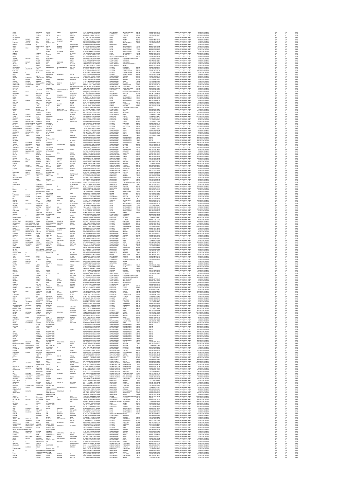|                                                                                                                                                                    |                                                                                      |                                                                                                                                                                                                                     | FATAN<br>BATAN<br>SUDMA                                                                                                                                                                                                                                                                                                | <b>NATH</b>                          |                                                                                                                           | VALUE BARANT GEORGIAN CONTINUES (1) A AMARANT GEORGIAN VALUE BARANT GEORGIAN CONTINUES (1) A CHANNEL CONTINUES (1) AND A MAIN CONTINUES (1) A CHANNEL CONTINUES (1) A CHANNEL CONTINUES (1) A CHANNEL CONTINUES (1) A CHANNEL                                                                                                                                                                                                                  | WEST BENGA                                                                                                                                                                                                                                                                                                             | .<br>WEST MIDNAPORI<br>DARJILING                                                                                                                                                                                                                                                                             | 721212<br>734001<br>760001<br>800004                                                                                                                            |                                                                                                  |                                                                                                                                                        |                                                                                                    |
|--------------------------------------------------------------------------------------------------------------------------------------------------------------------|--------------------------------------------------------------------------------------|---------------------------------------------------------------------------------------------------------------------------------------------------------------------------------------------------------------------|------------------------------------------------------------------------------------------------------------------------------------------------------------------------------------------------------------------------------------------------------------------------------------------------------------------------|--------------------------------------|---------------------------------------------------------------------------------------------------------------------------|------------------------------------------------------------------------------------------------------------------------------------------------------------------------------------------------------------------------------------------------------------------------------------------------------------------------------------------------------------------------------------------------------------------------------------------------|------------------------------------------------------------------------------------------------------------------------------------------------------------------------------------------------------------------------------------------------------------------------------------------------------------------------|--------------------------------------------------------------------------------------------------------------------------------------------------------------------------------------------------------------------------------------------------------------------------------------------------------------|-----------------------------------------------------------------------------------------------------------------------------------------------------------------|--------------------------------------------------------------------------------------------------|--------------------------------------------------------------------------------------------------------------------------------------------------------|----------------------------------------------------------------------------------------------------|
| SIMA<br>SUMIT<br>SOVANA<br>SADANAI<br>RANGAN                                                                                                                       |                                                                                      | NARMA<br>GOYAL<br>SAHAN<br>SINGH<br>ALI<br>NOOR<br>N                                                                                                                                                                |                                                                                                                                                                                                                                                                                                                        | NDH<br><b>CUMAI</b>                  | KARNAN<br>GOYAL<br>SAHANY<br>SINGH<br>SINGH<br>ALI                                                                        |                                                                                                                                                                                                                                                                                                                                                                                                                                                |                                                                                                                                                                                                                                                                                                                        | DAILING<br>GANJAM<br>PATNA<br>PATNA<br>PATNA<br>MAZATAAD DILHI<br>CENTRAL DILHI<br>CENTRAL DILHI<br>CENTRAL DILHI<br>CENTRAL DILHI<br>CENTRAL DILHI<br>CENTRAL DILHI<br>CENTRAL DILHI<br>CENTRAL DILHI<br>CENTRAL DILHI<br>CENTRAL DILHI<br>CENTRAL DILHI                                                    | $rac{1}{2}$                                                                                                                                                     |                                                                                                  |                                                                                                                                                        |                                                                                                    |
|                                                                                                                                                                    | kumar<br>Tauseef<br>Haque<br>Kumarh                                                  |                                                                                                                                                                                                                     | n<br>JAYANT<br>SYAD<br>NOTAVAI                                                                                                                                                                                                                                                                                         |                                      |                                                                                                                           |                                                                                                                                                                                                                                                                                                                                                                                                                                                |                                                                                                                                                                                                                                                                                                                        |                                                                                                                                                                                                                                                                                                              | 42000                                                                                                                                                           |                                                                                                  |                                                                                                                                                        |                                                                                                    |
|                                                                                                                                                                    | ptw                                                                                  | n<br>Khane<br>Garg<br>Kali                                                                                                                                                                                          | u<br>Radha<br>Banwari<br>Mohd<br>Mohd                                                                                                                                                                                                                                                                                  | RAMAN<br>RATTAN                      |                                                                                                                           |                                                                                                                                                                                                                                                                                                                                                                                                                                                |                                                                                                                                                                                                                                                                                                                        |                                                                                                                                                                                                                                                                                                              |                                                                                                                                                                 |                                                                                                  |                                                                                                                                                        |                                                                                                    |
|                                                                                                                                                                    |                                                                                      |                                                                                                                                                                                                                     |                                                                                                                                                                                                                                                                                                                        | SULEMAN<br>VIJAY                     | NINGAD<br>GARG<br>GARG<br>CHAWLA<br>CHAWLA<br>SINGH<br>GUPTA<br>GUPTA<br>GUPTA<br>GUPTA<br>RATHOD<br>RATHOD<br>RATHOD     |                                                                                                                                                                                                                                                                                                                                                                                                                                                |                                                                                                                                                                                                                                                                                                                        |                                                                                                                                                                                                                                                                                                              | 110019<br>110033<br>110041<br>110055<br>110092<br>140031                                                                                                        |                                                                                                  |                                                                                                                                                        |                                                                                                    |
|                                                                                                                                                                    |                                                                                      |                                                                                                                                                                                                                     |                                                                                                                                                                                                                                                                                                                        |                                      |                                                                                                                           |                                                                                                                                                                                                                                                                                                                                                                                                                                                |                                                                                                                                                                                                                                                                                                                        |                                                                                                                                                                                                                                                                                                              | 198001<br>181114<br>GAR                                                                                                                                         |                                                                                                  |                                                                                                                                                        |                                                                                                    |
|                                                                                                                                                                    |                                                                                      |                                                                                                                                                                                                                     |                                                                                                                                                                                                                                                                                                                        |                                      |                                                                                                                           |                                                                                                                                                                                                                                                                                                                                                                                                                                                |                                                                                                                                                                                                                                                                                                                        |                                                                                                                                                                                                                                                                                                              |                                                                                                                                                                 |                                                                                                  |                                                                                                                                                        |                                                                                                    |
|                                                                                                                                                                    | kumaa<br>Kr                                                                          |                                                                                                                                                                                                                     | SH<br>SANDEEP<br>DAYA<br>VEDPRAK<br>NSHWA<br>ROOP<br>SANDASA<br>SANDASA<br>SANDASA                                                                                                                                                                                                                                     | NARAYAN<br>RAM                       |                                                                                                                           |                                                                                                                                                                                                                                                                                                                                                                                                                                                |                                                                                                                                                                                                                                                                                                                        |                                                                                                                                                                                                                                                                                                              |                                                                                                                                                                 |                                                                                                  |                                                                                                                                                        |                                                                                                    |
| IMBANUL<br>DINESH<br>GEETA<br>GEETA<br>SALMANISH<br>SALMANISH<br>SALMANISH<br>NANGHEA<br>NANGHEA<br>NANGHEA<br>NANGHEA<br>NANGHEA<br>NANGHEA<br>NANGHEA<br>NANGHEA | .<br>.<br>.                                                                          | CHAWLA<br>SINGH<br>SINGH<br>KEDIA<br>KEDIA<br>GUPTA<br>DEEPAK<br>DEEPAK<br>RATHOO<br>PATEL<br>NATHOO<br>PATEL<br>NATHOO                                                                                             |                                                                                                                                                                                                                                                                                                                        |                                      |                                                                                                                           |                                                                                                                                                                                                                                                                                                                                                                                                                                                |                                                                                                                                                                                                                                                                                                                        |                                                                                                                                                                                                                                                                                                              | 162268<br>$\frac{1}{2}$<br>18202                                                                                                                                |                                                                                                  |                                                                                                                                                        |                                                                                                    |
| PATEL                                                                                                                                                              | TEJASH                                                                               |                                                                                                                                                                                                                     | .<br>3953NH<br>VOTAVAILABLI<br>ASHNUBHA                                                                                                                                                                                                                                                                                | ATMARAM                              | PATEL                                                                                                                     |                                                                                                                                                                                                                                                                                                                                                                                                                                                |                                                                                                                                                                                                                                                                                                                        |                                                                                                                                                                                                                                                                                                              | 18234<br>182620<br>400067                                                                                                                                       | IN30169612418432                                                                                 | Amount for unclaimed and u<br>Amount for unclaimed and u                                                                                               |                                                                                                    |
| RUPA<br>MEDHALI                                                                                                                                                    | SHREDGAR                                                                             |                                                                                                                                                                                                                     | GIRISH<br>SHREEKAR                                                                                                                                                                                                                                                                                                     | LADHABHA                             | KARAMBELKAA<br>PADMARIA                                                                                                   | <b><i>VARDHANN CHS LTD IINDIA</i></b><br>C-18 GURUPRASAD C INDIA<br>G-1001 BLDG NO 100 HNDIA<br>7/2/1 F NO-3 RAIESHWINDIA<br>PLOT NOT/21 GATE NCINDIA<br>PLOT NOT/21 GATE NCINDIA                                                                                                                                                                                                                                                              | MONARA<br>KARA TARA MARA DENGAN<br>KARA TELUH<br>KIRI DELIH<br>KIRI DELIH<br>KIRI DELIH<br>KIRI DELIH<br>KIRI DELIH<br>KIRI DELIH<br>KIRI DELIH DELIH DELIH DELIH DELIH<br>KIRI DELIH DELIH DELIH DELIH DELIH DELIH DELIH DELIH DELIH DELIH<br>KIRI DELIH DELIH                                                        | MAMMU<br>HAMMU<br>HAMMPUR<br>CHANDAUL CHANDAU<br>MERUT<br>MERUT ANGARA<br>GANDHI NAGAR<br>GANDHI NAGAR<br>MUMBA<br>MUMBA<br>MUMBA<br>MUMBA<br>MUMBA<br>MUMBA<br>MUMBA<br>MUMBA<br>MUMBA<br>MUMBA<br>MUMBA<br>MUMBA<br>MUMBA<br>MUMBA<br>MUMBA<br>MUMBA<br>MUMBA<br>MUMBA<br>MUMBA<br>MUMBA<br>MUMBA<br>MUMBA | 400073<br>40007                                                                                                                                                 | IN30009510708299<br>1201860000165126<br>1203320001180753                                         | Amount for unclaimed and u<br>Amount for unclaimed and u                                                                                               |                                                                                                    |
| PUNIT<br>SANDIP<br>SUMANISA                                                                                                                                        | PREMII<br>RAMLAL<br>BHIMRAO                                                          | SURYAWA                                                                                                                                                                                                             | premji<br>Ramlal<br>ANANDRAD<br>SUGANCHAND                                                                                                                                                                                                                                                                             | MAXHA                                | <b>BHOSALE</b>                                                                                                            |                                                                                                                                                                                                                                                                                                                                                                                                                                                |                                                                                                                                                                                                                                                                                                                        |                                                                                                                                                                                                                                                                                                              | 411046<br>425001<br>431001                                                                                                                                      | 1203320001323434<br>1201060002874129<br>IN30177412447144                                         | Amount for unclaimed and u<br>Amount for unclaimed and u                                                                                               |                                                                                                    |
| NEMICHANI<br><b>DODEPUDE</b>                                                                                                                                       | SUGANCH                                                                              | DECCA<br>DEVI                                                                                                                                                                                                       | <b>IANDYALA</b>                                                                                                                                                                                                                                                                                                        | <b>JVA</b>                           | DEODA<br>KALYANACHAKRA<br><b>UAMAKRISHNA</b>                                                                              | PANGAY GALLI AURA INDIA<br>112-2-788/205 VIJAYA IINDIA<br>10-27-3/A GANGIREDGINDIA<br>10-27-3/A GANGIREDGINDIA<br>17-17/937/3 VIDHYADIINDIA<br>17-17/937/3 VIDHYADIINDIA                                                                                                                                                                                                                                                                       |                                                                                                                                                                                                                                                                                                                        | AURANGABAD<br>HYDERABAD                                                                                                                                                                                                                                                                                      | 500021<br>530010                                                                                                                                                | N30039416426927<br>1203840000175801                                                              | Amount for unclaimed and u<br>Amount for unclaimed and u<br>Amount for unclaimed and u                                                                 |                                                                                                    |
| SRIVIDYA<br>BRUNDA<br>PRAKASH                                                                                                                                      | PILLAI                                                                               | RAVIORAN<br>G<br>SENGUPTA                                                                                                                                                                                           | GOPALAKRI<br>GOPALA<br>TARUN<br>OM                                                                                                                                                                                                                                                                                     | <b>MOSURNARA</b><br>KRISHNA          | SETTY<br>PILLAI                                                                                                           |                                                                                                                                                                                                                                                                                                                                                                                                                                                | ANDHRA PRADESH<br>ANDHRA PRADESH<br>KARNATAKA<br>VEST BENGAL<br>WEST BENGAL                                                                                                                                                                                                                                            | VISAKHAPATNAM<br>BANGALORE<br>THIRUVANAI<br>KOLKATA                                                                                                                                                                                                                                                          | 560031<br>19501                                                                                                                                                 | 1202990004180088<br>1205730000148580                                                             | Amount for unclaimed and u<br>Amount for unclaimed and u                                                                                               |                                                                                                    |
| MOUSUM<br>KANTA<br>RICHA                                                                                                                                           | <b>DEVI</b>                                                                          |                                                                                                                                                                                                                     |                                                                                                                                                                                                                                                                                                                        | PRAKASH<br>RAMESHKUM                 | SENGUPTA<br>KEIRIWAL<br>DHATIA<br>CHAWLA<br>MAMGAIN<br>MAMGAIN                                                            | FLAT B 6 44 IRONSIDE IINDIA<br>21 KHETRA MITRA LAPINDIA<br>B - 16 OPP ALPNA CINEINDIA                                                                                                                                                                                                                                                                                                                                                          | WEST BENGA                                                                                                                                                                                                                                                                                                             |                                                                                                                                                                                                                                                                                                              | 700019<br>711000<br>110009                                                                                                                                      | N30257120785815<br>IN30265410000799<br>IN30020610890858                                          | Amount for unclaimed and u<br>Amount for unclaimed and u<br>Amount for unclaimed and u                                                                 |                                                                                                    |
| RUCHI<br>VINOD<br>SANTOSH                                                                                                                                          | PRASAD                                                                               | KEJRIWAL<br>BHATIA<br>CHAWLA<br>MAMGAID                                                                                                                                                                             | SH<br>SH<br>SOVIND<br>CHANDAR<br>ASHOK<br>NATHU                                                                                                                                                                                                                                                                        | RAM                                  |                                                                                                                           | B - 18 UPP ADMINISTRATION<br>FLOT NO 248 PATPARCINDIA<br>H NO 19/A JAKHAL MAINDIA<br>S/O 3H ASHOK GUPTA INDIA<br>HOUSE NO 43 WARD FINDIA                                                                                                                                                                                                                                                                                                       |                                                                                                                                                                                                                                                                                                                        | Howrah<br>CENTRAL DELHI<br>CENTRAL DELHI<br>CENTRAL DELHI<br>CENTRAL DELHI                                                                                                                                                                                                                                   | 110027<br>1100%<br>125133                                                                                                                                       | IN30282210079833<br>IN30177413502774<br>N30011811451307                                          | Amount for unclaimed and u<br>Amount for unclaimed and u<br>Amount for unclaimed and u                                                                 |                                                                                                    |
| PUNEET<br>ASHA<br>ASHOK                                                                                                                                            |                                                                                      | DEVI<br>GUPTA                                                                                                                                                                                                       |                                                                                                                                                                                                                                                                                                                        | KUMAR<br>RAM                         | <b>BHAN</b><br>GUPTA<br>MITTAL                                                                                            |                                                                                                                                                                                                                                                                                                                                                                                                                                                |                                                                                                                                                                                                                                                                                                                        |                                                                                                                                                                                                                                                                                                              | 145001<br>152001                                                                                                                                                | 1201860000381948<br>IN30160410636258                                                             | Amount for unclaimed and u<br>Amount for unclaimed and u                                                                                               |                                                                                                    |
| ANDO<br>AMIT                                                                                                                                                       | KUMAI                                                                                |                                                                                                                                                                                                                     | SH                                                                                                                                                                                                                                                                                                                     | BASANTLAI<br>PRAMODILIMA             |                                                                                                                           |                                                                                                                                                                                                                                                                                                                                                                                                                                                |                                                                                                                                                                                                                                                                                                                        |                                                                                                                                                                                                                                                                                                              | NAGAR                                                                                                                                                           | 001461<br>1202060000260431<br>IN30296010025835                                                   | Amount for unclaimed and u<br>Amount for unclaimed and u<br>Amount for unclaimed and u                                                                 |                                                                                                    |
| ANIL<br>SHYAM                                                                                                                                                      | SUNDER<br>EISHORE                                                                    |                                                                                                                                                                                                                     |                                                                                                                                                                                                                                                                                                                        |                                      |                                                                                                                           |                                                                                                                                                                                                                                                                                                                                                                                                                                                | WEST BENGAL<br>DELHI<br>DELHI<br>DELHI<br>PUNJAR<br>PUNJAR PRADESH<br>UTTAR PRADESH<br>UTTAR PRADESH<br>UTTAR PRADESH<br>UTTAR PRADESH<br>UTTAR PRADESH<br>UTTAR PRADESH<br>UTTAR PRADESH<br>UTTAR PRADESH                                                                                                             |                                                                                                                                                                                                                                                                                                              |                                                                                                                                                                 | IN30169611041638<br>1202060000712846<br>120106000026695                                          | Amount for unclaimed and u<br>Amount for unclaimed and u<br>Amount for unclaimed and u                                                                 |                                                                                                    |
| JUGAL<br>SAURABH                                                                                                                                                   | <b>KUMAR</b>                                                                         | RANI<br>SHARIMA<br>GUNAKISHWAL<br>MAHISHWAL<br>SHARIMA<br>RANSAL<br>VADINAGIO<br>CULAIDAS<br>PARIXH<br>CHHOTALA<br>PARIXH                                                                                           |                                                                                                                                                                                                                                                                                                                        |                                      | MITTAL<br>GUPTA<br>GUPTA<br>MAHESHWAR<br>AGRAWAL<br>KUMAR<br>DANSAL<br>DANSAL<br>WADNAGRA                                 |                                                                                                                                                                                                                                                                                                                                                                                                                                                |                                                                                                                                                                                                                                                                                                                        |                                                                                                                                                                                                                                                                                                              | 105801<br>144001<br>144022                                                                                                                                      | N30311610096121<br>1201210100020051                                                              | Amount for unclaimed and u<br>Amount for unclaimed and u                                                                                               |                                                                                                    |
| VINOD<br>KAJALBEN                                                                                                                                                  |                                                                                      |                                                                                                                                                                                                                     |                                                                                                                                                                                                                                                                                                                        |                                      |                                                                                                                           |                                                                                                                                                                                                                                                                                                                                                                                                                                                |                                                                                                                                                                                                                                                                                                                        |                                                                                                                                                                                                                                                                                                              | 362000<br>361005                                                                                                                                                | 1201800000112446<br>IN:30039413327715                                                            | Amount for unclaimed and u<br>Amount for unclaimed and u<br>Amount for unclaimed and u                                                                 |                                                                                                    |
| DAMANI<br>VIRAL<br>MAHENDRA<br>DHANSUKHI                                                                                                                           | PRAVINKLIMAR<br>BHARATKUMAR<br>DILIPKUMAR<br>KAMERINA<br>KAMERINA<br>SHIRAM<br>NILIP |                                                                                                                                                                                                                     | STARAM<br>STARAM<br>RAMILSH<br>RAMISH<br>GOVIND<br>GOVIND<br>GULADAM<br>RAMISHA<br>RAMISHA<br>RAMISHA<br>RAMISHA<br>RAMISHA<br>RAMISHA<br>RAMISHA<br>RAMISHA<br>RAMISHA<br>RAMISH<br>RAMISH<br>RAMISH<br>RAMISH<br>RAMISH<br>RAMISH<br>RAMISH<br>RAMISHA<br>RAMISHA<br>RAMISHA<br>RAMISHA                              |                                      | PAREION                                                                                                                   | <b>POSSIBLE TRANSPORT AND REPORT OF A REPORT OF A REPORT OF A REPORT OF A REPORT OF A REPORT OF A REPORT OF A REPORT OF A REPORT OF A REPORT OF A REPORT OF A REPORT OF A REPORT OF A REPORT OF A REPORT OF A REPORT OF A REPOR</b>                                                                                                                                                                                                            | RAIASTHAN<br>RAIASTHAN<br>RAIASTHAN<br>GUIMRAT<br>GUIMRAT<br>GUIMRAT<br>MARAASHTRA<br>MARAASHTRA<br>MARAASHTRA<br>MARAASHTRA<br>MARAASHTRA<br>MARAASHTRA<br>MARAASHTRA<br>MARAASHTRA<br>MARAASHTRA<br>MARAASHTRA<br>MARAASHTRA<br>MARAASHTRA<br>MARAASHTRA<br>MARAASHTRA<br>MARAASHTRA<br>MAR                          |                                                                                                                                                                                                                                                                                                              | 162001<br>164290<br>196590<br>400610                                                                                                                            | 1201800000326030<br>1201980000123643<br>1202890000171571                                         | Amount for unclaimed and u<br>Amount for unclaimed and u                                                                                               |                                                                                                    |
|                                                                                                                                                                    |                                                                                      | EULKARN                                                                                                                                                                                                             |                                                                                                                                                                                                                                                                                                                        | VASANT                               | KULKARN<br><b>SONI</b>                                                                                                    |                                                                                                                                                                                                                                                                                                                                                                                                                                                |                                                                                                                                                                                                                                                                                                                        |                                                                                                                                                                                                                                                                                                              | 401100                                                                                                                                                          | IN30051313223982<br>130234000018075                                                              | Amount for unclaimed and u<br>Amount for unclaimed and u<br>Amount for unclaimed and u                                                                 |                                                                                                    |
| CHITRA<br>VINDO<br>VINDO<br>DEPAK<br>DEEPAK<br>SANJAY<br>MARSALA<br>VINDOSALA<br>GUNVANT<br>DHIRAJ<br>DIHRAJ<br>DHIRAJ<br>DHIRAJ<br>DHIRAJ                         | VILAS<br>TEJRAJ                                                                      | SON<br>KALE<br>GANDHI<br>GHADGE<br>GHADGE                                                                                                                                                                           | NOTAVAILABLE                                                                                                                                                                                                                                                                                                           |                                      | GANDHI<br>DEDNEKAR                                                                                                        |                                                                                                                                                                                                                                                                                                                                                                                                                                                |                                                                                                                                                                                                                                                                                                                        |                                                                                                                                                                                                                                                                                                              | 412803<br>413102                                                                                                                                                | 1203000000377255<br>1201330000734466<br>002105<br>002108                                         | Amount for unclaimed and u<br>Amount for unclaimed and u<br>Amount for unclaimed and u                                                                 |                                                                                                    |
|                                                                                                                                                                    |                                                                                      | PUNGLIA<br>DHOOT                                                                                                                                                                                                    | <br>Maxama                                                                                                                                                                                                                                                                                                             |                                      | PUNGLIA<br>cescat                                                                                                         |                                                                                                                                                                                                                                                                                                                                                                                                                                                |                                                                                                                                                                                                                                                                                                                        |                                                                                                                                                                                                                                                                                                              |                                                                                                                                                                 | 002139<br>IN30045080531200                                                                       | Amount for unclaimed and u<br>Amount for unclaimed and u                                                                                               |                                                                                                    |
|                                                                                                                                                                    | RAIKUMAR<br>ANANDRAO<br>WASANT<br>MURLIDHAR<br>REVONAND<br>MANALKENC                 |                                                                                                                                                                                                                     | ANANDRAD<br>VASANT<br>MURLIDHAR<br>NAVALKISHOI<br>MAVALKISHOI                                                                                                                                                                                                                                                          | PUNDLICRAD                           | PAWAR<br>KAPARE                                                                                                           | 37 CHANDRAPRAIDHA (INDIA<br>08 5 NO 44 PLOT NO 1/INDIA                                                                                                                                                                                                                                                                                                                                                                                         |                                                                                                                                                                                                                                                                                                                        |                                                                                                                                                                                                                                                                                                              | 414000<br>414000<br>414000<br>415000<br>425000<br>425000<br>425000                                                                                              | IN:10177416760781<br>IN:10051318256292<br>1201320000312268                                       | Amount for unclaimed and u<br>Amount for unclaimed and u<br>Amount for unclaimed and u                                                                 |                                                                                                    |
|                                                                                                                                                                    | NAVALKISMOR<br>MOMO                                                                  |                                                                                                                                                                                                                     |                                                                                                                                                                                                                                                                                                                        | LALCHAND                             | SNAH                                                                                                                      | GAT NO 190/5 PLOT NINDIA<br>1 PLOT NO 20 MAHARUNDIA                                                                                                                                                                                                                                                                                                                                                                                            |                                                                                                                                                                                                                                                                                                                        |                                                                                                                                                                                                                                                                                                              | 431112                                                                                                                                                          | N30177413278603<br>1303580000021453                                                              | Amount for unclaimed and u<br>Amount for unclaimed and u                                                                                               |                                                                                                    |
| SAHIR<br>SANJAY<br>AYUSH<br>SAEEDA                                                                                                                                 |                                                                                      |                                                                                                                                                                                                                     | M<br>IAGDISH                                                                                                                                                                                                                                                                                                           | IMS                                  |                                                                                                                           |                                                                                                                                                                                                                                                                                                                                                                                                                                                |                                                                                                                                                                                                                                                                                                                        |                                                                                                                                                                                                                                                                                                              | 444601<br>445001<br>452001<br>455223                                                                                                                            | IN30039415976019<br>IN30198310831892<br>IN30198310659579                                         | Amount for unclaimed and u<br>Amount for unclaimed and u<br>Amount for unclaimed and u                                                                 |                                                                                                    |
|                                                                                                                                                                    | KUMAR                                                                                |                                                                                                                                                                                                                     |                                                                                                                                                                                                                                                                                                                        | HUSSAIN<br>KUMAR                     |                                                                                                                           | FLAT NO-10 ANUPAM INDIA<br>15 JAMPURA KALAMI RINDIA<br>94 BADAGANPATI KACINDIA<br>17 NARSINGH BAZARI NDIA<br>2 AKIR MANZIL 39 NAGINDIA<br>1/3 SHANI GALI BARBINDIA<br>3 MOP 4 AMAR CREP CLOTH 5 INDIA<br>AMAR CREP CLOTH 5 INDIA                                                                                                                                                                                                               | MADHYA PRADESH<br>MADHYA PRADESH<br>MADHYA PRADESH<br>MADHYA PRADESH<br>MADHYA PRADESH<br>MADHYA PRADESH<br>MADHYA PRADESH<br>MADHYA PRADESH<br>MADHYA PRADESH                                                                                                                                                         |                                                                                                                                                                                                                                                                                                              | 456006<br>456771                                                                                                                                                | IN30198310053476<br>IN30198310356662<br>N30169611055148                                          | Amount for unclaimed and u<br>Amount for unclaimed and u                                                                                               |                                                                                                    |
| SANJAY<br>GHANSHYAM<br>NANDA                                                                                                                                       | DAS<br>KUMA                                                                          |                                                                                                                                                                                                                     |                                                                                                                                                                                                                                                                                                                        | DAS<br>KUMAR<br>SAKAL                |                                                                                                                           |                                                                                                                                                                                                                                                                                                                                                                                                                                                |                                                                                                                                                                                                                                                                                                                        |                                                                                                                                                                                                                                                                                                              | 482002<br>484114<br>484551<br>500018                                                                                                                            | 120356020000406<br>1203560200008971                                                              | Amount for unclaimed and u<br>Amount for unclaimed and u<br>Amount for unclaimed and u                                                                 |                                                                                                    |
| SUNIL<br>NALLA<br>RAMYA                                                                                                                                            | TIRUMALI<br>MAHESH                                                                   | PAWAR<br>RATIL<br>PATIL<br>PATIL<br>SUAH ZUAH KARAN<br>SUAH MAGOR<br>KARANA<br>MARANA SUAH<br>SUAH MARANA<br>SUAH MARANA<br>KARILIMAR<br>NARILIMAR<br>NARILIMAR<br>NARILIMAR<br>NARILIMAR<br>NARILIMAR<br>NARILIMAR | IAGOISH<br>KAUASHONAND<br>ZAHID<br>ABHAYA<br>ADISTAN<br>MUSHAM<br>VISHAVAA<br>VISHAVAA<br>NOTAVAILABLE<br>PRAKASH<br>NOTAVAILABLE<br>PRAKASH<br>NOTAVAILABLE<br>PRAKAT<br>NOTAVAA<br>NOTAVAA<br>NOTAVAA                                                                                                                | RAD<br>NARSAIAY                      | SAHIR<br>SHARMA<br>SETHI<br>MAGRANI<br>MAGRANI<br>MAGHA<br>SHAH<br>MAGACH<br>MAGACH<br>MAGACH<br>MAGACH                   |                                                                                                                                                                                                                                                                                                                                                                                                                                                | ANDHRA PRADESP<br>ANDHRA PRADESP<br>ANDHRA PRADESP                                                                                                                                                                                                                                                                     | SING MANY MANAGEMENT WAS ARRESTED FOR A MANAGEMENT WAS ARRESTED FOR A MANAGEMENT WAS A MANAGEMENT WAS A MANAGEMENT WAS A MANAGEMENT WAS A MANAGEMENT WAS A MANAGEMENT WAS A MANAGEMENT WAS A MANAGEMENT WAS A MANAGEMENT WAS A                                                                               | 507116<br>518300                                                                                                                                                | IN30051318637702<br>120816000071699<br>IN30102221326684                                          | Amount for unclaimed and u<br>Amount for unclaimed and u<br>Amount for unclaimed and u                                                                 |                                                                                                    |
| .<br>ANJANEYA<br>RITA<br>AMITHA                                                                                                                                    | GUPTA<br>PRAKASH                                                                     |                                                                                                                                                                                                                     |                                                                                                                                                                                                                                                                                                                        | $\overline{M}$                       | NARIELWALA<br>TATER                                                                                                       |                                                                                                                                                                                                                                                                                                                                                                                                                                                |                                                                                                                                                                                                                                                                                                                        |                                                                                                                                                                                                                                                                                                              | 522235<br>573103                                                                                                                                                | IN30039414168018<br>IN30169610484874<br>IN30169610946926                                         | Amount for unclaimed and u<br>Amount for unclaimed and u                                                                                               |                                                                                                    |
| MANJUNATHAN<br>SADANANO                                                                                                                                            |                                                                                      | RAJU<br>KALAL<br>YACOCIS                                                                                                                                                                                            |                                                                                                                                                                                                                                                                                                                        | OTHEVAN                              | RAJU<br>KALAL                                                                                                             |                                                                                                                                                                                                                                                                                                                                                                                                                                                |                                                                                                                                                                                                                                                                                                                        |                                                                                                                                                                                                                                                                                                              | 577401<br>577548<br>591307                                                                                                                                      | IN30023911860295<br>IN30192630762246                                                             | Amount for unclaimed and u<br>Amount for unclaimed and u<br>Amount for unclaimed and u                                                                 |                                                                                                    |
| A<br>IEROME                                                                                                                                                        |                                                                                      |                                                                                                                                                                                                                     | -<br>SHANKAR<br>NOTAVALABLI                                                                                                                                                                                                                                                                                            |                                      | CHRISPINROMULAS                                                                                                           | $\begin{array}{l} \textbf{MSE} = \textbf{AMAR} \textbf{C} \textbf{MSE} \\ \textbf{MSE} = \textbf{MSE} \\ \textbf{C} \textbf{C} \textbf{MSE} = \textbf{MSE} \\ \textbf{MSE} = \textbf{RSE} \\ \textbf{RSE} = \textbf{MSE} \\ \textbf{RSE} = \textbf{MSE} \\ \textbf{MSE} = \textbf{MSE} \\ \textbf{MSE} = \textbf{MSE} \\ \textbf{MSE} = \textbf{MSE} \\ \textbf{MSE} = \textbf{MSE} \\ \textbf{MSE} = \textbf{MSE} \\ \textbf{MSE} = \textbf{$ | ANDHRA PRADISH<br>ANDHRA PRADISH<br>KARNATAKA<br>KARNATAKA<br>KARNATAKA<br>KARNATAKA<br>TAMIL NADU<br>TAMIL NADU<br>TAMIL NADU<br>TAMIL NADU<br>TAMIL NADU<br>TAMIL NADU<br>KERAA<br>KERAA<br>KERAA<br>KERAA<br>KERAA<br>KERAA<br>KERAA<br>KERAA<br>KERAA<br>KERAA<br>KERAA<br>KERAA<br>KERAA<br>KERAA<br>KE           | SHIMOGA<br>BELGAUM<br>BAMANATHAF<br>BAMANATHAF<br>MADURAI<br>MADURAI<br>MAMAKKAL<br>MAMAKKAL<br>MAMAKKAL<br>MAMAKKAL<br>MAMAKKAL                                                                                                                                                                             | 100023<br>623525                                                                                                                                                | IN30108013085256<br>1304140005302925                                                             | Amount for unclaimed and u<br>Amount for unclaimed and u                                                                                               |                                                                                                    |
| SUBBAREDO                                                                                                                                                          |                                                                                      | .<br>Maanthaa<br>PREMIOJMAR<br>DHAMAYANTH                                                                                                                                                                           | OVUREDOY                                                                                                                                                                                                                                                                                                               |                                      | SUBBAREDOY<br>raja<br>Ilamurugan                                                                                          |                                                                                                                                                                                                                                                                                                                                                                                                                                                |                                                                                                                                                                                                                                                                                                                        |                                                                                                                                                                                                                                                                                                              | 625007<br>625010<br>637000                                                                                                                                      | N30177410536327<br>IN:30039412188875<br>1203350000239783                                         | Amount for unclaimed and u<br>Amount for unclaimed and u<br>Amount for unclaimed and u                                                                 |                                                                                                    |
| VINOD<br>IAITAR                                                                                                                                                    | v                                                                                    | IOSHI<br>NISAMUDHEEN<br>UDAYAN                                                                                                                                                                                      | ARADARAJ<br>ISMAIL<br>KUTTAPPAN                                                                                                                                                                                                                                                                                        | JOSH                                 | <b>NAIR</b>                                                                                                               |                                                                                                                                                                                                                                                                                                                                                                                                                                                |                                                                                                                                                                                                                                                                                                                        |                                                                                                                                                                                                                                                                                                              | 671321<br>676507<br>680623                                                                                                                                      | IN:30169611180294<br>IN:30163741916856<br>1202390000241825                                       | Amount for unclaimed and u<br>Amount for unclaimed and u<br>Amount for unclaimed and u                                                                 |                                                                                                    |
| n<br>RATHEESH                                                                                                                                                      | KUMAR                                                                                | M<br>AGARWAI<br>MONDAL                                                                                                                                                                                              | NDIRADEV<br>BISHWA<br>RAM<br>INUMAR<br>MAHAVIR<br>MAHAVIR                                                                                                                                                                                                                                                              |                                      | AGARWA                                                                                                                    | AMARAKTU MODEL INDIAN ANTHONY ANG ANG COMBANY ANG ANG ANG ARABAN BARANG KATION ANG ARABAN STATION ANG ARABAN STATION ANG ARABAN STATION ANG ARABAN STATION ANG ARABAN STATION ANG ARABAN STATION ANG ARABAN STATION ANG ARABA                                                                                                                                                                                                                  | WEST BENGA                                                                                                                                                                                                                                                                                                             | THISSUR<br>KOLLAM<br>KOLLAM<br>MPHAL WEST<br>PATNA<br>CENTRAL DELHI<br>CENTRAL DELHI                                                                                                                                                                                                                         | 091523<br>700000                                                                                                                                                | 120567000001807<br>IN30115113131172                                                              | Amount for unclaimed and u<br>Amount for unclaimed and u                                                                                               |                                                                                                    |
|                                                                                                                                                                    | <b>DEVI</b>                                                                          |                                                                                                                                                                                                                     |                                                                                                                                                                                                                                                                                                                        | NATH<br>CHANDIV<br>MAL               |                                                                                                                           |                                                                                                                                                                                                                                                                                                                                                                                                                                                | WEST BENGA<br>MANIPUR                                                                                                                                                                                                                                                                                                  |                                                                                                                                                                                                                                                                                                              | 713212<br>795000<br>800009                                                                                                                                      | N30177412244805<br>1204630000144791<br>N30210510337126                                           | Amount for unclaimed and u<br>Amount for unclaimed and u<br>Amount for unclaimed and u                                                                 |                                                                                                    |
| RAJ<br>GITA<br>KUMAR<br>CHANDRA<br>NUTAN<br>CHANDRA                                                                                                                | EHUSHAR                                                                              | IAN<br>AMAND<br>CHOUDHATH<br>MALHOTRA<br>BATRA<br>RATRA<br>SINGH                                                                                                                                                    | raj<br>ravi                                                                                                                                                                                                                                                                                                            | KUMAR                                | MONDAL<br>KALA<br>CHOUDHARY<br>KUMAR<br>GAUTAM<br>MATAA<br>TRICH                                                          |                                                                                                                                                                                                                                                                                                                                                                                                                                                | EIHAR<br>EIHAR<br>DELHI                                                                                                                                                                                                                                                                                                |                                                                                                                                                                                                                                                                                                              | 842000<br>11005                                                                                                                                                 | IN:30099910026143<br>1205120000005971                                                            | Amount for unclaimed and u<br>Amount for unclaimed and u                                                                                               |                                                                                                    |
| CHALLESH<br>GIRI<br>SURENDEP                                                                                                                                       | RAJ                                                                                  |                                                                                                                                                                                                                     | <b>BAVI<br/>CHAMAN<br/>AIAY<br/>DASIRATH<br/>GANGA<br/>GANGA<br/>GANFAT<br/>VAS</b><br>VAS                                                                                                                                                                                                                             | LAL<br>CHAND                         |                                                                                                                           |                                                                                                                                                                                                                                                                                                                                                                                                                                                | DELHI<br>DELHI<br>DELHI                                                                                                                                                                                                                                                                                                | CENTRAL DELHI<br>CENTRAL DELHI<br>CENTRAL DELHI<br>CENTRAL DELH                                                                                                                                                                                                                                              | 11006<br>11006                                                                                                                                                  | IN30051314035643<br>IN30165310164542                                                             | Amount for unclaimed and u<br>Amount for unclaimed and u<br>Amount for unclaimed and u                                                                 |                                                                                                    |
| MRIDUL<br><b>KULDEEP</b>                                                                                                                                           |                                                                                      | SINGH<br>CHAUHAN<br>MAHESHWAI                                                                                                                                                                                       |                                                                                                                                                                                                                                                                                                                        | PAL<br>SINGH                         | SINGH<br>CHALINAN                                                                                                         |                                                                                                                                                                                                                                                                                                                                                                                                                                                |                                                                                                                                                                                                                                                                                                                        |                                                                                                                                                                                                                                                                                                              | 110054<br>123400                                                                                                                                                | IN30298640009314<br>IN30020610996444<br>IN 30088811091816<br>1304140000442670                    | Amount for unclaimed and u<br>Amount for unclaimed and u                                                                                               |                                                                                                    |
| DHARMENDRA<br>ATINDER                                                                                                                                              |                                                                                      | SINGH<br>Kurdia                                                                                                                                                                                                     |                                                                                                                                                                                                                                                                                                                        | RAM                                  | SINGH<br>KURDA<br>DEV<br>MANGE<br>DESAI<br>SHARH                                                                          |                                                                                                                                                                                                                                                                                                                                                                                                                                                |                                                                                                                                                                                                                                                                                                                        | CENTRAL DELH<br>GHAZIABAD<br>GHAZIABAD<br>LUCKNOW<br>BIGANER<br>JAMNOGAR<br>AMNEDABAD<br>RANASKANTNI<br>BANASKANTNI<br>BANASKANTNI<br>SURAT<br>SURAT                                                                                                                                                         | 134801<br>142026<br>161001                                                                                                                                      | 1202060000698972<br>IN:30051320470573                                                            | Amount for unclaimed and u<br>Amount for unclaimed and u<br>Amount for unclaimed and u                                                                 |                                                                                                    |
| PURSHOTTAN<br>KAMALDHAI                                                                                                                                            | SHWARDAS<br>IHUPINDRAINA DISA<br>MOHMEDYUSUFMAMIN                                    | PAL<br>MANGE                                                                                                                                                                                                        |                                                                                                                                                                                                                                                                                                                        | KANJIBHA<br>NANALAL<br>AMIN          |                                                                                                                           |                                                                                                                                                                                                                                                                                                                                                                                                                                                |                                                                                                                                                                                                                                                                                                                        |                                                                                                                                                                                                                                                                                                              | 380014<br>380055                                                                                                                                                | 1204470000239327<br>IN30034310611939<br>N30292710040736                                          | Amount for unclaimed and u<br>Amount for unclaimed and u<br>Amount for unclaimed and u                                                                 |                                                                                                    |
| SHAIKH<br>RAJULBEN<br>ANJLI                                                                                                                                        | GHANSHYAMBHABHAVSA<br>vipul<br>Hasmukhilal                                           |                                                                                                                                                                                                                     |                                                                                                                                                                                                                                                                                                                        | CHANDRAKAN                           | PANDYA                                                                                                                    | DINNING THE CONTRACTOR<br>12-8 HINDU COLONY (INDIA<br>52 A PRACHINA SOC B INDIA<br>6 RANJAN SOCIETY NR INDIA<br>5 DINNING BLOG 5 B SINDA<br>5 DINNING BLOG 5 B SINDA<br>5 DINNING BLOG 5 B SINDA<br>5 DINNING BLOG 5 B SINDA                                                                                                                                                                                                                   |                                                                                                                                                                                                                                                                                                                        |                                                                                                                                                                                                                                                                                                              | 185001<br>190007                                                                                                                                                | 1203320000964682<br>IN30051312014369                                                             | Amount for unclaimed and u<br>Amount for unclaimed and u                                                                                               |                                                                                                    |
| SANDIPERIA                                                                                                                                                         | DEWANCHAND<br>DAWOOD<br>HIMATLAL                                                     | PANDYA<br>SHAH<br>KAPOOR<br>NAGANI<br>VORA<br>YADAV<br>RIKAMI<br>RIKAMI                                                                                                                                             |                                                                                                                                                                                                                                                                                                                        | JAISUICH<br>USMAN                    |                                                                                                                           |                                                                                                                                                                                                                                                                                                                                                                                                                                                |                                                                                                                                                                                                                                                                                                                        |                                                                                                                                                                                                                                                                                                              | 195007<br>400005                                                                                                                                                | N30133019834298<br>IN:30036020746409<br>IN:30160410705232                                        | Amount for unclaimed and u<br>Amount for unclaimed and u<br>Amount for unclaimed and u                                                                 |                                                                                                    |
|                                                                                                                                                                    |                                                                                      |                                                                                                                                                                                                                     |                                                                                                                                                                                                                                                                                                                        |                                      |                                                                                                                           |                                                                                                                                                                                                                                                                                                                                                                                                                                                |                                                                                                                                                                                                                                                                                                                        |                                                                                                                                                                                                                                                                                                              | 400015<br>400058<br>400614<br>401107                                                                                                                            |                                                                                                  |                                                                                                                                                        |                                                                                                    |
|                                                                                                                                                                    |                                                                                      |                                                                                                                                                                                                                     |                                                                                                                                                                                                                                                                                                                        | .<br>Kanwar                          |                                                                                                                           | A 604 VEENA BEENA A INDIA<br>2ND SURYA KIRAN B INDIA<br>F 4/6 SECTOR 3 CBD BEINDIA                                                                                                                                                                                                                                                                                                                                                             |                                                                                                                                                                                                                                                                                                                        |                                                                                                                                                                                                                                                                                                              |                                                                                                                                                                 | IN:30040910159584<br>IN:30051314456308                                                           | Amount for unclaimed and u<br>Amount for unclaimed and u                                                                                               |                                                                                                    |
| DIUP<br>HAJIQBAL<br>BHAVESH<br>SANJAY<br>RAJU<br>MANJULA<br>MANJULA<br>MUKESH                                                                                      |                                                                                      |                                                                                                                                                                                                                     |                                                                                                                                                                                                                                                                                                                        | BABU<br>DHONDIBA                     |                                                                                                                           |                                                                                                                                                                                                                                                                                                                                                                                                                                                |                                                                                                                                                                                                                                                                                                                        |                                                                                                                                                                                                                                                                                                              |                                                                                                                                                                 | 120447000343295                                                                                  | Amount for unclaimed and u<br>Amount for unclaimed and u<br>Amount for unclaimed and u                                                                 |                                                                                                    |
|                                                                                                                                                                    | MAHADEV<br>RAMESH<br>RAMEEVAN<br>ROBATLAL<br>POPATLAL<br>JAIMIN                      | GADE<br>MITTAL<br>MATHUR                                                                                                                                                                                            |                                                                                                                                                                                                                                                                                                                        | M<br>VITHAL<br>SHANKERLAI            | <b>FRIDIA<br/>SHAH<br/>KAPOOR<br/>NAGANI VORA<br/>YADAV<br/>RIKAME<br/>SAXHRE<br/>MITTAL</b><br>MATHUR<br>MATHURI<br>SNAH | 301 SUNDER SAROVARINDIA<br>JOSHI VADA TAKALE VIINDIA<br>678 SHUKRAWARPETHINDIA<br>PLOT NO 12 TIDKE COLINDIA                                                                                                                                                                                                                                                                                                                                    |                                                                                                                                                                                                                                                                                                                        |                                                                                                                                                                                                                                                                                                              | 410507<br>411002<br>422002<br>422013                                                                                                                            | 1202060000403446<br>1203320001435468<br>IN30051316962565<br>120230000006660                      | Amount for unclaimed and u<br>Amount for unclaimed and u                                                                                               |                                                                                                    |
| SAPNA<br>RUPAL<br>KUNDANNA<br>SETHIYA<br>MALLIKA                                                                                                                   |                                                                                      | SHAH<br>SONS<br>GAUTHAMRA<br>ERISHN                                                                                                                                                                                 | MOHMED<br>CHANGHAMED<br>VIPUL<br>VIPUL<br>INAMODIO MANOS<br>DAMODIO<br>INAMODIO<br>MAHADIY<br>MAHADIY<br>INAMON<br>POPATTAL<br>JAMON<br>NAMODIO<br>PAMODIO<br>PAMODIO<br>PAMODIO<br>PAMODIO<br>PAMODIO<br>PAMODIO<br>PAMODIO<br>PAMODIO<br>NAMODIO<br>NAMODIO<br>NAMODIO<br>NAMODIO<br>NAMODIO<br><b>DRISHINAMURTH</b> |                                      | <b>SETHINA</b>                                                                                                            |                                                                                                                                                                                                                                                                                                                                                                                                                                                |                                                                                                                                                                                                                                                                                                                        |                                                                                                                                                                                                                                                                                                              |                                                                                                                                                                 | 1205470000005488<br>1201090006813600<br>1203350000160183                                         | Amount for unclaimed and u<br>Amount for unclaimed and u<br>Amount for unclaimed and u                                                                 |                                                                                                    |
|                                                                                                                                                                    |                                                                                      |                                                                                                                                                                                                                     | NARAYANAM                                                                                                                                                                                                                                                                                                              |                                      | PITCHAI                                                                                                                   |                                                                                                                                                                                                                                                                                                                                                                                                                                                |                                                                                                                                                                                                                                                                                                                        | SURAT<br>MUMBAI<br>MUMBAI<br>MUMBAI<br>THANE<br>THANE<br>PUNE<br>NASHK<br>MASHK<br>DANGAICE<br>DANGAICE<br>DANGAICE<br>DANGAICE<br>DANGAICE<br>DANGAICE                                                                                                                                                      | 560002<br>584101<br>600044<br>625000<br>683553                                                                                                                  | IN30189510326132<br>IN30189510212802                                                             | Amount for unclaimed and u<br>Amount for unclaimed and u                                                                                               |                                                                                                    |
| RAJASEKARAN<br>SUSAN<br>VINAY<br>AMIT<br>AMIT<br>ASHOR                                                                                                             | KUMAI<br>KUMA                                                                        | SHRAFI                                                                                                                                                                                                              |                                                                                                                                                                                                                                                                                                                        | CHANDRA                              | VARUGHESE<br>SHRAFF<br>GHOSH<br>AGARWAL<br>-----------                                                                    |                                                                                                                                                                                                                                                                                                                                                                                                                                                | HARVANA<br>UTAR PRAGES<br>UTAR PRAGES<br>MANSTHAN<br>MANSTHAN<br>MANSTHAN<br>MANASA<br>GUIARAT<br>GUIARAT<br>MANASASHTRA<br>MANASASHTRA<br>MANASASHTRA<br>MANASASHTRA<br>MANASASHTRA<br>MANASASHTRA<br>MANASASHTRA<br>MANASASHTRA<br>MANASASHTRA<br>MANASASHTRA<br>MANASASHTRA<br>MANASASH<br>WEST BENGA<br>WEST BENGA | ERNAKULAM<br>KOLKATA<br>HOWRAH<br>NORTH 24 PA                                                                                                                                                                                                                                                                | 700012<br>711205<br>743144                                                                                                                                      | IN:30036021967225<br>IN:30236511064510<br>1203600000951571                                       | Amount for unclaimed and u<br>Amount for unclaimed and u<br>Amount for unclaimed and u                                                                 |                                                                                                    |
| moth<br>VIMAL                                                                                                                                                      | PRAKASP<br>KUMAI                                                                     | GHOSH<br>AGARWA<br>M                                                                                                                                                                                                | SUBODH<br>RAM<br>KALAPPA<br>SIDDAPPA                                                                                                                                                                                                                                                                                   | PARKASH                              | MAHADEVAPPA<br>YADAV                                                                                                      |                                                                                                                                                                                                                                                                                                                                                                                                                                                | KARNATAKA<br>KARNATAKA                                                                                                                                                                                                                                                                                                 |                                                                                                                                                                                                                                                                                                              | 110049                                                                                                                                                          | 003587<br>003600<br>1202300000185482                                                             | Amount for unclaimed and u<br>Amount for unclaimed and u<br>Amount for unclaimed and u                                                                 |                                                                                                    |
|                                                                                                                                                                    |                                                                                      |                                                                                                                                                                                                                     | om<br>Shar                                                                                                                                                                                                                                                                                                             |                                      |                                                                                                                           |                                                                                                                                                                                                                                                                                                                                                                                                                                                |                                                                                                                                                                                                                                                                                                                        | Mysore<br>Kodagu<br>CENTRAL DELHI                                                                                                                                                                                                                                                                            | 125001<br>131001                                                                                                                                                | 1204470003926160                                                                                 | Amount for unclaimed and u<br>Amount for unclaimed and u                                                                                               |                                                                                                    |
| SUNITA<br>RAM<br>UMA<br>MEENA<br>PARVEEN<br>SANJAY                                                                                                                 |                                                                                      |                                                                                                                                                                                                                     | ARVIND<br>RATTAN<br>MADAN                                                                                                                                                                                                                                                                                              | LAL                                  | DASS<br>NATH<br>KUMAR<br>LAL<br>BABBAR                                                                                    | PLOT NO 32 TIMES CAUSING THE STATISTIC TO ANGERE WAS THAN IN THE STATISTIC OF A SUBJECT CAUSING THE STATISTIC CAUSING THE STATISTIC CAUSING THE STATISTIC CAUSING THE STATISTIC CONTINUES THE STATISTIC CONTINUES THE STATIST                                                                                                                                                                                                                  | DELHI<br>HARYANA<br>HARYANA<br>HARYANA                                                                                                                                                                                                                                                                                 |                                                                                                                                                                                                                                                                                                              | 135000<br>143505                                                                                                                                                | 001367<br>IN30177413248575<br>IN30114311174806<br>1203350001536757                               | Amount for unclaimed and u<br>Amount for unclaimed and u<br>Amount for unclaimed and u                                                                 |                                                                                                    |
| YOGINDER<br>SEEMA<br>SARQJ                                                                                                                                         |                                                                                      |                                                                                                                                                                                                                     |                                                                                                                                                                                                                                                                                                                        | KANT                                 |                                                                                                                           | D/291 GOVIND PURI MINDIA<br>A-2, SECTOR-60 NOIDAINDIA                                                                                                                                                                                                                                                                                                                                                                                          |                                                                                                                                                                                                                                                                                                                        | MISAR<br>HISAR<br>MINIA 135<br>MINITSAR 143<br>GHAZIARAD<br>GHAZIARAD<br>GHAZIARAD<br>GHAZIARAD<br>GHAZIARAD<br>GHAZIARAD<br>GAUTAM BUDDHA NAGAR                                                                                                                                                             |                                                                                                                                                                 | 001525<br>001380<br>N30133017859635                                                              | Amount for unclaimed and u<br>Amount for unclaimed and u<br>Amount for unclaimed and u                                                                 |                                                                                                    |
| PRIYANKA                                                                                                                                                           |                                                                                      |                                                                                                                                                                                                                     | :<br>LAXMI<br>ZILAY                                                                                                                                                                                                                                                                                                    | KUMAR<br>SINGH                       |                                                                                                                           | C/O. FLEX INDUSTRIES INDIA<br>104A/78 RAM BAGH KINDIA<br>KEDAR KUNI KUCHA SHINDIA<br>BUS STAND NANAUTA INDIA                                                                                                                                                                                                                                                                                                                                   |                                                                                                                                                                                                                                                                                                                        |                                                                                                                                                                                                                                                                                                              |                                                                                                                                                                 | IN30021412145963<br>1205630000037195                                                             | Amount for unclaimed and u<br>Amount for unclaimed and u                                                                                               | 150.00 01-NOV-2021                                                                                 |
| SARLA<br>SHWETA<br>GIRRAJ                                                                                                                                          | PRAKAS                                                                               |                                                                                                                                                                                                                     |                                                                                                                                                                                                                                                                                                                        | SK<br>Nadayan                        | <b>CHOUBEY</b><br>SOOD<br>AWASTHI<br>AGARWAL<br>VERMA<br>RASTOGI<br>RASTOGI<br>MOLIA<br>CURG                              | H- 100 SHIVALIK NAGA INDIA<br>PLOT NO 33 VIVEK VIH INDIA<br>874 B K KAUL NAGAR FINDI                                                                                                                                                                                                                                                                                                                                                           | HARYANA<br>FUNNAR<br>UTTAR PRADESH<br>UTTAR PRADESH<br>UTTAR PRADESH<br>UTTAR PRADESH<br>UTTAR PRADESH<br>UTTAR PRADESH<br>UTTAR PRADESH<br>UTTAR PRADESH<br>NAJASTHAN<br>RAJASTHAN<br>RAJASTHAN                                                                                                                       |                                                                                                                                                                                                                                                                                                              |                                                                                                                                                                 | IN30231610145265<br>IN30611420035206<br>N30311610007585                                          | Amount for unclaimed and u<br>Amount for unclaimed and u<br>Amount for unclaimed and u                                                                 | 25.00 01-NOV-2021<br>150.00 01-NOV-2021<br>50.00 01-NOV-2021                                       |
| VISHINU<br>IATEN<br>AJI                                                                                                                                            | DEVI                                                                                 | YADAV<br>SINGH<br>KANT<br>KANT<br>KANT<br>KANTAR<br>GUPTA<br>GUPTA<br>KANTOGI<br>KANTOGI<br>KANTOGI<br>KANTOGI<br>KANTOGI<br>KANTOGI<br>KANTOGI<br>CHOCHAR                                                          | SH<br>GOVIND<br>RAMNIVAS<br>NOTAVALABLE<br>PRAHLAD                                                                                                                                                                                                                                                                     | RA                                   | CHOUDHART                                                                                                                 | 401 SECTOR 3 KHANN/INDIA<br>105 SURERA GALI SE S INDIA                                                                                                                                                                                                                                                                                                                                                                                         | RAJASTHAN<br>RAJASTHAN<br>RAJASTHAM                                                                                                                                                                                                                                                                                    | KANPUR DENAT<br>MORADAMPUR<br>HARISWAR<br>JAPUR<br>AIMER<br>CHURU<br>CHURU<br>CHURU                                                                                                                                                                                                                          | 305004<br>311002                                                                                                                                                | 1601010000273952<br>1201770100542265                                                             | Amount for unclaimed and u<br>nt for unclaimed and u<br>Amount for unclaimed and u                                                                     | 75.00 01-NOV-2021<br>250.00 01-NOV-2021                                                            |
| DARSHANA<br>SUNITA                                                                                                                                                 |                                                                                      |                                                                                                                                                                                                                     | SURENDRA                                                                                                                                                                                                                                                                                                               | OPANKAJ<br>KUMAR                     | <b>KUKAR</b>                                                                                                              | 46-L-BLOCK SRI GAN INDIA<br>SONYA ELECTRICALS G INDIA                                                                                                                                                                                                                                                                                                                                                                                          | RAJASTHAN<br>RAJASTHAN                                                                                                                                                                                                                                                                                                 |                                                                                                                                                                                                                                                                                                              | 135001<br>142001                                                                                                                                                | 1201910103154183<br>120109000057130                                                              |                                                                                                                                                        | 10.00 01-NOV-2021<br>25.00 01-NOV-2021                                                             |
| PATEL<br>RUCHI<br>SUMAN                                                                                                                                            | HARESH<br>ARJANI                                                                     | KUKAR<br>JAIN<br>VITHALBI                                                                                                                                                                                           | <b>VITHALBHA</b><br>DHIREN                                                                                                                                                                                                                                                                                             | KADVAINA                             | iain<br>Patel<br>KANAKHARA                                                                                                | fulwadi dhora opp.india<br>Dhiren 58 digvilay p India<br>MANGROL BUNDAR 5 INDIA                                                                                                                                                                                                                                                                                                                                                                |                                                                                                                                                                                                                                                                                                                        | GANGANAGAR<br>JODHPUR<br>RAJKOT                                                                                                                                                                                                                                                                              | 360370<br>361005<br>162226                                                                                                                                      | IN30097410887055<br>IN30103924430496<br>1203320001278352                                         | Amount for unclaimed and us<br>Amount for unclaimed and us<br>Amount for unclaimed and us<br>Amount for unclaimed and us<br>Amount for unclaimed and u | 50.00 01-NOV-2021<br>50.00 01-NOV-2021<br>50.00 01-NOV-2021                                        |
| VADIA<br>KALPESHI                                                                                                                                                  | SOMIL<br>BATUKRA                                                                     |                                                                                                                                                                                                                     |                                                                                                                                                                                                                                                                                                                        | <b>SEVAKRAM</b>                      |                                                                                                                           | HARAN KULIANTA SOCINDIA<br>BLOCK NO 6 KRUSHNA INDIA                                                                                                                                                                                                                                                                                                                                                                                            |                                                                                                                                                                                                                                                                                                                        |                                                                                                                                                                                                                                                                                                              | 164710<br>164710                                                                                                                                                | IN30097411749019                                                                                 | Amount for unclaimed and u<br>Amount for unclaimed and u                                                                                               | 50.00 01-NOV-2021                                                                                  |
| GANGARAM<br>GULAMUDOR<br>PRAKASHDEV                                                                                                                                | GANISHA                                                                              |                                                                                                                                                                                                                     | ASIANDINA<br>SALIMBHAI<br>BATUKRAI<br>LALUMAL<br>BANBHAI<br>BANARSIDAS<br>AMBITI AI                                                                                                                                                                                                                                    | KALURAM                              |                                                                                                                           | S GANSHYAM SOCIETY INDIA<br>PAYGA TALAV DARWA INDIA<br>SHAKTI HOUSE 1558 /1INDIA                                                                                                                                                                                                                                                                                                                                                               |                                                                                                                                                                                                                                                                                                                        |                                                                                                                                                                                                                                                                                                              |                                                                                                                                                                 | 1201120200014228<br>IN:30051320002670<br>1202770000159810<br>IN30216410091016                    | Amount for unclaimed and u<br>Amount for unclaimed and u<br>Amount for unclaimed and u                                                                 | 250.00 01-NOV-2025<br>150.00 01-NOV-2025<br>391.50 01-NOV-2025<br>850.00 01-NOV-2025               |
| RAIEEV<br>SEEMA                                                                                                                                                    | AMRITLAL<br>BHAMN                                                                    | <b>VIIRALERAN<br/>GOSITA<br/>SALIMBHAI<br/>BHAVSAR<br/>ASARINAL<br/>AGARINAL<br/>AGARINAL</b><br>AGARINAL<br>AGARINAL<br>MEHTA<br>MASUE                                                                             | AMRITLAL<br>DHAVIN                                                                                                                                                                                                                                                                                                     |                                      | ASANANI<br>SHAIKH<br>AGARWAI<br>MUNDRA<br>GOPPLATH                                                                        |                                                                                                                                                                                                                                                                                                                                                                                                                                                | PAUSITINA<br>GUIARAT<br>GUIARAT<br>GUIARAT<br>GUIARAT<br>GUIARAT<br>GUIARAT<br>GUIARAT<br>MAHARASHTRA<br>MAHARASHTRA<br>MAHARASHTRA<br>MAHARASHTRA                                                                                                                                                                     |                                                                                                                                                                                                                                                                                                              | 184151<br>188255<br>195002<br>196230<br>000055<br>00071                                                                                                         | IN30198310870846<br>120332000393184<br>IN30154917612552                                          | Amount for unclaimed and u<br>Amount for unclaimed and u<br>Amount for unclaimed and u                                                                 |                                                                                                    |
| BINDU<br>NAMDEO<br>NARENDR                                                                                                                                         | PIRAI<br>GANGARAM                                                                    | BANSOO<br>KAMAT                                                                                                                                                                                                     | .<br>PIRAJI                                                                                                                                                                                                                                                                                                            | GANGARAM<br>NARAYAN<br>DEVOO         | BANSOD<br>KAMAT                                                                                                           | 20 VEHNDAVAN SOCIETING<br>19 VEHNDAVAN SOCIETING<br>1722 RADHAKRISHNA FINDIA<br>117/2 RADHAKRISHNA FINDIA<br>517/2 ADITYA NARAYA INDIA<br>517/2 ADITYA NARAYA INDIA<br>C 6/21/2 1 SECTOR 18 INDIA                                                                                                                                                                                                                                              | MAHARASHTRA<br>GOA<br>MAHARASHTRA                                                                                                                                                                                                                                                                                      |                                                                                                                                                                                                                                                                                                              | 401603<br>403530<br>410200                                                                                                                                      | IN30051314647180<br>IN30051319246840<br>1203600000155488                                         | Amount for unclaimed and u<br>Amount for unclaimed and u<br>Amount for unclaimed and u                                                                 |                                                                                                    |
| SANJAY<br>LAXMI                                                                                                                                                    | RAJVARDHAN                                                                           | JOIL<br>GADDAM<br>DAYMA                                                                                                                                                                                             |                                                                                                                                                                                                                                                                                                                        |                                      | JOIL<br>GADDAM                                                                                                            | hi hoʻningane hom india<br>Videocon internatilindia                                                                                                                                                                                                                                                                                                                                                                                            | MAHARASHTRA<br>MAHARASHTRA                                                                                                                                                                                                                                                                                             |                                                                                                                                                                                                                                                                                                              | 411052                                                                                                                                                          | IN30177417246192<br>002141                                                                       | Amount for unclaimed and u<br>Amount for unclaimed and us                                                                                              |                                                                                                    |
| SUBHASH<br>SALUNKE<br>GANDHI                                                                                                                                       |                                                                                      | VILAS<br>VIKAS<br>GUPTA                                                                                                                                                                                             | FIRM<br>GANGARAM<br>RAIVARDHAN<br>NOTAVALABLE<br>RAMBHAU<br>KANTILAL<br>KANTILAL                                                                                                                                                                                                                                       | ¢                                    | <b>GUPTA</b>                                                                                                              | VIDEOCON INTERNATIONDIA<br>VIDEOCON INTERNATIINDIA                                                                                                                                                                                                                                                                                                                                                                                             | MAHARASHTR                                                                                                                                                                                                                                                                                                             | JAMNAGAR<br>BIHAWAGAR<br>BIHAWAGAR<br>BIHAWAGAR<br>BIHAWAGAR<br>AHAMD<br>DAMAR<br>MURING NORTH GOA<br>AHAMD NAGAR<br>AHAMD NAGAR<br>AHAMD NAGAR<br>AHAMD NAGAR<br>AHAMD NAGAR<br>AHAMD NAGAR<br>AHAMD NAGAR<br>AHAMD NAGAR<br>AHAMD NAGAR<br>AHAMD NAGAR<br>AMMED NAGAI                                      |                                                                                                                                                                 |                                                                                                  | Amount for unclaimed and us<br>Amount for unclaimed and us<br>Amount for unclaimed and us                                                              |                                                                                                    |
|                                                                                                                                                                    |                                                                                      | KADAM<br>WAGH<br>RAJGURL                                                                                                                                                                                            | .<br>Notavalable                                                                                                                                                                                                                                                                                                       |                                      |                                                                                                                           | GANGAPUR GIN COMPINDIA<br>GANGAPUR GIN COMPINDIA<br>GANGAPUR GIN COMPINDIA<br>GANGAPUR GIN COMPINDIA                                                                                                                                                                                                                                                                                                                                           | MAHARASHTRA<br>MAHARASHTRA<br>MAHARASHTRA<br>MAHARASHTRA<br>MAHARASHTR                                                                                                                                                                                                                                                 | AMMED NAGAI<br>AMMED NAGAI<br>AMMED NAGAI                                                                                                                                                                                                                                                                    |                                                                                                                                                                 |                                                                                                  | Amount for unclaimed and us<br>Amount for unclaimed and us<br>Amount for unclaimed and us                                                              |                                                                                                    |
| B<br>VINAY<br>SANJAY<br>DEVIDAS<br>SANJAY<br>FINIH<br>SUNIL                                                                                                        |                                                                                      | EHUDNAI<br>SOLANKI                                                                                                                                                                                                  |                                                                                                                                                                                                                                                                                                                        |                                      |                                                                                                                           | GANGAPUR GIN COMPINDIA                                                                                                                                                                                                                                                                                                                                                                                                                         | MAHARASHTR<br>MAHARASHTR                                                                                                                                                                                                                                                                                               | AMMED NAGAI                                                                                                                                                                                                                                                                                                  |                                                                                                                                                                 | 002152<br>002163<br>002123<br>002123<br>002128<br>002155<br>002167                               | Amount for unclaimed and us<br>Amount for unclaimed and us                                                                                             |                                                                                                    |
| PRADEEP<br>SAYALI<br>CHANDRAS                                                                                                                                      |                                                                                      |                                                                                                                                                                                                                     |                                                                                                                                                                                                                                                                                                                        | PRAIMAKAR<br>GOPAL                   | PENDS                                                                                                                     | GANGAPUR GIN COMPINDIA<br>GANGAPUR GIN COMPINDIA<br>RAI COLONY FCI ROAD INDIA                                                                                                                                                                                                                                                                                                                                                                  | MAHARASHTR<br>MAHARASHTR<br>MAHARASHTR                                                                                                                                                                                                                                                                                 |                                                                                                                                                                                                                                                                                                              | $\begin{array}{r} 414000 \\ 414000 \\ 414000 \\ 414000 \\ 414000 \\ 414000 \\ 414000 \\ 414000 \\ 414000 \\ 414000 \\ 414000 \\ 414000 \\ 42100 \\ \end{array}$ | 002169<br>IN30177417547014                                                                       | Amount for unclaimed and u<br>Amount for unclaimed and u<br>Amount for unclaimed and us                                                                |                                                                                                    |
| NITIN<br>SUDAS<br>RAIKUMAR                                                                                                                                         | HEMANT<br>SHARAD<br>BHALCHAI<br>PANDURANG<br>MOMANLAL                                | NAR<br>PENDSE<br>WANE<br>PATIL                                                                                                                                                                                      |                                                                                                                                                                                                                                                                                                                        |                                      | WANI<br>PATIL<br>KHADSE                                                                                                   | 4 NANDAN'WAN COLOHNDIA<br>PLOT 121 JAYOYAND NINDIA                                                                                                                                                                                                                                                                                                                                                                                             | MAHARASHTR<br>MAHARASHTRA<br>MAHARASHTRA                                                                                                                                                                                                                                                                               |                                                                                                                                                                                                                                                                                                              | 425001<br>425412<br>444602<br>445002                                                                                                                            | IN30177416486542<br>1201060002762984<br>1202890000<br>IN30112716778788                           | Amount for unclaimed and u<br>Amount for unclaimed and u                                                                                               |                                                                                                    |
| SUNITA<br>NARENDRA                                                                                                                                                 | KUMAR                                                                                | KHADSE<br>RATHI<br>NAMDHA                                                                                                                                                                                           |                                                                                                                                                                                                                                                                                                                        | GIMAR                                | CUPTA<br>LOWANSH                                                                                                          |                                                                                                                                                                                                                                                                                                                                                                                                                                                |                                                                                                                                                                                                                                                                                                                        | APINIED MAGARI<br>AHMIED MAGARI<br>AHMIED MAGARI<br>MASHIK<br>JALGAON<br>MARAVATI<br>MATAMA<br>MATAMA<br>MATAMA<br>MATAMA<br>MATAMA<br>MATAMAL<br>MATAMAL<br>MATAMAL<br>MATAMAL<br>MATAMAL<br>MATAMAL                                                                                                        | 457000<br>461221                                                                                                                                                | IN30198310696417<br>IN30198310913592                                                             | Amount for unclaimed and u<br>Amount for unclaimed and u<br>Amount for unclaimed and u                                                                 |                                                                                                    |
| SHAKUN<br>ABDUL                                                                                                                                                    |                                                                                      | LOWANSHI<br>BHATTAD<br>KADIR<br>MANOHAR<br>---                                                                                                                                                                      | NOTAVAILABLE<br>NOTAVAILABLE<br>NOTAVAILABLE<br>NOTAVAILABLE<br>NOTAVAILABLE<br>NOTAVAILABLE<br>NOTAVAILABLE<br>NOMORAMS<br>NOTAVAILABLE<br>NOTAVAILABLE<br>NOTAVAILABLE<br>NOTAVAILABLE<br>NOTAVAILABLE<br>NOTAVAILABLE<br>NOTAVAILABLE<br>NOTAVAILABLE<br>NOTAVAILABLE<br>NOTAV<br>SHRI                              | MOHD                                 |                                                                                                                           |                                                                                                                                                                                                                                                                                                                                                                                                                                                |                                                                                                                                                                                                                                                                                                                        | BHOPAL<br>JABALPUR                                                                                                                                                                                                                                                                                           | 462023<br>482000<br>490000                                                                                                                                      | IN30133018811102<br>IN30177410087747<br>120113000033945                                          | Amount for unclaimed and u<br>Amount for unclaimed and u<br>Amount for unclaimed and u                                                                 |                                                                                                    |
| G<br>RAMESH<br>UMA                                                                                                                                                 | <b>JAYADEER</b>                                                                      | RAD<br>KHATRI                                                                                                                                                                                                       | MADIRLA                                                                                                                                                                                                                                                                                                                | VENKAT<br>REDOY                      |                                                                                                                           | PEDITI PRASHAWI NAGARINDIA<br>111 PRASHAWI NAGARINDIA<br>157 NO 46 A PUSHPA INDIA<br>157 NO 46 A PUSHPA INDIA<br>158 NAMI NAMER KE SAMINDIA<br>158 NAMI NAGAR NAGAR OCHORA<br>157 NO 4-1/8 STREET INDIA<br>1600HOMA NAMER OLPHOIA<br>1600HOMA NAMER OL                                                                                                                                                                                         | OINATTISGARH<br>OINATTISGARH<br>OINATTISGARH<br>ANDHRA PRADES!                                                                                                                                                                                                                                                         | DURG<br>BASTAR<br>BASTAR                                                                                                                                                                                                                                                                                     | 494000<br>494000<br>500055                                                                                                                                      | 1201860000294895<br>1201860000248303<br>IN30226910781751                                         | Amount for unclaimed and u                                                                                                                             |                                                                                                    |
| POLEPALLI                                                                                                                                                          | RAGHUNATH                                                                            | REDOY<br>PRADHAVATI                                                                                                                                                                                                 | ram<br>Ragawa<br>Baskar                                                                                                                                                                                                                                                                                                |                                      | YASIN<br>GANESH<br>KUMAR<br>KONDARKINDI<br>METER<br>REDOY<br>THIPPESWAMY                                                  |                                                                                                                                                                                                                                                                                                                                                                                                                                                | ANDHRA PRADESP<br>ANDHRA PRADESP                                                                                                                                                                                                                                                                                       |                                                                                                                                                                                                                                                                                                              | 515762<br>51580                                                                                                                                                 | IN30066910188199<br>IN30066910172176                                                             | Amount for unclaimed and u<br>Amount for unclaimed and u<br>Amount for unclaimed and u                                                                 |                                                                                                    |
| THAI<br><b>TUGANDHA</b>                                                                                                                                            | ASWATH                                                                               |                                                                                                                                                                                                                     | AGAPPA<br>SAMIIHASIVA<br>PAPAIAH                                                                                                                                                                                                                                                                                       | RAD                                  | SETTY<br>PADAVALA                                                                                                         |                                                                                                                                                                                                                                                                                                                                                                                                                                                | ANDHRA PRADESP<br>ANDHRA PRADESP<br>ANDHRA PRADESP                                                                                                                                                                                                                                                                     |                                                                                                                                                                                                                                                                                                              | 51580<br>522500<br>523114                                                                                                                                       | IN30066910170533<br>120369000012217<br>120447000402653                                           | Amount for unclaimed and u<br>Amount for unclaimed and u<br>Amount for unclaimed and u<br>Amount for unclaimed and u                                   |                                                                                                    |
|                                                                                                                                                                    |                                                                                      | FARIDI<br>NASARAJU<br>PADAVALA<br>SENIVASALU<br>KUMAR<br>AURO MARI                                                                                                                                                  | VENKATA                                                                                                                                                                                                                                                                                                                | SUBRAMH                              | MATURI<br>MAGANTI                                                                                                         |                                                                                                                                                                                                                                                                                                                                                                                                                                                | ANDHRA PRADESH<br>ANDHRA PRADESH                                                                                                                                                                                                                                                                                       | <b><i>BASIAR</i></b><br>ANANTHAPUR<br>ANANTHAPUR<br>ANANTHAPUR<br>GUNTUR<br>PRAKASAM<br>VEAVASAM                                                                                                                                                                                                             | 530000<br>53300<br>53552                                                                                                                                        | IN30102220927710<br>1203810000003841<br>IN30232410569362                                         | Amount for unclaimed and u<br>Amount for unclaimed and u<br>Amount for unclaimed and u                                                                 |                                                                                                    |
| M<br>MVS<br>GUNTREDDI<br>GUNTREDDI<br>KRISHNA<br>DATTATREYA                                                                                                        | KRISHNA<br>VIJAYAPAUL<br>THAMMI<br>NAGENDRA                                          | MUNGAMUR<br>NAIDU<br>SIMHA                                                                                                                                                                                          | DANIEL<br>SRIVUN                                                                                                                                                                                                                                                                                                       | MURTHY                               | NAIDU<br>RAO                                                                                                              |                                                                                                                                                                                                                                                                                                                                                                                                                                                |                                                                                                                                                                                                                                                                                                                        |                                                                                                                                                                                                                                                                                                              | 56008                                                                                                                                                           | IN30039418455608<br>1201770000079139                                                             | Amount for unclaimed and u<br>Amount for unclaimed and u                                                                                               |                                                                                                    |
| <b>BASAVARAJ</b><br>usha<br>Sadashiv                                                                                                                               |                                                                                      | U<br>ANNIGERI<br>LAHOTI                                                                                                                                                                                             |                                                                                                                                                                                                                                                                                                                        | VIIRAPPA                             | ANNIGERI<br>LAHOTI                                                                                                        | BOONGINAT WAN CUP NOTABLE IN A CAPACITAL PARAMETERS (NOT ON DE 2 REVIEWER PARAMETERS)<br>DN FORM OF 2 ANY MANUFACTURE AND NO DE 2 ANY MANUFACTURE AND DE 2 ANY MANUFACTURE AND NOTABLE 5 - 1 AN ANGLE AND MANUFACTURE AND THE A<br>C 0 S T D PAND T BOT INDIA<br>NO 1-51 LAHOTI HOUSINDIA<br>FORTUNE HOTEL RAISHNOIA                                                                                                                           |                                                                                                                                                                                                                                                                                                                        | FRONTING<br>VSAKHAPATINAM<br>VSAKHAGARAM<br>BANGALORE<br>SHIMOGA<br>GADAG<br>GULBARGA<br>BAGALKOT<br>BAGALKOT                                                                                                                                                                                                | 577401<br>582101<br>585102<br>587201                                                                                                                            | IN30147710051162<br>IN30192630201128<br>1204450000241129                                         | Amount for unclaimed and u<br>Amount for unclaimed and u<br>Amount for unclaimed and u                                                                 |                                                                                                    |
|                                                                                                                                                                    | SHIVABAS<br>VASANT<br>KUMARS                                                         | HANDIGUNG<br>KADEMANI                                                                                                                                                                                               | KRISHNA<br>KUNTE<br>SHIVAPPA<br>SHIVABASAPPA<br>SHIVABASAPPA<br>VIIIANT<br>VASANT<br>MOHANAKRI                                                                                                                                                                                                                         | MALAKAPPA<br>SAMYRAIAS               | KADEMAN<br>s                                                                                                              | AT/PT: HOSPET GALLI TINDIA<br>NO 348 3RD CROSS ST INDIA                                                                                                                                                                                                                                                                                                                                                                                        |                                                                                                                                                                                                                                                                                                                        |                                                                                                                                                                                                                                                                                                              | 591201<br>iccos:<br>626117                                                                                                                                      | 1201060000527281<br>1204470006504641<br>IN30023910593565                                         | Amount for unclaimed and u<br>Amount for unclaimed and u<br>Amount for unclaimed and u                                                                 |                                                                                                    |
| ANAND<br>JANAKIRAMAN<br>GANESH<br>SRINIVASAN<br>-                                                                                                                  |                                                                                      |                                                                                                                                                                                                                     |                                                                                                                                                                                                                                                                                                                        |                                      |                                                                                                                           |                                                                                                                                                                                                                                                                                                                                                                                                                                                |                                                                                                                                                                                                                                                                                                                        | BAGALKOT<br>BELGAUM<br>VIRUDHUNA<br>VIRUDHUNA<br>ERSHNAGIRI                                                                                                                                                                                                                                                  | 635000<br>639002                                                                                                                                                | IN3002391200120                                                                                  | Amount for unclaimed and u<br>Amount for unclaimed and u                                                                                               |                                                                                                    |
| UMISH<br>SUBHAMAY<br>BROJENDRA                                                                                                                                     | $\boldsymbol{\mathsf{A}}$<br>MONAN                                                   | -<br>VUAYARANI<br>ROY<br>MAJUMDER<br>MOZUM                                                                                                                                                                          | KRISHNA<br>SUBRAMANIAM<br>BALAKRISHNAN<br>AMRITHALAL<br>-<br><br>NABANI                                                                                                                                                                                                                                                | DHAI                                 | ROY                                                                                                                       |                                                                                                                                                                                                                                                                                                                                                                                                                                                | ANDHRA PRADISH<br>ANDHRA PRADISH<br>KARNATAKA<br>KARNATAKA<br>KARNATAKA<br>KARNATAKA<br>TAMIL NADU<br>TAMIL NADU<br>TAMIL NADU<br>TAMIL NADU<br>TAMIL NADU<br>TAMIL NADU<br>TAMIL NADU<br>TAMIL NADU<br>TAMIL NADU<br>KERALA<br>WEST BENGA                                                                             | KARUR<br>THIRUVANA<br>HOOGHLY<br>BARDHAMAN                                                                                                                                                                                                                                                                   | 095017<br>712240<br>713325                                                                                                                                      | IN30163741572296<br>IN30163741872166                                                             | Amount for unclaimed and u<br>Amount for unclaimed and u<br>Amount for unclaimed and u                                                                 | 100.00 01-NOV-2021                                                                                 |
| ILLI<br>KANCHAN                                                                                                                                                    | <b>LAL</b>                                                                           | gadi<br>Kummi                                                                                                                                                                                                       | BAI<br>NOTAVAILABLE<br>NOTAVAILABLE                                                                                                                                                                                                                                                                                    |                                      | MAJUMDER<br>MOZUMDAR<br>GADI                                                                                              |                                                                                                                                                                                                                                                                                                                                                                                                                                                | WEST BENGAL<br>ARUNACHAL PR                                                                                                                                                                                                                                                                                            | WEST SIANG                                                                                                                                                                                                                                                                                                   | 791110<br>ICCOD<br>814133                                                                                                                                       |                                                                                                  | Amount for unclaimed and u<br>Amount for unclaimed and u                                                                                               | 1200.00 01-NOV-2021                                                                                |
| IAWAMAR<br>ANITA                                                                                                                                                   | KUMBALA                                                                              | SAM<br>DEVI                                                                                                                                                                                                         | ANAND<br>SURESH                                                                                                                                                                                                                                                                                                        | NANDAN                               | PRASAD                                                                                                                    |                                                                                                                                                                                                                                                                                                                                                                                                                                                | EIHAR<br>JHARKHAND<br><b>IMARKHAND</b><br>EIHAR                                                                                                                                                                                                                                                                        | PATNA<br>DUMKA<br>MUZAFFARPUR<br>MUZAFFARPUR                                                                                                                                                                                                                                                                 | 827004<br>842000                                                                                                                                                | 000073<br>1201090004269789<br>1201090004269789<br>1201120005311041224<br>1201120005231154        | Amount for unclaimed and u<br>Amount for unclaimed and u<br>Amount for unclaimed and u                                                                 |                                                                                                    |
|                                                                                                                                                                    | KUMAR<br>EHUSHAN                                                                     |                                                                                                                                                                                                                     | RAJ                                                                                                                                                                                                                                                                                                                    |                                      |                                                                                                                           |                                                                                                                                                                                                                                                                                                                                                                                                                                                | DELHI<br>DELHI                                                                                                                                                                                                                                                                                                         | CENTRAL DELHI<br>CENTRAL DELHI<br><b>JAMM</b>                                                                                                                                                                                                                                                                | 110012<br>110053<br>180000                                                                                                                                      | 1104140004285645<br>IN30099910011812<br>1202990000548134<br>IN30011810715444<br>IN30236510793367 | Amount for unclaimed and u<br>Amount for unclaimed and u<br>Amount for unclaimed and u                                                                 |                                                                                                    |
| KUM<br>AIIT<br>BHARAT<br>RAKESH<br>SMALINI<br>KAILASH                                                                                                              |                                                                                      |                                                                                                                                                                                                                     | CM                                                                                                                                                                                                                                                                                                                     | <br>Kumar<br>Parkash<br>MOHAN        | SINGH<br>MOTWANI<br>BERRY<br>SHARMA<br>AGARWAL<br>MIN                                                                     |                                                                                                                                                                                                                                                                                                                                                                                                                                                | JAMMU AND KA<br>UTTAR PRADESH                                                                                                                                                                                                                                                                                          | LUCKNOW                                                                                                                                                                                                                                                                                                      |                                                                                                                                                                 | 1203980000003512<br>1304140000078163                                                             | Amount for unclaimed and u<br>Amount for unclaimed and u                                                                                               |                                                                                                    |
| ANILKUMAP<br>NILESH<br>AMISHA                                                                                                                                      | SAVAILAL<br>JAMNADAS                                                                 | SINGH<br>MOTWANI<br>BERRY<br>SHARINAL<br>AGAIRAN<br>GAIRAR<br>GAIRAR<br>SHARI                                                                                                                                       | <b>JAG<br/>SARDAR</b><br>SAVAKAL                                                                                                                                                                                                                                                                                       | MAL<br>GULABCHAND<br><b>KUMARPAL</b> | JAIN<br>SHAH<br>SHAH<br>SHAH                                                                                              | NO 3081 BIO CONSISTE SUBMISSION AND STRAIGE AND STRAIGHT SUBMISSION FOR SUBMISSION PROPERTY SUBMISSION FOR SUBMISSION CONSISTENCY IN The ANGLE OF A BACK AND SUBMISSION FOR SUBMISSION CONSISTENCY CONSISTENCY IN The ANGLE O                                                                                                                                                                                                                  |                                                                                                                                                                                                                                                                                                                        | BARMER<br>AHMEDABAD<br>AHMEDABAD<br>VADODARA<br>VADODARA                                                                                                                                                                                                                                                     | 344001<br>380007<br>380021                                                                                                                                      | IN30246110528498<br>IN30305210030945<br>IN30177410540760                                         | Amount for unclaimed and u<br>Amount for unclaimed and u<br>Amount for unclaimed and u                                                                 |                                                                                                    |
| NILESHKUMAR<br>HZTA<br>CHANDRIKASEN                                                                                                                                | vipul<br>Naishihina<br>DHANSUICHLAI<br>KANAYALAL                                     | SHAH<br>BHIMANI<br><b>JARTWAL</b><br>MEHTA                                                                                                                                                                          |                                                                                                                                                                                                                                                                                                                        | MAGANLAL                             | <b>JAREWALA</b>                                                                                                           | 3 FOOLWADI SOC GONNOM<br>PIPLA SHERI GHADIALI INDIA<br>38 CIPAK SOCIETY NELINDIA                                                                                                                                                                                                                                                                                                                                                               |                                                                                                                                                                                                                                                                                                                        | VADODARA                                                                                                                                                                                                                                                                                                     | 192006<br>192008                                                                                                                                                | 12044000004262<br>1204840000028833<br>1202890000768095                                           | Amount for unclaimed and u<br>Amount for unclaimed and u<br>Amount for unclaimed and u                                                                 |                                                                                                    |
| SELECTMEDI                                                                                                                                                         | <b>ISPVTLTD</b><br>DEVANSNO                                                          | UDERANI                                                                                                                                                                                                             |                                                                                                                                                                                                                                                                                                                        |                                      |                                                                                                                           | 4/7510 BEGUMPURA (INDIA<br>405 DHANMORA COMINDIA<br>1005 EDEN WOODS SHINDIA<br>3/2A SATYA JIVAN SOCINDIA                                                                                                                                                                                                                                                                                                                                       |                                                                                                                                                                                                                                                                                                                        |                                                                                                                                                                                                                                                                                                              | 195001<br>195009<br>400051<br>400070                                                                                                                            | IN30143610856162<br>1201090000457420                                                             | Amount for unclaimed and u<br>Amount for unclaimed and u                                                                                               |                                                                                                    |
| VINITA<br>ARJANDAS<br>SOMAIL<br>DESHMUKH                                                                                                                           | TOTARAM<br>DATTATRAY                                                                 | OBHAN<br>KHAN<br>SUKHDEO                                                                                                                                                                                            | SAWARIA<br>VANDAS<br>VANSHIHIMAI<br>DHANSUIDILAL<br>NOTAVAILABLE<br>DEVANAM<br>DEVANAM<br>AGAMEHMOOD                                                                                                                                                                                                                   | ANANDRAM<br>HASAN<br>MARUTI          |                                                                                                                           | 15 SHRI KRISHNA DEEPINDIA<br>E/3 01 NILGIRI GARDEFINDIA<br>503 KAILASH PLAZA P INDIA                                                                                                                                                                                                                                                                                                                                                           | UTTAR PRADES<br>GUIARAT<br>GUIARAT<br>GUIARAT<br>GUIARAT<br>GUIARAT<br>MAHARASHTRA<br>MAHARASHTRA<br>MAHARASHTRA<br>MAHARASHTRA<br>MAHARASHTRA<br>MAHARASHTR<br>MAHARASHTR                                                                                                                                             |                                                                                                                                                                                                                                                                                                              | 40007<br>400614<br>400700                                                                                                                                       | IN30051314286657<br>IN30051316408304<br>IN30023912245482                                         | Amount for unclaimed and u<br>Amount for unclaimed and u<br>Amount for unclaimed and u                                                                 |                                                                                                    |
| SUMIT<br>VUAYA                                                                                                                                                     | <b>HARISH</b>                                                                        | AGARWAL<br>NARAYANAN                                                                                                                                                                                                |                                                                                                                                                                                                                                                                                                                        | <b>OMPRAKASP</b><br>PRAKASH          | obhan<br>Khan<br>Despimukh<br>Agarwal                                                                                     |                                                                                                                                                                                                                                                                                                                                                                                                                                                | MAHARASHTR<br>MAHARASHTRA<br>MADHYA PRADES                                                                                                                                                                                                                                                                             |                                                                                                                                                                                                                                                                                                              | 411039<br>421202<br>462021                                                                                                                                      | IN30051315810922<br>1204450000090855<br>IN30220110401844                                         | Amount for unclaimed and u<br>Amount for unclaimed and u<br>Amount for unclaimed and u                                                                 | 20.00 01-NOV-2021<br>110.00 01-NOV-2021<br>5.00 01-NOV-2021                                        |
| ATUL<br>ALABAM<br>MALLAIAN                                                                                                                                         | k<br>Viirya                                                                          | SHRIVASTAVA<br>BHASKAR                                                                                                                                                                                              | AGAMEHMOOD<br>SUKHOOD<br>HARISH<br>NOTAVALABLE<br>CM<br>A<br>NARSIMLOO                                                                                                                                                                                                                                                 |                                      |                                                                                                                           | BHAGYA DHARASHAN INDIA<br>101 SHIVASAKTHI SADINDIA<br>H. NO 67 VIVEKANANDINDIA<br>SRI NIVAS 10-1-641 NE INDIA<br>H NO 4-11-21 MAMILL INDIA                                                                                                                                                                                                                                                                                                     | ANDHRA PRADESP<br>ANDHRA PRADESP                                                                                                                                                                                                                                                                                       | VADOOARA<br>SURAT<br>MUMBAI<br>MUMBAI<br>MUMBAI<br>THANE<br>THANE<br>FINANE<br>THANE<br>MUDPAL<br>HTDERABAO<br>HTDERABAO<br>HTDERABAO<br><b>HYDERABAD</b>                                                                                                                                                    | 500020<br>500074                                                                                                                                                | IN30023930030149<br>1204470001409241                                                             | Amount for unclaimed and u<br>Amount for unclaimed and u                                                                                               |                                                                                                    |
| NAND                                                                                                                                                               | <b><i>BHARATH</i></b><br>A                                                           | jekusani<br>Kumar<br>SHIVASA                                                                                                                                                                                        | <br>Notavalabli<br>MBALAVANA                                                                                                                                                                                                                                                                                           | PR                                   | SHRIVASTVA<br>Damodaram<br>Jekusani<br>Ravuru                                                                             | D NO 26 31 87 A T AGRINDIA<br>NO 6 7 15T A CRS KARI INDIA<br>DOOR NO 310 TNHB 1:INDIA                                                                                                                                                                                                                                                                                                                                                          | ANDHRA PRADESH<br>KARNATAKA                                                                                                                                                                                                                                                                                            |                                                                                                                                                                                                                                                                                                              | 52200<br>560091<br>6CCOBC                                                                                                                                       | IN30115122138184<br>1208160001339144<br>IN30226911855897                                         | Amount for unclaimed and u<br>Amount for unclaimed and u<br>Amount for unclaimed and u                                                                 | 25.00 01-NOV-2025<br>6.00 01-NOV-2025<br>1.00 01-NOV-2025<br>10.00 01-NOV-2025<br>1.00 01-NOV-2021 |
| .<br>rama<br>SANJAY                                                                                                                                                |                                                                                      |                                                                                                                                                                                                                     | AKANNAN                                                                                                                                                                                                                                                                                                                | SETTYRA                              |                                                                                                                           | OLD NO 18 NEW NO 41NDM                                                                                                                                                                                                                                                                                                                                                                                                                         |                                                                                                                                                                                                                                                                                                                        | GUNTUR<br>BANGALORE<br>CHEMNAI<br>FALAXXAD<br>PALAXXAD<br>BAETHAMAI                                                                                                                                                                                                                                          | 638452<br>678623<br>713130                                                                                                                                      | 1201090002923616<br>IN:1013:1020073921<br>IN:10210510223852                                      | Amount for unclaimed and u<br>Amount for unclaimed and us                                                                                              | 5.00 01-NOV-2021<br>930.00 01-NOV-2021                                                             |
| MADHL                                                                                                                                                              |                                                                                      | VENKATACH<br>ANURADHA<br>MANDAL<br>BHUTRA                                                                                                                                                                           | KANNAYYA<br>RADHA<br>MADAN                                                                                                                                                                                                                                                                                             | RAMAN<br>MOHAN                       | MANDAL<br>BHUTRA                                                                                                          | C\O UDAYA SHANKAR INDIA<br>MALOPARA P.O.- KATVINDIA<br>3/1 SARAJU PRASAD RIINDIA                                                                                                                                                                                                                                                                                                                                                               | TAMIL NADU<br>TAMIL NADU<br>KERALA<br>WEST BENGAL<br>WEST BENGAL                                                                                                                                                                                                                                                       | BARDHAMAN<br>MALDA                                                                                                                                                                                                                                                                                           | 732100                                                                                                                                                          |                                                                                                  | Amount for unclaimed and u<br>Amount for unclaimed and u                                                                                               | 5.00 01-NOV-2021<br>5.00 01-NOV-2021                                                               |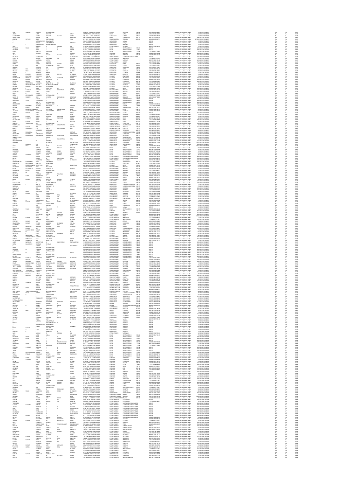| SIBA<br>AMAN                                         | SANKAR                                           | MURMU<br>KANT                                 | NOTAVAILABLE<br>KRISHINA                        |                                          | KANT                                        | RAILWAY COLONY \N FINDM<br>OPP-TRIPOLIA OLD GA' INDIA                                       | ORISSA<br><b>GIMAR</b>                                   | CUTTACK<br>PATNA                                                        | 754022<br>sccoo:           | 1208160006338133<br>1203840000680219                     | Amount for unclaimed and u<br>Amount for unclaimed and u                             | 0.50 01-NOV-2025<br>12.50 01-NOV-2025                           |  |               |
|------------------------------------------------------|--------------------------------------------------|-----------------------------------------------|-------------------------------------------------|------------------------------------------|---------------------------------------------|---------------------------------------------------------------------------------------------|----------------------------------------------------------|-------------------------------------------------------------------------|----------------------------|----------------------------------------------------------|--------------------------------------------------------------------------------------|-----------------------------------------------------------------|--|---------------|
| RAIDHWAR<br>SHALLINDRA                               |                                                  | <b>GUPTA</b><br>KUMAR                         | KRISHINA<br>CM                                  | KUMAR                                    | <b>GUPTA</b><br>PRAKASH                     | OR, NO. - 8 - 2259 SECTION<br>OM PRAKASH RAJNISH INDIA                                      | <b>JHARKHAND</b><br><b>GIMAR</b>                         | RANDS<br>DARIEVANGA                                                     | 834004<br>847211           | IN30226910864830<br>IN30177417395580<br>1206810000040717 | Amount for unclaimed and<br>Amount for unclaimed and u                               | 34.50 01-NOV-2021<br>498.00 01-NOV-2025                         |  |               |
| ANURA                                                | SATYAM                                           | <b>JOSHI</b><br>PARAMAS<br>VELAN              | ARUNGUMAR<br>VILLASWAM<br>RAMASWAMI             |                                          | VYAS<br>KANNAN                              | 2-8 603 GREEN HILL CINDIA<br>HULUGUNDA POST HA INDIA<br>HULUGUNDA, HARANCINDIA              | MAHARASHTR<br>KARNATAKA<br>KARNATAKA                     | MUMBAI<br>Kodagu<br>Kodago                                              | 400100                     | 003596<br>003602                                         | Amount for unclaimed and u<br>Amount for unclaimed and<br>Amount for unclaimed and   | 117844.50 01-NOV-2025<br>0.50 01-NOV-2021<br>0.50 01-NOV-2021   |  |               |
| RAM                                                  | 5                                                | KARIBASAPPA<br>LAKHAN                         | SANNAVEERAPPA<br>u                              | SRIBABU                                  | LAL                                         | AGARADAHALLI (P) BH INDIA<br>5-19/99 - I VARUNA BRINDIA                                     | KARNATAKA<br>UTTAR PRADES                                | Shimogi<br>Varana                                                       |                            | 003589<br>IN30202514058454                               | Amount for unclaimed and u<br>Amount for unclaimed and u                             | 0.50 01-NOV-2021<br>12.50 01-NOV-2021                           |  |               |
| <b>VIRINDER</b><br><b>VIRINDER</b>                   | SINGH                                            | SODHI<br>saxon                                |                                                 |                                          | SINGH<br>SINGH                              | C-30/8, SANGAM PARKINDIA<br>C-30/8, SANGAM PARKINDIA                                        | DELHI<br>DELHI                                           | CENTRAL DELHI<br>CENTRAL DELHI                                          | 110000<br>110007           | 001509<br>001511                                         | Amount for unclaimed and<br>Amount for unclaimed and                                 | 100.00 01-NOV-2021<br>100.00 01-NOV-2021                        |  |               |
| KANTI<br>RAI                                         |                                                  | SARDOP<br>KISHORI                             | <b>JHAMMAN</b><br>RAM                           |                                          | LAL<br>KUMAR                                | KG 1/110 VIKAS PURI TINDIA<br>H.NO.151/10 RAILWA'INDIA                                      | DELHI<br><b>HARYANA</b>                                  | CENTRAL DELHI<br>SONIPAT                                                | 110018<br>131100           | 1202290000104184<br>IN30236510345682                     | Amount for unclaimed and u<br>Amount for unclaimed and u                             | 50.00 01-NOV-2021<br>100.00 01-NOV-2021                         |  |               |
| ARUN<br>SAURABI                                      |                                                  | CHATURVEDE                                    | MADAN                                           | KUMAR                                    | <b>GOYAL</b><br>CHATURVEDS                  | HOUSE NUMBER-147/:INDIA<br>J-26 SECTOR - XI NOIDHNDM                                        | <b>HARYANA</b><br>UTTAR PRADESP                          | SONIPAT<br>GAUTAM BU                                                    | 131100<br><b>AGAR</b>      | IN30177418915486<br>001386                               | Amount for unclaimed and<br>Amount for unclaimed and                                 | 100.00 01-NOV-2021<br>100.00 01-NOV-2021                        |  | 7777777777777 |
| SUNEETA<br>PRERNA                                    |                                                  | <b>JAISWAL</b><br><b>AGARWAL</b>              | KANHAIYA<br>PARTH                               | LAL                                      | JAISWAL<br><b>GOVIL</b>                     | C/O KANHAIYA LAL JAEINDIA<br>64 D INDRA NAGAR S/INDIA                                       | UTTAR PRADESH<br>UTTAR PRADESP                           | MIRZAPLIR<br>BARELLY                                                    |                            | 1201860000301525<br>IN30177410419120                     | Amount for unclaimed and u<br>Amount for unclaimed and u                             | 62.50 01-NOV-2021<br>145.00 01-NOV-2021                         |  |               |
| PUKHRAJ<br>SAPNA<br>KALPESH                          |                                                  | SINGH<br><b>GUPTA</b><br><b>JAIN</b>          | RAMESH<br>SUBHASH<br>GHANSHYAN                  | CHAND<br>DAS                             | SINGH<br><b>GOYAL</b><br>MIAL               | VILL-MORE MAKHDOO INDIA<br>C/O NORAT MAL NAMINDIA<br>37 HANS NAGAR AME INDIA                | UTTAR PRADES<br>RAJASTHAN<br>RAJASTHAN                   | <b>BUNOR</b><br>TONX<br>AMER                                            | 304804<br>305900           | 1201750000221577<br>1203320002788808<br>1201770100244221 | Amount for unclaimed and<br>Amount for unclaimed and<br>Amount for unclaimed and u   | 675.00 01-NOV-2021<br>87.50 01-NOV-2021<br>50.00 01-NOV-2021    |  |               |
| NEELAN<br>SOBHAC                                     | MAI                                              | DAGLIYA<br>SHARMA                             | MR<br>GOGA                                      | <b>TEJSHING</b><br>LAL                   | <b>NAHAR</b><br>SHARMA                      | A-202 SHASTRI NAGAR INDIA<br>ORIENTAL BANK OF COINDIA                                       | RAJASTHAN<br>RAJASTHAM                                   | <b>SHEWARA</b><br>KOTA                                                  | 311000<br>324005           | 1204370000195433<br>IN30105510092547                     | Amount for unclaimed and u<br>Amount for unclaimed and                               | 12.50 01-NOV-2021<br>50.00 01-NOV-2021                          |  |               |
| MANJU<br>DINESH                                      | DEVI                                             | <b>AGARWA</b><br>SHARMA                       | MJL.<br>SHYAM                                   |                                          | CHAND<br>LAL                                | AGRAWAL STREET LAD INDIA<br>23/285 CHB PAL ROAD INDIA                                       | RAJASTHAM<br>RAJASTHAM                                   | NAGAUR<br>JODHPUP                                                       | 341300<br>342008           | 1201770100509156<br>IN30073210043413                     | Amount for unclaimed and<br>Amount for unclaimed and u                               | 25.00 01-NOV-2021<br>1.00 01-NOV-2021                           |  |               |
| NAND<br>JADEJA                                       | KISHOR                                           | CHANDAR<br>UMEDSIP                            | JUGAL<br><b>JADELA</b>                          | KISHOR                                   | CHANDAR<br>UMEDSINH                         | SITALA MATA KE MANUNDIA<br>GATIVAL KILUPA RAMISINDI                                         | RAJASTHAN<br><b>SUIARAT</b>                              | JODHPUP<br><b>JAMNAGA</b>                                               | 342600<br>161000           | IN30160410301159<br>N3031161000856                       | Amount for unclaimed and u<br>mount for unclaimed and                                | 29.00 01-NOV-2021<br>25.00 01-NOV-2021                          |  |               |
| DIUPKUMAI<br>RAMAN                                   | DILIPSIN<br>PRANLAI<br><b>BHAVIK</b>             | ENTENA                                        | PRANLA<br><b>JENTIBAL</b>                       | LILADHA                                  | RAMANI                                      | 9 NIRAY APPARTMENT INDI<br>KASTURBA STREET MA INDIA                                         | <b>GUIARAT</b><br>GUIARAT                                | <b>MATNAGA</b><br><b>JUNAGACE</b>                                       | 161000<br>162220           | 120112000026006<br>N30097410721313                       | nount for unclaimed and<br>Amount for unclaimed and                                  | 125.00 01-NOV-2021<br>491.00 01-NOV-2021                        |  |               |
| MINAKS<br>suwa                                       | <b>HITESH</b><br><b>MGRI</b>                     | GOSTKA<br><b>AUCHELIA</b>                     | HITESH<br><b>JAGRUTSH</b>                       |                                          | <b>BUDHELM</b>                              | ON BHAI MANGROL BAINDIA<br>B/H KALUBHA ROAD PIINDI                                          | GUIARAT<br><b>GUIARAT</b>                                | <b>JUNAGADE</b><br>INAVNAGA                                             | 362221<br>16400            | 120312000197580<br>N3017741487403                        | Amount for unclaimed and<br>mount for unclaimed and                                  | 100.00 01-NOV-2021<br>25.00 01-NOV-2021                         |  |               |
| KUNTAL<br>HITESH                                     | SRESHEHA<br>coving                               | MEHTA<br>PRAIAPAT                             | SRURESHO<br>GOVINDE                             |                                          | MEHTA                                       | 6-D PUNJABHAI TOWE INDIA<br><b>BHIMNATH MANOIR K INDIA</b>                                  | <b>GUIARAT</b><br>GUIARAT                                | KACHCHE<br>vannnass                                                     | 170000<br>190020           | N3009741126643<br>130167000079770                        | mount for unclaimed and<br>Amount for unclaimed and                                  | 25.00 01-NOV-2021<br>25.00 01-NOV-2021                          |  |               |
| KAMLESH                                              | SHANKAR<br>NARAN                                 | TALIA<br>SHIRSAT                              | POPATLAL<br>SHANKAI                             | SAKHARAN                                 | TALIA<br>SHISAT                             | 49 SANT TUKARAM SCINDIA<br>12/3 AKANISHA APAR INDI                                          | GUIARAT<br><b>MAHARASH®</b>                              | SURAT<br><b>MUMBA</b>                                                   | 195000<br>400068           | N30088814016823<br>N3011271602656                        | Amount for unclaimed and<br>procure for conclaimed and                               | 200.00 01-NOV-2021<br>100.00 01-NOV-2021                        |  |               |
| KANTABEN<br>DIUP                                     |                                                  | PATEL<br>onsays                               | NARAN                                           | ×.                                       | PATEL<br>COSAVI                             | 4-116 DOSHI WATEL BINTIN<br>14 SILVER SAND SHASTINGIN<br>A/102 SHARDA MANDINESIA            | MAHARASHTI<br>MAHARASHTE                                 | MUMBA<br>THANE                                                          | 4000B<br>401202            | 120323000021311                                          | mount for unclaimed and<br>Amount for unclaimed and                                  | 125.00 01-NOV-2021<br>125.00 01-NOV-2021                        |  |               |
| NEELA<br>RAIASHI<br>AASHSI                           | ANLKUMA<br>SANDESH                               | CHUDGAR<br>TEKE<br>PALLOD                     | NOTAVAILABLE<br>MINETRE                         | MURLIDHAR                                | BABURAC                                     | MALCURE WASTLAMING.<br>VIDEOCON INTERNATIONOM                                               | MAHARASHTE<br>MAHARASHTI<br>MAHARASHTE                   | THANE<br><b>SOLAPLIT</b><br><b>MIMED NA</b>                             | 401202<br>413102<br>41400  | IN302269123566<br>120111000076547<br>002109              | Amount for unclaimed and<br>mount for unclaimed and<br>mount for unclaimed and       | 500.00 01-NOV-2021<br>25.00 01-NOV-2021<br>00.00 01-NOV-2021    |  |               |
| MODHAVE<br>VIKAS                                     | VILAS                                            | VASANTRAD<br>SHETTY                           | NOTAVAILABL                                     |                                          | PALLOD<br>MODHAVE                           | VIDEOCON INTERNATIONOM<br>CANCARLIE CIN COMPINENT                                           | MAHARASHTR<br>MAHARASHTR                                 | AMMED NAGAR<br>AMMED NAGAR                                              | 414000<br>414000           | 002166<br>002162                                         | Amount for unclaimed and<br>Amount for unclaimed and                                 | 100.00 01-NOV-2021<br>100.00 01-NOV-2021                        |  |               |
| MURLIDINA<br>MONAN                                   | <b>BHAGWAT</b>                                   | GHABRAS<br>DHAND                              | NOTAVAILABLE<br>PHACWAT                         |                                          | DHANDE                                      | JISCO LTD VILL VASIND INDI<br>ROOM NO 177 GANGAINDI                                         | MAHARASHTR<br><b>MAHARASHTR</b>                          | THANE<br><b>NASHIK</b>                                                  | 421604                     | N30047640404922<br>120257000000000                       | procure for conclaimed and<br>mount for unclaimed and                                | 100.00 01-NOV-2021<br>50.00 01-NOV-2021                         |  |               |
| <b>MAYUR</b><br>MR                                   | PANKAJ<br>ASHOKR/                                | SHAH<br>iAN                                   | PANKAJ<br>PANNALA                               | GAMBHIRLA                                | SNH<br><b>JAIN</b>                          | SHRIKISHNA MACH 1NDM<br>SWATI NAGAR NATH T INDIA                                            | MAHARASHTR<br>MAHARASHTR                                 | AURANGAE<br><b>JALNA</b>                                                | 431112<br>43152            | IN30177413126527<br>IN30051314231115                     | Ammunt for containsed and<br>Amount for unclaimed and                                | 50.00 01-NOV-2021<br>50.00 01-NOV-2021                          |  |               |
| AKHILESH<br><b>AVADH</b>                             | GAIANANRA<br><b>BEHAR</b>                        | BHAGWA<br>MISRA                               | GAIANANITAS                                     | BALAIR                                   | <b>BHAGWAT</b><br>DAYAL                     | SHIWAII NAGAR KHED INDI<br>.<br>Near Jr, sethi nagajindia<br>Near Jail Building India       | MAHARASHTR<br>MADHYA PRAD                                | NAGPUR<br><b>UJJAIN</b>                                                 | 44120<br>45601             | N30051319331927<br>001343                                | mount for unclaimed and<br>mount for us<br>claimed and                               | 50.00 01-NOV-2021<br>250.00 01-NOV-2021                         |  |               |
| KANTI<br>RAIDNNA                                     | KUMAR                                            | ois<br>PANDEY                                 | CHANDAN<br>PRAKASH                              | NARAYAN                                  | CHIL<br>PANDEY                              | 687 MIG NEW HOUNDM                                                                          | MADHYA PRADESH<br>MADHYA PRADESH                         | <b>ANUPPLE</b><br><b>ANUPPLE</b>                                        | 484000<br>484000           | 1203560200001374<br>120356020000311                      | Amount for unclaimed and<br>Amount for unclaimed and                                 | 10.00 01-NOV-2021<br>25.00 01-NOV-2021                          |  |               |
| SHUSMLATA<br><b>VUAY</b>                             | SHANKER<br>KUMAR                                 | savan<br>KHOSLA                               | MAR<br>SATYADEV                                 | NARAYAN                                  | SINGH<br>KHOSLA                             | OTR NO-IR-1/6 BIRLA CINDI<br>O NO. TR-1/6 BRLA CCINOL<br>BLOCK 64 PLOT 9 NEHHNOM            | MADHYA PRADES<br>MADHYA PRADESH<br>DINATTISGARI          | SIDME<br>SIDME<br><b>DURG</b>                                           | 48688<br>48688<br>490020   | N3015572189315<br>120472000<br>N30045011315348           | mount for unclaimed and<br>mount for unclaimed and<br>Amount for unclaimed and       | 62.50 01-NOV-2021<br>100.00 01-NOV-2021<br>5.00 01-NOV-2021     |  |               |
| JAGDISH<br>VUDAYAGIT                                 | WADHWAN                                          | HUF                                           | NOTAVAILABLE<br>VUDAYAGIR                       | <b>VENKATAPPA</b>                        | serry                                       | SHOP NO 20 JAGOSH HNDM<br>D NO 8-221 GUNDLAPHNOL                                            | DINATTISGARI<br>WOHRA PRADESP                            | <b>DHAMTAR</b><br>MANTHA                                                | 493773<br>51576            | 120312000820428<br>120477000000051                       | Amount for unclaimed and<br>mount for unclaimed and                                  | 250.00 01-NOV-2021<br>22.50 01-NOV-2021                         |  |               |
| <b>KISHORI</b><br>CHELLU                             | KUMAR.<br>SAMBASIVA                              | ian<br>Rad                                    | <b>LALIT</b><br>omuu                            | NAGESWARA                                | SAMPAT<br><b>MO</b>                         | KESHARYA JEWWELLE INDIA<br>GANGANNA PALEM CHINDIA                                           | ANDHRA PRADES!<br>ANDHRA PRADES!                         | KRISHNA<br>GUNTUR                                                       | 522613                     | 120312000141751<br>IN3023241037456                       | mount for unclaimed and<br>Amount for unclaimed and                                  | 150.00 01-NOV-2021<br>2.50 01-NOV-2021                          |  |               |
| <b>JALADE</b><br><b>VEDA</b>                         |                                                  | RAMADEVI                                      | SUBBARAC<br>ARAYAN                              |                                          | KOTTARI                                     | 15-15-56/1 R R ROAD INDIA<br>PATEL HOUSE GUDDE INDI                                         | ANDHRA PRAD<br><b>KARINATAK</b>                          | PRAKASAM<br>DAKSHINA I                                                  | 523155                     | 120352000003859<br>N3018951059468                        | Amount for unclaimed and<br>mount for unclaimed and                                  | 50.00 01-NOV-2021<br>24.50 01-NOV-2021                          |  |               |
| SANKAPPA<br><b>MAYAPPA</b>                           | MAHABALA<br>NAGAPPA<br>BARAMAPPA                 | KARDIGUDD<br>MAYANAVAR                        | NAGAPPA<br><b>BARAMAPPI</b>                     | SHIDDAPPA                                | KARDIGUDD<br>MAYANAVAR                      | CHALUKYA NAGER BACINDIA<br>NEAR GOVERNMENT HINDIA                                           | <b>CARINATAKA</b><br><b>CARINATAKA</b>                   | BAGALKOT<br>BELGAUM                                                     | 58720<br>591317            | 120445000010410<br>120312000929370                       | enount for uncl<br>aimed and<br>Amount for unclaimed and                             | 20.00 01-NOV-2021<br>130.00 01-NOV-2021                         |  |               |
| <b>SENGUITUVAN</b><br>RAMYA                          |                                                  |                                               | PITONAL                                         | SVELAYUTHA                               | RAIA                                        | IS METTU STREET MU'INDIA<br><b>OLD NO 113 NEW NO 1NDI</b>                                   | PONDICHERR<br><b>AMIL NADL</b>                           | <b>PONDICHER</b><br><b>INTUCHUNAGAI</b>                                 | 626200                     | IN30163741056800<br>N3003941658917                       | Amount for unclaimed and<br>mount for unclaimed and                                  | 750.00 01-NOV-2021<br>0.50 01-NOV-2021                          |  |               |
| BHUVANESWA<br><b>DURAIRAJ</b>                        | KAMALA                                           | $\mathbf{N}$                                  | NAGARAJ<br>SELLAPPAN                            |                                          | MUTHUSAM<br>VENUGOPAL                       | D 8/22 TNHS COLONY INDIA<br>ENV ENGINEER TAMILHINDIA<br>917 BIG BAZAAR STREINFIN            | TAMIL NADL<br>TAMIL NADL<br>TAMIL NADL                   | ERSHNAGIR<br>NAMAKKA<br>COIMBATOR                                       | 635109<br>637000<br>641000 | IN3001751072028<br>IN30334010020075<br>000043            | mount for und<br>aimed and<br>Amount for unclaimed and<br>Amount for unclaimed and   | 183.00 01-NOV-2021<br>1320.00 01-NOV-2021<br>150.00 01-NOV-2021 |  |               |
| HEMA<br>RAVI                                         | DEVI                                             | DEVI<br>JAIN<br>KUMAR                         | <b>GIMAL</b><br>RAM                             | KUMAR<br>KISHUN                          | MIN<br>PRASAD                               | RATTANLALL TARACHAINDI<br>R K NIWAS NORTH DAHNOL                                            | HARKHAND<br><b>SAHID</b>                                 | ANDS<br>SAILAN                                                          | 841300                     | N30068813733825<br>120180000013995                       | mount for unclaimed and<br>enount for u<br>aimed and                                 | 1250.00 01-NOV-2021<br>50.00 01-NOV-2021                        |  |               |
| MUKESH<br>SIDDHARTH                                  |                                                  | CHAWLA<br>MEWAT                               | GULSHAN<br>BATAN                                | SINGH                                    | CHAWLA<br>MEWATI                            | 4/130 BLOCK NO-4 SUITNOM<br>OH 14/230 PASCHIM VINENA                                        | DELHI<br><b>DELHI</b>                                    | CENTRAL DELHI<br>CENTRAL DELHI                                          | 110027<br>110067           | IN30282210107056<br>IN30051317908452                     | Amount for unclaimed and<br>Ammunt for conclaimed and                                | 25.00 01-NOV-2021<br>8.50 01-NOV-2021                           |  |               |
| GAURAY<br>DINESH                                     | CHANDER                                          | SOLANK<br>cott                                | <b>BAJENCINA</b>                                | PRASAD<br>CHAND                          | SOLANIO<br>cott                             | 14 LIG BLATS OUT 3 PASSINGS<br><b>HATE TE BLOCK HISTORIA</b>                                | <b>DELHI</b><br>DELHI                                    | <b>CENTRAL DELHI</b><br><b>CENTRAL DELHI</b>                            | 11008                      | 120229000030083<br>N30294310003325                       | mount for unclaimed and<br>enount for und<br>aimed and                               | 25.00 01-NOV-2021<br>75.00 01-NOV-2021                          |  |               |
| SANIEEV<br>ABHAY                                     |                                                  | KUMAR<br>ARDRA                                | GORI<br>ONKAR                                   | <b>NARENDRA</b>                          | SINGH                                       | A 133 SECTOR 21 NORINDIA<br>1165 SECTOR-37, NORTHERN                                        | UTTAR PRADES<br>UTTAR PRADES                             | GAUTAM BUDE<br>GAUTAM BUDDI<br><b>IAGAR</b>                             |                            | IN30011810832325<br>120429000000679                      | Amount for unclaimed and<br>Ammunt for conclaimed and                                | 100.00 01-NOV-2021<br>250.00.01.NOV-2025                        |  |               |
| RAHUS                                                | RAMANDHA                                         | CHANDAN<br>PATEL                              | UTTAM<br><b>BAMANS</b>                          | KUMAR                                    | CHANDANI                                    | 47 LUKARGANJ ALLANJINDI<br>170 VANITAVAS KUDA INDI                                          | UTTAR PRADES<br><b>GUIARAT</b>                           | <b>ALLAHABAD</b><br>MMEDABAI                                            | 382423                     | N3016961138467<br>130152000003524                        | mount for unclaimed and<br>mount for unclaimed and                                   | 100.00 01-NOV-2021<br>500.00 01-NOV-2021                        |  |               |
| BABUSHAI<br>SHAH<br><b>IMANSHU</b>                   | MOHANSHA<br><b>BHARATKUM</b><br><b>SEVANTILA</b> | PARDES<br><b>JAYANTILAL</b><br>siue           | MONANSHA<br>SNAH<br><b>SEVANTILAL</b>           |                                          | <b>JAYANTILAL</b>                           | PWD OTRS AREA R.C.D INDIA<br>203 SHANDIESHVAR FINDIA<br>24 MORSHWARE BLD INDIA              | GUIARAT<br><b>SUIARAT</b><br>MAHARASHTR                  | VADODARA<br>SURAT<br><b>MUMBA</b>                                       | 190000<br>195004<br>40001  | 1301670000501400<br>N3022011057012<br>N302679319590      | Amount for unclaimed and<br>procent for containsed and<br>mount for unclaimed and    | 30.00 01-NOV-2021<br>25.00 01-NOV-2021<br>0.00 01-NOV-2021      |  |               |
| vath<br><b>RAMPYARE</b>                              | <b>NAVANTI AI</b>                                | MANIAR<br><b>JAISWAL</b>                      | NAVANITLA<br>NOTAVAILABL                        |                                          | MANIAR                                      | ST DEV ASHRH GULMONDIA<br><b>ROOM NO. 1. PARIDRAMON</b>                                     | MAHARASHTR<br>MAHARASHTR                                 | MUMBA<br>MUMBA                                                          | 400049<br>400078           | N30127630734216<br>120177000000877                       | mount for unclaimed and<br>Amount for unclaimed and                                  | 5.00 01-NOV-2021<br>1.50 01-NOV-2021                            |  |               |
| LOMAN                                                | PALKU<br>M                                       | PATEL<br>BASTOLA                              | MOHANLA<br><b>BADRI</b>                         | TOLARAM                                  | PATEL<br>BASTOLA                            | SHI ISHAM CENTER 1 A INDIA<br>FLAT NO 403 PLOT B S: INDIA                                   | MAHARASHTI<br>MAHARASHT                                  | MUMBA<br>THANE                                                          | 40009<br>40070             | N3013301957195                                           | Amount for unclaimed and<br>nount for unclaimed and                                  | 25.00 01-NOV-2021<br>15.00 01-NOV-2021                          |  |               |
| MADKA<br><b>ARMINA'</b>                              | <b>SUNIL</b>                                     | PRAINAKAR<br>WAGHULD                          | ARDON                                           |                                          | <b>MADKAR</b>                               | QUARTER NO 4 SMALL INDIA<br><b>CRISINAL 20 DISABAG INFIG</b>                                | MAHARASHTI<br>MAHARASHTE                                 | <b>SOLAPLIR</b><br>SANGLI                                               | 41100<br>416410            | N30051313755524<br>IN30051318231532                      | mount for uncl<br>aimed and<br>Amount for unclaimed and                              | 12.50 01-NOV-2021<br>115.00.01.NOV-2025                         |  |               |
| <b>ALCK</b>                                          | KUMAR                                            | THAKUP<br>PRAVEEN                             | <b>KRISHINA</b><br>DHARAM                       | KUMAR<br>CHAND                           | THAKUR<br>aan                               | MIG 67 VEER SAWARK INDIA<br>GEETHA ROAD R PET K INDIA                                       | DINATTISGAR<br><b>CARINATAKA</b>                         | RAIPUR<br>KDLAR                                                         | 49200<br>563122            | 120472000108454<br>N3005131302385                        | Amount for unclaimed and<br>mount for unclaimed and                                  | 50.00 01-NOV-2021<br>500.00 01-NOV-2021                         |  |               |
| <b>SUMALATIS</b><br>RATHNAKAR                        | $\overline{\phantom{a}}$                         | SHETTY                                        | HANUMAN<br><b>SECTIONAM</b>                     |                                          | SETTY                                       | NO ALOKHA HIGHER PHI<br>HOLISE NO. 2-122-1-48-MOVIA                                         | <b>CARINATAKA</b><br><b>CARINATAKA</b>                   | HASSAN<br>DAKSHINA                                                      | 7122<br>574237             | IN30051322976833<br>IN3019263014688                      | Amount for unclaimed and<br>Amount for unclaimed and                                 | 170.50 01-NOV-2021<br>12.50 01-NOV-2021                         |  |               |
| RACHAN<br>KAWARLA                                    |                                                  | KORKOCK<br>jan<br>Kumar                       | <b>DIGEANATHI</b><br><b>PUKRA</b>               |                                          | KORKODE                                     | NO 47 UPPARARAKERI INDIA                                                                    | <b>KARINATAK</b><br><b>KARINATAK</b>                     | DAKSHINA I<br><b>SHIMOGA</b>                                            | 57720                      | N30226911989914<br>N3022691382766                        | procent for conclaimed and<br>nount for unclaimed and                                | 25.00 01-NOV-2021<br>00.00 01-NOV-2021                          |  |               |
| PRADEER<br>PRIYA<br>SUSHID                           | UDAY<br>KUMAR                                    | PAWASKAR                                      | KAWARLAL<br>UDAY<br>HEERACHAN                   |                                          | KAWAD<br>CHORDIA                            | HOUSE NO 47 M K K RINDM<br><b>T4 DURGA RESIDENCTINDIA</b><br><b>BUT NO 25 ELAT NO EINEM</b> | <b>CARINATAKA</b><br><b>CARINATAKA</b><br>TAMIL NAD      | <b>SHIMOGA</b><br><b>BELGAUR</b><br>CHENNA                              | 577202<br>600122           | 120447000609756<br>1207240000052496<br>N3016376005704    | Amount for unclaimed and<br>Amount for unclaimed and<br>procent for conclaimed and   | 150.00 01-NOV-2021<br>50.00 01-NOV-2021<br>5.00 01-NOV-2021     |  |               |
| TAPAN<br>LAUT                                        |                                                  | stm<br>JOSHI                                  | <b>HARAY</b><br>RATAN                           | RAM                                      | sm<br><b>JOSE</b>                           | 78 HARI NATH DEY ROINDI<br>C/O MADAI GHOSH 17INDIA                                          | VEST BENGA<br>WEST BENGA                                 | EDUCATA<br>KOLKATA                                                      | 700074                     | N3021051023122<br>11020100026194                         | nount for unclaimed and<br>Amount for uncl<br>imed and                               | 12.50 01-NOV-2021<br>5.00 01-NOV-2021                           |  |               |
| NISITES<br>DINESH                                    |                                                  | KUNDU                                         | NEMAI                                           | LAL<br>CH                                | KUNDU<br>CHAKRAVART                         | BAGANE PARA P.O. KAINENA<br>FEDERAL BANK LTD P SINDM                                        | WEST BENGAL<br>ASSAM                                     | BARDHAMA<br>KAMRUR                                                      | 713130<br>78100            | N30032710296613<br>N3015161012966                        | Amount for unclaimed and<br>Amount for unclaimed and                                 | 25.00 01-NOV-2021<br>5.00 01-NOV-2021                           |  |               |
| uczse<br>SHASHI                                      | ch<br>Kumar                                      | CHAIGH<br>KINDRA<br>BRUSHAR                   | KEDAR<br>MUNISH                                 | NATH                                     | CINDRA<br>PRASAD                            | M.P. REGENCY R.K. BISINDIA<br>S/O SRI MUNESHWAR INDIA                                       | <b>SIHAR</b><br><b>SAHID</b>                             | PATNA<br>PATNA                                                          | scoop<br>sonne             | 130234000010478<br>160101000016366                       | nount for unclaimed and<br>Amount for und<br>aimed and                               | 50.00 01-NOV-2021<br>12.50 01-NOV-2021                          |  |               |
| KANCHAN                                              |                                                  | prvi<br>SHEKAR                                | PODIEAL                                         |                                          | <b>BHAGAT</b><br><b>DEVARA</b>              | H NO 42 BADABAZAR FINDIA<br>BASAVANA HUTHUR KINDIA                                          | <b>SIHAR</b><br><b>CARINATAKA</b>                        | DARIENANCA<br>Kodagu<br>CENTRAL DELHI                                   | 847211                     | IN30045014189871<br>003593                               | Amount for unclaimed and<br>mount for unclaimed and                                  | 50.00 01-NOV-2021<br>0.50 01-NOV-2021                           |  |               |
| <b>JASKARAN</b><br><b>JATINDER</b><br><b>TEINDER</b> | savan                                            | CHATTWAL<br>swon<br>KAUR                      | AMARJEET<br>LEHNA<br>sua                        | PRITPA                                   | SINGH                                       | 1-116 FIRST FLOOR RHNDL<br>VILL, RATTAKHERA SAFINDIA<br>SUB PRITPAL SINGHO FINDIA           | <b>DELHI</b><br>HARYANA<br>PUNJAB                        | iND<br>PATIALA                                                          | 11001<br>126112<br>14700   | N30094010321502<br>1205100000036246<br>1204470007500731  | nount for unclaimed and<br>Amount for unclaimed and<br>Amount for unclaimed and      | 50.00 01-NOV-2021<br>350.00 01-NOV-2021<br>617.50 01-NOV-2021   |  |               |
| <b>SUNIL</b>                                         |                                                  | VUAY                                          | <b>BRAHM</b><br>RAM                             | SWARDC<br>PRAKES                         | KAKKAR<br>VUAY                              | 327 SURENDRA NAGA INDIA<br>8 BANK COLONY KASG INDI                                          | UTTAR PRADE:<br>UTTAR PRADE:                             | <b>AUGARH</b>                                                           |                            | N3002061025458<br>N3001181033415                         | Amount for unclaimed and<br>mount for unclaimed and                                  | 100.00 01-NOV-2021<br>1000.00 01-NOV-2021                       |  |               |
| RAIDE<br><b>VISHU</b>                                | KUMAR                                            | carse<br>AGARINA                              | LAL<br>VIDUR                                    |                                          | SINGH<br>KUMAR                              | H NO 370 AWAS VIKASINDIA<br><b>R/O JEELAL MANDI CHINDIA</b>                                 | UTTAR PRADE:<br>UTTAR PRADE                              | ETAH<br>MIRZAPUR<br>MORADABAD                                           |                            | 130414000191651<br>120206000029282                       | Amount for unclaimed and<br>Amount for unclaimed and                                 | 17.50 01-NOV-2021<br>50.00 01-NOV-2021                          |  |               |
| PRAYEEP<br>MAHENDR                                   | kumar<br>Kumar                                   | TAK<br>VOHRA                                  | <b>BAMESH</b><br><b>BAMESH</b>                  | CHANDRA<br>MAL                           | TANK<br>VOHRA                               | 55 DHOSIYA KA MOHAINDI<br>MORYA SYNTEX PVT LTINDI                                           | <b>BAJASTHAN</b><br><b>BAJASTHAN</b>                     | IAPUR<br>EHEWARA                                                        | 303012<br>311000<br>324005 | 120109000743018<br>N3002141262481                        | mount for unclaimed and<br>mount for unclaimed and                                   | 75.00 01-NOV-2021<br>50.00 01-NOV-2021                          |  |               |
| <b>RAIDRAN</b><br>GOVING<br>NAROTAM                  | NARAYAN<br>KUMAR                                 | GUPTA<br>SHARMA                               | PURAN<br>SANWAI<br>NOTAVAILABL                  | MAL                                      | <b>GUPTA</b><br>SNAMA                       | H.NO.937 MAHAVEER INDIA<br>LODI BAS SADULPUR SINDIA<br>445 PUNJABI MOHALLINDI               | <b>BAJASTHAN</b><br><b>BAJASTHAN</b><br><b>BAJASTHAN</b> | KOTA<br>CHURU<br><b>HANUMAR</b>                                         | 131023                     | N3010551063021<br>12036600000011<br>120121010050656      | Amount for unclaimed and<br>Amount for unclaimed and<br>Amount for unclaimed and     | 600.00 01-NOV-2021<br>5.00 01-NOV-2021<br>250.00 01-NOV-2021    |  |               |
| KETAN                                                | DALSURH                                          | GADAN                                         | DALSUKHE<br>HARCOVANDA                          |                                          | GADANI<br>PATEL                             | PANJARA POLE ROAD FINDS<br>C/O GUIARAT MOTOR INDIA                                          | <b>SUIARAT</b><br>GUIARAT                                | IHAVNAGAI                                                               | 135511<br>164710           | N30097410795449<br>IN3012331001057                       | mount for unclaimed and<br>Amount for unclaimed and                                  | 5.00 01-NOV-2021<br>60.00 01-NOV-2021                           |  |               |
| MANUAL<br>VIRAL                                      |                                                  |                                               |                                                 |                                          |                                             | <b>PIPALIYA NO MADH ATINDIA</b>                                                             |                                                          |                                                                         |                            |                                                          | Amount for unclaimed and                                                             |                                                                 |  |               |
|                                                      | AYANTILAL                                        | PATEL<br>PATEL                                | <b>KHODABHA</b><br>AYANTILA                     | MANBHA                                   | PATEL                                       | NEW & TYPE 8-10-96 NINDI                                                                    | GUIARAT<br><b>SUIARAT</b>                                | MAHESANA<br>MAHESANA<br><b>VALSAG</b>                                   | 184002<br>38422<br>396190  | N30048413276272<br>120312000077731                       | mount for unclaimed and                                                              | 50.00 01-NOV-2021<br>62.50 01-NOV-2021                          |  |               |
| <b>SARSHA</b><br>DIETSH                              | CHANDRA<br>KARLISHA                              | CHOTALLA<br>SAVLA                             | CHANDRAKANT<br>KARUSHA                          |                                          | SAVLA                                       | 5/9 KADAM WADI VAKINDI<br>3 JIVDAYA SOC, JIVDAYINDIA                                        | MAHARASHTE<br>MAHARASHTE                                 | MUMBA<br>MUMBA                                                          | 400055<br>4000B            | 12018000022249<br>N3009071009695                         | mount for unclaimed and<br>Amount for unclaimed and                                  | 000.00 01-NOV-2021<br>250.00 01-NOV-2021                        |  |               |
| KIRTIKLIMAR<br>GADE                                  | SHANTILAL                                        | <b>JAIN</b>                                   | <b>HANTILAL</b>                                 | GANPATRAD                                | <b>JAIN</b><br>NARAYANRAD                   | 613/14 CHATI GALLI SINDIA<br><b>IDEOCON INTERNATI</b>                                       | MAHARASHTI<br>MAHARASHT                                  | <b>SOLAPLIR</b><br><b>MIMED NA</b>                                      | 411002<br>41400            | IN30109810127127<br>002112                               | Amount for unclaimed and<br>Amount for unclaimed and                                 | 5.00 01-NOV-2021<br>100.00 01-NOV-2021                          |  |               |
| PATIL                                                | BALASAHED                                        | GANPATRAD<br>TRIMBAK<br>VASANT                | TRIMBAK                                         |                                          | SHESHARAD                                   | VIDEOCON INTERNATIINDI<br>VIDEOCON INTERNATIINDIA                                           | MAHARASHTI<br>MAHARASHTR                                 | MIMED NAGAR<br>AMMED NAGAR                                              | 414000<br>414000           | 002149<br>002153                                         | mount for unclaimed and<br>Amount for unclaimed and                                  | 100.00 01-NOV-2021<br>100.00 01-NOV-2021                        |  |               |
| BABU<br>MAHES                                        | $_{\rm N}$                                       | PANCHA<br>CHAVAI<br>PARAB                     | NOTAVAILABLE<br>NOTAVAILABL<br>NOTAVAILABLE     |                                          |                                             | GANGAPUR GIN COMPINDIA<br>GANGAPUR GIN COMPINDI<br>GANGAPUR GIN COMPINDI                    | MAHARASHTR<br>MAHARASHTE<br>MAHARASHTR                   | MIMED NAGAR<br>MIMED NAGAL<br>MIMED NAGAR                               | 414000<br>41400<br>41400   | 002106<br>002117<br>002124                               | Amount for unclaimed and<br>mount for unclaimed and<br>enount for u<br>claimed and   | 100.00 01-NOV-2021<br>100.00 01-NOV-2021<br>100.00 01-NOV-2021  |  |               |
| DATTARAM<br>VISHWANATI                               | H                                                | GOGIA<br>PARWATE                              | NOTAVAILABLE                                    |                                          | COGIA                                       | GANGAPUR GIN COMPINDIA<br>GANGAPUR GIN COMPINDIA                                            | MAHARASHTR<br>MAHARASHTR                                 | MIMED NAGAR<br>MIMED NAGAR                                              | 414000<br>414000           | 002126<br>002131                                         | Amount for unclaimed and<br>Amount for unclaimed and                                 | 200.00 01-NOV-2021<br>100.00 01-NOV-2021                        |  |               |
| ASHOK<br>MEHULKUMAR                                  | <b>KUNTILAL</b>                                  | SHETTY<br><b>BHANDAR</b>                      | NOTAVAILABLE<br>KUNTILAL                        | BHAGWANDAS                               | <b>BHANDAR</b>                              | GANGAPUR GIN COMPINDI<br>ASHFON GANESHWADI INDIA                                            | MAHARASHTE<br>MAHARASHTR                                 | MIMED NAGAR<br>MIMED NAGAR                                              | 41400<br>41400             | 002159<br>130234000055372                                | mount for unclaimed and<br>mount for unclaimed and                                   | 100.00 01-NOV-2021<br>50.00 01-NOV-2021                         |  |               |
| APARNA<br>VASANT                                     | PRAVIN<br><b>NAMDEN</b>                          | ADAKE<br>KAPARE                               | SOMNATH<br>NAMDEV<br>NACINON                    | OMKAP                                    | <b>KAPARE</b>                               | ISLAMPUR ROAD WAINDM<br>SHIV COLONY SUIT NO INDIA                                           | MAHARASHTR<br>MAHARASHTR                                 | SANGLI<br><b>JALGAON</b>                                                | 416313<br>42500            | IN30021430188022<br>1201060000854882                     | Amount for unclaimed and<br>Amount for unclaimed and                                 | 100.00 01-NOV-2021<br>100.00 01-NOV-2021                        |  |               |
| KIRAN<br>RAMORGHNA<br>ABOULAJUOU                     | <b>NAGINO</b><br>EKNATH<br>GAFURKNA              | KOTECH<br>POTADAS<br>PATHAM                   | <b>EXAMPLE</b><br>GAFURXIN                      | GHEVERCH<br>JANARDAN<br><b>HUSAINKON</b> | KOTEDIA<br>POTADAR<br>PATHAN                | A NAGAR DR KELKAR HINDIA<br>PARANJAPE WADA PATINDIA<br>NO/922/1 NEAR MASJINDIA              | MAHARASHTE<br>MAHARASHTR<br>MAHARASHTR                   | <b>HLGACP</b><br><b>IALGACH</b><br><b>IALGAON</b>                       | 42520<br>42540<br>425400   | N3017741111152<br>IN3013302035442<br>120105000297176     | mount for unclaimed and<br>mount for us<br>imed and<br>Amount for unclaimed and      | 7.50 01-NOV-2021<br>25.00 01-NOV-2021<br>100.00 01-NOV-2021     |  |               |
| SHEXHAR<br>SUDHIRKUMAI                               | SHASHIKANI<br><b>TULSHIRAM</b>                   | KULKARN<br>MURKUT                             | SHASHIKAN'<br>NOTAVAILABLE                      | OSANYARRAC                               | KULKARN                                     | VENUSMEUTI HOUSE FINDIA<br>NEAR CHAUHAN TILES INDIA                                         | MAHARASHTR<br>MAHARASHTR                                 | NANDED<br>CHANDRAP                                                      | 431602<br>44290            | <b>IN3005131631118</b><br>1208160001655                  | Ammunt for containsed and<br>mount for unclaimed and                                 | 5.00 01-NOV-2021<br>10.00 01-NOV-2021                           |  |               |
| CHANDRAKUM<br>SHRIKANT                               | MADANM<br><b>BHIKULA</b>                         | MOHTA<br>KARWA                                | NOTAVAILABLE                                    |                                          |                                             | MEHTA BHAVAN BALA INDIA<br>SANKALP CIVIL UNE RUNDIA                                         | MAHARASHTR<br>MAHARASHTR                                 | <b>BULDHANA</b><br><b>AKOLA</b>                                         | 444300<br>4450             | 130231000007542<br>120100000066640                       | mount for us<br>aimed and<br>Amount for unclaimed and                                | 150.00 01-NOV-2021<br>25.00 01-NOV-2021                         |  |               |
| SHEELA<br><b>SUSHILA</b>                             | DEVIDAS                                          | MAHAJA<br>KOTHAR                              | NOTAVAILABLE<br>SHRIGOPAL                       |                                          | KOTHAR                                      | PLOT NO 448 NEAR DRINOL<br>22/1 GRASIM STAFF CINDI<br><b>BLOT NO 139 COD COLIMBIA</b>       | MAHARASHTRA<br>MADHYA PRAZ                               | <b>AMBAVATI</b><br><b>UIJAIN</b>                                        | 4460<br>456332             | N30088813782462<br>N3061142103848                        | Amount for unclaimed and<br>mount for us<br>claimed and<br><b>Local based</b>        | 00.00 01-NOV-2021<br>5.00 01-NOV-2021                           |  |               |
| SHIRIN<br>PRACHE<br>PREM                             | SHANKAR                                          | GOUTAM<br>DHOOT<br><b>JAJODIA</b>             | <b>KESHAV</b><br>DEEPAK<br>VASUDEV              | PRASAD                                   | GOUTAM<br>percent<br><b>JAJODIA</b>         | GOVIND OPP, CONGEINDIA<br><b>CURLINS BOY BAL MARE INFINI</b>                                | MADHYA PRADESH<br>MADHYA PRADESH<br>DINATTISGARI         | <b>JABALPUR</b><br>ANUPPLIP<br>BILASPUR                                 | 482004<br>484000<br>495000 | N3013302108478<br>1203560200001870<br>N30094010007629    | mount for us<br>Amount for unclaimed and<br>Amount for unclaimed and                 | 68.50 01-NOV-2021<br>150.00 01-NOV-2021<br>10.00 01-NOV-2021    |  |               |
| <b>AMRUTLAI</b><br>KODIPYAKA                         |                                                  | SHAH<br><b>SURESH</b>                         | NOTAVAILABLE<br><b>KODIPYAKA</b>                | LAL                                      | VENKATESHAM                                 | FLOT NO 12 JAGADISH INDI<br><b>HNO-1-2-201 INFIRA NINFIN</b>                                | ANDHRA PRADESP<br>ANDHRA PRADESP                         | <b>COTFRANA</b><br><b>ADILABAD</b>                                      | 504290                     | N30169612424496<br>1203070000055553                      | nount for unclaimed and<br>enount for u<br>claimed and a                             | 0.00 01-NOV-2021<br>25.00.01.NOV-2025                           |  |               |
| VADLURI                                              | VUAY                                             | <b>KUMAR</b><br><b>SESHADR</b>                | BUCHAIAH                                        |                                          | SUBRAMANYAM                                 | 2-7-319/3 OLD COLON INDIA<br>NO 10-3-556 REDOY ATINOM                                       | ANDHRA PRADESP<br>ANDHRA PRADESP                         | <b>ADILABAD</b><br>CHITTOGE                                             | 504290<br>517500           | 120307000006402<br>N30039418463552                       | Amount for unclaimed and u<br>Amount for unclaimed and u                             | 25.00 01-NOV-2021<br>45.00 01-NOV-2021                          |  |               |
| GATTUPALLI                                           | VENEATAS                                         |                                               | <b>SATIONARAYANA</b>                            |                                          | GATTUPALLI                                  | H NO 17-1-18/O SPP RINDM                                                                    | ANDHRA PRADESP                                           |                                                                         | 522124                     |                                                          | nount for unclaimed and u                                                            | 50.00 01-NOV-2021                                               |  |               |
| SADANANDA<br><b>PERUMAL</b>                          |                                                  |                                               | <b>RAMEGOWDA</b><br><b>PERUMAL</b>              |                                          | BALUSAM                                     | 5/O RAMEGOWDA KALINDIA<br>DOOR NO 1/105 CHETINDI                                            | KARNATAKA<br>TAMIL NAD                                   | CHICKMAGALUR<br><b>THANIAVUR</b>                                        | 577146<br>61230            | IN30023913432647<br>1204450000406911                     | Amount for unclaimed and u<br>Amount for unclaimed and u                             | 50.00 01-NOV-2021<br>247.50 01-NOV-2021                         |  |               |
| RAIENDRAM<br>SHANMUGAVALI<br>MANIMARAN               |                                                  | KRISHNAN                                      | CHIKKAMUNTKAPP:<br>RAGHAVA<br>KRISHNAN          | MOTTAIN                                  | RAJENDRAN<br>GOUNDER                        | NO 1/14-A MAIN EQACINOL<br>NO A 39 SIPCOT HOUSINDM<br>2/129 CHIKKA THORAN INDIA             | <b>TAMIL NADL</b><br>TAMIL NADL<br>TAMIL NADU            | KRISHNAGIR<br>ERKHNAGIE<br>DHAMMAPUR                                    | 635113<br>63512<br>stran   | N30177410001620<br>N3001751060356<br>N3030286029169      | mount for unclaimed and<br>mount for unclaimed and<br>procent for conclaimed and     | 10.50 01-NOV-2021<br>25.00 01-NOV-2021<br>212.50 01-NOV-2021    |  |               |
| MARY<br>BANCHU                                       |                                                  | GEORGE<br>NAINA                               | GEORGE<br><b>MOHAMAD</b>                        | ABDU                                     | <b>USHEED</b>                               | CHAKKALAKKAL HOUSINDIA<br>17/1022 POOJAPURA TINDIA                                          | <b>KERALA</b><br><b>CERALA</b>                           | <b>DISPOSIT</b>                                                         | 680618<br>ssor             | N3016371000569-<br>N30051315987435                       | procent for containsed and<br>mount for u<br>claimed and                             | 7.50.01.NOV-2025<br>50.00 01-NOV-2021                           |  |               |
| SUMAN<br><b>ANIMESH</b>                              |                                                  | GANDH<br><b>DASGUPTA</b>                      | PURNENDU                                        |                                          | GANDHI<br><b>DASGUPTA</b>                   | C/O GRESSI MORTA 199014<br>10 SARADA PARK KAMINDIN                                          | VEST BENGA<br>WEST BENGAL                                | KOLKATA<br>KOLKATA                                                      | 70000<br>700084            | 001117<br>N30095810118549                                | enount for u<br>imed and<br>Ammunt for containsed and                                | 200.00 01-NOV-2021<br>5.00.01.NOV-2025                          |  |               |
| MOHIN<br><b>ARCHANA</b>                              | ptw                                              | MUNDRA<br><b>AGRAWAL</b>                      | RAM<br>GHANSHYAN                                |                                          | MUNDRA<br>AGRAWAL                           | MAIN ROAD RAMBINA INDIA<br>LITTLE ANGEL SCHOOL INDIA                                        | DRISSA<br><b>SRISSA</b>                                  | GANJAM<br>CALAHAND                                                      | 761028<br>766012           | N30232410454519<br>N3022011082878                        | Amount for unclaimed and<br>nount for unclaimed and                                  | 25.00 01-NOV-2021<br>75.00 01-NOV-2021                          |  |               |
| mon<br>RAISH<br>JAYDEER                              |                                                  | <b>JAN</b><br><b>KUMAR</b><br>BANERIES        | <b>BIMAL</b>                                    | GOPAL<br>DAS<br>KUMAR<br>RATAN           | MIN<br><b>BHAGAT</b><br>MANERJER            | SUDHIR SARAWGI & CCINDIA<br>S/O LATE SHIV LAL BHAINDIA<br>NORTH LOCO TANK ALINDM            | ASSAM<br>HAROMAND<br>HARKHAND                            | KAMRUP<br>DHANSAD<br>DHANBAD                                            | 781000<br>826000<br>826000 | 1206850000062<br>N30039413630579<br>120384000019381      | mount for unclaimed and<br>Ammunt for containsed and<br>Amount for unclaimed and     | 116.00 01-NOV-2021<br>24.50 01-NOV-2021<br>\$20.00 01-NOV-2021  |  |               |
| SULTAN                                               |                                                  | swon<br>KANNAN                                | AMULYA<br><b>RAM</b><br>RAMASWAM                |                                          | CHANDRA                                     | ME SILTAN SIMSH 15/INDIA<br>HARUNGH, HULUGANEINDIA                                          | Punjab<br>KARNATAKA                                      | .<br>Patiala<br>KODAGU                                                  |                            | N30177412159131<br>003595                                | mount for us<br>bes benistic<br>Amount for us<br>imed and                            | 50.00 01-NOV-2021<br>0.50.04.NOV-2026                           |  |               |
| GEETHA                                               |                                                  | PARAM                                         | SIDDALINGASWAR S<br>ELLASWAM                    |                                          | α.                                          | GARANGI (V) HULUGU INDIA<br>HULUGUNDA POST HA INDIA                                         | <b>CARINATAKA</b><br><b>KARINATAK</b>                    | KODAGU<br>KODAGU                                                        |                            | 003599<br>003596                                         | Amount for unclaimed and<br>procent for containsed and                               | 0.50 04-NOV-2020<br>0.50 04-NOV-2020                            |  |               |
| VIMAL                                                | KUMAF                                            | VELAN                                         | RAMASWAM<br>SIDDAPPA                            |                                          | KANNAN                                      | HULUGUNDA, HARANCINDIA<br>KUDIGE (P) SOMAWARINDIA                                           | <b>KARINATAK</b><br><b>CARINATAKA</b>                    | KODAGU<br>KODAGU                                                        |                            | 003602<br>003600                                         | mount for us<br>sclaimed and<br>Amount for us<br>imed and                            | 0.50 04-NOV-2020<br>0.50 04-NOV-2020                            |  |               |
| RAKSHITH<br>RAM                                      |                                                  | RAIU<br>LAKHAN                                | OSTANAJAP<br><b>SUBBANNA</b>                    | SRIBABU                                  |                                             | KUDUMANGALUR POS INDIA<br>NO. 60/1, 15T BLOCK GINDIA<br>5-19/99 - I VARUNA BRINDIA          | <b>CARINATAKA</b><br><b>KARINATAK</b><br>UTTAR PRADE     | KODAGU<br>COAGU<br>VARANAS                                              |                            | 003592<br>003583<br>N30202514058454                      | Amount for unclaimed and<br>mount for unclaimed and<br>mount for u<br>aimed and      | 0.50 04-NOV-2020<br>0.50 04-NOV-2020<br>12.50 04-NOV-2026       |  |               |
| ANIS<br>VIRINDER                                     | sayor                                            | BAND<br>SODHI                                 | .<br>ABDUL                                      |                                          | N<br>LAL<br>SHAKOOR<br>SINGH                | 850 SHEESH MAHAL SAINDIA<br>C-30/S SANGAN PARKINGS                                          | DELH<br>DELH                                             | CENTRAL DELHI<br>CENTRAL DELHI                                          | 110000<br>110000           | N30177411476107<br>001509                                | Amount for us<br>aimed and<br>Amount for unclaimed and                               | 79.50 04-NOV-2026<br>100.00 04-NOV-2026                         |  |               |
| <b>JASWIN</b><br><b>VRINDER</b>                      | KAUR                                             | soon<br>sivoi                                 |                                                 | SINGH                                    | soon                                        | C-30/S, SANGAM PARKINDIA<br>C-30/S, SANGAM PARKINDIA                                        | <b>DELH</b><br>otur                                      | CENTRAL DELH<br>CENTRAL DELH                                            | 11000<br>11000             | 001510<br>001511                                         | Amount for unclaimed and<br>mount for u<br>aimed and                                 | 100.00 04-NOV-2026<br>00.00 04-NOV-2026                         |  |               |
| RICHA<br>INDERIEST                                   | swon                                             | BHATIA<br>PARMAR                              | st<br>Gd<br>HAMMAAN                             | RAMESHKUMA<br>ROSHANSIP                  | BHATIA<br>PARMAR                            | 1 - 16 OPP ALPNA CINEINDIA<br>IS - IL 346 VIEAS PUBLININA                                   | DELH<br>DELH                                             | CENTRAL DELH<br>CENTRAL DELHI                                           | 110009<br>110018           | N30020610890858<br>IN30120910001955                      | Amount for us<br>imed and<br>Ammunt for conclaimed and<br>procent for conclaimed and | 675.50 04-NOV-2026<br>12.50 04-NOV-2026                         |  |               |
| KANTI<br>CHANDER<br><b>BHARAT</b>                    | SHEKHAI                                          | SARDOR<br>KAUSHAL<br>TAYAL                    |                                                 |                                          | KAUSHAL<br>TAYAL                            | KG 1/110 VIKAS PURI TINDIA<br>573, SECTOR-VI R.K. PLINDIA<br>18. NEW KRISHNA NACINDIA       |                                                          | CENTRAL DELH<br>CENTRAL DELH<br>CENTRAL DELHI                           | 110018<br>110022<br>110057 | 1202290000104184<br>001513<br>001513                     | mount for u<br>aimed and<br>Amount for us<br>imed and                                | 50.00 04-NOV-2026<br>100.00 04-NOV-2026<br>100.00 04-NOV-2026   |  |               |
| ANUP<br><b>SYED</b>                                  |                                                  | SACHDEVA<br>PERWEZ                            | SYED                                            |                                          | SADIDEVA<br><b>IASSAN</b>                   | 188 DOUBLE STOREY FINDING<br>201 TRIBH IVAN COM INDIA                                       | prus                                                     | CENTRAL DELHI<br>CENTRAL DELH                                           | 110060<br>110065           | 001427<br>120230000006610                                | Ammunt for conclaimed and<br>procured fire conclusionant and a                       | 100.00 04-NOV-2026<br>45.00 04-NOV-2026                         |  |               |
| vivoo<br>KAMN                                        | MOHAM<br>PRASAD                                  | MAMGAIN<br>SAXENA                             | GOVIND<br>NOTAVALABLE                           | NAZIR<br>RAM                             | MAMGAIN                                     | <b>PLOT NO 248 PATPARCINEUM</b><br>PODGET I B7C DILSHAD INDIA                               | oturi<br>Oturi<br>DELH                                   | CENTRAL DELH<br>CENTRAL DELHI                                           | 1100%<br>110095            | IN30177413502774<br>IN 90068811517634                    | mount for unclaimed and<br>Amount for unclaimed and                                  | 0.50 04-NOV-2020<br>25.00 04-NOV-2026                           |  |               |
| NARINGEI                                             | stvon<br>SHEKHAR                                 | <b>BHATIA</b><br><b>BAD</b>                   | DHARAM                                          | SINGH                                    | <b>BHATIA</b><br>MO                         | 2C/WH/95 N I T FARID INDIA<br>D.11/20 E.E. ORCHED EINDIA                                    | HARYAN<br>HARYAN                                         | <b>FARIDABAC</b><br>GURGAON                                             | 121000<br>122002           | IN30023910868233<br>N300476400810                        | Ammunt for containsed and<br>mount for unclaimed and                                 | 250.00 04-NOV-2026<br>25.00 04-NOV-2026                         |  |               |
| NITIN<br>SATENDER<br>RAM                             |                                                  | MITTAL<br><b>YADAV</b><br>swon                | <b>TRILOK</b><br>VUENDER<br><b>SHAR</b>         | SINGH                                    | CHAND<br>YADAY<br>DASS                      | <b>C-301 BPTP FREEDOM INDIA</b><br>82-4 MODEL TOWN RENOVA<br>H NO 9 ADAMPUR WA INDIA        | HARYAN<br>HARYAN<br>HARYAN                               | GURGAON<br>REWARD                                                       | 122000<br>121400<br>125000 | N30021411412221<br>IN3022691078641<br>1204470001926166   | mount for us<br>aimed and<br>Amount for unclaimed and<br>Ammunt for conclaimed and   | 25.00 04-NOV-2026<br>120.00 04-NOV-2026<br>100.00 04-NOV-2026   |  |               |
| SANTOSI<br><b>JATINDER</b>                           |                                                  | DEVI<br>SINGH                                 | <b>OWNDAR</b>                                   |                                          | <b>BHAN</b><br>SINGH                        | H NO 19/A JAKHAL MAINDIA<br>VILL, RATTAKHERA SAFINDIA                                       | <b>SARYANI</b><br><b>SARYANI</b>                         |                                                                         | 125133<br>126112           | N3001181145130<br>120510000003624                        | procure for conclaimed and<br>mount for us<br>sclaimed and                           | 12.50 04-NOV-2026<br>150.00 04-NOV-2026                         |  |               |
| KUSUM<br><b>UMA</b>                                  |                                                  | <b>GOEL</b><br>KANT                           | LEHNA<br>NOTAVAILABLE                           |                                          | NATH                                        | KUSUM GOEL W/O SHINDIA<br>94, KALAN SONIFAT 1 INDIA                                         | HARYANA<br>HARYANA                                       | HISAR<br>SIRSA<br>JIND<br>JIND<br>SONIPAT                               | 126110<br>131000           | 1202090000968287<br>001357                               | Amount for unclaimed and<br>Amount for unclaimed and                                 | 125.00 04-NOV-2026<br>100.00 04-NOV-2026                        |  |               |
| <b>GURINDER</b><br>RAN<br>MEENA                      |                                                  |                                               | MOHAN<br>NOTAVAILABLE                           |                                          | SINGH<br>KUMAR                              | <b>#133/18 CHAR CHAM/INDI</b><br>H NO 198 WARD 18 NEINDIA<br>H NO 113 VILLAGE NAYINDIA      | <b>SARYANI</b><br>HARYANA<br>HARYANA                     | .<br>Karnal<br>Karnal<br>AMBALA                                         | 13200<br>132000<br>135000  | N30165310275600<br>1203120005510965<br>IN30177413248575  | mount for unclaimed and<br>mount for unclaimed and<br>Amount for unclaimed and       | 10.00 04-NOV-2026<br>27.00 04-NOV-2026<br>000.00 04-NOV-2026    |  |               |
| BAL<br>RAVI                                          |                                                  | SINGH<br>BHUTANI<br>RANI<br>KRISHAN<br>SAREEN | ARVING<br>RAM<br><b>BAMESH</b>                  | CHANDE                                   | PARSHAD<br>SAREEN                           | C/O. SINGLA BOOK STEINDIA<br><b>B 5 350 B KULAM RO/INDIA</b>                                | <b>PUNJAE</b>                                            | AMRITSAR<br>NAWANS                                                      | 143532<br>144514           | IN3010551023069<br>120335000148288                       | Amount for unclaimed and<br>mount for unclaimed and                                  | 100.00 04-NOV-2026<br>62.50 04-NOV-2026                         |  |               |
| PUNTET<br><b>TEINDER</b>                             |                                                  | GUPTA<br>KAUR                                 |                                                 | KUMAR<br>PRITPAL                         | <b>GUPTA</b><br>SINGH                       | S/O SH ASHOK GUPTA INDIA<br>SUB PRITPAL SINGHO / INDIA                                      | PUNJAB<br>PUNJAB<br>PUNJAB                               | GURDASPUR<br>PATIALA                                                    | 145000<br>147005           | 120186000038194<br>1204470007500731                      | mount for us<br>sclaimed and<br>Amount for unclaimed and                             | 00.00 04-NOV-2026<br>396.00 04-NOV-2026                         |  |               |
| NARCS®<br>NIRMALA                                    |                                                  |                                               | ASHOK<br>SUB<br>NOTAPPLICABLE<br><b>VISHVES</b> |                                          | NATH                                        | H NO 127 KRISHNA BA'INDIA<br>MO.142/20-C SEC 21NDM                                          |                                                          | PATIALA<br>FATEHGARH SAH                                                | 147100<br>14730            | IN3005131658833<br>1204680000101813                      | Amount for unclaimed and<br>mount for unclaimed and                                  | 87.50 04-NOV-2026<br>5.00 04-NOV-2020                           |  |               |
| VISHAI<br>SURINDER<br>PRITAM                         | sayor                                            | DEVI<br>MONGA<br>BHANDARI<br>swon             | SH<br>SHER<br>NATHU                             | RAIKUMA<br>SINGH                         | MONGA<br><b>BHANDARI</b><br><b>RAM</b>      | GALI NO .- 7 DHAWAN CINDIA<br>OPP BSF SECTOR GURLINDIA<br>ROOM NO 22 TYPE 11/INDIA          | PUNJAB<br>PUNJAB<br>PUNJAB<br>PUNJAB<br>CHANDIGARH       | FIROZPUP<br>FIROZPUP<br>CHANDIGAR                                       | 15200<br>15202<br>160012   | 120300000035228<br>N30282210161830<br>N3011411052092     | mount for unclaimed and<br>Amount for unclaimed and<br>Amount for unclaimed and      | 50.00 04-NOV-2026<br>83.00 04-NOV-2026<br>292.50 04-NOV-2026    |  |               |
| susHill<br>KARUNA                                    |                                                  | AGGARE<br><b>JAN</b>                          | MALISAM<br>PAWAN                                |                                          | <b>AGGARWAL</b><br>MIN                      | GONTERMANN PEIPER INDIA<br>KARUNA FILLING STATIINDIA                                        | <b>IMACHAL PRA</b><br>HIMACHAL PRA                       | SOLAN<br>KANGRA                                                         | 17410<br>176102            | N30177413103502<br>N30105510499100                       | mount for unclaimed and<br>mount for uncl<br>aimed and                               | 23.00 04-NOV-2026<br>1300.00 04-NOV-2020                        |  |               |
| VIKRAM<br>SANJAY                                     |                                                  | <b>DOGRA</b><br>MEHRA                         | HARI                                            | SARAN                                    | <b>DOGRA</b><br>MEHRA                       | H. NO.- 12-P SECTOR-2 INDIA<br>I-184, PATEL NAGAR - INDIA                                   | <b>AMMU AND KAS</b><br>UTTAR PRADES                      | AMMU<br>GHAZIABAD                                                       | 180012                     | IN30236510625456<br>001394                               | Amount for unclaimed and<br>Amount for unclaimed and                                 | 20.00 04-NOV-2026<br>100.00 04-NOV-2026                         |  |               |
| SANJAY<br><b>YOG NDE</b>                             |                                                  | BABBAR<br>orouto                              | MADAN                                           | $^{\rm M}_{\rm 14}$                      | nannan<br>CHOUBEY                           | 1/291 GOVINO PURI MINOV<br>A-2, SECTOR 60 NOIDAINDIA                                        | UTTAR PRADES<br>UTTAR PRADES                             | CHAZIABAD<br>GAUTAM BUDDHA NAGAR                                        |                            | 1203350001536757<br>001525                               | mount for unclaimed and<br>enount for u<br>aimed and                                 | 25.00 04-NOV-2026<br>00.00 04-NOV-2026                          |  |               |
| NAWAL<br><b>ASHOK</b>                                | KISHORE                                          | <b>VERMA</b><br>SHARMA<br>KAUL                |                                                 |                                          | <b>LAL</b><br>SHARMA<br>CHARMARTH           | L-20, SECTOR - II NOIDHNDM<br>A-108, SECTOR-IV NOL INDIA<br>A-16, SECTOR 14 G.B. FINDIA     | UTTAR PRADES<br>UTTAR PRADES<br>UTTAR PRADES             | GAUTAM BUDDHA NAGAI<br>GAUTAM BUDDHA NAGAI<br><b>GAUTAM BUDDHA NAGA</b> |                            | 001383<br>001461<br>001484                               | Amount for unclaimed and<br>Amount for unclaimed and<br>mount for unclaimed and      | 100.00 04-NOV-2026<br>100.00 04-NOV-2026<br>100.00 04-NOV-2026  |  |               |
| <b>SEEMA</b><br>HIMANGHI                             |                                                  | 5000<br>CHATURVEDS                            |                                                 |                                          | soop<br>CHATURVEDI                          | C/O. FLEX INDUSTRIES INDIA<br>- 26 SECTOR - XI NOICINDIA                                    | UTTAR PRADES<br>UTTAR PRADES                             | GAUTAM BUDDHA NAGAI<br>GAUTAM BUDDHA NAGAI                              |                            | 001380<br>001388                                         | enount for u<br>imed and<br>Amount for unclaimed and                                 | 100.00 04-NOV-2026<br>100.00 04-NOV-2026                        |  |               |
| SAURABH<br>MANOJ                                     | KUMAR                                            | CHATURVEDS<br>GUPTA                           |                                                 |                                          | CHATURVED<br><b>GUPTA</b>                   | I-26 SECTOR - XI NOIDHNDM<br>SECTOR-1V, NO INDV                                             | UTTAR PRADES<br>UTTAR PRADES                             | GAUTAM BUDDHA NAGAI<br>GAUTAM BUDDHA NAGA                               |                            | 001386<br>001456                                         | Amount for unclaimed and<br>mount for unclaimed and                                  | 100.00 04-NOV-2026<br>100.00 04-NOV-2026                        |  |               |
| RANGE<br>PRITI                                       |                                                  | GUPTA<br>MEHROTRA                             | <b>BAKES</b><br>DRAHM                           | KUMAR<br>SWARDOP                         | <b>GLIPTA</b><br>KAKKAR                     | B 164 SECTOR 26 NEAFINDM<br>327 SURENDRA NAGA INDIA                                         | UTTAR PRADES<br>UTTAR PRADESP                            | GAUTAM BUDDHA NAGAI<br><b>AUGARH</b>                                    |                            | IN30051318003519<br>N30020610254586                      | enount for u<br>aimed and<br>Amount for unclaimed and                                | 20.00 04-NOV-2026<br>100.00 04-NOV-2026                         |  |               |
| ANDOR<br>KEERT<br>AMIT                               | KUMAR                                            | <b>GUPTA</b><br>BHANSALI<br>MAHESHWARI        | NAVNEET                                         | BASANTLAI<br>PRAMOD                      | <b>GUPTA</b><br><b>INANSAL</b><br>MAHESHWAR | S/O BASANT LAL GUPT INDIA<br><b>MN BHAINES</b><br>20 GALI GOD!<br>MONALLA JAI JAI RAM INDIA | UTTAR PRADES<br>UTTAR PRADES<br>UTTAR PRADES             | <b>HATHRAY</b><br><b>AURAIYA</b><br>ETAH                                |                            | 1202060000260433<br>N303116100496<br>IN30296010025835    | Amount for unclaimed and<br>mount for us<br>claimed and<br>enount for u<br>imed and  | 75.00 04-NOV-2026<br>00.00 04-NOV-2026<br>250.00 04-NOV-2026    |  |               |
| SANJAY<br>NADEEM                                     |                                                  | <b>MEHROTRA</b><br>ARSHAD                     | <b>VIMAL</b><br>ARSHAD                          |                                          | MEHROTRA<br>LARI                            | B-25 SARVODAYA NAGINDIA<br>105/234 CHAMAN GAFINDIA                                          | UTTAR PRADES<br>UTTAR PRADES                             | KANPUR DEHAT<br>KANPUR DEHAT                                            |                            | 003567<br>IN30155710441607                               | Amount for unclaimed and<br>Amount for unclaimed and                                 | 600.00 04-NOV-2026<br>50.00 04-NOV-2026                         |  |               |
| SARQI<br>ANURADMA                                    |                                                  | AWASTHI<br>SINGH                              | LAXMI<br>VEAY                                   | ali<br>Kant<br>Kumar                     | WASTHE                                      | 104A/78 RAM BAGH KINDIA<br>HASTRINAGAR ATARRINDU                                            | UTTAR PRADES<br>UTTAR PRADES                             | <b>CANPUR DEHAT</b><br>BANDA                                            |                            | N30133017859635<br>1204720011116366                      | mount for us<br>sclaimed and<br>enount for u<br>aimed and                            | 10.00 04-NOV-2026<br>0.50 04-NOV-2020                           |  |               |
| KIRAN<br>SHAKUNTALI                                  |                                                  | <b>JASAWAL</b><br><b>GUPTA</b>                | NAGENDRA<br>LALMAN                              |                                          | <b>KUMAR</b><br><b>GUPTA</b>                | 15/144/148 ASHAPUR INDIA<br>127/87 SAKTI NAGAR INDIA                                        | UTTAR PRADES<br>UTTAR PRADES                             | CHANDAULI<br><b>FAIZABAD</b>                                            |                            | 1202470000218568<br>IN3005131167617                      | Amount for unclaimed and<br>Amount for unclaimed and                                 | 324.00 04-NOV-2026<br>12.50 04-NOV-2026                         |  |               |
| <b>SURENDRA</b><br>ASTHA<br>RAISH                    | KUMAR<br>KUMAR                                   | <b>SABHARWAL</b><br><b>DWVED!</b><br>SINGH    | KRISHNA<br><b>UG</b>                            | KANT                                     | <b>SAGHARWAL</b><br>DWWEDI<br>SINGH         | 17F SAMAR VIHAR MA INDIA<br>18/214 INDIRA NAGAR INDIA<br>H NO 370 AWAS VIKASINDIA           | UTTAR PRADES<br>UTTAR PRADES<br>UTTAR PRADES             | LUCKNOW<br>LUCKNOW<br>MIRZAPUR                                          |                            | N3007081034512<br>N3010551054632<br>1304140001916515     | mount for u<br>sclaimed and<br>enount for u<br>aimed and<br>Amount for unclaimed and | 250.00 04-NOV-2026<br>2.50 04-NOV-2020<br>17.50 04-NOV-2026     |  |               |
| SUMITA<br>PRERNA                                     |                                                  | SHARMA<br><b>AGARINA</b>                      | SURINDER                                        | $\frac{3}{\rm{p}}_{\rm{AL}}$             | SHARMA<br>covs.                             | W 10 HINDALCO COLO INDIA<br>54 D INDRA NAGAR S/INDIA                                        | UTTAR PRADES<br>UTTAR PRADES                             | <b>SONSHADRA</b><br>MELLY                                               |                            | 12029900047070<br>N30177410419120                        | Amount for unclaimed and<br>nount for unclaimed and                                  | 0.00 04-NOV-2026<br>145.00 04-NOV-2026                          |  |               |
| ASHWAN<br>VAISHNO                                    | KUMAR<br><b>GOPAL</b>                            | MISHRA<br>VARSHNEY                            | PARTH<br>RAM<br>DAULAT                          | <b>ABHILAS</b><br>RAM                    | MISHRA<br>VARSHNE*                          | GOVERNMENT POLYTEINDIA<br>MOH SAHUKARA UJHA INDIA                                           | UTTAR PRADES<br>UTTAR PRADES                             | <b>BUDAUN</b><br><b>BUDAUN</b>                                          |                            | 120472001060724<br>N30118520122193                       | enount for u<br>aimed and<br>Amount for unclaimed and                                | 25.00 04-NOV-2026<br>125.00 04-NOV-2026                         |  |               |
| VISHU<br><b>PUIDIRA</b><br>UMESH                     |                                                  | <b>AGARWAL</b><br>SINGH<br><b>KUMAR</b>       | VIDUR<br>RAMESH<br><b>SOMU</b>                  |                                          | KUMAR<br>KUMAR                              | <b>R/O JEELAL MANDI CHINDIA</b><br>ALL-MORE MAKHDOO INCH<br>C/O CANARA BANK RUNDIA          | UTTAR PRADES<br>UTTAR PRADES<br>UTTABAKHAND              | MORADABAD<br><b>BUNOR</b><br>DEHRADUN                                   |                            | 120206000029282<br>120175000022157<br>120109100002240    | mount for unclaimed and<br>nount for unclaimed and<br>mount for unclaimed and        | 50.00 04-NOV-2026<br>675.00 04-NOV-2026<br>2.50 04-NOV-2020     |  |               |
| <b>SUDHIR</b><br>DEEPTI                              | KUMAR                                            | <b>WINDLASS</b><br>MALIK                      | NOTAVAILABLE<br>PRADEEP                         | KULDEEP                                  | <b>GOYAL</b><br>MALIK                       | 11 A RAPUR ROAD DE INDIA<br>11 DWARKA PUR ENGNDR<br>314 NUMLASH CAMP NINDIA                 | UTTABAKHAND<br>UTTABARNAND<br>UTTAR PRADESH              | DEHRADUN<br>DEHRADUP<br>MUZAFFARNAGAI                                   |                            | IN30112715739775<br>N3023161004027<br>IN30147720062658   | mount for unclaimed and u<br>nount for unclaimed and u<br>mount for unclaimed and u  | 15.00 04-NOV-2026<br>10.00 04-NOV-2026<br>25.00 04-NOV-2026     |  |               |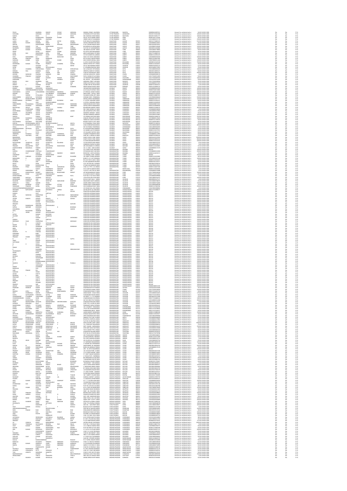| SUSHAM<br>SUNITA                                                |                                                       | AGARWA<br>AGRAWAL<br>NYATI                          | RADHE<br><b>ASHOE</b>                                        | KUMAR                                | AGRAWAL<br>NYATI                               | ATHWARIA KOTHI SAD INDIA<br>503 RADHIKA VIHAR NINDIA<br>20/215 SIR KI MANDI JINDIA                                                            | UTTARAKH<br>UTTAR PRADESH<br>UTTAR PRADESH                            | AZAMGARI<br>MATHURA                                                          |                                      | IN30155721042280<br>IN30155721851771                                         | Amount for unclaimed and u<br>Amount for unclaimed and u<br>Amount for unclaimed and u                                                   |                                                                                                                               |
|-----------------------------------------------------------------|-------------------------------------------------------|-----------------------------------------------------|--------------------------------------------------------------|--------------------------------------|------------------------------------------------|-----------------------------------------------------------------------------------------------------------------------------------------------|-----------------------------------------------------------------------|------------------------------------------------------------------------------|--------------------------------------|------------------------------------------------------------------------------|------------------------------------------------------------------------------------------------------------------------------------------|-------------------------------------------------------------------------------------------------------------------------------|
| vann<br>LAXM<br>vindt                                           | DEVI<br>KUMAR                                         | KHANDEL<br>AGARWAL<br>MEENA<br>SHARMA               | <b>SURENDR</b><br>RAM<br>rami                                | KUMAR<br>AVTAR<br>LAL                | ARORA<br>MEENA<br>SHARMA                       | UNDER CARE OF SUMAINDIA<br>D 205 MALVIYA NAGAJINDIA<br>SATHEA BHAWAN MA INDIA                                                                 | UTTAR PRADES!<br>UTTAR PRADESP<br>RAJASTHAM<br>RAJASTHAM              | AGRA<br>AGRA<br>ALWAT<br>ALWAT                                               | 301000                               | IN30011811113266<br>120132000107177<br>IN3011271568222<br>120206000022463    | Amount for unclaimed and u<br>Amount for unclaimed and u<br>Amount for unclaimed and u<br>Amount for unclaimed and u                     | 100.00 04-NOV-2026<br>100.00 04-NOV-2026<br>42.50 04-NOV-2026<br>512.50 04-NOV-2026<br>512.50 04-NOV-2026<br>25.00 04-NOV-202 |
| DEEPA<br>PRAVEEN<br>RAVINDR                                     | KUMA<br>KUMAI<br>KUMAI                                | MAHESH<br>tak<br>Sharma                             | RADHA<br>RAMESHW<br>CM                                       | <b>CRISHAP</b><br>PRAKASI            | MAHESHV<br>TANK<br>SHARMA                      | K-102 KISHAN NAGAR INDIA<br>56 DHOGIYA KA MOHAINDIA<br>FLAT NO 137 JAGOAMIINDIA<br>108 JANATA COLONY IINDIA                                   | RAJASTHA!<br>RAJASTHA<br>RAJASTHA                                     | <b>IAIPUI</b><br><b>IAIPUI</b><br><b>IAIPUI</b>                              | 302017<br>101012<br>103338           | N30116030314941<br>N30169611024866                                           | Amount for unclaimed and u<br>Amount for unclaimed and u<br>Amount for unclaimed and u                                                   | 750.00 04-NOV-202<br>150.00 04-NOV-202<br>100.00 04-NOV-202                                                                   |
| <b>ASHOP</b><br>KIRAN<br>GYAN                                   | DEO                                                   | AGARWAL<br>GOYAL<br>MAHESV<br>EMARGAVA              | NARESH<br>LADU<br>GAURI                                      | DAS<br>CHAND<br>RAM<br>SHANKER<br>T  | AGARWA<br>AGRAWA<br>MUNDRA<br>BHARGAW          | PILI KOTHI OPP NAGARINDIA<br>600/3 ASHEERWAL OP INDIA                                                                                         | RAJASTHA<br>RAJASTHA<br>RAJASTHA!<br>RAJASTHA                         | TONX<br>TONX<br>AMIT<br>AMIT                                                 | 104804<br>104804<br>105000<br>105000 | 1203320002778065<br>120332000346234<br>IN30177410865535<br>IN30021412955419  | Amount for unclaimed and u<br>Amount for unclaimed and u<br>Amount for unclaimed and u<br>Amount for unclaimed and u                     | 50.00 04-NOV-202<br>25.00 04-NOV-202<br>12.50 04-NOV-202<br>12.50 04-NOV-202                                                  |
| NIKHI.<br>SYED<br>VISHINU<br>SUBHASH                            | PRAKASH<br>CHAND                                      | ALI<br>GURG<br>GARG                                 | SYED<br><b>BAMNIVAS</b><br>AMAR.                             | BAKHLIYAI<br>CHAND                   | ALI<br>GURG<br>GARG                            | 317/10 SUNDER VILLA!INDIA<br>SHAH JI KI HAVELI ANDINDIA<br>874 B K KAUL NAGAR FINDIA<br>4010 CHOKRI MOHALL INDIA<br>A-22 RK COLONY BHILVINDIA | RAJASTHA<br>RAJASTHA<br>RAJASTHAN<br>RAJASTHAN                        | AMIT<br>AMER<br>AMER                                                         | 105000<br>105004                     | 120206000005520<br>N30311610007585<br>120607000001142                        | Amount for unclaimed and u<br>Amount for unclaimed and u<br>Amount for unclaimed and u                                                   | 100.00 04-NOV-202<br>50.00 04-NOV-202<br>150.00 04-NOV-202                                                                    |
| SUBRATA<br>MAHENDRA<br>ATEN                                     | KUMAI                                                 | JAIN<br>VOHIU<br>HUSSAIP<br>KHANNA                  | RAMESH<br>NOTAVALA                                           | CHANDRA                              | JAIN<br>VOHRA<br>MOHD                          | MORYA SYNTEX PVT L'INDIA<br>5/0 ALI MUHAMMAD (INDIA<br>G-1 KHANNA BHAVAN INDIA<br>542-A BAILWAY OFFICINDIA<br>CORNER I BANK OF CONDIN         | RAJASTHA<br>RAJASTHA<br>RAJASTHA                                      | EMEWAR<br>EMEWAR<br>UDAIPUR                                                  | 311000<br>311000<br>313000<br>313024 | IN30383310140328<br>N30021412624815<br>IN30047642505122<br>1601010000273952  | Amount for unclaimed and u<br>Amount for unclaimed and u<br>Amount for unclaimed and u<br>Amount for unclaimed and u                     | 750.00 04-NOV-202<br>50.00 04-NOV-2026<br>12.50 04-NOV-2026<br>75.00 04-NOV-202                                               |
| VIKAS<br>SOGHAG<br>RAIENDRA                                     | CHANDRA<br>MAL                                        | SHARMA<br><b>GUPTA</b>                              | THAKUR<br>GOGA<br>PURAN                                      | PRASAD<br>LAL<br>MAL                 | SHRIVASTAV<br>SHARMA<br>GUPTA                  | <b>ORENTAL BANK OF COINDIA</b><br>H.NO.937 MAHAVEER INDIA                                                                                     | RAJASTHA<br>RAJASTHA<br>RAJASTHA!                                     | UDAIPUR<br>KOTA<br>KOTA<br>KOTA                                              | 324002<br>124005<br>124005           | 1301440000692445<br>IN30105510092547<br>IN30105510630216                     | Amount for unclaimed and u<br>Amount for unclaimed and u<br>Amount for unclaimed and u                                                   | 158.50 04-NOV-202<br>50.00 04-NOV-2026<br>500.00 04-NOV-2026                                                                  |
| GOVIND<br>CHANDRA<br>CHANDRAKALA<br>DARSHANA                    | NARAYAN<br>PRAKASH                                    | SHARMA<br>SHARMA<br>PARTEK<br>KUKAR                 | SANWAR<br>ATTRI<br><b>IAGDISH</b>                            | MAL<br>PRASAD<br>OPANKAL             | SHARMA<br>INVESTMENT<br>PARTEK<br><b>KUKAR</b> | LODI BAS SADULPUR SINDIA<br>PATEL CHOWK SITLA B INDIA<br>C/O RADHESHYAM SHUNDIA<br>45-L-BLOCK SRI GAN INDIA                                   | RAJASTHAN<br>BAJASTHAN<br>BAJASTHAN<br>BAJASTHAN                      | CHURU<br>CHURU<br><b>JHUJHUNL</b><br>GANGANAGA                               | 331023<br>331023<br>333042<br>335001 | 1203660000000115<br>1201770100511095<br>1201770100087325<br>1201910103154183 | Amount for unclaimed and u<br>Amount for unclaimed and u<br>Amount for unclaimed and u<br>Amount for unclaimed and u                     | 5.00 04-NOV-2020<br>50.00 04-NOV-2026<br>140.50 04-NOV-2026<br>10.00 04-NOV-2026                                              |
| <b>MANJU</b><br><b>SUNITA</b><br>DINESH                         | DEVI<br>s                                             | AGARWAI<br><b>JAN</b><br>SHARMA                     | MJL.<br>SURENDRA<br>SHYAM                                    | KUMAR                                | CHAND<br>MIAL<br>LAL                           | AGRAWAL STREET LADINDIA<br>SONYA ELECTRICALS G INDIA<br>23/285 CHB PAL ROAD INDIA                                                             | BAJASTHAN<br>BAJASTHAN<br>BAJASTHAN                                   | NAGAUR<br>JODHPUR<br>JODHPUP                                                 | 141300<br>142001<br>142008           | 1201770100509156<br>1201090000571307<br>IN30073210043413                     | Amount for unclaimed and u<br>Amount for unclaimed and u<br>Amount for unclaimed and u                                                   | 25.00 04-NOV-2026<br>25.00 04-NOV-2026<br>1.00 04-NOV-2020                                                                    |
| SAURABH<br><b>BHARAT</b><br>ANILKUMAR<br>VADODARIYA             | GOKALIMAI<br>VIRENDRASY<br>ALPESH                     | <b>KUMAR</b><br>DHOLARIYA<br>CEHATNAGAI<br>CHHAGANE | HARISH<br>GOKALDIAI<br>VRENDRASWA<br>OTHAGANDIAI             | NAGJEMA                              | CHANDRA<br>VADODARIYA                          | INDER SADAN KHAGAL INDIA<br>18 RANCHHOD NAGARINDIA<br>A/110 AALAP AVENUE INDIA<br>AT-VERAVAL SAPAR TAINDIA                                    | BAJASTHAN<br>GUIARAT<br><b>GUIARAT</b><br><b>GUIARAT</b>              | BARMER<br>RAIKOT<br>RAIKOT<br><b>BAJKOT</b>                                  | 144000<br>360003<br>160005<br>360007 | IN30311610096123<br>1201800000001492<br>IN30047640212866<br>1207100000102028 | Amount for unclaimed and u<br>Amount for unclaimed and u<br>Amount for unclaimed and u<br>Amount for unclaimed and u                     | 50.00 04-NOV-2026<br>100.00 04-NOV-2026<br>300.00 04-NOV-2026<br>100.00 04-NOV-2026                                           |
| KAMANI<br>PATEL<br>KANCHANIEN                                   | NITIN<br>HARESH<br><b>AMRUTLAI</b>                    | <b>VITHALBHA</b><br><b>RUPAPARA</b>                 | VALLABHEMAI<br>WTHALBHAI<br>NOTAVAILABLE                     | CHHAGANISHAI<br><b>KADVABHAI</b>     | KAMANI<br>PATEL                                | NAVA GADH JETPUR, INDIA<br>FULWADI DHORA OPP. INDIA<br>DEVRAM SHERI PORB/INDIA                                                                | <b>GUIARAT</b><br><b>GUIARAT</b><br><b>GUIARAT</b>                    | <b>BAJKOT</b><br><b>BAJKOT</b><br>RAIKOT                                     | 160370<br>160370<br>360490           | IN30097411425043<br>IN30097410887055<br>1301990000002640                     | Amount for unclaimed and u<br>Amount for unclaimed and u<br>Amount for unclaimed and u                                                   | 358.00 04-NOV-2026<br>50.00 04-NOV-2026<br>250.00 04-NOV-2026                                                                 |
| DAMANI<br>GHANSYAMINA<br>SHILPA<br>HARSHIDABEN                  | <b>BHARATICUMA</b><br>DEVJENAI<br>CHHAGANLAI          | GULABDAS<br>VADI<br>VADI<br>CHAUHAN                 | GULABDAS<br>DEVJIBNAI<br>GHANSHYAMBIN<br>PREMJEDNAJ          | RUDAINAI<br>CHAILUBHAI               | VADI<br>MAKWANA                                | MATRU ASHISH NAGAHNDIA<br>H- 2/3756 SADHANA CINDIA<br>H-2/3756 SADHANA SINDIA<br>SIDDHESHWAR SOCIET INDIA                                     | <b>GUIARAT</b><br><b>GUIARAT</b><br><b>GUIARAT</b><br><b>GUIARAT</b>  | <b>JAMNAGA</b><br><b>JAMNAGAS</b><br><b>JAMNAGAS</b><br><b>JAMNAGAS</b>      | 361005<br>361005<br>361005<br>361008 | IN30039413327715<br>IN30097411002412<br>IN30097410339929<br>IN30302858575363 | Amount for unclaimed and u<br>Amount for unclaimed and u<br>Amount for unclaimed and u<br>Amount for unclaimed and u                     | 125.00 04-NOV-2026<br>50.00 04-NOV-2026<br>50.00 04-NOV-2026<br>50.00 04-NOV-2026                                             |
| ADEJA<br>MASTAFAALI<br>VIRAL                                    | DILIPSINH<br>AKILALI<br>DILIPKUMAR                    | UMEDSINH<br>SHEKH<br>PAREKH                         | <b>JADEJA</b><br><b>AKILALI</b><br>DIUPICUMAR                | FAKIRALI                             | <b>UMEDSINH</b><br>SHEKH                       | GATRAL KRUPA RAMISINDIA<br>BALKRISHNA MARKET (INDIA<br>504 PARK AVENUE AP INDIA                                                               | <b>GUIARAT</b><br><b>GUIARAT</b><br><b>GUIARAT</b>                    | <b>JAMNAGAS</b><br><b>JUNAGADE</b><br><b>JUNAGADE</b>                        | 361008<br>362001<br>362001           | IN30311610008560<br>IN30097411608219<br>1201800000326030                     | Amount for unclaimed and u<br>Amount for unclaimed and u<br>Amount for unclaimed and u                                                   | 25.00 04-NOV-2026<br>387.00 04-NOV-2026<br>3.50 04-NOV-2020                                                                   |
| MAHESHIIHA<br>SUMAN<br>MINARSI<br>PAREKH                        | LAXMIDAS<br>MUANDHAI<br>HITESH                        | LADANI<br>GOSTER<br>GOSTER<br>PANKAJ                | LAXMIDAS<br>ARJANDINA<br>HITESH<br>SHASH                     | KHIMIBHAI                            | LADANI<br>KANT                                 | 604 AVADEPURI APPA INDIA<br>MANGROL BUNDAR NINDIA<br>ON BHAI MANGROL B/INDIA<br>C/O PANKAJ MATCHIN INDIA                                      | <b>GUIARAT</b><br><b>GUIARAT</b><br><b>GUIARAT</b><br><b>GUIARAT</b>  | <b>JUNAGADE</b><br><b>JUNAGADE</b><br><b>JUNAGADE</b><br>BHAVNAGAI           | 162001<br>362226<br>362226<br>164001 | 1206460000015964<br>1203320001278352<br>1203320001975801<br>IN30039412698732 | Amount for unclaimed and u<br>Amount for unclaimed and u<br>Amount for unclaimed and u<br>Amount for unclaimed and u                     | 25.00 04-NOV-2026<br>50.00 04-NOV-2026<br>100.00 04-NOV-2026<br>232.00 04-NOV-2026                                            |
| MAHENCRA<br>VADIA<br>GAUTAMENA                                  | RAMIDHA<br>SOHIL<br>BATUKRAY                          | CHHOTALA<br>SALIMIBHA<br>MALVANIA                   | RAMJIBHA<br>SALIMIBHA<br>BATUKRAY                            |                                      |                                                | AVAKAR JEWELLERS M INDIA<br>HARAN KULIANTA SOCINDIA<br><b>BHARAT SOCIETY OPP. INDIA</b>                                                       | <b>GUIARAT</b><br><b>GUIARAT</b><br><b>GUIARAT</b>                    | BHAVNAGAR<br>BHAVNAGAR<br>BHAVNAGAR                                          | 364290<br>364710<br>364710           | 1201980000123643<br>IN30097411749019<br>1201120200018617                     | Amount for unclaimed and u<br>Amount for unclaimed and u<br>Amount for unclaimed and u                                                   | 100.00 04-NOV-2026<br>50.00 04-NOV-2026<br>25.00 04-NOV-2026                                                                  |
| <b>CUNTAL</b><br>MOHAMMEDRAFIQ<br><b>VIMLA</b><br>NARENDRAKUMAR | SRESHCHAN<br>GULAMMURTUJASHAIO<br>NATHALAL            | MERTA<br>SANDILA<br>PATEL                           | SRURESHONA<br>GULAM<br>MANOHARLAL<br>NATHALAL                | MURTUIA<br>ISHWARLAL                 | MEHTA<br>SHARCH<br>PATEL                       | 5-D PUNJABHAI TOWE INDIA<br>JUNA KUMBHARWADAINDIA<br>507 B 6 PANNA TOWERNOIA<br>67 GOLDAN BUNGLOWINDIA                                        | <b>GUIARAT</b><br><b>GUIARAT</b><br><b>GUIARAT</b><br><b>GUIARAT</b>  | KACHCHH<br>ANMEDABAD<br>ANMEDABAD<br>MAHESANA                                | 370001<br>380000<br>382424<br>384000 | N30097411266433<br>1205410000006923<br>1304140005844305<br>1201090001865411  | Amount for unclaimed and u<br>Amount for unclaimed and u<br>Amount for unclaimed and u<br>Amount for unclaimed and u                     | 25.00 04-NOV-2026<br>400.00 04-NOV-2026<br>0.50 04-NOV-2020<br>75.00 04-NOV-2026                                              |
| KANUSHAI<br>NARSINHEHA<br>INDERMAL                              | RATANLAL                                              | PRAIAPATI<br>PATEL<br>SHAH                          | AMTHARAM<br><b>HARGOVANDAS</b><br><b>BATANLAL</b>            | TOSHNINA                             | PRAIAPAT<br>PATEL<br>SNAH                      | C/O AMBICA AUTO EN INDIA<br>C/O GUIARAT MOTOR INDIA<br>S KAMINI TENAMENTS INDIA                                                               | <b>GUIARAT</b><br><b>GUIARAT</b><br><b>GUIARAT</b>                    | MAHESANA<br>MAHESANA<br>KHEDA                                                | 384002<br>384002<br>387002           | IN30051313217913<br>IN30123310010577<br>1202680000112905                     | Amount for unclaimed and u<br>Amount for unclaimed and u<br>Amount for unclaimed and u                                                   | 50.00 04-NOV-2026<br>60.00 04-NOV-2026<br>50.00 04-NOV-2026                                                                   |
| SURESH<br>BANARSIDAS<br>PRAKASHDEVI<br>ZINABHAI                 | <b>HASTIMAL</b>                                       | <b>JAIN</b><br>AGARWA<br>AGARWAL<br>PATEL           | <b>HASTIMAL</b><br>RAMLAL<br>BANARSIDAS<br>RAVJIBHAI         | PREMCHAND                            | AAIN<br>AGARWA<br><b>AGARWAL</b><br>PATEL      | SHOP NO. 4 HIRON CO INDIA<br>SHAKTI HOUSE 1558/ 1INDIA<br>SHAKTI HOUSE 1558 / 1NDIA<br>51 GOKULNAGAR BESEINDIA                                | <b>GUIARAT</b><br><b>GUIARAT</b><br><b>GUIARAT</b><br><b>GUIARAT</b>  | ENARGEN<br>SURAT<br>SURAT<br>SURAT                                           | 393002<br>195002<br>195002<br>195000 | IN30097410784165<br>IN30216410110394<br>IN30216410091016<br>IN30051315414162 | Amount for unclaimed and u<br>Amount for unclaimed and u<br>Amount for unclaimed and u<br>Amount for unclaimed and u                     | 25.00 04-NOV-2026<br>1500.00 04-NOV-2020<br>850.00 04-NOV-2026<br>500.00 04-NOV-2026                                          |
| RAJULKUMAR<br>IIGISHA<br>PRAKASH                                | <b>JAYANTILAL</b><br>ASHOK<br>BALVANTRA               | PATEL<br>PATEL<br>NAIK                              | <b>JAYANTILAL</b><br><b>ASHOE</b><br>BALVANTRA               | RAVJEHA<br>RANCHHOOJ                 | PATEL<br>PATEL<br>NAIK                         | 75 YOGI KRUPA ROW FINDIA<br>SONWADA FAKIRA FALINDIA<br>605 SHIVANAND CO OFINDIA                                                               | <b>GUIARAT</b><br><b>GUIARAT</b><br><b>GUIARAT</b>                    | SURAT<br>NAVSAR<br>NAVSARI                                                   | 195008<br>196375<br>196445           | 1204470002321522<br>1203120001659571<br>IN30051313319805                     | Amount for unclaimed and u<br>Amount for unclaimed and u<br>Amount for unclaimed and u                                                   | 0.50 04-NOV-2020<br>5.00 04-NOV-2020<br>17.50 04-NOV-2026                                                                     |
| DHANSURH<br>RITA<br><b>HARSIM</b><br>VIDYA                      | <b>MAGANLAL</b><br>CHANDRAKANT<br>DILIP               | PAREXH<br>VAKIL<br>CHOTALIA<br>SANDIE               | MAGANLAL<br>CHANDRAKANT<br>vASUDEO                           | NAMOEO                               | PAREKH<br>VAKIL<br>SANDER                      | 151- G UNAI UNAI GLINDIA<br>C/O. EDDIE PATEL MININDIA<br>5/9 KADAM WADI VAKINDIA<br>ROOM NO 1 GEETA BHINDIA                                   | GUIARAT<br>MAHARASHTRA<br>MAHARASHTRA<br>MAHARASHTRA                  | SURAT<br>MUMBA<br>MUMBAI<br>MUMBAI                                           | 196590<br>400054<br>400055<br>400066 | 1202090000171573<br>003418<br>1201860000222496<br>IN30021412674271           | Amount for unclaimed and u<br>Amount for unclaimed and u<br>Amount for unclaimed and u<br>Amount for unclaimed and u                     | 12.50 04-NOV-2026<br>100.00 04-NOV-2026<br>200.00 04-NOV-2026<br>15.00 04-NOV-2026                                            |
| LAXMIKANT<br>CHITRA<br>BABASAHEB                                | SHRIRAM<br>¢                                          | SUGANDH<br>KULKARN<br>CHAVAN                        | PARASHURAM<br>SHRIRAM                                        | VASANT                               | KULKARN                                        | 13. MANGAL COOP, HSINDIA<br>101 SHREE TOWERS BEINDIA<br>B/403 PL 2/3 SECTOR1INDIA                                                             | MAHARASHTRA<br>MAHARASHTRA<br>MAHARASHTRA                             | THANE<br>THANE<br>THAND                                                      | 400604<br>400610<br>400700           | 002082<br>IN30051313223982<br>1201320001051148                               | Amount for unclaimed and u<br>Amount for unclaimed and u<br>Amount for unclaimed and u                                                   | 250.00 04-NOV-2026<br>46.50 04-NOV-2020<br>100.00 04-NOV-2026                                                                 |
| RASHMI<br>SAURABH<br>KALPIT<br>NAYAK                            | DHIRAJ                                                | SHENDE<br><b>JAIN</b><br>DESAL<br>RADHESHYAM        | <b>JAYANT</b><br>DEVENDEA<br>DHIRAI                          |                                      | SHENDS<br>AAIN<br>DESAI<br><b>NAYAK</b>        | RH 4 M 9 SEC 6 VASHI INDIA<br>B-1103 AAKANKSHA BUNDIA<br>C/14 SECTOR NO-4 4/1NDIA<br>AT MALYAN RAMWAD INDIA                                   | MAHARASHTRA<br>MAHARASHTRA<br>MAHARASHTRA<br>MAHARASHTRA              | THAND<br>THAND<br>THAND<br>THANE                                             | 400703<br>401107<br>401107<br>401602 | IN30051315910637<br>IN30047641132077<br>IN30198310193670<br>1204470004187621 | Amount for unclaimed and u<br>Amount for unclaimed and u<br>Amount for unclaimed and u<br>Amount for unclaimed and u                     | 10.00 04-NOV-2026<br>50.00 04-NOV-2026<br>25.00 04-NOV-2026<br>25.00 04-NOV-2026                                              |
| NAMDEC<br>NARENDRA<br>SANJAY                                    | PIRAIL<br>GANGARAM                                    | BANSOC<br>KAMAT<br><b>JOIL</b>                      | PIRAJE<br><b>JAGANINATH</b><br>GANGARAM                      | GANGARAM<br>NARAYAN<br>peypo         | BANSOD<br>KAMAT<br><b>JOL</b>                  | H NO 111 TYPE 1 111 EINDIA<br>517/1 ADITYA NARAYA INDIA<br>C 6/21/2 1 SECTOR 18 INDIA                                                         | MAHARASHTRA<br>GDA<br>MAHARASHTRA                                     | THANE<br>NORTH GOA<br>RAIGARH(MH                                             | 401603<br>403530<br>410206           | IN30051314647180<br>IN30051319246840<br>1203600000155488                     | Amount for unclaimed and u<br>Amount for unclaimed and u<br>Amount for unclaimed and u                                                   | 48.50 04-NOV-2026<br>5.00 04-NOV-2020<br>0.50 04-NOV-2020                                                                     |
| SANJAY<br>SIDDHARTH<br>OEMONANOR<br>TARACHAND                   | KANHAYYALAL<br>SHAM<br>MOTILAL                        | MUNOT<br>THADANEY<br>PATIL<br>DISARDA               | KANAHYALAI<br>NOTAVAILABLE<br><b>JANKIRAM</b><br>MOTILAL     | BHAGCHAND<br>NAMDEO                  | <b>MUNDT</b><br>PATIL                          | A/P-NAYARANGAON T.INDIA<br>G 14 GEETA SOCIETY SINDIA<br>PLOT NO.8 FLAT NO.8 INDIA<br>1218 SUYOG NR COUR INDIA                                 | MAHARASHTRA<br>MAHARASHTRA<br>MAHARASHTRA<br>MAHARASHTRA              | PUNE<br>PUNE<br>PUNE<br>PUNE                                                 | 410504<br>411000<br>411012<br>412210 | 1201770000044618<br>IN30177410721993<br>1201060002699908<br>1304140000762472 | Amount for unclaimed and u<br>Amount for unclaimed and u<br>Amount for unclaimed and u<br>Amount for unclaimed and u                     | 100.00 04-NOV-2026<br>67.50 04-NOV-2026<br>1.00 04-NOV-2020<br>100.00 04-NOV-2026                                             |
| KIRTIKUMAR<br>RAJASHRI<br>POPATLAL                              | SHANTILAL<br>SANDESH<br>TEIRAJ                        | <b>JAIN</b><br>TEKE<br>GANDH                        | SHANTILAL<br>MOSTRE<br>TEIRAI                                | MURLIDHAR                            | AAIN<br>BABURAO<br>GANDHI                      | 613/14 CHATI GALLI SINDIA<br>MALGUNDE WASTI AMINDIA<br>ZAVERI ARKED MAIN RINDIA                                                               | MAHARASHTRA<br>MAHARASHTRA<br>MAHARASHTRA                             | SOLAPUR<br>SOLAPUR<br>SOLAPUR                                                | 411002<br>413102<br>413102           | IN30109810127127<br>1201310000768470<br>1201310000734466                     | Amount for unclaimed and u<br>Amount for unclaimed and u<br>Amount for unclaimed and u                                                   | 5.00 04-NOV-2020<br>25.00 04-NOV-2026<br>150.00 04-NOV-2026                                                                   |
| BABAN<br>PARASWAR<br>DHOOTVISH<br>MEERABA                       | <b>BHIMRAO</b><br>PRAMOD<br>AKABANDING<br>BAPUSAHEB   | ATOLE<br>GOPAL<br>KHODAL                            | DARAD<br><b>GOPAL</b><br>NOTAPPLICABLE<br>DNYANDED           | <b>VITTHAL</b><br>COVIND<br>LIMBAR   | ATOLE<br>PARASWAR<br>TAKE                      | SHINDE WASTI GADIKHINDIA<br>2313 KUMBHAR GHAT INDIA<br>C/O SHAM DALL MILL FINDIA<br>A/P BELAPUR TAL SHRUNDIA                                  | MAHARASHTRA<br>MAHARASHTRA<br>MAHARASHTRA<br>MAHARASHTRA              | SOLAPUR<br>SOLAPUR<br>OSMANABAD<br>AHMED NAGAR                               | 413102<br>413304<br>413512<br>413715 | 1201310000809548<br>IN30051317065936<br>1204470001896902<br>IN30177415498277 | Amount for unclaimed and u<br>Amount for unclaimed and u<br>Amount for unclaimed and u<br>Amount for unclaimed and u                     | 15.00 04-NOV-2026<br>200.00 04-NOV-2026<br>0.50 04-NOV-2020<br>150.00 04-NOV-2026                                             |
| AASHSH<br>GANDHI<br>GADE                                        | NARAYAN                                               | PALLOD<br>DILIP<br>GANPATRAD                        | KANTILAL<br>c                                                | GANPATRAD                            | PALLOD<br>NARAYANRAD                           | VIDEOCON INTERNATIINDIA<br>VIDEOCON INTERNATIONDIA<br>VIDEOCON INTERNATIINDIA                                                                 | MAHARASHTRA<br>MAHARASHTRA<br>MAHARASHTRA                             | AHMED NAGAR<br>AHMED NAGAR<br>AHMED NAGAR                                    | 414000<br>414001<br>414000           | 002109<br>002111<br>002112                                                   | Amount for unclaimed and u<br>Amount for unclaimed and u<br>Amount for unclaimed and u                                                   | 100.00 04-NOV-2026<br>100.00 04-NOV-2026<br>100.00 04-NOV-2026                                                                |
| MULAY<br><b>JAYANT</b><br><b>VIVEK</b><br><b>SUBHASE</b>        | EXNATH                                                | USHNU<br>JADHAV<br>DHARM<br><b>DAYMA</b>            | M<br>EXNATH<br>DATTATRAYA<br>NOTAVAILABLE                    |                                      | ADIUTRAD<br>JADHAV                             | VIDEOCON INTERNATIONDIA<br>VIDEOCON INTERNATIONDIA<br>VIDEOCON INTERNATIONDIA<br>VIDEOCON INTERNATIONDIA                                      | MAHARASHTRA<br>MAHARASHTRA<br>MAHARASHTRA<br>MAHARASHTRA              | AHMED NAGAR<br>AHMED NAGAR<br>AHMED NAGAR<br>AHMED NAGAR                     | 414001<br>414001<br>414000<br>414000 | 002113<br>002116<br>002140<br>002141                                         | Amount for unclaimed and u<br>Amount for unclaimed and u<br>Amount for unclaimed and u<br>Amount for unclaimed and u                     | 100.00 04-NOV-2026<br>100.00 04-NOV-2026<br>100.00 04-NOV-2026<br>100.00 04-NOV-2026                                          |
| PRAKASH<br>PILLAI<br>SAPKAI                                     | RAMARAJAN<br>NARHARI                                  | KASTURI<br>NARAYAN<br>EMIMING                       | NOTAVAILABLE                                                 |                                      | KASTURE<br><b>BHIMRAD</b>                      | VIDEOCON INTERNATIONDIA<br>VIDEOCON INTERNATIONDIA<br>VIDEOCON INTERNATIONDIA                                                                 | MAHARASHTRA<br>MAHARASHTRA<br>MAHARASHTRA                             | AHMED NAGAR<br>AHMED NAGAR<br>AHMED NAGAR                                    | 414000<br>414000<br>414000           | 002142<br>002144<br>002145                                                   | Amount for unclaimed and u<br>Amount for unclaimed and u<br>Amount for unclaimed and u                                                   | 100.00 04-NOV-2026<br>100.00 04-NOV-2026<br>100.00 04-NOV-2026                                                                |
| KESHARMAI<br>PATIL<br>SATISM                                    | BALASAHED<br>JAHAN                                    | GANDHI<br>TRIMIAL<br>MONAN<br>MAWAL                 | TRIMBAK<br>NOTAVAILABLE<br>DALKISAN                          |                                      | GANDHI                                         | VIDEOCON INTERNATIONDIA<br>VIDEOCON INTERNATIONDIA<br>VIDEOCON INTERNATIONDIA<br>VIDEOCON INTERNATIONDIA                                      | MAHARASHTRA<br>MAHARASHTRA<br>MAHARASHTRA<br>MAHARASHTRA              | AHMED NAGAR<br>AHMED NAGAR<br>AHMED NAGAR<br>AHMED NAGAR                     | 414000<br>414000<br>414000<br>414000 | 002147<br>002149<br>002150<br>002151                                         | Amount for unclaimed and u<br>Amount for unclaimed and u<br>Amount for unclaimed and u<br>Amount for unclaimed and u                     | 100.00 04-NOV-2026<br>100.00 04-NOV-2026<br>100.00 04-NOV-2026<br>100.00 04-NOV-2026                                          |
| SALUNKE<br>GANDH                                                |                                                       | VILAS<br>VASANT<br>VIKAS                            | RAMBHAU<br>KANTILAL                                          |                                      | SHESHARAD                                      | VIDEOCON INTERNATIONDIA<br>VIDEOCON INTERNATIONDIA<br>VIDEOCON INTERNATIONDIA                                                                 | MAHARASHTRA<br>MAHARASHTRA<br>MAHARASHTRA                             | AHMED NAGAR<br>AHMED NAGAR<br>AHMED NAGAR                                    | 414000<br>414000<br>414000           | 002152<br>002153<br>002163                                                   | Amount for unclaimed and u<br>Amount for unclaimed and u<br>Amount for unclaimed and u                                                   | 100.00 04-NOV-2026<br>100.00 04-NOV-2026<br>100.00 04-NOV-2026                                                                |
| MODHAVE<br>RAIDH                                                | VILAS<br>N                                            | VASANTRAO<br>CHEMTE<br>WORDE                        | NOTAVAILABLE<br>NARAYAR                                      |                                      | MODHAVE<br><b>DEDNEKAR</b>                     | VIDEOCON INTERNATIONDIA<br>GANGAPUR GIN COMPINDIA<br>GANGAPUR GIN COMPINDIA                                                                   | MAHARASHTRA<br>MAHARASHTRA<br>MAHARASHTRA                             | AHMED NAGAR<br>AHMED NAGAR<br>AHMED NAGAR                                    | 414000<br>414000<br>414000           | 002166<br>002103<br>002104                                                   | Amount for unclaimed and u<br>Amount for unclaimed and u<br>Amount for unclaimed and u                                                   | 100.00 04-NOV-2026<br>100.00 04-NOV-2026<br>100.00 04-NOV-2026                                                                |
| DEEPAK<br>BABU<br>SANJAY<br>MAHESH                              | ×                                                     | DEDNEKA<br>PANCHAL<br>GHADGE<br>CHAVAN              | NOTAVAILABLE<br>NOTAVAILABLE<br>NOTAVAILABLE                 |                                      |                                                | GANGAPUR GIN COMPINDIA<br>GANGAPUR GIN COMPINDIA<br>GANGAPUR GIN COMPINDIA<br>GANGAPUR GIN COMPINDIA                                          | MAHARASHTRA<br>MAHARASHTRA<br>MAHARASHTRA<br>MAHARASHTRA              | AHMED NAGAR<br>AHMED NAGAR<br>AHMED NAGAR<br>AHMED NAGAR                     | 414000<br>414000<br>414000<br>414000 | 002105<br>002106<br>002108<br>002117                                         | Amount for unclaimed and u<br>Amount for unclaimed and u<br>Amount for unclaimed and u<br>Amount for unclaimed and u                     | 100.00 04-NOV-2026<br>100.00 04-NOV-2026<br>100.00 04-NOV-2026<br>100.00 04-NOV-2026                                          |
| SURENDRA<br>SAJEEVAN<br>PRAKASH                                 | CHAND                                                 | BABU<br>MENON<br>VERMA                              | NOTAVAILABLE<br>NOTAVAILABLE<br>NOTAVAILABLE                 |                                      |                                                | GANGAPUR GIN COMPINDIA<br>GANGAPUR GIN COMPINDIA<br>GANGAPUR GIN COMPINDIA                                                                    | MAHARASHTRA<br>MAHARASHTRA<br>MAHARASHTRA                             | AHMED NAGAR<br>AHMED NAGAR<br>AHMED NAGAR                                    | 414000<br>414000<br>414000           | 002118<br>002119<br>002121                                                   | Amount for unclaimed and u<br>Amount for unclaimed and u<br>Amount for unclaimed and u                                                   | 100.00 04-NOV-2026<br>100.00 04-NOV-2026<br>200.00 04-NOV-2026                                                                |
| VINAY<br>DATTARAM                                               |                                                       | GUPTA<br>KADAN<br>PARAB<br>GOGLA                    | NOTAVAILABLE<br>NOTAVAILABLE                                 |                                      | <b>GUPTA</b><br>COGIA                          | GANGAPUR GIN COMPINDIA<br>GANGAPUR GIN COMPINDIA<br>GANGAPUR GIN COMPINDIA<br>GANGAPUR GIN COMPINDIA                                          | MAHARASHTRA<br>MAHARASHTRA<br>MAHARASHTRA<br>MAHARASHTRA              | AHMED NAGAR<br>AHMED NAGAR<br>AHMED NAGAR<br>AHMED NAGAR                     | 414000<br>414000<br>414000<br>414000 | 002122<br>002123<br>002124<br>002126                                         | Amount for unclaimed and u<br>Amount for unclaimed and u<br>Amount for unclaimed and u<br>Amount for unclaimed and u                     | 100.00 04-NOV-2026<br>100.00 04-NOV-2026<br>100.00 04-NOV-2026<br>200.00 04-NOV-2026                                          |
| SANJAY                                                          |                                                       | MURUKAN<br>WAGH<br><b>EAVINGRA</b>                  | NOTAVAILABLE<br>NOTAVAILABLE                                 |                                      | SRINIVASACHAR                                  | GANGAPUR GIN COMPINDIA<br>GANGAPUR GIN COMPINDIA<br>GANGAPUR GIN COMPINDIA                                                                    | MAHARASHTRA<br>MAHARASHTRA<br>MAHARASHTRA                             | AHMED NAGAR<br>AHMED NAGAR<br>AHMED NAGAR                                    | 414000<br>414000<br>414000           | 002127<br>002128<br>002130                                                   | Amount for unclaimed and u<br>Amount for unclaimed and u<br>Amount for unclaimed and u                                                   | 200.00 04-NOV-2026<br>200.00 04-NOV-2026<br>200.00 04-NOV-2026                                                                |
| VISHWANATH<br>RAIAN<br>vinoo<br>DEVIDAS                         |                                                       | PARWATE<br><b>BIDYE</b><br>SHARMA<br>RAIGURU        | NOTAVAILABLE<br>NOTAVAILABLE<br>NOTAVAILABLE<br>NOTAVAILABLE |                                      |                                                | GANGAPUR GIN COMPINDIA<br>GANGAPUR GIN COMPINDIA<br>GANGAPUR GIN COMPINDIA<br>GANGAPUR GIN COMPINDIA                                          | MAHARASHTRA<br>MAHARASHTRA<br>MAHARASHTRA<br>MAHARASHTRA              | AHMED NAGAR<br>AHMED NAGAR<br>AHMED NAGAR<br>AHMED NAGAR                     | 414000<br>414000<br>414000<br>414000 | 002131<br>002132<br>002133<br>002135                                         | Amount for unclaimed and u<br>Amount for unclaimed and u<br>Amount for unclaimed and u<br>Amount for unclaimed and u                     | 100.00 04-NOV-2026<br>100.00 04-NOV-2026<br>100.00 04-NOV-2026<br>100.00 04-NOV-2026                                          |
| BALU<br>NITIN                                                   | ٠                                                     | <b>NAGHMARI</b><br>VAIDYA<br><b>BAMAKRISHT</b>      | NOTAVAILABLE<br>NOTAVAILABLE<br>NOTAVAILABLE                 |                                      |                                                | GANGAPUR GIN COMPINDIA<br>GANGAPUR GIN COMPINDIA<br>GANGAPUR GIN COMPINDIA                                                                    | MAHARASHTRA<br>MAHARASHTRA<br>MAHARASHTRA                             | AHMED NAGAR<br>AHMED NAGAR<br>AHMED NAGAR                                    | 414000<br>414000<br>414000           | 002136<br>002137<br>002138                                                   | Amount for unclaimed and u<br>Amount for unclaimed and u<br>Amount for unclaimed and u                                                   | 100.00 04-NOV-2026<br>100.00 04-NOV-2026<br>100.00 04-NOV-2026                                                                |
| MAHESH<br>SANJAY<br>NANDALAL                                    |                                                       | PUNGLIA<br><b>HARIDASAN</b><br>CHUDNAIK<br>PASI     | NOTAVAILABLE<br>NOTAVAILABLE<br>NOTAVAILABLE                 |                                      | PUNGLIA                                        | GANGAPUR GIN COMPINDIA<br>GANGAPUR GIN COMPINDIA<br>GANGAPUR GIN COMPINDIA<br>GANGAPUR GIN COMPINDIA                                          | MAHARASHTRA<br>MAHARASHTRA<br>MAHARASHTRA<br>MAHARASHTRA              | AHMED NAGAR<br>AHMED NAGAR<br>AHMED NAGAR<br>AHMED NAGAR                     | 414000<br>414000<br>414000<br>414000 | 002139<br>002154<br>002155<br>002156                                         | Amount for unclaimed and u<br>Amount for unclaimed and u<br>Amount for unclaimed and u<br>Amount for unclaimed and u                     | 200.00 04-NOV-2026<br>100.00 04-NOV-2026<br>100.00 04-NOV-2026<br>100.00 04-NOV-2026                                          |
| HARI<br>SUBHASH<br><b>ASHOK</b>                                 | PRASAD                                                | <b>BAI</b><br>HEGDE<br>SHETTY                       | NOTAVAILABLE<br>NOTAVAILABLE<br>NOTAVAILABLE                 |                                      |                                                | GANGAPUR GIN COMPINDIA<br>GANGAPUR GIN COMPINDIA<br>GANGAPUR GIN COMPINDIA                                                                    | MAHARASHTRA<br>MAHARASHTRA<br>MAHARASHTRA                             | AHMED NAGAR<br>AHMED NAGAR<br>AHMED NAGAR                                    | 414000<br>414000<br>414000           | 002157<br>002158<br>002159                                                   | Amount for unclaimed and u<br>Amount for unclaimed and u<br>Amount for unclaimed and u                                                   | 100.00 04-NOV-2026<br>100.00 04-NOV-2026<br>100.00 04-NOV-2026                                                                |
| RAIARAM<br>PRASHANT<br>VIKAS<br>PRAKASH                         | t.                                                    | NAIK<br>PANDO<br>SHETTI<br>SHETTI                   | NOTAVAILABLE<br>NOTAVAILABLE<br>NOTAVAILABLE<br>NOTAVAILABLE |                                      |                                                | GANGAPUR GIN COMPINDIA<br>GANGAPUR GIN COMPINDIA<br>GANGAPUR GIN COMPINDIA<br>GANGAPUR GIN COMPINDIA                                          | MAHARASHTRA<br>MAHARASHTRA<br>MAHARASHTRA<br>MAHARASHTRA              | AHMED NAGAR<br>AHMED NAGAR<br>AHMED NAGAR<br>AHMED NAGAR                     | 414000<br>414000<br>414000<br>414000 | 002160<br>002161<br>002162<br>002165                                         | Amount for unclaimed and u<br>Amount for unclaimed and u<br>procured from conclusions of souther<br>procured from conclusions of souther | 100.00 04-NOV-2026<br>100.00 04-NOV-2026<br>100.00 04-NOV-2026<br>100.00 04-NOV-2026                                          |
| <b>SUNIL</b><br>PRADEEP<br>AKSHAY<br>SIKANDAR                   | <b>BAJKUMAR</b><br>MANSUR                             | SOLANIC<br>NAR<br>DHOOT<br>DANGE                    | NOTAVAILABLE<br>NOTAVAILABLE<br><b>BAJKUMAR</b><br>MANSUR    | ABEAS                                | DHOOT<br>DANGE                                 | GANGAPUR GIN COMPINDIA<br>GANGAPUR GIN COMPINDIA<br>GANGAPUR GIN COMPINDIA<br>SHUKRAWAR PETH PHINDIA                                          | MAHARASHTRA<br>MAHARASHTRA<br>MAHARASHTRA<br>MAHARASHTRA              | AHMED NAGAR<br>AHMED NAGAR<br>AHMED NAGAR<br>SATARA                          | 414000<br>414000<br>414000<br>415523 | 002167<br>002169<br>IN30045080531200<br>1201910102324184                     | Amount for unclaimed and u<br>Amount for unclaimed and u<br>Amount for unclaimed and u<br>Amount for unclaimed and u                     | 100.00 04-NOV-2026<br>100.00 04-NOV-2026<br>200.00 04-NOV-2026<br>45.50 04-NOV-2026                                           |
| AIIT<br>DILIP                                                   | ZUMBARLAL                                             | SETHIA<br>GADIYA                                    | SHIKHAR<br>ZUMBARLAI                                         | CHAND                                | SETHIA                                         | S/O SHIKHAR CHAND SINDIA<br>INCHEHED ROAD PI INDIA<br>ADWA BAZAR CHALIS INDIA                                                                 | MAHARASHTRA<br><b>MAHARASHTRA</b><br>MAHARASHTRA                      | THANE<br><b>JALGAON</b>                                                      | 421305<br>424100                     | 1201770100194916<br>N30177411653734<br>1201320000014623                      | Amount for unclaimed and u<br>mount for unclaimed and<br>Amount for unclaimed and u                                                      | 250.00 04-NOV-2026<br>20.00 04-NOV-2020<br>175.00 04-NOV-2026                                                                 |
| SUSHID<br>CHANDRAKANT<br>CHANDRASHEXHER<br><b>GUNVANT</b>       | SATPALSINGH<br>PITAMBAR<br>SHARAD<br>MURLIDHAR        | PARDESH<br>CHAUDHAR<br><b>WANI</b><br>PATIL         | SATPAL<br>PITAMBAR<br>SHARAD<br>MURLIDINAR                   | SINGD<br><b>GUNA</b><br>COPAL        | PARDESHI<br>CHAUDINAR<br>WANT                  | VIVEKANAND NAGAR / INDIA<br>A/P NEW F - 9 - 54 DEEINDIA<br>4 NANDANWAN COLORINDIA<br>GAT NO 190/5 FLOT NINDIA                                 | MAHARASHTRA<br>MAHARASHTRA<br>MAHARASHTRA<br>MAHARASHTRA              | <b>JALGAON</b><br><b>JALGAON</b><br><b>JALGAON</b><br><b>JALGAON</b>         | 424200<br>425000<br>425000<br>425000 | IN30177410178264<br>IN30198310731589<br>IN30177416486542<br>1201320000312268 | Amount for unclaimed and u<br>Amount for unclaimed and u<br>Amount for unclaimed and u<br>Amount for unclaimed and u                     | 50.00 04-NOV-2026<br>25.00 04-NOV-2026<br>128.50 04-NOV-2026<br>300.00 04-NOV-2026                                            |
| KIRAN<br>AVINASH<br><b>RAMKRISHNA</b>                           | NAGINOHANO<br><b>BHAURAO</b><br>EXNATH                | KOTECHA<br>RAUT<br>POTADAR                          | NAGINOHANDI<br>EMAURAO<br>EXNATH                             | GHEVERCHANDS<br><b>JANARDAN</b>      | KOTEDNA<br>RAUT<br>POTADAR                     | A NAGAR DR KELKAR HINDIA<br>Q NO TYPE II 10/40 DE INDIA<br>PARANJAPE WADA PATINDIA                                                            | MAHARASHTRA<br>MAHARASHTRA<br>MAHARASHTRA                             | <b>JALGAON</b><br><b>JALGAON</b><br><b>JALGAON</b>                           | 425200<br>425307<br>425400           | IN30177411111521<br>120106010019665<br>IN30133020354422                      | Amount for unclaimed and u<br>Amount for unclaimed and u<br>Amount for unclaimed and u                                                   | 7.50 04-NOV-2020<br>100.00 04-NOV-2026<br>25.00 04-NOV-2026                                                                   |
| SAGAR<br>DHIRAJ<br><b>MAYUR</b><br>ULAL                         | sowese<br>REVONANO<br>PANKAJ<br>KAMALBAI              | <b>LIMBHARD</b><br>SHAH<br>SHAH<br>BAUNATHI         | SOMESH<br>RAVOHAND<br>PANKAJ<br>VITTHALDAS                   | SADASHIVAPPA<br>LALCHAND<br>SURAIMAL | LIMBHARD<br>SHAH<br>SHAH<br><b>BANETI</b>      | 18 V K MARKET PANDINDIA<br>1 PLOT NO 20 MAHARUNDIA<br>SHRIKRISHNA MACH 1NDIA<br>LAXMI MARKET MONDINDIA                                        | MAHARASHTRA<br>MAHARASHTRA<br>MAHARASHTRA<br>MAHARASHTRA              | AURANGABAD<br>AURANGABAD<br>AURANGABAD<br><b>JALNA</b>                       | 431001<br>431112<br>431112<br>431515 | IN30177412520046<br>IN30177413278603<br>IN30177413126527<br>IN30051315880628 | Amount for unclaimed and u<br>Amount for unclaimed and u<br>Amount for unclaimed and u<br>Amount for unclaimed and u                     | 10.00 04-NOV-2026<br>25.00 04-NOV-2026<br>50.00 04-NOV-2026<br>150.00 04-NOV-2026                                             |
| AKHILESH<br>RENUKA<br>SHRIKANT                                  | GAJANANRAD<br>EHIKULAI                                | BHAGWAT<br>POHANKAP<br>KARWA                        | GAIANANRAD<br>ARUNRAO<br>NOTAVAILABLE                        | BALAJI                               | BHAGWAT<br><b>BANSOD</b>                       | SHIWAJI NAGAR KHED INDIA<br>OPPO MESHRAM MISTINDIA<br>SANKALP CIVIL LINE RUNDIA                                                               | MAHARASHTRA<br>MAHARASHTRA<br>MAHARASHTRA                             | NAGPUR<br>CHANDRAPUT<br><b>AXOLA</b>                                         | 441206<br>442401<br>444500           | IN30051319331927<br>1204720010993946<br>1201060000665404                     | Amount for unclaimed and u<br>Amount for unclaimed and u<br>Amount for unclaimed and u                                                   | 50.00 04-NOV-2026<br>67.50 04-NOV-2026<br>25.00 04-NOV-2026                                                                   |
| SANTOSH<br>MADISLIRI<br>PRAVIN<br>SUDAS                         | SHANKARLAL<br>NAVALKISHOP<br>BALKRUSHNAJ<br>PANDURANO | <b>RUMATIYA</b><br>CHANDAI<br>MALOO<br>KHADSE       | SHANKARLAL<br>NAVALKISHOP<br>BALKRUSHNAJ<br>PANDURANG        | ż                                    | MALOO<br>KHADSE                                | RUHATIYA COMPLEX LIINDIA<br>FLAT NO-10 ANUPAM JINDIA<br><b>CSHI COLONY CAMP JINDIA</b><br>111 PRASHANT NAGAUNDIA                              | MAHARASHTRA<br>MAHARASHTRA<br>MAHARASHTRA<br>MAHARASHTRA              | <b>AXOLA</b><br><b>AMBAVATI</b><br><b>AMBAVATI</b><br><b>AMBAVATI</b>        | 444500<br>444600<br>444602<br>444602 | 1201060001073804<br>1303580000021453<br>1202000000207556<br>1202090000868554 | Amount for unclaimed and u<br>Amount for unclaimed and u<br>Amount for unclaimed and u<br>Amount for unclaimed and u                     | 25.00 04-NOV-2026<br>25.00 04-NOV-2026<br>1000.00 04-NOV-2020<br>75.00 04-NOV-2020                                            |
| SHEELA<br>GOPAL<br>сналовал                                     | MANGILALI<br>RAMBLASH<br>TUKARAM                      | NAVANDA<br>NAVANDAR<br>WAGH                         | MANGILALI<br>RAMBILASJI<br>TUKARAM                           | ×                                    | NAVANDAR<br>NAVANDAR<br>WAGH                   | MOTI NAGAR AMRAVINDIA<br>SHRI HARI MUDLIYAR FINDIA<br>THE E E MSES TYPE III FINDIA                                                            | MAHARASHTRA<br>MAHARASHTRA<br>MAHARASHTRA                             | <b>AMBAVATI</b><br><b>AMBAVATI</b><br><b>AMBAVAT</b>                         | 444606<br>444606<br>444905           | 1202000000254419<br>120200000022569<br>1204110000081124                      | Amount for unclaimed and u<br>Amount for unclaimed and u<br>Amount for unclaimed and u                                                   | 250.00 04-NOV-2026<br>50.00 04-NOV-2026<br>50.00 04-NOV-2026                                                                  |
| SAHIR<br>RAIKUMAR<br>RITIKA<br>ARUNA                            | MOHD<br>MONANLAL                                      | ZUBAIR<br>RATHI<br>BAHETI<br>GODHA                  | MOHANLAL<br>ANIL<br><b>JAMBU</b>                             | IMS<br>KUMAR                         | SAHIR<br>GODHA                                 | ISLAMPURA KALAMS RINDIA<br>PLOT NO 46 A PUSHPA INDIA<br>450-9 SAMA/WADI INCINDIA<br>4/4 MALHARGANI INDINDIA                                   | MAHARASHTRA<br>MAHARASHTRA<br>MADHYA PRADESI<br>MADHYA PRADESH        | <b>YAVATMAI</b><br><b>TAVATMAL</b><br>NOORE<br><b>NOOR</b>                   | 445000<br>445000<br>452000<br>452002 | IN30039415976019<br>IN30112716778788<br>1203320001666633<br>IN30611421017490 | Amount for unclaimed and u<br>Amount for unclaimed and u<br>Amount for unclaimed and u<br>Amount for unclaimed and u                     | 17.50 04-NOV-2026<br>50.00 04-NOV-2026<br>50.00 04-NOV-2026<br>12.50 04-NOV-2026                                              |
| MAHESH<br>ABINA<br>AYUSH                                        | ARUN                                                  | MODE<br>SONONE<br>SETHI                             | PARASRAM<br>ARUN<br>KAILASHEHAND                             |                                      | MODI<br>savant<br>sene                         | 912 CHOTA BAZAR MHINDIA<br>232 SILVER HILL COLORINOIA<br>12 NARSINGH BAZAARINDIA                                                              | MADHYA PRADESH<br>MADHYA PRADESH<br>MADHYA PRADESH<br>MADHYA PRADESH  | NOOR<br>DHAR<br>DEWAS                                                        | 453441<br>454000<br>455223           | 1203120000233733<br>1204110000007754<br>IN30198310659579                     | Amount for unclaimed and u<br>Amount for unclaimed and u<br>Amount for unclaimed and u                                                   | 1.00 04-NOV-2020<br>25.00 04-NOV-2026<br>125.00 04-NOV-2026                                                                   |
| <b>ALCK</b><br>SAEEDA<br>ASHIK<br>AVADH                         | и<br>HUSAIN<br>EEHAR                                  | AGRAWA<br>NAGORI<br>MAKSIWALA<br>MISRA              | RADHEY<br>ZAHID<br>KAMARALI                                  | SHYAML<br>HUSSAIN                    | <b>AGRAWAL</b><br>NAGORI<br>MAKS/MAL/<br>DAYAL | S KUMAR GALI BIYABAINDIA<br>ZAKIR MANZIL 39 NAGINDIA<br><b>E3/84 VALLABHEHAI P.INDIA</b><br>ANS - 18, SETHI NAGAFINDIA                        | MADHYA PRADESH<br>MADHYA PRADESH<br>MADHYA PRADESH                    | UJJAIN<br>UJJAIN<br>UJJAIN<br>UJJAIN                                         | 456000<br>456006<br>456000<br>456010 | IN30112716727137<br>IN30198310053476<br>1201580000175179<br>001341           | Amount for unclaimed and u<br>Amount for unclaimed and u<br>Amount for unclaimed and u<br>Amount for unclaimed and u                     | 75.00 04-NOV-2020<br>500.00 04-NOV-2026<br>50.00 04-NOV-2026<br>250.00 04-NOV-2026                                            |
| PRADEEP<br><b>JILEDAR</b><br>SANTOSH<br>ANKIT                   | KUMAR<br>singer<br>KUMAR                              | SOMANI<br>SIGARWAR<br>SONWANI<br>DAVE               | GHANSHYAN<br>GOKUL<br>RAMESH<br>AXHILESH                     | DAS<br>SINGH<br>CHANDRA              | SOMANI<br>SIXARWAR<br>SONWANI<br>DAVE          | 116 SHUVAJI PARK UJINDIA<br>C 41 20 RISHI NAGAR IINDIA<br>57 SAKET NAGAR SAN INDIA<br>4 SHIVAJI PATH BARNINDIA                                | MADHYA PRADESH<br>MADHYA PRADESH<br>MADHYA PRADESH<br>MADHYA PRADESH  | UJJAIN<br>UJJAIN<br>UJJAIN<br>UJJAIN                                         | 456010<br>456010<br>456010<br>456771 | IN30226912017100<br>1201580000235402<br>1201580000158191<br>IN30198310233333 | Amount for unclaimed and u<br>Amount for unclaimed and u<br>Amount for unclaimed and u<br>Amount for unclaimed and u                     | 21.50 04-NOV-2020<br>20.00 04-NOV-2026<br>20.00 04-NOV-2026<br>5.50 04-NOV-2020                                               |
| TARUN<br>MANSH<br>NEMA                                          |                                                       | ACHARYA<br><b>KUMAR</b><br>KACHCHHARJ               | RAVINDRA<br>DEVENDRA<br><b>AIT</b>                           |                                      | <b>ADMARYA</b><br>KUMAR<br><b>BHANDAR</b>      | 80 VIKRAMADITYA MA INDIA<br><b><i>TMAHARANA PRATAP INDIA</i></b><br>65 RAISWA COLONY RUNDIA                                                   | MADHYA PRADESH<br>MADHYA PRADESH<br>MADHYA PRADESH                    | UJJAIN<br>UJJAIN<br>RATLAN                                                   | 456771<br>456771<br>457000           | 1204110000029170<br>IN30133018382702<br>IN30023911759667                     | Amount for unclaimed and u<br>Amount for unclaimed and u<br>Amount for unclaimed and u                                                   | 25.00 04-NOV-2026<br>50.00 04-NOV-2026<br>20.00 04-NOV-2026                                                                   |
| SAURABH<br><b>SUNITA</b><br>ARADHNA<br>SARLA                    |                                                       | MATHUR<br>NAMDHAR<br>MAHESHWAR<br>SOMANI            | <b>BAKESH</b><br>MUKUT<br>SATISM<br>RAMESH                   | GIMARI<br>CHANDIS                    | <b>MATHUR</b><br>GUPTA<br>MANESHWAR<br>SCIMANI | "SHIVASHISH" 585 KA'INDIA<br>35/15 MITRA NIWAS FINDIA<br>2 NAZAR BAG BANK CIINDIA<br>87 RADHA KUNJ SABJI INDIA                                | MADHYA PRADESH<br>MADHYA PRADESH<br>MADHYA PRADESH<br>MADHYA PRADESH  | RATLAM<br>RATLAM<br>RATLAM<br>RATLAM                                         | 457001<br>457000<br>457000<br>457000 | IN30198310058012<br>IN30198310696417<br>IN30198310094683<br>IN30198310034703 | Amount for unclaimed and u<br>Amount for unclaimed and u<br>Amount for unclaimed and u<br>Amount for unclaimed and u                     | 5.50 04-NOV-2020<br>150.00 04-NOV-2026<br>10.50 04-NOV-2026<br>5.00 04-NOV-2020                                               |
| SHASH<br>MANGLESH<br>SHAKUN                                     |                                                       | UPADHYAY<br>MEHTA<br>BHATTAD                        | KRISHNA<br>SUJANMAJ<br>NARENCRA                              | CHANDRA                              | <b>UPADIYYAY</b><br>MEHTA                      | 1/3 RAJENDRA NAGAR INDIA<br>17 AZAD CHOWK JACINDIA<br>33 RACHNA NAGAR GCINDIA                                                                 | MADHYA PRADESH<br>MADHYA PRADESH<br>MADHYA PRADESH                    | RATLAM<br>RATLAM<br><b>SHOPAL</b>                                            | 457000<br>457226<br>462023           | IN30133017506479<br>IN30198310135427<br>IN30133018811102                     | Amount for unclaimed and u<br>Amount for unclaimed and u<br>Amount for unclaimed and u                                                   | 50.00 04-NOV-2026<br>10.00 04-NOV-2026<br>12.50 04-NOV-2026                                                                   |
| SHEELA<br>RAVIKANT<br><b>PUS/PA</b><br>AMIT                     | KUMAI                                                 | THAKUR<br>KANSAL<br>HABLAN<br>RAIZADA               | MAGAN<br><b>JAPAL</b><br>MOHAN                               | LAL<br>SWARDOR                       | THAKUR<br>KANSAL<br>HAILAN<br>RAIZADA          | 19/7 LIBERTY COLONY INDIA<br>KANSHAL MARKET ASHNDIA<br>C 4 AKASHIYA APPARTIINDIA<br>42 C. P. COLONY MOR INDIA                                 | MADHYA PRADESH<br>MADHYA PRADESH<br>MADHYA PRADESH<br>MADHYA PRADESH  | ENOPAL<br>ASHOK NAGAI<br><b>GWALIOR</b><br><b>GWALIOR</b>                    | 462046<br>473332<br>474002<br>474005 | IN30133017765899<br>IN30039417691759<br>IN30133020364521<br>1202890000594250 | Amount for unclaimed and u<br>Amount for unclaimed and u<br>Amount for unclaimed and u<br>Amount for unclaimed and u                     | 15.00 04-NOV-2026<br>94.00 04-NOV-2026<br>25.00 04-NOV-2026<br>100.00 04-NOV-2026                                             |
| AMIT<br>GHANSHYAM<br>SHIRIN                                     | DAS                                                   | SONONE<br>NAGRANI<br>GOUTAM                         | NOTAVAILABLE<br>OSTAN<br>KESHAV                              | DAS<br>PRASAD                        | NAGRANI<br>GOUTAM                              | 12 KANCHAN VIHAR VI INDIA<br>SHOP 4 AMAR COMPLINDIA<br>PLOT NO 139 COD COLINDIA                                                               | MADHYA PRADESH<br>MADHYA PRADESH<br>MADHYA PRADESH                    | <b>JABALPUR</b><br><b>JABALPUR</b><br><b>JABALPUR</b>                        | 482002<br>482002<br>482004           | IN30045013001362<br>IN30169611055148<br>IN30133021084788                     | Amount for unclaimed and u<br>Amount for unclaimed and u<br>Amount for unclaimed and u                                                   | 25.00 04-NOV-2026<br>85.50 04-NOV-2026<br>68.50 04-NOV-2026                                                                   |
| LAL<br>PRAVEEN<br>KANTI<br>mon                                  | CHAND<br>PRAKASH                                      | ARYA<br>SHARMA<br>CHIE<br>SHARMA                    | RAM<br>OWNDAY<br>NATHMAL                                     | BHARDSE<br>N                         | ARYA<br>SMMAG<br>$_{\text{CHII}}$<br>SHARMA    | M.I.G.-A/65 HSG.BOARINDIA<br>NALANDA NIWAS NEALINDIA<br>NEAR JAIL BUILDING INDIA<br>BEHIND HIGH SCHOOL INDIA                                  | MADHYA PRADESH<br>MADHYA PRADESH<br>MADHYA PRADESH<br>MADHYA PRADESH  | <b>JABALPUR</b><br>ANUPPLIR<br>ANUPPLIR<br>ANUPPLIR                          | 482009<br>484000<br>484000<br>484000 | 1204720009476020<br>1203560200011663<br>1203560200001374<br>1203560200008823 | Amount for unclaimed and u<br>Amount for unclaimed and u<br>Amount for unclaimed and u<br>Amount for unclaimed and u                     | 150.00 04-NOV-2026<br>50.00 04-NOV-2026<br>10.00 04-NOV-2026<br>100.00 04-NOV-2026                                            |
| SIDDH<br>ANUPMA<br>KESHAR                                       | GANESH<br>sayon                                       | SHUKLA<br>MISHRA<br>CHHADO                          | M<br>M                                                       | b.                                   | SHUKLA<br>MSHIU<br>CHHASE/                     | SOHAGPUR WARD NO. INDIA<br>W/O SHIE MANOHARINDIA<br>NEAR RICHA GAS AIEINDIA                                                                   | MADHYA PRADESH<br>MADHYA PRADESH<br>MADHYA PRADESH                    | ANUPPLIR<br>ANUPPLIR<br>SHAHDOL                                              | 484000<br>484000<br>484110           | 1203560200014455<br>1203560200001262<br>1203560200002515                     | Amount for unclaimed and u<br>Amount for unclaimed and u<br>Amount for unclaimed and u                                                   | 20.00 04-NOV-2026<br>50.00 04-NOV-2026<br>100.00 04-NOV-2026                                                                  |
| NANDA<br>VIDYA<br>SHUSMLATA                                     | SHANKER                                               | <b>JAISWAL</b><br>swan<br>swan<br>MANDHAR           | PRACE<br>RAM<br>SATYADEV                                     | KUMAR<br>NARAYAN                     | <b>JAISWAL</b><br>SINGH<br>SINGH<br>GANESH     | AMAR DEEP CLOTH SINDIA<br>QTR NO-IR-1/6 BIRLA CINDIA<br>Q NO. TR-1/6 BRLA CCINDIA<br>QTR. NO. - 3/8 STREET INDIA                              | MADHYA PRADESH<br>MADHYA PRADESH<br>MADHYA PRADESH<br>OWATTISGARH     | SHAHDOL<br>SIDME<br>sipes<br>DURG                                            | 484114<br>416819<br>486889<br>490000 | 120356020000406<br>IN30155721893150<br>1204720009606978<br>1201130000339457  | Amount for unclaimed and u<br>Amount for unclaimed and u<br>Amount for unclaimed and u<br>Amount for unclaimed and u                     | 200.00 04-NOV-2026<br>62.50 04-NOV-2026<br>100.00 04-NOV-2026<br>105.00 04-NOV-2026                                           |
| VUAY<br><b>IAGDIS</b><br>MAN                                    | KUMAR<br>PRASAD                                       | KHOSLA<br>RAM                                       | NOTAPPLICABLE<br>NEHRU                                       |                                      | KHOSLA<br>RAM                                  | <b>BLOCK 64 PLOT 9 NEHRINDIA</b><br>SHOP NO 20 JAGOISH HNDIA<br>DENA BANK BR SAMBAINDIA                                                       | <b>OINATTISGARH</b><br>DINATTISGARH<br>DINATTISGARH                   | DURG<br><b>DHAMTAR</b><br>DHAMTARI                                           | 490020<br>493773<br>493773           | IN30045011315348<br>1203320008204283<br>N30133019112544                      | Amount for unclaimed and u<br>Amount for unclaimed and u<br>Amount for unclaimed and u                                                   | 5.00 04-NOV-2020<br>250.00 04-NOV-2026<br>30.00 04-NOV-2026                                                                   |
| RAMESH<br><b>UMA</b><br>NIRMLA<br><b>JAITHWALA</b>              |                                                       | RAD<br>KHATRI<br>SREENWASU                          | MADIRLA<br>RAM<br>RAMBALAR<br><b>JAITHWALA</b>               | VENKAT<br>BALARAM                    | <b>RAD</b><br>KUMAR<br>YADAV<br>VARMA          | BODHGHAT NEAR GUP INDIA<br>IN FORNT OF SUBHASHINDIA<br>H NO. H/2 ENG. COLLE INDIA<br>29-1379/8 KAKATIYA INDIA                                 | DINATTISGARH<br>DINATTISGARH<br><b>OINATTISGARH</b><br>ANDHRA PRADESP | BASTAR<br>BASTAR<br>BASTAR<br><b>HYDERABAC</b>                               | 494000<br>494001<br>494000<br>500003 | 1201860000294895<br>1201860000248301<br>1201860000287731<br>1201910100324850 | Amount for unclaimed and u<br>Amount for unclaimed and u<br>Amount for unclaimed and u<br>Amount for unclaimed and u                     | 100.00 04-NOV-2026<br>100.00 04-NOV-2026<br>50.00 04-NOV-2026<br>38.50 04-NOV-2026                                            |
| GUNNALA<br>PRAKASH<br>CH                                        | CHENCH                                                | MADHAVI<br>KUMAR<br>REDOY                           | <b>GUNNALA</b><br>KALIDAS<br><b>BANGAREDO</b>                | VENKATRAM                            | REDOY<br>AAIN<br>CHAGANTI                      | 813291YELLOW BLO INDIA<br>5-3-22 HINDI NAGAR GINDIA<br>HETERO DRUGS LIMITEINDIA                                                               | ANDHRA PRADESP<br>ANDHRA PRADESP<br>ANDHRA PRADESP                    | <b>HYDERABAC</b><br><b>HYDERABAC</b><br><b>HYDERABAC</b>                     | 500008<br>500012<br>500018           | 1204720002411534<br>IN30066910176442<br>1204470005483129                     | Amount for unclaimed and u<br>Amount for unclaimed and u<br>Amount for unclaimed and u                                                   | 12.50 04-NOV-2026<br>112.50 04-NOV-2026<br>1040.00 04-NOV-2020                                                                |
| NALLA<br>VIJAY<br><b>SUDHIR</b><br><b>ANIL</b>                  | TIRUMALA<br><b>KUMAR</b><br>KUMAI                     | SAVYASACHI<br>LAHDTI<br>MANNE<br>KODUKULA           | KRISHINA<br>RAMMIWAS<br>NAGESWARI<br>PARVATISM               | RAD<br>RAD                           | NALLA<br>LAHOTI<br>MANNE<br>KODUKULA           | PLOT NO 1 E SRI NILAY INDIA<br>12 11 338/5/A WARAS INDIA<br>PLOT NO 988 FLAT NO INDIA<br>5-1-31/14 14 SYLVAN CINDIA                           | ANDHRA PRADESP<br>ANDHRA PRADESP<br>ANDHRA PRADESP<br>ANDHRA PRADESP  | <b>HYDERABAC</b><br><b>HYDERABAC</b><br><b>HYDERABAC</b><br><b>HYDERABAC</b> | 500018<br>500063<br>500073<br>500087 | IN30051318637702<br>1202990001994727<br>IN30051313083308<br>IN30047642457112 | Amount for unclaimed and u<br>Amount for unclaimed and u<br>Amount for unclaimed and u<br>Amount for unclaimed and u                     | 9.00 04-NOV-2020<br>50.00 04-NOV-2026<br>20.00 04-NOV-2026<br>500.00 04-NOV-2026                                              |
| PARASILA<br>KODIPYAKA                                           |                                                       | SHASHIKANT<br>BAFNAJAIN<br><b>SURESH</b>            | PONAGOTI<br><b>BANULAL</b><br>KODEPYAKA                      |                                      | <b>BHUMARAO</b><br>PAREKH<br>VENKATESHAN       | H NO 5-11-51/40 PRIV/INDIA<br>H NO 64-184 MARKET INDIA<br>HNO: 1-2-291 INDIRA NINDIA                                                          | ANDHRA PRADESP<br>ANDHRA PRADESP<br>ANDHRA PRADESP                    | <b>ADILABAD</b><br><b>ADILABAD</b><br><b>ADILABAD</b>                        | 504106<br>504231<br>504296           | IN30160410280062<br>1203840001126356<br>1203070000055557                     | Amount for unclaimed and u<br>Amount for unclaimed and u<br>Amount for unclaimed and u                                                   | 75.00 04-NOV-2020<br>25.00 04-NOV-2026<br>25.00 04-NOV-2026                                                                   |
| VADLURI<br><b>BHAVANI</b><br>GAJULA<br>BODDULA                  | VUAY                                                  | KUMAR<br><b>RAMACH</b><br>SOUIANYA                  | BUCHAIAH<br>RAJAMOULI<br>VENKATA                             | NARSAIAH                             | RAMAN<br><b>THATIPAMULA</b>                    | 2-7-319/3 OLD COLON INDIA<br>Q.NO NC-3 POWER HOINDIA<br>9-3-7 GOPAL NAGAR SIINDIA<br>H NO 5-11-966 KUC RCINDIA                                | ANDHRA PRADESP<br>ANDHRA PRADESP<br>ANDHRA PRADESP<br>ANDHRA PRADESP  | <b>ADILABAD</b><br>KARIM NAGAI<br>KARIM NAGAR<br>WARANGAL                    | 504296<br>505209<br>505300<br>506009 | 1203070000064025<br>IN30311610645470<br>IN30286310154080<br>1205140000185540 | Amount for unclaimed and u<br>Amount for unclaimed and u<br>Amount for unclaimed and u<br>Amount for unclaimed and u                     | 25.00 04-NOV-2026<br>1.00 04-NOV-2020<br>50.00 04-NOV-2026<br>11.50 04-NOV-2020                                               |
| KIRAN<br>RAMYA                                                  | KUMAR                                                 | <b>EAXXZRLA</b><br>MANADI<br>PRAINAVATHI            | LAXMI<br>VENKAT<br>DASKAR                                    | NARSAIAH<br>NARSAIAN                 | KAKEERLA<br>MANADI<br>REDDY                    | 2-12 DUGGONDI DUGENDIA<br>OHNO C1 5/3 DNO 25 INDIA<br>D NO 9D-22 REVENUE INDIA                                                                | ANDHRA PRADESP<br>ANDHRA PRADESP<br>ANDHRA PRADESP                    | WARANGAL<br>KHAMMAM<br><b>ANANTHAPUT</b>                                     | 506331<br>507116<br>515761           | 1201090006945184<br>120816000071699<br>IN30066910188199                      | Amount for unclaimed and u<br>Amount for unclaimed and u<br>Amount for unclaimed and u                                                   | 100.00 04-NOV-2026<br>25.00 04-NOV-2026<br>50.00 04-NOV-2026                                                                  |
| POLEPALLI<br><b>JAYANTHI</b><br>THAI<br>NAGESWARAIAH            | RAGHUNATH<br>VISWANATH<br>ASWATH                      | BABU<br>stTTY<br>NAGARAJU<br>GURAM                  | VENKAIAH<br>NAGAPPA                                          | ø                                    | THIPPESWAM<br>semy<br>SETTY<br>MALLESWARAIAH   | 9-2-292 LAKSHMI BAZAINDIA<br>H NO 10-1-135/1 RAILVINDIA<br>D NO 8-3-329 CAR STR INDIA<br>DOOR NO 1/415-9 MA INDIA                             | ANDHRA PRADESP<br>ANDHRA PRADESP<br>ANDHRA PRADESP<br>ANDHRA PRADESP  | ANANTHAPUR<br>ANANTHAPUR<br><b>ANANTHAPUT</b><br>CUDDAPAH                    | 515865<br>515865<br>515865<br>516000 | IN30066910172176<br>IN30066910148762<br>IN30066910170533<br>IN3014851069949  | Amount for unclaimed and u<br>Amount for unclaimed and u<br>Amount for unclaimed and u<br>Amount for unclaimed and u                     | 25.00 04-NOV-2026<br>52.50 04-NOV-2026<br>50.00 04-NOV-2026<br>150.00 04-NOV-2026                                             |
| HEMACHAND                                                       | MAHESH                                                | THALLA<br>KUMAR                                     | <b>BANGAPPA</b><br>KESHAVLAI                                 |                                      | THALLA<br>SHAH                                 | DNO.18/1/721 BHAVA INDIA<br>ARUNA XEROX SHOP NINDIA                                                                                           | ANDHRA PRADESH<br>ANDHRA PRADESH                                      | CHITTOOR<br>KURNOOL                                                          | 517500<br>518300                     | IN30023912670318<br>IN30102221326684                                         | Amount for unclaimed and u<br>Amount for unclaimed and u                                                                                 | 1.00 04-NOV-2020<br>25.00 04-NOV-2026                                                                                         |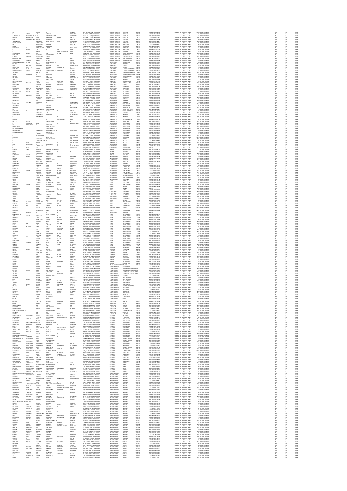| GATTUPALLI<br>MURALI<br>SITA                                                                                                                                                                                                                                                                                                                                                                                                                                                      | NARESH<br>VENKATAR                                                                                                                            | SIRISHA<br>BABU<br><b>BAD</b>                                                                                                                                                                                                                                                                                                                                                                                                                       | CH<br>APPARAD                                                                                                                                                                                                                                                                                |                                                        |                                                                                                                                                                                                                                | APT GC SATYAM TOW INDIA<br><b>FLAT NO. 117 ANIANEY INFIN</b><br>1 NO 17-1-18/Q SPP RINDM                                                                                                                                           | ANDHRA PRADESH<br>KRISHNA<br>ANDHRA PRADESP<br>KRISHNA<br>ANDHRA PRADESP<br>GUNTUR                                                                                                                                                                                                                                                                                                                                                                                                                            | sanna<br>52145<br>522124                                                                                                                                                                                                                                              | IN3022691040406<br>IN33160411611210<br>120309000008702                                                                                                                                                                                                             | Amount for unclaimed and us<br>Ammunt for conclaimed and a                                                             | 1000.00 04-NOV-2026<br>25.00 04-NOV-2026<br>50.00 04-NOV-2026 |                                                                                                                 |
|-----------------------------------------------------------------------------------------------------------------------------------------------------------------------------------------------------------------------------------------------------------------------------------------------------------------------------------------------------------------------------------------------------------------------------------------------------------------------------------|-----------------------------------------------------------------------------------------------------------------------------------------------|-----------------------------------------------------------------------------------------------------------------------------------------------------------------------------------------------------------------------------------------------------------------------------------------------------------------------------------------------------------------------------------------------------------------------------------------------------|----------------------------------------------------------------------------------------------------------------------------------------------------------------------------------------------------------------------------------------------------------------------------------------------|--------------------------------------------------------|--------------------------------------------------------------------------------------------------------------------------------------------------------------------------------------------------------------------------------|------------------------------------------------------------------------------------------------------------------------------------------------------------------------------------------------------------------------------------|---------------------------------------------------------------------------------------------------------------------------------------------------------------------------------------------------------------------------------------------------------------------------------------------------------------------------------------------------------------------------------------------------------------------------------------------------------------------------------------------------------------|-----------------------------------------------------------------------------------------------------------------------------------------------------------------------------------------------------------------------------------------------------------------------|--------------------------------------------------------------------------------------------------------------------------------------------------------------------------------------------------------------------------------------------------------------------|------------------------------------------------------------------------------------------------------------------------|---------------------------------------------------------------|-----------------------------------------------------------------------------------------------------------------|
| <b>YUGANDHAI</b>                                                                                                                                                                                                                                                                                                                                                                                                                                                                  | KRISHNABABU                                                                                                                                   | ANDE<br>NUNN/<br>PADAVALA                                                                                                                                                                                                                                                                                                                                                                                                                           | SATIONARI<br>ANJANEYA<br>SAMBHASIVA                                                                                                                                                                                                                                                          | BAN<br>RAD                                             | PENDAM<br>GATTUPALLI<br>ANDE<br>GUPTHA<br>PADAVALA                                                                                                                                                                             | DOOR NO 2-31 LEMALINDM<br>SITA MAHA LAKSHMI NINDIA<br>132A19 SAI NAGAR FINDIA                                                                                                                                                      | ANDHRA PRADESP<br>GUNTUR<br>ANDHRA PRADESP<br>GUNTUR<br>ANDHRA PRADESP<br>GUNTUR                                                                                                                                                                                                                                                                                                                                                                                                                              | 52221<br>52223<br>52250                                                                                                                                                                                                                                               | 120191010133733<br>N3003941123630<br>120309000012217                                                                                                                                                                                                               | .<br>Amount for unclaimed and u<br>Amount for unclaimed and u<br>Amount for unclaimed and<br>Ammunt for conclaimed and | 100.00 04-NOV-2021<br>50.00 04-NOV-2020<br>250.00 04-NOV-2020 |                                                                                                                 |
| KANDLAGUNTI<br><b>JALADE</b>                                                                                                                                                                                                                                                                                                                                                                                                                                                      |                                                                                                                                               | PADMAVATH<br>SRINIVASALU<br>RAMADEVI                                                                                                                                                                                                                                                                                                                                                                                                                | PAPALAH<br>SUBBARAO                                                                                                                                                                                                                                                                          |                                                        | SOMAIAH<br>MATURI                                                                                                                                                                                                              | 4-219 SATYANARAYAN INDI<br>1NO 6-30-1 BALIJAPAINDIA<br>15-15-56/1 R R ROAD INDIA                                                                                                                                                   | ANDHRA PRADES!<br>PRAKASA<br>ANDHRA PRADESP<br>PRAKASA<br>ANDHRA PRADESP<br>PRAKASAN                                                                                                                                                                                                                                                                                                                                                                                                                          | 52100<br>523114<br>52315                                                                                                                                                                                                                                              | 12035000095113<br>120447000402665<br>120352000003859                                                                                                                                                                                                               | mount for unclaimed and<br>mount for unclaimed and<br>Amount for unclaimed and                                         | 75.00 04-NOV-2020<br>95.00 04-NOV-2020<br>50.00 04-NOV-2020   |                                                                                                                 |
| HONDEPL                                                                                                                                                                                                                                                                                                                                                                                                                                                                           | BALA<br>VSUBBA                                                                                                                                | UBRAMAN<br><b>BAD</b>                                                                                                                                                                                                                                                                                                                                                                                                                               | <b>BANGA</b>                                                                                                                                                                                                                                                                                 |                                                        | NAYAKULU<br><b>GUPTA</b>                                                                                                                                                                                                       | D NO 21-1-78 OPP PER INDIA<br>MAIN ROAD PERALA C INDIA                                                                                                                                                                             | ANDHRA PRADESP<br>PRAKASA<br>ANDHRA PRADES!<br>PRAKASAN                                                                                                                                                                                                                                                                                                                                                                                                                                                       | 523157<br>52315                                                                                                                                                                                                                                                       | N3023241023719<br>N30039411380                                                                                                                                                                                                                                     | Amount for unclaimed and<br>l<br>mount for unclaimed and L<br>lenount for unclaimed and L                              | 50.00 04-NOV-2020<br>10.00 04-NOV-2021                        |                                                                                                                 |
| <b>GUNABANTA</b><br>TATAPUDE                                                                                                                                                                                                                                                                                                                                                                                                                                                      | <b>KUMAR</b>                                                                                                                                  | sukesH<br><b>JAN</b><br><b>IAGENDRA</b>                                                                                                                                                                                                                                                                                                                                                                                                             | perp<br>GURUMURTHY                                                                                                                                                                                                                                                                           | VENKATARATNAM<br>CHAND                                 | LATE<br>JAIN                                                                                                                                                                                                                   | 26-6-149 3RD FLOOR 1NDM<br>49-2-58/A IIND FLOORINGH<br><b>SATYAMARAYAMARI IRJINENI</b>                                                                                                                                             | ANDHRA PRADES!<br>NELLORE<br>ANDHRA PRADESP<br><b>VISAKHAPATNA</b><br>ANDHRA PRADESP<br>SRIKAKULAM                                                                                                                                                                                                                                                                                                                                                                                                            | 52400<br>530010<br>532127                                                                                                                                                                                                                                             | IN30232410139224<br>IN3023241075813<br>120381000003131                                                                                                                                                                                                             | Amount for unclaimed and<br>Amount for unclaimed and                                                                   | 25.00 04-NOV-2020<br>250.00 04-NOV-2021<br>26.00 04-NOV-2020  |                                                                                                                 |
| <b>DANIEL</b><br>GODAVARTHY<br><b>GUNTREDOI</b>                                                                                                                                                                                                                                                                                                                                                                                                                                   | <b>VUAYAPAU</b><br>THAMM                                                                                                                      | MUNGAMURI<br>VEERAAU<br>NAIDU                                                                                                                                                                                                                                                                                                                                                                                                                       | DANEL<br>SUBBA<br>SRIVUN                                                                                                                                                                                                                                                                     |                                                        | <b>RAO</b>                                                                                                                                                                                                                     | D NO 64-8A-4C TREASUNDS<br>D NO.13-191 SITANAG INDIA<br>BAVE VALASA (VEL) GAINFILE                                                                                                                                                 | ANDHRA PRADESP<br><b>LAST GODAVAL</b><br>ANDHRA PRADES!<br><b>EAST GODAVAL</b><br>ANDHRA PRAD<br><b>VIZIANAGARAM</b>                                                                                                                                                                                                                                                                                                                                                                                          | 533234<br>53552                                                                                                                                                                                                                                                       | 120381000000384<br>N3028631024276<br>IN3023241056936                                                                                                                                                                                                               | l<br>mount for unclaimed and L<br>lenount for unclaimed and L<br>Amount for unclaimed and                              | 100.00 04-NOV-202<br>50.00 04-NOV-2020<br>25.00 04-NOV-2020   |                                                                                                                 |
| LAKSHMIN<br>nose                                                                                                                                                                                                                                                                                                                                                                                                                                                                  | SETTYA<br>PRAKAS                                                                                                                              | <b>UMAR</b><br>NARIELWALA                                                                                                                                                                                                                                                                                                                                                                                                                           | NAGARA<br>WW<br>PRAKASI                                                                                                                                                                                                                                                                      |                                                        | NAIDU<br>SETTY<br>KISHORE<br>NARIELWALA                                                                                                                                                                                        | 5/O NAGARATHNAPPA INDIA<br><b>VO:444 SATYAMARGA INDIA</b><br>KARIAMMA TEMPLE RUNDIA                                                                                                                                                | KARNATAKA<br>BANGALORS<br>KARNATAKA<br><b>MYSORE</b><br>KARNATAKA<br>HASSAN                                                                                                                                                                                                                                                                                                                                                                                                                                   | 560053<br>57001<br>573100                                                                                                                                                                                                                                             | 120307000010496<br>1207000000314<br>N3016961048487                                                                                                                                                                                                                 | Amount for unclaimed and<br>l<br>mount for unclaimed and i<br>lenount for unclaimed and i                              | 35.00 04-NOV-2020<br>459.00 04-NOV-2021<br>9.00 04-NOV-2020   |                                                                                                                 |
| RITA<br>NABAYANA<br>HERMAN<br>PORATHUKARA<br>JAYARAM                                                                                                                                                                                                                                                                                                                                                                                                                              | MURTHYM<br><b>VIRAS</b><br>KURIAN                                                                                                             | PERIERA<br>HOMAS                                                                                                                                                                                                                                                                                                                                                                                                                                    | VENKATA<br><b>JOAKHIN</b>                                                                                                                                                                                                                                                                    | SUBBALAHM<br>VARGHESI                                  | PERIERA                                                                                                                                                                                                                        | NO 42 KUMARA KRUP/INDIA<br>NTAR KARNATAKA BANINENA<br>H NO 2-99 ALANGAR MINDIA                                                                                                                                                     | KARNATAKA<br>HASSAN<br>KARNATAKA<br>DAKSHINA KANNAD<br>KARNATAKA<br>DAKSHINA KANNADA                                                                                                                                                                                                                                                                                                                                                                                                                          | 573200<br>574227<br>57422                                                                                                                                                                                                                                             | IN30214810769533<br>120344010000679<br>N3016961022758                                                                                                                                                                                                              | Amount for unclaimed and<br>Amount for unclaimed and                                                                   | 0.50 04-NOV-2020<br>45.00 04-NOV-2020<br>18.50 04-NOV-2020    |                                                                                                                 |
|                                                                                                                                                                                                                                                                                                                                                                                                                                                                                   | <b>MAHABAL</b>                                                                                                                                | skirn                                                                                                                                                                                                                                                                                                                                                                                                                                               | PORATHI<br>KYA                                                                                                                                                                                                                                                                               |                                                        | KURIAN<br>SHETTY                                                                                                                                                                                                               | MEDICARE CENTRE NE INDIA                                                                                                                                                                                                           | KARNATAKA<br>DAKSHINA KANNADA                                                                                                                                                                                                                                                                                                                                                                                                                                                                                 | 57500                                                                                                                                                                                                                                                                 | IN30192630170218                                                                                                                                                                                                                                                   | Amount for unclaimed and u<br>Amount for unclaimed and u                                                               | 250.00 04-NOV-2020                                            |                                                                                                                 |
|                                                                                                                                                                                                                                                                                                                                                                                                                                                                                   |                                                                                                                                               | RDOS                                                                                                                                                                                                                                                                                                                                                                                                                                                | KIA<br>NARAYANA<br>PUTTAPPA<br>NEMICHAN                                                                                                                                                                                                                                                      |                                                        |                                                                                                                                                                                                                                |                                                                                                                                                                                                                                    |                                                                                                                                                                                                                                                                                                                                                                                                                                                                                                               |                                                                                                                                                                                                                                                                       |                                                                                                                                                                                                                                                                    |                                                                                                                        |                                                               |                                                                                                                 |
| VEDA<br>SEEMA<br>AMALATHI<br>AMALATHA<br>MARAUSANARA<br>SANKAPPA<br>ANAND<br>MALIKARAPPA<br>MALIKARAD<br>VEENA<br>VEENA<br>VEENA                                                                                                                                                                                                                                                                                                                                                  | SAFWAN                                                                                                                                        |                                                                                                                                                                                                                                                                                                                                                                                                                                                     |                                                                                                                                                                                                                                                                                              | OTHEVAN<br>ABUBAKAI<br>VEERAPPA                        | SHETTY<br>KOTTARI<br>TATURA<br>TATER<br>TATER<br>KARIKAL<br>ANNIGERI<br>LAHOTI<br>KARIKAL<br>LAHOTI<br>KARIKAL<br>KARIKAL                                                                                                      |                                                                                                                                                                                                                                    |                                                                                                                                                                                                                                                                                                                                                                                                                                                                                                               |                                                                                                                                                                                                                                                                       | 18/10/19/201017/0218<br>18/10/10/201017/11/11<br>18/10/02/2011777817<br>12/04450000771711<br>18/10/2020121118/2020<br>18/10/2021211084900<br>18/10/12/20212011081<br>12/04450000104100<br>12/04450000104100                                                        |                                                                                                                        |                                                               |                                                                                                                 |
|                                                                                                                                                                                                                                                                                                                                                                                                                                                                                   | NAGAPP)<br>VASANT<br>MOHAN                                                                                                                    |                                                                                                                                                                                                                                                                                                                                                                                                                                                     |                                                                                                                                                                                                                                                                                              | MALAKAPP.                                              |                                                                                                                                                                                                                                |                                                                                                                                                                                                                                    |                                                                                                                                                                                                                                                                                                                                                                                                                                                                                                               |                                                                                                                                                                                                                                                                       |                                                                                                                                                                                                                                                                    |                                                                                                                        |                                                               |                                                                                                                 |
|                                                                                                                                                                                                                                                                                                                                                                                                                                                                                   |                                                                                                                                               |                                                                                                                                                                                                                                                                                                                                                                                                                                                     |                                                                                                                                                                                                                                                                                              |                                                        | KALAL<br>BAFNA<br>SANSUDDI                                                                                                                                                                                                     |                                                                                                                                                                                                                                    |                                                                                                                                                                                                                                                                                                                                                                                                                                                                                                               |                                                                                                                                                                                                                                                                       |                                                                                                                                                                                                                                                                    |                                                                                                                        |                                                               |                                                                                                                 |
|                                                                                                                                                                                                                                                                                                                                                                                                                                                                                   | VASTURI                                                                                                                                       | TATER<br>RAU<br>KARIKAL<br>ANNIGERI<br>LAHOTI<br>KARIKAL<br>KATTI<br>KALAL<br>SANSUDD<br>YACOOR<br>YACOOR<br>YACOOR                                                                                                                                                                                                                                                                                                                                 | S<br>SAYED<br>SHIVAPPA<br>SHIVAPPA<br>VASANT<br>NAMAN<br>SHANKAR<br>SHANKAR<br>SHANKAR<br>SHANKAR<br>NATAVALABI<br>SHANKAR<br>NAWARLALI<br>N                                                                                                                                                 | -<br>BASAPPA                                           |                                                                                                                                                                                                                                |                                                                                                                                                                                                                                    | $\begin{array}{l} \textbf{DAGNIR}\textbf{H} \textbf{M} \textbf{M} \textbf{M} \textbf{M} \textbf{M} \textbf{M} \textbf{M} \textbf{M} \textbf{M} \textbf{M} \textbf{M} \textbf{M} \textbf{M} \textbf{M} \textbf{M} \textbf{M} \textbf{M} \textbf{M} \textbf{M} \textbf{M} \textbf{M} \textbf{M} \textbf{M} \textbf{M} \textbf{M} \textbf{M} \textbf{M} \textbf{M} \textbf{M} \textbf{M} \textbf{M} \textbf{M} \textbf{M} \$                                                                                     |                                                                                                                                                                                                                                                                       |                                                                                                                                                                                                                                                                    |                                                                                                                        |                                                               |                                                                                                                 |
| POPATLAL                                                                                                                                                                                                                                                                                                                                                                                                                                                                          | o<br>Kasana                                                                                                                                   | JAIN<br>MOORTHY<br>VALU                                                                                                                                                                                                                                                                                                                                                                                                                             |                                                                                                                                                                                                                                                                                              |                                                        | RAMASWAM<br>VENKATESAN                                                                                                                                                                                                         |                                                                                                                                                                                                                                    |                                                                                                                                                                                                                                                                                                                                                                                                                                                                                                               |                                                                                                                                                                                                                                                                       |                                                                                                                                                                                                                                                                    |                                                                                                                        |                                                               |                                                                                                                 |
| H<br>SHENBAGA<br>PERUMAL<br>PERUMAL<br>M                                                                                                                                                                                                                                                                                                                                                                                                                                          |                                                                                                                                               |                                                                                                                                                                                                                                                                                                                                                                                                                                                     | ><br>RAJAIAH<br>PERUMAL<br>MANCHAB<br>MARI<br>PABI<br>CVUREDO'<br>-                                                                                                                                                                                                                          |                                                        | BALUSAM                                                                                                                                                                                                                        |                                                                                                                                                                                                                                    |                                                                                                                                                                                                                                                                                                                                                                                                                                                                                                               |                                                                                                                                                                                                                                                                       |                                                                                                                                                                                                                                                                    |                                                                                                                        |                                                               |                                                                                                                 |
| M<br>RADHIKA<br>MOHAMED<br>SUBBAREDI                                                                                                                                                                                                                                                                                                                                                                                                                                              | M                                                                                                                                             | =<br>Vignesya<br>Bajaj<br>Farhaun<br>Ananthai<br>Premkum<br>-                                                                                                                                                                                                                                                                                                                                                                                       |                                                                                                                                                                                                                                                                                              |                                                        | BAIN<br>AHAMED<br>SUBBAREDDY<br>RAIA<br>L                                                                                                                                                                                      |                                                                                                                                                                                                                                    |                                                                                                                                                                                                                                                                                                                                                                                                                                                                                                               |                                                                                                                                                                                                                                                                       |                                                                                                                                                                                                                                                                    |                                                                                                                        |                                                               |                                                                                                                 |
| t<br>GANESH<br>RAMYA<br>LAUTH<br>-                                                                                                                                                                                                                                                                                                                                                                                                                                                | <b>KUMAR</b>                                                                                                                                  |                                                                                                                                                                                                                                                                                                                                                                                                                                                     | <b>DESHNA</b>                                                                                                                                                                                                                                                                                | -<br>SAMYRAJAS<br>SVELAYUTHA                           |                                                                                                                                                                                                                                |                                                                                                                                                                                                                                    |                                                                                                                                                                                                                                                                                                                                                                                                                                                                                                               |                                                                                                                                                                                                                                                                       |                                                                                                                                                                                                                                                                    |                                                                                                                        |                                                               |                                                                                                                 |
|                                                                                                                                                                                                                                                                                                                                                                                                                                                                                   | MANU<br>JOHANDRA<br>KAAVYANI                                                                                                                  | stkar<br>M                                                                                                                                                                                                                                                                                                                                                                                                                                          | CARTHIREYAN                                                                                                                                                                                                                                                                                  | R                                                      | <b>ALAS</b><br>.<br>JANARDINA                                                                                                                                                                                                  |                                                                                                                                                                                                                                    |                                                                                                                                                                                                                                                                                                                                                                                                                                                                                                               |                                                                                                                                                                                                                                                                       |                                                                                                                                                                                                                                                                    |                                                                                                                        |                                                               |                                                                                                                 |
| k<br>Kavi<br>Srinivasan<br>Rajenakrismi<br>Shanmugavi?<br>Shanmugavi?                                                                                                                                                                                                                                                                                                                                                                                                             |                                                                                                                                               |                                                                                                                                                                                                                                                                                                                                                                                                                                                     | k<br>Mohameai<br>Subramani<br>Chikkamun<br>Daghavani<br>Raghavani                                                                                                                                                                                                                            |                                                        |                                                                                                                                                                                                                                |                                                                                                                                                                                                                                    |                                                                                                                                                                                                                                                                                                                                                                                                                                                                                                               |                                                                                                                                                                                                                                                                       |                                                                                                                                                                                                                                                                    |                                                                                                                        |                                                               |                                                                                                                 |
|                                                                                                                                                                                                                                                                                                                                                                                                                                                                                   |                                                                                                                                               |                                                                                                                                                                                                                                                                                                                                                                                                                                                     |                                                                                                                                                                                                                                                                                              |                                                        | RAJENDRAN                                                                                                                                                                                                                      |                                                                                                                                                                                                                                    |                                                                                                                                                                                                                                                                                                                                                                                                                                                                                                               |                                                                                                                                                                                                                                                                       |                                                                                                                                                                                                                                                                    |                                                                                                                        |                                                               |                                                                                                                 |
| DURAIRA                                                                                                                                                                                                                                                                                                                                                                                                                                                                           |                                                                                                                                               |                                                                                                                                                                                                                                                                                                                                                                                                                                                     | -<br>SELLAPPAN                                                                                                                                                                                                                                                                               |                                                        | ILAMURUGAN<br>MUTHUSAMY<br>GR<br>MUTHUSAMY<br>MUTHUSAMY                                                                                                                                                                        |                                                                                                                                                                                                                                    |                                                                                                                                                                                                                                                                                                                                                                                                                                                                                                               |                                                                                                                                                                                                                                                                       |                                                                                                                                                                                                                                                                    |                                                                                                                        |                                                               |                                                                                                                 |
| iASI                                                                                                                                                                                                                                                                                                                                                                                                                                                                              |                                                                                                                                               | SAKTHIVEL<br>BALACHAN<br>KUMAR                                                                                                                                                                                                                                                                                                                                                                                                                      |                                                                                                                                                                                                                                                                                              |                                                        |                                                                                                                                                                                                                                |                                                                                                                                                                                                                                    |                                                                                                                                                                                                                                                                                                                                                                                                                                                                                                               |                                                                                                                                                                                                                                                                       |                                                                                                                                                                                                                                                                    |                                                                                                                        |                                                               |                                                                                                                 |
|                                                                                                                                                                                                                                                                                                                                                                                                                                                                                   | KAMALI<br>KDYA                                                                                                                                | R<br>KANAKARAJ<br>DEVI<br>THANGAL<br>GEORGE<br>BHASKARAN<br>                                                                                                                                                                                                                                                                                                                                                                                        |                                                                                                                                                                                                                                                                                              |                                                        | <b>INFAMANIA</b><br>VENUGOPAL                                                                                                                                                                                                  |                                                                                                                                                                                                                                    |                                                                                                                                                                                                                                                                                                                                                                                                                                                                                                               |                                                                                                                                                                                                                                                                       |                                                                                                                                                                                                                                                                    |                                                                                                                        |                                                               |                                                                                                                 |
|                                                                                                                                                                                                                                                                                                                                                                                                                                                                                   |                                                                                                                                               |                                                                                                                                                                                                                                                                                                                                                                                                                                                     |                                                                                                                                                                                                                                                                                              |                                                        | $\circ$                                                                                                                                                                                                                        |                                                                                                                                                                                                                                    |                                                                                                                                                                                                                                                                                                                                                                                                                                                                                                               |                                                                                                                                                                                                                                                                       |                                                                                                                                                                                                                                                                    |                                                                                                                        |                                                               |                                                                                                                 |
|                                                                                                                                                                                                                                                                                                                                                                                                                                                                                   | kumar<br>Kumar                                                                                                                                |                                                                                                                                                                                                                                                                                                                                                                                                                                                     | n<br>MBCHKOY<br>GEORGE<br>BHASKARAN<br>NGTAVALA<br>BHASKAR<br>NGTAVALA<br>PURNENCU<br>PURNENCU                                                                                                                                                                                               | NATH                                                   | AGARWAL<br>SAHU                                                                                                                                                                                                                |                                                                                                                                                                                                                                    | NAMARIZA<br>KAMARIZA<br>KAMARIZA<br>ITAGGE ETAGGE ETAGGE ETAGGE ETAGGE<br>COMMATORE ANGUARIZA<br>ITAGGE ETAGGE ETAGGE ETAGGE ETAGGE ETAGGE ETAGGE ETAGGE ETAGGE ETAGGE ETAGGE ETAGGE ETAGGE ETAGGE ETAGGE ETAGGE ETAGGE ETAGGE ETAGGE ETAGGE                                                                                                                                                                                                                                                                  |                                                                                                                                                                                                                                                                       |                                                                                                                                                                                                                                                                    |                                                                                                                        |                                                               |                                                                                                                 |
|                                                                                                                                                                                                                                                                                                                                                                                                                                                                                   |                                                                                                                                               |                                                                                                                                                                                                                                                                                                                                                                                                                                                     |                                                                                                                                                                                                                                                                                              |                                                        |                                                                                                                                                                                                                                |                                                                                                                                                                                                                                    |                                                                                                                                                                                                                                                                                                                                                                                                                                                                                                               |                                                                                                                                                                                                                                                                       |                                                                                                                                                                                                                                                                    |                                                                                                                        |                                                               |                                                                                                                 |
|                                                                                                                                                                                                                                                                                                                                                                                                                                                                                   |                                                                                                                                               |                                                                                                                                                                                                                                                                                                                                                                                                                                                     |                                                                                                                                                                                                                                                                                              | <b>BANDHL</b>                                          |                                                                                                                                                                                                                                |                                                                                                                                                                                                                                    |                                                                                                                                                                                                                                                                                                                                                                                                                                                                                                               |                                                                                                                                                                                                                                                                       |                                                                                                                                                                                                                                                                    |                                                                                                                        |                                                               |                                                                                                                 |
|                                                                                                                                                                                                                                                                                                                                                                                                                                                                                   | KUMA                                                                                                                                          |                                                                                                                                                                                                                                                                                                                                                                                                                                                     |                                                                                                                                                                                                                                                                                              | KANTI<br>KUMA<br>KUMA<br>NATH                          |                                                                                                                                                                                                                                |                                                                                                                                                                                                                                    |                                                                                                                                                                                                                                                                                                                                                                                                                                                                                                               |                                                                                                                                                                                                                                                                       |                                                                                                                                                                                                                                                                    |                                                                                                                        |                                                               |                                                                                                                 |
|                                                                                                                                                                                                                                                                                                                                                                                                                                                                                   |                                                                                                                                               | $\begin{tabular}{l} \hline \textbf{A-GANTNA} \\ \textbf{A-GANTNE} \\ \textbf{BANTNE} \\ \textbf{MAGNING} \\ \textbf{MAGNING} \\ \textbf{MAGNING} \\ \textbf{MAGNING} \\ \textbf{DAGMANNE} \\ \textbf{DAGMANNE} \\ \textbf{DAGMANNE} \\ \textbf{DAGMNNNE} \\ \textbf{DAGMNNNE} \\ \textbf{MAGNNNNE} \\ \textbf{MAGNNNNE} \\ \textbf{MAGNNNNE} \\ \textbf{MAGNENNE} \\ \textbf{DAGNNNNE} \\ \textbf{MAGNENNE} \\ \textbf{DAGNNNNE} \\ \textbf{MAGNEN$ | AGAT<br>AGAT<br>SAMIR TUSHAR<br>SANTOSI<br>SANTOSI<br>DATAN<br>MOMAN<br>MANSHE<br>SINANT GHANSHE<br>SANTAN<br>SANTOGI<br>SHANSHE                                                                                                                                                             | LAL                                                    | DASGUPTA<br>MAUMDER<br>MANDAL<br>PAUL<br>KHEMAN<br>KHEMAN<br>KAMAAKAR<br>DATTAL<br>GOTFAL<br>AGARWAL<br>AGARWAL<br>AGARWAL                                                                                                     |                                                                                                                                                                                                                                    |                                                                                                                                                                                                                                                                                                                                                                                                                                                                                                               |                                                                                                                                                                                                                                                                       |                                                                                                                                                                                                                                                                    |                                                                                                                        |                                                               |                                                                                                                 |
|                                                                                                                                                                                                                                                                                                                                                                                                                                                                                   |                                                                                                                                               |                                                                                                                                                                                                                                                                                                                                                                                                                                                     |                                                                                                                                                                                                                                                                                              | DAS<br>BISHAN                                          |                                                                                                                                                                                                                                |                                                                                                                                                                                                                                    |                                                                                                                                                                                                                                                                                                                                                                                                                                                                                                               |                                                                                                                                                                                                                                                                       |                                                                                                                                                                                                                                                                    |                                                                                                                        |                                                               |                                                                                                                 |
|                                                                                                                                                                                                                                                                                                                                                                                                                                                                                   | KUMA                                                                                                                                          |                                                                                                                                                                                                                                                                                                                                                                                                                                                     |                                                                                                                                                                                                                                                                                              |                                                        | <b>AGRAW</b><br>MITTAL<br>AHMED<br>SINHA<br>SINGH                                                                                                                                                                              |                                                                                                                                                                                                                                    |                                                                                                                                                                                                                                                                                                                                                                                                                                                                                                               |                                                                                                                                                                                                                                                                       |                                                                                                                                                                                                                                                                    |                                                                                                                        |                                                               |                                                                                                                 |
|                                                                                                                                                                                                                                                                                                                                                                                                                                                                                   |                                                                                                                                               |                                                                                                                                                                                                                                                                                                                                                                                                                                                     | .<br>VAND<br>VOTAVAI                                                                                                                                                                                                                                                                         | <b>KISHOR</b>                                          |                                                                                                                                                                                                                                |                                                                                                                                                                                                                                    |                                                                                                                                                                                                                                                                                                                                                                                                                                                                                                               |                                                                                                                                                                                                                                                                       |                                                                                                                                                                                                                                                                    |                                                                                                                        |                                                               |                                                                                                                 |
|                                                                                                                                                                                                                                                                                                                                                                                                                                                                                   |                                                                                                                                               |                                                                                                                                                                                                                                                                                                                                                                                                                                                     |                                                                                                                                                                                                                                                                                              | RATAN                                                  |                                                                                                                                                                                                                                |                                                                                                                                                                                                                                    |                                                                                                                                                                                                                                                                                                                                                                                                                                                                                                               |                                                                                                                                                                                                                                                                       | 120104000015988<br>IN1002141236856<br>120106000013995                                                                                                                                                                                                              |                                                                                                                        |                                                               |                                                                                                                 |
|                                                                                                                                                                                                                                                                                                                                                                                                                                                                                   |                                                                                                                                               |                                                                                                                                                                                                                                                                                                                                                                                                                                                     |                                                                                                                                                                                                                                                                                              | Kishun<br>Kumar<br>Ito                                 |                                                                                                                                                                                                                                |                                                                                                                                                                                                                                    |                                                                                                                                                                                                                                                                                                                                                                                                                                                                                                               |                                                                                                                                                                                                                                                                       |                                                                                                                                                                                                                                                                    |                                                                                                                        |                                                               |                                                                                                                 |
|                                                                                                                                                                                                                                                                                                                                                                                                                                                                                   | DEVI<br>DEVI<br>$\circ$                                                                                                                       |                                                                                                                                                                                                                                                                                                                                                                                                                                                     | S<br>AMULYA<br>SARDARBI<br>SARDARBI<br>RAL<br>ARBIND<br>SANDIEP<br>VERAPPA<br>VERAPPA<br>SUNIL<br>SUNIL                                                                                                                                                                                      | PD<br>KUMAR                                            | BHAGAT<br>PRASAD<br>PRASAD<br>SINGH<br>PRASAD<br>CHOLDHAR<br>AGARWALLA<br>AGARWALLA<br>AGARWALLA<br>AGARWALLA<br>AGARWALLA<br>RIKEACHAR                                                                                        |                                                                                                                                                                                                                                    |                                                                                                                                                                                                                                                                                                                                                                                                                                                                                                               |                                                                                                                                                                                                                                                                       |                                                                                                                                                                                                                                                                    |                                                                                                                        |                                                               |                                                                                                                 |
|                                                                                                                                                                                                                                                                                                                                                                                                                                                                                   | KUMAR                                                                                                                                         | GARW                                                                                                                                                                                                                                                                                                                                                                                                                                                |                                                                                                                                                                                                                                                                                              | KUMAR                                                  |                                                                                                                                                                                                                                |                                                                                                                                                                                                                                    |                                                                                                                                                                                                                                                                                                                                                                                                                                                                                                               | -<br>-<br>186003<br>186003                                                                                                                                                                                                                                            |                                                                                                                                                                                                                                                                    |                                                                                                                        |                                                               |                                                                                                                 |
|                                                                                                                                                                                                                                                                                                                                                                                                                                                                                   | KUMAR                                                                                                                                         |                                                                                                                                                                                                                                                                                                                                                                                                                                                     |                                                                                                                                                                                                                                                                                              |                                                        |                                                                                                                                                                                                                                |                                                                                                                                                                                                                                    |                                                                                                                                                                                                                                                                                                                                                                                                                                                                                                               |                                                                                                                                                                                                                                                                       | 1201860000139950<br>1201860000139950<br>1201890000023481<br>1201890000023491<br>1201890000023491<br>1201890000023491<br>12018000001344855976<br>18100233114855976<br>10025111110012561<br>12029000034811402469<br>18100011111001460<br>1810077440139956<br>1810077 |                                                                                                                        |                                                               |                                                                                                                 |
|                                                                                                                                                                                                                                                                                                                                                                                                                                                                                   | <b>DEV</b>                                                                                                                                    | MOTWAN<br>RAIPUT<br>KHANDEL<br>KANG<br>KALI<br>KALI<br>BERRY                                                                                                                                                                                                                                                                                                                                                                                        |                                                                                                                                                                                                                                                                                              | n<br>Kumar<br>Raman<br>Rai<br>Rattan                   |                                                                                                                                                                                                                                |                                                                                                                                                                                                                                    |                                                                                                                                                                                                                                                                                                                                                                                                                                                                                                               |                                                                                                                                                                                                                                                                       |                                                                                                                                                                                                                                                                    |                                                                                                                        |                                                               |                                                                                                                 |
|                                                                                                                                                                                                                                                                                                                                                                                                                                                                                   | anus                                                                                                                                          |                                                                                                                                                                                                                                                                                                                                                                                                                                                     |                                                                                                                                                                                                                                                                                              | KUMAR<br>Sultman<br>Krishan                            |                                                                                                                                                                                                                                |                                                                                                                                                                                                                                    |                                                                                                                                                                                                                                                                                                                                                                                                                                                                                                               |                                                                                                                                                                                                                                                                       |                                                                                                                                                                                                                                                                    |                                                                                                                        |                                                               |                                                                                                                 |
|                                                                                                                                                                                                                                                                                                                                                                                                                                                                                   |                                                                                                                                               |                                                                                                                                                                                                                                                                                                                                                                                                                                                     |                                                                                                                                                                                                                                                                                              |                                                        |                                                                                                                                                                                                                                |                                                                                                                                                                                                                                    |                                                                                                                                                                                                                                                                                                                                                                                                                                                                                                               |                                                                                                                                                                                                                                                                       |                                                                                                                                                                                                                                                                    |                                                                                                                        |                                                               |                                                                                                                 |
|                                                                                                                                                                                                                                                                                                                                                                                                                                                                                   | <b>BAJ</b>                                                                                                                                    |                                                                                                                                                                                                                                                                                                                                                                                                                                                     |                                                                                                                                                                                                                                                                                              |                                                        |                                                                                                                                                                                                                                |                                                                                                                                                                                                                                    |                                                                                                                                                                                                                                                                                                                                                                                                                                                                                                               |                                                                                                                                                                                                                                                                       |                                                                                                                                                                                                                                                                    |                                                                                                                        |                                                               |                                                                                                                 |
|                                                                                                                                                                                                                                                                                                                                                                                                                                                                                   | œ                                                                                                                                             |                                                                                                                                                                                                                                                                                                                                                                                                                                                     |                                                                                                                                                                                                                                                                                              | KUMAR<br>LAL<br>CHAND<br>KUMAR<br>PAL<br>CHAND<br>VUAY |                                                                                                                                                                                                                                |                                                                                                                                                                                                                                    |                                                                                                                                                                                                                                                                                                                                                                                                                                                                                                               |                                                                                                                                                                                                                                                                       | 1N/2020051041297<br>1N/20111110715461<br>1N/20177411031855<br>1N/20177411031855<br>1N/20211110416177<br>120220000017925<br>1N/20251114015641<br>1N/20265110103551<br>1N/20265110029551<br>1N/20264100031100121210020011<br>1N/2028411002131001311<br>1N/2028410    |                                                                                                                        |                                                               |                                                                                                                 |
|                                                                                                                                                                                                                                                                                                                                                                                                                                                                                   |                                                                                                                                               |                                                                                                                                                                                                                                                                                                                                                                                                                                                     |                                                                                                                                                                                                                                                                                              |                                                        |                                                                                                                                                                                                                                |                                                                                                                                                                                                                                    |                                                                                                                                                                                                                                                                                                                                                                                                                                                                                                               |                                                                                                                                                                                                                                                                       |                                                                                                                                                                                                                                                                    |                                                                                                                        |                                                               |                                                                                                                 |
|                                                                                                                                                                                                                                                                                                                                                                                                                                                                                   | KUMA                                                                                                                                          |                                                                                                                                                                                                                                                                                                                                                                                                                                                     |                                                                                                                                                                                                                                                                                              | SINGH<br>SINGH                                         |                                                                                                                                                                                                                                |                                                                                                                                                                                                                                    |                                                                                                                                                                                                                                                                                                                                                                                                                                                                                                               |                                                                                                                                                                                                                                                                       | 120115000157087<br>120191010243156<br>120191010243154<br>120491000014397                                                                                                                                                                                           |                                                                                                                        |                                                               |                                                                                                                 |
|                                                                                                                                                                                                                                                                                                                                                                                                                                                                                   |                                                                                                                                               |                                                                                                                                                                                                                                                                                                                                                                                                                                                     |                                                                                                                                                                                                                                                                                              | KUMAR<br>CHAND                                         |                                                                                                                                                                                                                                |                                                                                                                                                                                                                                    |                                                                                                                                                                                                                                                                                                                                                                                                                                                                                                               |                                                                                                                                                                                                                                                                       |                                                                                                                                                                                                                                                                    |                                                                                                                        |                                                               |                                                                                                                 |
|                                                                                                                                                                                                                                                                                                                                                                                                                                                                                   |                                                                                                                                               |                                                                                                                                                                                                                                                                                                                                                                                                                                                     |                                                                                                                                                                                                                                                                                              |                                                        |                                                                                                                                                                                                                                |                                                                                                                                                                                                                                    |                                                                                                                                                                                                                                                                                                                                                                                                                                                                                                               |                                                                                                                                                                                                                                                                       |                                                                                                                                                                                                                                                                    |                                                                                                                        |                                                               |                                                                                                                 |
|                                                                                                                                                                                                                                                                                                                                                                                                                                                                                   |                                                                                                                                               |                                                                                                                                                                                                                                                                                                                                                                                                                                                     |                                                                                                                                                                                                                                                                                              | CHANDE                                                 |                                                                                                                                                                                                                                |                                                                                                                                                                                                                                    |                                                                                                                                                                                                                                                                                                                                                                                                                                                                                                               |                                                                                                                                                                                                                                                                       |                                                                                                                                                                                                                                                                    |                                                                                                                        |                                                               |                                                                                                                 |
|                                                                                                                                                                                                                                                                                                                                                                                                                                                                                   |                                                                                                                                               |                                                                                                                                                                                                                                                                                                                                                                                                                                                     |                                                                                                                                                                                                                                                                                              | SINGH                                                  |                                                                                                                                                                                                                                |                                                                                                                                                                                                                                    | EOLIMO MARINARISMO MARINARISMO MARINARISMO MARINARISMO MARINARISMO MARINARISMO MARINARISMO MARINARISMO MARINARISMO MARINARISMO MARINARISMO MARINARISMO MARINARISMO MARINARISMO MARINARISMO MARINARISMO MARINARISMO MARINARISMO                                                                                                                                                                                                                                                                                | $\begin{array}{l} 11002\\ 11001\\ 11001\\ 11001\\ 11001\\ 11001\\ 11001\\ 11001\\ 11001\\ 11002\\ 11002\\ 11002\\ 11002\\ 11002\\ 11003\\ 11003\\ 11003\\ 11003\\ 11003\\ 11003\\ 11003\\ 11003\\ 11003\\ 11003\\ 11003\\ 11003\\ 11003\\ 11003\\ 11003\\ 11003\\ 11$ |                                                                                                                                                                                                                                                                    |                                                                                                                        |                                                               |                                                                                                                 |
|                                                                                                                                                                                                                                                                                                                                                                                                                                                                                   |                                                                                                                                               |                                                                                                                                                                                                                                                                                                                                                                                                                                                     |                                                                                                                                                                                                                                                                                              |                                                        |                                                                                                                                                                                                                                |                                                                                                                                                                                                                                    |                                                                                                                                                                                                                                                                                                                                                                                                                                                                                                               |                                                                                                                                                                                                                                                                       |                                                                                                                                                                                                                                                                    |                                                                                                                        |                                                               |                                                                                                                 |
|                                                                                                                                                                                                                                                                                                                                                                                                                                                                                   |                                                                                                                                               |                                                                                                                                                                                                                                                                                                                                                                                                                                                     |                                                                                                                                                                                                                                                                                              |                                                        | MOTWARE CARRIER SERVER AND MANUFACTURE CANDIDENT WAS SERVER TO A MATTAIN A SHORT WAS SERVER TO A MATTAIN A SHORT WAS SERVER TO A MATTAIN A SHORT WAS SERVER TO A MATTAIN A SHORT WAS SERVER TO A MATTAIN A SHORT WAS SERVED AN |                                                                                                                                                                                                                                    |                                                                                                                                                                                                                                                                                                                                                                                                                                                                                                               |                                                                                                                                                                                                                                                                       |                                                                                                                                                                                                                                                                    |                                                                                                                        |                                                               |                                                                                                                 |
|                                                                                                                                                                                                                                                                                                                                                                                                                                                                                   | KUMA                                                                                                                                          |                                                                                                                                                                                                                                                                                                                                                                                                                                                     |                                                                                                                                                                                                                                                                                              |                                                        |                                                                                                                                                                                                                                |                                                                                                                                                                                                                                    |                                                                                                                                                                                                                                                                                                                                                                                                                                                                                                               |                                                                                                                                                                                                                                                                       |                                                                                                                                                                                                                                                                    |                                                                                                                        |                                                               |                                                                                                                 |
| 特别的人 医反射性 计多级 医全身性 医心腹膜炎 医心腹 医心腹膜炎 医心腹膜炎 医心腹膜炎 医心腹 医心腹膜 医心腹膜 医心腹膜炎 医心腹膜炎 医心腹膜炎 医心腹膜炎 医心腹膜炎 医心腹膜炎 医心腹膜炎 医心腹膜炎 医心腹膜炎 医心腹膜炎 医心腹膜炎 医心腹膜炎 医心腹膜炎 医心腹膜炎 医心腹膜炎 医心腹膜炎 医心腹膜炎 医心腹膜炎 医心腹膜炎 医心腹膜炎 医心腹膜炎 医心腹膜炎 医心腹膜炎 医心腹膜炎 医心腹膜炎 医心腹膜炎 医心腹膜                                                                                                                                                                                                                                                     |                                                                                                                                               |                                                                                                                                                                                                                                                                                                                                                                                                                                                     |                                                                                                                                                                                                                                                                                              | KUMAR<br>RAMAN<br>NARAYAN<br>RAM                       |                                                                                                                                                                                                                                |                                                                                                                                                                                                                                    |                                                                                                                                                                                                                                                                                                                                                                                                                                                                                                               |                                                                                                                                                                                                                                                                       |                                                                                                                                                                                                                                                                    |                                                                                                                        |                                                               |                                                                                                                 |
| HALINI<br>ANDEEP                                                                                                                                                                                                                                                                                                                                                                                                                                                                  | KUMAN<br>KR<br>P                                                                                                                              | FOR A STREAM AND RESEARCH THREE STREAM AND RESEARCH THREE STREAM AND RESEARCH THREE STREAM AND RESEARCH THREE STREAM AND RESEARCH THREE STREAM AND RESEARCH THREE STREAM AND RESEARCH THREE STREAM AND RESEARCH THREE STREAM A                                                                                                                                                                                                                      | SH<br>AMIT<br>MOTAVAL<br>MOTALAL<br>UTTAM<br>RUWATI<br>ROOP<br>SITA<br>GANGA<br>JAG<br>HARISH                                                                                                                                                                                                | MOHAN<br>KUMAR                                         |                                                                                                                                                                                                                                | <b>PARK DO THE CHARLES AND ARRANGEMENT CONTRACT CONTRACT CONTRACT CONTRACT CONTRACT CONTRACT CONTRACT CONTRACT CONTRACT CONTRACT CONTRACT CONTRACT CONTRACT CONTRACT CONTRACT CONTRACT CONTRACT CONTRACT CONTRACT CONTRACT CON</b> | 以随意的现在的 医阴道性脑膜炎 医阴道性脑膜炎 医阴道神经 医阴道神经 医阴道神经 医阴道性神经 医阴道神经 医阴道神经 医阴道神经 医阴道性神经 医阴道性神经 医阴道性神经 医阴道性神经 医阴道性 医心腹下的 医心腹下的 医心腹下的 医心腹下的 医心腹下的 医心腹下的 医心腹下的 医心腹下的 医心腹下的 医心腹下的 医心腹下的 医心腹下的 医心腹下的 医心腹下的 医心腹下的 医心腹下的 医心腹下的 医心腹下的 医心腹下的 医心腹下的 医                                                                                                                                                                                                                                                                                 |                                                                                                                                                                                                                                                                       |                                                                                                                                                                                                                                                                    |                                                                                                                        |                                                               |                                                                                                                 |
|                                                                                                                                                                                                                                                                                                                                                                                                                                                                                   |                                                                                                                                               |                                                                                                                                                                                                                                                                                                                                                                                                                                                     |                                                                                                                                                                                                                                                                                              |                                                        | GUPTA<br>CHANDAN<br>TIWARI<br>GUPTA<br>MISWAL<br>KIANNA<br>KIANNA<br>KIANNA<br>SINGH                                                                                                                                           |                                                                                                                                                                                                                                    | $\begin{array}{lll} \textbf{J} & \textbf{1440} \\ \textbf{J} & \textbf{0480} \\ \textbf{J} & \textbf{0480} \\ \textbf{J} & \textbf{0480} \\ \textbf{0447} \\ \textbf{0447} \\ \textbf{0447} \\ \textbf{0447} \\ \textbf{0447} \\ \textbf{0447} \\ \textbf{0447} \\ \textbf{0447} \\ \textbf{0447} \\ \textbf{0480} \\ \textbf{0447} \\ \textbf{0480} \\ \textbf{0447} \\ \textbf{0480} \\ \textbf{$                                                                                                           |                                                                                                                                                                                                                                                                       |                                                                                                                                                                                                                                                                    |                                                                                                                        |                                                               |                                                                                                                 |
|                                                                                                                                                                                                                                                                                                                                                                                                                                                                                   | KANT                                                                                                                                          |                                                                                                                                                                                                                                                                                                                                                                                                                                                     | SURENDRA<br>SALAUDOR<br>RAMJI<br>K                                                                                                                                                                                                                                                           |                                                        |                                                                                                                                                                                                                                |                                                                                                                                                                                                                                    |                                                                                                                                                                                                                                                                                                                                                                                                                                                                                                               |                                                                                                                                                                                                                                                                       |                                                                                                                                                                                                                                                                    |                                                                                                                        |                                                               |                                                                                                                 |
|                                                                                                                                                                                                                                                                                                                                                                                                                                                                                   |                                                                                                                                               |                                                                                                                                                                                                                                                                                                                                                                                                                                                     |                                                                                                                                                                                                                                                                                              | .<br>Narayan<br>Kumar                                  |                                                                                                                                                                                                                                |                                                                                                                                                                                                                                    |                                                                                                                                                                                                                                                                                                                                                                                                                                                                                                               |                                                                                                                                                                                                                                                                       |                                                                                                                                                                                                                                                                    |                                                                                                                        |                                                               |                                                                                                                 |
|                                                                                                                                                                                                                                                                                                                                                                                                                                                                                   |                                                                                                                                               | TEOTIA<br>IDRISI<br>KANI<br>GUPTA<br>BAROLI<br>MGAR<br>LAL<br>KURDIA                                                                                                                                                                                                                                                                                                                                                                                | K<br>RAM<br>NGHAN<br>MGHAN<br>GANFAT<br>KOTAPPUCABLE<br>NG<br>VAS<br>VAS                                                                                                                                                                                                                     | RAM                                                    | DAS<br>GUPTA<br>BARCAIA<br>NAGAR<br>LAL<br>KURDIA                                                                                                                                                                              |                                                                                                                                                                                                                                    |                                                                                                                                                                                                                                                                                                                                                                                                                                                                                                               |                                                                                                                                                                                                                                                                       | 120332001370899<br>NX017741183580<br>120235000021776<br>120279000021776<br>NX051142003520<br>NX0051142003520<br>NX005150048219<br>120121010048931<br>120121010048931                                                                                               |                                                                                                                        |                                                               |                                                                                                                 |
|                                                                                                                                                                                                                                                                                                                                                                                                                                                                                   |                                                                                                                                               |                                                                                                                                                                                                                                                                                                                                                                                                                                                     |                                                                                                                                                                                                                                                                                              |                                                        | pev                                                                                                                                                                                                                            |                                                                                                                                                                                                                                    |                                                                                                                                                                                                                                                                                                                                                                                                                                                                                                               |                                                                                                                                                                                                                                                                       |                                                                                                                                                                                                                                                                    |                                                                                                                        |                                                               |                                                                                                                 |
|                                                                                                                                                                                                                                                                                                                                                                                                                                                                                   | <b>IANDLAI</b>                                                                                                                                |                                                                                                                                                                                                                                                                                                                                                                                                                                                     |                                                                                                                                                                                                                                                                                              | MAL<br>Kanjidhai<br>Dhagawan                           | MANGE<br>RATHOL<br>VYAS                                                                                                                                                                                                        |                                                                                                                                                                                                                                    |                                                                                                                                                                                                                                                                                                                                                                                                                                                                                                               |                                                                                                                                                                                                                                                                       |                                                                                                                                                                                                                                                                    |                                                                                                                        |                                                               |                                                                                                                 |
|                                                                                                                                                                                                                                                                                                                                                                                                                                                                                   |                                                                                                                                               |                                                                                                                                                                                                                                                                                                                                                                                                                                                     |                                                                                                                                                                                                                                                                                              |                                                        |                                                                                                                                                                                                                                |                                                                                                                                                                                                                                    |                                                                                                                                                                                                                                                                                                                                                                                                                                                                                                               |                                                                                                                                                                                                                                                                       |                                                                                                                                                                                                                                                                    |                                                                                                                        |                                                               |                                                                                                                 |
|                                                                                                                                                                                                                                                                                                                                                                                                                                                                                   | V<br>HARSHAG<br>DIPAK<br>DIPAK<br>TRUSHA<br>SAVAILAI<br>SAVAILAI                                                                              |                                                                                                                                                                                                                                                                                                                                                                                                                                                     | NOTAPUCABLE<br>SARDAR<br>SARDAR<br>SARDAR<br>NANDAR<br>NANDAR<br>MASHADIUNA<br>DIPAK<br>DIPAK<br>SANALAL<br>SANALAL<br>SANALAL<br>SANALAL<br>SANALAL<br>SANALAL                                                                                                                              | GULABEHAND                                             |                                                                                                                                                                                                                                |                                                                                                                                                                                                                                    |                                                                                                                                                                                                                                                                                                                                                                                                                                                                                                               |                                                                                                                                                                                                                                                                       |                                                                                                                                                                                                                                                                    |                                                                                                                        |                                                               |                                                                                                                 |
|                                                                                                                                                                                                                                                                                                                                                                                                                                                                                   |                                                                                                                                               | PAL<br>MANGE<br>MANGE<br>MANGE<br>MANGHA<br>MEHAT<br>SHAHI SHAHI<br>SHAHI SHAHI<br>DESAI<br>DESAI<br>MEHAKI                                                                                                                                                                                                                                                                                                                                         | -<br>VOTAPPLICABLE                                                                                                                                                                                                                                                                           | c<br>$\bar{p}$                                         | MEHTA<br>PANCHAT<br>SHELAT<br>VADILAL<br>SHAH<br>DESAI<br>MEHTA<br>PATEL                                                                                                                                                       |                                                                                                                                                                                                                                    |                                                                                                                                                                                                                                                                                                                                                                                                                                                                                                               |                                                                                                                                                                                                                                                                       |                                                                                                                                                                                                                                                                    |                                                                                                                        |                                                               |                                                                                                                 |
|                                                                                                                                                                                                                                                                                                                                                                                                                                                                                   | IERAMEN<br>EHIEHAE                                                                                                                            |                                                                                                                                                                                                                                                                                                                                                                                                                                                     |                                                                                                                                                                                                                                                                                              |                                                        |                                                                                                                                                                                                                                |                                                                                                                                                                                                                                    |                                                                                                                                                                                                                                                                                                                                                                                                                                                                                                               |                                                                                                                                                                                                                                                                       |                                                                                                                                                                                                                                                                    |                                                                                                                        |                                                               |                                                                                                                 |
|                                                                                                                                                                                                                                                                                                                                                                                                                                                                                   |                                                                                                                                               |                                                                                                                                                                                                                                                                                                                                                                                                                                                     |                                                                                                                                                                                                                                                                                              | GABHABHA                                               |                                                                                                                                                                                                                                |                                                                                                                                                                                                                                    | AZAME<br>AZAME<br>AZAME<br>AZAME<br>AZAME<br>AZAME<br>AZAME<br>AZAME<br>AZAME<br>AZAME<br>AZAME<br>AZAME<br>AZAME<br>AZAME<br>AZAME<br>AZAME<br>AZAME<br>AZAME<br>AZAME<br>AZAME<br>AZAME<br>AZAME<br>AZAME<br>AZAME<br>AZAME<br>AZAME<br>AZAME<br>AZAME<br>AZAME<br>AZAME<br>AZAME<br>AZAME<br>AZAME<br>AZAME<br>AZAME<br>AZAME<br>AZAME                                                                                                                                                                     |                                                                                                                                                                                                                                                                       |                                                                                                                                                                                                                                                                    |                                                                                                                        |                                                               |                                                                                                                 |
|                                                                                                                                                                                                                                                                                                                                                                                                                                                                                   | C<br>RAMANDHA<br>NALESHDIV<br>DILIPRJMAR<br>NSHNUDHA<br>GHANSHYAR<br>GHANSHYAR<br><b>MPLE</b>                                                 | PATEL<br>PATEL<br>MODI<br>PATEL<br>NARAN<br>GABHA<br>PATEL<br>PATEL                                                                                                                                                                                                                                                                                                                                                                                 | I<br>BHIKHABHAI<br>NOTAVALAB<br>RABANBHAI<br>RABANBHAI<br>DABAAR<br>WSHNUBHAI<br>VSHNUBHAI<br>VSHNUBHAI                                                                                                                                                                                      | JOITARAN<br><b>KUMARPA</b>                             | PATEL<br>SOMABHA<br>PATEL<br>PATEL                                                                                                                                                                                             |                                                                                                                                                                                                                                    |                                                                                                                                                                                                                                                                                                                                                                                                                                                                                                               |                                                                                                                                                                                                                                                                       | 1204840000024174<br>12025700000253410<br>13015200000025341<br>12030000002018666<br>12030000000341333<br>IN30305210299706<br>1204570000024892<br>12031200000004882                                                                                                  |                                                                                                                        |                                                               |                                                                                                                 |
|                                                                                                                                                                                                                                                                                                                                                                                                                                                                                   |                                                                                                                                               |                                                                                                                                                                                                                                                                                                                                                                                                                                                     |                                                                                                                                                                                                                                                                                              | NAMAN<br>VAMAN<br>CHANDRAKANT                          | SHAH<br>SHIMPI<br>PANDYA                                                                                                                                                                                                       |                                                                                                                                                                                                                                    |                                                                                                                                                                                                                                                                                                                                                                                                                                                                                                               |                                                                                                                                                                                                                                                                       |                                                                                                                                                                                                                                                                    |                                                                                                                        |                                                               |                                                                                                                 |
|                                                                                                                                                                                                                                                                                                                                                                                                                                                                                   |                                                                                                                                               |                                                                                                                                                                                                                                                                                                                                                                                                                                                     |                                                                                                                                                                                                                                                                                              |                                                        |                                                                                                                                                                                                                                |                                                                                                                                                                                                                                    |                                                                                                                                                                                                                                                                                                                                                                                                                                                                                                               |                                                                                                                                                                                                                                                                       |                                                                                                                                                                                                                                                                    |                                                                                                                        |                                                               |                                                                                                                 |
|                                                                                                                                                                                                                                                                                                                                                                                                                                                                                   |                                                                                                                                               | EMAVSA<br>SHAM<br>SHIMPI<br>PARDESI<br>BHIMAN<br>AHELE<br>AHELE<br>AHELE<br>PHAMPI                                                                                                                                                                                                                                                                                                                                                                  |                                                                                                                                                                                                                                                                                              | MAGANLAL                                               | AHIR<br>PATEL<br><b>JARIWAL</b>                                                                                                                                                                                                |                                                                                                                                                                                                                                    |                                                                                                                                                                                                                                                                                                                                                                                                                                                                                                               |                                                                                                                                                                                                                                                                       |                                                                                                                                                                                                                                                                    |                                                                                                                        |                                                               |                                                                                                                 |
|                                                                                                                                                                                                                                                                                                                                                                                                                                                                                   | C<br>MOHANIHAI<br>MOHANIHAI<br>AFRID<br>MARANIHAI<br>OHRAGUMEO<br>DHARGUMEO<br>DHARGUMEO<br><b>DIMMOURITURE</b><br>CIMPRAKASH<br>BHARATIGUMAR | SHAH<br>JARIWALA<br>GUPTA<br>JAYANTILAL                                                                                                                                                                                                                                                                                                                                                                                                             |                                                                                                                                                                                                                                                                                              |                                                        | SOFITAL<br>GUPTA<br>JAYANTILAL                                                                                                                                                                                                 |                                                                                                                                                                                                                                    |                                                                                                                                                                                                                                                                                                                                                                                                                                                                                                               |                                                                                                                                                                                                                                                                       |                                                                                                                                                                                                                                                                    |                                                                                                                        |                                                               |                                                                                                                 |
|                                                                                                                                                                                                                                                                                                                                                                                                                                                                                   | DEINANCELTO                                                                                                                                   |                                                                                                                                                                                                                                                                                                                                                                                                                                                     | -<br>CHANSHYAMIN<br>WPUL<br>VPUL<br>VPUL<br>VPUL<br>VARIHINA<br>MANSUCHINA<br>CHANSUCHINA<br>CHANSUCHINA<br>CHANSUCHINA<br>CHANSUCHINA<br>CHANSUCHINA<br>CHANSUCHINA<br>CHANSUCHINA<br>CHANSUCHINA<br>CHANSUCHINA<br>CHANSUCHINA<br>CHANSUCHINA<br>CHANSUCHINA<br>CHANSUCHINA<br>CHANSUCHINA |                                                        |                                                                                                                                                                                                                                |                                                                                                                                                                                                                                    |                                                                                                                                                                                                                                                                                                                                                                                                                                                                                                               |                                                                                                                                                                                                                                                                       |                                                                                                                                                                                                                                                                    |                                                                                                                        |                                                               |                                                                                                                 |
|                                                                                                                                                                                                                                                                                                                                                                                                                                                                                   | ARDESHIR<br>GABREL                                                                                                                            | KAPOOR<br>MONDA<br>NAWSHI<br>SALINS<br>PATEL<br>PATEL                                                                                                                                                                                                                                                                                                                                                                                               |                                                                                                                                                                                                                                                                                              | KAIKAWOO                                               | KAPOOR<br>MONDAL<br>NAWSHIR                                                                                                                                                                                                    |                                                                                                                                                                                                                                    |                                                                                                                                                                                                                                                                                                                                                                                                                                                                                                               |                                                                                                                                                                                                                                                                       |                                                                                                                                                                                                                                                                    |                                                                                                                        |                                                               |                                                                                                                 |
|                                                                                                                                                                                                                                                                                                                                                                                                                                                                                   |                                                                                                                                               |                                                                                                                                                                                                                                                                                                                                                                                                                                                     |                                                                                                                                                                                                                                                                                              |                                                        |                                                                                                                                                                                                                                |                                                                                                                                                                                                                                    | $\begin{array}{l} \begin{array}{l} \text{UTM-RMAG} \end{array} \begin{tabular}{l} \text{MMS} \end{tabular} \begin{tabular}{l} \hline \text{MMS} \end{tabular} \begin{tabular}{l} \hline \text{MMS} \end{tabular} \begin{tabular}{l} \hline \text{MMS} \end{tabular} \begin{tabular}{l} \hline \text{MMS} \end{tabular} \begin{tabular}{l} \hline \text{MMS} \end{tabular} \begin{tabular}{l} \hline \text{MMS} \end{tabular} \begin{tabular}{l} \hline \text{MMS} \end{tabular} \end{tabular} \begin{tabular$ |                                                                                                                                                                                                                                                                       |                                                                                                                                                                                                                                                                    |                                                                                                                        |                                                               |                                                                                                                 |
|                                                                                                                                                                                                                                                                                                                                                                                                                                                                                   |                                                                                                                                               |                                                                                                                                                                                                                                                                                                                                                                                                                                                     |                                                                                                                                                                                                                                                                                              | L<br>PANDIT<br>SINGHMO<br>PUKARDA!<br>DAGADU<br>G      |                                                                                                                                                                                                                                |                                                                                                                                                                                                                                    |                                                                                                                                                                                                                                                                                                                                                                                                                                                                                                               |                                                                                                                                                                                                                                                                       | 120123000113346                                                                                                                                                                                                                                                    |                                                                                                                        |                                                               |                                                                                                                 |
| $\begin{tabular}{l c c c} \hline \multicolumn{1}{l}{\multicolumn{1}{l}{\multicolumn{1}{l}{\multicolumn{1}{l}{\multicolumn{1}{l}{\multicolumn{1}{l}{\multicolumn{1}{l}{\multicolumn{1}{l}{\multicolumn{1}{l}{\multicolumn{1}{l}{\multicolumn{1}{l}{\multicolumn{1}{l}{\multicolumn{1}{l}{\multicolumn{1}{l}{\multicolumn{1}{l}{\multicolumn{1}{l}{\multicolumn{1}{l}{\multicolumn{1}{l}{\multicolumn{1}{l}{\multicolumn{1}{l}{\multicolumn{1}{l}{\multicolumn{1}{l}{\multicolumn{$ | L<br>SUBHASHCH<br>SINGH<br>BHIKCHAND<br>MANDHAR<br>SUVANTILAL<br>SUVANTILAL<br>POGRAN<br>P                                                    |                                                                                                                                                                                                                                                                                                                                                                                                                                                     |                                                                                                                                                                                                                                                                                              | .<br>Masuraj                                           | PATEL<br>BHAT<br>TEJAWAT<br>KAMBA<br>PANDURANG<br>KHARBA                                                                                                                                                                       |                                                                                                                                                                                                                                    | MANARASHTI<br>MAHARASHTI<br>MAHARASHTI<br>MAHARASHTI                                                                                                                                                                                                                                                                                                                                                                                                                                                          |                                                                                                                                                                                                                                                                       |                                                                                                                                                                                                                                                                    |                                                                                                                        |                                                               |                                                                                                                 |
|                                                                                                                                                                                                                                                                                                                                                                                                                                                                                   | S<br>NAVANITLAI<br>GSPVTLTD                                                                                                                   | EMAT<br>TEJAWAT<br>RAYAT<br>KAMRA<br>DAGADU<br>KHAMA<br>DHAMA<br>BMATIA<br>BMATIA<br>RANIAR                                                                                                                                                                                                                                                                                                                                                         |                                                                                                                                                                                                                                                                                              |                                                        | DHAMANE<br>BHATIA<br>MANIAR                                                                                                                                                                                                    |                                                                                                                                                                                                                                    | MANAKASNII<br>MAHARASHTI<br>MAHARASHTI<br>MAHARASHTI                                                                                                                                                                                                                                                                                                                                                                                                                                                          |                                                                                                                                                                                                                                                                       |                                                                                                                                                                                                                                                                    |                                                                                                                        |                                                               |                                                                                                                 |
|                                                                                                                                                                                                                                                                                                                                                                                                                                                                                   |                                                                                                                                               |                                                                                                                                                                                                                                                                                                                                                                                                                                                     |                                                                                                                                                                                                                                                                                              | NARSI                                                  | NIZAMI<br>VARASIYA<br>PAREKH                                                                                                                                                                                                   |                                                                                                                                                                                                                                    | MANAKASNII<br>MAHARASHTI<br>MAHARASHTI<br>MAHARASHTI                                                                                                                                                                                                                                                                                                                                                                                                                                                          |                                                                                                                                                                                                                                                                       |                                                                                                                                                                                                                                                                    |                                                                                                                        |                                                               |                                                                                                                 |
|                                                                                                                                                                                                                                                                                                                                                                                                                                                                                   | N<br>VUAY<br>GAJANAN<br>HIMMATLAI                                                                                                             |                                                                                                                                                                                                                                                                                                                                                                                                                                                     |                                                                                                                                                                                                                                                                                              | v                                                      |                                                                                                                                                                                                                                |                                                                                                                                                                                                                                    |                                                                                                                                                                                                                                                                                                                                                                                                                                                                                                               |                                                                                                                                                                                                                                                                       |                                                                                                                                                                                                                                                                    |                                                                                                                        |                                                               |                                                                                                                 |
|                                                                                                                                                                                                                                                                                                                                                                                                                                                                                   |                                                                                                                                               |                                                                                                                                                                                                                                                                                                                                                                                                                                                     |                                                                                                                                                                                                                                                                                              | LADHABHAI<br>ANANDRAM                                  |                                                                                                                                                                                                                                |                                                                                                                                                                                                                                    | MANAKASNII<br>MAHARASHTI<br>MAHARASHTI<br>MAHARASHTI                                                                                                                                                                                                                                                                                                                                                                                                                                                          |                                                                                                                                                                                                                                                                       | 120186000215180<br>NE20251111292040212123600<br>NE202573102171550022<br>NE20257311259022<br>NE20257311259022<br>NE20257311259022<br>NE2025214-767252<br>NE20251111250211112502<br>NE2025731125124<br>NE20250731128021<br>NE202523124<br>NE2025023111               |                                                                                                                        |                                                               |                                                                                                                 |
|                                                                                                                                                                                                                                                                                                                                                                                                                                                                                   | HIMATLAL<br>SHIEEKAR<br>FREMII<br>TOTARAMA<br>DERAMA                                                                                          |                                                                                                                                                                                                                                                                                                                                                                                                                                                     |                                                                                                                                                                                                                                                                                              |                                                        |                                                                                                                                                                                                                                |                                                                                                                                                                                                                                    | MANARASHTI<br>MAHARASHTI<br>MAHARASHTI<br>MAHARASHTI                                                                                                                                                                                                                                                                                                                                                                                                                                                          |                                                                                                                                                                                                                                                                       |                                                                                                                                                                                                                                                                    |                                                                                                                        |                                                               |                                                                                                                 |
|                                                                                                                                                                                                                                                                                                                                                                                                                                                                                   |                                                                                                                                               |                                                                                                                                                                                                                                                                                                                                                                                                                                                     |                                                                                                                                                                                                                                                                                              | GOHIMAL<br>PRAKASH<br>SARMUKH                          |                                                                                                                                                                                                                                |                                                                                                                                                                                                                                    |                                                                                                                                                                                                                                                                                                                                                                                                                                                                                                               |                                                                                                                                                                                                                                                                       |                                                                                                                                                                                                                                                                    |                                                                                                                        |                                                               |                                                                                                                 |
|                                                                                                                                                                                                                                                                                                                                                                                                                                                                                   |                                                                                                                                               |                                                                                                                                                                                                                                                                                                                                                                                                                                                     |                                                                                                                                                                                                                                                                                              |                                                        | VORA<br>PADHAMBELKA<br>PADHAMR<br>SIMENY<br>SEMAYA<br>SEMAYA<br>SUMENA<br>SAVLA<br>SEMGHAM<br>SEMGHAM<br>SEMGHAM                                                                                                               |                                                                                                                                                                                                                                    | MATAKASATI<br>MAHARASHTI<br>MAHARASHTI<br>MAHARASHTI<br>MAHARASHT                                                                                                                                                                                                                                                                                                                                                                                                                                             |                                                                                                                                                                                                                                                                       |                                                                                                                                                                                                                                                                    |                                                                                                                        |                                                               |                                                                                                                 |
|                                                                                                                                                                                                                                                                                                                                                                                                                                                                                   | N<br>N<br>VIKAS<br>PAFINDER<br>KARUBHA<br>KARUBHAL<br>NAREAL<br>VASANT<br>VIKOD<br>M<br>MAREAL<br>VASANT<br>VIKOD                             |                                                                                                                                                                                                                                                                                                                                                                                                                                                     |                                                                                                                                                                                                                                                                                              | vasuoto                                                |                                                                                                                                                                                                                                |                                                                                                                                                                                                                                    | MANARASHI<br>MAHARASHT<br>MAHARASHT<br>MAHABASHT                                                                                                                                                                                                                                                                                                                                                                                                                                                              |                                                                                                                                                                                                                                                                       |                                                                                                                                                                                                                                                                    |                                                                                                                        |                                                               |                                                                                                                 |
|                                                                                                                                                                                                                                                                                                                                                                                                                                                                                   | AYESH<br>KRISHNAJ                                                                                                                             |                                                                                                                                                                                                                                                                                                                                                                                                                                                     |                                                                                                                                                                                                                                                                                              | SHANKAI                                                |                                                                                                                                                                                                                                |                                                                                                                                                                                                                                    | MANARASHI<br>MAHARASHT<br>MAHARASHT                                                                                                                                                                                                                                                                                                                                                                                                                                                                           |                                                                                                                                                                                                                                                                       |                                                                                                                                                                                                                                                                    |                                                                                                                        |                                                               |                                                                                                                 |
|                                                                                                                                                                                                                                                                                                                                                                                                                                                                                   | PRAMOD<br>DATTATRAY                                                                                                                           |                                                                                                                                                                                                                                                                                                                                                                                                                                                     |                                                                                                                                                                                                                                                                                              |                                                        |                                                                                                                                                                                                                                |                                                                                                                                                                                                                                    |                                                                                                                                                                                                                                                                                                                                                                                                                                                                                                               |                                                                                                                                                                                                                                                                       |                                                                                                                                                                                                                                                                    |                                                                                                                        |                                                               |                                                                                                                 |
| VIRTIN MARINE MARINE MARINE MARINE MARINE MARINE MARINE MARINE MARINE MARINE MARINE MARINE MARINE MARINE MARINE MARINE MARINE MARINE MARINE MARINE MARINE MARINE MARINE MARINE MARINE MARINE MARINE MARINE MARINE MARINE MARIN                                                                                                                                                                                                                                                    | difinenai<br>Suenash<br>Madhavlal<br>Bifin                                                                                                    | NIZAM WARN WARRAND MARK MARK WARRAND SHEAR WARRAND SHEAF TOWARD SHEAF TO THE SHEAP WAS SHARED AS SHARED DRAFT TO DRAFT TO DRAFT TO DRAFT TO DRAFT TO DRAFT TO DRAFT TO DRAFT TO DRAFT TO DRAFT TO DRAFT TO DRAFT TO DRAFT TO D                                                                                                                                                                                                                      |                                                                                                                                                                                                                                                                                              | KANWAR<br>BAPURAO<br>MARUTI<br>TOLARAM<br>AMRUTLA      | BANGERA<br>SANKONI<br>PATEL<br>DABINI<br>SAWANT<br>SPANARI<br>THAKARI<br>DESHMUKI<br>DESHMUKI<br>BASTOLA<br>SHAH<br>GANDHI<br>PATEL                                                                                            | The base distance in the control of the control of the control of the control of the control of the control of the control of the control of the control of the control of the control of the control of the control of the c      | 2.2012年2月22日,2012年1月22日,1月22日,1月22日,1月22日,1月22日,1月22日,1月22日,1月22日,1月22日,1月22日,1月22日,1月22日,1月22日,1月22日,1月22日,1月22日,1月22日,1月22日,1月22日,1月22日,1月22日,1月22日,1月22日,1月22日,1月22日,1月22日,1月22日,1月22日,1月22日,1月22日,1月22日,1月22日,1月22日,1月22日<br>MAHARASHTI<br>MAHARASHTI<br>MAHARASHTI<br>MAHARASHTI<br>MAHARASHTI<br>MAHARASHTI<br>MAHARASHTI<br>MAHARASHTI                                                                                                                                                                 | 2020年11月18日,2020年12月20日,11月20日,2020年12月20日,12月20日,12月20日,12月20日,12月20日,12月20日,12月20日,12月20日,12月20日,1 12月20日,12月20日,12月20日,12月20日,12月20日,12月20日,12月20日,12月20日,12月20日,12月20日,12月20日,12月20日,12月20日,12月20日,12月20日,12月20日,12月20日,12                                        |                                                                                                                                                                                                                                                                    |                                                                                                                        |                                                               | zera a la mara a mara a mara a mara a mara a mara a mara a mara a mara a mara a mara a mara a mara a mara a mar |